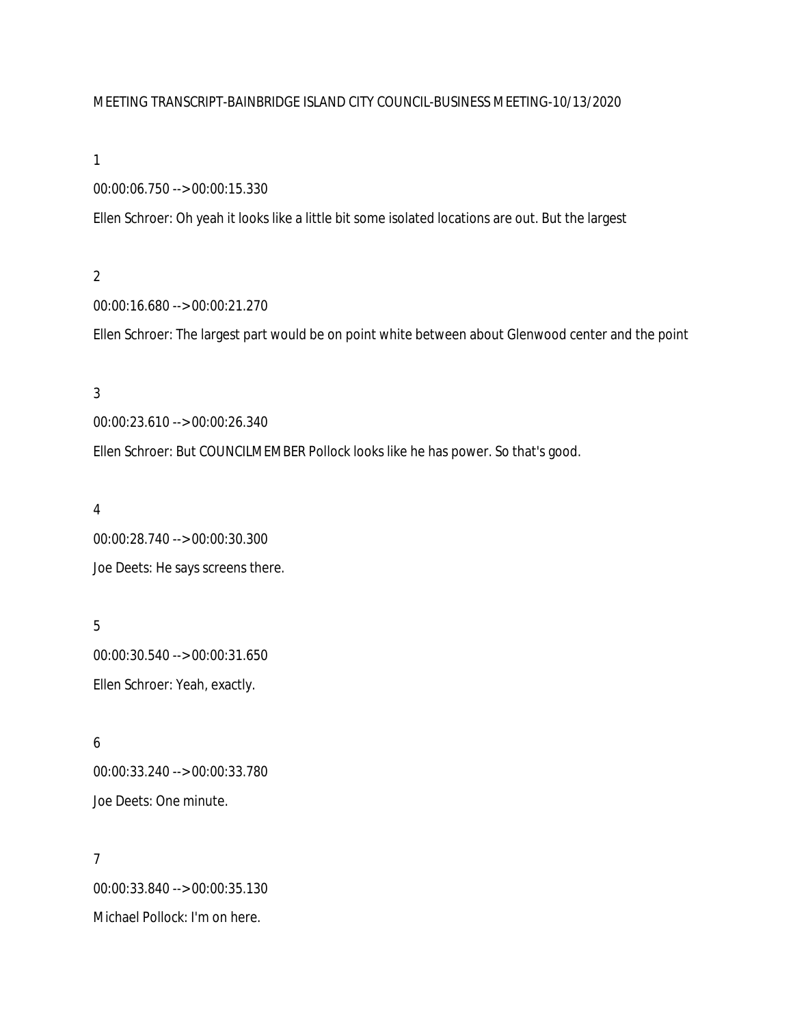### MEETING TRANSCRIPT-BAINBRIDGE ISLAND CITY COUNCIL-BUSINESS MEETING-10/13/2020

### 1

00:00:06.750 --> 00:00:15.330

Ellen Schroer: Oh yeah it looks like a little bit some isolated locations are out. But the largest

## 2

00:00:16.680 --> 00:00:21.270

Ellen Schroer: The largest part would be on point white between about Glenwood center and the point

# 3

00:00:23.610 --> 00:00:26.340

Ellen Schroer: But COUNCILMEMBER Pollock looks like he has power. So that's good.

# 4

00:00:28.740 --> 00:00:30.300 Joe Deets: He says screens there.

# 5 00:00:30.540 --> 00:00:31.650 Ellen Schroer: Yeah, exactly.

# 6 00:00:33.240 --> 00:00:33.780 Joe Deets: One minute.

7 00:00:33.840 --> 00:00:35.130 Michael Pollock: I'm on here.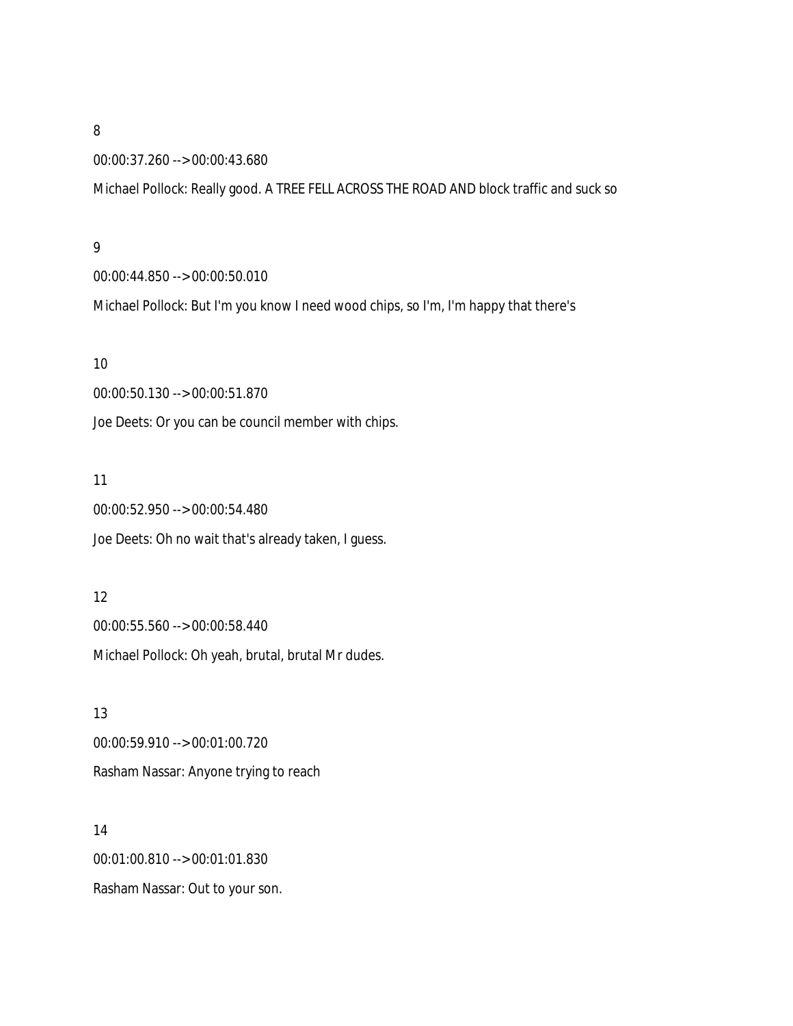00:00:37.260 --> 00:00:43.680

Michael Pollock: Really good. A TREE FELL ACROSS THE ROAD AND block traffic and suck so

#### 9

00:00:44.850 --> 00:00:50.010

Michael Pollock: But I'm you know I need wood chips, so I'm, I'm happy that there's

#### 10

00:00:50.130 --> 00:00:51.870

Joe Deets: Or you can be council member with chips.

#### 11

00:00:52.950 --> 00:00:54.480 Joe Deets: Oh no wait that's already taken, I guess.

## 12

00:00:55.560 --> 00:00:58.440 Michael Pollock: Oh yeah, brutal, brutal Mr dudes.

13 00:00:59.910 --> 00:01:00.720 Rasham Nassar: Anyone trying to reach

14 00:01:00.810 --> 00:01:01.830 Rasham Nassar: Out to your son.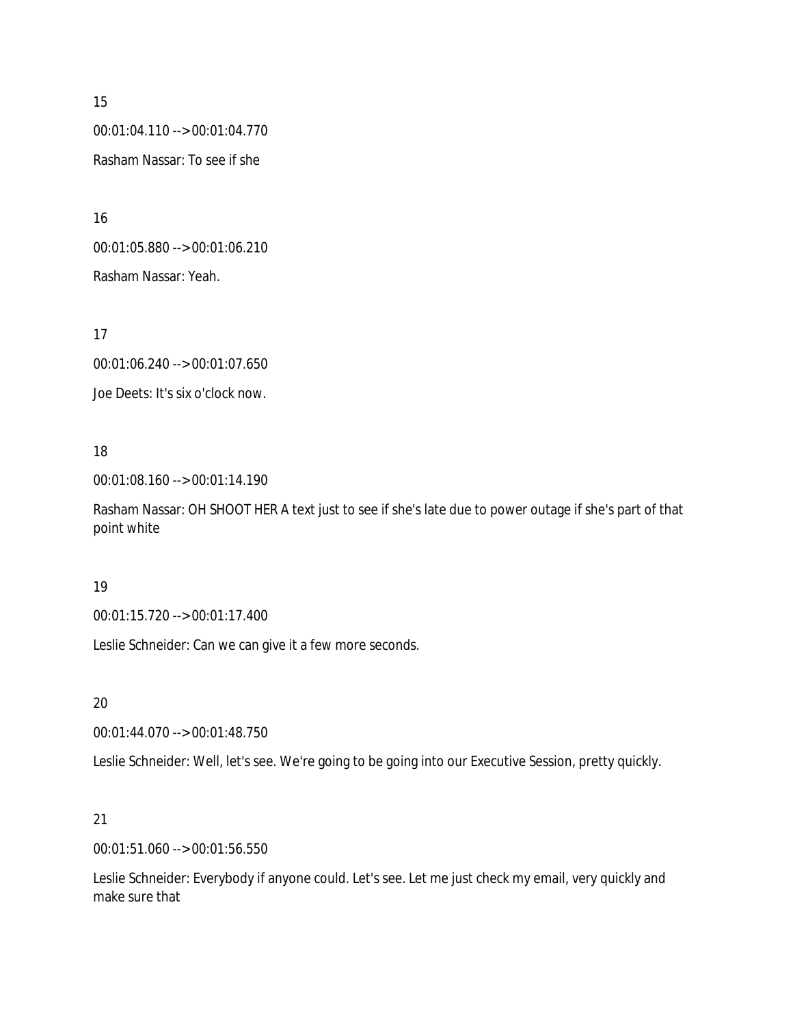00:01:04.110 --> 00:01:04.770 Rasham Nassar: To see if she

16 00:01:05.880 --> 00:01:06.210 Rasham Nassar: Yeah.

17

00:01:06.240 --> 00:01:07.650

Joe Deets: It's six o'clock now.

# 18

00:01:08.160 --> 00:01:14.190

Rasham Nassar: OH SHOOT HER A text just to see if she's late due to power outage if she's part of that point white

### 19

00:01:15.720 --> 00:01:17.400

Leslie Schneider: Can we can give it a few more seconds.

# 20

00:01:44.070 --> 00:01:48.750

Leslie Schneider: Well, let's see. We're going to be going into our Executive Session, pretty quickly.

# 21

00:01:51.060 --> 00:01:56.550

Leslie Schneider: Everybody if anyone could. Let's see. Let me just check my email, very quickly and make sure that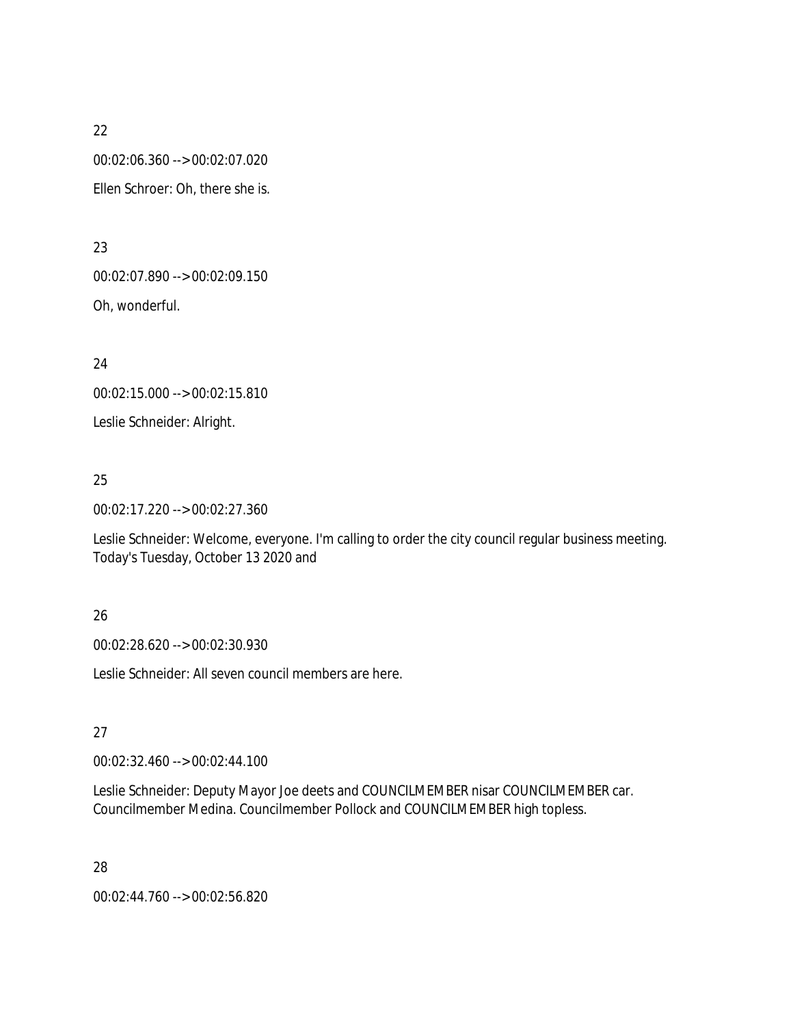00:02:06.360 --> 00:02:07.020

Ellen Schroer: Oh, there she is.

23

00:02:07.890 --> 00:02:09.150

Oh, wonderful.

24

00:02:15.000 --> 00:02:15.810

Leslie Schneider: Alright.

# 25

00:02:17.220 --> 00:02:27.360

Leslie Schneider: Welcome, everyone. I'm calling to order the city council regular business meeting. Today's Tuesday, October 13 2020 and

# 26

00:02:28.620 --> 00:02:30.930

Leslie Schneider: All seven council members are here.

# 27

00:02:32.460 --> 00:02:44.100

Leslie Schneider: Deputy Mayor Joe deets and COUNCILMEMBER nisar COUNCILMEMBER car. Councilmember Medina. Councilmember Pollock and COUNCILMEMBER high topless.

28

00:02:44.760 --> 00:02:56.820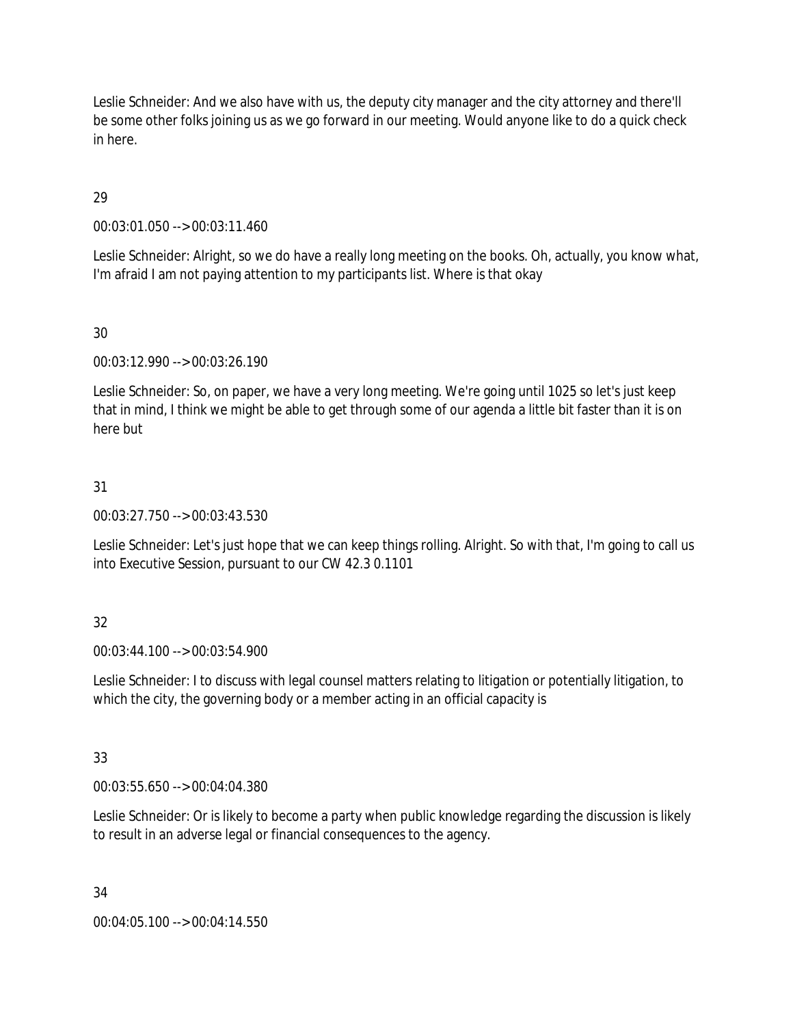Leslie Schneider: And we also have with us, the deputy city manager and the city attorney and there'll be some other folks joining us as we go forward in our meeting. Would anyone like to do a quick check in here.

# 29

00:03:01.050 --> 00:03:11.460

Leslie Schneider: Alright, so we do have a really long meeting on the books. Oh, actually, you know what, I'm afraid I am not paying attention to my participants list. Where is that okay

## 30

00:03:12.990 --> 00:03:26.190

Leslie Schneider: So, on paper, we have a very long meeting. We're going until 1025 so let's just keep that in mind, I think we might be able to get through some of our agenda a little bit faster than it is on here but

# 31

00:03:27.750 --> 00:03:43.530

Leslie Schneider: Let's just hope that we can keep things rolling. Alright. So with that, I'm going to call us into Executive Session, pursuant to our CW 42.3 0.1101

# 32

00:03:44.100 --> 00:03:54.900

Leslie Schneider: I to discuss with legal counsel matters relating to litigation or potentially litigation, to which the city, the governing body or a member acting in an official capacity is

# 33

00:03:55.650 --> 00:04:04.380

Leslie Schneider: Or is likely to become a party when public knowledge regarding the discussion is likely to result in an adverse legal or financial consequences to the agency.

### 34

00:04:05.100 --> 00:04:14.550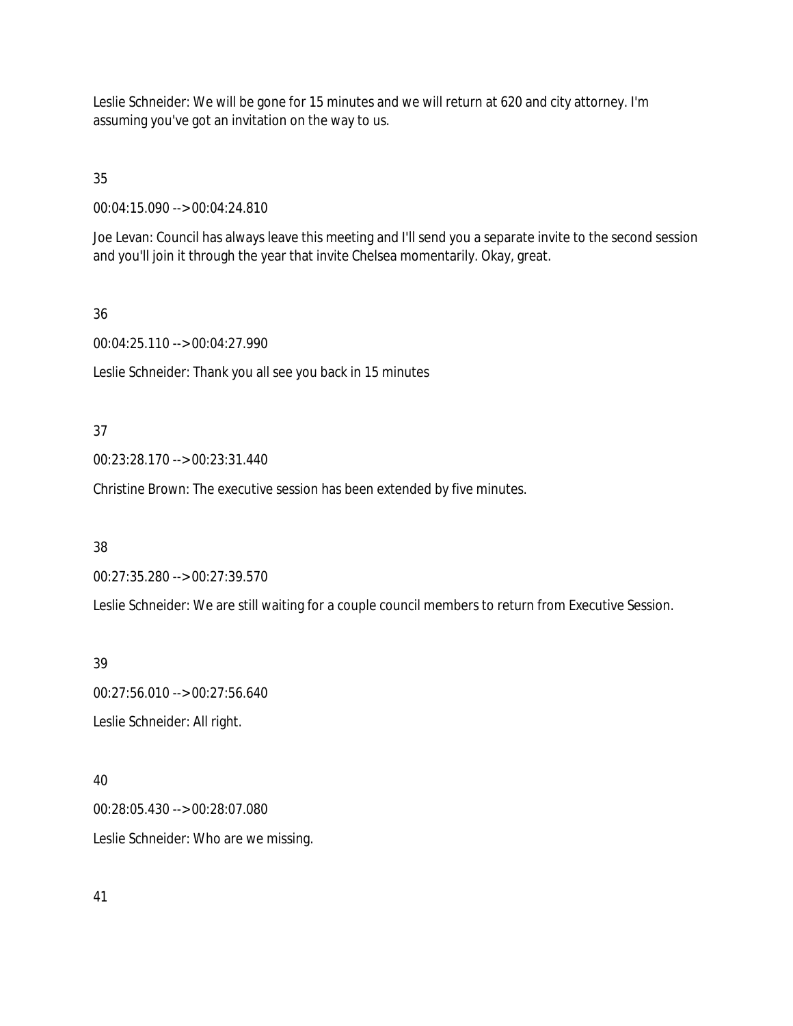Leslie Schneider: We will be gone for 15 minutes and we will return at 620 and city attorney. I'm assuming you've got an invitation on the way to us.

35

00:04:15.090 --> 00:04:24.810

Joe Levan: Council has always leave this meeting and I'll send you a separate invite to the second session and you'll join it through the year that invite Chelsea momentarily. Okay, great.

### 36

00:04:25.110 --> 00:04:27.990

Leslie Schneider: Thank you all see you back in 15 minutes

# 37

00:23:28.170 --> 00:23:31.440

Christine Brown: The executive session has been extended by five minutes.

# 38

00:27:35.280 --> 00:27:39.570

Leslie Schneider: We are still waiting for a couple council members to return from Executive Session.

# 39

00:27:56.010 --> 00:27:56.640 Leslie Schneider: All right.

# 40

00:28:05.430 --> 00:28:07.080 Leslie Schneider: Who are we missing.

# 41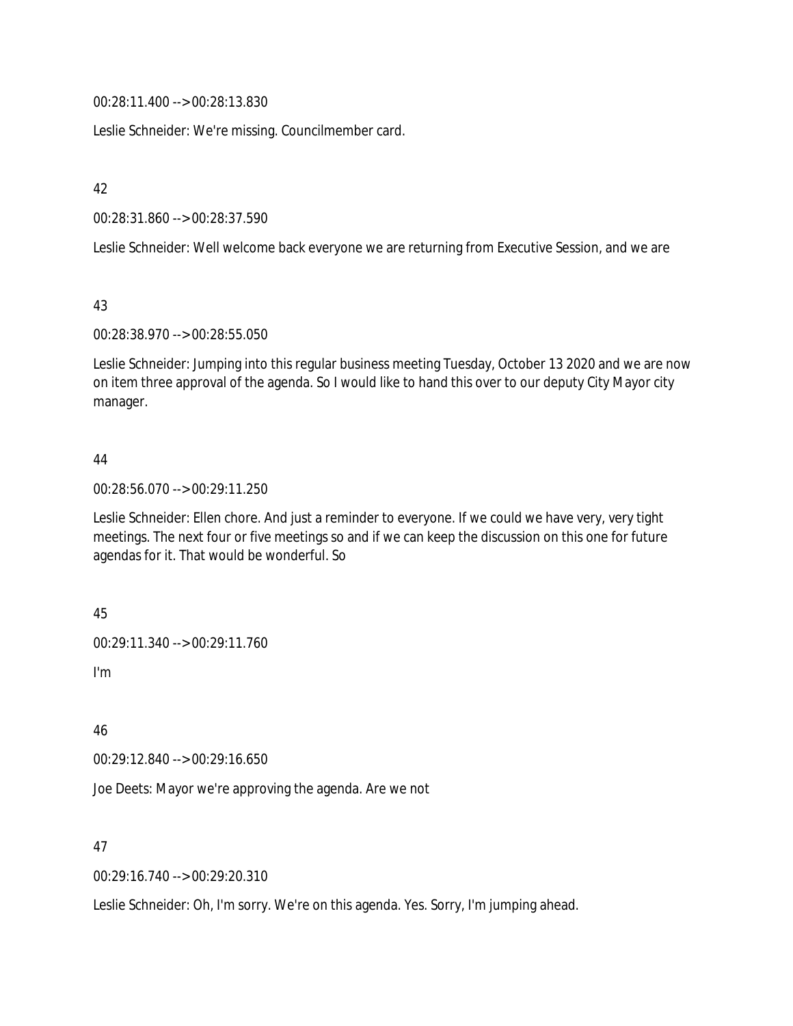00:28:11.400 --> 00:28:13.830

Leslie Schneider: We're missing. Councilmember card.

42

00:28:31.860 --> 00:28:37.590

Leslie Schneider: Well welcome back everyone we are returning from Executive Session, and we are

43

00:28:38.970 --> 00:28:55.050

Leslie Schneider: Jumping into this regular business meeting Tuesday, October 13 2020 and we are now on item three approval of the agenda. So I would like to hand this over to our deputy City Mayor city manager.

### 44

00:28:56.070 --> 00:29:11.250

Leslie Schneider: Ellen chore. And just a reminder to everyone. If we could we have very, very tight meetings. The next four or five meetings so and if we can keep the discussion on this one for future agendas for it. That would be wonderful. So

45

00:29:11.340 --> 00:29:11.760

I'm

46

00:29:12.840 --> 00:29:16.650

Joe Deets: Mayor we're approving the agenda. Are we not

47

00:29:16.740 --> 00:29:20.310

Leslie Schneider: Oh, I'm sorry. We're on this agenda. Yes. Sorry, I'm jumping ahead.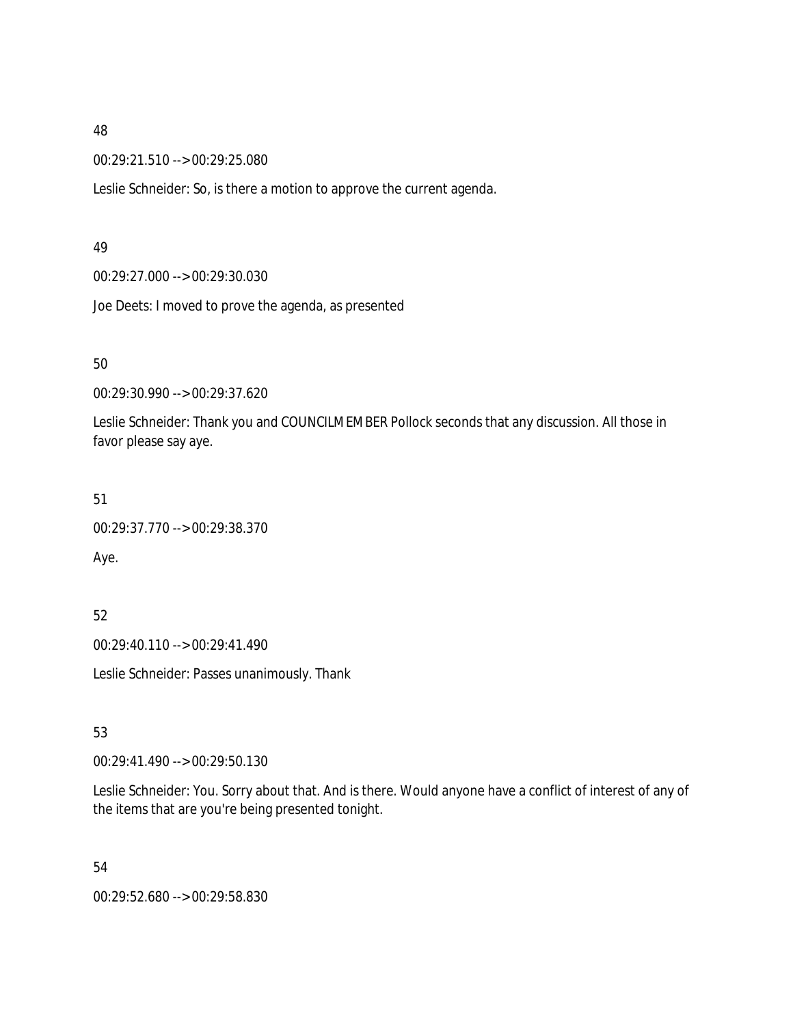00:29:21.510 --> 00:29:25.080

Leslie Schneider: So, is there a motion to approve the current agenda.

### 49

00:29:27.000 --> 00:29:30.030

Joe Deets: I moved to prove the agenda, as presented

### 50

00:29:30.990 --> 00:29:37.620

Leslie Schneider: Thank you and COUNCILMEMBER Pollock seconds that any discussion. All those in favor please say aye.

### 51

00:29:37.770 --> 00:29:38.370

Aye.

# 52

00:29:40.110 --> 00:29:41.490

Leslie Schneider: Passes unanimously. Thank

# 53

00:29:41.490 --> 00:29:50.130

Leslie Schneider: You. Sorry about that. And is there. Would anyone have a conflict of interest of any of the items that are you're being presented tonight.

54

00:29:52.680 --> 00:29:58.830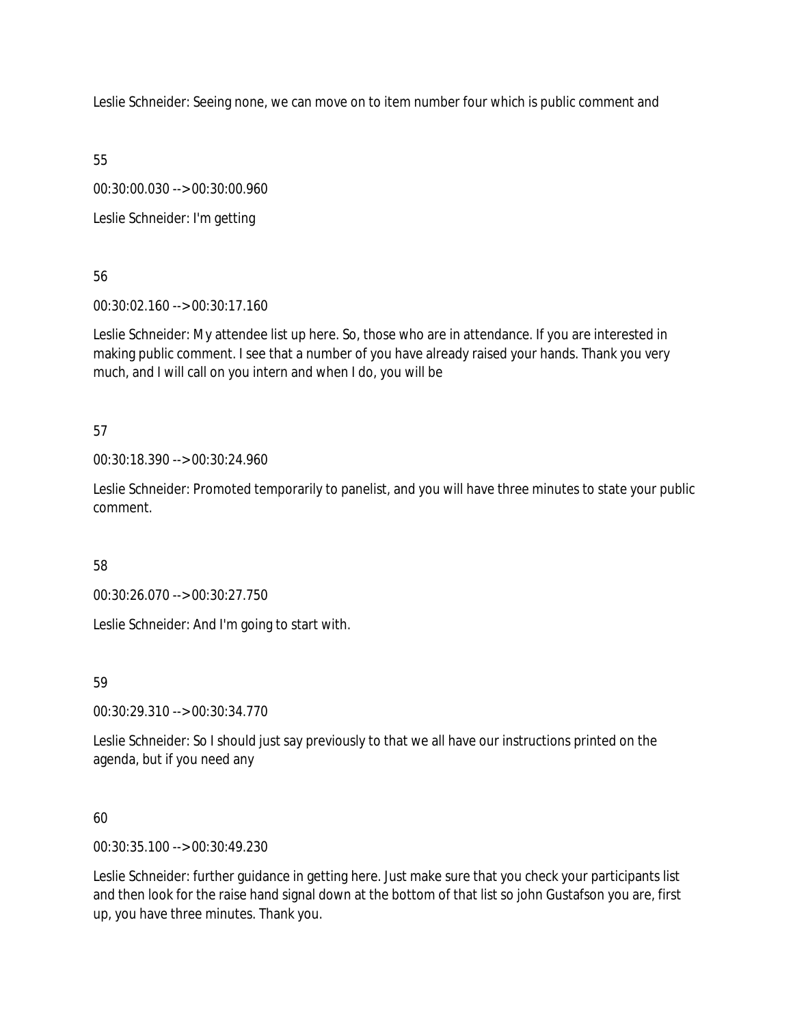Leslie Schneider: Seeing none, we can move on to item number four which is public comment and

55

00:30:00.030 --> 00:30:00.960

Leslie Schneider: I'm getting

56

00:30:02.160 --> 00:30:17.160

Leslie Schneider: My attendee list up here. So, those who are in attendance. If you are interested in making public comment. I see that a number of you have already raised your hands. Thank you very much, and I will call on you intern and when I do, you will be

57

00:30:18.390 --> 00:30:24.960

Leslie Schneider: Promoted temporarily to panelist, and you will have three minutes to state your public comment.

58

00:30:26.070 --> 00:30:27.750

Leslie Schneider: And I'm going to start with.

59

00:30:29.310 --> 00:30:34.770

Leslie Schneider: So I should just say previously to that we all have our instructions printed on the agenda, but if you need any

60

00:30:35.100 --> 00:30:49.230

Leslie Schneider: further guidance in getting here. Just make sure that you check your participants list and then look for the raise hand signal down at the bottom of that list so john Gustafson you are, first up, you have three minutes. Thank you.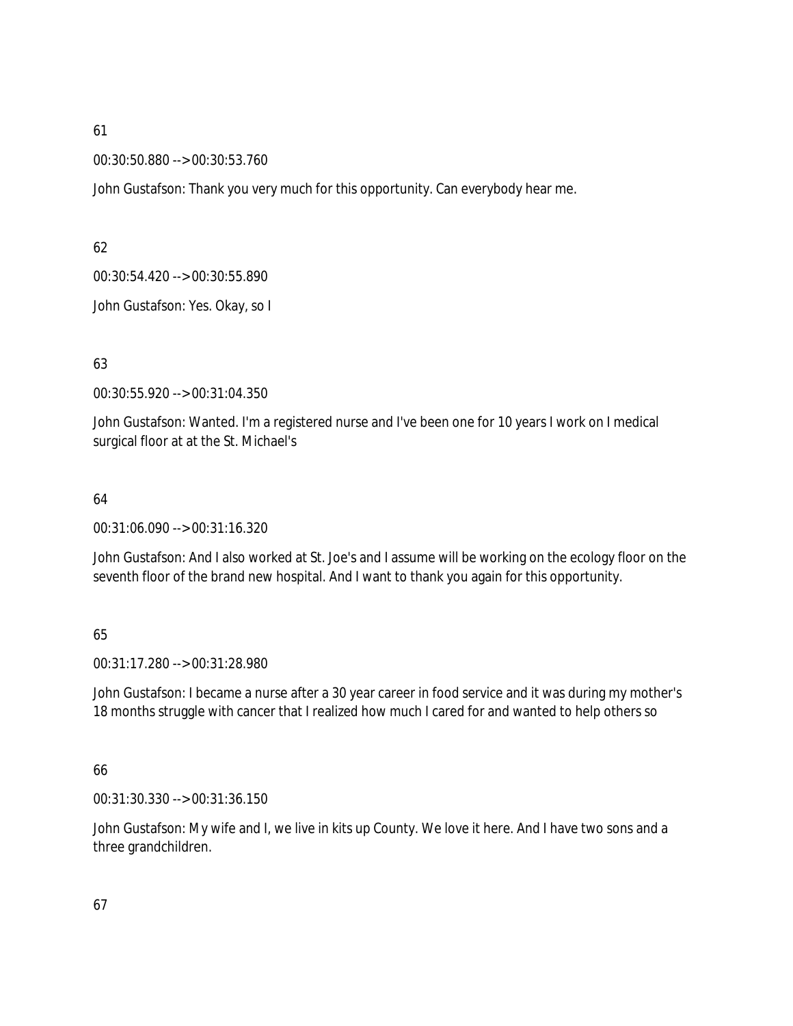00:30:50.880 --> 00:30:53.760

John Gustafson: Thank you very much for this opportunity. Can everybody hear me.

62

00:30:54.420 --> 00:30:55.890

John Gustafson: Yes. Okay, so I

63

00:30:55.920 --> 00:31:04.350

John Gustafson: Wanted. I'm a registered nurse and I've been one for 10 years I work on I medical surgical floor at at the St. Michael's

### 64

00:31:06.090 --> 00:31:16.320

John Gustafson: And I also worked at St. Joe's and I assume will be working on the ecology floor on the seventh floor of the brand new hospital. And I want to thank you again for this opportunity.

### 65

00:31:17.280 --> 00:31:28.980

John Gustafson: I became a nurse after a 30 year career in food service and it was during my mother's 18 months struggle with cancer that I realized how much I cared for and wanted to help others so

66

00:31:30.330 --> 00:31:36.150

John Gustafson: My wife and I, we live in kits up County. We love it here. And I have two sons and a three grandchildren.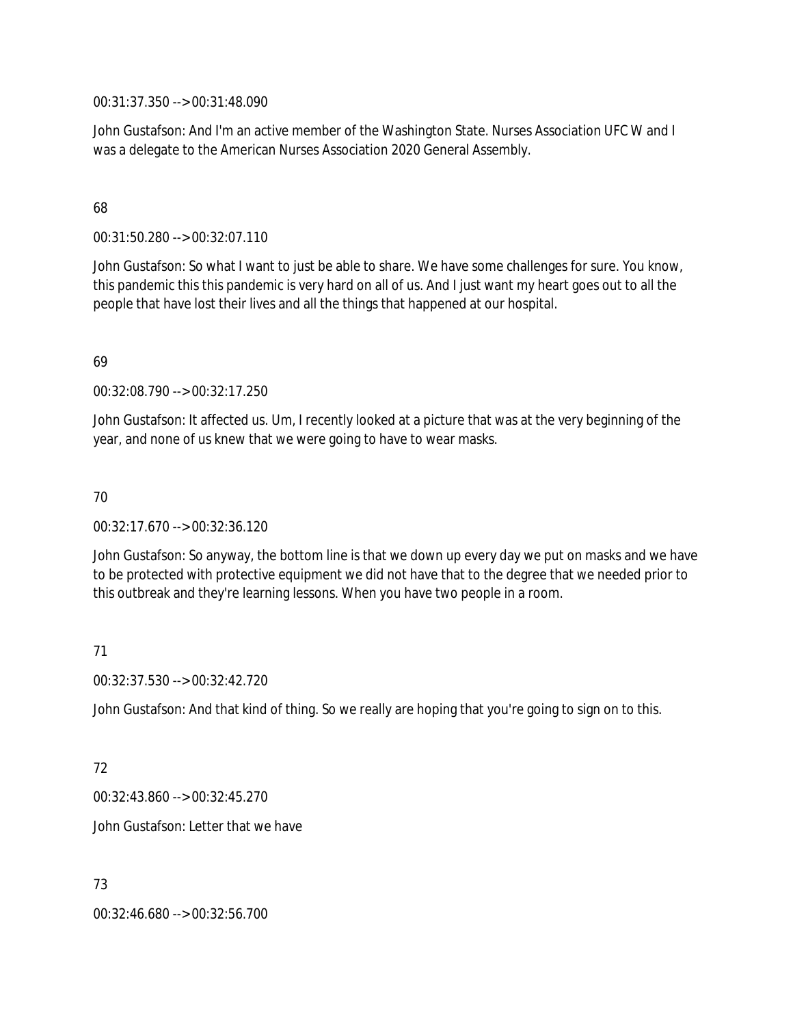00:31:37.350 --> 00:31:48.090

John Gustafson: And I'm an active member of the Washington State. Nurses Association UFC W and I was a delegate to the American Nurses Association 2020 General Assembly.

### 68

00:31:50.280 --> 00:32:07.110

John Gustafson: So what I want to just be able to share. We have some challenges for sure. You know, this pandemic this this pandemic is very hard on all of us. And I just want my heart goes out to all the people that have lost their lives and all the things that happened at our hospital.

## 69

00:32:08.790 --> 00:32:17.250

John Gustafson: It affected us. Um, I recently looked at a picture that was at the very beginning of the year, and none of us knew that we were going to have to wear masks.

## 70

00:32:17.670 --> 00:32:36.120

John Gustafson: So anyway, the bottom line is that we down up every day we put on masks and we have to be protected with protective equipment we did not have that to the degree that we needed prior to this outbreak and they're learning lessons. When you have two people in a room.

# 71

00:32:37.530 --> 00:32:42.720

John Gustafson: And that kind of thing. So we really are hoping that you're going to sign on to this.

# 72

00:32:43.860 --> 00:32:45.270

John Gustafson: Letter that we have

# 73

00:32:46.680 --> 00:32:56.700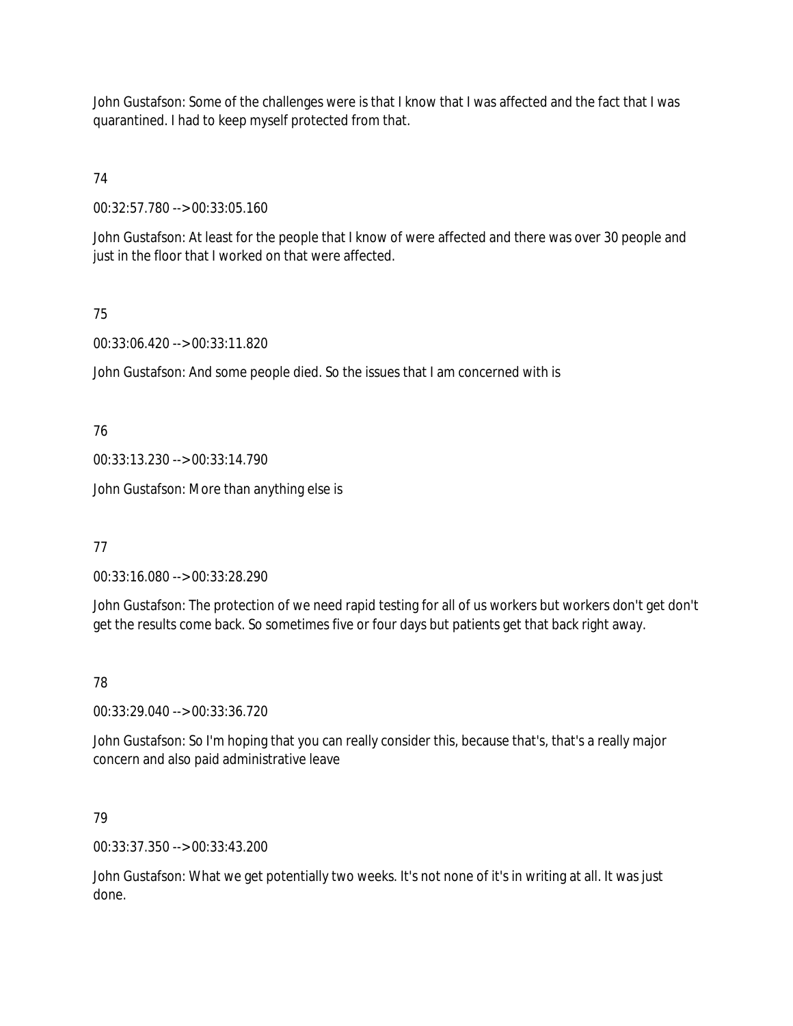John Gustafson: Some of the challenges were is that I know that I was affected and the fact that I was quarantined. I had to keep myself protected from that.

# 74

00:32:57.780 --> 00:33:05.160

John Gustafson: At least for the people that I know of were affected and there was over 30 people and just in the floor that I worked on that were affected.

# 75

00:33:06.420 --> 00:33:11.820

John Gustafson: And some people died. So the issues that I am concerned with is

76

00:33:13.230 --> 00:33:14.790

John Gustafson: More than anything else is

77

00:33:16.080 --> 00:33:28.290

John Gustafson: The protection of we need rapid testing for all of us workers but workers don't get don't get the results come back. So sometimes five or four days but patients get that back right away.

# 78

00:33:29.040 --> 00:33:36.720

John Gustafson: So I'm hoping that you can really consider this, because that's, that's a really major concern and also paid administrative leave

79

00:33:37.350 --> 00:33:43.200

John Gustafson: What we get potentially two weeks. It's not none of it's in writing at all. It was just done.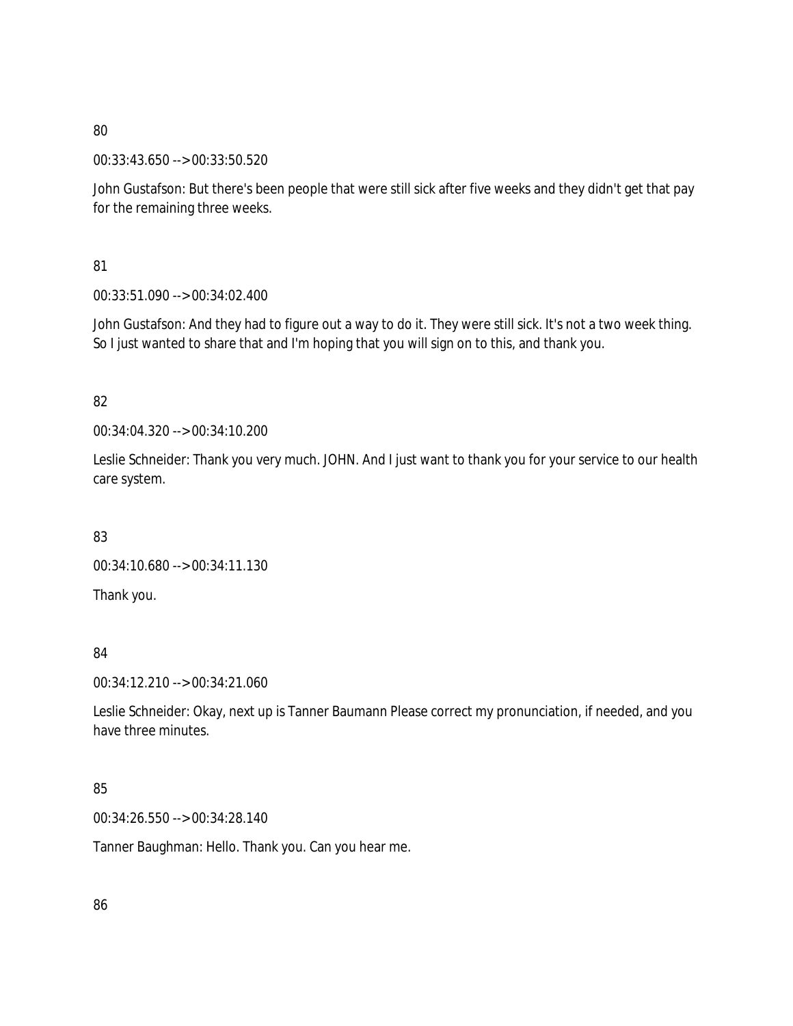00:33:43.650 --> 00:33:50.520

John Gustafson: But there's been people that were still sick after five weeks and they didn't get that pay for the remaining three weeks.

81

00:33:51.090 --> 00:34:02.400

John Gustafson: And they had to figure out a way to do it. They were still sick. It's not a two week thing. So I just wanted to share that and I'm hoping that you will sign on to this, and thank you.

# 82

00:34:04.320 --> 00:34:10.200

Leslie Schneider: Thank you very much. JOHN. And I just want to thank you for your service to our health care system.

83

00:34:10.680 --> 00:34:11.130

Thank you.

# 84

00:34:12.210 --> 00:34:21.060

Leslie Schneider: Okay, next up is Tanner Baumann Please correct my pronunciation, if needed, and you have three minutes.

# 85

00:34:26.550 --> 00:34:28.140

Tanner Baughman: Hello. Thank you. Can you hear me.

86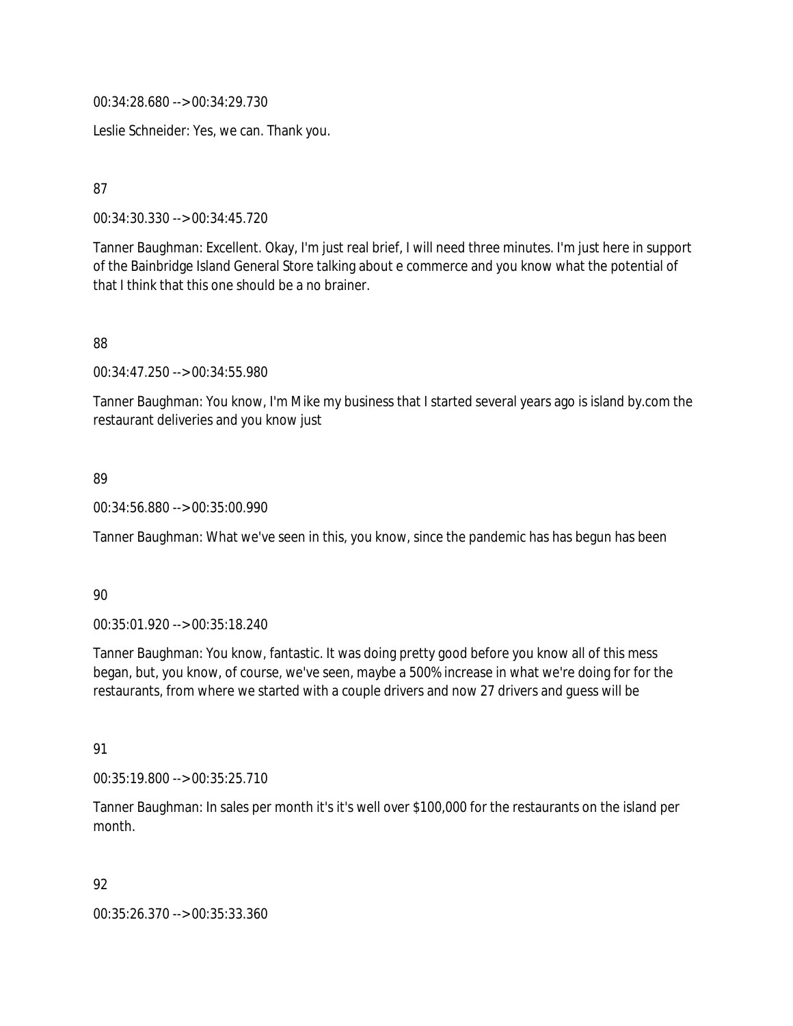00:34:28.680 --> 00:34:29.730

Leslie Schneider: Yes, we can. Thank you.

87

00:34:30.330 --> 00:34:45.720

Tanner Baughman: Excellent. Okay, I'm just real brief, I will need three minutes. I'm just here in support of the Bainbridge Island General Store talking about e commerce and you know what the potential of that I think that this one should be a no brainer.

88

00:34:47.250 --> 00:34:55.980

Tanner Baughman: You know, I'm Mike my business that I started several years ago is island by.com the restaurant deliveries and you know just

### 89

00:34:56.880 --> 00:35:00.990

Tanner Baughman: What we've seen in this, you know, since the pandemic has has begun has been

#### 90

00:35:01.920 --> 00:35:18.240

Tanner Baughman: You know, fantastic. It was doing pretty good before you know all of this mess began, but, you know, of course, we've seen, maybe a 500% increase in what we're doing for for the restaurants, from where we started with a couple drivers and now 27 drivers and guess will be

91

00:35:19.800 --> 00:35:25.710

Tanner Baughman: In sales per month it's it's well over \$100,000 for the restaurants on the island per month.

### 92

00:35:26.370 --> 00:35:33.360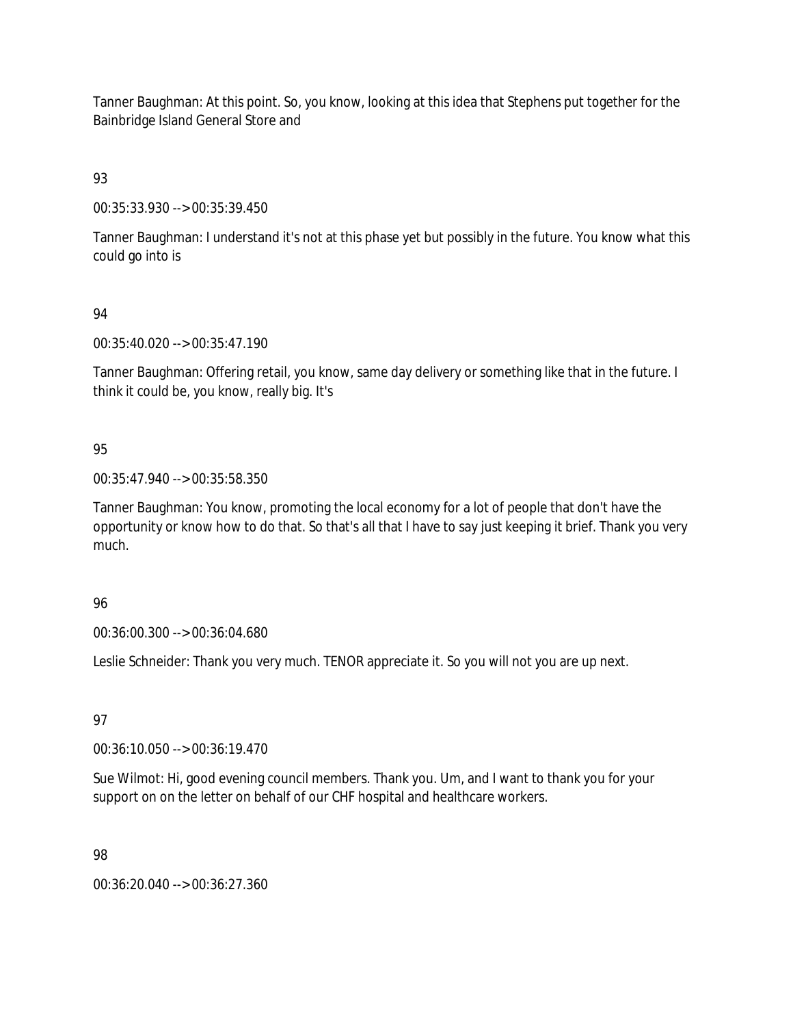Tanner Baughman: At this point. So, you know, looking at this idea that Stephens put together for the Bainbridge Island General Store and

93

00:35:33.930 --> 00:35:39.450

Tanner Baughman: I understand it's not at this phase yet but possibly in the future. You know what this could go into is

# 94

00:35:40.020 --> 00:35:47.190

Tanner Baughman: Offering retail, you know, same day delivery or something like that in the future. I think it could be, you know, really big. It's

# 95

00:35:47.940 --> 00:35:58.350

Tanner Baughman: You know, promoting the local economy for a lot of people that don't have the opportunity or know how to do that. So that's all that I have to say just keeping it brief. Thank you very much.

# 96

00:36:00.300 --> 00:36:04.680

Leslie Schneider: Thank you very much. TENOR appreciate it. So you will not you are up next.

97

00:36:10.050 --> 00:36:19.470

Sue Wilmot: Hi, good evening council members. Thank you. Um, and I want to thank you for your support on on the letter on behalf of our CHF hospital and healthcare workers.

98

00:36:20.040 --> 00:36:27.360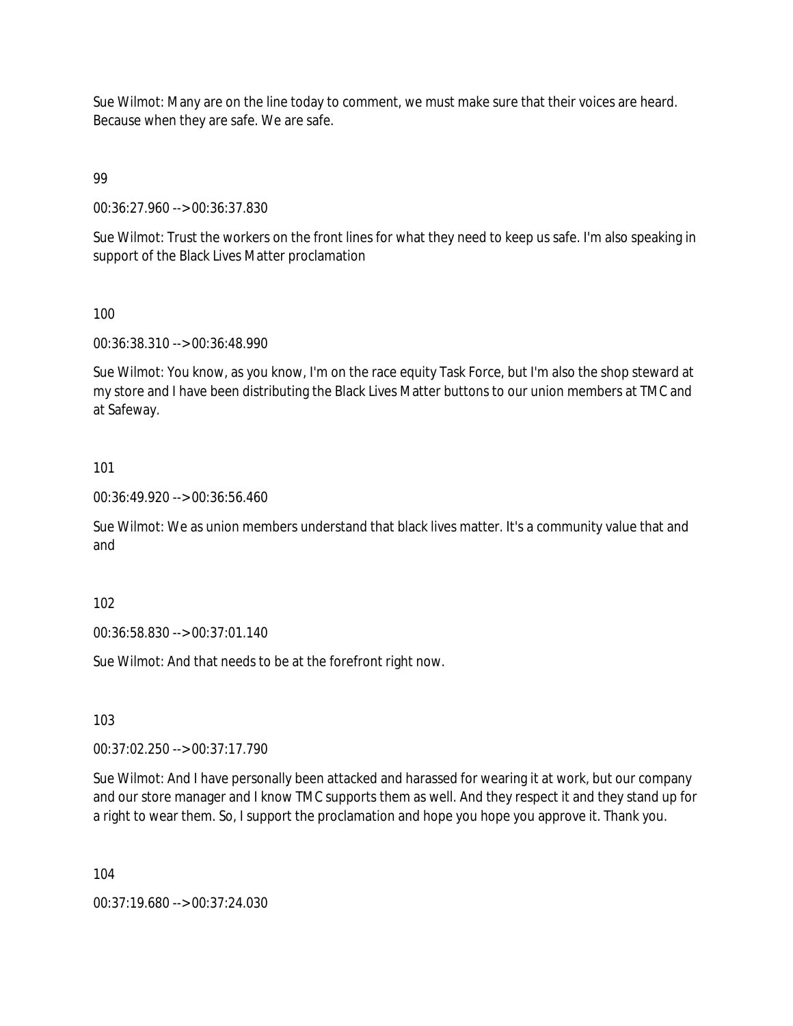Sue Wilmot: Many are on the line today to comment, we must make sure that their voices are heard. Because when they are safe. We are safe.

99

00:36:27.960 --> 00:36:37.830

Sue Wilmot: Trust the workers on the front lines for what they need to keep us safe. I'm also speaking in support of the Black Lives Matter proclamation

100

00:36:38.310 --> 00:36:48.990

Sue Wilmot: You know, as you know, I'm on the race equity Task Force, but I'm also the shop steward at my store and I have been distributing the Black Lives Matter buttons to our union members at TMC and at Safeway.

101

00:36:49.920 --> 00:36:56.460

Sue Wilmot: We as union members understand that black lives matter. It's a community value that and and

102

00:36:58.830 --> 00:37:01.140

Sue Wilmot: And that needs to be at the forefront right now.

103

00:37:02.250 --> 00:37:17.790

Sue Wilmot: And I have personally been attacked and harassed for wearing it at work, but our company and our store manager and I know TMC supports them as well. And they respect it and they stand up for a right to wear them. So, I support the proclamation and hope you hope you approve it. Thank you.

104

00:37:19.680 --> 00:37:24.030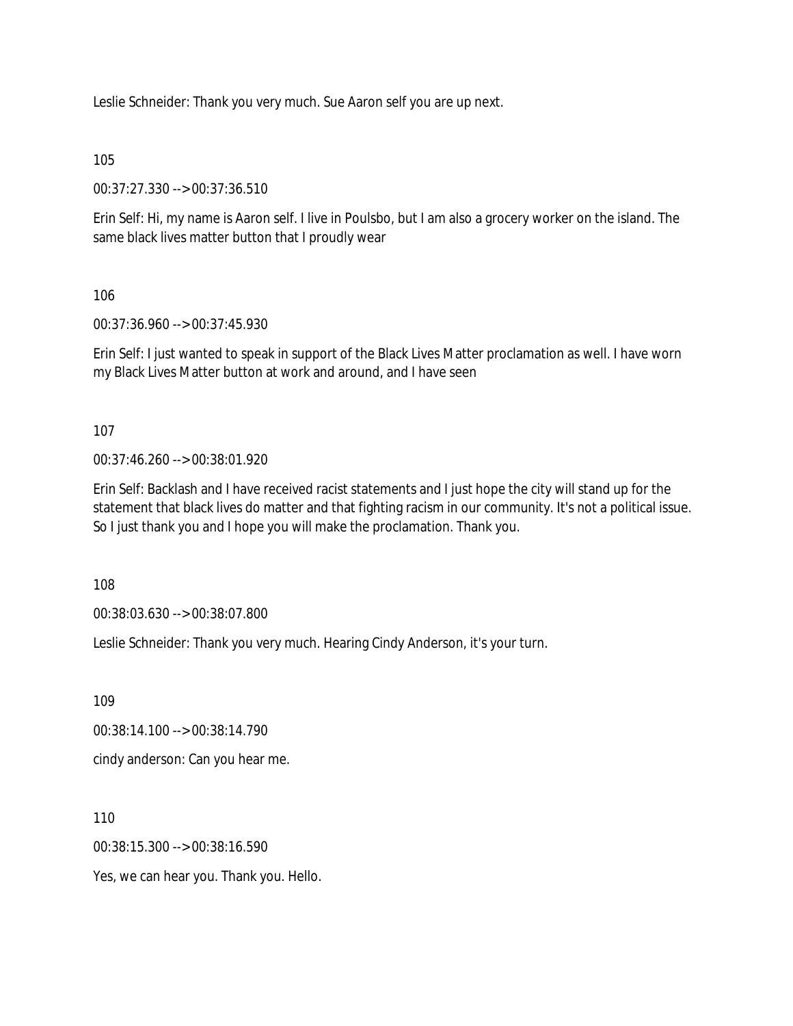Leslie Schneider: Thank you very much. Sue Aaron self you are up next.

105

00:37:27.330 --> 00:37:36.510

Erin Self: Hi, my name is Aaron self. I live in Poulsbo, but I am also a grocery worker on the island. The same black lives matter button that I proudly wear

106

00:37:36.960 --> 00:37:45.930

Erin Self: I just wanted to speak in support of the Black Lives Matter proclamation as well. I have worn my Black Lives Matter button at work and around, and I have seen

107

00:37:46.260 --> 00:38:01.920

Erin Self: Backlash and I have received racist statements and I just hope the city will stand up for the statement that black lives do matter and that fighting racism in our community. It's not a political issue. So I just thank you and I hope you will make the proclamation. Thank you.

108

00:38:03.630 --> 00:38:07.800

Leslie Schneider: Thank you very much. Hearing Cindy Anderson, it's your turn.

109

00:38:14.100 --> 00:38:14.790

cindy anderson: Can you hear me.

110

00:38:15.300 --> 00:38:16.590

Yes, we can hear you. Thank you. Hello.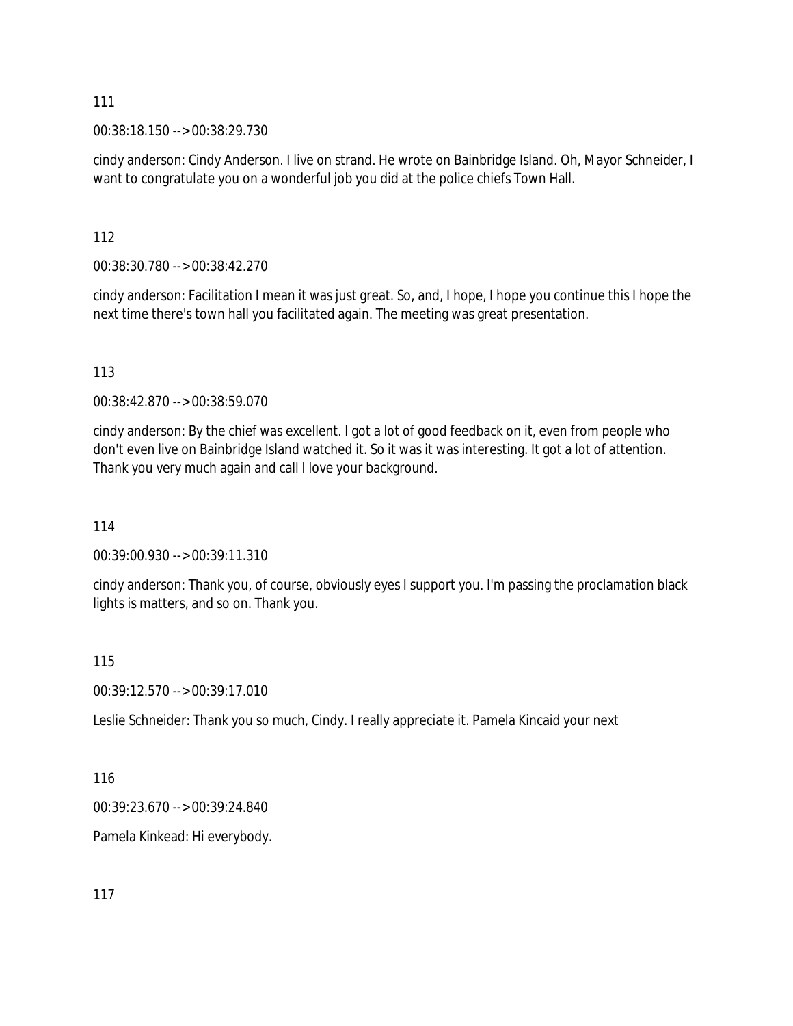00:38:18.150 --> 00:38:29.730

cindy anderson: Cindy Anderson. I live on strand. He wrote on Bainbridge Island. Oh, Mayor Schneider, I want to congratulate you on a wonderful job you did at the police chiefs Town Hall.

112

00:38:30.780 --> 00:38:42.270

cindy anderson: Facilitation I mean it was just great. So, and, I hope, I hope you continue this I hope the next time there's town hall you facilitated again. The meeting was great presentation.

113

00:38:42.870 --> 00:38:59.070

cindy anderson: By the chief was excellent. I got a lot of good feedback on it, even from people who don't even live on Bainbridge Island watched it. So it was it was interesting. It got a lot of attention. Thank you very much again and call I love your background.

114

00:39:00.930 --> 00:39:11.310

cindy anderson: Thank you, of course, obviously eyes I support you. I'm passing the proclamation black lights is matters, and so on. Thank you.

115

00:39:12.570 --> 00:39:17.010

Leslie Schneider: Thank you so much, Cindy. I really appreciate it. Pamela Kincaid your next

116

00:39:23.670 --> 00:39:24.840

Pamela Kinkead: Hi everybody.

117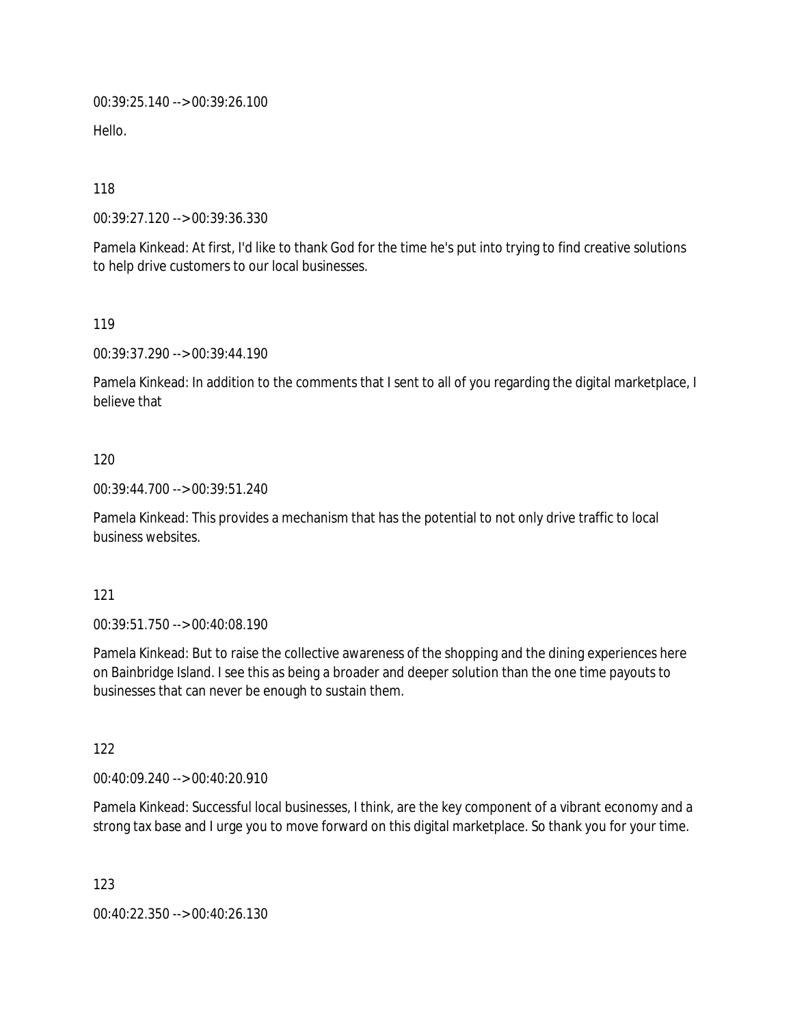00:39:25.140 --> 00:39:26.100

Hello.

118

00:39:27.120 --> 00:39:36.330

Pamela Kinkead: At first, I'd like to thank God for the time he's put into trying to find creative solutions to help drive customers to our local businesses.

119

00:39:37.290 --> 00:39:44.190

Pamela Kinkead: In addition to the comments that I sent to all of you regarding the digital marketplace, I believe that

## 120

00:39:44.700 --> 00:39:51.240

Pamela Kinkead: This provides a mechanism that has the potential to not only drive traffic to local business websites.

### 121

00:39:51.750 --> 00:40:08.190

Pamela Kinkead: But to raise the collective awareness of the shopping and the dining experiences here on Bainbridge Island. I see this as being a broader and deeper solution than the one time payouts to businesses that can never be enough to sustain them.

122

00:40:09.240 --> 00:40:20.910

Pamela Kinkead: Successful local businesses, I think, are the key component of a vibrant economy and a strong tax base and I urge you to move forward on this digital marketplace. So thank you for your time.

123

00:40:22.350 --> 00:40:26.130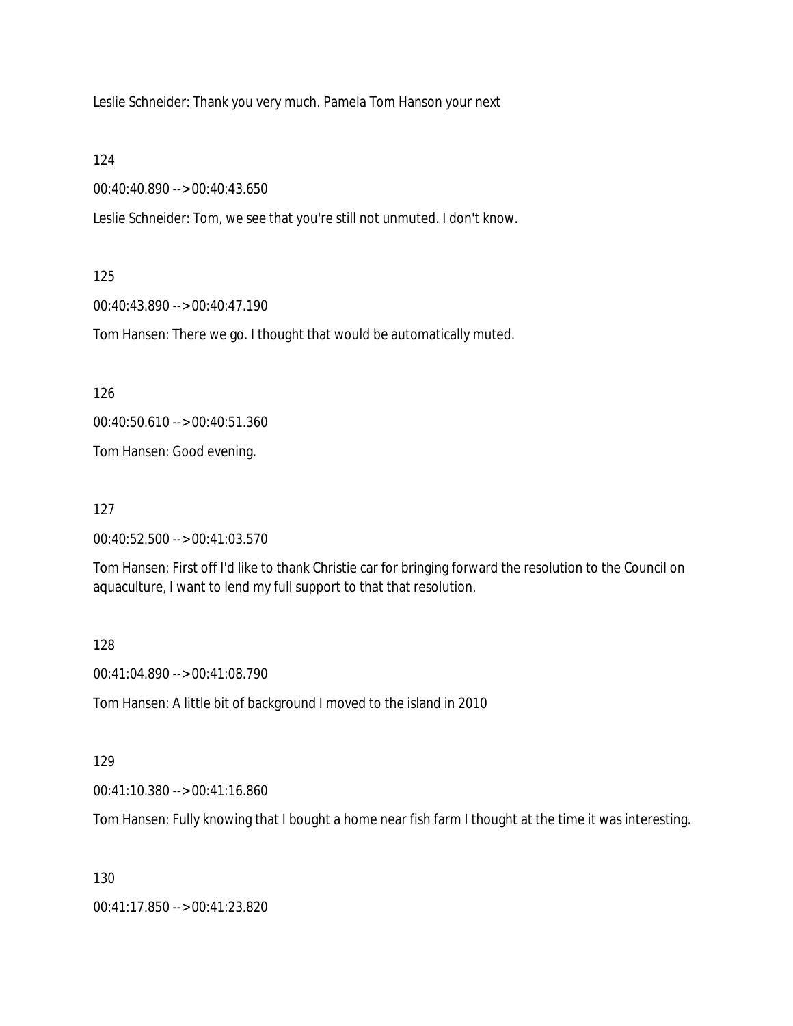Leslie Schneider: Thank you very much. Pamela Tom Hanson your next

124

00:40:40.890 --> 00:40:43.650

Leslie Schneider: Tom, we see that you're still not unmuted. I don't know.

125

00:40:43.890 --> 00:40:47.190

Tom Hansen: There we go. I thought that would be automatically muted.

126

00:40:50.610 --> 00:40:51.360

Tom Hansen: Good evening.

127

00:40:52.500 --> 00:41:03.570

Tom Hansen: First off I'd like to thank Christie car for bringing forward the resolution to the Council on aquaculture, I want to lend my full support to that that resolution.

128

00:41:04.890 --> 00:41:08.790

Tom Hansen: A little bit of background I moved to the island in 2010

129

00:41:10.380 --> 00:41:16.860

Tom Hansen: Fully knowing that I bought a home near fish farm I thought at the time it was interesting.

130

00:41:17.850 --> 00:41:23.820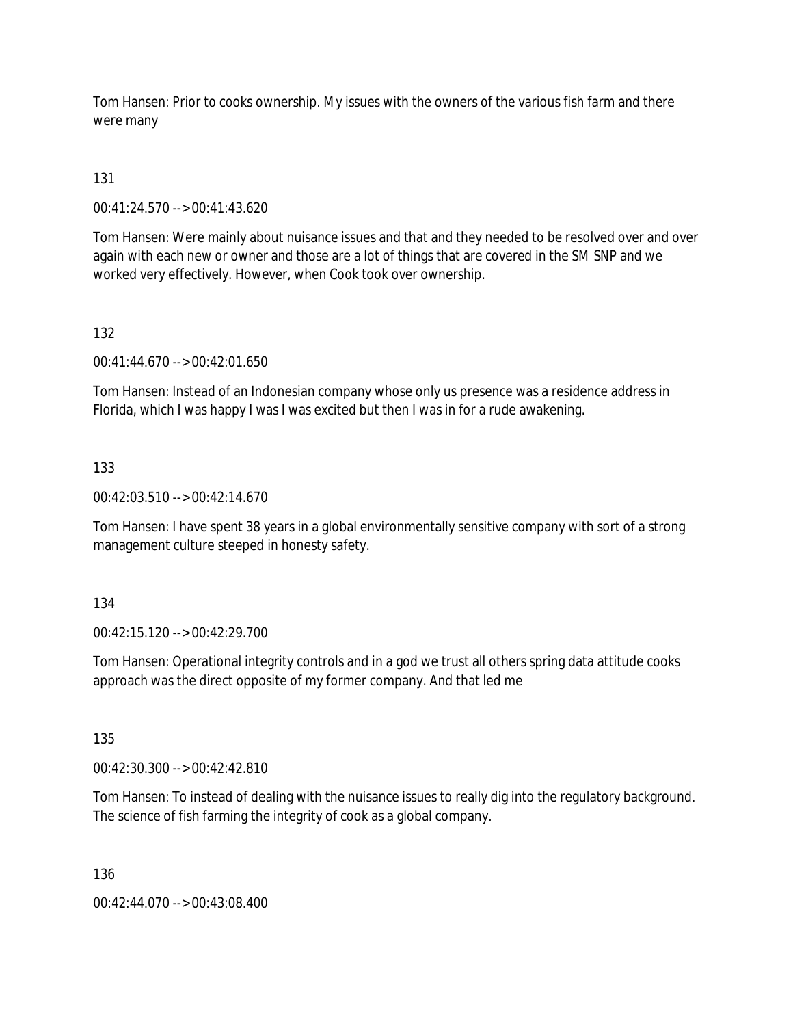Tom Hansen: Prior to cooks ownership. My issues with the owners of the various fish farm and there were many

# 131

00:41:24.570 --> 00:41:43.620

Tom Hansen: Were mainly about nuisance issues and that and they needed to be resolved over and over again with each new or owner and those are a lot of things that are covered in the SM SNP and we worked very effectively. However, when Cook took over ownership.

# 132

00:41:44.670 --> 00:42:01.650

Tom Hansen: Instead of an Indonesian company whose only us presence was a residence address in Florida, which I was happy I was I was excited but then I was in for a rude awakening.

# 133

00:42:03.510 --> 00:42:14.670

Tom Hansen: I have spent 38 years in a global environmentally sensitive company with sort of a strong management culture steeped in honesty safety.

# 134

00:42:15.120 --> 00:42:29.700

Tom Hansen: Operational integrity controls and in a god we trust all others spring data attitude cooks approach was the direct opposite of my former company. And that led me

135

00:42:30.300 --> 00:42:42.810

Tom Hansen: To instead of dealing with the nuisance issues to really dig into the regulatory background. The science of fish farming the integrity of cook as a global company.

136

00:42:44.070 --> 00:43:08.400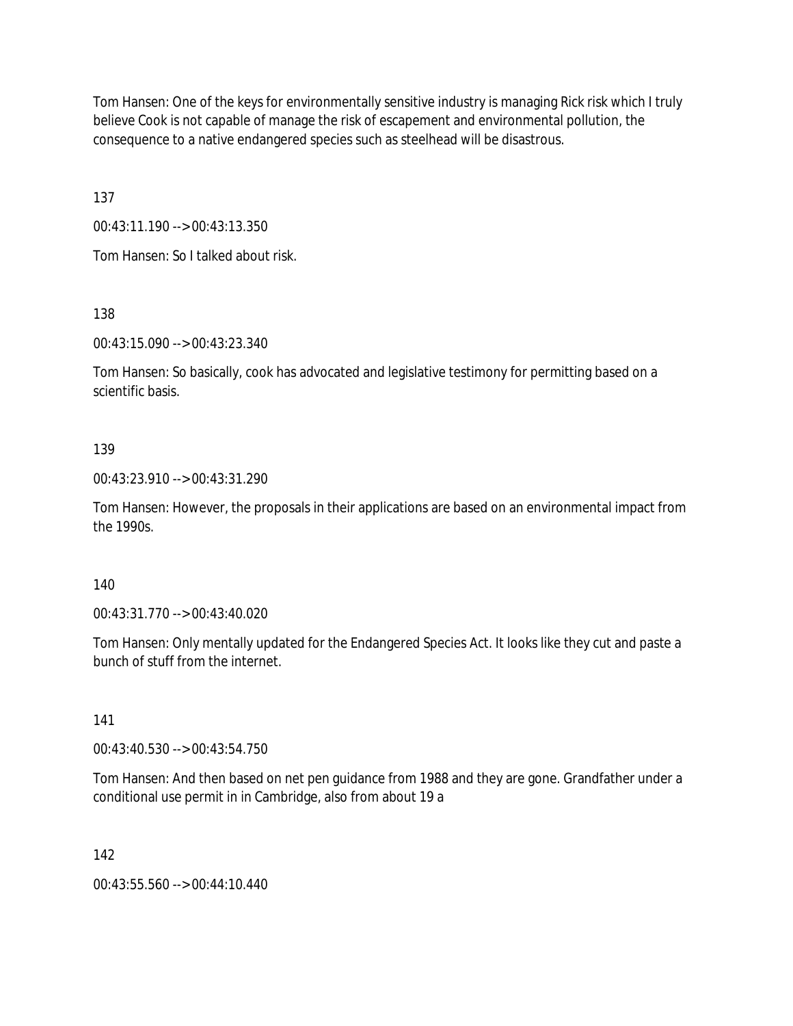Tom Hansen: One of the keys for environmentally sensitive industry is managing Rick risk which I truly believe Cook is not capable of manage the risk of escapement and environmental pollution, the consequence to a native endangered species such as steelhead will be disastrous.

137

00:43:11.190 --> 00:43:13.350

Tom Hansen: So I talked about risk.

138

00:43:15.090 --> 00:43:23.340

Tom Hansen: So basically, cook has advocated and legislative testimony for permitting based on a scientific basis.

### 139

00:43:23.910 --> 00:43:31.290

Tom Hansen: However, the proposals in their applications are based on an environmental impact from the 1990s.

### 140

00:43:31.770 --> 00:43:40.020

Tom Hansen: Only mentally updated for the Endangered Species Act. It looks like they cut and paste a bunch of stuff from the internet.

### 141

00:43:40.530 --> 00:43:54.750

Tom Hansen: And then based on net pen guidance from 1988 and they are gone. Grandfather under a conditional use permit in in Cambridge, also from about 19 a

### 142

00:43:55.560 --> 00:44:10.440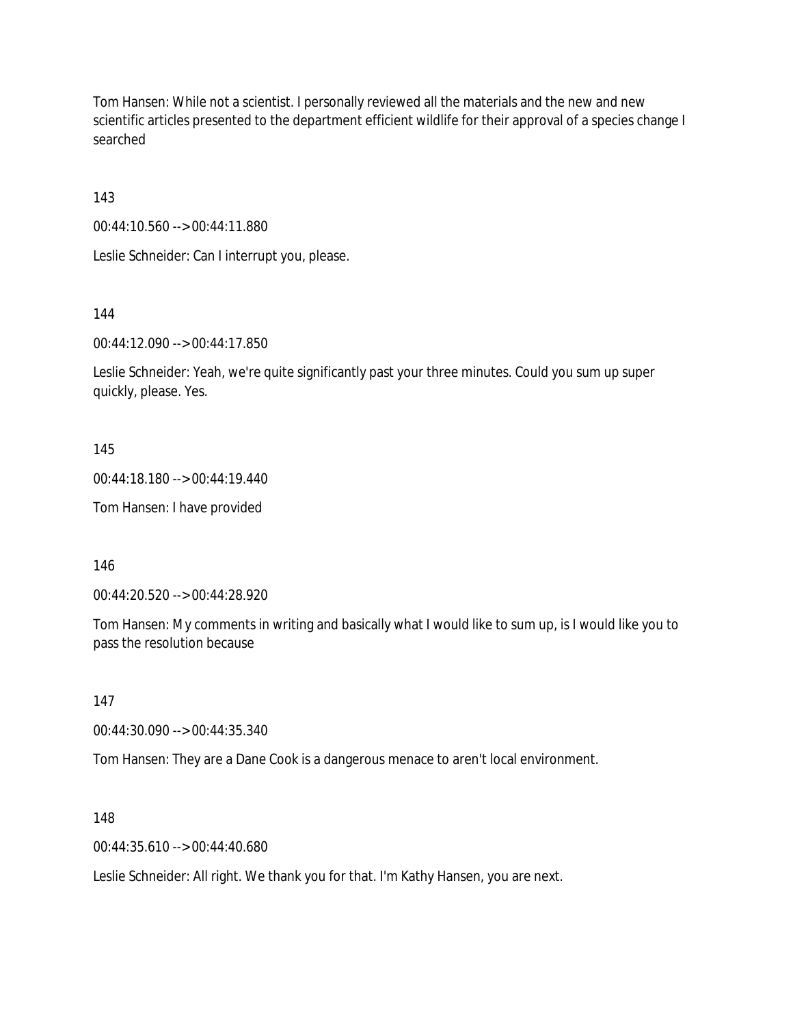Tom Hansen: While not a scientist. I personally reviewed all the materials and the new and new scientific articles presented to the department efficient wildlife for their approval of a species change I searched

143

00:44:10.560 --> 00:44:11.880

Leslie Schneider: Can I interrupt you, please.

144

00:44:12.090 --> 00:44:17.850

Leslie Schneider: Yeah, we're quite significantly past your three minutes. Could you sum up super quickly, please. Yes.

145

00:44:18.180 --> 00:44:19.440

Tom Hansen: I have provided

146

00:44:20.520 --> 00:44:28.920

Tom Hansen: My comments in writing and basically what I would like to sum up, is I would like you to pass the resolution because

147

00:44:30.090 --> 00:44:35.340

Tom Hansen: They are a Dane Cook is a dangerous menace to aren't local environment.

148

00:44:35.610 --> 00:44:40.680

Leslie Schneider: All right. We thank you for that. I'm Kathy Hansen, you are next.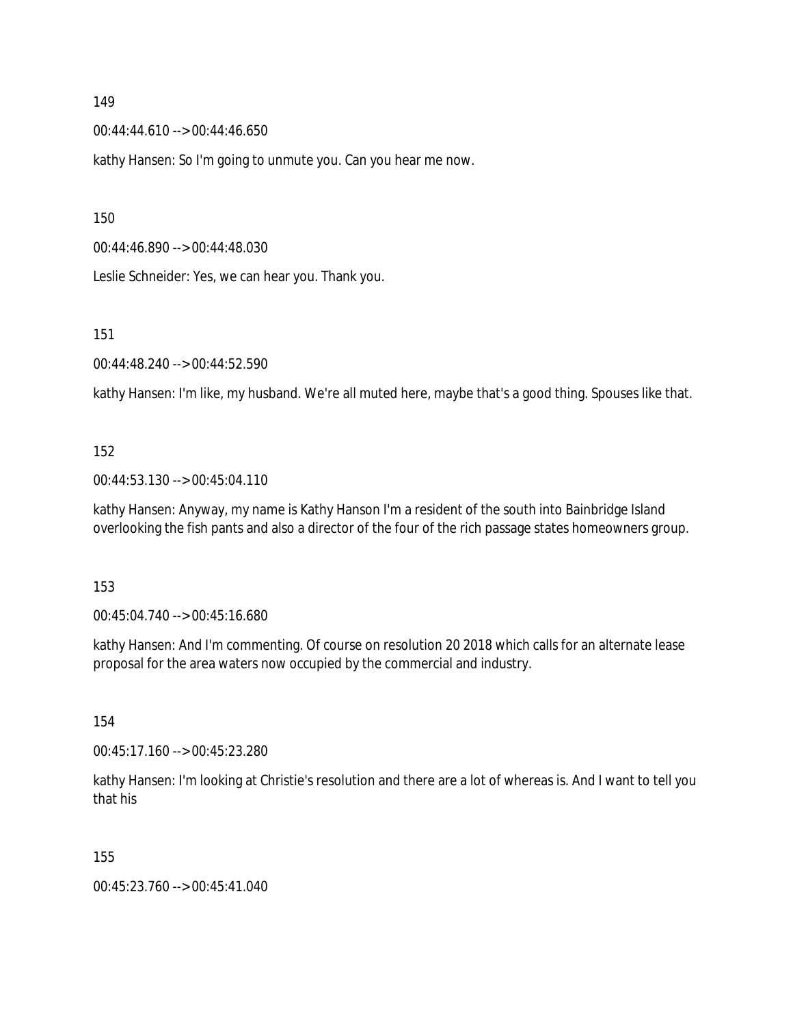00:44:44.610 --> 00:44:46.650

kathy Hansen: So I'm going to unmute you. Can you hear me now.

150

00:44:46.890 --> 00:44:48.030

Leslie Schneider: Yes, we can hear you. Thank you.

151

00:44:48.240 --> 00:44:52.590

kathy Hansen: I'm like, my husband. We're all muted here, maybe that's a good thing. Spouses like that.

### 152

00:44:53.130 --> 00:45:04.110

kathy Hansen: Anyway, my name is Kathy Hanson I'm a resident of the south into Bainbridge Island overlooking the fish pants and also a director of the four of the rich passage states homeowners group.

### 153

00:45:04.740 --> 00:45:16.680

kathy Hansen: And I'm commenting. Of course on resolution 20 2018 which calls for an alternate lease proposal for the area waters now occupied by the commercial and industry.

154

00:45:17.160 --> 00:45:23.280

kathy Hansen: I'm looking at Christie's resolution and there are a lot of whereas is. And I want to tell you that his

155

00:45:23.760 --> 00:45:41.040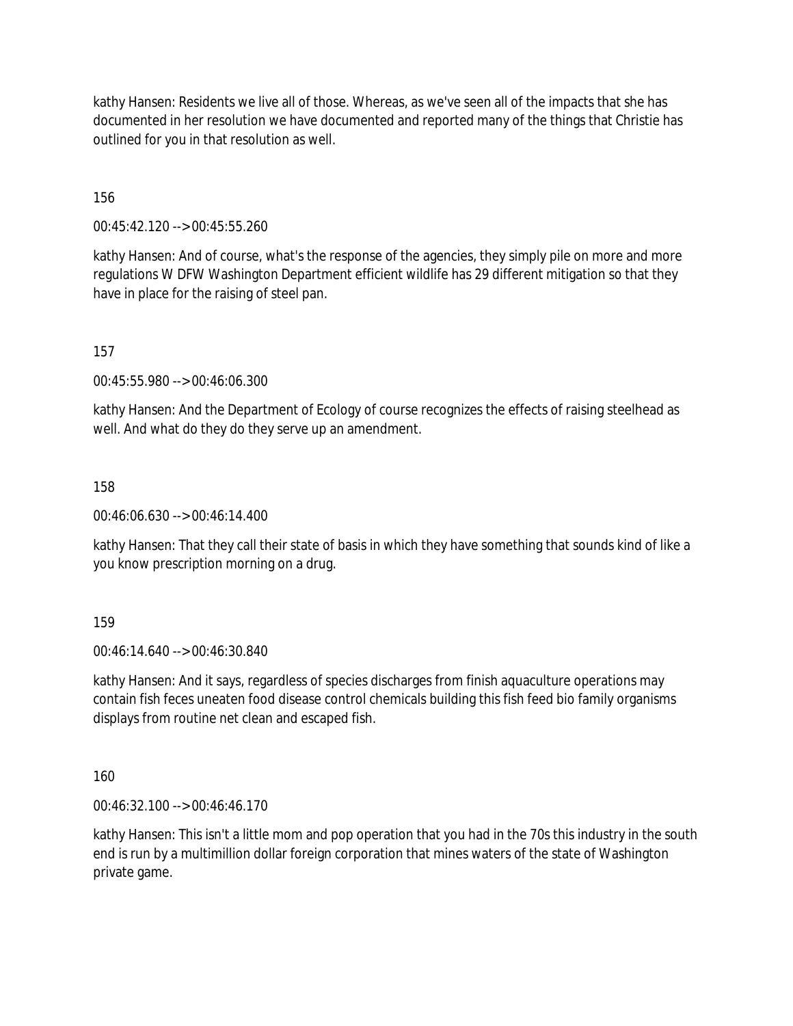kathy Hansen: Residents we live all of those. Whereas, as we've seen all of the impacts that she has documented in her resolution we have documented and reported many of the things that Christie has outlined for you in that resolution as well.

156

00:45:42.120 --> 00:45:55.260

kathy Hansen: And of course, what's the response of the agencies, they simply pile on more and more regulations W DFW Washington Department efficient wildlife has 29 different mitigation so that they have in place for the raising of steel pan.

157

00:45:55.980 --> 00:46:06.300

kathy Hansen: And the Department of Ecology of course recognizes the effects of raising steelhead as well. And what do they do they serve up an amendment.

158

00:46:06.630 --> 00:46:14.400

kathy Hansen: That they call their state of basis in which they have something that sounds kind of like a you know prescription morning on a drug.

159

00:46:14.640 --> 00:46:30.840

kathy Hansen: And it says, regardless of species discharges from finish aquaculture operations may contain fish feces uneaten food disease control chemicals building this fish feed bio family organisms displays from routine net clean and escaped fish.

160

00:46:32.100 --> 00:46:46.170

kathy Hansen: This isn't a little mom and pop operation that you had in the 70s this industry in the south end is run by a multimillion dollar foreign corporation that mines waters of the state of Washington private game.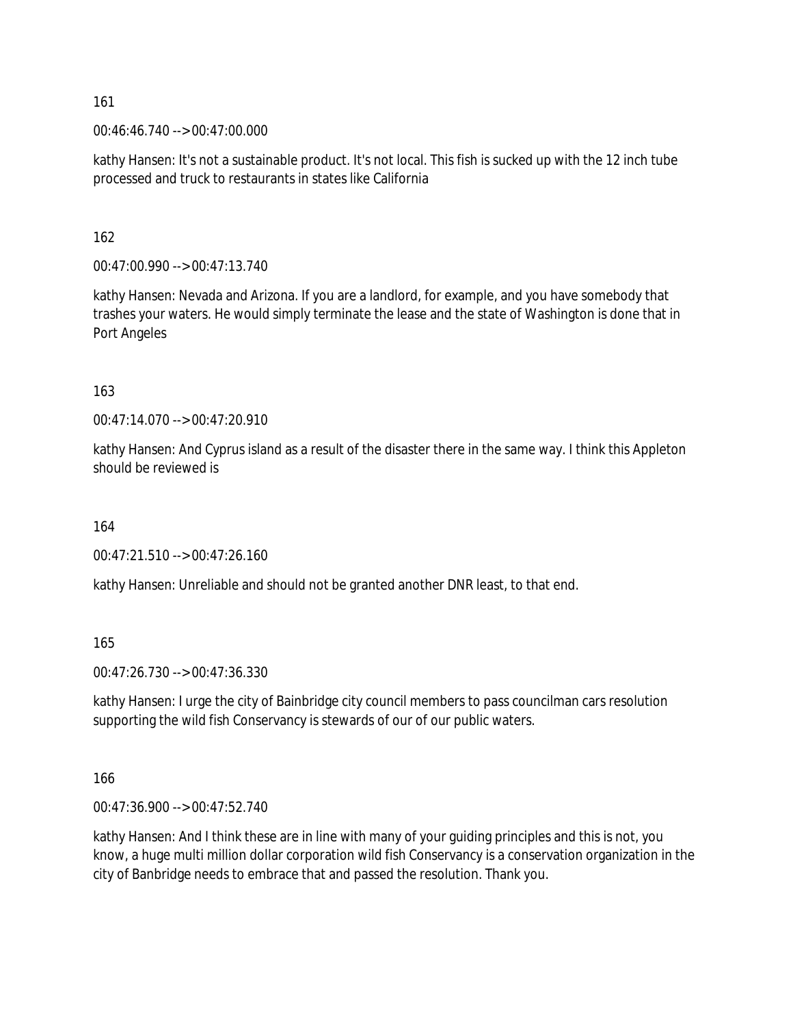00:46:46.740 --> 00:47:00.000

kathy Hansen: It's not a sustainable product. It's not local. This fish is sucked up with the 12 inch tube processed and truck to restaurants in states like California

162

00:47:00.990 --> 00:47:13.740

kathy Hansen: Nevada and Arizona. If you are a landlord, for example, and you have somebody that trashes your waters. He would simply terminate the lease and the state of Washington is done that in Port Angeles

163

00:47:14.070 --> 00:47:20.910

kathy Hansen: And Cyprus island as a result of the disaster there in the same way. I think this Appleton should be reviewed is

164

00:47:21.510 --> 00:47:26.160

kathy Hansen: Unreliable and should not be granted another DNR least, to that end.

165

00:47:26.730 --> 00:47:36.330

kathy Hansen: I urge the city of Bainbridge city council members to pass councilman cars resolution supporting the wild fish Conservancy is stewards of our of our public waters.

166

00:47:36.900 --> 00:47:52.740

kathy Hansen: And I think these are in line with many of your guiding principles and this is not, you know, a huge multi million dollar corporation wild fish Conservancy is a conservation organization in the city of Banbridge needs to embrace that and passed the resolution. Thank you.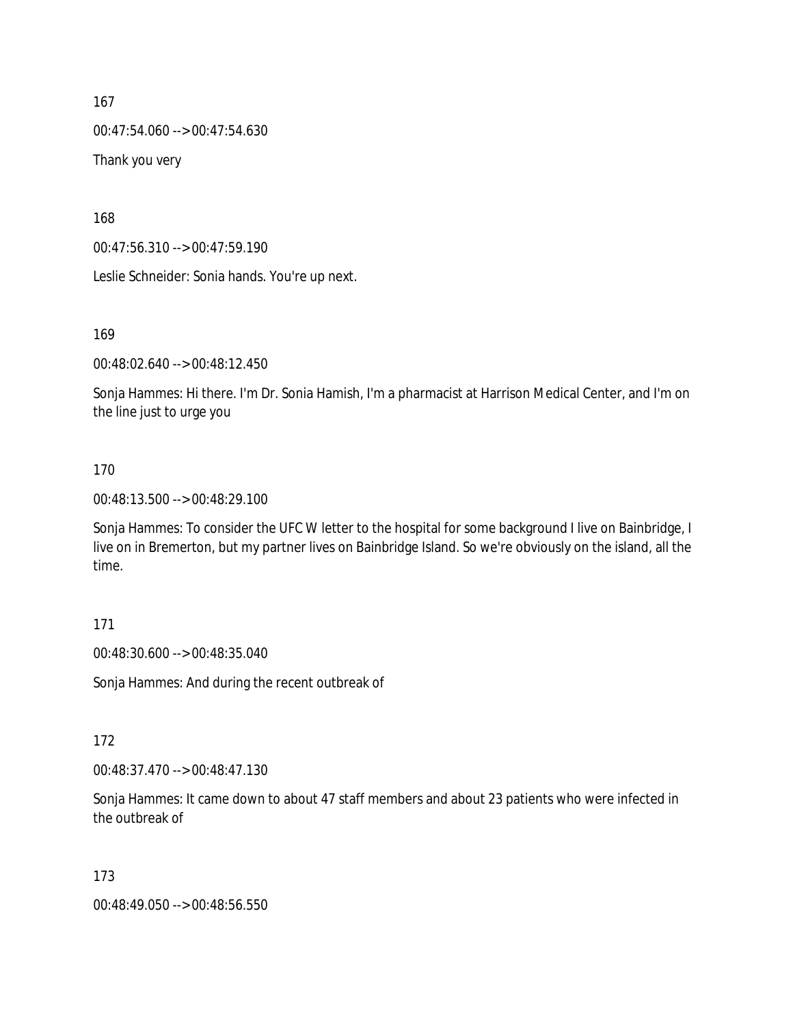00:47:54.060 --> 00:47:54.630

Thank you very

168

00:47:56.310 --> 00:47:59.190

Leslie Schneider: Sonia hands. You're up next.

169

00:48:02.640 --> 00:48:12.450

Sonja Hammes: Hi there. I'm Dr. Sonia Hamish, I'm a pharmacist at Harrison Medical Center, and I'm on the line just to urge you

#### 170

00:48:13.500 --> 00:48:29.100

Sonja Hammes: To consider the UFC W letter to the hospital for some background I live on Bainbridge, I live on in Bremerton, but my partner lives on Bainbridge Island. So we're obviously on the island, all the time.

#### 171

00:48:30.600 --> 00:48:35.040

Sonja Hammes: And during the recent outbreak of

### 172

00:48:37.470 --> 00:48:47.130

Sonja Hammes: It came down to about 47 staff members and about 23 patients who were infected in the outbreak of

### 173

00:48:49.050 --> 00:48:56.550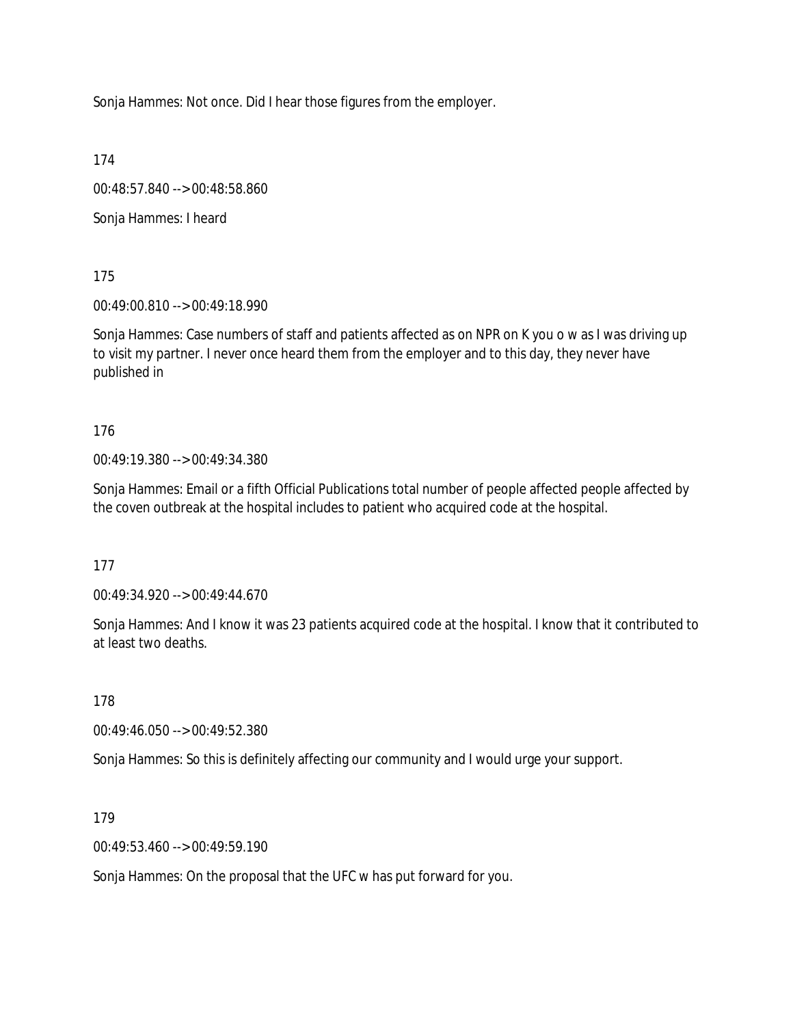Sonja Hammes: Not once. Did I hear those figures from the employer.

174

00:48:57.840 --> 00:48:58.860

Sonja Hammes: I heard

175

00:49:00.810 --> 00:49:18.990

Sonja Hammes: Case numbers of staff and patients affected as on NPR on K you o w as I was driving up to visit my partner. I never once heard them from the employer and to this day, they never have published in

176

00:49:19.380 --> 00:49:34.380

Sonja Hammes: Email or a fifth Official Publications total number of people affected people affected by the coven outbreak at the hospital includes to patient who acquired code at the hospital.

177

00:49:34.920 --> 00:49:44.670

Sonja Hammes: And I know it was 23 patients acquired code at the hospital. I know that it contributed to at least two deaths.

178

00:49:46.050 --> 00:49:52.380

Sonja Hammes: So this is definitely affecting our community and I would urge your support.

179

00:49:53.460 --> 00:49:59.190

Sonja Hammes: On the proposal that the UFC w has put forward for you.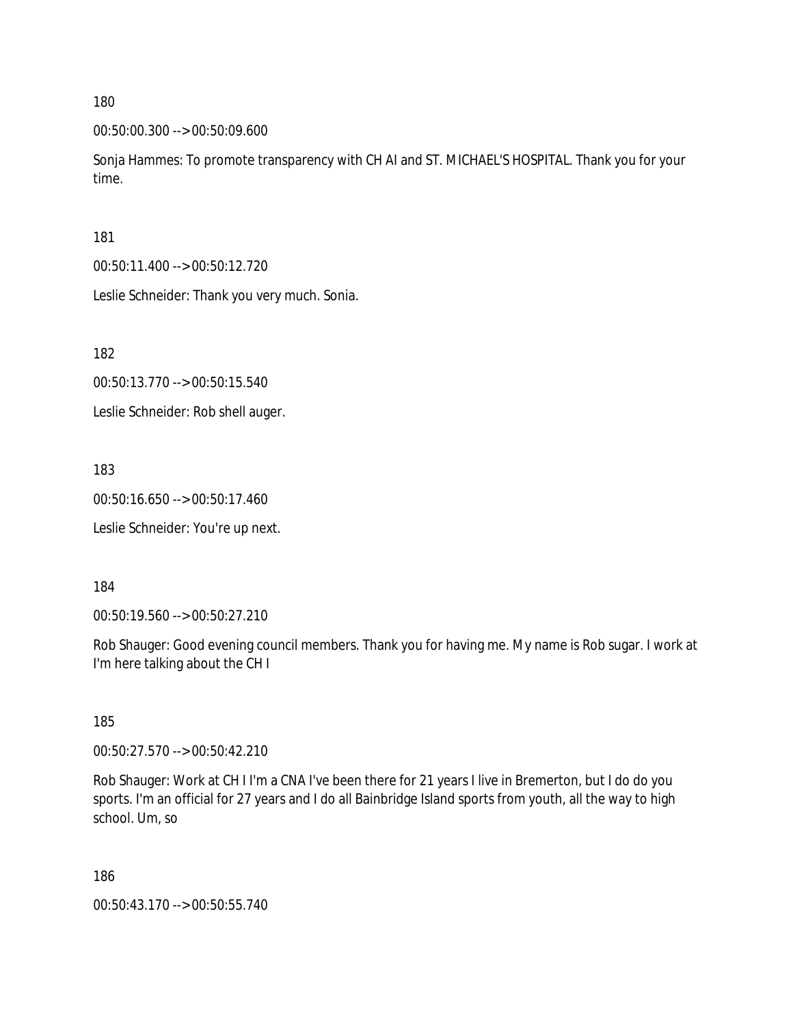00:50:00.300 --> 00:50:09.600

Sonja Hammes: To promote transparency with CH AI and ST. MICHAEL'S HOSPITAL. Thank you for your time.

181

00:50:11.400 --> 00:50:12.720

Leslie Schneider: Thank you very much. Sonia.

182

00:50:13.770 --> 00:50:15.540

Leslie Schneider: Rob shell auger.

183

00:50:16.650 --> 00:50:17.460

Leslie Schneider: You're up next.

184

00:50:19.560 --> 00:50:27.210

Rob Shauger: Good evening council members. Thank you for having me. My name is Rob sugar. I work at I'm here talking about the CH I

185

00:50:27.570 --> 00:50:42.210

Rob Shauger: Work at CH I I'm a CNA I've been there for 21 years I live in Bremerton, but I do do you sports. I'm an official for 27 years and I do all Bainbridge Island sports from youth, all the way to high school. Um, so

186

00:50:43.170 --> 00:50:55.740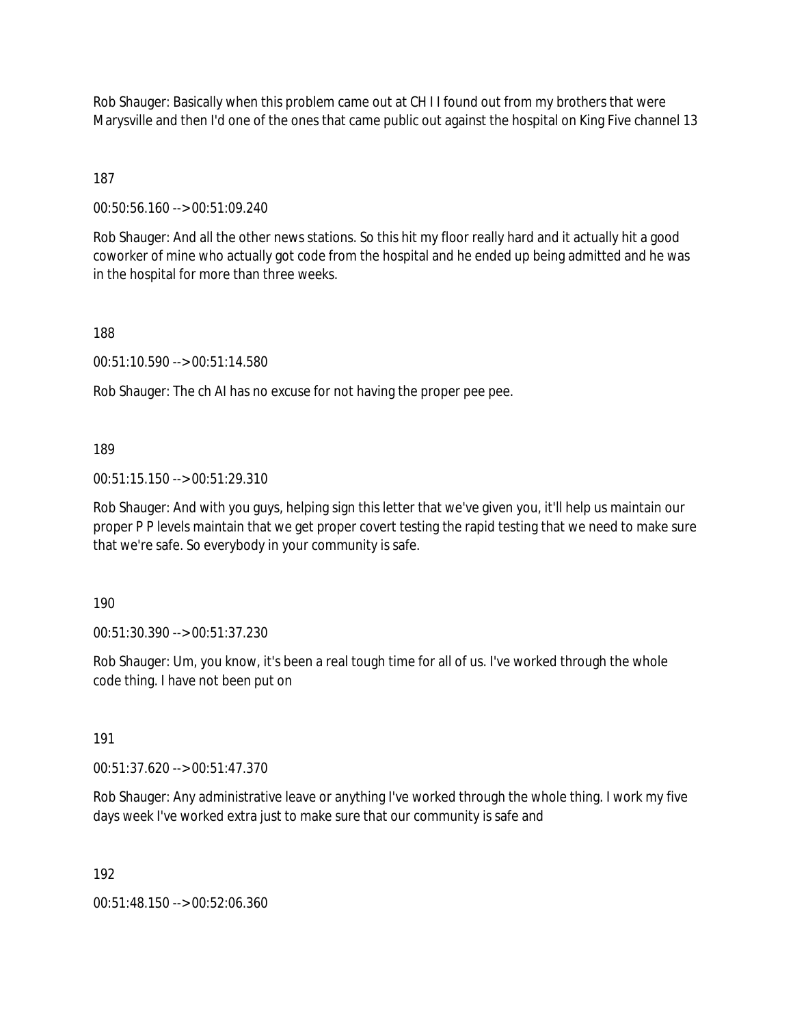Rob Shauger: Basically when this problem came out at CH I I found out from my brothers that were Marysville and then I'd one of the ones that came public out against the hospital on King Five channel 13

187

00:50:56.160 --> 00:51:09.240

Rob Shauger: And all the other news stations. So this hit my floor really hard and it actually hit a good coworker of mine who actually got code from the hospital and he ended up being admitted and he was in the hospital for more than three weeks.

188

00:51:10.590 --> 00:51:14.580

Rob Shauger: The ch AI has no excuse for not having the proper pee pee.

189

00:51:15.150 --> 00:51:29.310

Rob Shauger: And with you guys, helping sign this letter that we've given you, it'll help us maintain our proper P P levels maintain that we get proper covert testing the rapid testing that we need to make sure that we're safe. So everybody in your community is safe.

190

00:51:30.390 --> 00:51:37.230

Rob Shauger: Um, you know, it's been a real tough time for all of us. I've worked through the whole code thing. I have not been put on

191

00:51:37.620 --> 00:51:47.370

Rob Shauger: Any administrative leave or anything I've worked through the whole thing. I work my five days week I've worked extra just to make sure that our community is safe and

192

00:51:48.150 --> 00:52:06.360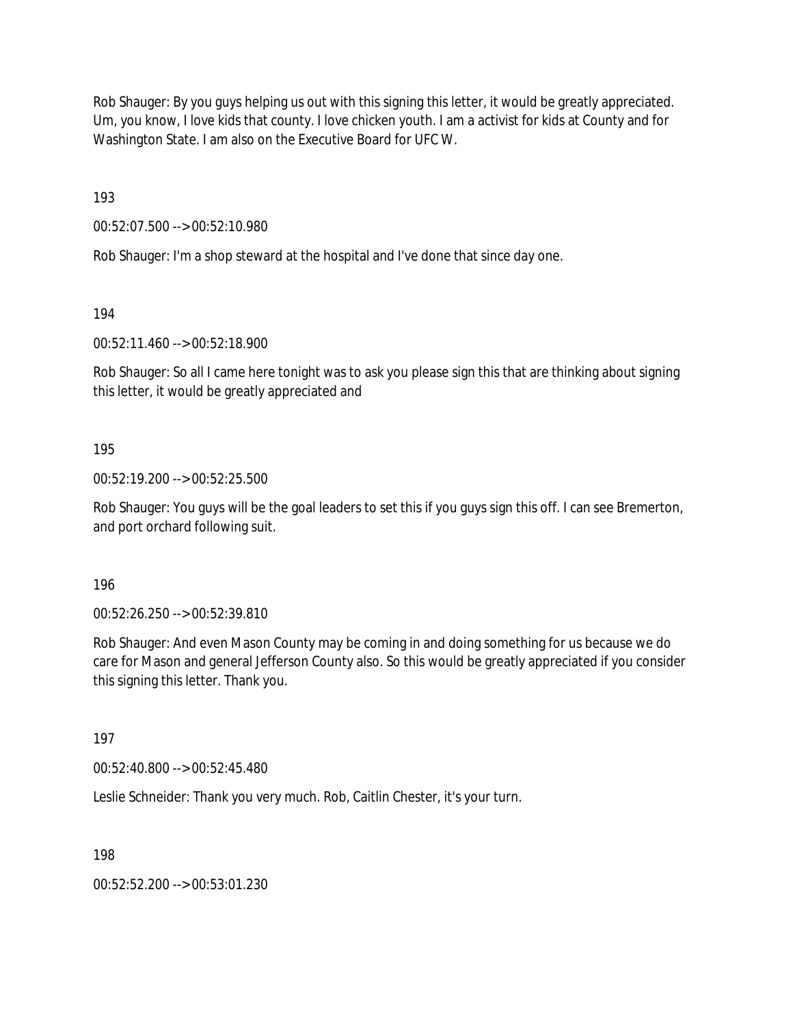Rob Shauger: By you guys helping us out with this signing this letter, it would be greatly appreciated. Um, you know, I love kids that county. I love chicken youth. I am a activist for kids at County and for Washington State. I am also on the Executive Board for UFC W.

193

00:52:07.500 --> 00:52:10.980

Rob Shauger: I'm a shop steward at the hospital and I've done that since day one.

194

00:52:11.460 --> 00:52:18.900

Rob Shauger: So all I came here tonight was to ask you please sign this that are thinking about signing this letter, it would be greatly appreciated and

### 195

00:52:19.200 --> 00:52:25.500

Rob Shauger: You guys will be the goal leaders to set this if you guys sign this off. I can see Bremerton, and port orchard following suit.

196

00:52:26.250 --> 00:52:39.810

Rob Shauger: And even Mason County may be coming in and doing something for us because we do care for Mason and general Jefferson County also. So this would be greatly appreciated if you consider this signing this letter. Thank you.

197

00:52:40.800 --> 00:52:45.480

Leslie Schneider: Thank you very much. Rob, Caitlin Chester, it's your turn.

198

00:52:52.200 --> 00:53:01.230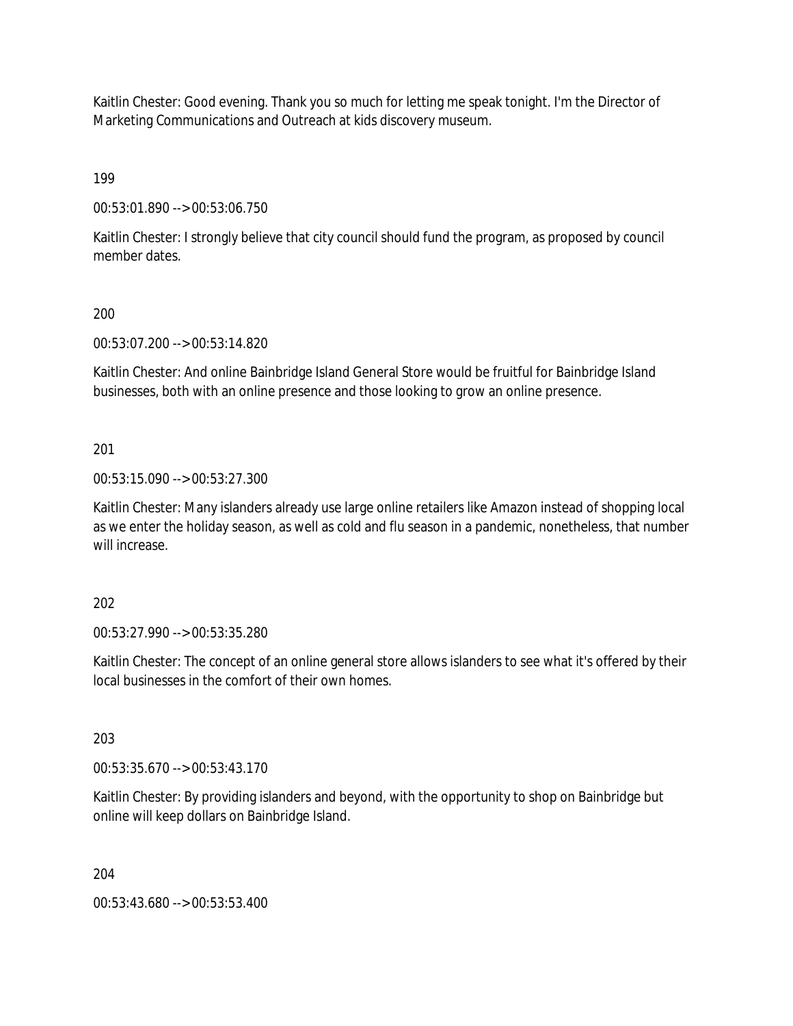Kaitlin Chester: Good evening. Thank you so much for letting me speak tonight. I'm the Director of Marketing Communications and Outreach at kids discovery museum.

199

00:53:01.890 --> 00:53:06.750

Kaitlin Chester: I strongly believe that city council should fund the program, as proposed by council member dates.

# 200

00:53:07.200 --> 00:53:14.820

Kaitlin Chester: And online Bainbridge Island General Store would be fruitful for Bainbridge Island businesses, both with an online presence and those looking to grow an online presence.

# 201

00:53:15.090 --> 00:53:27.300

Kaitlin Chester: Many islanders already use large online retailers like Amazon instead of shopping local as we enter the holiday season, as well as cold and flu season in a pandemic, nonetheless, that number will increase.

### 202

00:53:27.990 --> 00:53:35.280

Kaitlin Chester: The concept of an online general store allows islanders to see what it's offered by their local businesses in the comfort of their own homes.

# 203

00:53:35.670 --> 00:53:43.170

Kaitlin Chester: By providing islanders and beyond, with the opportunity to shop on Bainbridge but online will keep dollars on Bainbridge Island.

204

00:53:43.680 --> 00:53:53.400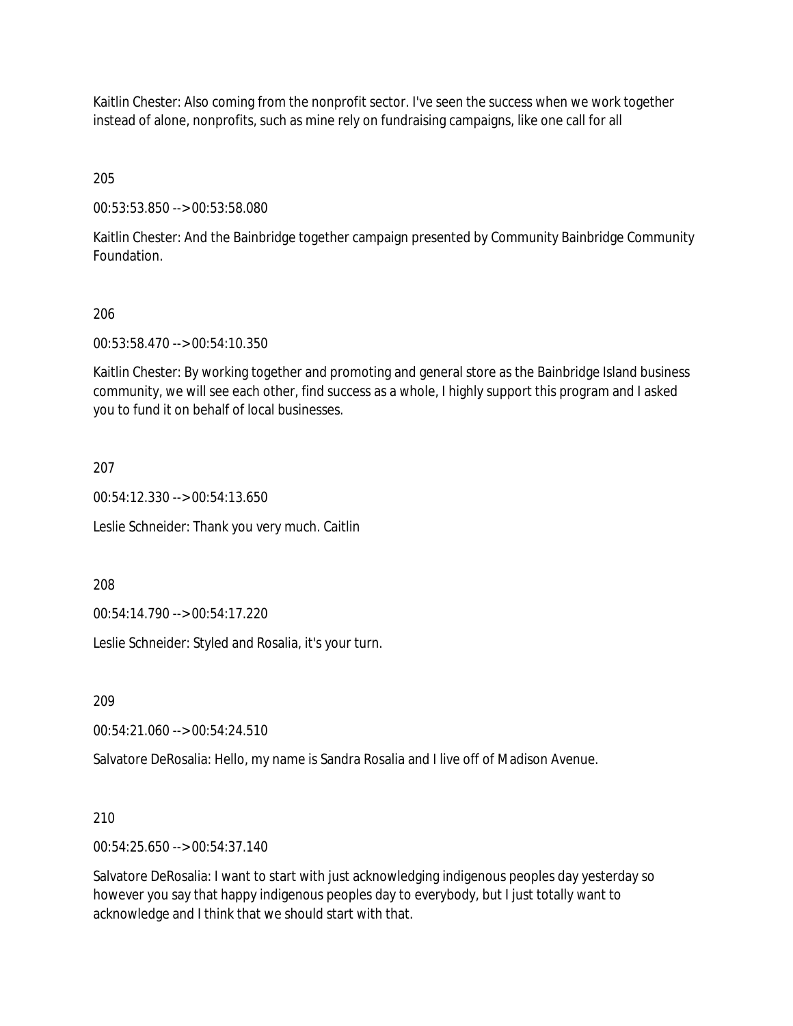Kaitlin Chester: Also coming from the nonprofit sector. I've seen the success when we work together instead of alone, nonprofits, such as mine rely on fundraising campaigns, like one call for all

205

00:53:53.850 --> 00:53:58.080

Kaitlin Chester: And the Bainbridge together campaign presented by Community Bainbridge Community Foundation.

## 206

00:53:58.470 --> 00:54:10.350

Kaitlin Chester: By working together and promoting and general store as the Bainbridge Island business community, we will see each other, find success as a whole, I highly support this program and I asked you to fund it on behalf of local businesses.

## 207

00:54:12.330 --> 00:54:13.650

Leslie Schneider: Thank you very much. Caitlin

208

00:54:14.790 --> 00:54:17.220

Leslie Schneider: Styled and Rosalia, it's your turn.

209

00:54:21.060 --> 00:54:24.510

Salvatore DeRosalia: Hello, my name is Sandra Rosalia and I live off of Madison Avenue.

### 210

00:54:25.650 --> 00:54:37.140

Salvatore DeRosalia: I want to start with just acknowledging indigenous peoples day yesterday so however you say that happy indigenous peoples day to everybody, but I just totally want to acknowledge and I think that we should start with that.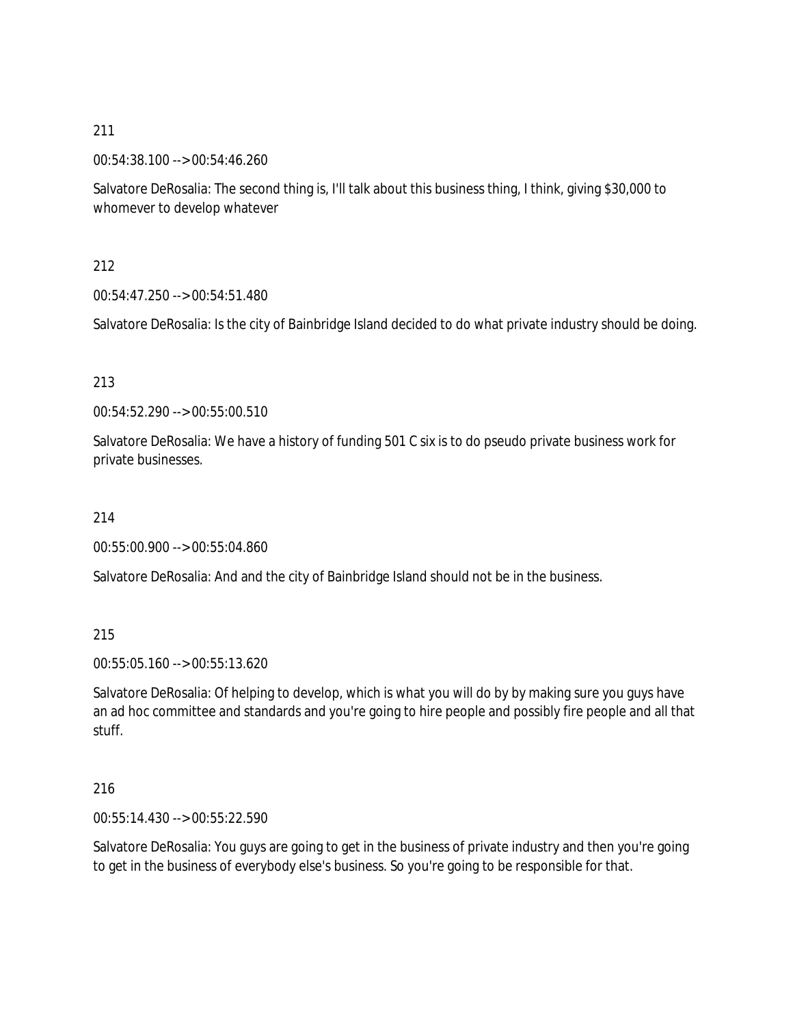00:54:38.100 --> 00:54:46.260

Salvatore DeRosalia: The second thing is, I'll talk about this business thing, I think, giving \$30,000 to whomever to develop whatever

212

00:54:47.250 --> 00:54:51.480

Salvatore DeRosalia: Is the city of Bainbridge Island decided to do what private industry should be doing.

### 213

00:54:52.290 --> 00:55:00.510

Salvatore DeRosalia: We have a history of funding 501 C six is to do pseudo private business work for private businesses.

214

00:55:00.900 --> 00:55:04.860

Salvatore DeRosalia: And and the city of Bainbridge Island should not be in the business.

215

00:55:05.160 --> 00:55:13.620

Salvatore DeRosalia: Of helping to develop, which is what you will do by by making sure you guys have an ad hoc committee and standards and you're going to hire people and possibly fire people and all that stuff.

### 216

00:55:14.430 --> 00:55:22.590

Salvatore DeRosalia: You guys are going to get in the business of private industry and then you're going to get in the business of everybody else's business. So you're going to be responsible for that.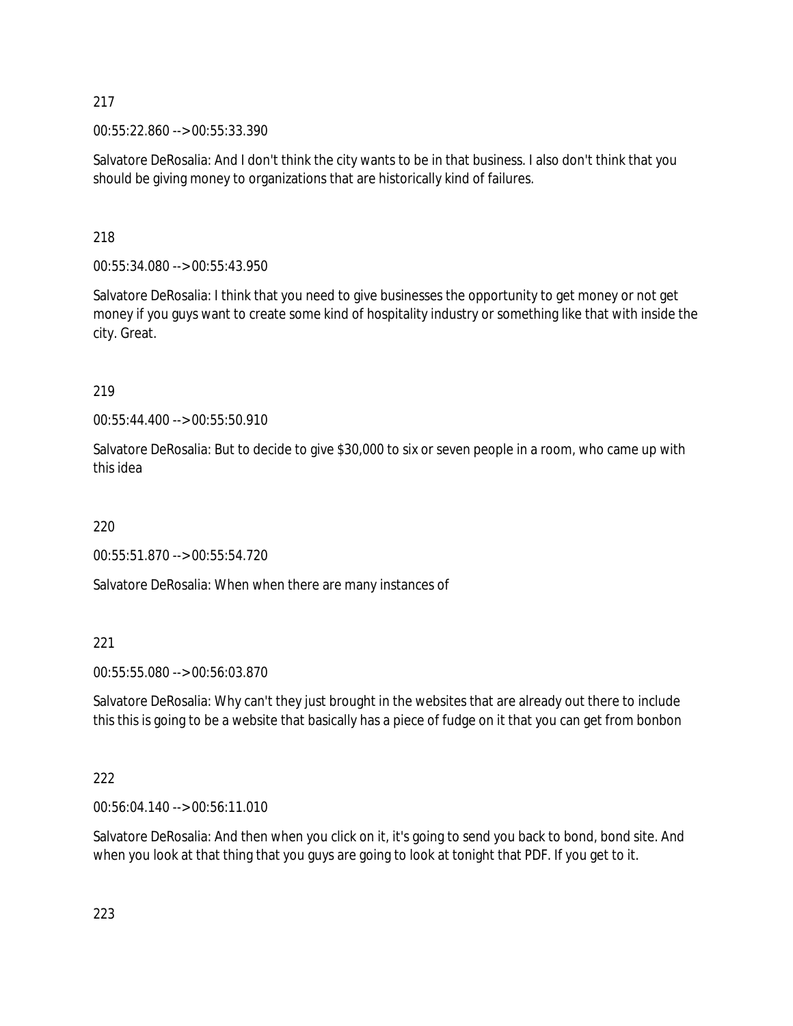00:55:22.860 --> 00:55:33.390

Salvatore DeRosalia: And I don't think the city wants to be in that business. I also don't think that you should be giving money to organizations that are historically kind of failures.

# 218

00:55:34.080 --> 00:55:43.950

Salvatore DeRosalia: I think that you need to give businesses the opportunity to get money or not get money if you guys want to create some kind of hospitality industry or something like that with inside the city. Great.

# 219

00:55:44.400 --> 00:55:50.910

Salvatore DeRosalia: But to decide to give \$30,000 to six or seven people in a room, who came up with this idea

# 220

00:55:51.870 --> 00:55:54.720

Salvatore DeRosalia: When when there are many instances of

# 221

00:55:55.080 --> 00:56:03.870

Salvatore DeRosalia: Why can't they just brought in the websites that are already out there to include this this is going to be a website that basically has a piece of fudge on it that you can get from bonbon

# 222

00:56:04.140 --> 00:56:11.010

Salvatore DeRosalia: And then when you click on it, it's going to send you back to bond, bond site. And when you look at that thing that you guys are going to look at tonight that PDF. If you get to it.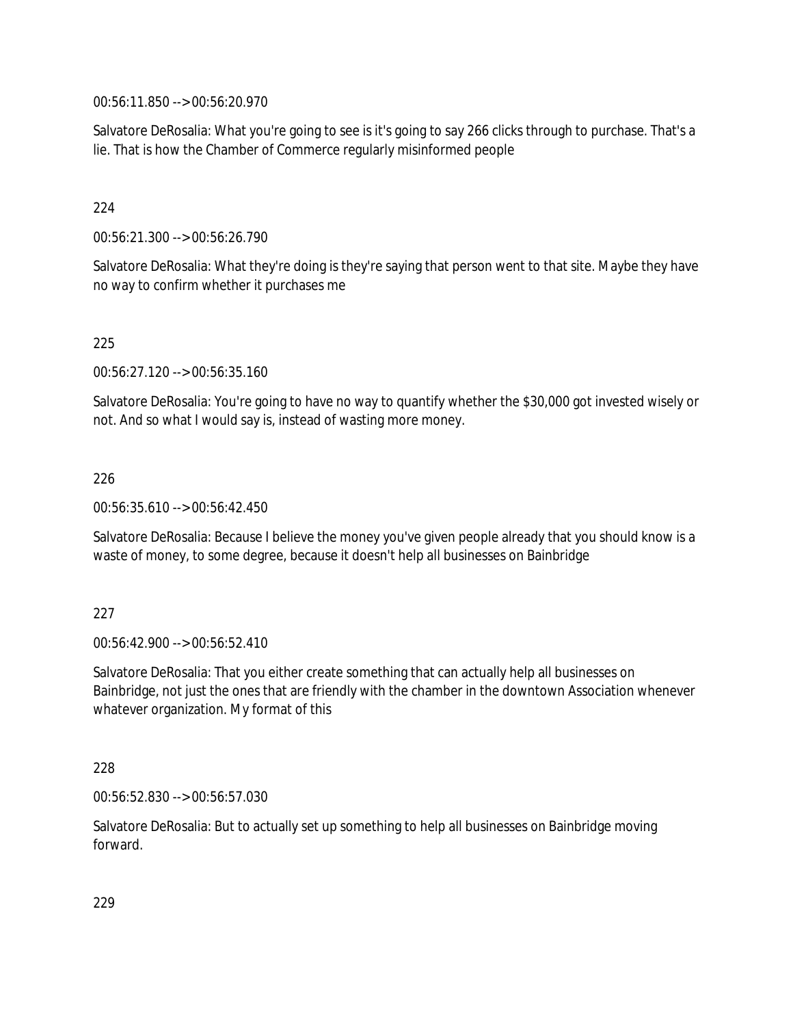00:56:11.850 --> 00:56:20.970

Salvatore DeRosalia: What you're going to see is it's going to say 266 clicks through to purchase. That's a lie. That is how the Chamber of Commerce regularly misinformed people

### 224

00:56:21.300 --> 00:56:26.790

Salvatore DeRosalia: What they're doing is they're saying that person went to that site. Maybe they have no way to confirm whether it purchases me

### 225

00:56:27.120 --> 00:56:35.160

Salvatore DeRosalia: You're going to have no way to quantify whether the \$30,000 got invested wisely or not. And so what I would say is, instead of wasting more money.

### 226

00:56:35.610 --> 00:56:42.450

Salvatore DeRosalia: Because I believe the money you've given people already that you should know is a waste of money, to some degree, because it doesn't help all businesses on Bainbridge

### 227

00:56:42.900 --> 00:56:52.410

Salvatore DeRosalia: That you either create something that can actually help all businesses on Bainbridge, not just the ones that are friendly with the chamber in the downtown Association whenever whatever organization. My format of this

### 228

00:56:52.830 --> 00:56:57.030

Salvatore DeRosalia: But to actually set up something to help all businesses on Bainbridge moving forward.

229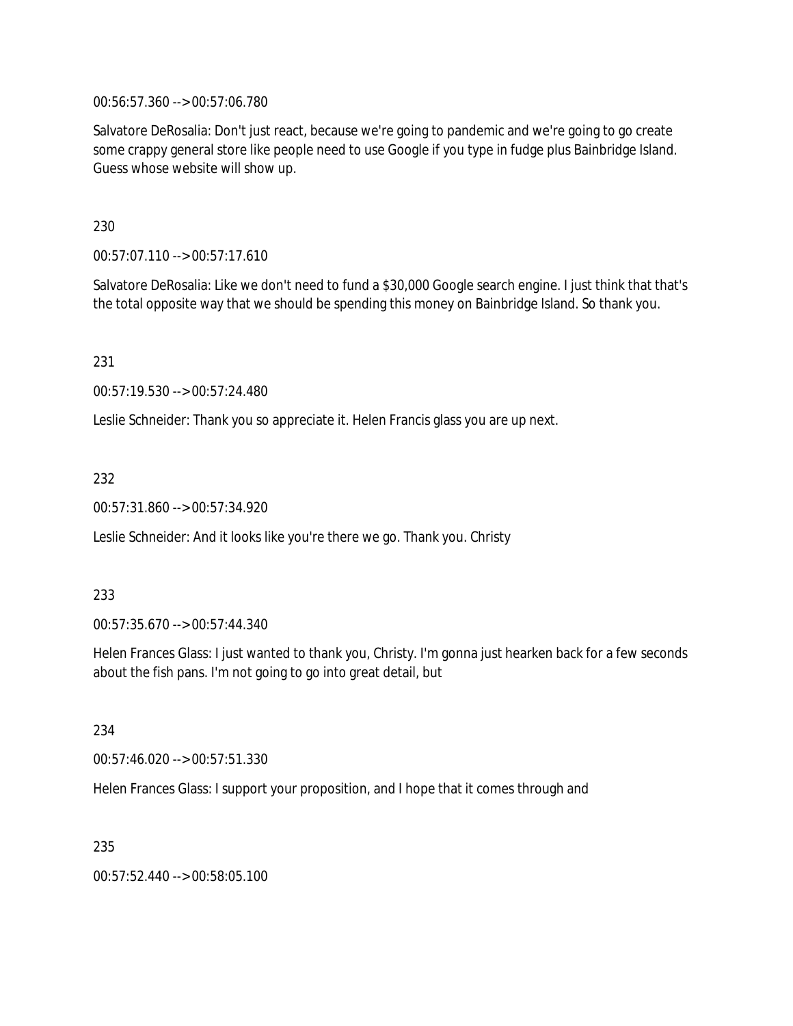00:56:57.360 --> 00:57:06.780

Salvatore DeRosalia: Don't just react, because we're going to pandemic and we're going to go create some crappy general store like people need to use Google if you type in fudge plus Bainbridge Island. Guess whose website will show up.

230

00:57:07.110 --> 00:57:17.610

Salvatore DeRosalia: Like we don't need to fund a \$30,000 Google search engine. I just think that that's the total opposite way that we should be spending this money on Bainbridge Island. So thank you.

231

00:57:19.530 --> 00:57:24.480

Leslie Schneider: Thank you so appreciate it. Helen Francis glass you are up next.

232

00:57:31.860 --> 00:57:34.920

Leslie Schneider: And it looks like you're there we go. Thank you. Christy

233

00:57:35.670 --> 00:57:44.340

Helen Frances Glass: I just wanted to thank you, Christy. I'm gonna just hearken back for a few seconds about the fish pans. I'm not going to go into great detail, but

234

00:57:46.020 --> 00:57:51.330

Helen Frances Glass: I support your proposition, and I hope that it comes through and

235

00:57:52.440 --> 00:58:05.100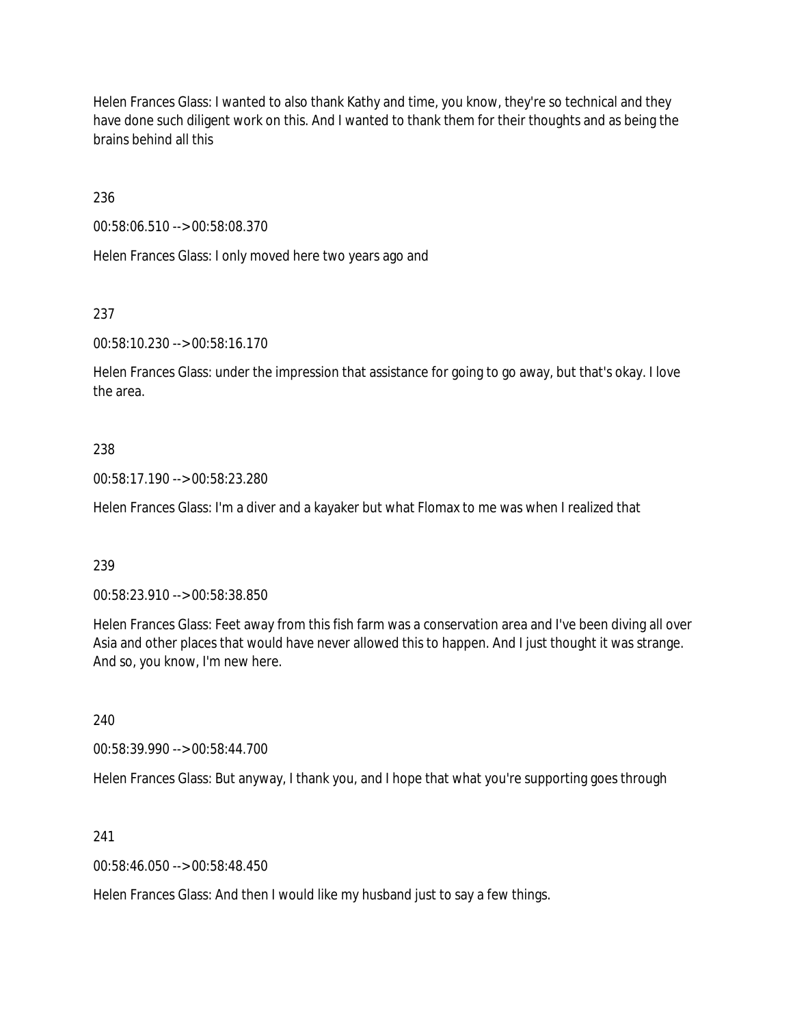Helen Frances Glass: I wanted to also thank Kathy and time, you know, they're so technical and they have done such diligent work on this. And I wanted to thank them for their thoughts and as being the brains behind all this

236

00:58:06.510 --> 00:58:08.370

Helen Frances Glass: I only moved here two years ago and

237

00:58:10.230 --> 00:58:16.170

Helen Frances Glass: under the impression that assistance for going to go away, but that's okay. I love the area.

### 238

00:58:17.190 --> 00:58:23.280

Helen Frances Glass: I'm a diver and a kayaker but what Flomax to me was when I realized that

### 239

00:58:23.910 --> 00:58:38.850

Helen Frances Glass: Feet away from this fish farm was a conservation area and I've been diving all over Asia and other places that would have never allowed this to happen. And I just thought it was strange. And so, you know, I'm new here.

240

00:58:39.990 --> 00:58:44.700

Helen Frances Glass: But anyway, I thank you, and I hope that what you're supporting goes through

### 241

00:58:46.050 --> 00:58:48.450

Helen Frances Glass: And then I would like my husband just to say a few things.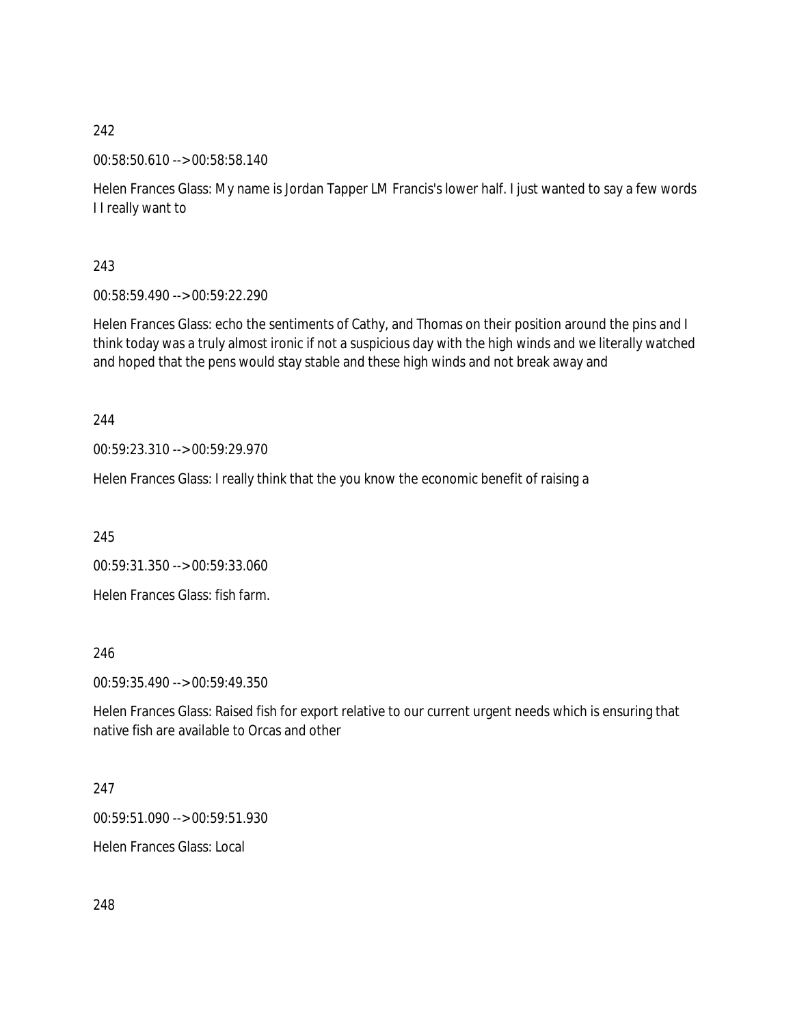00:58:50.610 --> 00:58:58.140

Helen Frances Glass: My name is Jordan Tapper LM Francis's lower half. I just wanted to say a few words I I really want to

243

00:58:59.490 --> 00:59:22.290

Helen Frances Glass: echo the sentiments of Cathy, and Thomas on their position around the pins and I think today was a truly almost ironic if not a suspicious day with the high winds and we literally watched and hoped that the pens would stay stable and these high winds and not break away and

244

00:59:23.310 --> 00:59:29.970

Helen Frances Glass: I really think that the you know the economic benefit of raising a

245

00:59:31.350 --> 00:59:33.060 Helen Frances Glass: fish farm.

246

00:59:35.490 --> 00:59:49.350

Helen Frances Glass: Raised fish for export relative to our current urgent needs which is ensuring that native fish are available to Orcas and other

247

00:59:51.090 --> 00:59:51.930

Helen Frances Glass: Local

248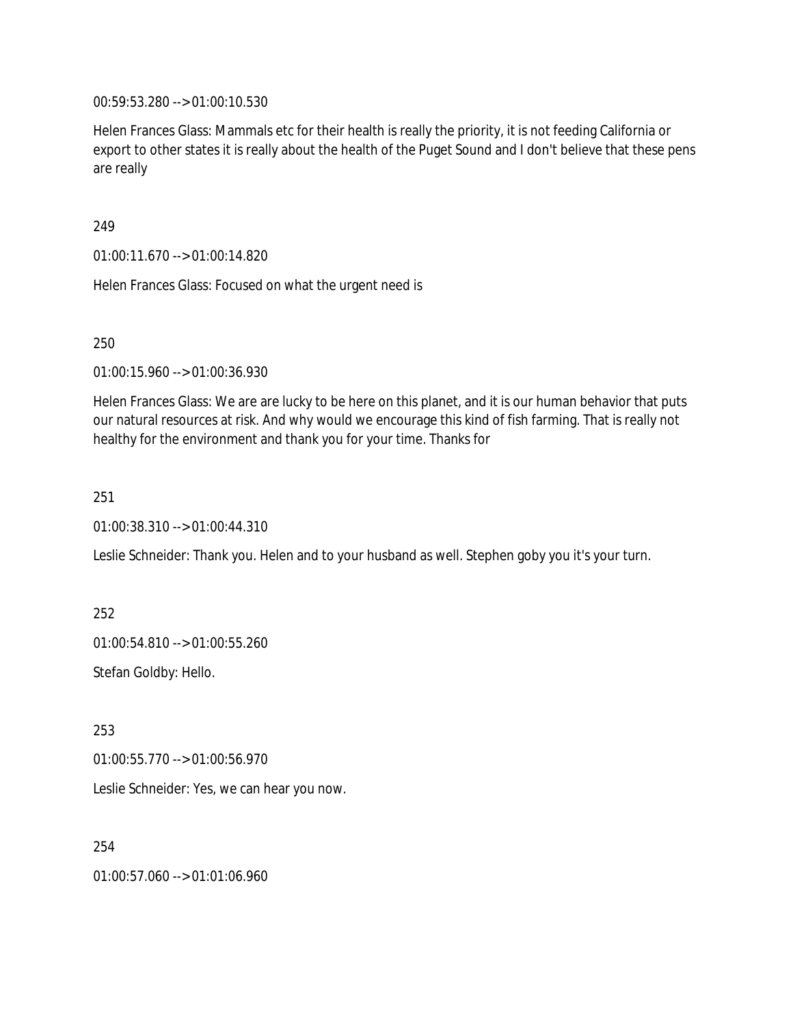00:59:53.280 --> 01:00:10.530

Helen Frances Glass: Mammals etc for their health is really the priority, it is not feeding California or export to other states it is really about the health of the Puget Sound and I don't believe that these pens are really

249

01:00:11.670 --> 01:00:14.820

Helen Frances Glass: Focused on what the urgent need is

250

01:00:15.960 --> 01:00:36.930

Helen Frances Glass: We are are lucky to be here on this planet, and it is our human behavior that puts our natural resources at risk. And why would we encourage this kind of fish farming. That is really not healthy for the environment and thank you for your time. Thanks for

251

01:00:38.310 --> 01:00:44.310

Leslie Schneider: Thank you. Helen and to your husband as well. Stephen goby you it's your turn.

252

01:00:54.810 --> 01:00:55.260

Stefan Goldby: Hello.

253

01:00:55.770 --> 01:00:56.970

Leslie Schneider: Yes, we can hear you now.

254

01:00:57.060 --> 01:01:06.960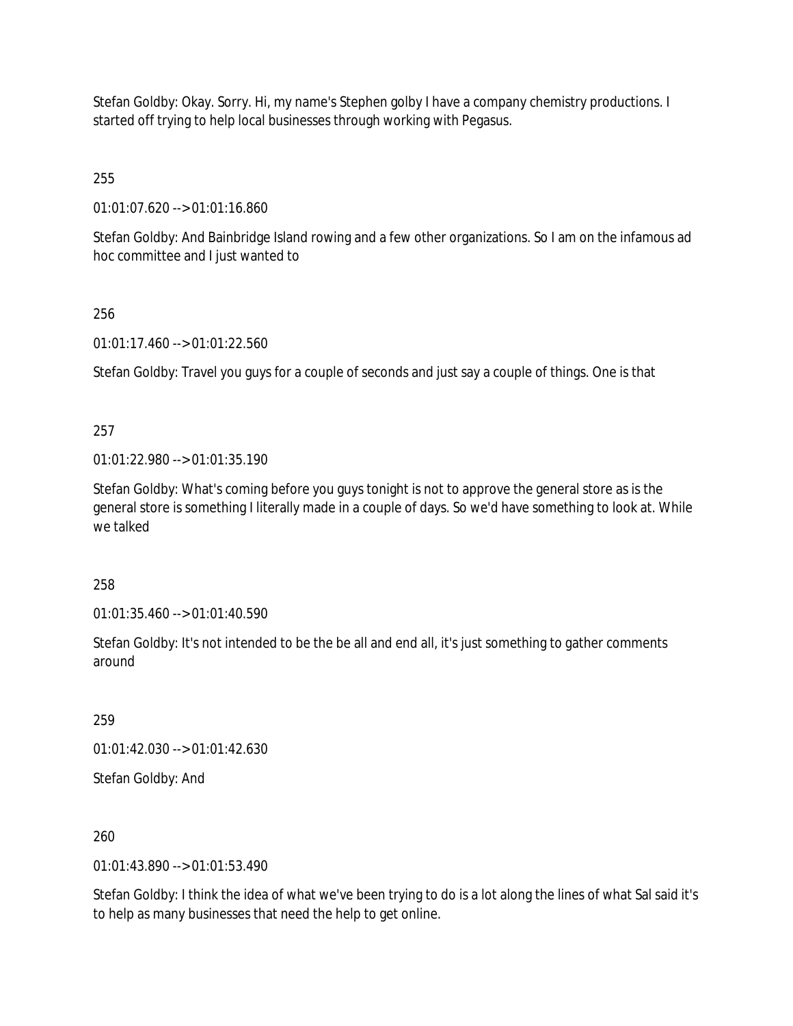Stefan Goldby: Okay. Sorry. Hi, my name's Stephen golby I have a company chemistry productions. I started off trying to help local businesses through working with Pegasus.

255

01:01:07.620 --> 01:01:16.860

Stefan Goldby: And Bainbridge Island rowing and a few other organizations. So I am on the infamous ad hoc committee and I just wanted to

## 256

01:01:17.460 --> 01:01:22.560

Stefan Goldby: Travel you guys for a couple of seconds and just say a couple of things. One is that

# 257

01:01:22.980 --> 01:01:35.190

Stefan Goldby: What's coming before you guys tonight is not to approve the general store as is the general store is something I literally made in a couple of days. So we'd have something to look at. While we talked

258

01:01:35.460 --> 01:01:40.590

Stefan Goldby: It's not intended to be the be all and end all, it's just something to gather comments around

259

01:01:42.030 --> 01:01:42.630

Stefan Goldby: And

260

01:01:43.890 --> 01:01:53.490

Stefan Goldby: I think the idea of what we've been trying to do is a lot along the lines of what Sal said it's to help as many businesses that need the help to get online.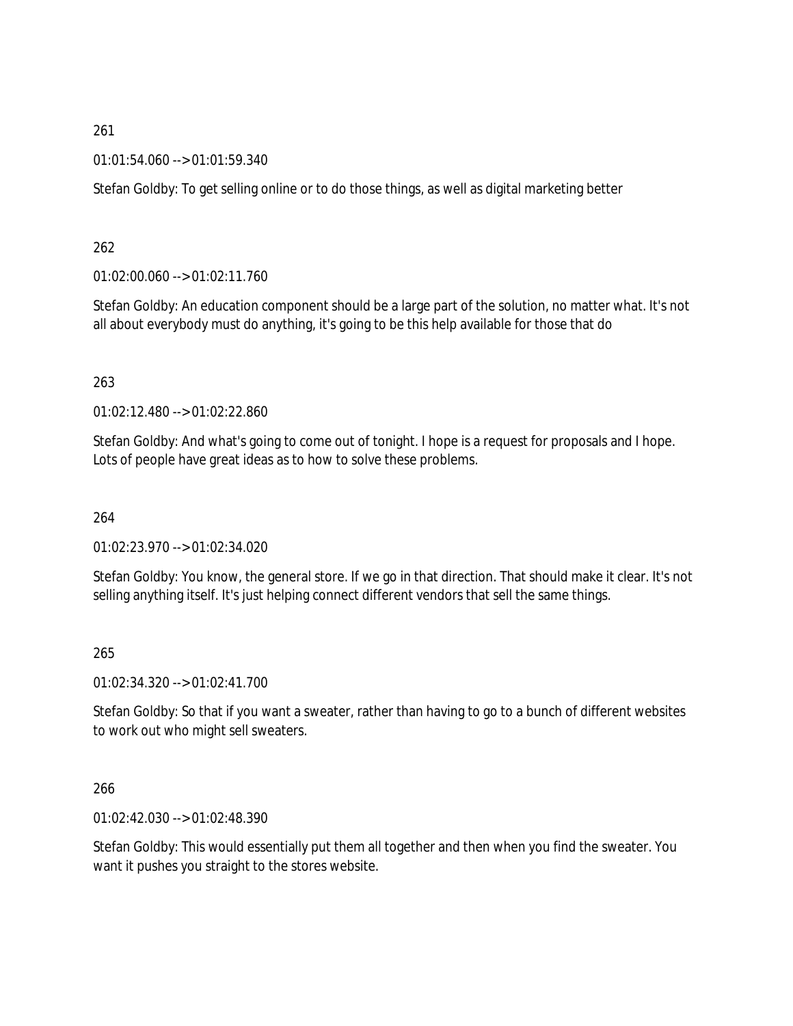01:01:54.060 --> 01:01:59.340

Stefan Goldby: To get selling online or to do those things, as well as digital marketing better

262

01:02:00.060 --> 01:02:11.760

Stefan Goldby: An education component should be a large part of the solution, no matter what. It's not all about everybody must do anything, it's going to be this help available for those that do

263

01:02:12.480 --> 01:02:22.860

Stefan Goldby: And what's going to come out of tonight. I hope is a request for proposals and I hope. Lots of people have great ideas as to how to solve these problems.

264

01:02:23.970 --> 01:02:34.020

Stefan Goldby: You know, the general store. If we go in that direction. That should make it clear. It's not selling anything itself. It's just helping connect different vendors that sell the same things.

265

01:02:34.320 --> 01:02:41.700

Stefan Goldby: So that if you want a sweater, rather than having to go to a bunch of different websites to work out who might sell sweaters.

266

01:02:42.030 --> 01:02:48.390

Stefan Goldby: This would essentially put them all together and then when you find the sweater. You want it pushes you straight to the stores website.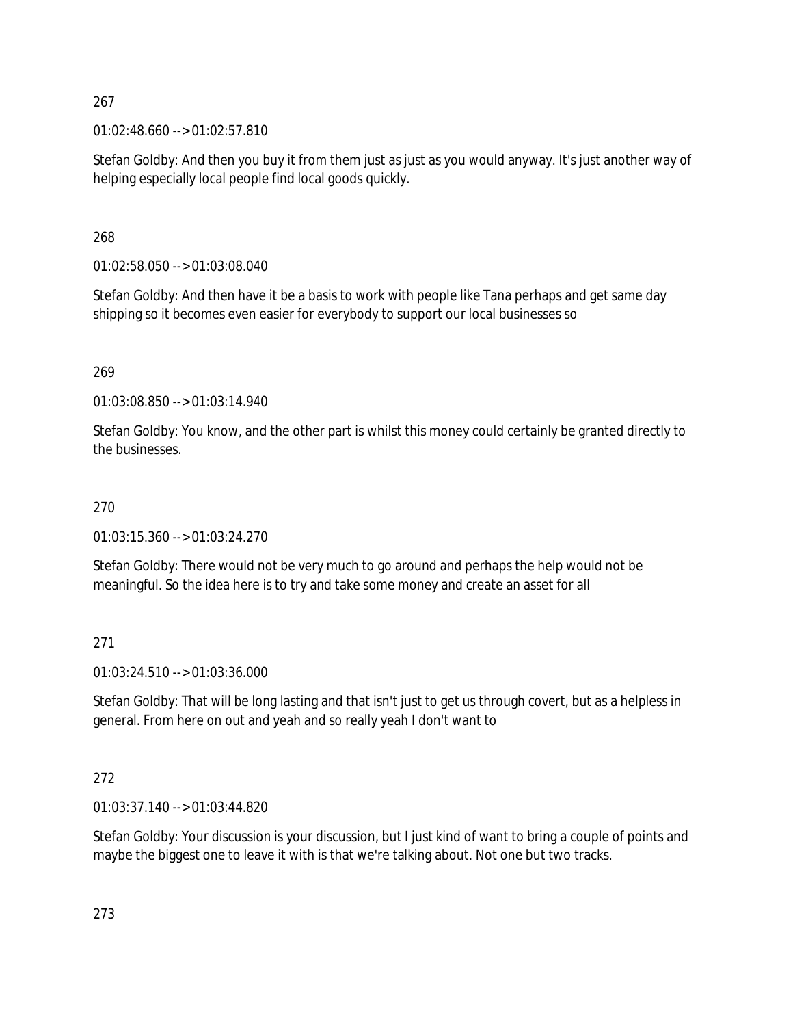01:02:48.660 --> 01:02:57.810

Stefan Goldby: And then you buy it from them just as just as you would anyway. It's just another way of helping especially local people find local goods quickly.

268

01:02:58.050 --> 01:03:08.040

Stefan Goldby: And then have it be a basis to work with people like Tana perhaps and get same day shipping so it becomes even easier for everybody to support our local businesses so

269

01:03:08.850 --> 01:03:14.940

Stefan Goldby: You know, and the other part is whilst this money could certainly be granted directly to the businesses.

## 270

01:03:15.360 --> 01:03:24.270

Stefan Goldby: There would not be very much to go around and perhaps the help would not be meaningful. So the idea here is to try and take some money and create an asset for all

271

01:03:24.510 --> 01:03:36.000

Stefan Goldby: That will be long lasting and that isn't just to get us through covert, but as a helpless in general. From here on out and yeah and so really yeah I don't want to

272

01:03:37.140 --> 01:03:44.820

Stefan Goldby: Your discussion is your discussion, but I just kind of want to bring a couple of points and maybe the biggest one to leave it with is that we're talking about. Not one but two tracks.

273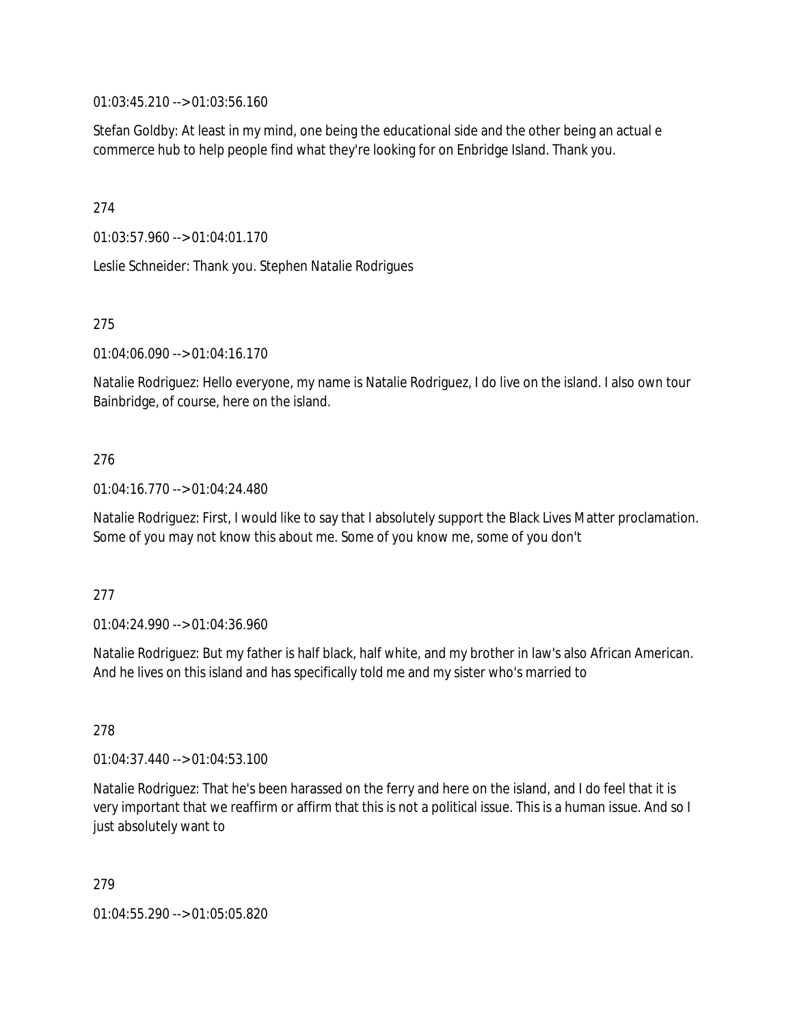01:03:45.210 --> 01:03:56.160

Stefan Goldby: At least in my mind, one being the educational side and the other being an actual e commerce hub to help people find what they're looking for on Enbridge Island. Thank you.

274

01:03:57.960 --> 01:04:01.170

Leslie Schneider: Thank you. Stephen Natalie Rodrigues

275

01:04:06.090 --> 01:04:16.170

Natalie Rodriguez: Hello everyone, my name is Natalie Rodriguez, I do live on the island. I also own tour Bainbridge, of course, here on the island.

## 276

01:04:16.770 --> 01:04:24.480

Natalie Rodriguez: First, I would like to say that I absolutely support the Black Lives Matter proclamation. Some of you may not know this about me. Some of you know me, some of you don't

### 277

01:04:24.990 --> 01:04:36.960

Natalie Rodriguez: But my father is half black, half white, and my brother in law's also African American. And he lives on this island and has specifically told me and my sister who's married to

278

01:04:37.440 --> 01:04:53.100

Natalie Rodriguez: That he's been harassed on the ferry and here on the island, and I do feel that it is very important that we reaffirm or affirm that this is not a political issue. This is a human issue. And so I just absolutely want to

279

01:04:55.290 --> 01:05:05.820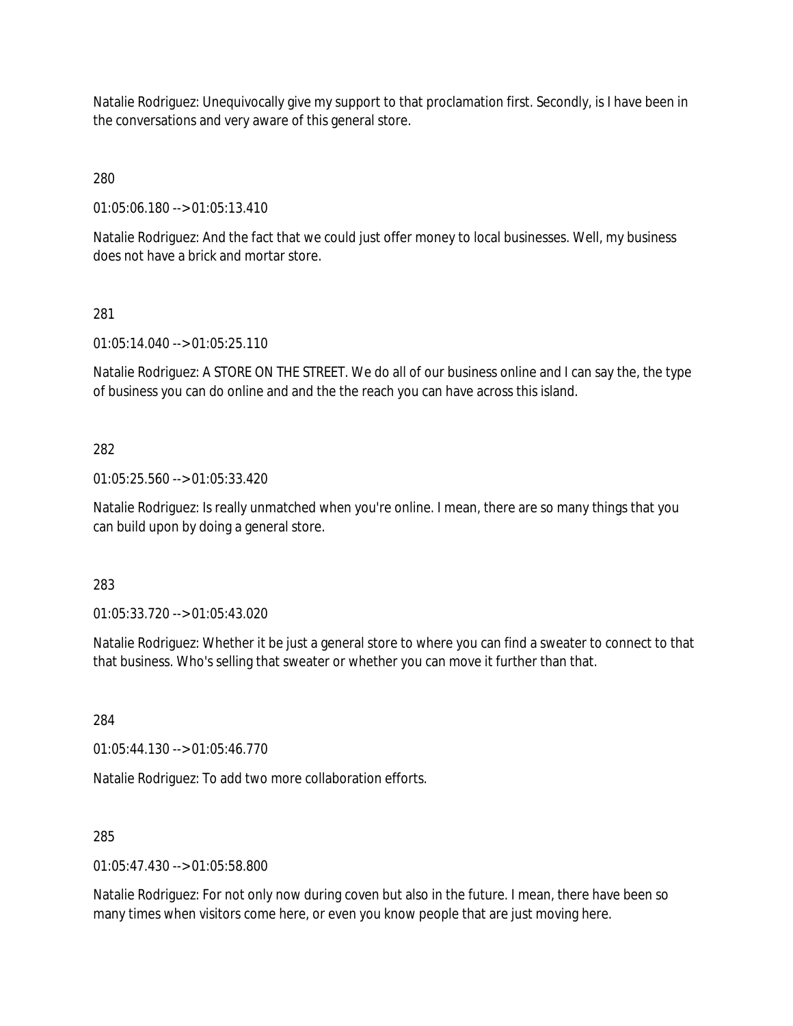Natalie Rodriguez: Unequivocally give my support to that proclamation first. Secondly, is I have been in the conversations and very aware of this general store.

280

01:05:06.180 --> 01:05:13.410

Natalie Rodriguez: And the fact that we could just offer money to local businesses. Well, my business does not have a brick and mortar store.

281

01:05:14.040 --> 01:05:25.110

Natalie Rodriguez: A STORE ON THE STREET. We do all of our business online and I can say the, the type of business you can do online and and the the reach you can have across this island.

282

01:05:25.560 --> 01:05:33.420

Natalie Rodriguez: Is really unmatched when you're online. I mean, there are so many things that you can build upon by doing a general store.

283

01:05:33.720 --> 01:05:43.020

Natalie Rodriguez: Whether it be just a general store to where you can find a sweater to connect to that that business. Who's selling that sweater or whether you can move it further than that.

284

01:05:44.130 --> 01:05:46.770

Natalie Rodriguez: To add two more collaboration efforts.

285

01:05:47.430 --> 01:05:58.800

Natalie Rodriguez: For not only now during coven but also in the future. I mean, there have been so many times when visitors come here, or even you know people that are just moving here.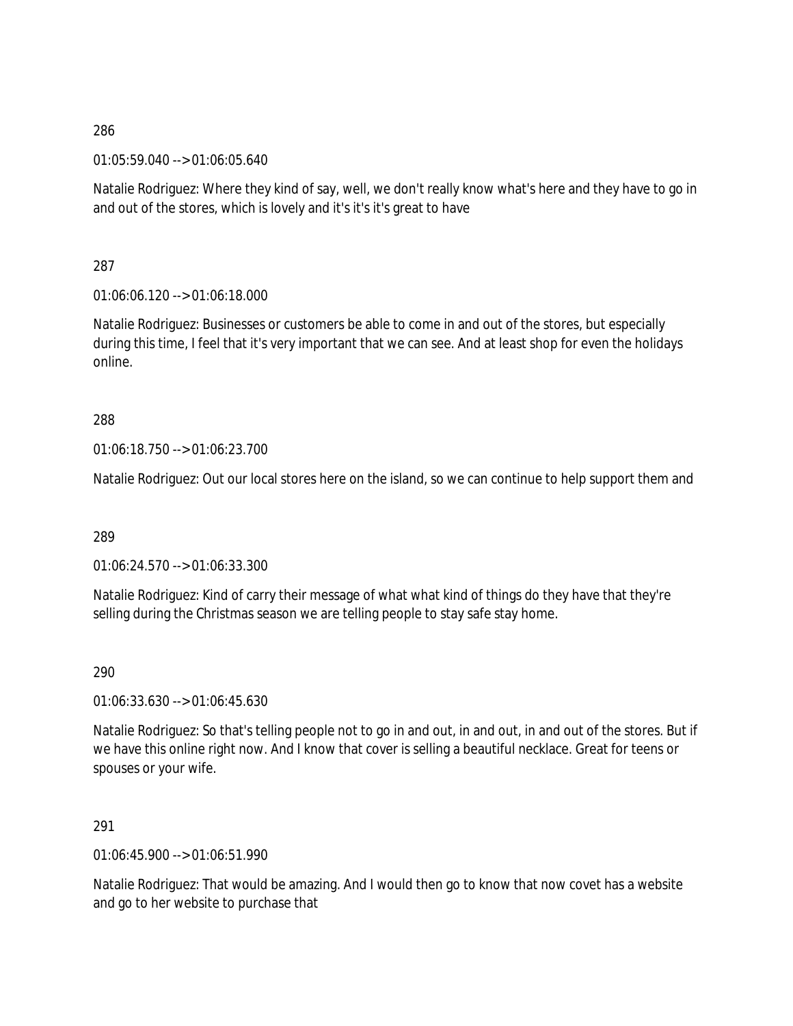01:05:59.040 --> 01:06:05.640

Natalie Rodriguez: Where they kind of say, well, we don't really know what's here and they have to go in and out of the stores, which is lovely and it's it's it's great to have

287

01:06:06.120 --> 01:06:18.000

Natalie Rodriguez: Businesses or customers be able to come in and out of the stores, but especially during this time, I feel that it's very important that we can see. And at least shop for even the holidays online.

# 288

01:06:18.750 --> 01:06:23.700

Natalie Rodriguez: Out our local stores here on the island, so we can continue to help support them and

289

01:06:24.570 --> 01:06:33.300

Natalie Rodriguez: Kind of carry their message of what what kind of things do they have that they're selling during the Christmas season we are telling people to stay safe stay home.

290

01:06:33.630 --> 01:06:45.630

Natalie Rodriguez: So that's telling people not to go in and out, in and out, in and out of the stores. But if we have this online right now. And I know that cover is selling a beautiful necklace. Great for teens or spouses or your wife.

## 291

01:06:45.900 --> 01:06:51.990

Natalie Rodriguez: That would be amazing. And I would then go to know that now covet has a website and go to her website to purchase that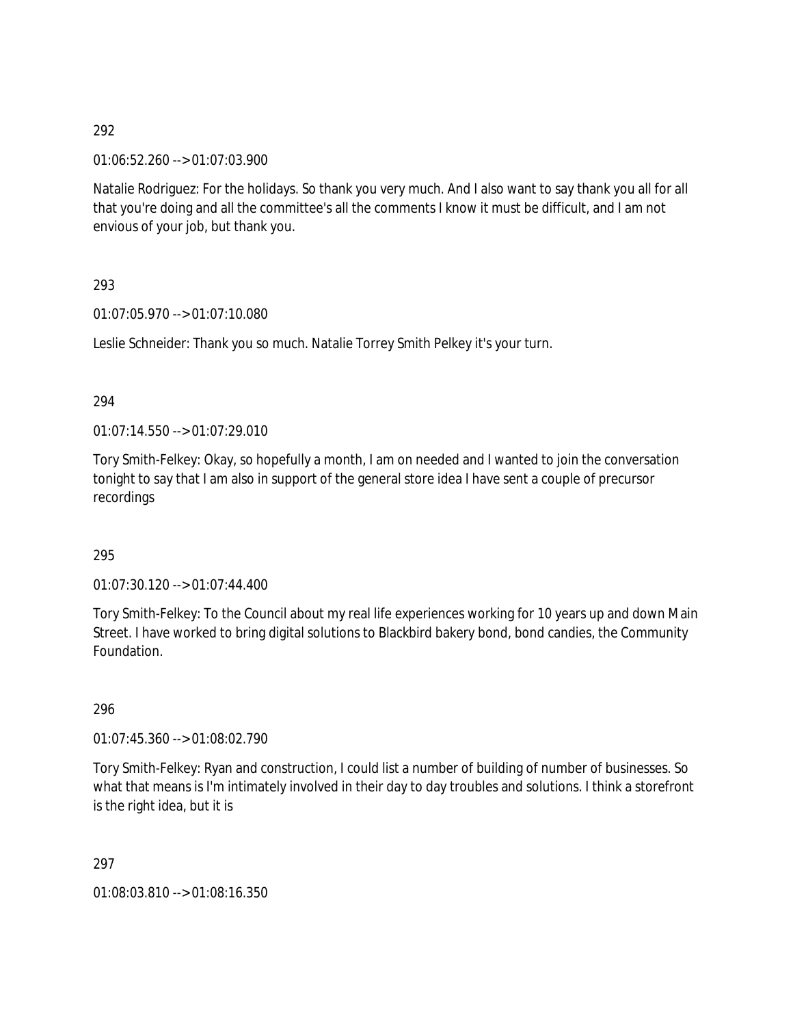01:06:52.260 --> 01:07:03.900

Natalie Rodriguez: For the holidays. So thank you very much. And I also want to say thank you all for all that you're doing and all the committee's all the comments I know it must be difficult, and I am not envious of your job, but thank you.

293

01:07:05.970 --> 01:07:10.080

Leslie Schneider: Thank you so much. Natalie Torrey Smith Pelkey it's your turn.

294

01:07:14.550 --> 01:07:29.010

Tory Smith-Felkey: Okay, so hopefully a month, I am on needed and I wanted to join the conversation tonight to say that I am also in support of the general store idea I have sent a couple of precursor recordings

### 295

01:07:30.120 --> 01:07:44.400

Tory Smith-Felkey: To the Council about my real life experiences working for 10 years up and down Main Street. I have worked to bring digital solutions to Blackbird bakery bond, bond candies, the Community Foundation.

296

01:07:45.360 --> 01:08:02.790

Tory Smith-Felkey: Ryan and construction, I could list a number of building of number of businesses. So what that means is I'm intimately involved in their day to day troubles and solutions. I think a storefront is the right idea, but it is

297

01:08:03.810 --> 01:08:16.350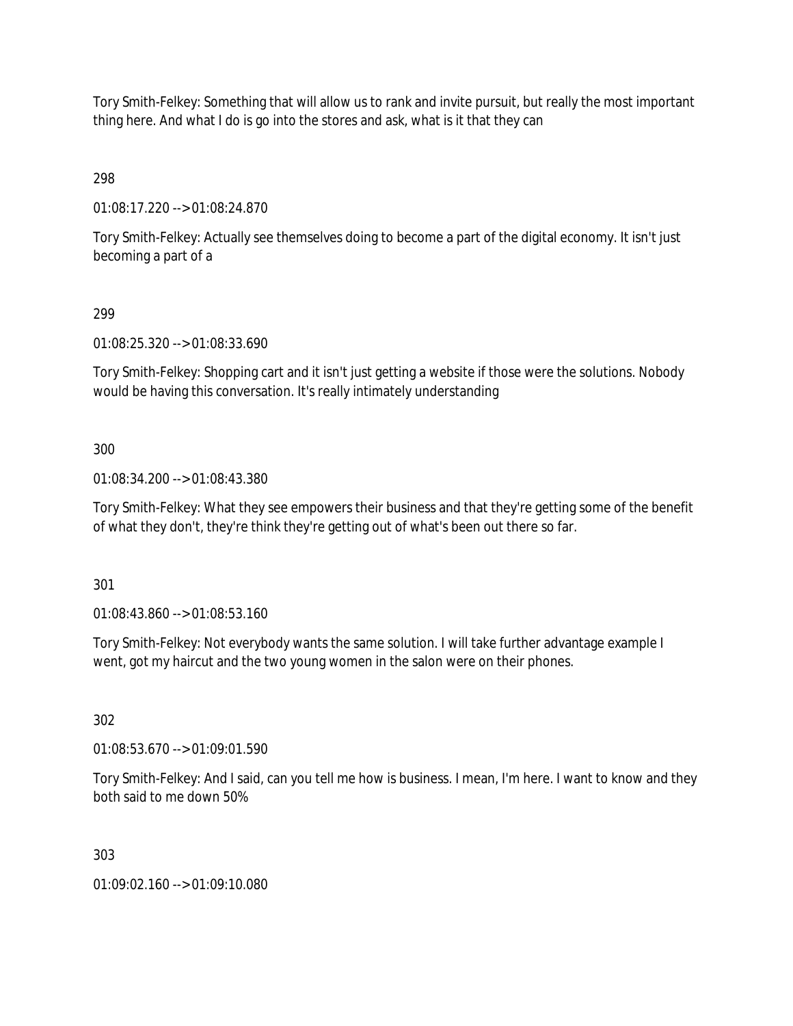Tory Smith-Felkey: Something that will allow us to rank and invite pursuit, but really the most important thing here. And what I do is go into the stores and ask, what is it that they can

298

01:08:17.220 --> 01:08:24.870

Tory Smith-Felkey: Actually see themselves doing to become a part of the digital economy. It isn't just becoming a part of a

# 299

01:08:25.320 --> 01:08:33.690

Tory Smith-Felkey: Shopping cart and it isn't just getting a website if those were the solutions. Nobody would be having this conversation. It's really intimately understanding

# 300

01:08:34.200 --> 01:08:43.380

Tory Smith-Felkey: What they see empowers their business and that they're getting some of the benefit of what they don't, they're think they're getting out of what's been out there so far.

301

01:08:43.860 --> 01:08:53.160

Tory Smith-Felkey: Not everybody wants the same solution. I will take further advantage example I went, got my haircut and the two young women in the salon were on their phones.

# 302

01:08:53.670 --> 01:09:01.590

Tory Smith-Felkey: And I said, can you tell me how is business. I mean, I'm here. I want to know and they both said to me down 50%

303

01:09:02.160 --> 01:09:10.080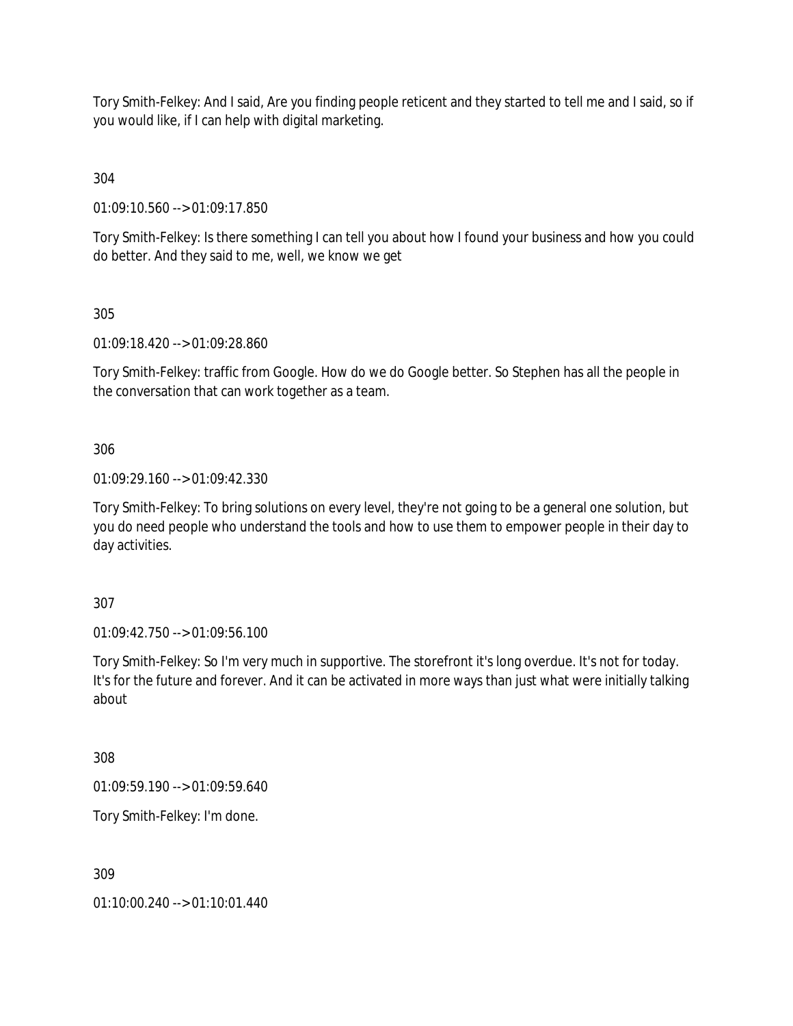Tory Smith-Felkey: And I said, Are you finding people reticent and they started to tell me and I said, so if you would like, if I can help with digital marketing.

304

01:09:10.560 --> 01:09:17.850

Tory Smith-Felkey: Is there something I can tell you about how I found your business and how you could do better. And they said to me, well, we know we get

305

01:09:18.420 --> 01:09:28.860

Tory Smith-Felkey: traffic from Google. How do we do Google better. So Stephen has all the people in the conversation that can work together as a team.

306

01:09:29.160 --> 01:09:42.330

Tory Smith-Felkey: To bring solutions on every level, they're not going to be a general one solution, but you do need people who understand the tools and how to use them to empower people in their day to day activities.

307

01:09:42.750 --> 01:09:56.100

Tory Smith-Felkey: So I'm very much in supportive. The storefront it's long overdue. It's not for today. It's for the future and forever. And it can be activated in more ways than just what were initially talking about

308

01:09:59.190 --> 01:09:59.640

Tory Smith-Felkey: I'm done.

309

01:10:00.240 --> 01:10:01.440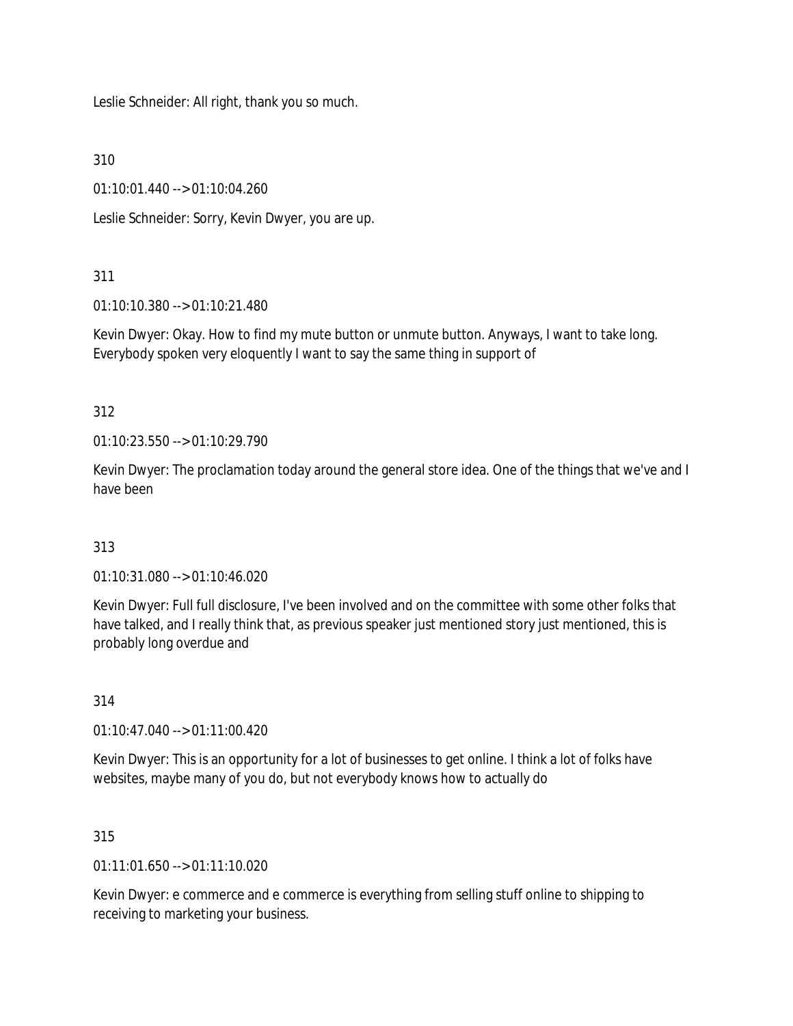Leslie Schneider: All right, thank you so much.

310

01:10:01.440 --> 01:10:04.260

Leslie Schneider: Sorry, Kevin Dwyer, you are up.

## 311

01:10:10.380 --> 01:10:21.480

Kevin Dwyer: Okay. How to find my mute button or unmute button. Anyways, I want to take long. Everybody spoken very eloquently I want to say the same thing in support of

## 312

01:10:23.550 --> 01:10:29.790

Kevin Dwyer: The proclamation today around the general store idea. One of the things that we've and I have been

# 313

01:10:31.080 --> 01:10:46.020

Kevin Dwyer: Full full disclosure, I've been involved and on the committee with some other folks that have talked, and I really think that, as previous speaker just mentioned story just mentioned, this is probably long overdue and

### 314

01:10:47.040 --> 01:11:00.420

Kevin Dwyer: This is an opportunity for a lot of businesses to get online. I think a lot of folks have websites, maybe many of you do, but not everybody knows how to actually do

### 315

 $01:11:01.650 \rightarrow 01:11:10.020$ 

Kevin Dwyer: e commerce and e commerce is everything from selling stuff online to shipping to receiving to marketing your business.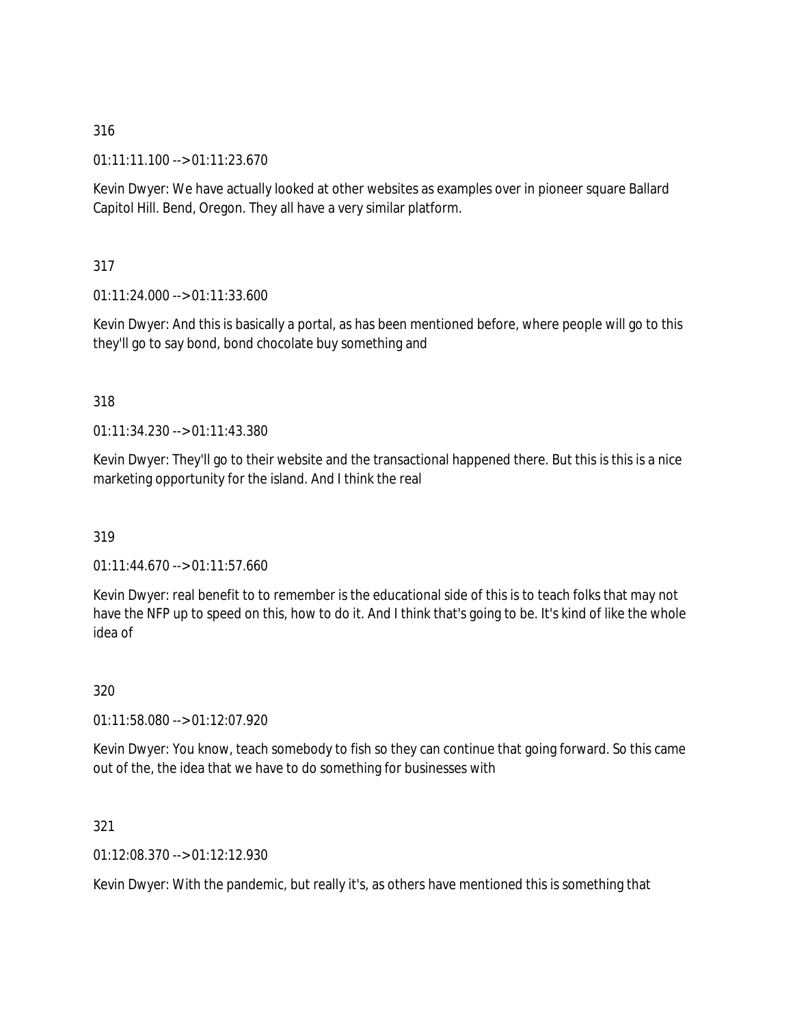01:11:11.100 --> 01:11:23.670

Kevin Dwyer: We have actually looked at other websites as examples over in pioneer square Ballard Capitol Hill. Bend, Oregon. They all have a very similar platform.

317

01:11:24.000 --> 01:11:33.600

Kevin Dwyer: And this is basically a portal, as has been mentioned before, where people will go to this they'll go to say bond, bond chocolate buy something and

### 318

01:11:34.230 --> 01:11:43.380

Kevin Dwyer: They'll go to their website and the transactional happened there. But this is this is a nice marketing opportunity for the island. And I think the real

319

01:11:44.670 --> 01:11:57.660

Kevin Dwyer: real benefit to to remember is the educational side of this is to teach folks that may not have the NFP up to speed on this, how to do it. And I think that's going to be. It's kind of like the whole idea of

320

01:11:58.080 --> 01:12:07.920

Kevin Dwyer: You know, teach somebody to fish so they can continue that going forward. So this came out of the, the idea that we have to do something for businesses with

321

01:12:08.370 --> 01:12:12.930

Kevin Dwyer: With the pandemic, but really it's, as others have mentioned this is something that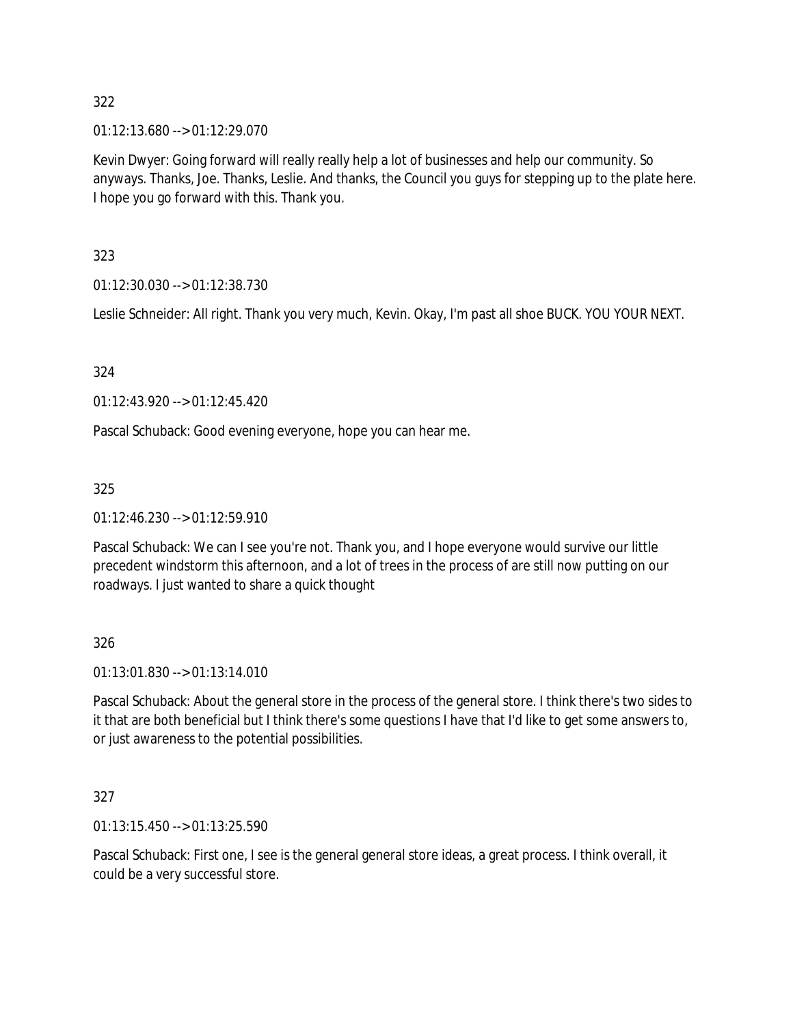01:12:13.680 --> 01:12:29.070

Kevin Dwyer: Going forward will really really help a lot of businesses and help our community. So anyways. Thanks, Joe. Thanks, Leslie. And thanks, the Council you guys for stepping up to the plate here. I hope you go forward with this. Thank you.

323

01:12:30.030 --> 01:12:38.730

Leslie Schneider: All right. Thank you very much, Kevin. Okay, I'm past all shoe BUCK. YOU YOUR NEXT.

324

01:12:43.920 --> 01:12:45.420

Pascal Schuback: Good evening everyone, hope you can hear me.

325

01:12:46.230 --> 01:12:59.910

Pascal Schuback: We can I see you're not. Thank you, and I hope everyone would survive our little precedent windstorm this afternoon, and a lot of trees in the process of are still now putting on our roadways. I just wanted to share a quick thought

326

01:13:01.830 --> 01:13:14.010

Pascal Schuback: About the general store in the process of the general store. I think there's two sides to it that are both beneficial but I think there's some questions I have that I'd like to get some answers to, or just awareness to the potential possibilities.

327

01:13:15.450 --> 01:13:25.590

Pascal Schuback: First one, I see is the general general store ideas, a great process. I think overall, it could be a very successful store.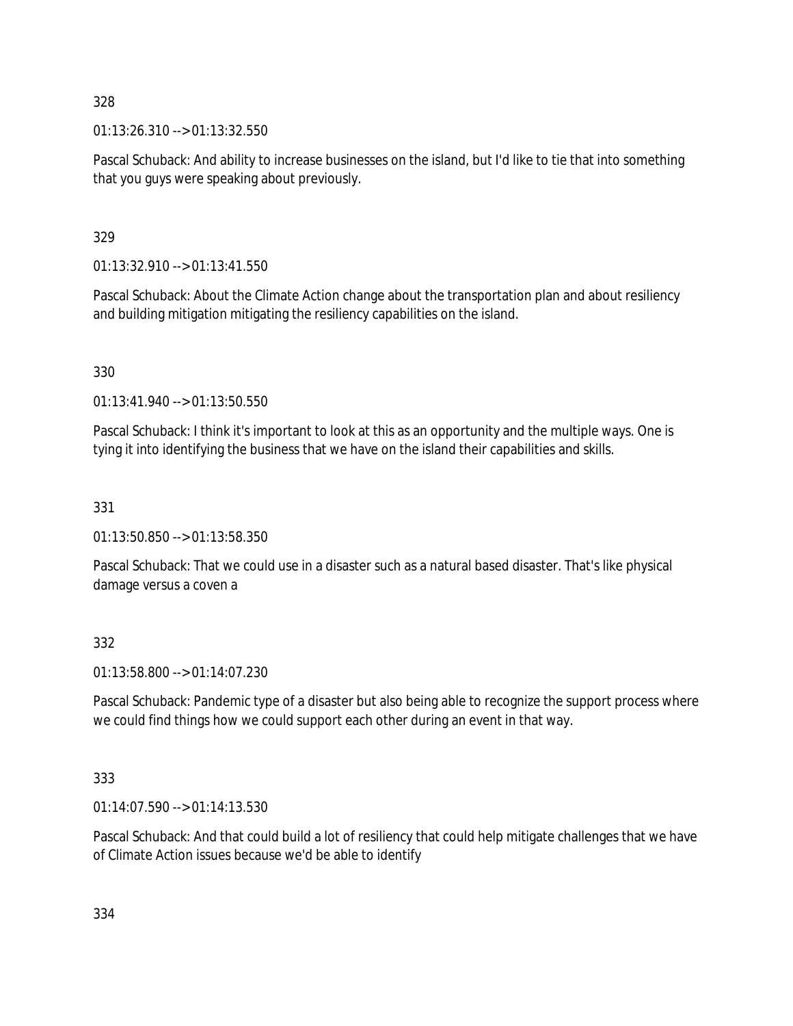01:13:26.310 --> 01:13:32.550

Pascal Schuback: And ability to increase businesses on the island, but I'd like to tie that into something that you guys were speaking about previously.

329

01:13:32.910 --> 01:13:41.550

Pascal Schuback: About the Climate Action change about the transportation plan and about resiliency and building mitigation mitigating the resiliency capabilities on the island.

330

01:13:41.940 --> 01:13:50.550

Pascal Schuback: I think it's important to look at this as an opportunity and the multiple ways. One is tying it into identifying the business that we have on the island their capabilities and skills.

331

01:13:50.850 --> 01:13:58.350

Pascal Schuback: That we could use in a disaster such as a natural based disaster. That's like physical damage versus a coven a

332

01:13:58.800 --> 01:14:07.230

Pascal Schuback: Pandemic type of a disaster but also being able to recognize the support process where we could find things how we could support each other during an event in that way.

333

01:14:07.590 --> 01:14:13.530

Pascal Schuback: And that could build a lot of resiliency that could help mitigate challenges that we have of Climate Action issues because we'd be able to identify

334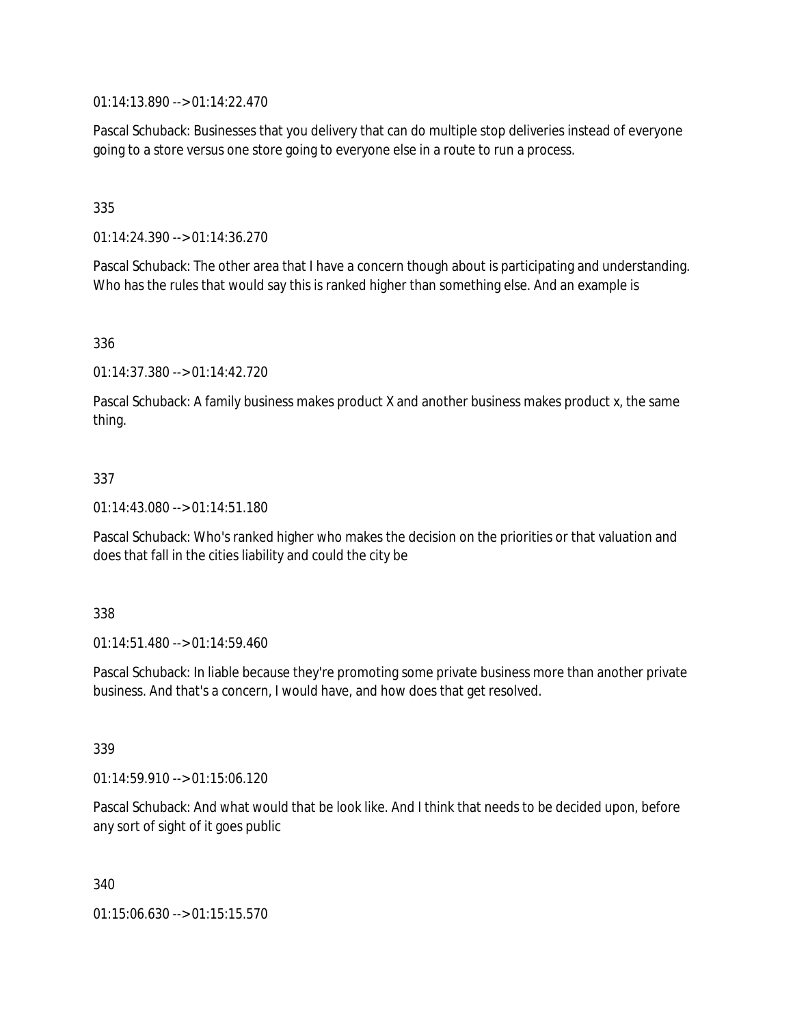01:14:13.890 --> 01:14:22.470

Pascal Schuback: Businesses that you delivery that can do multiple stop deliveries instead of everyone going to a store versus one store going to everyone else in a route to run a process.

335

01:14:24.390 --> 01:14:36.270

Pascal Schuback: The other area that I have a concern though about is participating and understanding. Who has the rules that would say this is ranked higher than something else. And an example is

336

01:14:37.380 --> 01:14:42.720

Pascal Schuback: A family business makes product X and another business makes product x, the same thing.

### 337

01:14:43.080 --> 01:14:51.180

Pascal Schuback: Who's ranked higher who makes the decision on the priorities or that valuation and does that fall in the cities liability and could the city be

338

01:14:51.480 --> 01:14:59.460

Pascal Schuback: In liable because they're promoting some private business more than another private business. And that's a concern, I would have, and how does that get resolved.

339

01:14:59.910 --> 01:15:06.120

Pascal Schuback: And what would that be look like. And I think that needs to be decided upon, before any sort of sight of it goes public

340

01:15:06.630 --> 01:15:15.570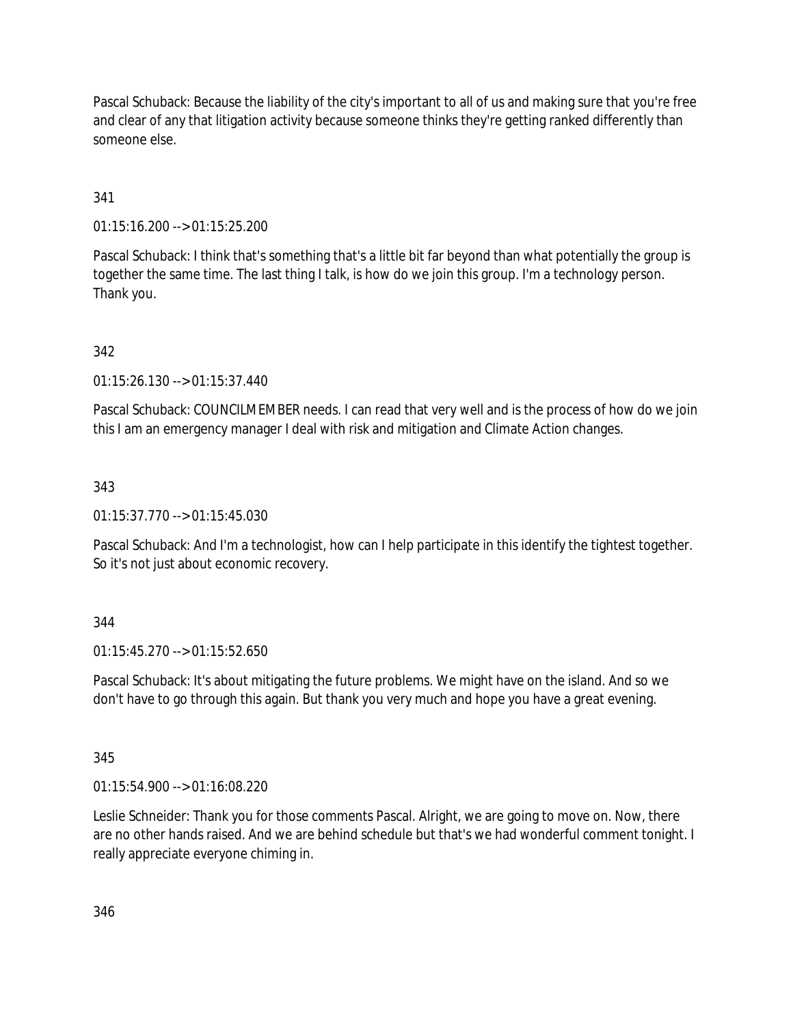Pascal Schuback: Because the liability of the city's important to all of us and making sure that you're free and clear of any that litigation activity because someone thinks they're getting ranked differently than someone else.

# 341

01:15:16.200 --> 01:15:25.200

Pascal Schuback: I think that's something that's a little bit far beyond than what potentially the group is together the same time. The last thing I talk, is how do we join this group. I'm a technology person. Thank you.

# 342

01:15:26.130 --> 01:15:37.440

Pascal Schuback: COUNCILMEMBER needs. I can read that very well and is the process of how do we join this I am an emergency manager I deal with risk and mitigation and Climate Action changes.

# 343

01:15:37.770 --> 01:15:45.030

Pascal Schuback: And I'm a technologist, how can I help participate in this identify the tightest together. So it's not just about economic recovery.

# 344

01:15:45.270 --> 01:15:52.650

Pascal Schuback: It's about mitigating the future problems. We might have on the island. And so we don't have to go through this again. But thank you very much and hope you have a great evening.

345

01:15:54.900 --> 01:16:08.220

Leslie Schneider: Thank you for those comments Pascal. Alright, we are going to move on. Now, there are no other hands raised. And we are behind schedule but that's we had wonderful comment tonight. I really appreciate everyone chiming in.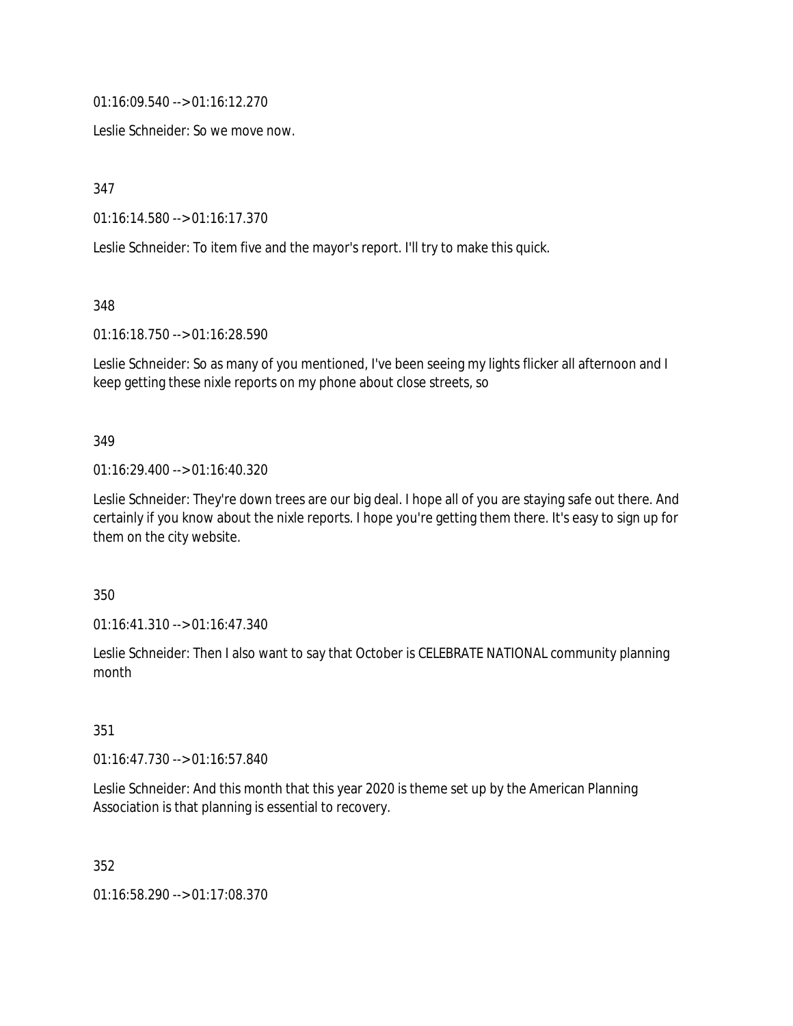01:16:09.540 --> 01:16:12.270

Leslie Schneider: So we move now.

347

01:16:14.580 --> 01:16:17.370

Leslie Schneider: To item five and the mayor's report. I'll try to make this quick.

348

01:16:18.750 --> 01:16:28.590

Leslie Schneider: So as many of you mentioned, I've been seeing my lights flicker all afternoon and I keep getting these nixle reports on my phone about close streets, so

#### 349

01:16:29.400 --> 01:16:40.320

Leslie Schneider: They're down trees are our big deal. I hope all of you are staying safe out there. And certainly if you know about the nixle reports. I hope you're getting them there. It's easy to sign up for them on the city website.

350

01:16:41.310 --> 01:16:47.340

Leslie Schneider: Then I also want to say that October is CELEBRATE NATIONAL community planning month

351

01:16:47.730 --> 01:16:57.840

Leslie Schneider: And this month that this year 2020 is theme set up by the American Planning Association is that planning is essential to recovery.

352

01:16:58.290 --> 01:17:08.370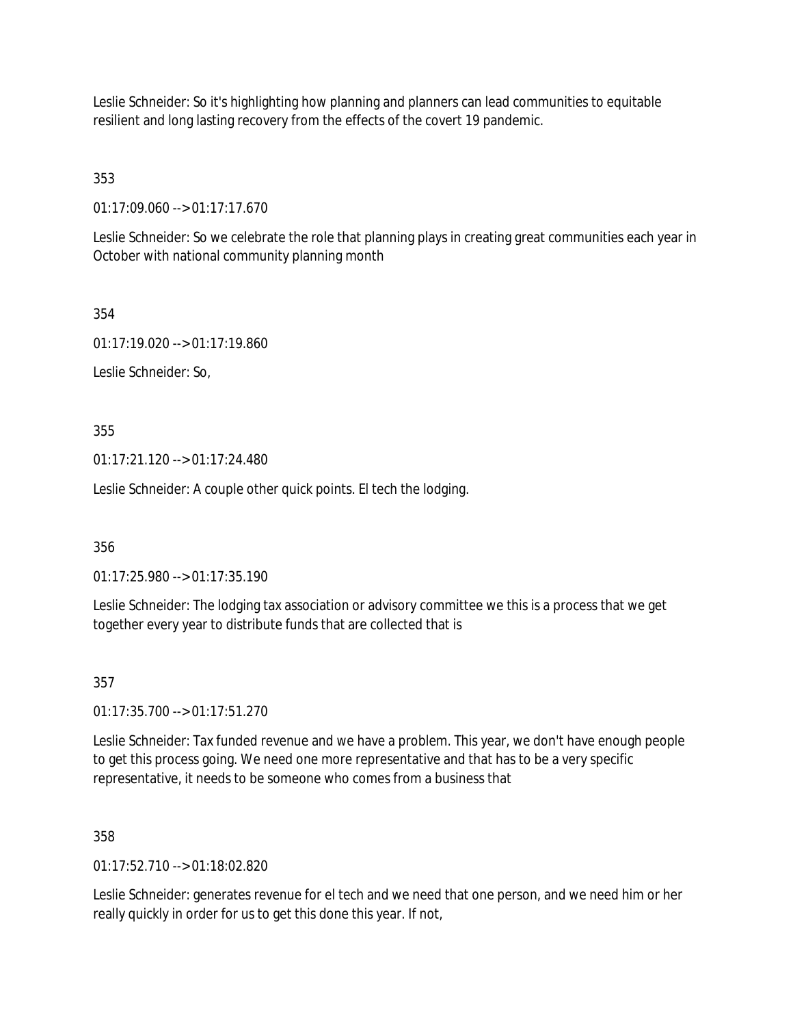Leslie Schneider: So it's highlighting how planning and planners can lead communities to equitable resilient and long lasting recovery from the effects of the covert 19 pandemic.

353

01:17:09.060 --> 01:17:17.670

Leslie Schneider: So we celebrate the role that planning plays in creating great communities each year in October with national community planning month

354

01:17:19.020 --> 01:17:19.860

Leslie Schneider: So,

355

 $01:17:21.120 \rightarrow 01:17:24.480$ 

Leslie Schneider: A couple other quick points. El tech the lodging.

356

01:17:25.980 --> 01:17:35.190

Leslie Schneider: The lodging tax association or advisory committee we this is a process that we get together every year to distribute funds that are collected that is

357

01:17:35.700 --> 01:17:51.270

Leslie Schneider: Tax funded revenue and we have a problem. This year, we don't have enough people to get this process going. We need one more representative and that has to be a very specific representative, it needs to be someone who comes from a business that

358

 $01:17:52.710 \rightarrow 01:18:02.820$ 

Leslie Schneider: generates revenue for el tech and we need that one person, and we need him or her really quickly in order for us to get this done this year. If not,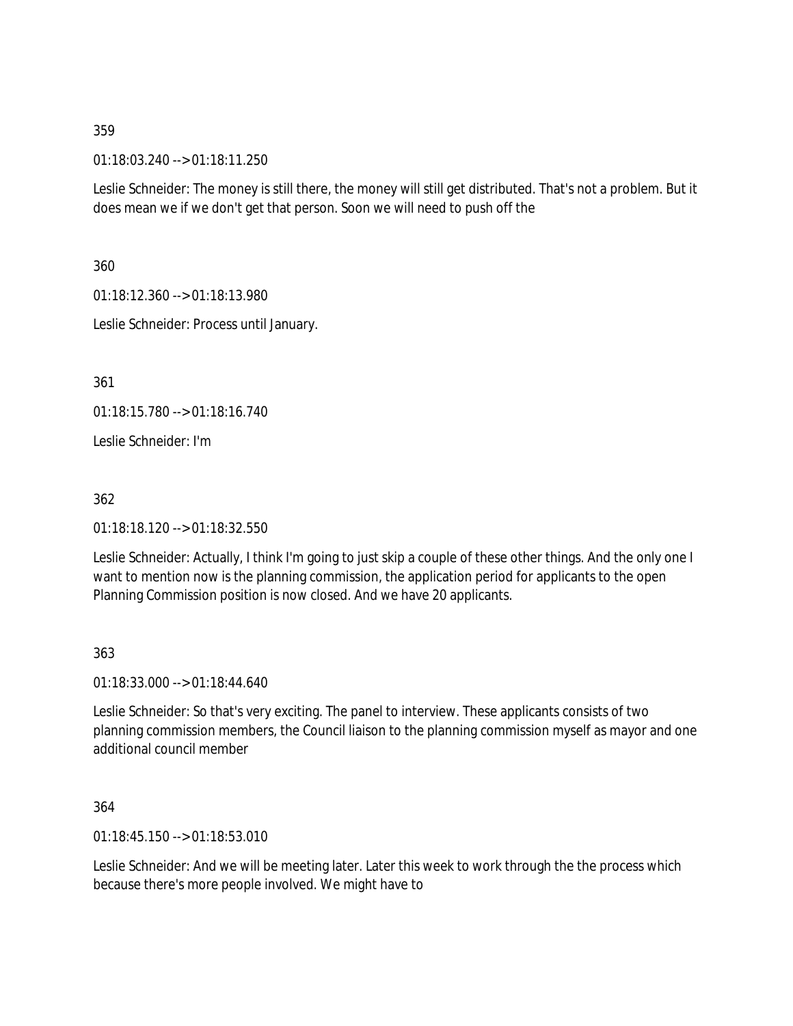01:18:03.240 --> 01:18:11.250

Leslie Schneider: The money is still there, the money will still get distributed. That's not a problem. But it does mean we if we don't get that person. Soon we will need to push off the

360

01:18:12.360 --> 01:18:13.980

Leslie Schneider: Process until January.

361

01:18:15.780 --> 01:18:16.740

Leslie Schneider: I'm

362

01:18:18.120 --> 01:18:32.550

Leslie Schneider: Actually, I think I'm going to just skip a couple of these other things. And the only one I want to mention now is the planning commission, the application period for applicants to the open Planning Commission position is now closed. And we have 20 applicants.

#### 363

01:18:33.000 --> 01:18:44.640

Leslie Schneider: So that's very exciting. The panel to interview. These applicants consists of two planning commission members, the Council liaison to the planning commission myself as mayor and one additional council member

364

01:18:45.150 --> 01:18:53.010

Leslie Schneider: And we will be meeting later. Later this week to work through the the process which because there's more people involved. We might have to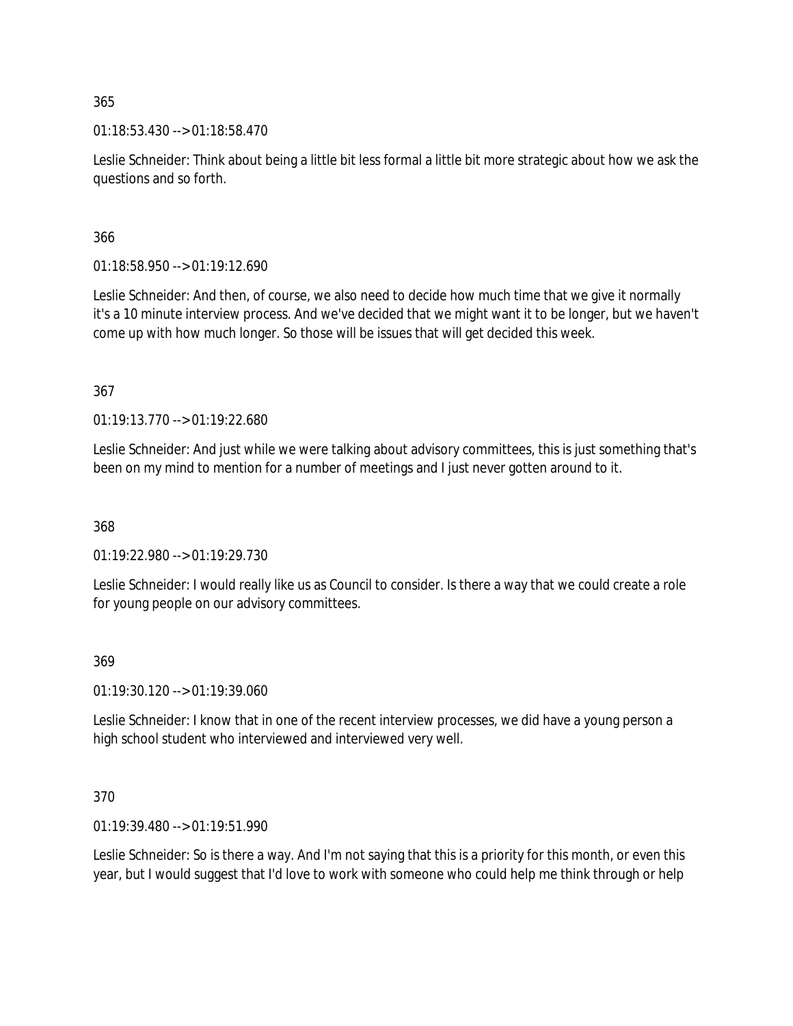01:18:53.430 --> 01:18:58.470

Leslie Schneider: Think about being a little bit less formal a little bit more strategic about how we ask the questions and so forth.

366

01:18:58.950 --> 01:19:12.690

Leslie Schneider: And then, of course, we also need to decide how much time that we give it normally it's a 10 minute interview process. And we've decided that we might want it to be longer, but we haven't come up with how much longer. So those will be issues that will get decided this week.

367

01:19:13.770 --> 01:19:22.680

Leslie Schneider: And just while we were talking about advisory committees, this is just something that's been on my mind to mention for a number of meetings and I just never gotten around to it.

368

01:19:22.980 --> 01:19:29.730

Leslie Schneider: I would really like us as Council to consider. Is there a way that we could create a role for young people on our advisory committees.

### 369

01:19:30.120 --> 01:19:39.060

Leslie Schneider: I know that in one of the recent interview processes, we did have a young person a high school student who interviewed and interviewed very well.

### 370

01:19:39.480 --> 01:19:51.990

Leslie Schneider: So is there a way. And I'm not saying that this is a priority for this month, or even this year, but I would suggest that I'd love to work with someone who could help me think through or help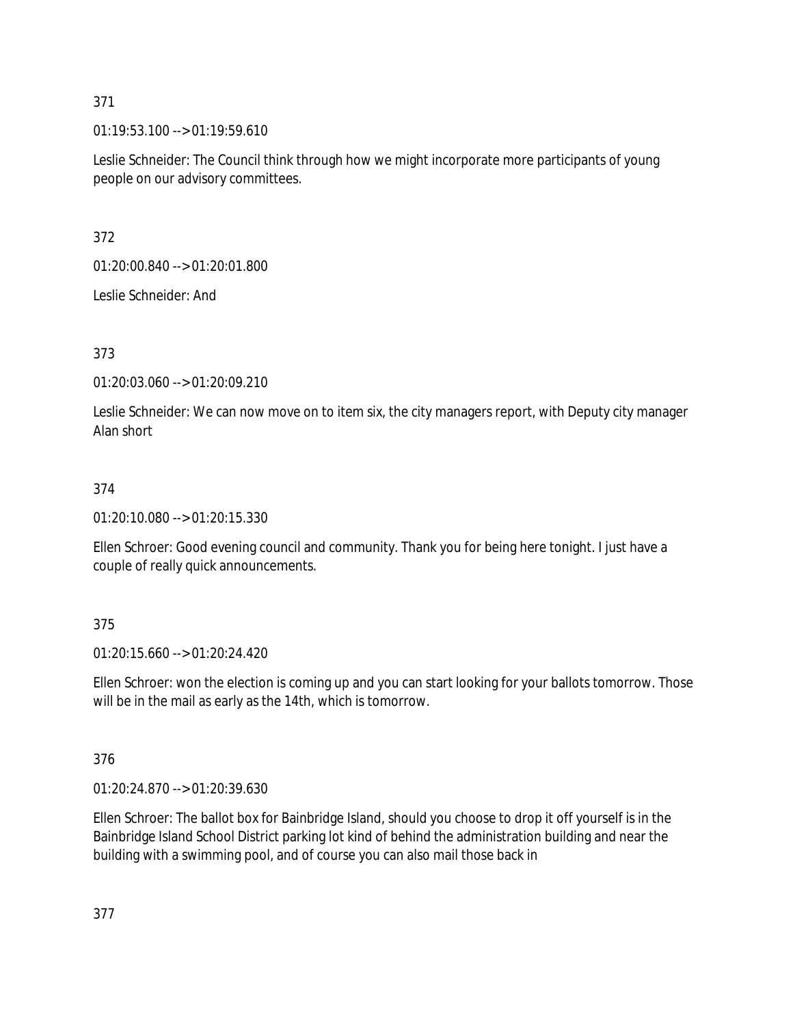01:19:53.100 --> 01:19:59.610

Leslie Schneider: The Council think through how we might incorporate more participants of young people on our advisory committees.

372

01:20:00.840 --> 01:20:01.800

Leslie Schneider: And

373

01:20:03.060 --> 01:20:09.210

Leslie Schneider: We can now move on to item six, the city managers report, with Deputy city manager Alan short

### 374

01:20:10.080 --> 01:20:15.330

Ellen Schroer: Good evening council and community. Thank you for being here tonight. I just have a couple of really quick announcements.

### 375

01:20:15.660 --> 01:20:24.420

Ellen Schroer: won the election is coming up and you can start looking for your ballots tomorrow. Those will be in the mail as early as the 14th, which is tomorrow.

### 376

01:20:24.870 --> 01:20:39.630

Ellen Schroer: The ballot box for Bainbridge Island, should you choose to drop it off yourself is in the Bainbridge Island School District parking lot kind of behind the administration building and near the building with a swimming pool, and of course you can also mail those back in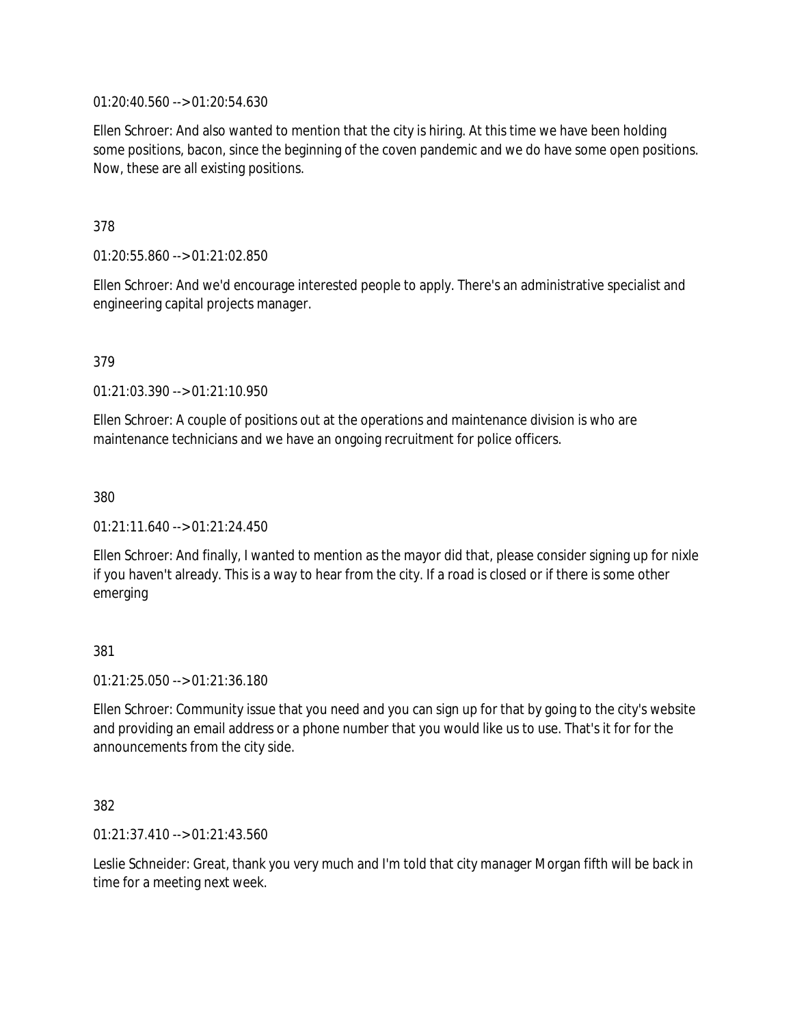01:20:40.560 --> 01:20:54.630

Ellen Schroer: And also wanted to mention that the city is hiring. At this time we have been holding some positions, bacon, since the beginning of the coven pandemic and we do have some open positions. Now, these are all existing positions.

378

01:20:55.860 --> 01:21:02.850

Ellen Schroer: And we'd encourage interested people to apply. There's an administrative specialist and engineering capital projects manager.

379

01:21:03.390 --> 01:21:10.950

Ellen Schroer: A couple of positions out at the operations and maintenance division is who are maintenance technicians and we have an ongoing recruitment for police officers.

380

01:21:11.640 --> 01:21:24.450

Ellen Schroer: And finally, I wanted to mention as the mayor did that, please consider signing up for nixle if you haven't already. This is a way to hear from the city. If a road is closed or if there is some other emerging

381

01:21:25.050 --> 01:21:36.180

Ellen Schroer: Community issue that you need and you can sign up for that by going to the city's website and providing an email address or a phone number that you would like us to use. That's it for for the announcements from the city side.

382

01:21:37.410 --> 01:21:43.560

Leslie Schneider: Great, thank you very much and I'm told that city manager Morgan fifth will be back in time for a meeting next week.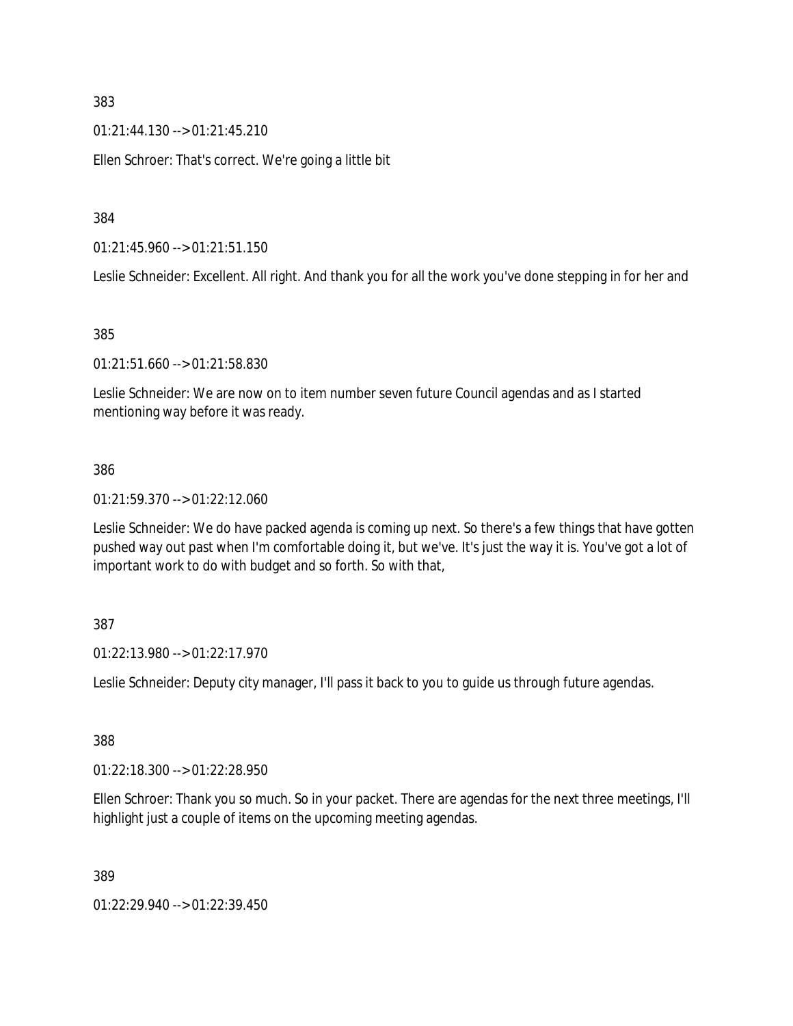01:21:44.130 --> 01:21:45.210

Ellen Schroer: That's correct. We're going a little bit

384

01:21:45.960 --> 01:21:51.150

Leslie Schneider: Excellent. All right. And thank you for all the work you've done stepping in for her and

### 385

01:21:51.660 --> 01:21:58.830

Leslie Schneider: We are now on to item number seven future Council agendas and as I started mentioning way before it was ready.

### 386

01:21:59.370 --> 01:22:12.060

Leslie Schneider: We do have packed agenda is coming up next. So there's a few things that have gotten pushed way out past when I'm comfortable doing it, but we've. It's just the way it is. You've got a lot of important work to do with budget and so forth. So with that,

### 387

01:22:13.980 --> 01:22:17.970

Leslie Schneider: Deputy city manager, I'll pass it back to you to guide us through future agendas.

# 388

01:22:18.300 --> 01:22:28.950

Ellen Schroer: Thank you so much. So in your packet. There are agendas for the next three meetings, I'll highlight just a couple of items on the upcoming meeting agendas.

389

01:22:29.940 --> 01:22:39.450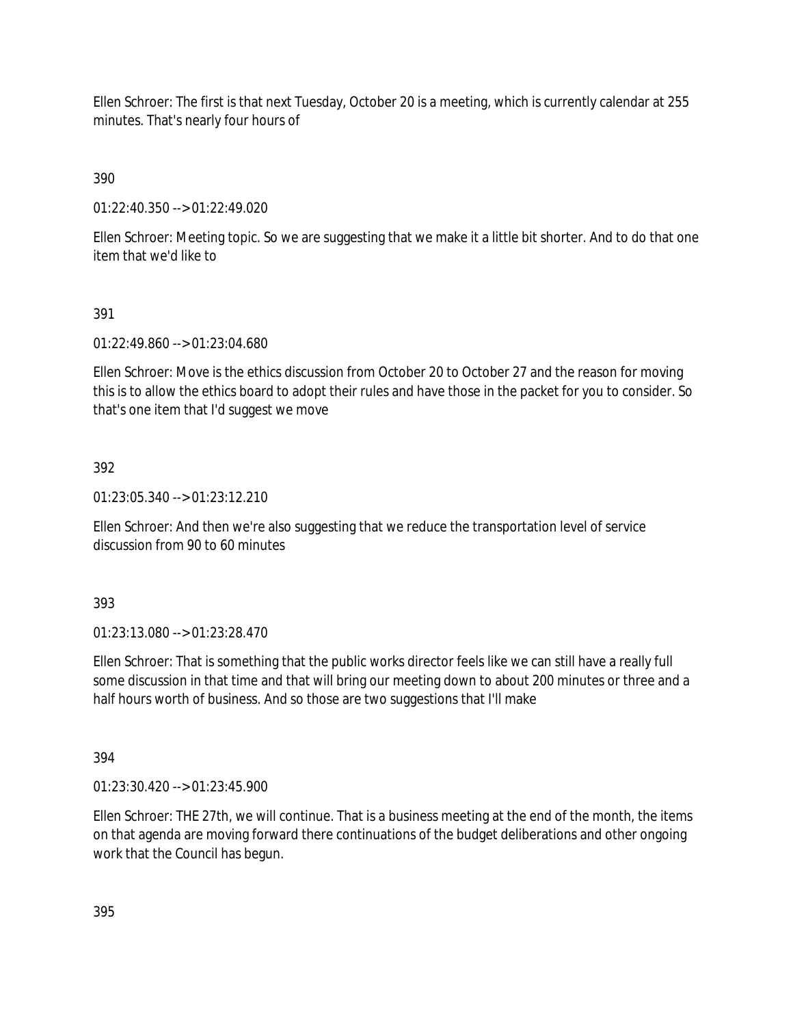Ellen Schroer: The first is that next Tuesday, October 20 is a meeting, which is currently calendar at 255 minutes. That's nearly four hours of

390

01:22:40.350 --> 01:22:49.020

Ellen Schroer: Meeting topic. So we are suggesting that we make it a little bit shorter. And to do that one item that we'd like to

## 391

01:22:49.860 --> 01:23:04.680

Ellen Schroer: Move is the ethics discussion from October 20 to October 27 and the reason for moving this is to allow the ethics board to adopt their rules and have those in the packet for you to consider. So that's one item that I'd suggest we move

## 392

01:23:05.340 --> 01:23:12.210

Ellen Schroer: And then we're also suggesting that we reduce the transportation level of service discussion from 90 to 60 minutes

393

01:23:13.080 --> 01:23:28.470

Ellen Schroer: That is something that the public works director feels like we can still have a really full some discussion in that time and that will bring our meeting down to about 200 minutes or three and a half hours worth of business. And so those are two suggestions that I'll make

394

01:23:30.420 --> 01:23:45.900

Ellen Schroer: THE 27th, we will continue. That is a business meeting at the end of the month, the items on that agenda are moving forward there continuations of the budget deliberations and other ongoing work that the Council has begun.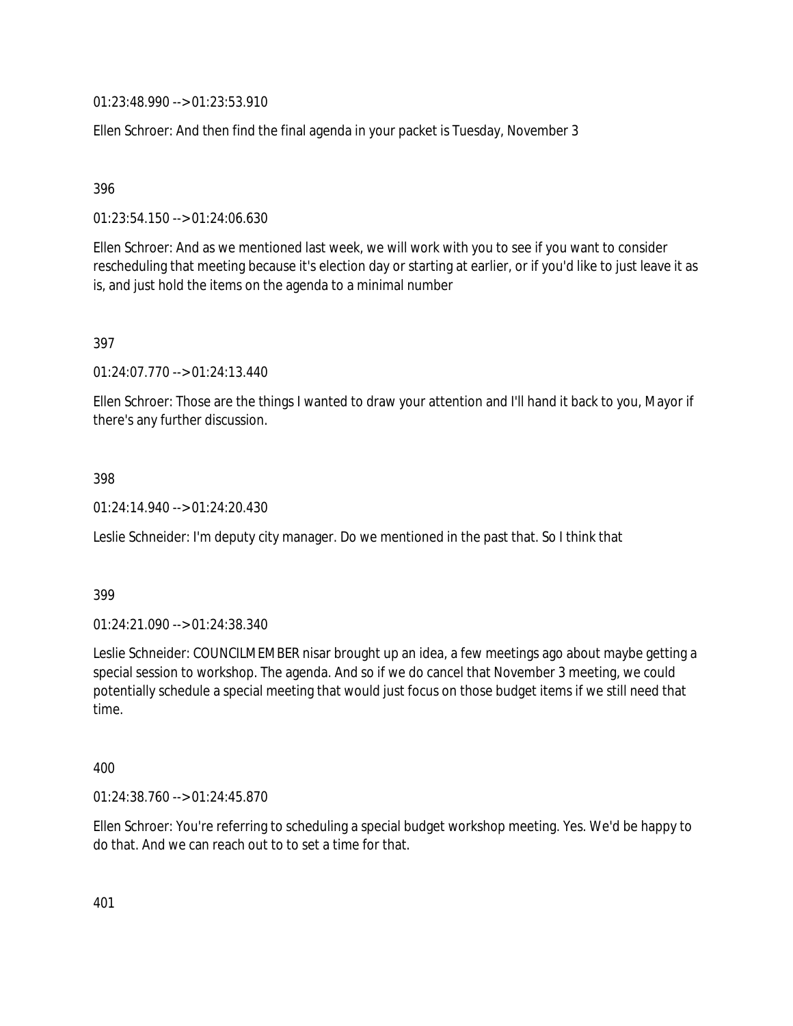01:23:48.990 --> 01:23:53.910

Ellen Schroer: And then find the final agenda in your packet is Tuesday, November 3

396

01:23:54.150 --> 01:24:06.630

Ellen Schroer: And as we mentioned last week, we will work with you to see if you want to consider rescheduling that meeting because it's election day or starting at earlier, or if you'd like to just leave it as is, and just hold the items on the agenda to a minimal number

397

01:24:07.770 --> 01:24:13.440

Ellen Schroer: Those are the things I wanted to draw your attention and I'll hand it back to you, Mayor if there's any further discussion.

398

01:24:14.940 --> 01:24:20.430

Leslie Schneider: I'm deputy city manager. Do we mentioned in the past that. So I think that

399

01:24:21.090 --> 01:24:38.340

Leslie Schneider: COUNCILMEMBER nisar brought up an idea, a few meetings ago about maybe getting a special session to workshop. The agenda. And so if we do cancel that November 3 meeting, we could potentially schedule a special meeting that would just focus on those budget items if we still need that time.

400

01:24:38.760 --> 01:24:45.870

Ellen Schroer: You're referring to scheduling a special budget workshop meeting. Yes. We'd be happy to do that. And we can reach out to to set a time for that.

401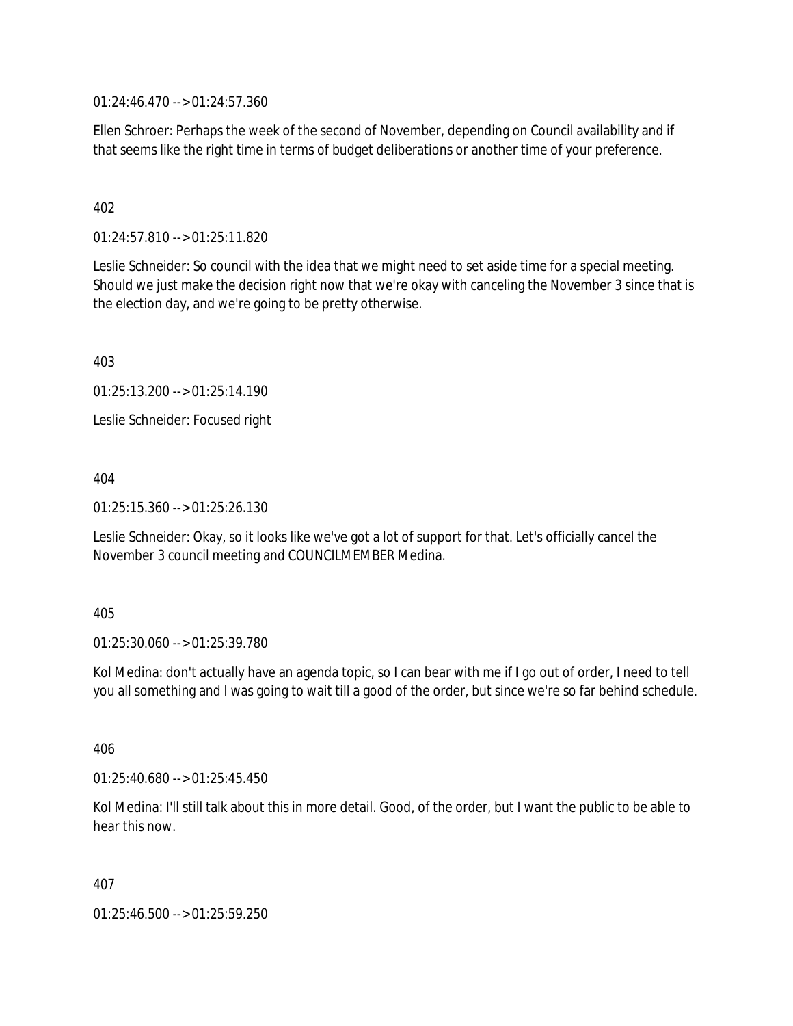01:24:46.470 --> 01:24:57.360

Ellen Schroer: Perhaps the week of the second of November, depending on Council availability and if that seems like the right time in terms of budget deliberations or another time of your preference.

## 402

01:24:57.810 --> 01:25:11.820

Leslie Schneider: So council with the idea that we might need to set aside time for a special meeting. Should we just make the decision right now that we're okay with canceling the November 3 since that is the election day, and we're going to be pretty otherwise.

403

01:25:13.200 --> 01:25:14.190

Leslie Schneider: Focused right

404

01:25:15.360 --> 01:25:26.130

Leslie Schneider: Okay, so it looks like we've got a lot of support for that. Let's officially cancel the November 3 council meeting and COUNCILMEMBER Medina.

#### 405

01:25:30.060 --> 01:25:39.780

Kol Medina: don't actually have an agenda topic, so I can bear with me if I go out of order, I need to tell you all something and I was going to wait till a good of the order, but since we're so far behind schedule.

406

01:25:40.680 --> 01:25:45.450

Kol Medina: I'll still talk about this in more detail. Good, of the order, but I want the public to be able to hear this now.

407

01:25:46.500 --> 01:25:59.250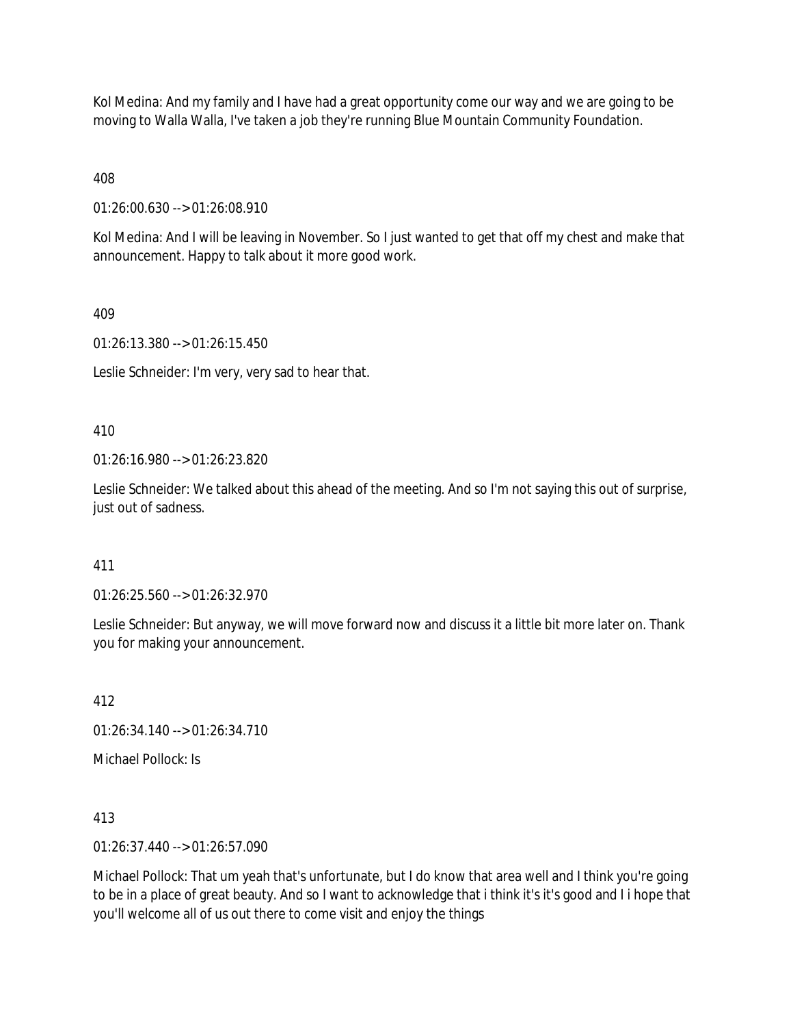Kol Medina: And my family and I have had a great opportunity come our way and we are going to be moving to Walla Walla, I've taken a job they're running Blue Mountain Community Foundation.

408

01:26:00.630 --> 01:26:08.910

Kol Medina: And I will be leaving in November. So I just wanted to get that off my chest and make that announcement. Happy to talk about it more good work.

## 409

01:26:13.380 --> 01:26:15.450

Leslie Schneider: I'm very, very sad to hear that.

410

01:26:16.980 --> 01:26:23.820

Leslie Schneider: We talked about this ahead of the meeting. And so I'm not saying this out of surprise, just out of sadness.

# 411

01:26:25.560 --> 01:26:32.970

Leslie Schneider: But anyway, we will move forward now and discuss it a little bit more later on. Thank you for making your announcement.

412

01:26:34.140 --> 01:26:34.710

Michael Pollock: Is

413

01:26:37.440 --> 01:26:57.090

Michael Pollock: That um yeah that's unfortunate, but I do know that area well and I think you're going to be in a place of great beauty. And so I want to acknowledge that i think it's it's good and I i hope that you'll welcome all of us out there to come visit and enjoy the things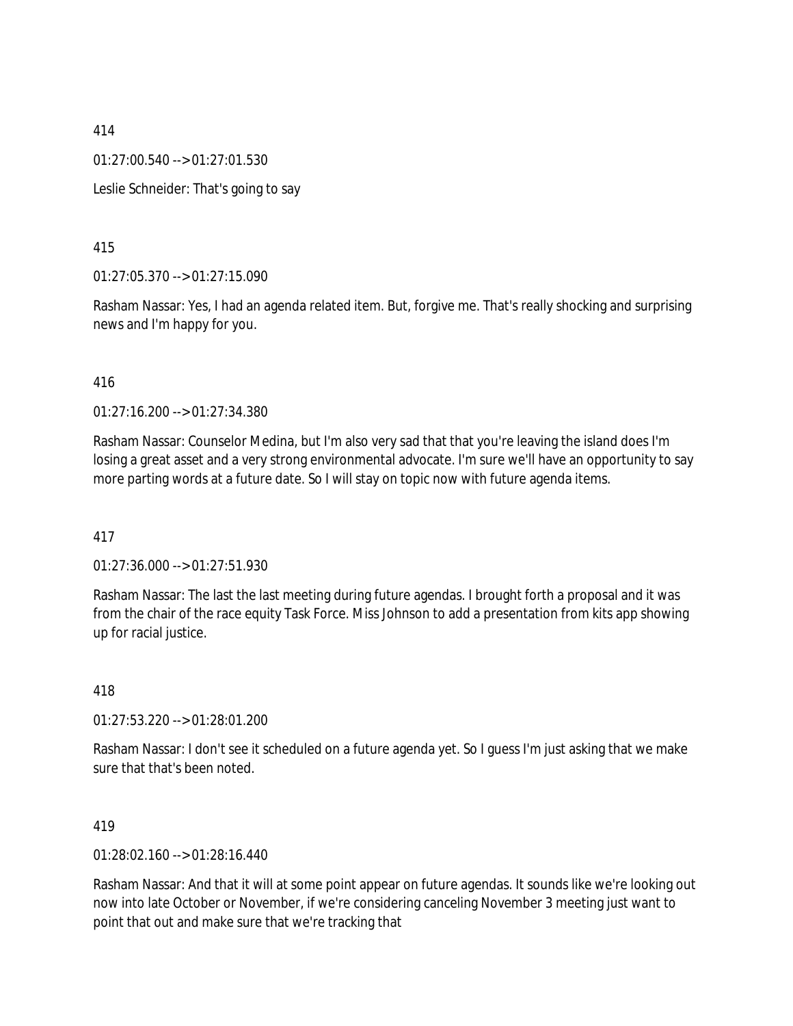01:27:00.540 --> 01:27:01.530

Leslie Schneider: That's going to say

415

01:27:05.370 --> 01:27:15.090

Rasham Nassar: Yes, I had an agenda related item. But, forgive me. That's really shocking and surprising news and I'm happy for you.

### 416

01:27:16.200 --> 01:27:34.380

Rasham Nassar: Counselor Medina, but I'm also very sad that that you're leaving the island does I'm losing a great asset and a very strong environmental advocate. I'm sure we'll have an opportunity to say more parting words at a future date. So I will stay on topic now with future agenda items.

417

01:27:36.000 --> 01:27:51.930

Rasham Nassar: The last the last meeting during future agendas. I brought forth a proposal and it was from the chair of the race equity Task Force. Miss Johnson to add a presentation from kits app showing up for racial justice.

418

01:27:53.220 --> 01:28:01.200

Rasham Nassar: I don't see it scheduled on a future agenda yet. So I guess I'm just asking that we make sure that that's been noted.

419

01:28:02.160 --> 01:28:16.440

Rasham Nassar: And that it will at some point appear on future agendas. It sounds like we're looking out now into late October or November, if we're considering canceling November 3 meeting just want to point that out and make sure that we're tracking that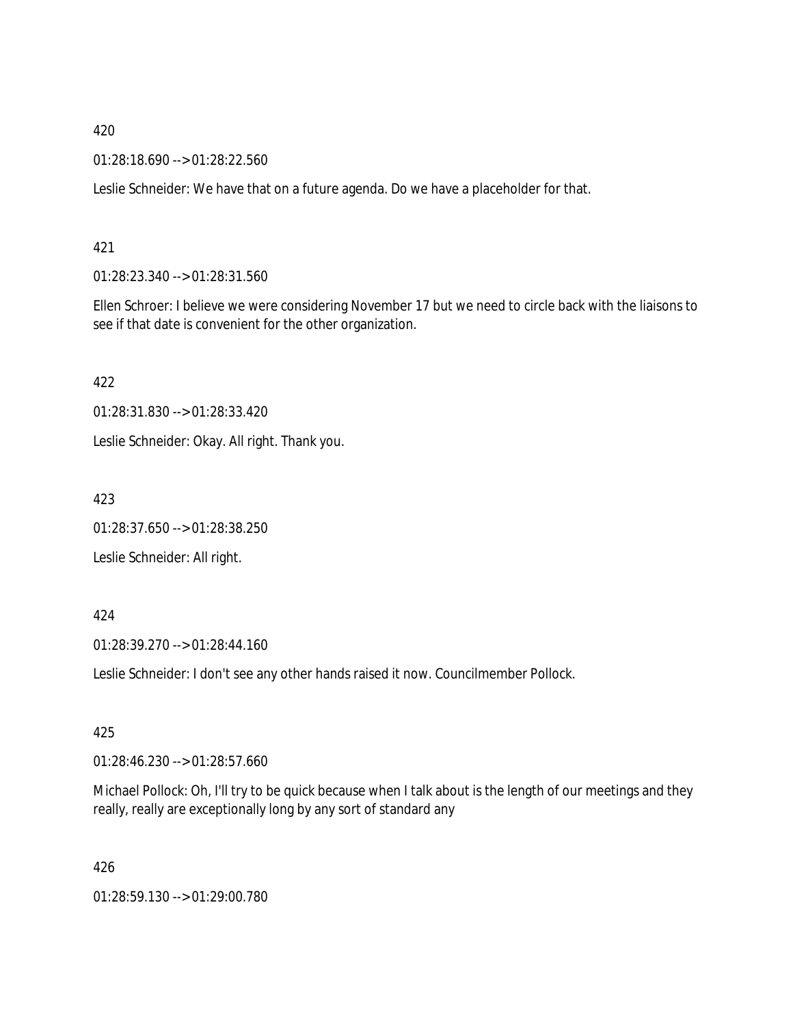01:28:18.690 --> 01:28:22.560

Leslie Schneider: We have that on a future agenda. Do we have a placeholder for that.

### 421

01:28:23.340 --> 01:28:31.560

Ellen Schroer: I believe we were considering November 17 but we need to circle back with the liaisons to see if that date is convenient for the other organization.

422

01:28:31.830 --> 01:28:33.420

Leslie Schneider: Okay. All right. Thank you.

423

01:28:37.650 --> 01:28:38.250

Leslie Schneider: All right.

#### 424

01:28:39.270 --> 01:28:44.160

Leslie Schneider: I don't see any other hands raised it now. Councilmember Pollock.

### 425

01:28:46.230 --> 01:28:57.660

Michael Pollock: Oh, I'll try to be quick because when I talk about is the length of our meetings and they really, really are exceptionally long by any sort of standard any

426

01:28:59.130 --> 01:29:00.780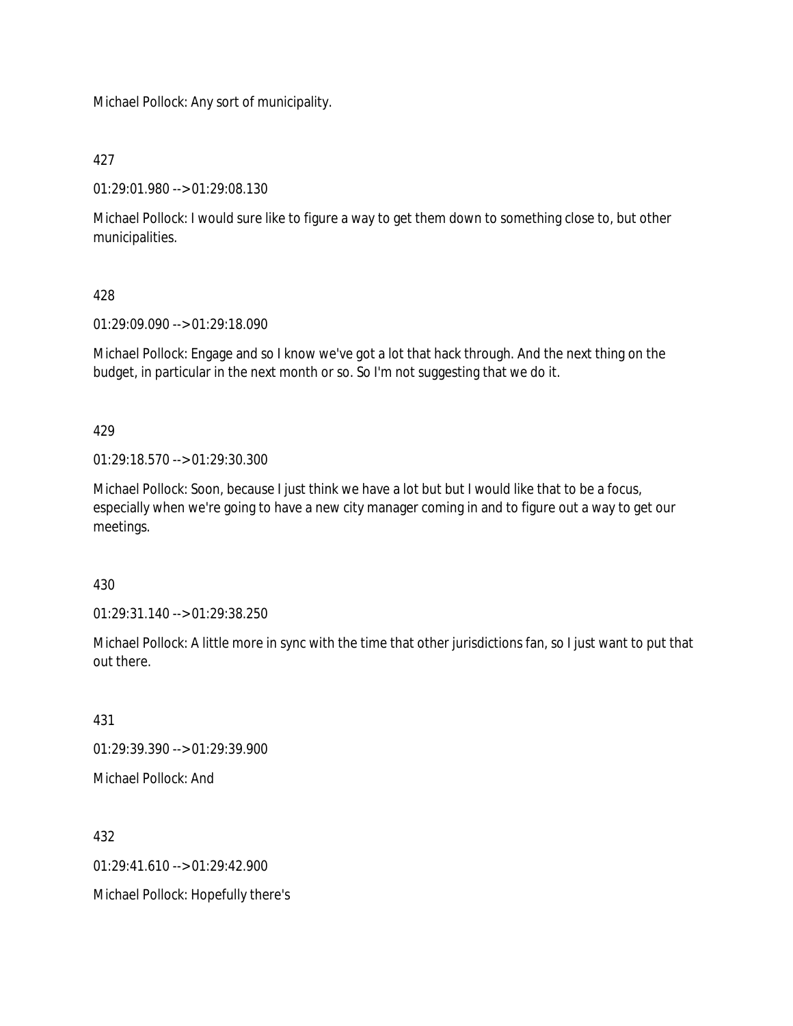Michael Pollock: Any sort of municipality.

427

01:29:01.980 --> 01:29:08.130

Michael Pollock: I would sure like to figure a way to get them down to something close to, but other municipalities.

# 428

01:29:09.090 --> 01:29:18.090

Michael Pollock: Engage and so I know we've got a lot that hack through. And the next thing on the budget, in particular in the next month or so. So I'm not suggesting that we do it.

429

01:29:18.570 --> 01:29:30.300

Michael Pollock: Soon, because I just think we have a lot but but I would like that to be a focus, especially when we're going to have a new city manager coming in and to figure out a way to get our meetings.

430

01:29:31.140 --> 01:29:38.250

Michael Pollock: A little more in sync with the time that other jurisdictions fan, so I just want to put that out there.

431

01:29:39.390 --> 01:29:39.900

Michael Pollock: And

432

01:29:41.610 --> 01:29:42.900

Michael Pollock: Hopefully there's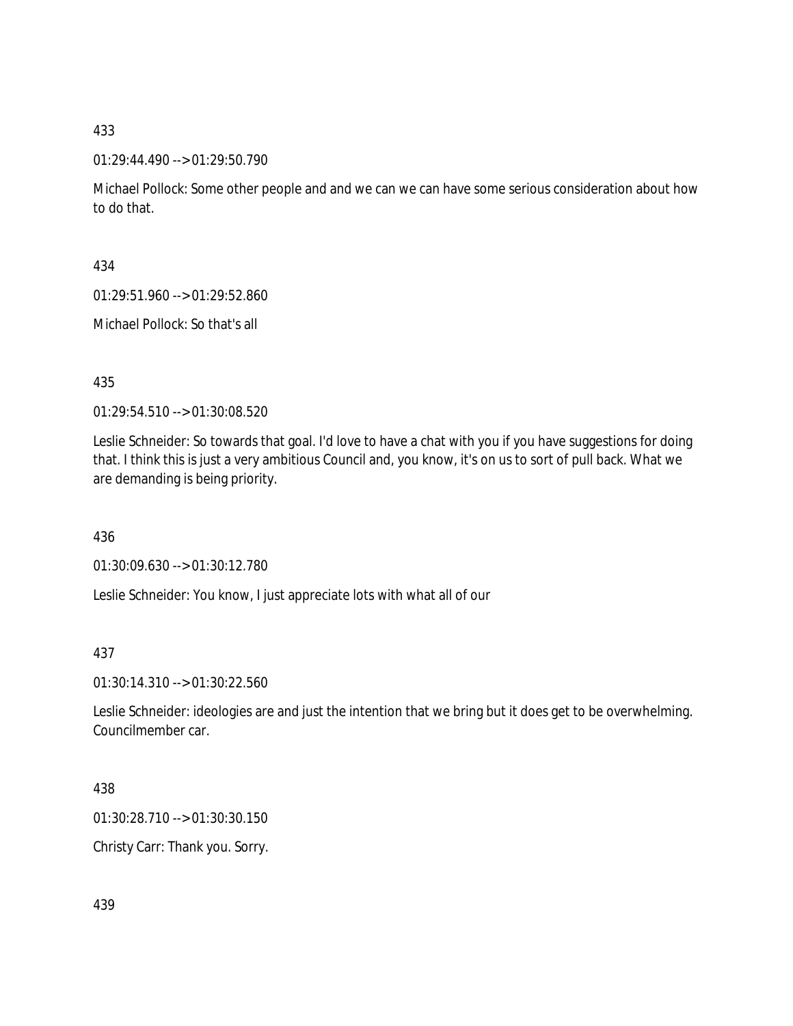01:29:44.490 --> 01:29:50.790

Michael Pollock: Some other people and and we can we can have some serious consideration about how to do that.

434

01:29:51.960 --> 01:29:52.860

Michael Pollock: So that's all

435

01:29:54.510 --> 01:30:08.520

Leslie Schneider: So towards that goal. I'd love to have a chat with you if you have suggestions for doing that. I think this is just a very ambitious Council and, you know, it's on us to sort of pull back. What we are demanding is being priority.

436

01:30:09.630 --> 01:30:12.780

Leslie Schneider: You know, I just appreciate lots with what all of our

437

01:30:14.310 --> 01:30:22.560

Leslie Schneider: ideologies are and just the intention that we bring but it does get to be overwhelming. Councilmember car.

438

01:30:28.710 --> 01:30:30.150

Christy Carr: Thank you. Sorry.

439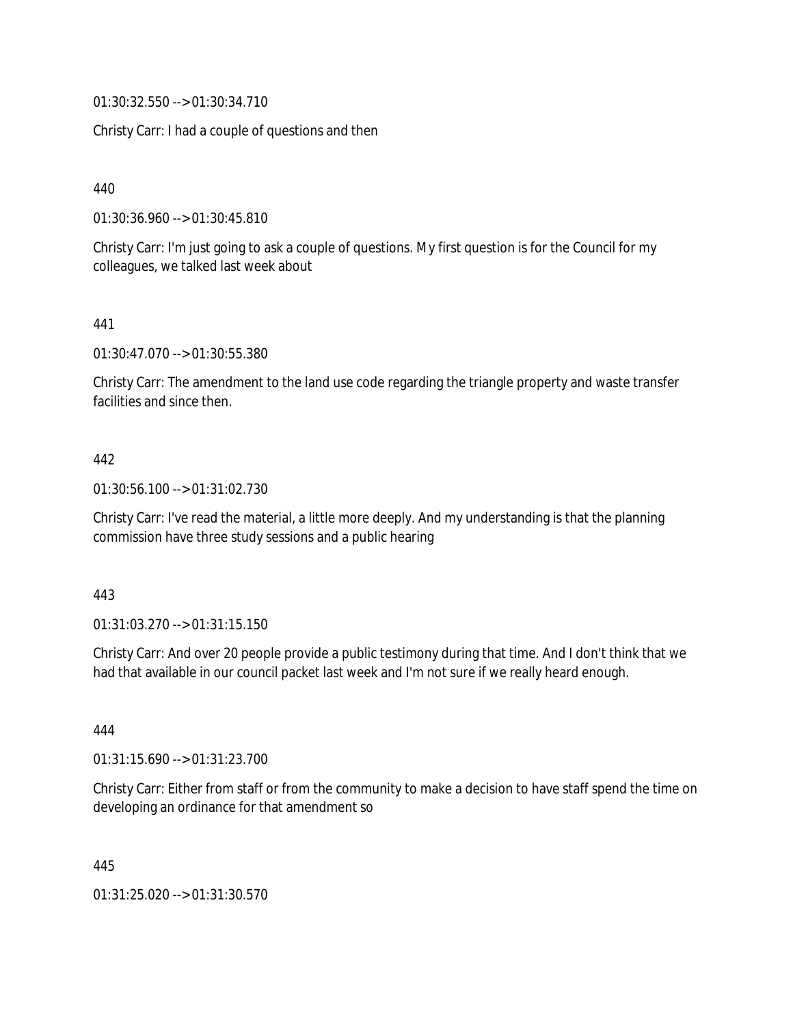01:30:32.550 --> 01:30:34.710

Christy Carr: I had a couple of questions and then

440

01:30:36.960 --> 01:30:45.810

Christy Carr: I'm just going to ask a couple of questions. My first question is for the Council for my colleagues, we talked last week about

441

01:30:47.070 --> 01:30:55.380

Christy Carr: The amendment to the land use code regarding the triangle property and waste transfer facilities and since then.

### 442

01:30:56.100 --> 01:31:02.730

Christy Carr: I've read the material, a little more deeply. And my understanding is that the planning commission have three study sessions and a public hearing

#### 443

01:31:03.270 --> 01:31:15.150

Christy Carr: And over 20 people provide a public testimony during that time. And I don't think that we had that available in our council packet last week and I'm not sure if we really heard enough.

444

01:31:15.690 --> 01:31:23.700

Christy Carr: Either from staff or from the community to make a decision to have staff spend the time on developing an ordinance for that amendment so

445

01:31:25.020 --> 01:31:30.570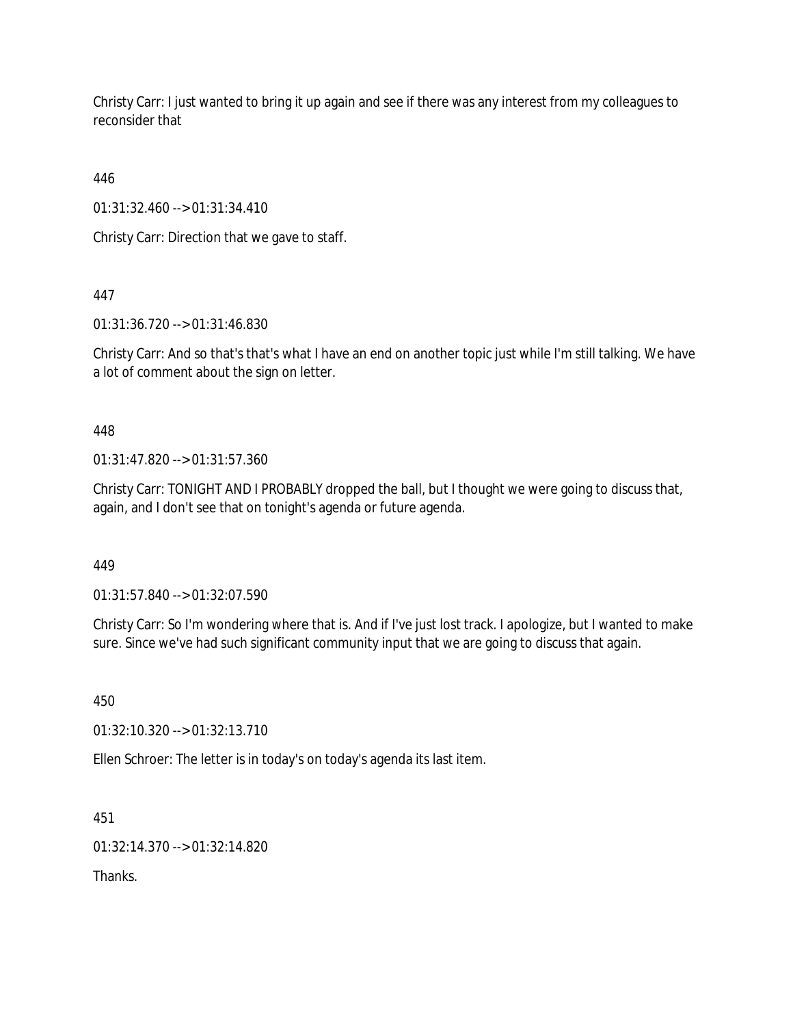Christy Carr: I just wanted to bring it up again and see if there was any interest from my colleagues to reconsider that

446

01:31:32.460 --> 01:31:34.410

Christy Carr: Direction that we gave to staff.

447

01:31:36.720 --> 01:31:46.830

Christy Carr: And so that's that's what I have an end on another topic just while I'm still talking. We have a lot of comment about the sign on letter.

448

01:31:47.820 --> 01:31:57.360

Christy Carr: TONIGHT AND I PROBABLY dropped the ball, but I thought we were going to discuss that, again, and I don't see that on tonight's agenda or future agenda.

449

01:31:57.840 --> 01:32:07.590

Christy Carr: So I'm wondering where that is. And if I've just lost track. I apologize, but I wanted to make sure. Since we've had such significant community input that we are going to discuss that again.

450

01:32:10.320 --> 01:32:13.710

Ellen Schroer: The letter is in today's on today's agenda its last item.

451

01:32:14.370 --> 01:32:14.820

Thanks.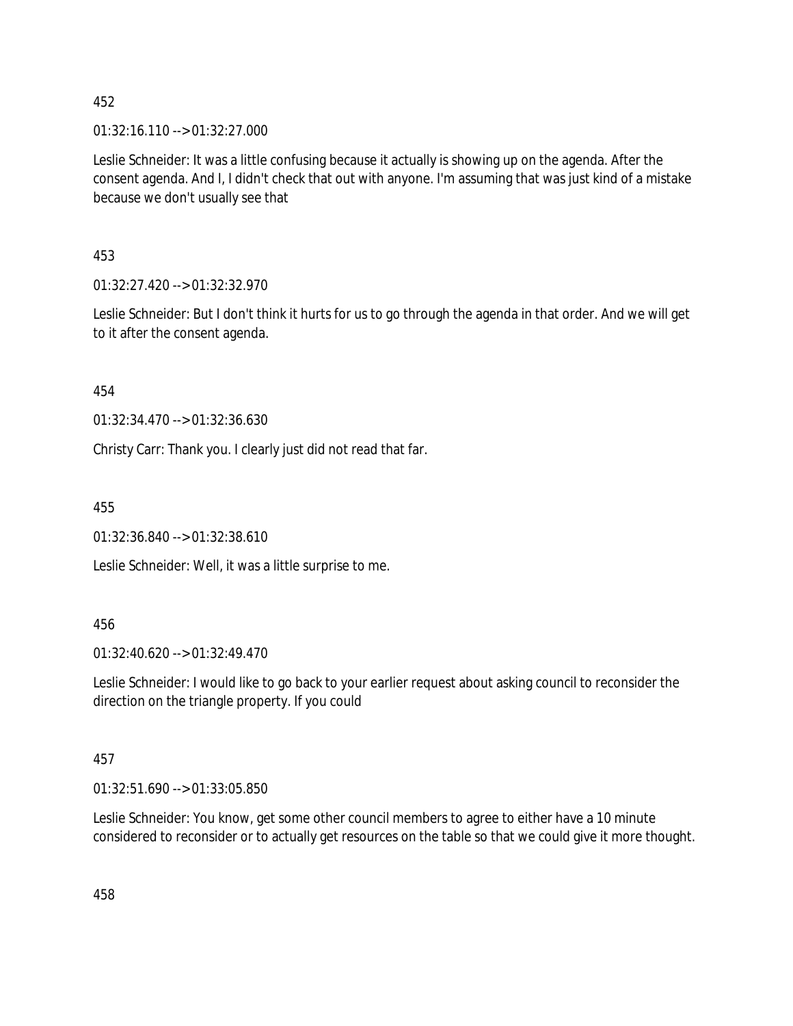01:32:16.110 --> 01:32:27.000

Leslie Schneider: It was a little confusing because it actually is showing up on the agenda. After the consent agenda. And I, I didn't check that out with anyone. I'm assuming that was just kind of a mistake because we don't usually see that

453

01:32:27.420 --> 01:32:32.970

Leslie Schneider: But I don't think it hurts for us to go through the agenda in that order. And we will get to it after the consent agenda.

454

01:32:34.470 --> 01:32:36.630

Christy Carr: Thank you. I clearly just did not read that far.

455

01:32:36.840 --> 01:32:38.610

Leslie Schneider: Well, it was a little surprise to me.

### 456

01:32:40.620 --> 01:32:49.470

Leslie Schneider: I would like to go back to your earlier request about asking council to reconsider the direction on the triangle property. If you could

# 457

01:32:51.690 --> 01:33:05.850

Leslie Schneider: You know, get some other council members to agree to either have a 10 minute considered to reconsider or to actually get resources on the table so that we could give it more thought.

458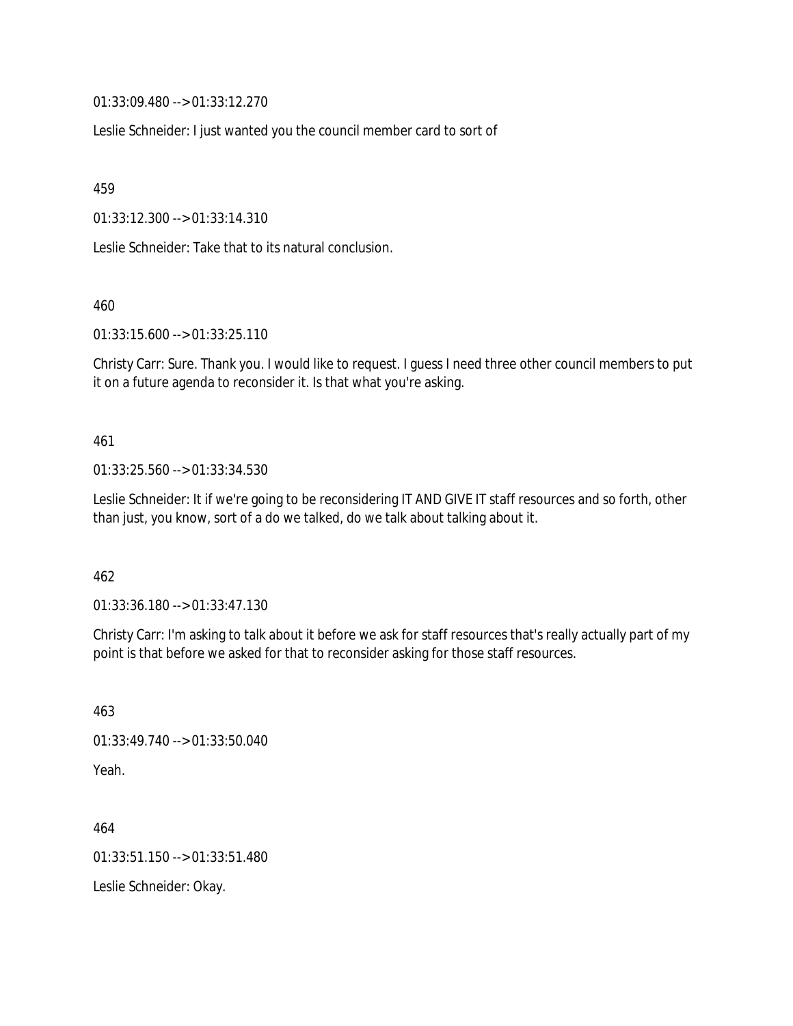01:33:09.480 --> 01:33:12.270

Leslie Schneider: I just wanted you the council member card to sort of

459

01:33:12.300 --> 01:33:14.310

Leslie Schneider: Take that to its natural conclusion.

460

01:33:15.600 --> 01:33:25.110

Christy Carr: Sure. Thank you. I would like to request. I guess I need three other council members to put it on a future agenda to reconsider it. Is that what you're asking.

461

01:33:25.560 --> 01:33:34.530

Leslie Schneider: It if we're going to be reconsidering IT AND GIVE IT staff resources and so forth, other than just, you know, sort of a do we talked, do we talk about talking about it.

462

01:33:36.180 --> 01:33:47.130

Christy Carr: I'm asking to talk about it before we ask for staff resources that's really actually part of my point is that before we asked for that to reconsider asking for those staff resources.

463 01:33:49.740 --> 01:33:50.040 Yeah.

464 01:33:51.150 --> 01:33:51.480 Leslie Schneider: Okay.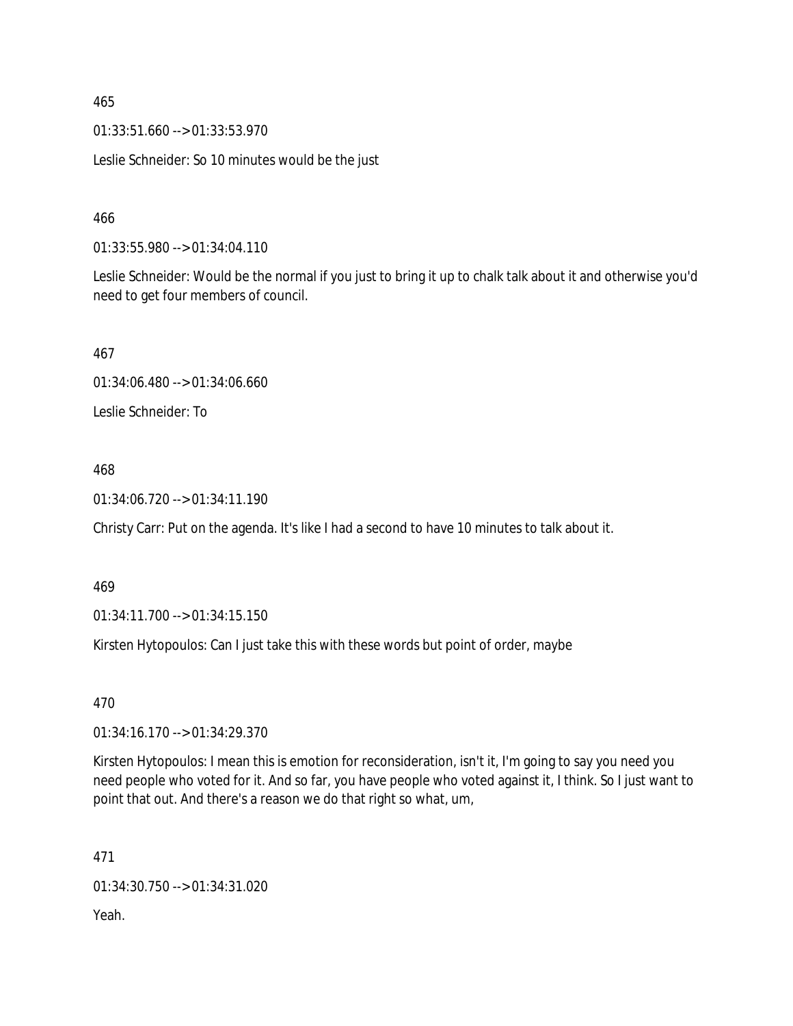01:33:51.660 --> 01:33:53.970

Leslie Schneider: So 10 minutes would be the just

466

01:33:55.980 --> 01:34:04.110

Leslie Schneider: Would be the normal if you just to bring it up to chalk talk about it and otherwise you'd need to get four members of council.

467

01:34:06.480 --> 01:34:06.660

Leslie Schneider: To

### 468

01:34:06.720 --> 01:34:11.190

Christy Carr: Put on the agenda. It's like I had a second to have 10 minutes to talk about it.

### 469

01:34:11.700 --> 01:34:15.150

Kirsten Hytopoulos: Can I just take this with these words but point of order, maybe

470

01:34:16.170 --> 01:34:29.370

Kirsten Hytopoulos: I mean this is emotion for reconsideration, isn't it, I'm going to say you need you need people who voted for it. And so far, you have people who voted against it, I think. So I just want to point that out. And there's a reason we do that right so what, um,

471

01:34:30.750 --> 01:34:31.020

Yeah.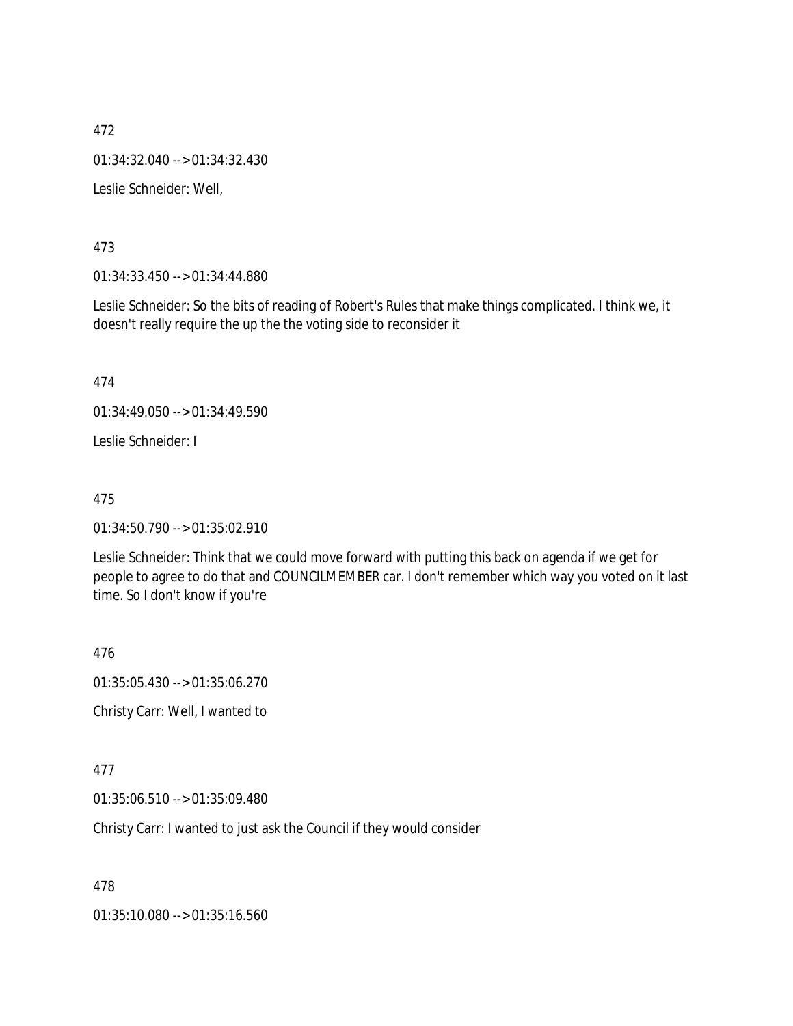472 01:34:32.040 --> 01:34:32.430 Leslie Schneider: Well,

473

01:34:33.450 --> 01:34:44.880

Leslie Schneider: So the bits of reading of Robert's Rules that make things complicated. I think we, it doesn't really require the up the the voting side to reconsider it

474

01:34:49.050 --> 01:34:49.590

Leslie Schneider: I

475

01:34:50.790 --> 01:35:02.910

Leslie Schneider: Think that we could move forward with putting this back on agenda if we get for people to agree to do that and COUNCILMEMBER car. I don't remember which way you voted on it last time. So I don't know if you're

476

01:35:05.430 --> 01:35:06.270 Christy Carr: Well, I wanted to

477

01:35:06.510 --> 01:35:09.480

Christy Carr: I wanted to just ask the Council if they would consider

478

01:35:10.080 --> 01:35:16.560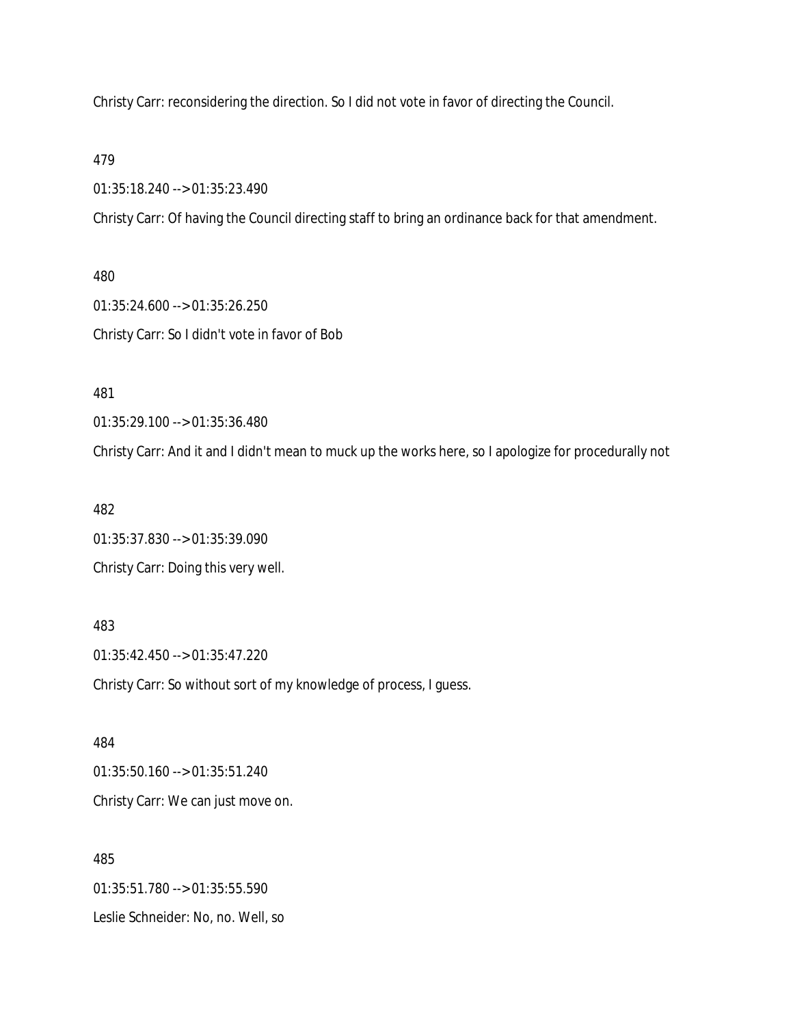Christy Carr: reconsidering the direction. So I did not vote in favor of directing the Council.

479

01:35:18.240 --> 01:35:23.490

Christy Carr: Of having the Council directing staff to bring an ordinance back for that amendment.

480 01:35:24.600 --> 01:35:26.250 Christy Carr: So I didn't vote in favor of Bob

481

01:35:29.100 --> 01:35:36.480

Christy Carr: And it and I didn't mean to muck up the works here, so I apologize for procedurally not

482

01:35:37.830 --> 01:35:39.090 Christy Carr: Doing this very well.

483

01:35:42.450 --> 01:35:47.220 Christy Carr: So without sort of my knowledge of process, I guess.

484 01:35:50.160 --> 01:35:51.240 Christy Carr: We can just move on.

485 01:35:51.780 --> 01:35:55.590 Leslie Schneider: No, no. Well, so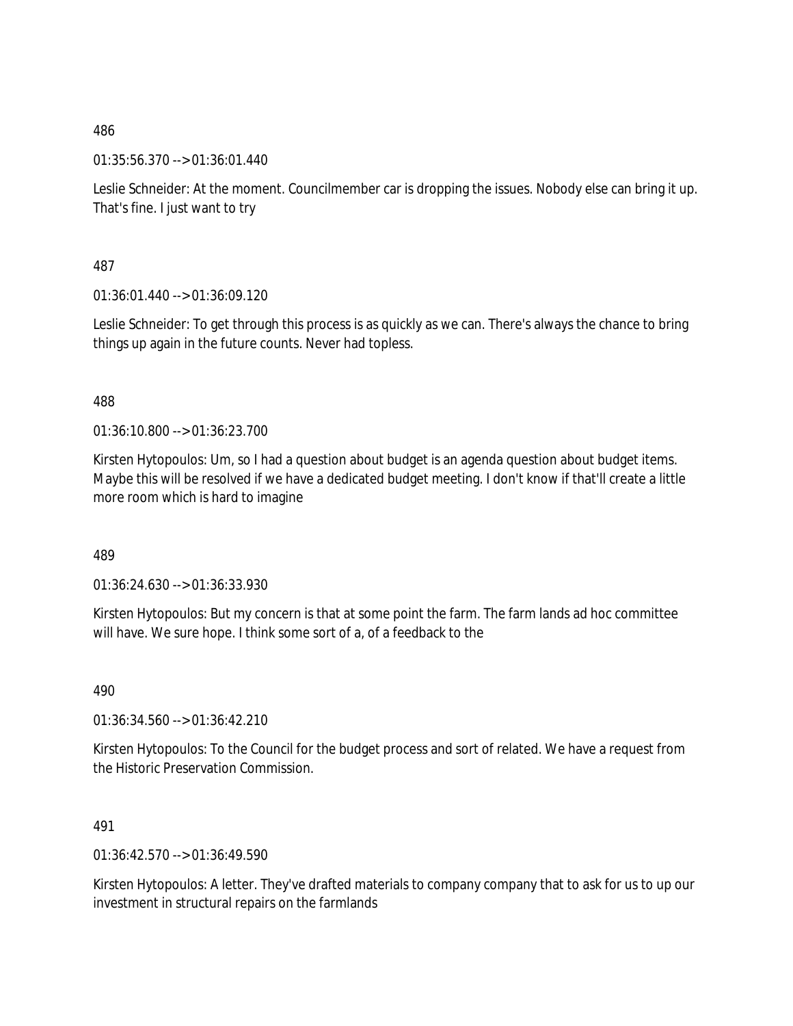01:35:56.370 --> 01:36:01.440

Leslie Schneider: At the moment. Councilmember car is dropping the issues. Nobody else can bring it up. That's fine. I just want to try

487

01:36:01.440 --> 01:36:09.120

Leslie Schneider: To get through this process is as quickly as we can. There's always the chance to bring things up again in the future counts. Never had topless.

488

01:36:10.800 --> 01:36:23.700

Kirsten Hytopoulos: Um, so I had a question about budget is an agenda question about budget items. Maybe this will be resolved if we have a dedicated budget meeting. I don't know if that'll create a little more room which is hard to imagine

489

01:36:24.630 --> 01:36:33.930

Kirsten Hytopoulos: But my concern is that at some point the farm. The farm lands ad hoc committee will have. We sure hope. I think some sort of a, of a feedback to the

490

01:36:34.560 --> 01:36:42.210

Kirsten Hytopoulos: To the Council for the budget process and sort of related. We have a request from the Historic Preservation Commission.

491

01:36:42.570 --> 01:36:49.590

Kirsten Hytopoulos: A letter. They've drafted materials to company company that to ask for us to up our investment in structural repairs on the farmlands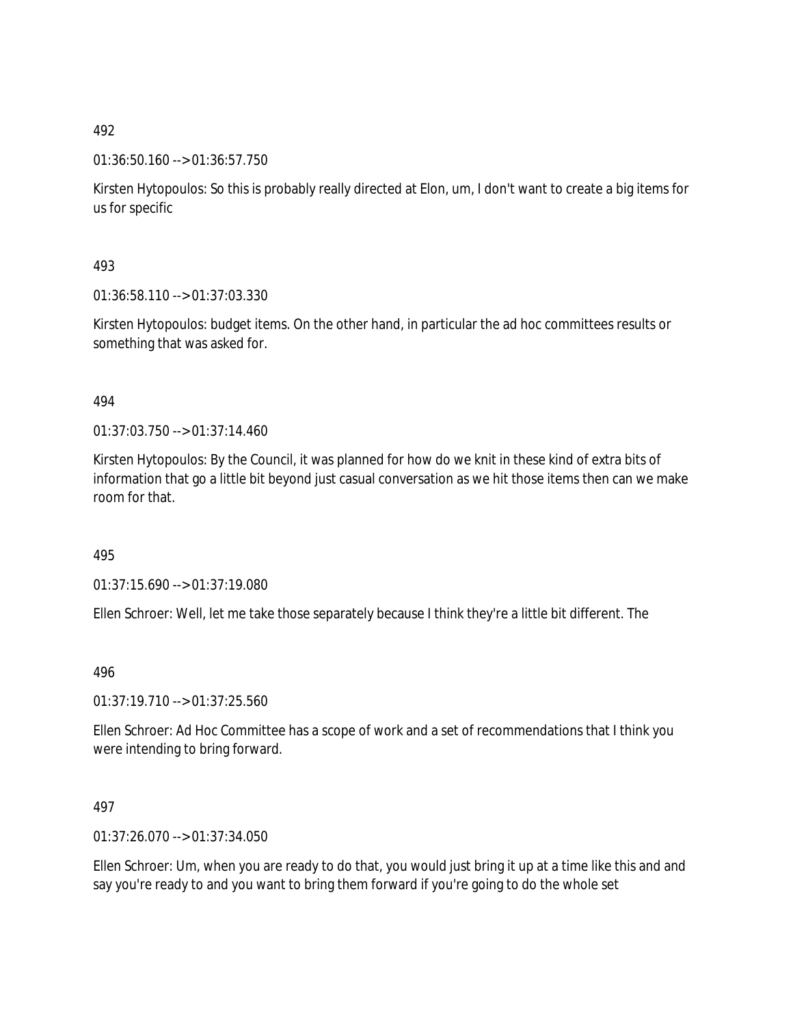### 01:36:50.160 --> 01:36:57.750

Kirsten Hytopoulos: So this is probably really directed at Elon, um, I don't want to create a big items for us for specific

### 493

01:36:58.110 --> 01:37:03.330

Kirsten Hytopoulos: budget items. On the other hand, in particular the ad hoc committees results or something that was asked for.

### 494

01:37:03.750 --> 01:37:14.460

Kirsten Hytopoulos: By the Council, it was planned for how do we knit in these kind of extra bits of information that go a little bit beyond just casual conversation as we hit those items then can we make room for that.

### 495

01:37:15.690 --> 01:37:19.080

Ellen Schroer: Well, let me take those separately because I think they're a little bit different. The

### 496

01:37:19.710 --> 01:37:25.560

Ellen Schroer: Ad Hoc Committee has a scope of work and a set of recommendations that I think you were intending to bring forward.

### 497

01:37:26.070 --> 01:37:34.050

Ellen Schroer: Um, when you are ready to do that, you would just bring it up at a time like this and and say you're ready to and you want to bring them forward if you're going to do the whole set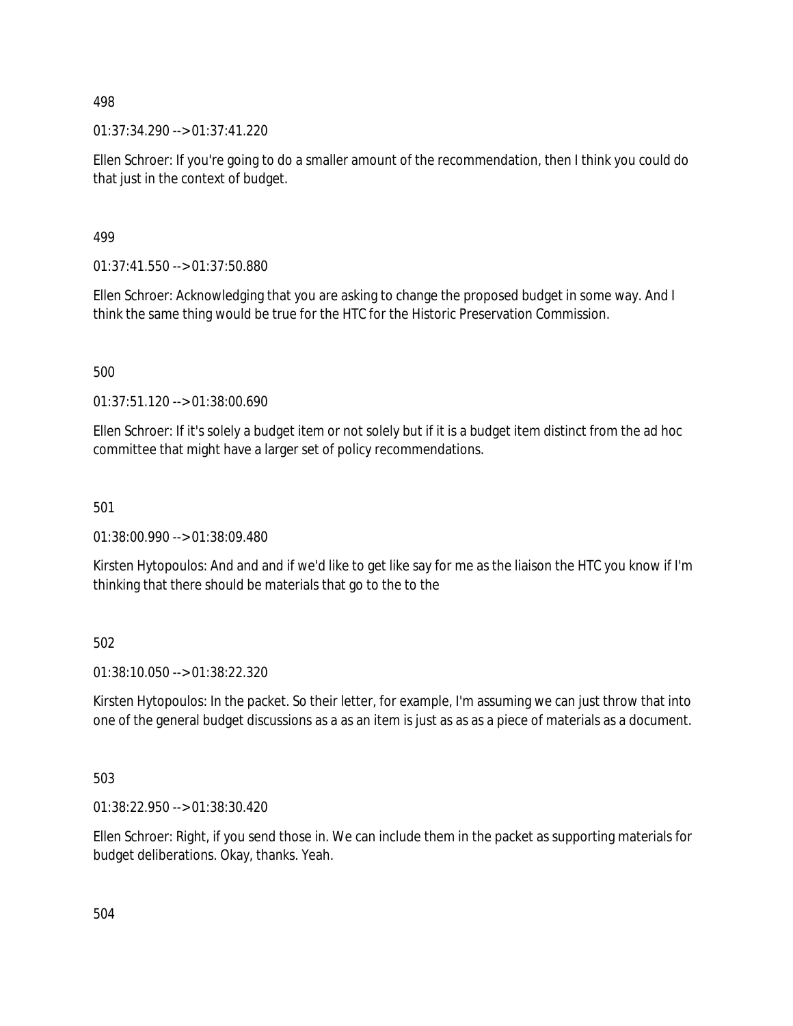01:37:34.290 --> 01:37:41.220

Ellen Schroer: If you're going to do a smaller amount of the recommendation, then I think you could do that just in the context of budget.

499

01:37:41.550 --> 01:37:50.880

Ellen Schroer: Acknowledging that you are asking to change the proposed budget in some way. And I think the same thing would be true for the HTC for the Historic Preservation Commission.

500

01:37:51.120 --> 01:38:00.690

Ellen Schroer: If it's solely a budget item or not solely but if it is a budget item distinct from the ad hoc committee that might have a larger set of policy recommendations.

501

01:38:00.990 --> 01:38:09.480

Kirsten Hytopoulos: And and and if we'd like to get like say for me as the liaison the HTC you know if I'm thinking that there should be materials that go to the to the

502

01:38:10.050 --> 01:38:22.320

Kirsten Hytopoulos: In the packet. So their letter, for example, I'm assuming we can just throw that into one of the general budget discussions as a as an item is just as as as a piece of materials as a document.

503

01:38:22.950 --> 01:38:30.420

Ellen Schroer: Right, if you send those in. We can include them in the packet as supporting materials for budget deliberations. Okay, thanks. Yeah.

504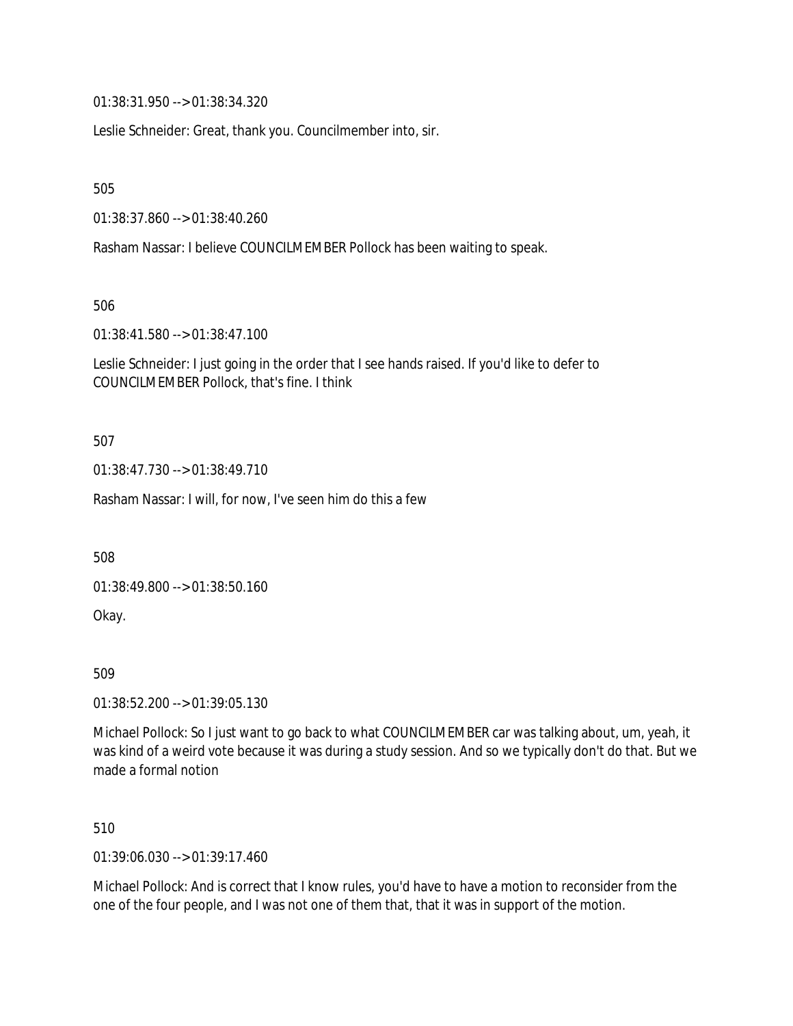01:38:31.950 --> 01:38:34.320

Leslie Schneider: Great, thank you. Councilmember into, sir.

505

01:38:37.860 --> 01:38:40.260

Rasham Nassar: I believe COUNCILMEMBER Pollock has been waiting to speak.

506

01:38:41.580 --> 01:38:47.100

Leslie Schneider: I just going in the order that I see hands raised. If you'd like to defer to COUNCILMEMBER Pollock, that's fine. I think

507

01:38:47.730 --> 01:38:49.710

Rasham Nassar: I will, for now, I've seen him do this a few

508

01:38:49.800 --> 01:38:50.160

Okay.

509

01:38:52.200 --> 01:39:05.130

Michael Pollock: So I just want to go back to what COUNCILMEMBER car was talking about, um, yeah, it was kind of a weird vote because it was during a study session. And so we typically don't do that. But we made a formal notion

510

01:39:06.030 --> 01:39:17.460

Michael Pollock: And is correct that I know rules, you'd have to have a motion to reconsider from the one of the four people, and I was not one of them that, that it was in support of the motion.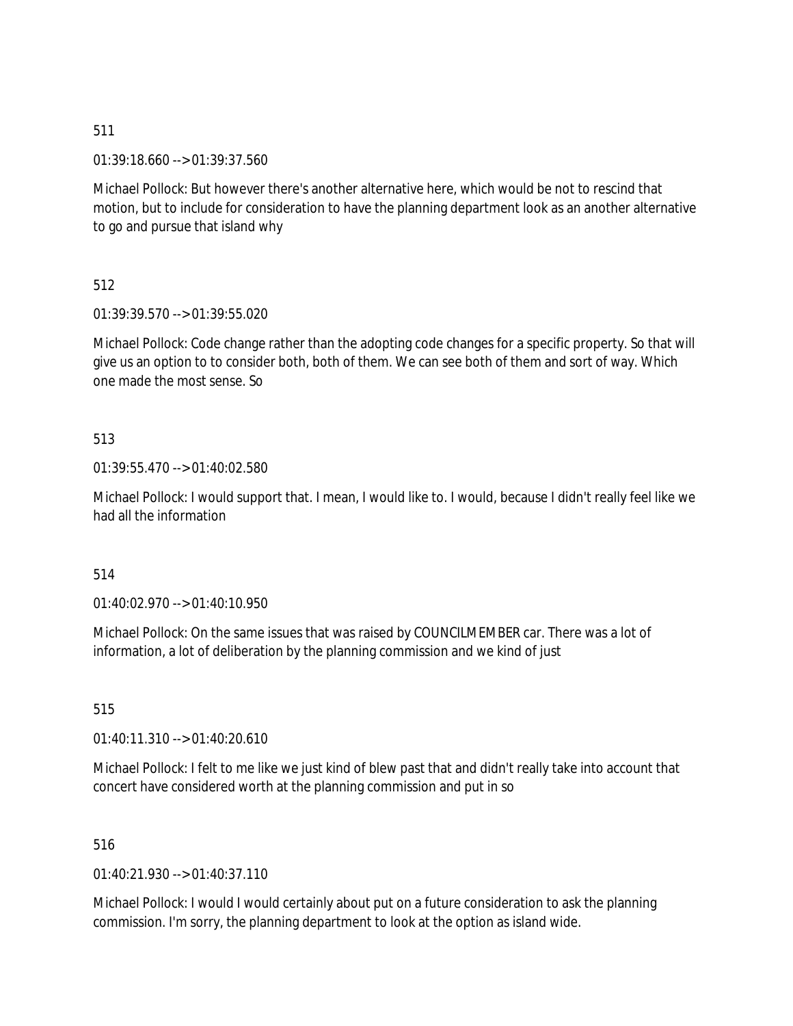01:39:18.660 --> 01:39:37.560

Michael Pollock: But however there's another alternative here, which would be not to rescind that motion, but to include for consideration to have the planning department look as an another alternative to go and pursue that island why

512

01:39:39.570 --> 01:39:55.020

Michael Pollock: Code change rather than the adopting code changes for a specific property. So that will give us an option to to consider both, both of them. We can see both of them and sort of way. Which one made the most sense. So

## 513

01:39:55.470 --> 01:40:02.580

Michael Pollock: I would support that. I mean, I would like to. I would, because I didn't really feel like we had all the information

### 514

 $01:40:02.970 \rightarrow 01:40:10.950$ 

Michael Pollock: On the same issues that was raised by COUNCILMEMBER car. There was a lot of information, a lot of deliberation by the planning commission and we kind of just

515

01:40:11.310 --> 01:40:20.610

Michael Pollock: I felt to me like we just kind of blew past that and didn't really take into account that concert have considered worth at the planning commission and put in so

516

01:40:21.930 --> 01:40:37.110

Michael Pollock: I would I would certainly about put on a future consideration to ask the planning commission. I'm sorry, the planning department to look at the option as island wide.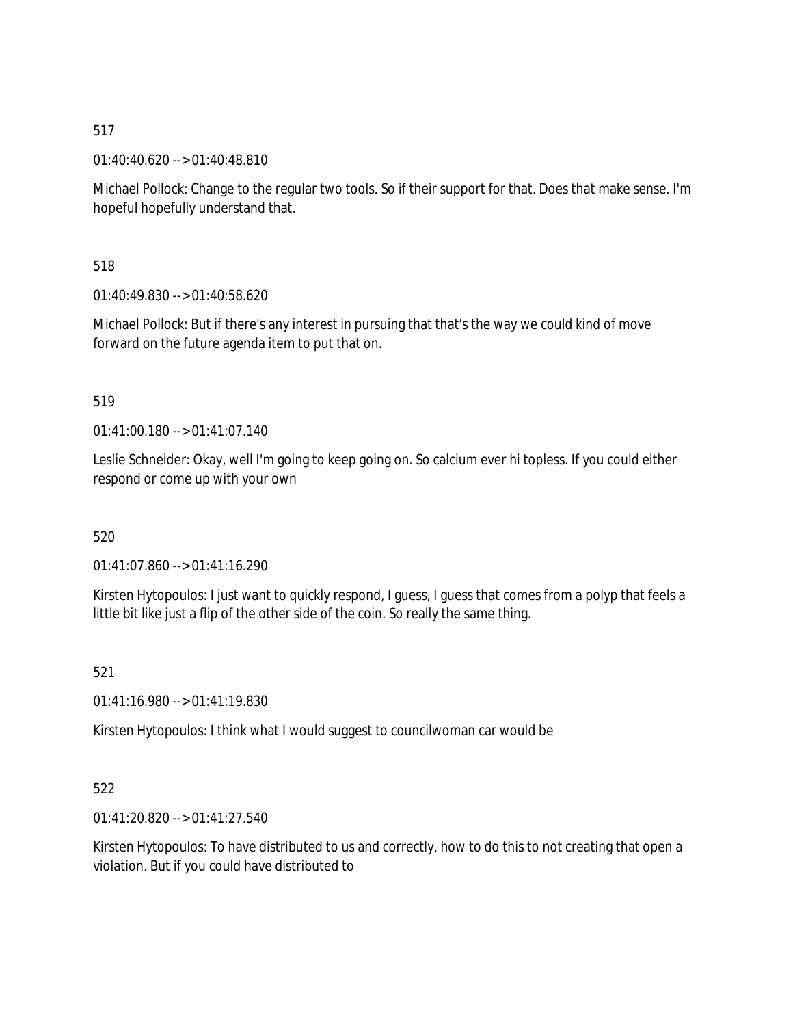01:40:40.620 --> 01:40:48.810

Michael Pollock: Change to the regular two tools. So if their support for that. Does that make sense. I'm hopeful hopefully understand that.

518

01:40:49.830 --> 01:40:58.620

Michael Pollock: But if there's any interest in pursuing that that's the way we could kind of move forward on the future agenda item to put that on.

# 519

01:41:00.180 --> 01:41:07.140

Leslie Schneider: Okay, well I'm going to keep going on. So calcium ever hi topless. If you could either respond or come up with your own

# 520

01:41:07.860 --> 01:41:16.290

Kirsten Hytopoulos: I just want to quickly respond, I guess, I guess that comes from a polyp that feels a little bit like just a flip of the other side of the coin. So really the same thing.

# 521

01:41:16.980 --> 01:41:19.830

Kirsten Hytopoulos: I think what I would suggest to councilwoman car would be

# 522

01:41:20.820 --> 01:41:27.540

Kirsten Hytopoulos: To have distributed to us and correctly, how to do this to not creating that open a violation. But if you could have distributed to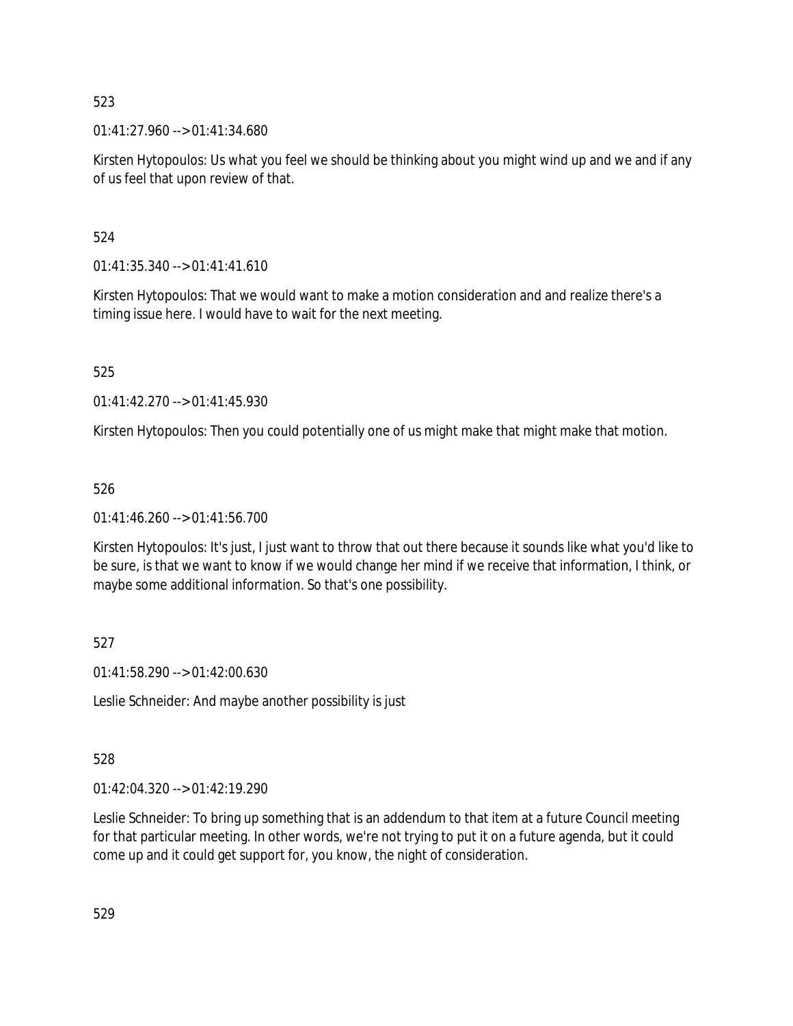01:41:27.960 --> 01:41:34.680

Kirsten Hytopoulos: Us what you feel we should be thinking about you might wind up and we and if any of us feel that upon review of that.

# 524

 $01:41:35.340 \rightarrow 01:41:41.610$ 

Kirsten Hytopoulos: That we would want to make a motion consideration and and realize there's a timing issue here. I would have to wait for the next meeting.

525

01:41:42.270 --> 01:41:45.930

Kirsten Hytopoulos: Then you could potentially one of us might make that might make that motion.

# 526

01:41:46.260 --> 01:41:56.700

Kirsten Hytopoulos: It's just, I just want to throw that out there because it sounds like what you'd like to be sure, is that we want to know if we would change her mind if we receive that information, I think, or maybe some additional information. So that's one possibility.

# 527

01:41:58.290 --> 01:42:00.630

Leslie Schneider: And maybe another possibility is just

# 528

01:42:04.320 --> 01:42:19.290

Leslie Schneider: To bring up something that is an addendum to that item at a future Council meeting for that particular meeting. In other words, we're not trying to put it on a future agenda, but it could come up and it could get support for, you know, the night of consideration.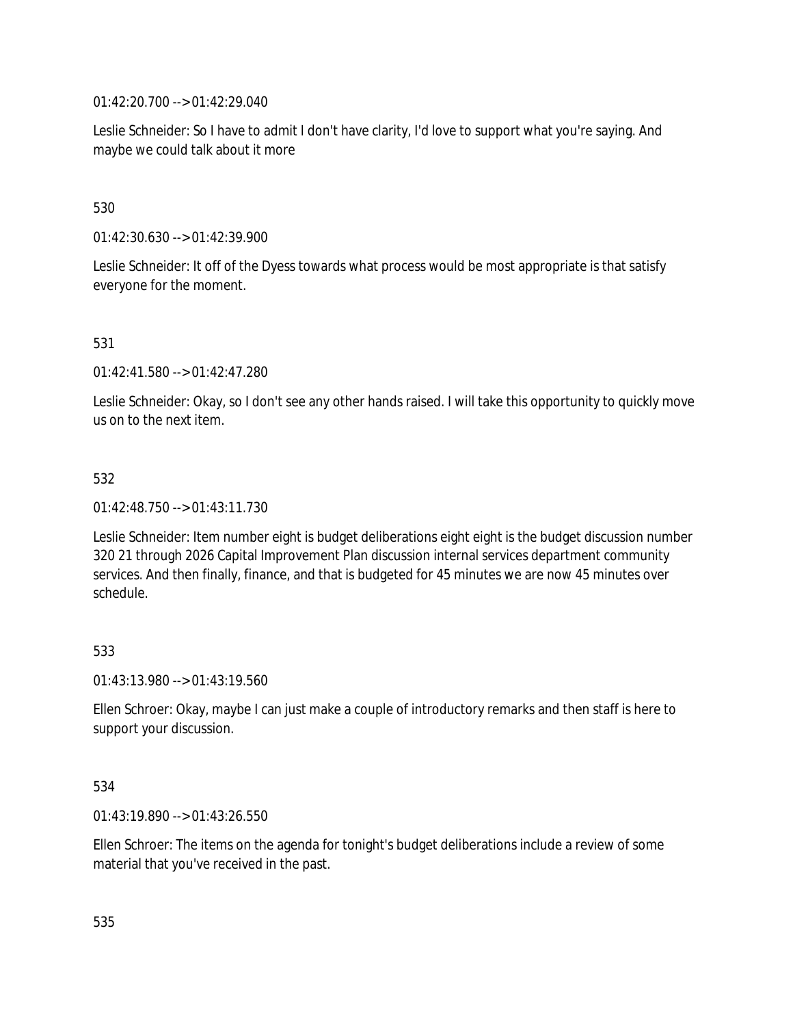01:42:20.700 --> 01:42:29.040

Leslie Schneider: So I have to admit I don't have clarity, I'd love to support what you're saying. And maybe we could talk about it more

## 530

01:42:30.630 --> 01:42:39.900

Leslie Schneider: It off of the Dyess towards what process would be most appropriate is that satisfy everyone for the moment.

## 531

01:42:41.580 --> 01:42:47.280

Leslie Schneider: Okay, so I don't see any other hands raised. I will take this opportunity to quickly move us on to the next item.

## 532

01:42:48.750 --> 01:43:11.730

Leslie Schneider: Item number eight is budget deliberations eight eight is the budget discussion number 320 21 through 2026 Capital Improvement Plan discussion internal services department community services. And then finally, finance, and that is budgeted for 45 minutes we are now 45 minutes over schedule.

### 533

01:43:13.980 --> 01:43:19.560

Ellen Schroer: Okay, maybe I can just make a couple of introductory remarks and then staff is here to support your discussion.

### 534

01:43:19.890 --> 01:43:26.550

Ellen Schroer: The items on the agenda for tonight's budget deliberations include a review of some material that you've received in the past.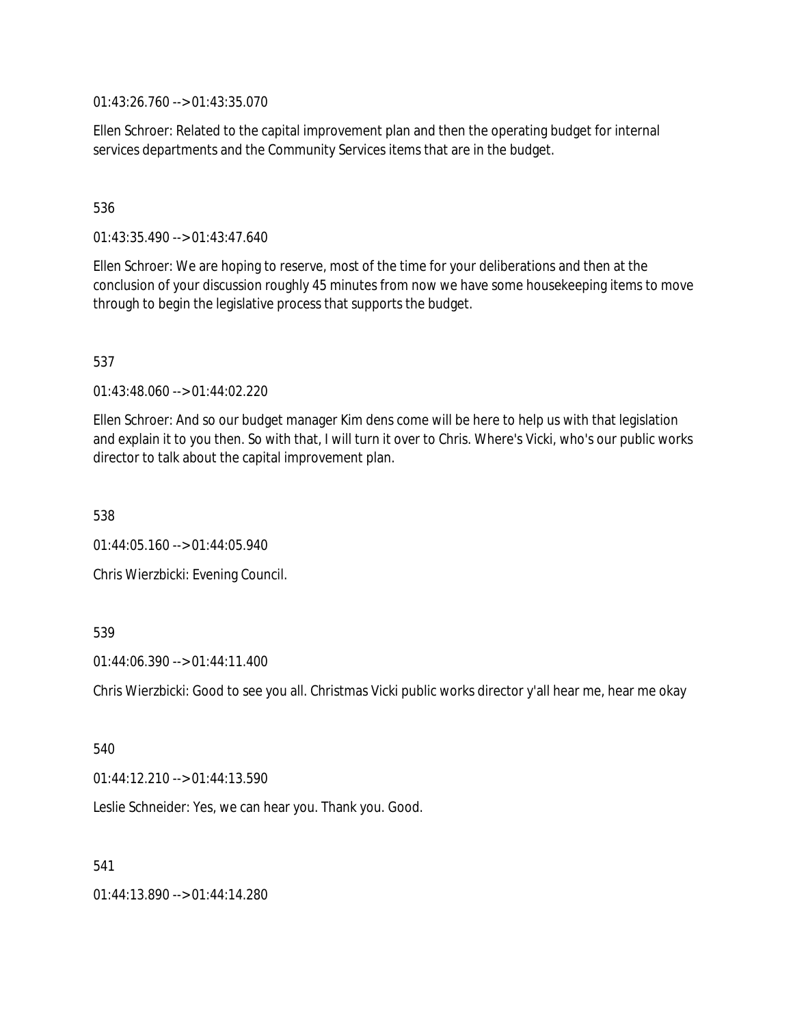01:43:26.760 --> 01:43:35.070

Ellen Schroer: Related to the capital improvement plan and then the operating budget for internal services departments and the Community Services items that are in the budget.

### 536

01:43:35.490 --> 01:43:47.640

Ellen Schroer: We are hoping to reserve, most of the time for your deliberations and then at the conclusion of your discussion roughly 45 minutes from now we have some housekeeping items to move through to begin the legislative process that supports the budget.

### 537

01:43:48.060 --> 01:44:02.220

Ellen Schroer: And so our budget manager Kim dens come will be here to help us with that legislation and explain it to you then. So with that, I will turn it over to Chris. Where's Vicki, who's our public works director to talk about the capital improvement plan.

538

 $01:44:05.160 \rightarrow 01:44:05.940$ 

Chris Wierzbicki: Evening Council.

### 539

01:44:06.390 --> 01:44:11.400

Chris Wierzbicki: Good to see you all. Christmas Vicki public works director y'all hear me, hear me okay

### 540

01:44:12.210 --> 01:44:13.590

Leslie Schneider: Yes, we can hear you. Thank you. Good.

### 541

01:44:13.890 --> 01:44:14.280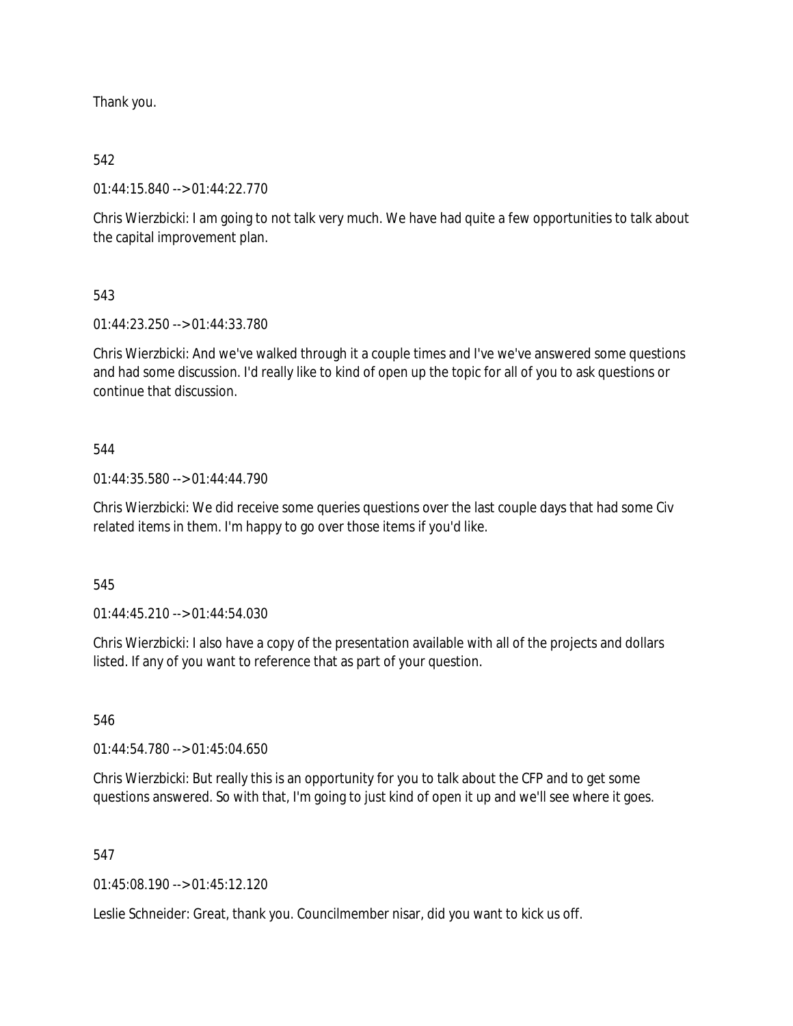Thank you.

# 542

01:44:15.840 --> 01:44:22.770

Chris Wierzbicki: I am going to not talk very much. We have had quite a few opportunities to talk about the capital improvement plan.

# 543

01:44:23.250 --> 01:44:33.780

Chris Wierzbicki: And we've walked through it a couple times and I've we've answered some questions and had some discussion. I'd really like to kind of open up the topic for all of you to ask questions or continue that discussion.

# 544

01:44:35.580 --> 01:44:44.790

Chris Wierzbicki: We did receive some queries questions over the last couple days that had some Civ related items in them. I'm happy to go over those items if you'd like.

# 545

01:44:45.210 --> 01:44:54.030

Chris Wierzbicki: I also have a copy of the presentation available with all of the projects and dollars listed. If any of you want to reference that as part of your question.

# 546

01:44:54.780 --> 01:45:04.650

Chris Wierzbicki: But really this is an opportunity for you to talk about the CFP and to get some questions answered. So with that, I'm going to just kind of open it up and we'll see where it goes.

# 547

01:45:08.190 --> 01:45:12.120

Leslie Schneider: Great, thank you. Councilmember nisar, did you want to kick us off.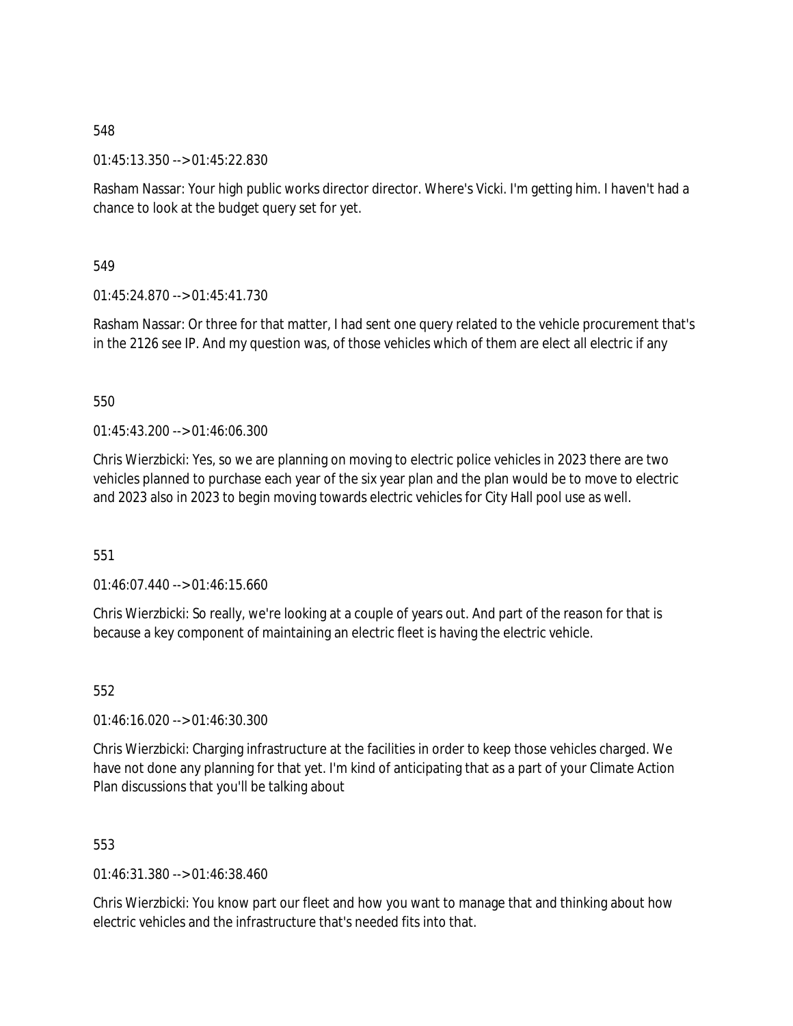01:45:13.350 --> 01:45:22.830

Rasham Nassar: Your high public works director director. Where's Vicki. I'm getting him. I haven't had a chance to look at the budget query set for yet.

549

01:45:24.870 --> 01:45:41.730

Rasham Nassar: Or three for that matter, I had sent one query related to the vehicle procurement that's in the 2126 see IP. And my question was, of those vehicles which of them are elect all electric if any

550

01:45:43.200 --> 01:46:06.300

Chris Wierzbicki: Yes, so we are planning on moving to electric police vehicles in 2023 there are two vehicles planned to purchase each year of the six year plan and the plan would be to move to electric and 2023 also in 2023 to begin moving towards electric vehicles for City Hall pool use as well.

551

01:46:07.440 --> 01:46:15.660

Chris Wierzbicki: So really, we're looking at a couple of years out. And part of the reason for that is because a key component of maintaining an electric fleet is having the electric vehicle.

552

01:46:16.020 --> 01:46:30.300

Chris Wierzbicki: Charging infrastructure at the facilities in order to keep those vehicles charged. We have not done any planning for that yet. I'm kind of anticipating that as a part of your Climate Action Plan discussions that you'll be talking about

553

01:46:31.380 --> 01:46:38.460

Chris Wierzbicki: You know part our fleet and how you want to manage that and thinking about how electric vehicles and the infrastructure that's needed fits into that.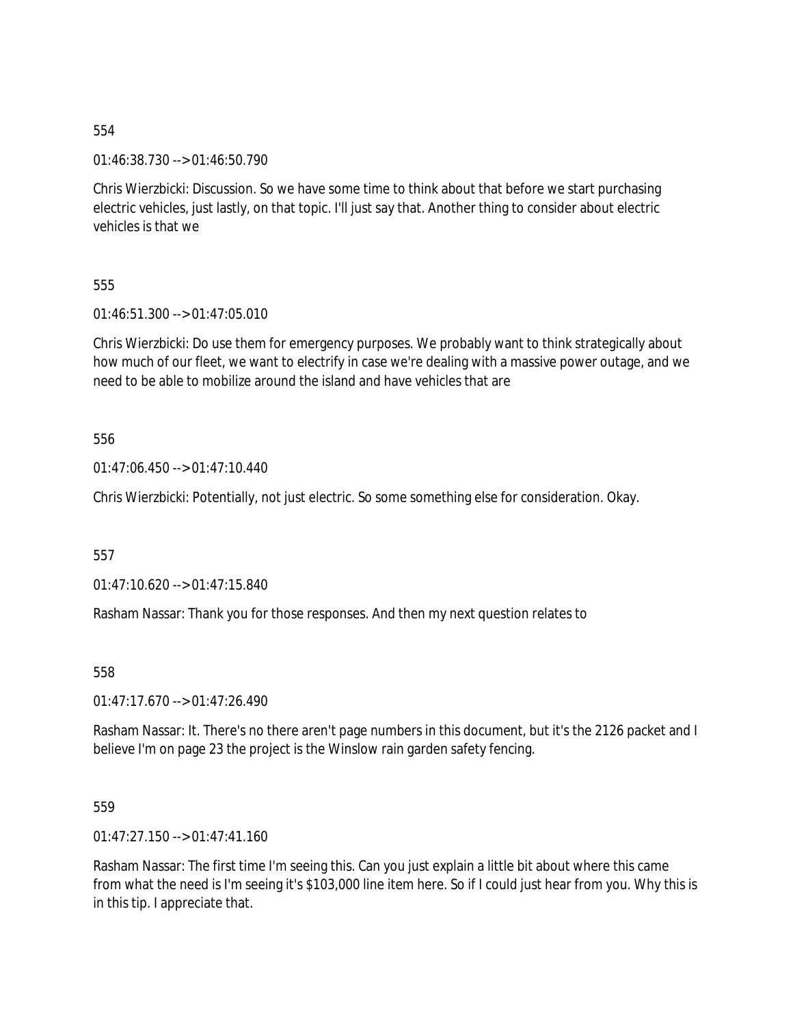01:46:38.730 --> 01:46:50.790

Chris Wierzbicki: Discussion. So we have some time to think about that before we start purchasing electric vehicles, just lastly, on that topic. I'll just say that. Another thing to consider about electric vehicles is that we

555

01:46:51.300 --> 01:47:05.010

Chris Wierzbicki: Do use them for emergency purposes. We probably want to think strategically about how much of our fleet, we want to electrify in case we're dealing with a massive power outage, and we need to be able to mobilize around the island and have vehicles that are

556

01:47:06.450 --> 01:47:10.440

Chris Wierzbicki: Potentially, not just electric. So some something else for consideration. Okay.

557

01:47:10.620 --> 01:47:15.840

Rasham Nassar: Thank you for those responses. And then my next question relates to

558

 $01:47:17.670 \rightarrow 01:47:26.490$ 

Rasham Nassar: It. There's no there aren't page numbers in this document, but it's the 2126 packet and I believe I'm on page 23 the project is the Winslow rain garden safety fencing.

559

01:47:27.150 --> 01:47:41.160

Rasham Nassar: The first time I'm seeing this. Can you just explain a little bit about where this came from what the need is I'm seeing it's \$103,000 line item here. So if I could just hear from you. Why this is in this tip. I appreciate that.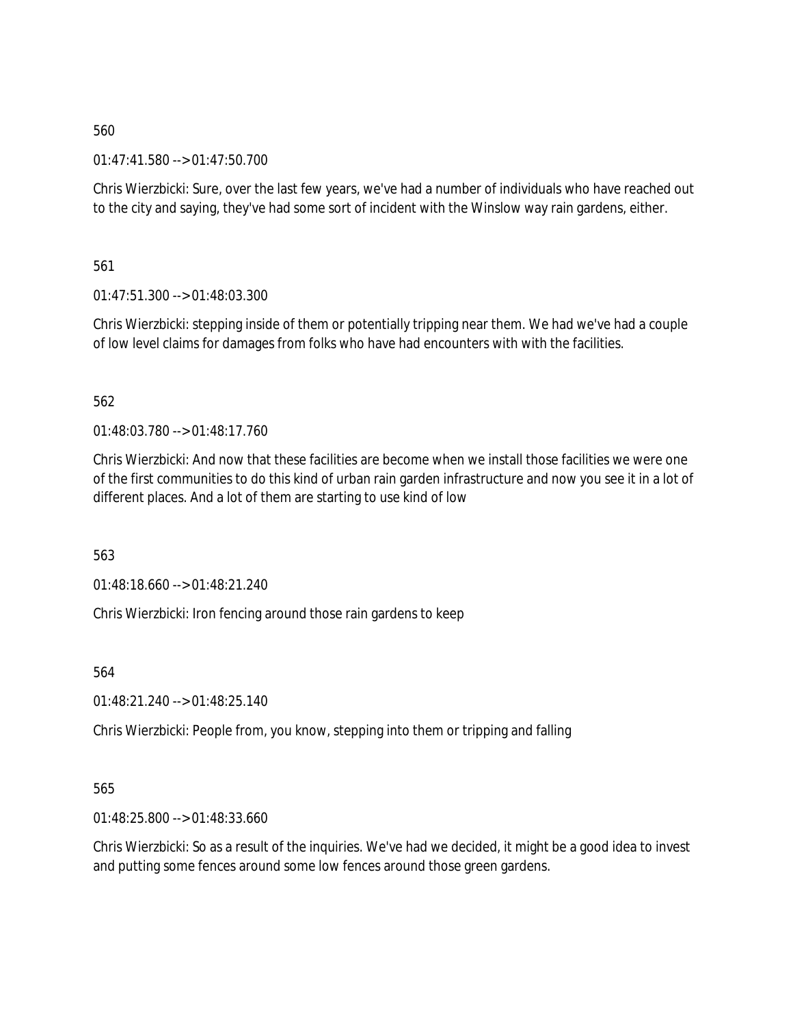01:47:41.580 --> 01:47:50.700

Chris Wierzbicki: Sure, over the last few years, we've had a number of individuals who have reached out to the city and saying, they've had some sort of incident with the Winslow way rain gardens, either.

561

01:47:51.300 --> 01:48:03.300

Chris Wierzbicki: stepping inside of them or potentially tripping near them. We had we've had a couple of low level claims for damages from folks who have had encounters with with the facilities.

# 562

01:48:03.780 --> 01:48:17.760

Chris Wierzbicki: And now that these facilities are become when we install those facilities we were one of the first communities to do this kind of urban rain garden infrastructure and now you see it in a lot of different places. And a lot of them are starting to use kind of low

563

01:48:18.660 --> 01:48:21.240

Chris Wierzbicki: Iron fencing around those rain gardens to keep

564

01:48:21.240 --> 01:48:25.140

Chris Wierzbicki: People from, you know, stepping into them or tripping and falling

# 565

01:48:25.800 --> 01:48:33.660

Chris Wierzbicki: So as a result of the inquiries. We've had we decided, it might be a good idea to invest and putting some fences around some low fences around those green gardens.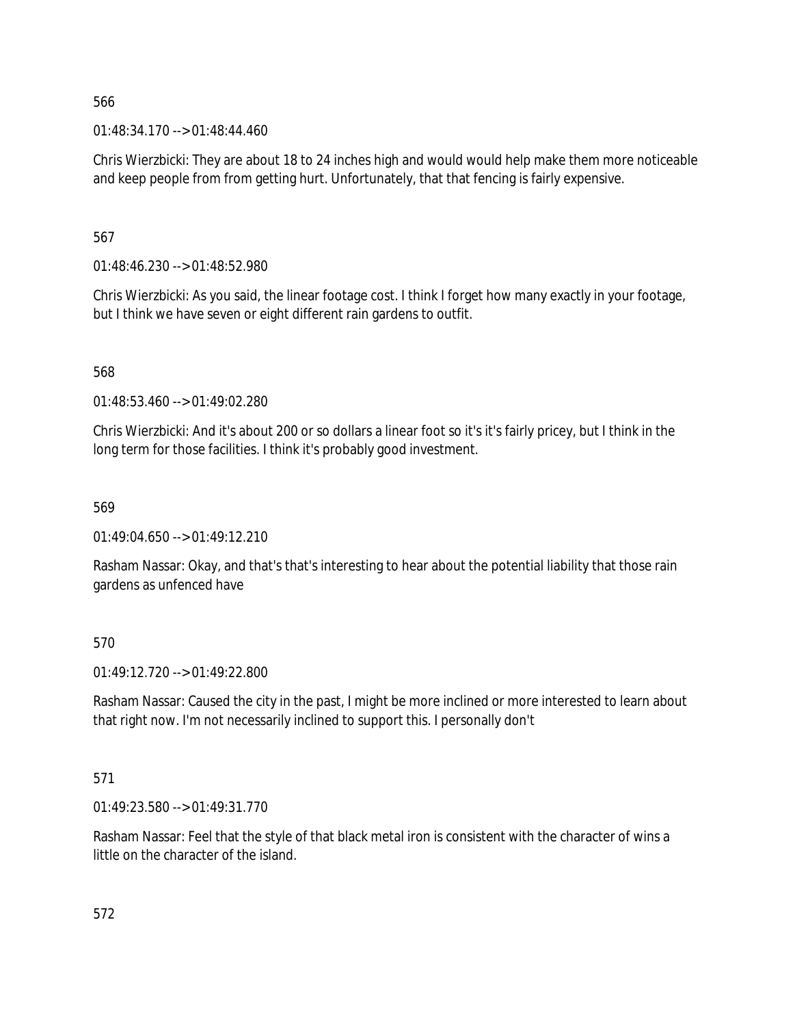$01:48:34.170 \rightarrow 01:48:44.460$ 

Chris Wierzbicki: They are about 18 to 24 inches high and would would help make them more noticeable and keep people from from getting hurt. Unfortunately, that that fencing is fairly expensive.

567

01:48:46.230 --> 01:48:52.980

Chris Wierzbicki: As you said, the linear footage cost. I think I forget how many exactly in your footage, but I think we have seven or eight different rain gardens to outfit.

568

01:48:53.460 --> 01:49:02.280

Chris Wierzbicki: And it's about 200 or so dollars a linear foot so it's it's fairly pricey, but I think in the long term for those facilities. I think it's probably good investment.

569

 $01:49:04.650 \rightarrow 01:49:12.210$ 

Rasham Nassar: Okay, and that's that's interesting to hear about the potential liability that those rain gardens as unfenced have

570

01:49:12.720 --> 01:49:22.800

Rasham Nassar: Caused the city in the past, I might be more inclined or more interested to learn about that right now. I'm not necessarily inclined to support this. I personally don't

571

01:49:23.580 --> 01:49:31.770

Rasham Nassar: Feel that the style of that black metal iron is consistent with the character of wins a little on the character of the island.

572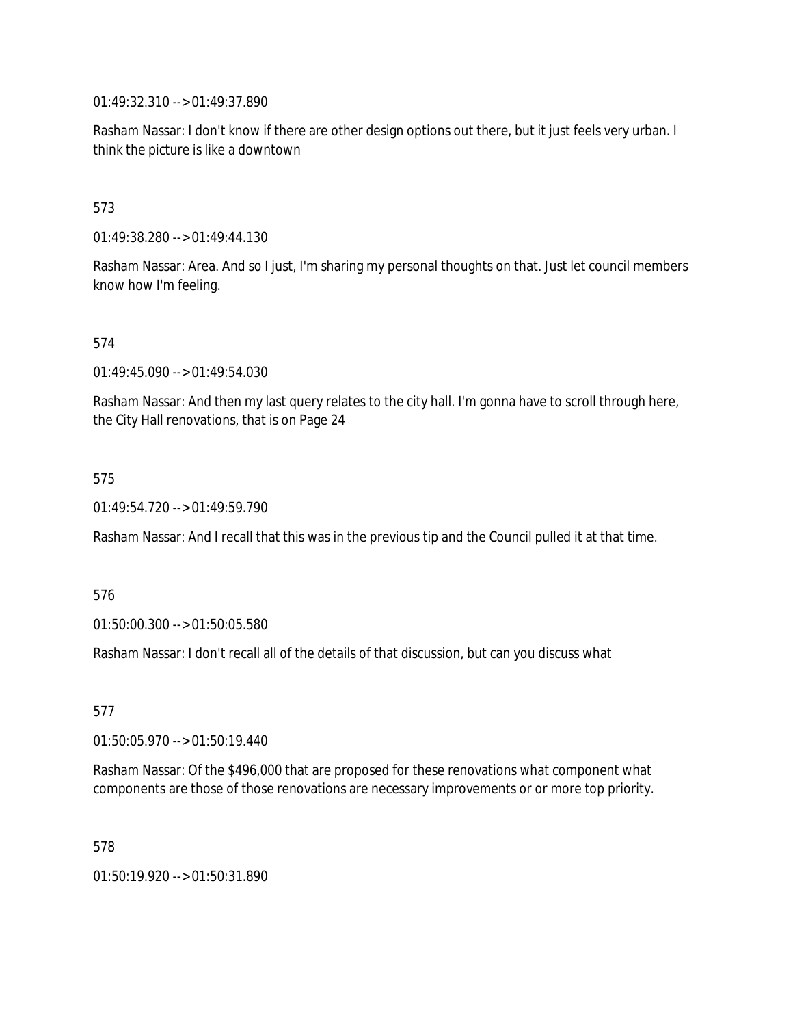01:49:32.310 --> 01:49:37.890

Rasham Nassar: I don't know if there are other design options out there, but it just feels very urban. I think the picture is like a downtown

## 573

01:49:38.280 --> 01:49:44.130

Rasham Nassar: Area. And so I just, I'm sharing my personal thoughts on that. Just let council members know how I'm feeling.

### 574

01:49:45.090 --> 01:49:54.030

Rasham Nassar: And then my last query relates to the city hall. I'm gonna have to scroll through here, the City Hall renovations, that is on Page 24

### 575

01:49:54.720 --> 01:49:59.790

Rasham Nassar: And I recall that this was in the previous tip and the Council pulled it at that time.

### 576

01:50:00.300 --> 01:50:05.580

Rasham Nassar: I don't recall all of the details of that discussion, but can you discuss what

577

01:50:05.970 --> 01:50:19.440

Rasham Nassar: Of the \$496,000 that are proposed for these renovations what component what components are those of those renovations are necessary improvements or or more top priority.

578

01:50:19.920 --> 01:50:31.890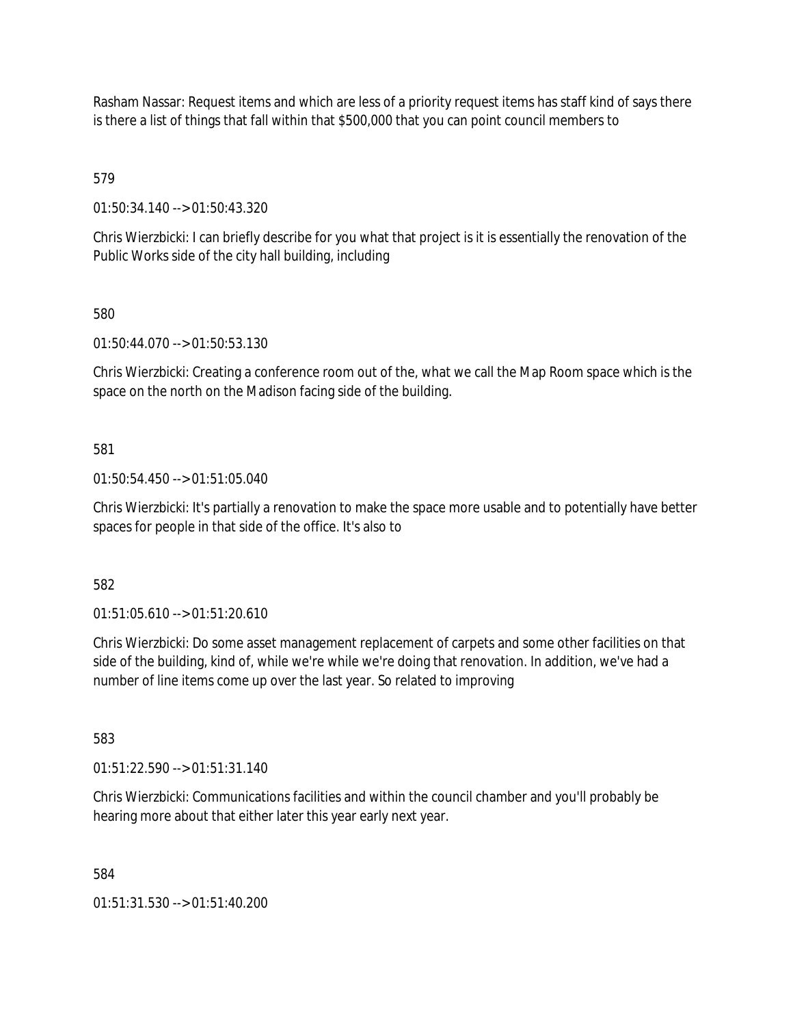Rasham Nassar: Request items and which are less of a priority request items has staff kind of says there is there a list of things that fall within that \$500,000 that you can point council members to

579

01:50:34.140 --> 01:50:43.320

Chris Wierzbicki: I can briefly describe for you what that project is it is essentially the renovation of the Public Works side of the city hall building, including

580

01:50:44.070 --> 01:50:53.130

Chris Wierzbicki: Creating a conference room out of the, what we call the Map Room space which is the space on the north on the Madison facing side of the building.

581

01:50:54.450 --> 01:51:05.040

Chris Wierzbicki: It's partially a renovation to make the space more usable and to potentially have better spaces for people in that side of the office. It's also to

582

01:51:05.610 --> 01:51:20.610

Chris Wierzbicki: Do some asset management replacement of carpets and some other facilities on that side of the building, kind of, while we're while we're doing that renovation. In addition, we've had a number of line items come up over the last year. So related to improving

583

01:51:22.590 --> 01:51:31.140

Chris Wierzbicki: Communications facilities and within the council chamber and you'll probably be hearing more about that either later this year early next year.

584

01:51:31.530 --> 01:51:40.200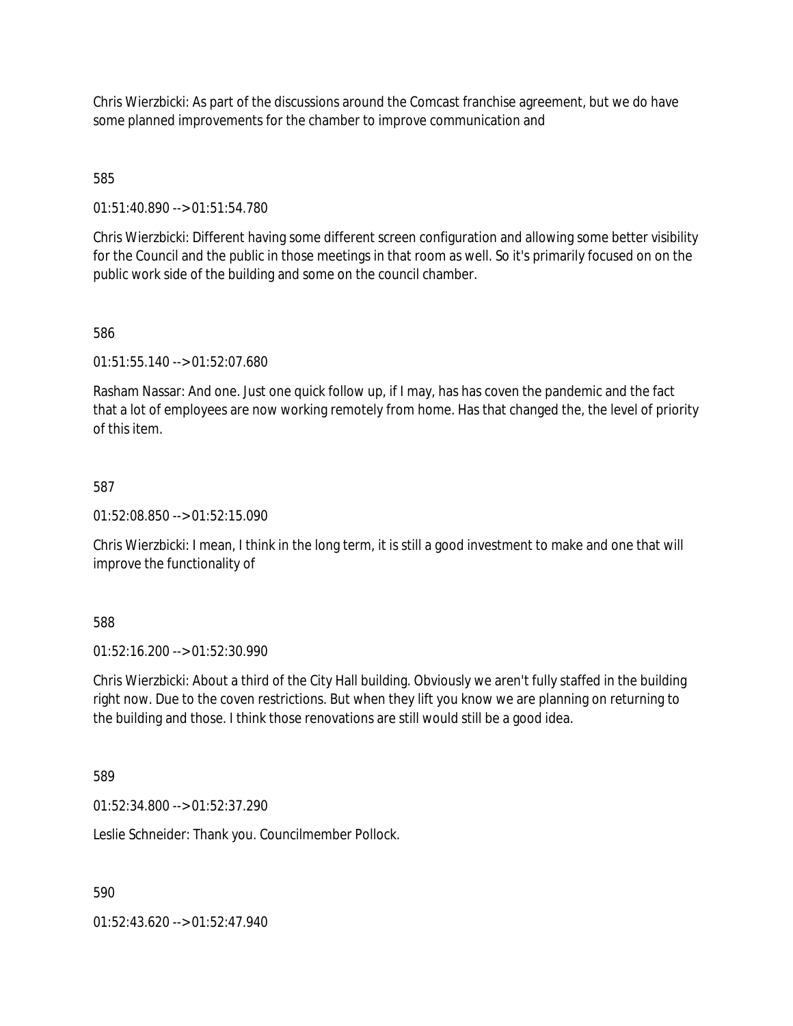Chris Wierzbicki: As part of the discussions around the Comcast franchise agreement, but we do have some planned improvements for the chamber to improve communication and

585

01:51:40.890 --> 01:51:54.780

Chris Wierzbicki: Different having some different screen configuration and allowing some better visibility for the Council and the public in those meetings in that room as well. So it's primarily focused on on the public work side of the building and some on the council chamber.

586

01:51:55.140 --> 01:52:07.680

Rasham Nassar: And one. Just one quick follow up, if I may, has has coven the pandemic and the fact that a lot of employees are now working remotely from home. Has that changed the, the level of priority of this item.

### 587

01:52:08.850 --> 01:52:15.090

Chris Wierzbicki: I mean, I think in the long term, it is still a good investment to make and one that will improve the functionality of

588

01:52:16.200 --> 01:52:30.990

Chris Wierzbicki: About a third of the City Hall building. Obviously we aren't fully staffed in the building right now. Due to the coven restrictions. But when they lift you know we are planning on returning to the building and those. I think those renovations are still would still be a good idea.

589

01:52:34.800 --> 01:52:37.290

Leslie Schneider: Thank you. Councilmember Pollock.

590

01:52:43.620 --> 01:52:47.940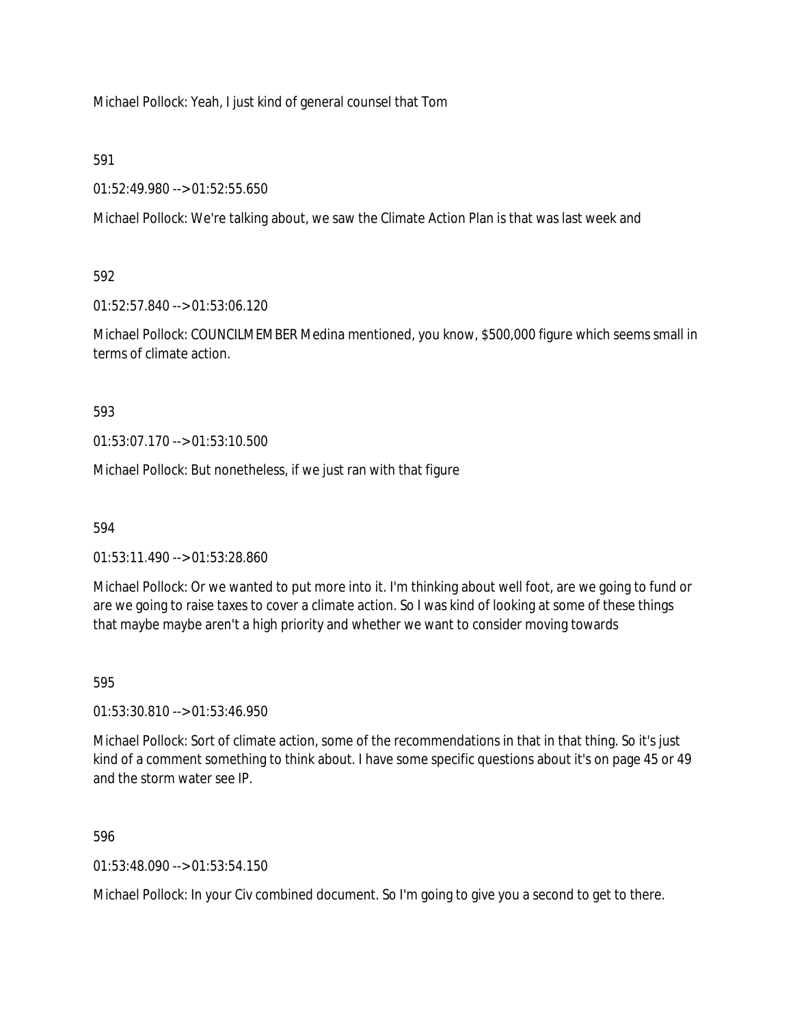Michael Pollock: Yeah, I just kind of general counsel that Tom

591

01:52:49.980 --> 01:52:55.650

Michael Pollock: We're talking about, we saw the Climate Action Plan is that was last week and

592

01:52:57.840 --> 01:53:06.120

Michael Pollock: COUNCILMEMBER Medina mentioned, you know, \$500,000 figure which seems small in terms of climate action.

593

01:53:07.170 --> 01:53:10.500

Michael Pollock: But nonetheless, if we just ran with that figure

594

01:53:11.490 --> 01:53:28.860

Michael Pollock: Or we wanted to put more into it. I'm thinking about well foot, are we going to fund or are we going to raise taxes to cover a climate action. So I was kind of looking at some of these things that maybe maybe aren't a high priority and whether we want to consider moving towards

595

01:53:30.810 --> 01:53:46.950

Michael Pollock: Sort of climate action, some of the recommendations in that in that thing. So it's just kind of a comment something to think about. I have some specific questions about it's on page 45 or 49 and the storm water see IP.

596

 $01:53:48.090 \rightarrow 01:53:54.150$ 

Michael Pollock: In your Civ combined document. So I'm going to give you a second to get to there.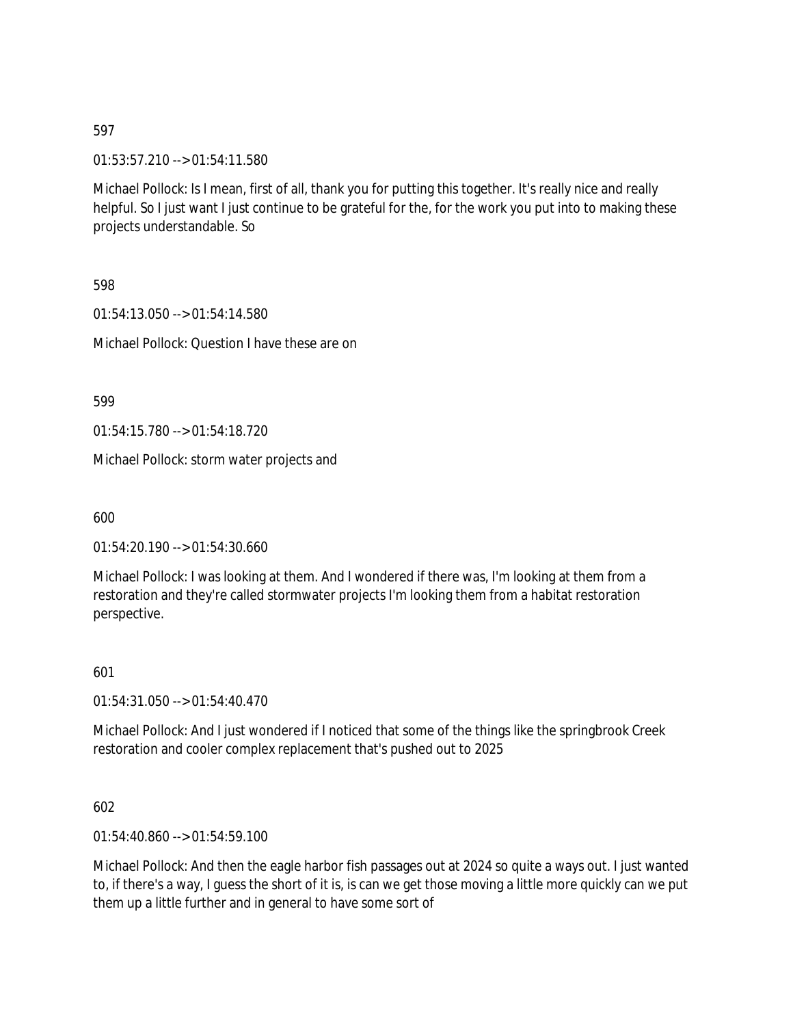01:53:57.210 --> 01:54:11.580

Michael Pollock: Is I mean, first of all, thank you for putting this together. It's really nice and really helpful. So I just want I just continue to be grateful for the, for the work you put into to making these projects understandable. So

598

01:54:13.050 --> 01:54:14.580 Michael Pollock: Question I have these are on

599

01:54:15.780 --> 01:54:18.720

Michael Pollock: storm water projects and

600

01:54:20.190 --> 01:54:30.660

Michael Pollock: I was looking at them. And I wondered if there was, I'm looking at them from a restoration and they're called stormwater projects I'm looking them from a habitat restoration perspective.

601

01:54:31.050 --> 01:54:40.470

Michael Pollock: And I just wondered if I noticed that some of the things like the springbrook Creek restoration and cooler complex replacement that's pushed out to 2025

602

01:54:40.860 --> 01:54:59.100

Michael Pollock: And then the eagle harbor fish passages out at 2024 so quite a ways out. I just wanted to, if there's a way, I guess the short of it is, is can we get those moving a little more quickly can we put them up a little further and in general to have some sort of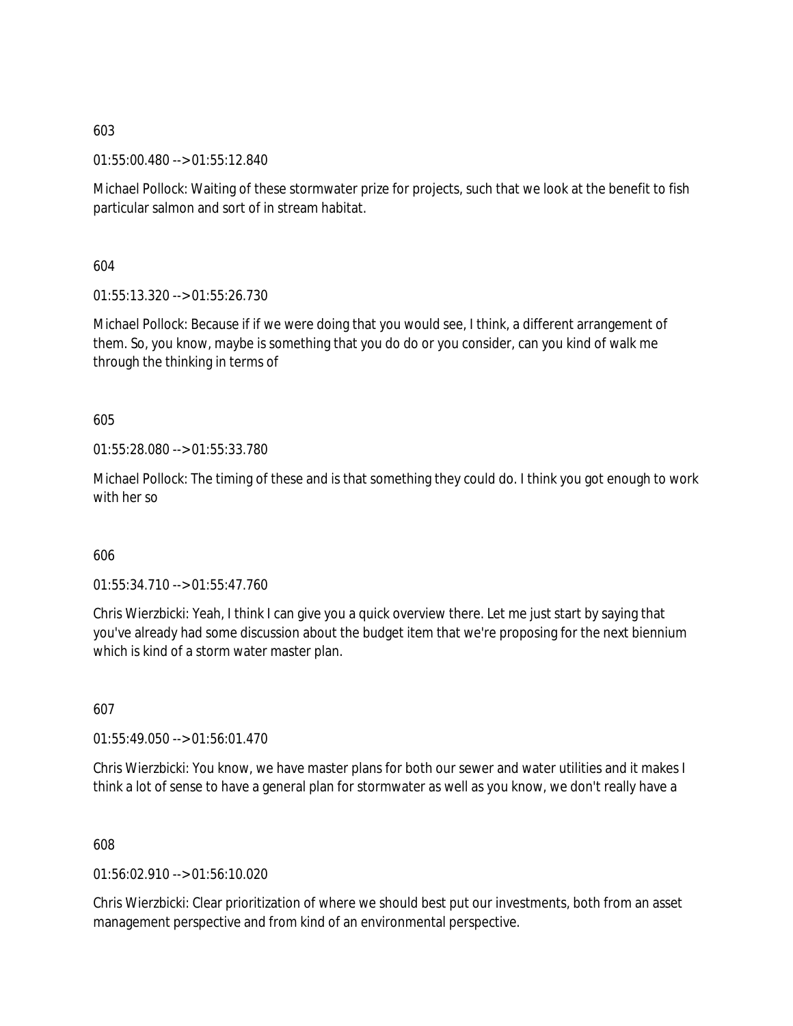01:55:00.480 --> 01:55:12.840

Michael Pollock: Waiting of these stormwater prize for projects, such that we look at the benefit to fish particular salmon and sort of in stream habitat.

604

01:55:13.320 --> 01:55:26.730

Michael Pollock: Because if if we were doing that you would see, I think, a different arrangement of them. So, you know, maybe is something that you do do or you consider, can you kind of walk me through the thinking in terms of

605

01:55:28.080 --> 01:55:33.780

Michael Pollock: The timing of these and is that something they could do. I think you got enough to work with her so

606

01:55:34.710 --> 01:55:47.760

Chris Wierzbicki: Yeah, I think I can give you a quick overview there. Let me just start by saying that you've already had some discussion about the budget item that we're proposing for the next biennium which is kind of a storm water master plan.

607

01:55:49.050 --> 01:56:01.470

Chris Wierzbicki: You know, we have master plans for both our sewer and water utilities and it makes I think a lot of sense to have a general plan for stormwater as well as you know, we don't really have a

608

01:56:02.910 --> 01:56:10.020

Chris Wierzbicki: Clear prioritization of where we should best put our investments, both from an asset management perspective and from kind of an environmental perspective.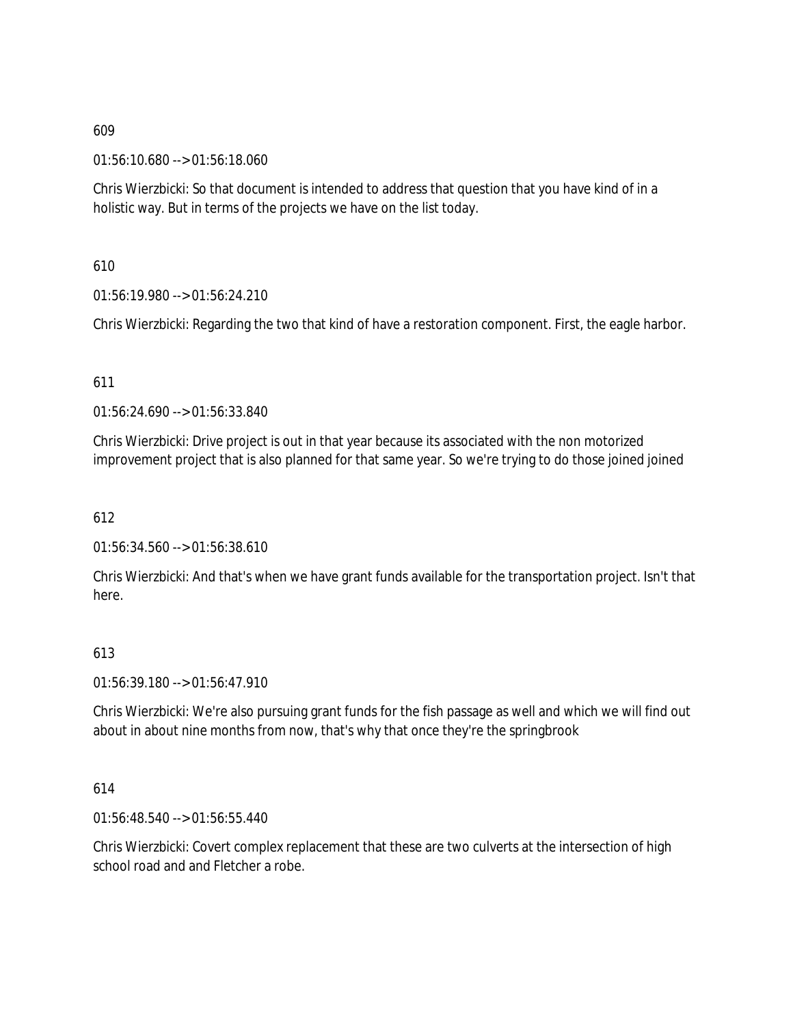01:56:10.680 --> 01:56:18.060

Chris Wierzbicki: So that document is intended to address that question that you have kind of in a holistic way. But in terms of the projects we have on the list today.

610

01:56:19.980 --> 01:56:24.210

Chris Wierzbicki: Regarding the two that kind of have a restoration component. First, the eagle harbor.

611

01:56:24.690 --> 01:56:33.840

Chris Wierzbicki: Drive project is out in that year because its associated with the non motorized improvement project that is also planned for that same year. So we're trying to do those joined joined

612

01:56:34.560 --> 01:56:38.610

Chris Wierzbicki: And that's when we have grant funds available for the transportation project. Isn't that here.

### 613

01:56:39.180 --> 01:56:47.910

Chris Wierzbicki: We're also pursuing grant funds for the fish passage as well and which we will find out about in about nine months from now, that's why that once they're the springbrook

614

01:56:48.540 --> 01:56:55.440

Chris Wierzbicki: Covert complex replacement that these are two culverts at the intersection of high school road and and Fletcher a robe.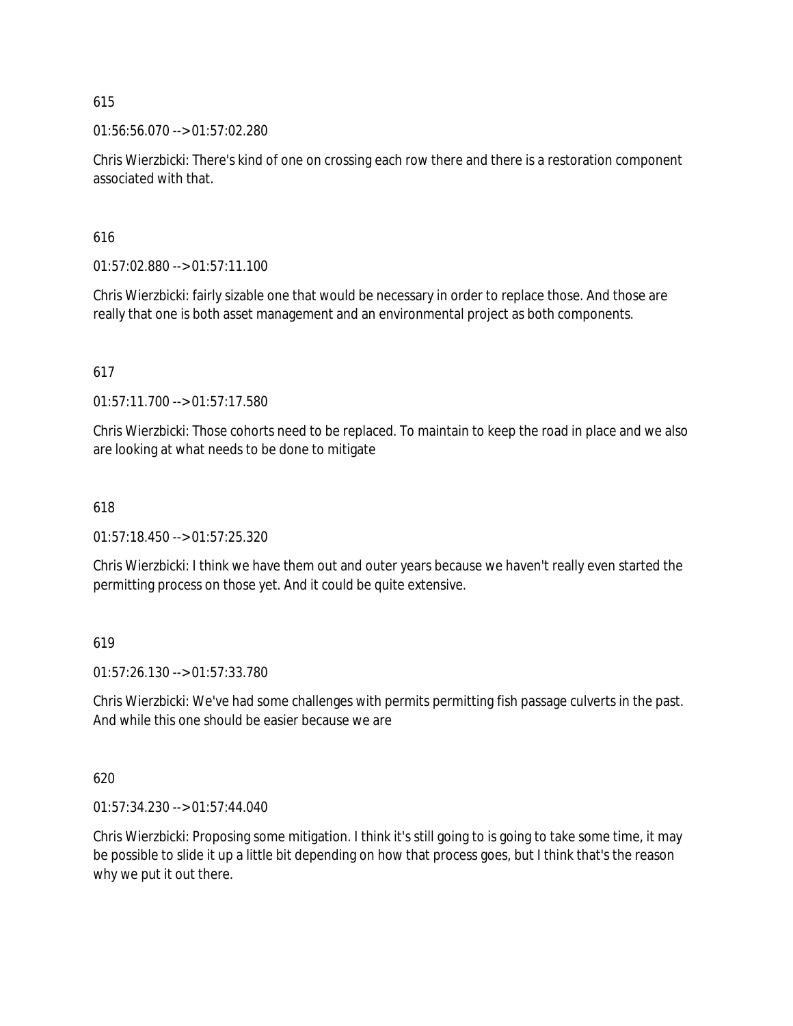01:56:56.070 --> 01:57:02.280

Chris Wierzbicki: There's kind of one on crossing each row there and there is a restoration component associated with that.

616

01:57:02.880 --> 01:57:11.100

Chris Wierzbicki: fairly sizable one that would be necessary in order to replace those. And those are really that one is both asset management and an environmental project as both components.

617

01:57:11.700 --> 01:57:17.580

Chris Wierzbicki: Those cohorts need to be replaced. To maintain to keep the road in place and we also are looking at what needs to be done to mitigate

618

01:57:18.450 --> 01:57:25.320

Chris Wierzbicki: I think we have them out and outer years because we haven't really even started the permitting process on those yet. And it could be quite extensive.

619

01:57:26.130 --> 01:57:33.780

Chris Wierzbicki: We've had some challenges with permits permitting fish passage culverts in the past. And while this one should be easier because we are

620

01:57:34.230 --> 01:57:44.040

Chris Wierzbicki: Proposing some mitigation. I think it's still going to is going to take some time, it may be possible to slide it up a little bit depending on how that process goes, but I think that's the reason why we put it out there.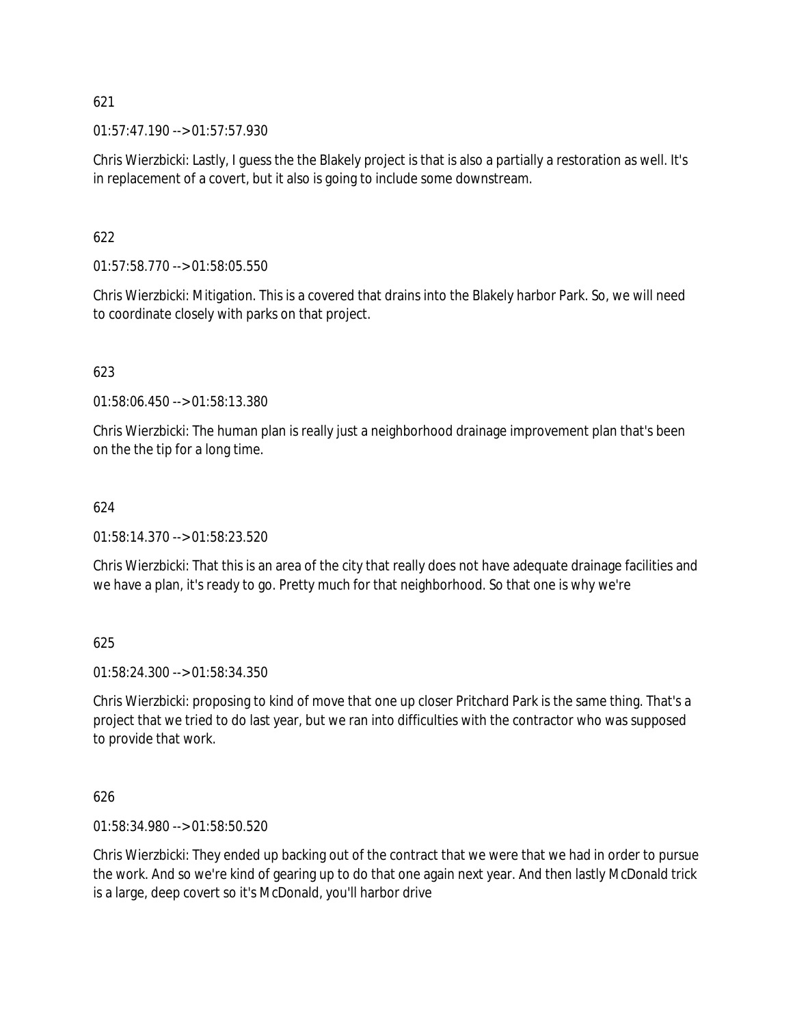01:57:47.190 --> 01:57:57.930

Chris Wierzbicki: Lastly, I guess the the Blakely project is that is also a partially a restoration as well. It's in replacement of a covert, but it also is going to include some downstream.

# 622

01:57:58.770 --> 01:58:05.550

Chris Wierzbicki: Mitigation. This is a covered that drains into the Blakely harbor Park. So, we will need to coordinate closely with parks on that project.

# 623

01:58:06.450 --> 01:58:13.380

Chris Wierzbicki: The human plan is really just a neighborhood drainage improvement plan that's been on the the tip for a long time.

# 624

01:58:14.370 --> 01:58:23.520

Chris Wierzbicki: That this is an area of the city that really does not have adequate drainage facilities and we have a plan, it's ready to go. Pretty much for that neighborhood. So that one is why we're

# 625

01:58:24.300 --> 01:58:34.350

Chris Wierzbicki: proposing to kind of move that one up closer Pritchard Park is the same thing. That's a project that we tried to do last year, but we ran into difficulties with the contractor who was supposed to provide that work.

# 626

01:58:34.980 --> 01:58:50.520

Chris Wierzbicki: They ended up backing out of the contract that we were that we had in order to pursue the work. And so we're kind of gearing up to do that one again next year. And then lastly McDonald trick is a large, deep covert so it's McDonald, you'll harbor drive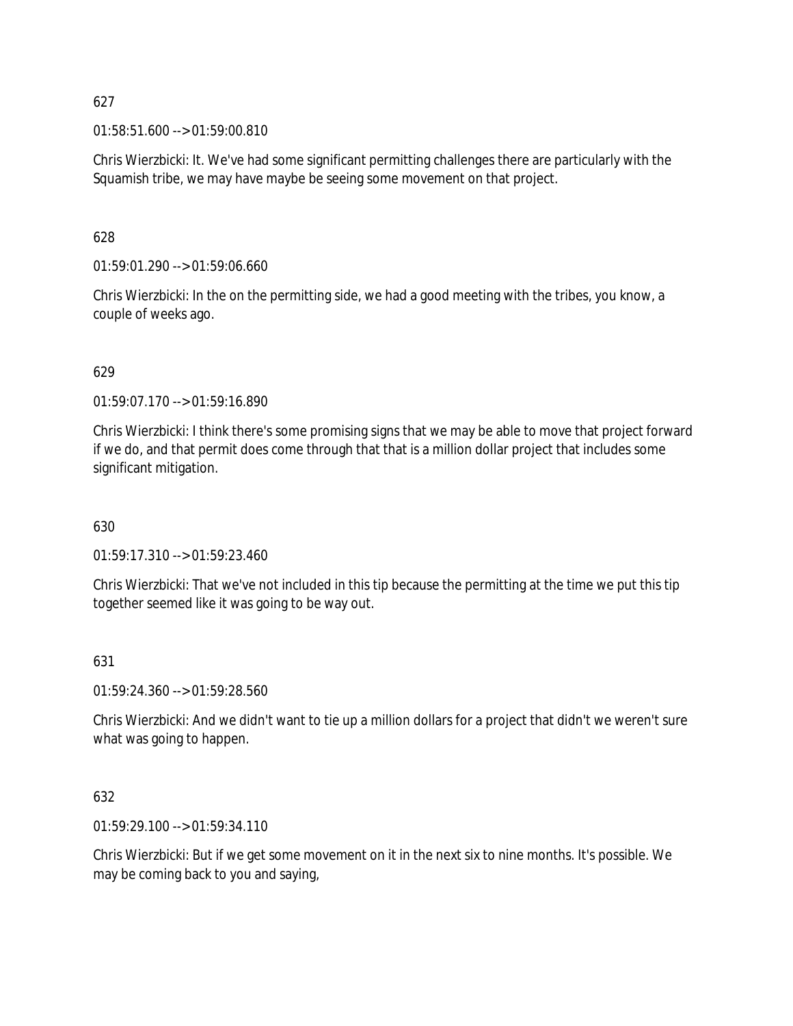01:58:51.600 --> 01:59:00.810

Chris Wierzbicki: It. We've had some significant permitting challenges there are particularly with the Squamish tribe, we may have maybe be seeing some movement on that project.

628

01:59:01.290 --> 01:59:06.660

Chris Wierzbicki: In the on the permitting side, we had a good meeting with the tribes, you know, a couple of weeks ago.

### 629

01:59:07.170 --> 01:59:16.890

Chris Wierzbicki: I think there's some promising signs that we may be able to move that project forward if we do, and that permit does come through that that is a million dollar project that includes some significant mitigation.

630

01:59:17.310 --> 01:59:23.460

Chris Wierzbicki: That we've not included in this tip because the permitting at the time we put this tip together seemed like it was going to be way out.

#### 631

01:59:24.360 --> 01:59:28.560

Chris Wierzbicki: And we didn't want to tie up a million dollars for a project that didn't we weren't sure what was going to happen.

### 632

01:59:29.100 --> 01:59:34.110

Chris Wierzbicki: But if we get some movement on it in the next six to nine months. It's possible. We may be coming back to you and saying,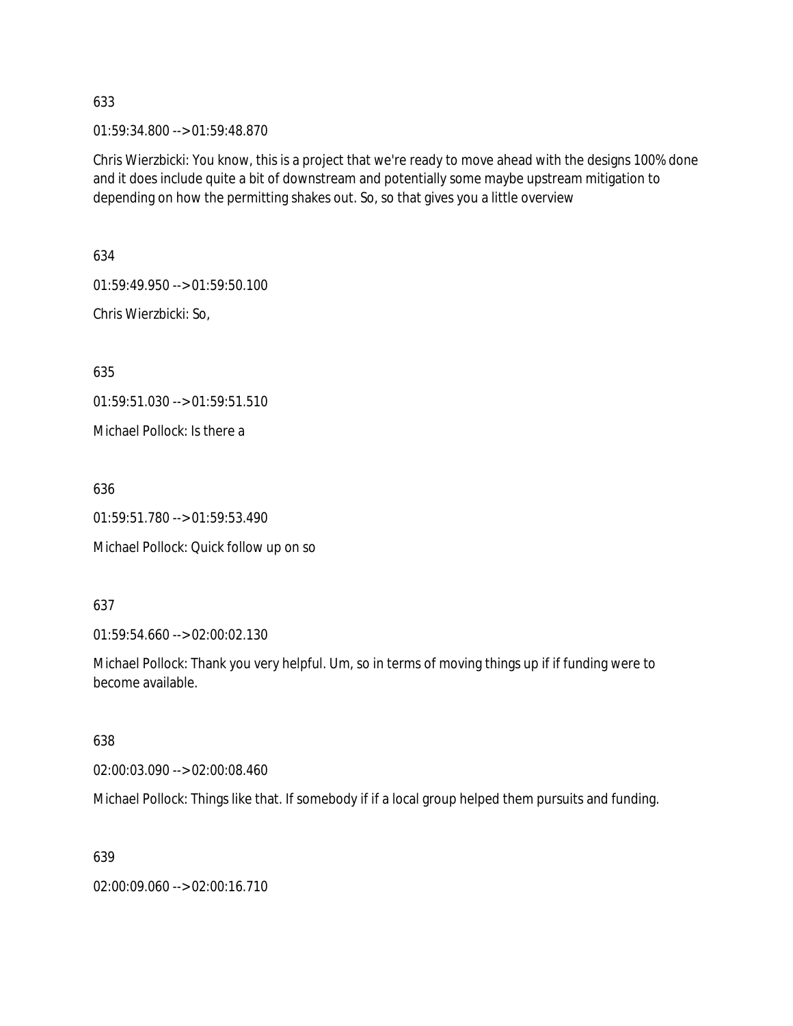01:59:34.800 --> 01:59:48.870

Chris Wierzbicki: You know, this is a project that we're ready to move ahead with the designs 100% done and it does include quite a bit of downstream and potentially some maybe upstream mitigation to depending on how the permitting shakes out. So, so that gives you a little overview

634 01:59:49.950 --> 01:59:50.100 Chris Wierzbicki: So,

635

01:59:51.030 --> 01:59:51.510

Michael Pollock: Is there a

636

01:59:51.780 --> 01:59:53.490

Michael Pollock: Quick follow up on so

637

01:59:54.660 --> 02:00:02.130

Michael Pollock: Thank you very helpful. Um, so in terms of moving things up if if funding were to become available.

638

02:00:03.090 --> 02:00:08.460

Michael Pollock: Things like that. If somebody if if a local group helped them pursuits and funding.

639

02:00:09.060 --> 02:00:16.710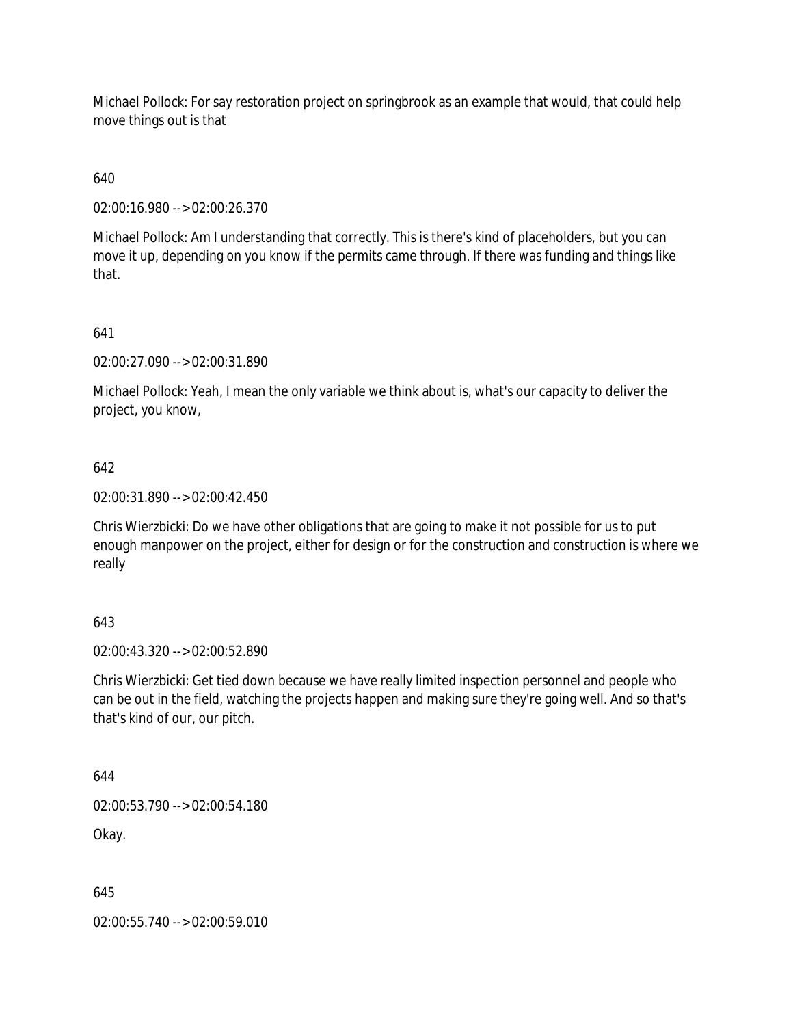Michael Pollock: For say restoration project on springbrook as an example that would, that could help move things out is that

640

02:00:16.980 --> 02:00:26.370

Michael Pollock: Am I understanding that correctly. This is there's kind of placeholders, but you can move it up, depending on you know if the permits came through. If there was funding and things like that.

641

02:00:27.090 --> 02:00:31.890

Michael Pollock: Yeah, I mean the only variable we think about is, what's our capacity to deliver the project, you know,

642

02:00:31.890 --> 02:00:42.450

Chris Wierzbicki: Do we have other obligations that are going to make it not possible for us to put enough manpower on the project, either for design or for the construction and construction is where we really

### 643

02:00:43.320 --> 02:00:52.890

Chris Wierzbicki: Get tied down because we have really limited inspection personnel and people who can be out in the field, watching the projects happen and making sure they're going well. And so that's that's kind of our, our pitch.

644

02:00:53.790 --> 02:00:54.180

Okay.

645

02:00:55.740 --> 02:00:59.010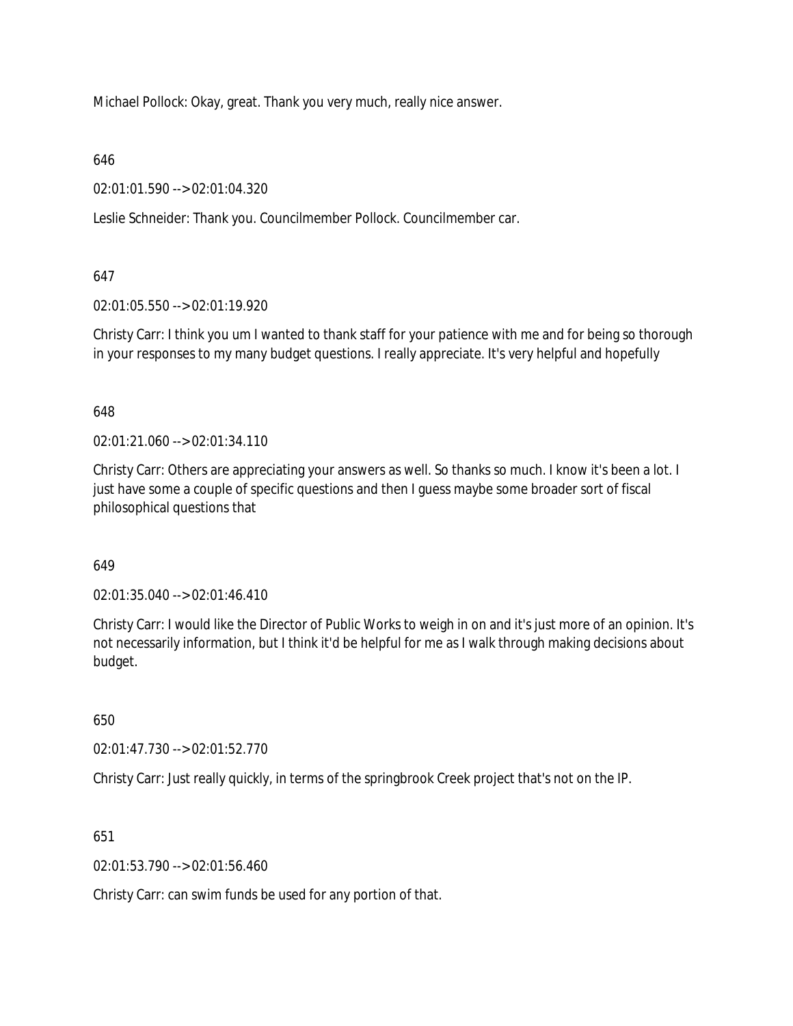Michael Pollock: Okay, great. Thank you very much, really nice answer.

646

02:01:01.590 --> 02:01:04.320

Leslie Schneider: Thank you. Councilmember Pollock. Councilmember car.

## 647

02:01:05.550 --> 02:01:19.920

Christy Carr: I think you um I wanted to thank staff for your patience with me and for being so thorough in your responses to my many budget questions. I really appreciate. It's very helpful and hopefully

648

02:01:21.060 --> 02:01:34.110

Christy Carr: Others are appreciating your answers as well. So thanks so much. I know it's been a lot. I just have some a couple of specific questions and then I quess maybe some broader sort of fiscal philosophical questions that

# 649

02:01:35.040 --> 02:01:46.410

Christy Carr: I would like the Director of Public Works to weigh in on and it's just more of an opinion. It's not necessarily information, but I think it'd be helpful for me as I walk through making decisions about budget.

650

02:01:47.730 --> 02:01:52.770

Christy Carr: Just really quickly, in terms of the springbrook Creek project that's not on the IP.

651

02:01:53.790 --> 02:01:56.460

Christy Carr: can swim funds be used for any portion of that.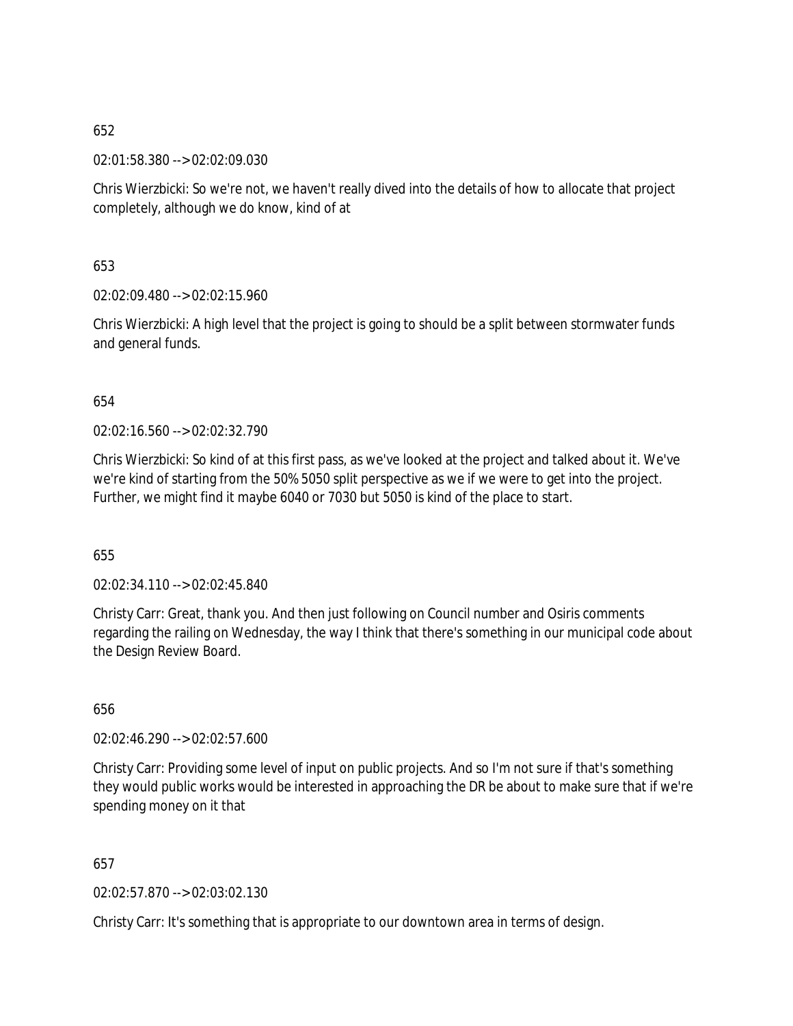02:01:58.380 --> 02:02:09.030

Chris Wierzbicki: So we're not, we haven't really dived into the details of how to allocate that project completely, although we do know, kind of at

653

02:02:09.480 --> 02:02:15.960

Chris Wierzbicki: A high level that the project is going to should be a split between stormwater funds and general funds.

654

02:02:16.560 --> 02:02:32.790

Chris Wierzbicki: So kind of at this first pass, as we've looked at the project and talked about it. We've we're kind of starting from the 50% 5050 split perspective as we if we were to get into the project. Further, we might find it maybe 6040 or 7030 but 5050 is kind of the place to start.

655

02:02:34.110 --> 02:02:45.840

Christy Carr: Great, thank you. And then just following on Council number and Osiris comments regarding the railing on Wednesday, the way I think that there's something in our municipal code about the Design Review Board.

656

02:02:46.290 --> 02:02:57.600

Christy Carr: Providing some level of input on public projects. And so I'm not sure if that's something they would public works would be interested in approaching the DR be about to make sure that if we're spending money on it that

657

02:02:57.870 --> 02:03:02.130

Christy Carr: It's something that is appropriate to our downtown area in terms of design.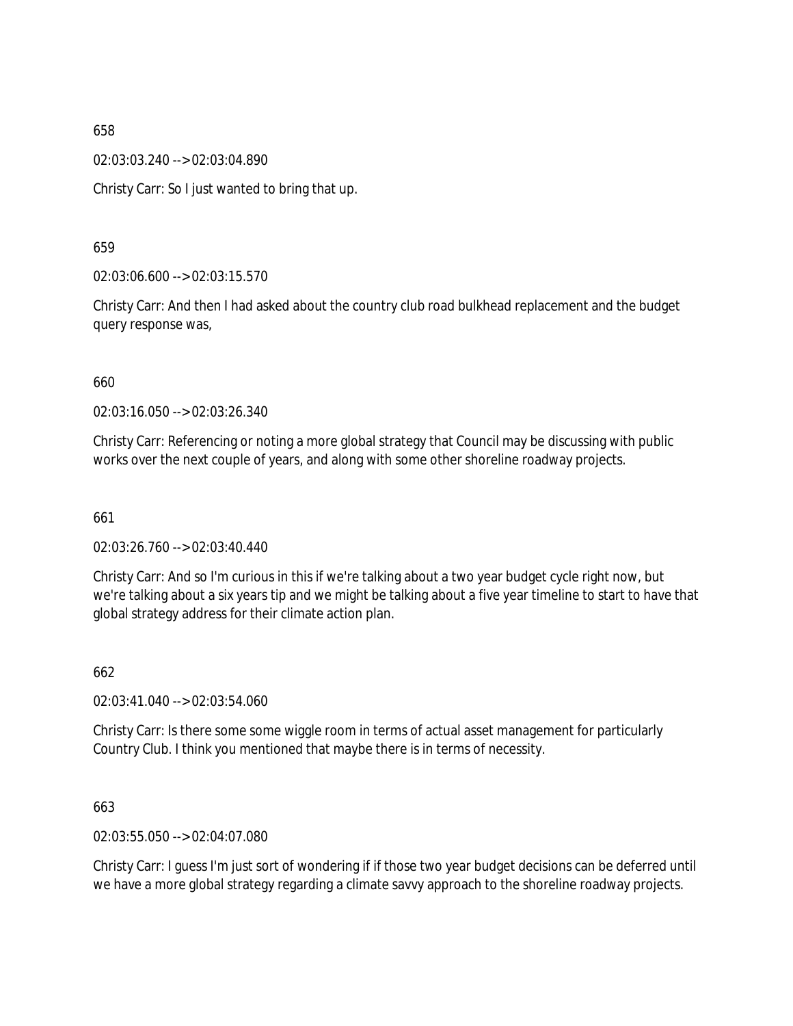02:03:03.240 --> 02:03:04.890

Christy Carr: So I just wanted to bring that up.

659

02:03:06.600 --> 02:03:15.570

Christy Carr: And then I had asked about the country club road bulkhead replacement and the budget query response was,

660

02:03:16.050 --> 02:03:26.340

Christy Carr: Referencing or noting a more global strategy that Council may be discussing with public works over the next couple of years, and along with some other shoreline roadway projects.

661

02:03:26.760 --> 02:03:40.440

Christy Carr: And so I'm curious in this if we're talking about a two year budget cycle right now, but we're talking about a six years tip and we might be talking about a five year timeline to start to have that global strategy address for their climate action plan.

662

02:03:41.040 --> 02:03:54.060

Christy Carr: Is there some some wiggle room in terms of actual asset management for particularly Country Club. I think you mentioned that maybe there is in terms of necessity.

663

02:03:55.050 --> 02:04:07.080

Christy Carr: I guess I'm just sort of wondering if if those two year budget decisions can be deferred until we have a more global strategy regarding a climate savvy approach to the shoreline roadway projects.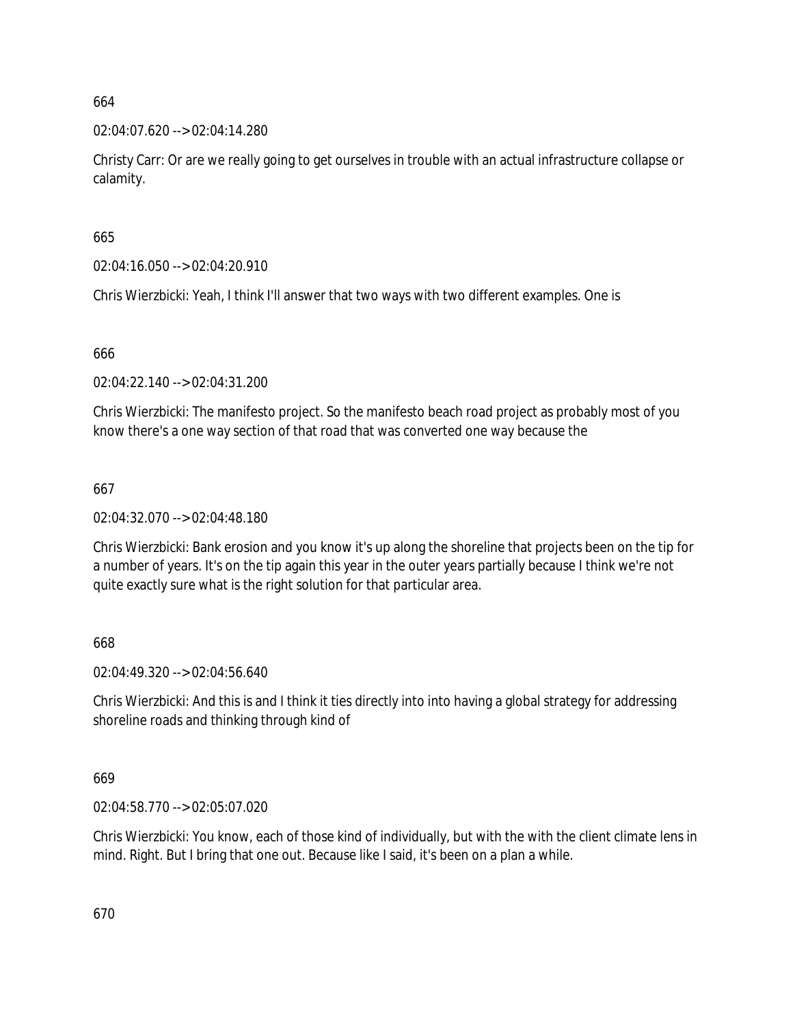02:04:07.620 --> 02:04:14.280

Christy Carr: Or are we really going to get ourselves in trouble with an actual infrastructure collapse or calamity.

665

02:04:16.050 --> 02:04:20.910

Chris Wierzbicki: Yeah, I think I'll answer that two ways with two different examples. One is

666

02:04:22.140 --> 02:04:31.200

Chris Wierzbicki: The manifesto project. So the manifesto beach road project as probably most of you know there's a one way section of that road that was converted one way because the

667

02:04:32.070 --> 02:04:48.180

Chris Wierzbicki: Bank erosion and you know it's up along the shoreline that projects been on the tip for a number of years. It's on the tip again this year in the outer years partially because I think we're not quite exactly sure what is the right solution for that particular area.

668

02:04:49.320 --> 02:04:56.640

Chris Wierzbicki: And this is and I think it ties directly into into having a global strategy for addressing shoreline roads and thinking through kind of

669

02:04:58.770 --> 02:05:07.020

Chris Wierzbicki: You know, each of those kind of individually, but with the with the client climate lens in mind. Right. But I bring that one out. Because like I said, it's been on a plan a while.

670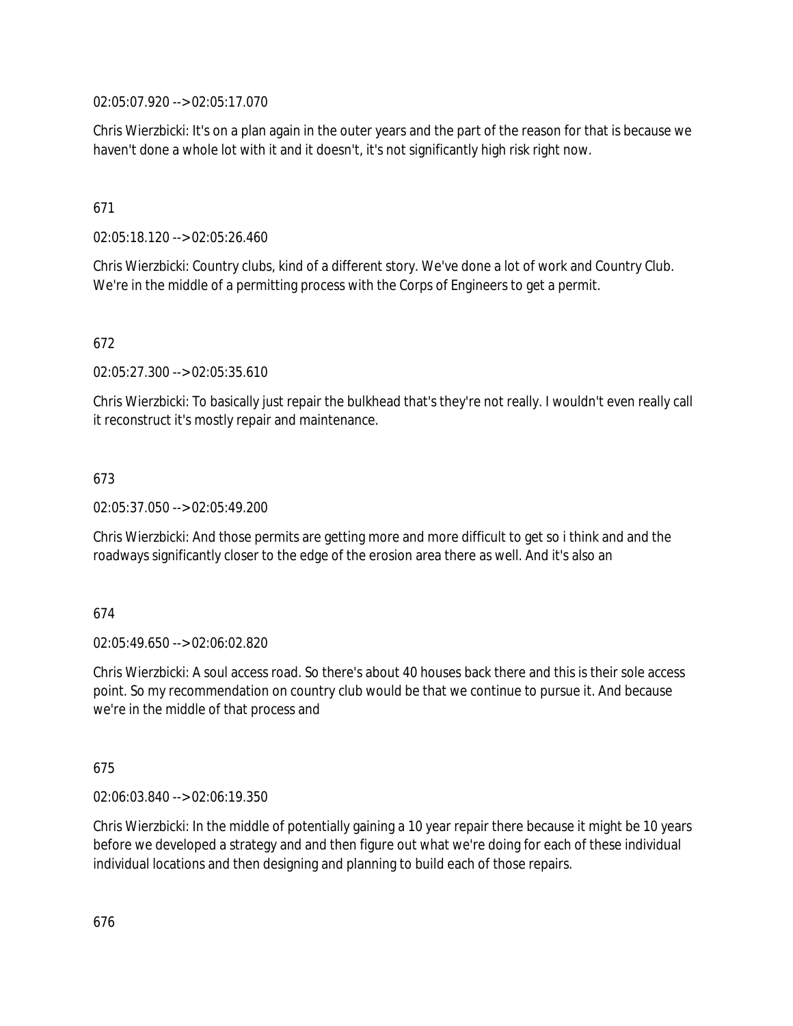02:05:07.920 --> 02:05:17.070

Chris Wierzbicki: It's on a plan again in the outer years and the part of the reason for that is because we haven't done a whole lot with it and it doesn't, it's not significantly high risk right now.

## 671

02:05:18.120 --> 02:05:26.460

Chris Wierzbicki: Country clubs, kind of a different story. We've done a lot of work and Country Club. We're in the middle of a permitting process with the Corps of Engineers to get a permit.

## 672

02:05:27.300 --> 02:05:35.610

Chris Wierzbicki: To basically just repair the bulkhead that's they're not really. I wouldn't even really call it reconstruct it's mostly repair and maintenance.

## 673

02:05:37.050 --> 02:05:49.200

Chris Wierzbicki: And those permits are getting more and more difficult to get so i think and and the roadways significantly closer to the edge of the erosion area there as well. And it's also an

### 674

02:05:49.650 --> 02:06:02.820

Chris Wierzbicki: A soul access road. So there's about 40 houses back there and this is their sole access point. So my recommendation on country club would be that we continue to pursue it. And because we're in the middle of that process and

### 675

02:06:03.840 --> 02:06:19.350

Chris Wierzbicki: In the middle of potentially gaining a 10 year repair there because it might be 10 years before we developed a strategy and and then figure out what we're doing for each of these individual individual locations and then designing and planning to build each of those repairs.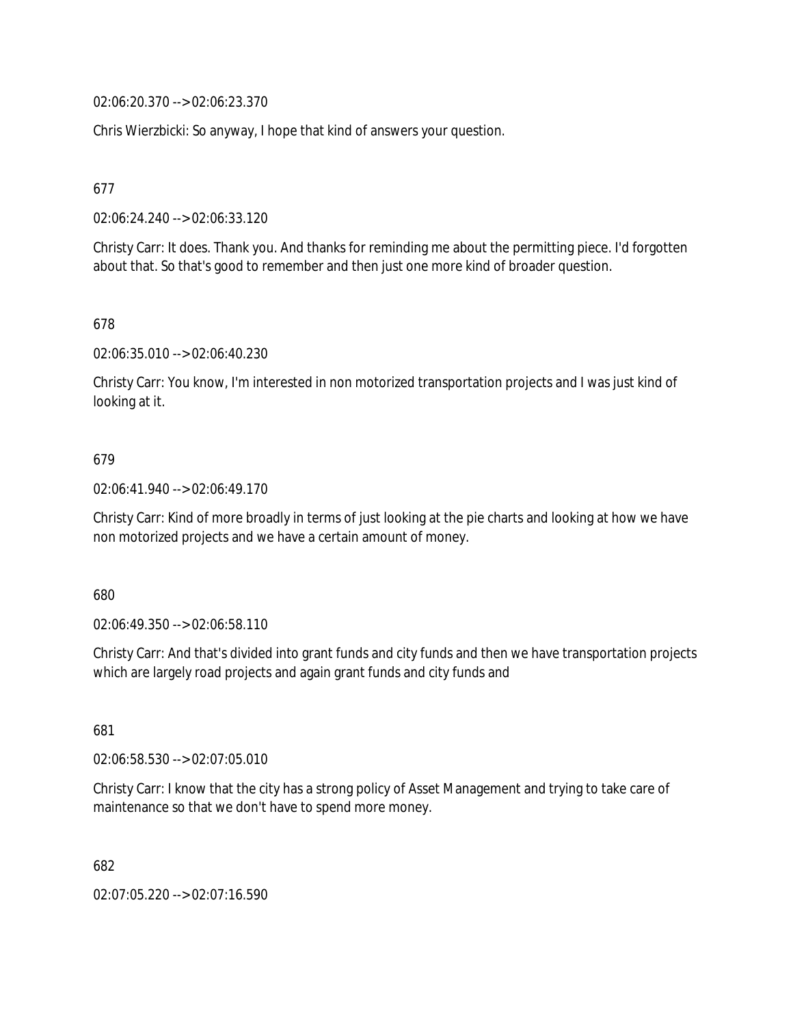02:06:20.370 --> 02:06:23.370

Chris Wierzbicki: So anyway, I hope that kind of answers your question.

677

02:06:24.240 --> 02:06:33.120

Christy Carr: It does. Thank you. And thanks for reminding me about the permitting piece. I'd forgotten about that. So that's good to remember and then just one more kind of broader question.

678

02:06:35.010 --> 02:06:40.230

Christy Carr: You know, I'm interested in non motorized transportation projects and I was just kind of looking at it.

### 679

02:06:41.940 --> 02:06:49.170

Christy Carr: Kind of more broadly in terms of just looking at the pie charts and looking at how we have non motorized projects and we have a certain amount of money.

680

02:06:49.350 --> 02:06:58.110

Christy Carr: And that's divided into grant funds and city funds and then we have transportation projects which are largely road projects and again grant funds and city funds and

681

02:06:58.530 --> 02:07:05.010

Christy Carr: I know that the city has a strong policy of Asset Management and trying to take care of maintenance so that we don't have to spend more money.

682

02:07:05.220 --> 02:07:16.590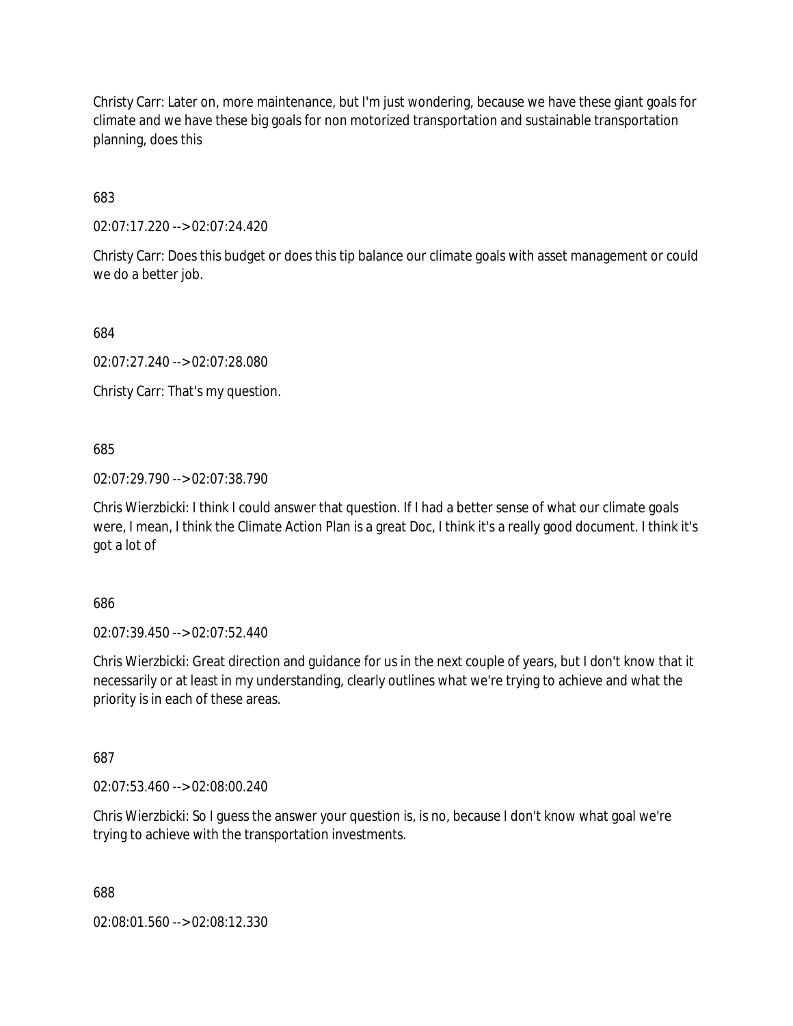Christy Carr: Later on, more maintenance, but I'm just wondering, because we have these giant goals for climate and we have these big goals for non motorized transportation and sustainable transportation planning, does this

683

02:07:17.220 --> 02:07:24.420

Christy Carr: Does this budget or does this tip balance our climate goals with asset management or could we do a better job.

684

02:07:27.240 --> 02:07:28.080

Christy Carr: That's my question.

685

02:07:29.790 --> 02:07:38.790

Chris Wierzbicki: I think I could answer that question. If I had a better sense of what our climate goals were, I mean, I think the Climate Action Plan is a great Doc, I think it's a really good document. I think it's got a lot of

686

02:07:39.450 --> 02:07:52.440

Chris Wierzbicki: Great direction and guidance for us in the next couple of years, but I don't know that it necessarily or at least in my understanding, clearly outlines what we're trying to achieve and what the priority is in each of these areas.

687

02:07:53.460 --> 02:08:00.240

Chris Wierzbicki: So I guess the answer your question is, is no, because I don't know what goal we're trying to achieve with the transportation investments.

688

02:08:01.560 --> 02:08:12.330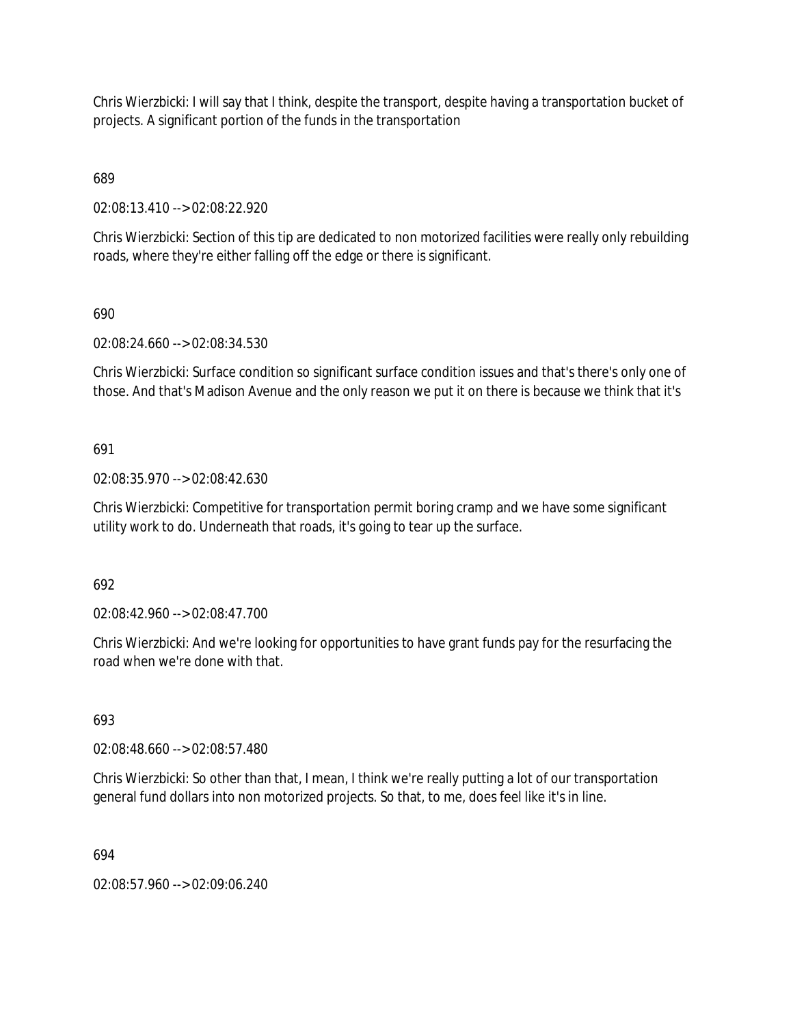Chris Wierzbicki: I will say that I think, despite the transport, despite having a transportation bucket of projects. A significant portion of the funds in the transportation

689

02:08:13.410 --> 02:08:22.920

Chris Wierzbicki: Section of this tip are dedicated to non motorized facilities were really only rebuilding roads, where they're either falling off the edge or there is significant.

690

02:08:24.660 --> 02:08:34.530

Chris Wierzbicki: Surface condition so significant surface condition issues and that's there's only one of those. And that's Madison Avenue and the only reason we put it on there is because we think that it's

691

02:08:35.970 --> 02:08:42.630

Chris Wierzbicki: Competitive for transportation permit boring cramp and we have some significant utility work to do. Underneath that roads, it's going to tear up the surface.

692

02:08:42.960 --> 02:08:47.700

Chris Wierzbicki: And we're looking for opportunities to have grant funds pay for the resurfacing the road when we're done with that.

693

02:08:48.660 --> 02:08:57.480

Chris Wierzbicki: So other than that, I mean, I think we're really putting a lot of our transportation general fund dollars into non motorized projects. So that, to me, does feel like it's in line.

694

02:08:57.960 --> 02:09:06.240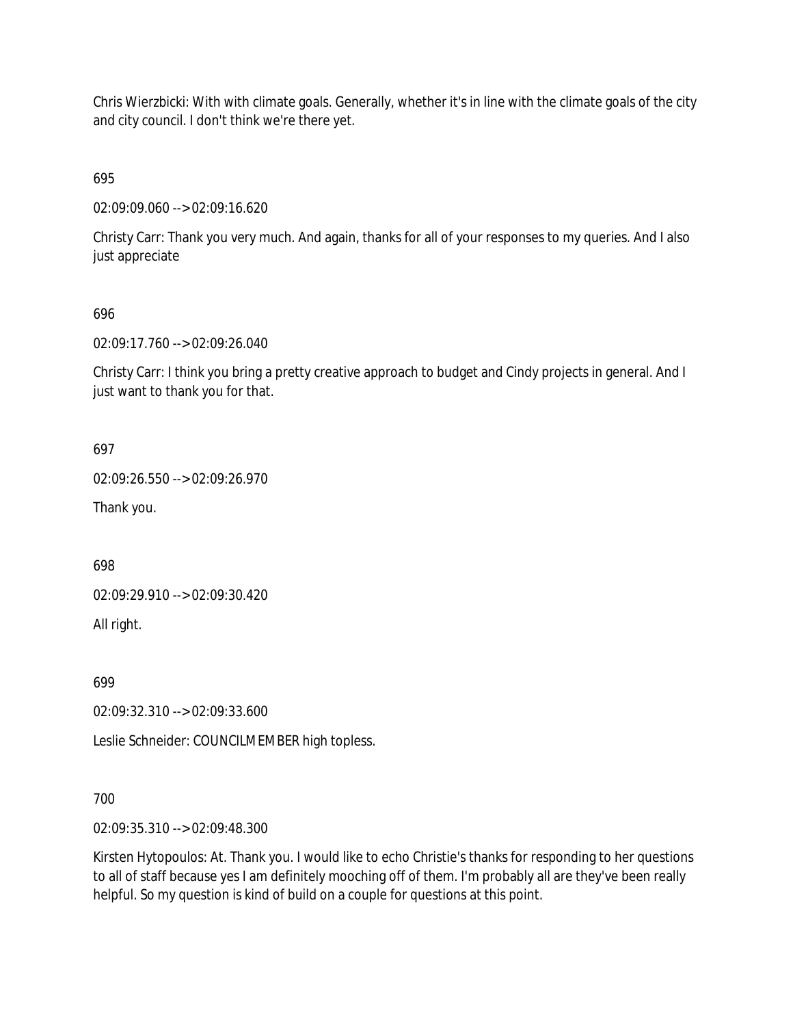Chris Wierzbicki: With with climate goals. Generally, whether it's in line with the climate goals of the city and city council. I don't think we're there yet.

695

02:09:09.060 --> 02:09:16.620

Christy Carr: Thank you very much. And again, thanks for all of your responses to my queries. And I also just appreciate

## 696

02:09:17.760 --> 02:09:26.040

Christy Carr: I think you bring a pretty creative approach to budget and Cindy projects in general. And I just want to thank you for that.

697

02:09:26.550 --> 02:09:26.970

Thank you.

698

02:09:29.910 --> 02:09:30.420

All right.

699

02:09:32.310 --> 02:09:33.600

Leslie Schneider: COUNCILMEMBER high topless.

### 700

02:09:35.310 --> 02:09:48.300

Kirsten Hytopoulos: At. Thank you. I would like to echo Christie's thanks for responding to her questions to all of staff because yes I am definitely mooching off of them. I'm probably all are they've been really helpful. So my question is kind of build on a couple for questions at this point.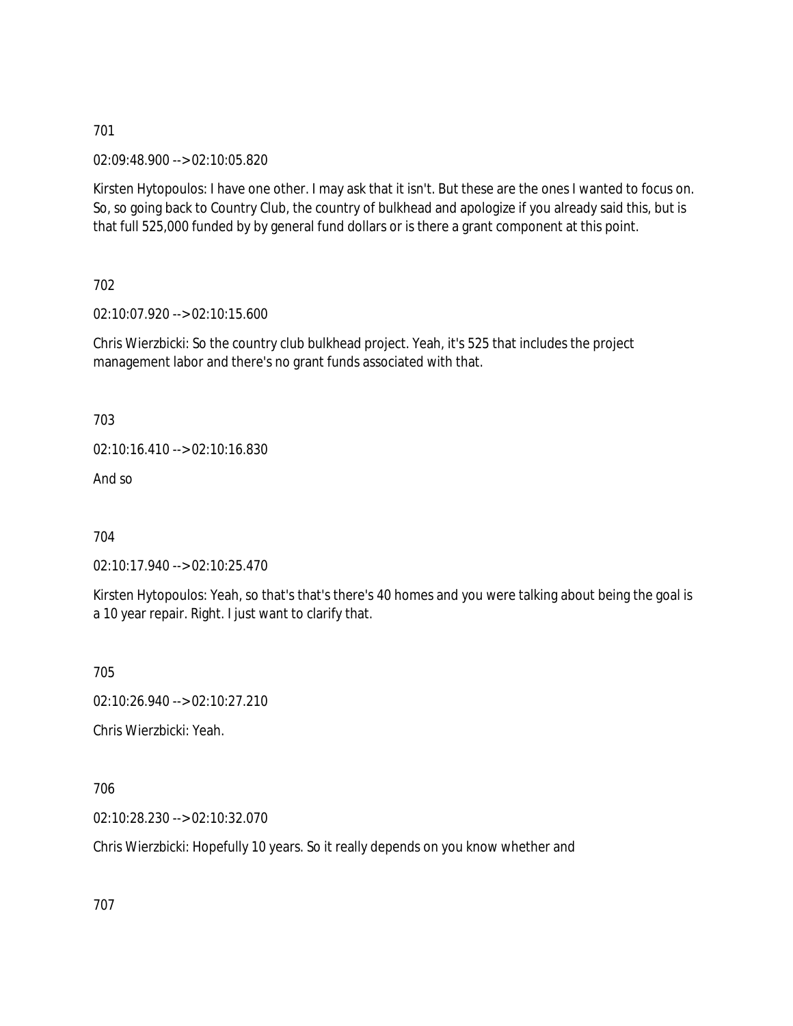02:09:48.900 --> 02:10:05.820

Kirsten Hytopoulos: I have one other. I may ask that it isn't. But these are the ones I wanted to focus on. So, so going back to Country Club, the country of bulkhead and apologize if you already said this, but is that full 525,000 funded by by general fund dollars or is there a grant component at this point.

702

02:10:07.920 --> 02:10:15.600

Chris Wierzbicki: So the country club bulkhead project. Yeah, it's 525 that includes the project management labor and there's no grant funds associated with that.

703

02:10:16.410 --> 02:10:16.830

And so

704

02:10:17.940 --> 02:10:25.470

Kirsten Hytopoulos: Yeah, so that's that's there's 40 homes and you were talking about being the goal is a 10 year repair. Right. I just want to clarify that.

705

02:10:26.940 --> 02:10:27.210

Chris Wierzbicki: Yeah.

706

02:10:28.230 --> 02:10:32.070

Chris Wierzbicki: Hopefully 10 years. So it really depends on you know whether and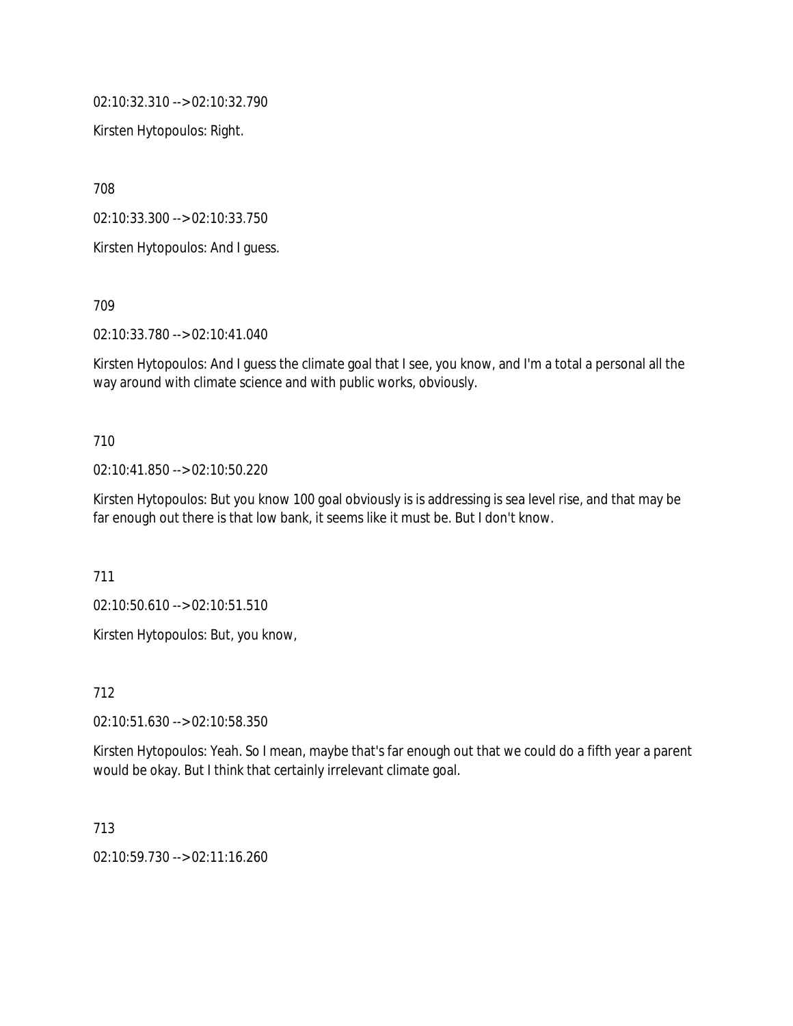02:10:32.310 --> 02:10:32.790

Kirsten Hytopoulos: Right.

708

02:10:33.300 --> 02:10:33.750

Kirsten Hytopoulos: And I guess.

709

02:10:33.780 --> 02:10:41.040

Kirsten Hytopoulos: And I guess the climate goal that I see, you know, and I'm a total a personal all the way around with climate science and with public works, obviously.

### 710

02:10:41.850 --> 02:10:50.220

Kirsten Hytopoulos: But you know 100 goal obviously is is addressing is sea level rise, and that may be far enough out there is that low bank, it seems like it must be. But I don't know.

711

02:10:50.610 --> 02:10:51.510

Kirsten Hytopoulos: But, you know,

712

02:10:51.630 --> 02:10:58.350

Kirsten Hytopoulos: Yeah. So I mean, maybe that's far enough out that we could do a fifth year a parent would be okay. But I think that certainly irrelevant climate goal.

713

02:10:59.730 --> 02:11:16.260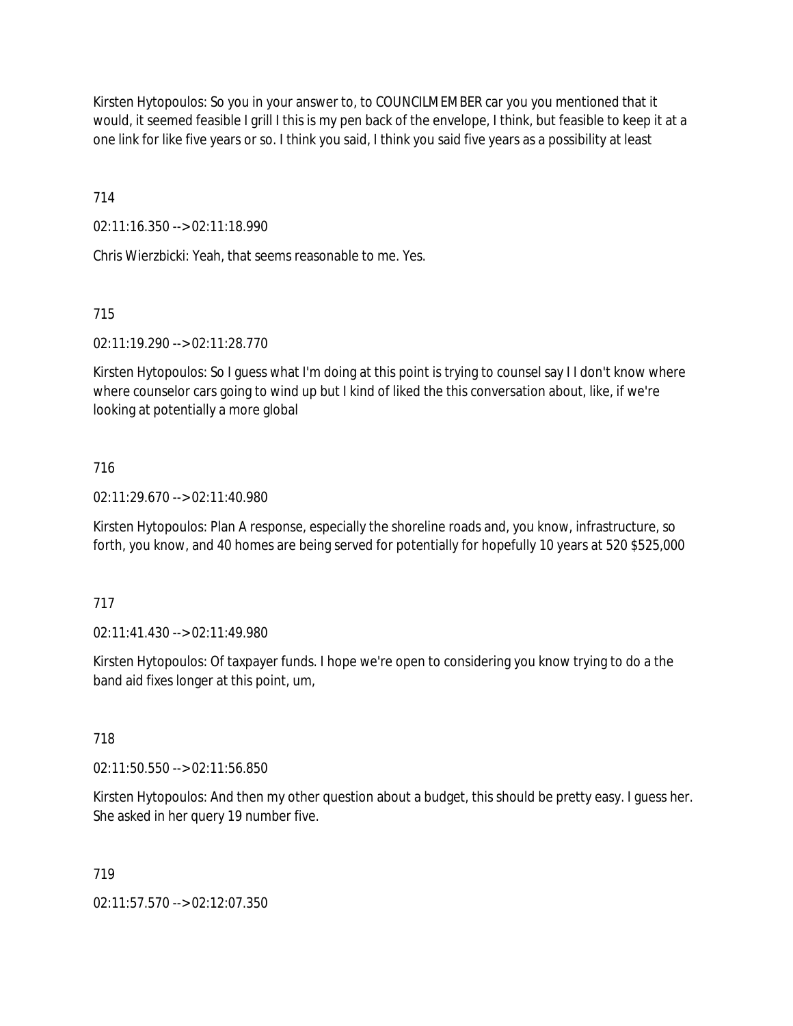Kirsten Hytopoulos: So you in your answer to, to COUNCILMEMBER car you you mentioned that it would, it seemed feasible I grill I this is my pen back of the envelope, I think, but feasible to keep it at a one link for like five years or so. I think you said, I think you said five years as a possibility at least

714

02:11:16.350 --> 02:11:18.990

Chris Wierzbicki: Yeah, that seems reasonable to me. Yes.

715

02:11:19.290 --> 02:11:28.770

Kirsten Hytopoulos: So I guess what I'm doing at this point is trying to counsel say I I don't know where where counselor cars going to wind up but I kind of liked the this conversation about, like, if we're looking at potentially a more global

## 716

02:11:29.670 --> 02:11:40.980

Kirsten Hytopoulos: Plan A response, especially the shoreline roads and, you know, infrastructure, so forth, you know, and 40 homes are being served for potentially for hopefully 10 years at 520 \$525,000

### 717

02:11:41.430 --> 02:11:49.980

Kirsten Hytopoulos: Of taxpayer funds. I hope we're open to considering you know trying to do a the band aid fixes longer at this point, um,

718

02:11:50.550 --> 02:11:56.850

Kirsten Hytopoulos: And then my other question about a budget, this should be pretty easy. I guess her. She asked in her query 19 number five.

719

02:11:57.570 --> 02:12:07.350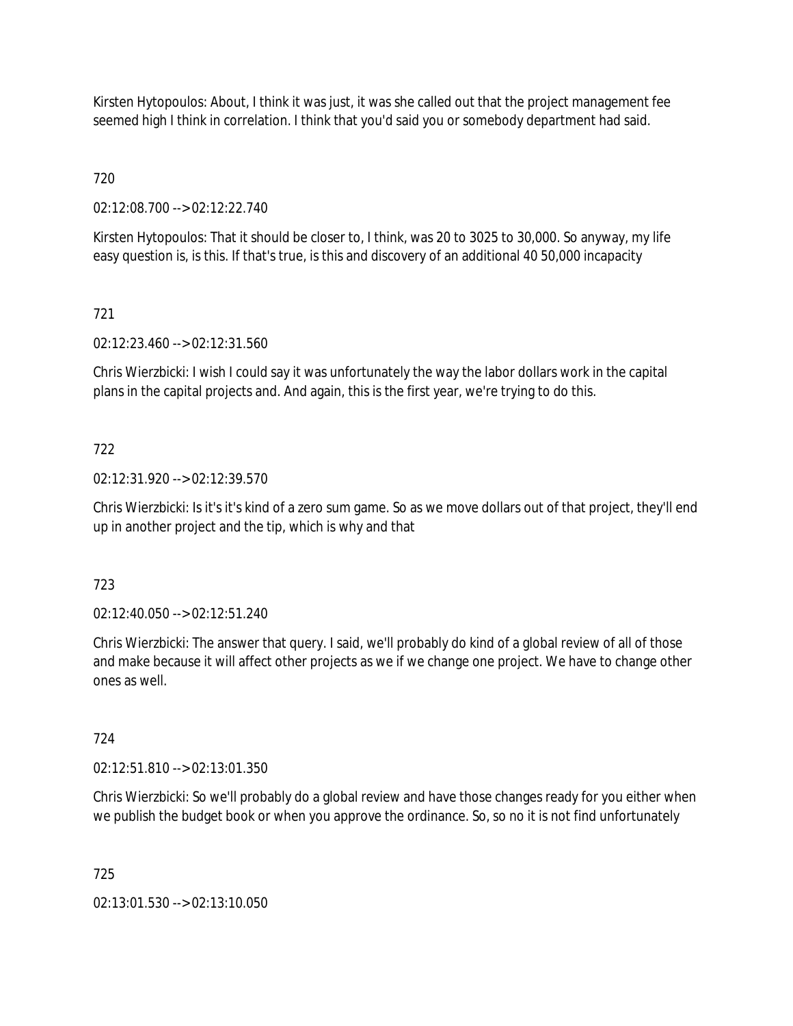Kirsten Hytopoulos: About, I think it was just, it was she called out that the project management fee seemed high I think in correlation. I think that you'd said you or somebody department had said.

720

02:12:08.700 --> 02:12:22.740

Kirsten Hytopoulos: That it should be closer to, I think, was 20 to 3025 to 30,000. So anyway, my life easy question is, is this. If that's true, is this and discovery of an additional 40 50,000 incapacity

# 721

02:12:23.460 --> 02:12:31.560

Chris Wierzbicki: I wish I could say it was unfortunately the way the labor dollars work in the capital plans in the capital projects and. And again, this is the first year, we're trying to do this.

# 722

02:12:31.920 --> 02:12:39.570

Chris Wierzbicki: Is it's it's kind of a zero sum game. So as we move dollars out of that project, they'll end up in another project and the tip, which is why and that

### 723

02:12:40.050 --> 02:12:51.240

Chris Wierzbicki: The answer that query. I said, we'll probably do kind of a global review of all of those and make because it will affect other projects as we if we change one project. We have to change other ones as well.

### 724

02:12:51.810 --> 02:13:01.350

Chris Wierzbicki: So we'll probably do a global review and have those changes ready for you either when we publish the budget book or when you approve the ordinance. So, so no it is not find unfortunately

725

02:13:01.530 --> 02:13:10.050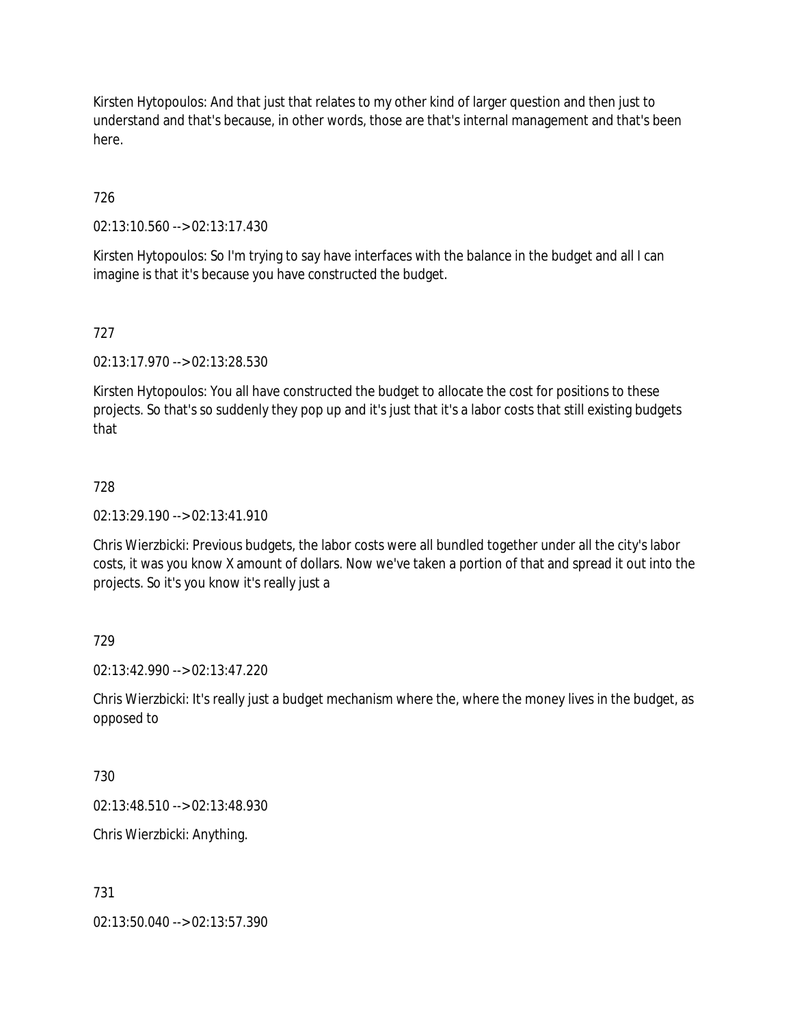Kirsten Hytopoulos: And that just that relates to my other kind of larger question and then just to understand and that's because, in other words, those are that's internal management and that's been here.

# 726

02:13:10.560 --> 02:13:17.430

Kirsten Hytopoulos: So I'm trying to say have interfaces with the balance in the budget and all I can imagine is that it's because you have constructed the budget.

## 727

02:13:17.970 --> 02:13:28.530

Kirsten Hytopoulos: You all have constructed the budget to allocate the cost for positions to these projects. So that's so suddenly they pop up and it's just that it's a labor costs that still existing budgets that

## 728

02:13:29.190 --> 02:13:41.910

Chris Wierzbicki: Previous budgets, the labor costs were all bundled together under all the city's labor costs, it was you know X amount of dollars. Now we've taken a portion of that and spread it out into the projects. So it's you know it's really just a

### 729

02:13:42.990 --> 02:13:47.220

Chris Wierzbicki: It's really just a budget mechanism where the, where the money lives in the budget, as opposed to

### 730

02:13:48.510 --> 02:13:48.930

Chris Wierzbicki: Anything.

### 731

02:13:50.040 --> 02:13:57.390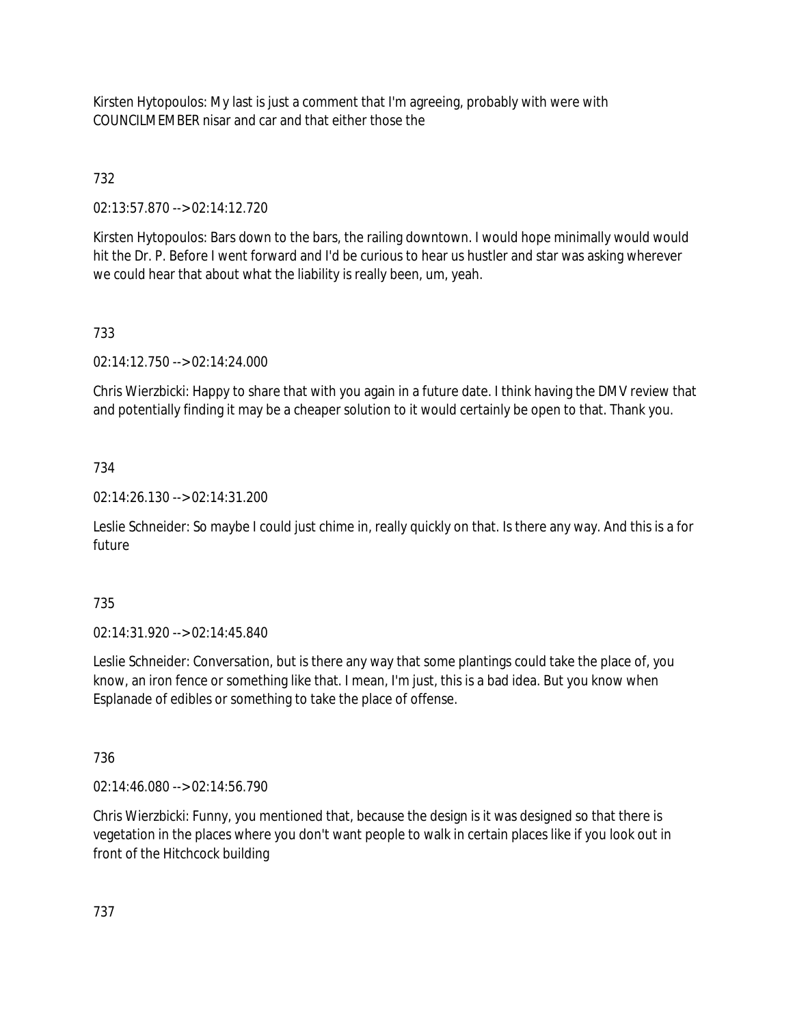Kirsten Hytopoulos: My last is just a comment that I'm agreeing, probably with were with COUNCILMEMBER nisar and car and that either those the

# 732

02:13:57.870 --> 02:14:12.720

Kirsten Hytopoulos: Bars down to the bars, the railing downtown. I would hope minimally would would hit the Dr. P. Before I went forward and I'd be curious to hear us hustler and star was asking wherever we could hear that about what the liability is really been, um, yeah.

# 733

02:14:12.750 --> 02:14:24.000

Chris Wierzbicki: Happy to share that with you again in a future date. I think having the DMV review that and potentially finding it may be a cheaper solution to it would certainly be open to that. Thank you.

# 734

02:14:26.130 --> 02:14:31.200

Leslie Schneider: So maybe I could just chime in, really quickly on that. Is there any way. And this is a for future

# 735

02:14:31.920 --> 02:14:45.840

Leslie Schneider: Conversation, but is there any way that some plantings could take the place of, you know, an iron fence or something like that. I mean, I'm just, this is a bad idea. But you know when Esplanade of edibles or something to take the place of offense.

### 736

02:14:46.080 --> 02:14:56.790

Chris Wierzbicki: Funny, you mentioned that, because the design is it was designed so that there is vegetation in the places where you don't want people to walk in certain places like if you look out in front of the Hitchcock building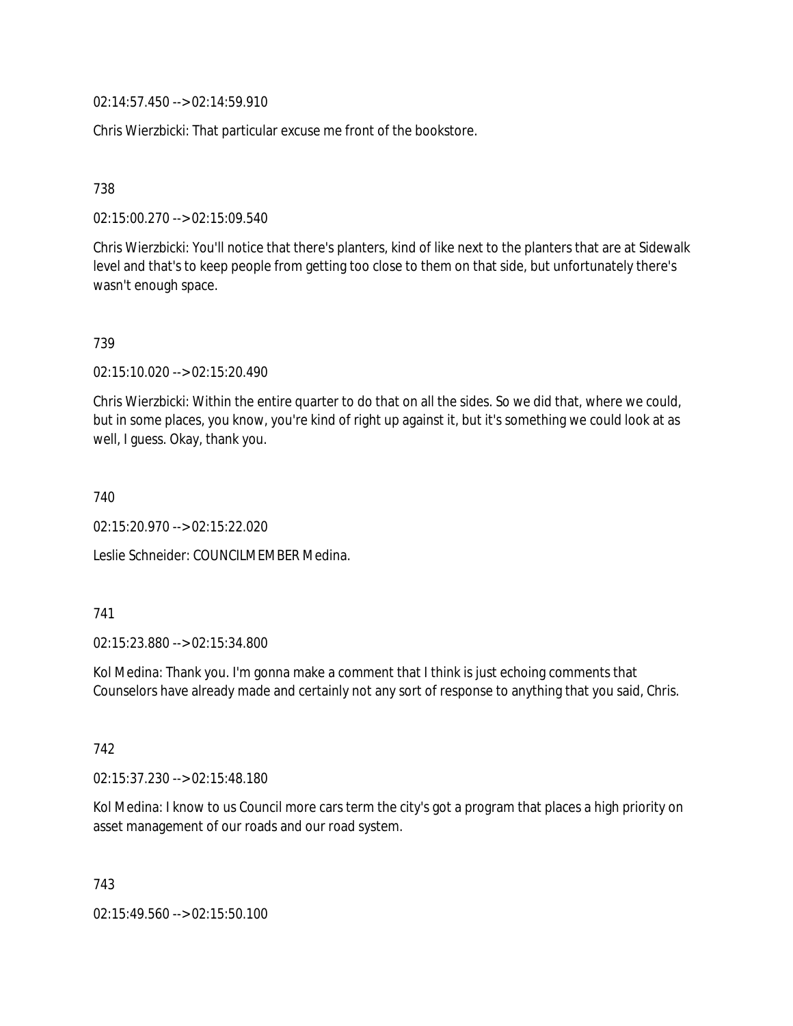02:14:57.450 --> 02:14:59.910

Chris Wierzbicki: That particular excuse me front of the bookstore.

738

02:15:00.270 --> 02:15:09.540

Chris Wierzbicki: You'll notice that there's planters, kind of like next to the planters that are at Sidewalk level and that's to keep people from getting too close to them on that side, but unfortunately there's wasn't enough space.

739

02:15:10.020 --> 02:15:20.490

Chris Wierzbicki: Within the entire quarter to do that on all the sides. So we did that, where we could, but in some places, you know, you're kind of right up against it, but it's something we could look at as well, I guess. Okay, thank you.

740

02:15:20.970 --> 02:15:22.020

Leslie Schneider: COUNCILMEMBER Medina.

#### 741

02:15:23.880 --> 02:15:34.800

Kol Medina: Thank you. I'm gonna make a comment that I think is just echoing comments that Counselors have already made and certainly not any sort of response to anything that you said, Chris.

742

02:15:37.230 --> 02:15:48.180

Kol Medina: I know to us Council more cars term the city's got a program that places a high priority on asset management of our roads and our road system.

743

02:15:49.560 --> 02:15:50.100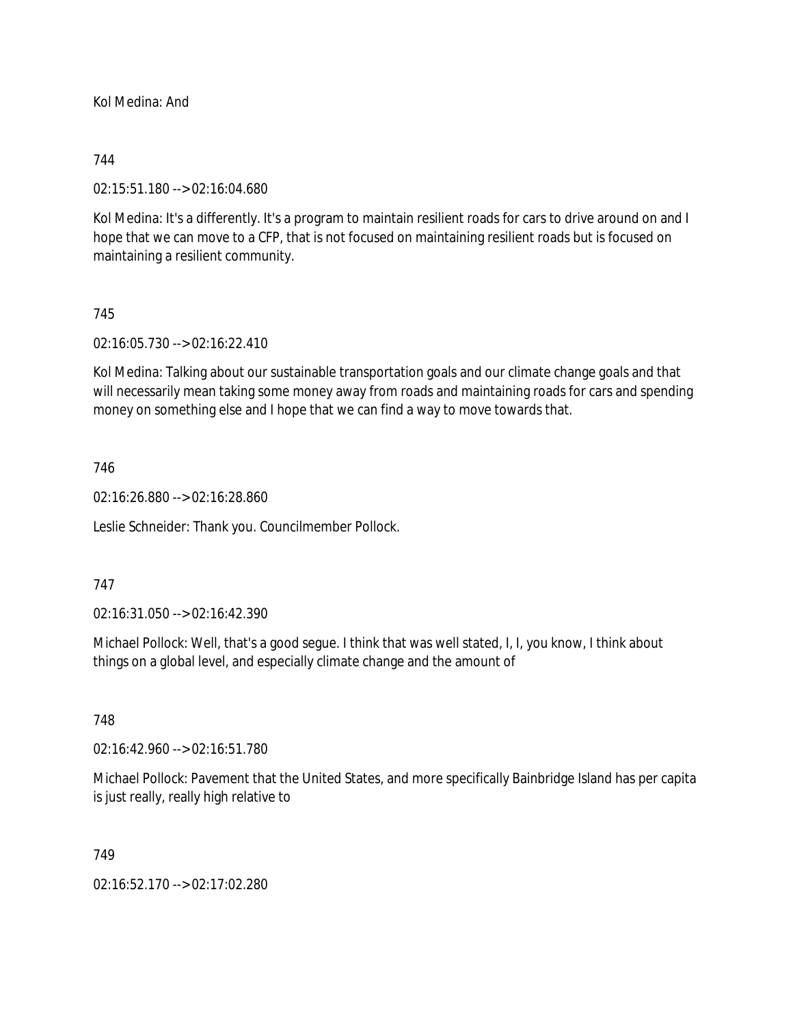Kol Medina: And

### 744

02:15:51.180 --> 02:16:04.680

Kol Medina: It's a differently. It's a program to maintain resilient roads for cars to drive around on and I hope that we can move to a CFP, that is not focused on maintaining resilient roads but is focused on maintaining a resilient community.

### 745

02:16:05.730 --> 02:16:22.410

Kol Medina: Talking about our sustainable transportation goals and our climate change goals and that will necessarily mean taking some money away from roads and maintaining roads for cars and spending money on something else and I hope that we can find a way to move towards that.

### 746

02:16:26.880 --> 02:16:28.860

Leslie Schneider: Thank you. Councilmember Pollock.

#### 747

02:16:31.050 --> 02:16:42.390

Michael Pollock: Well, that's a good segue. I think that was well stated, I, I, you know, I think about things on a global level, and especially climate change and the amount of

#### 748

02:16:42.960 --> 02:16:51.780

Michael Pollock: Pavement that the United States, and more specifically Bainbridge Island has per capita is just really, really high relative to

#### 749

02:16:52.170 --> 02:17:02.280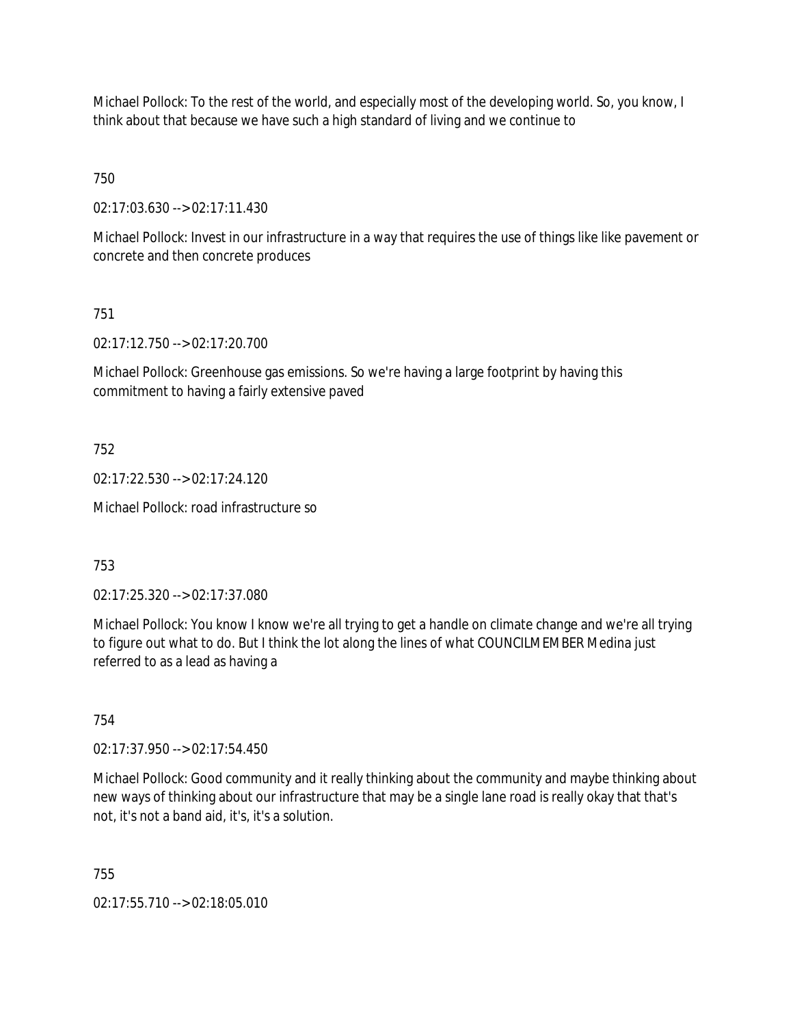Michael Pollock: To the rest of the world, and especially most of the developing world. So, you know, I think about that because we have such a high standard of living and we continue to

750

02:17:03.630 --> 02:17:11.430

Michael Pollock: Invest in our infrastructure in a way that requires the use of things like like pavement or concrete and then concrete produces

751

02:17:12.750 --> 02:17:20.700

Michael Pollock: Greenhouse gas emissions. So we're having a large footprint by having this commitment to having a fairly extensive paved

752

02:17:22.530 --> 02:17:24.120

Michael Pollock: road infrastructure so

753

02:17:25.320 --> 02:17:37.080

Michael Pollock: You know I know we're all trying to get a handle on climate change and we're all trying to figure out what to do. But I think the lot along the lines of what COUNCILMEMBER Medina just referred to as a lead as having a

754

02:17:37.950 --> 02:17:54.450

Michael Pollock: Good community and it really thinking about the community and maybe thinking about new ways of thinking about our infrastructure that may be a single lane road is really okay that that's not, it's not a band aid, it's, it's a solution.

755

02:17:55.710 --> 02:18:05.010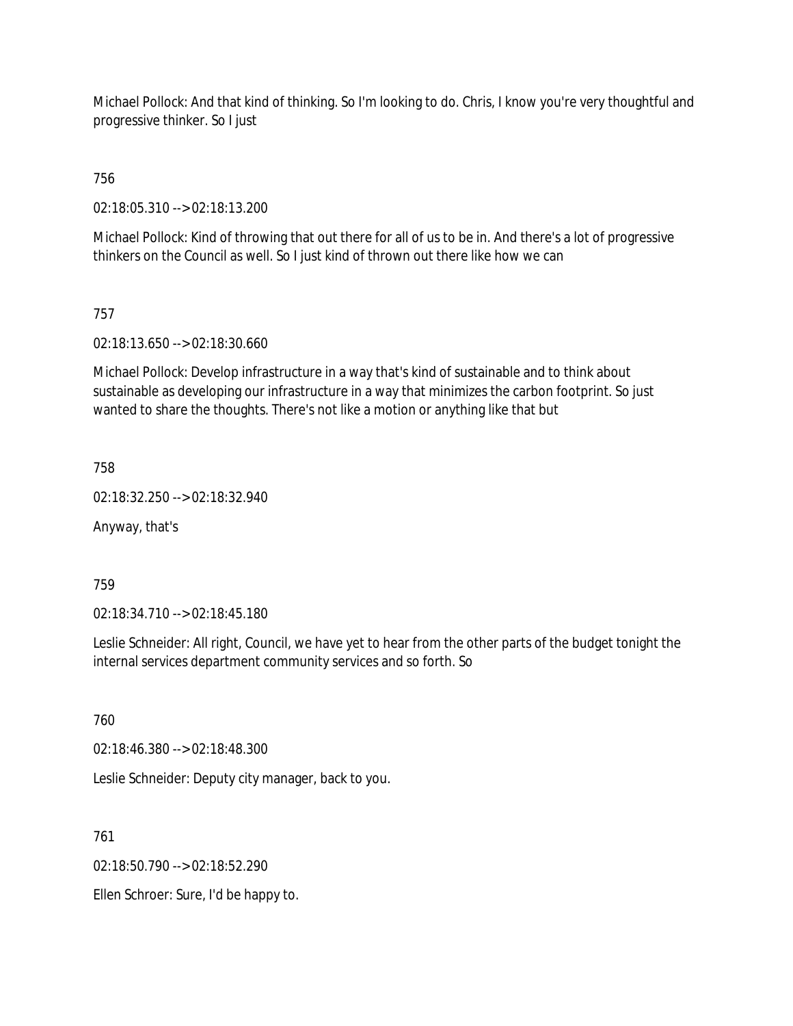Michael Pollock: And that kind of thinking. So I'm looking to do. Chris, I know you're very thoughtful and progressive thinker. So I just

756

02:18:05.310 --> 02:18:13.200

Michael Pollock: Kind of throwing that out there for all of us to be in. And there's a lot of progressive thinkers on the Council as well. So I just kind of thrown out there like how we can

## 757

02:18:13.650 --> 02:18:30.660

Michael Pollock: Develop infrastructure in a way that's kind of sustainable and to think about sustainable as developing our infrastructure in a way that minimizes the carbon footprint. So just wanted to share the thoughts. There's not like a motion or anything like that but

758

02:18:32.250 --> 02:18:32.940

Anyway, that's

759

02:18:34.710 --> 02:18:45.180

Leslie Schneider: All right, Council, we have yet to hear from the other parts of the budget tonight the internal services department community services and so forth. So

760

02:18:46.380 --> 02:18:48.300

Leslie Schneider: Deputy city manager, back to you.

761

02:18:50.790 --> 02:18:52.290

Ellen Schroer: Sure, I'd be happy to.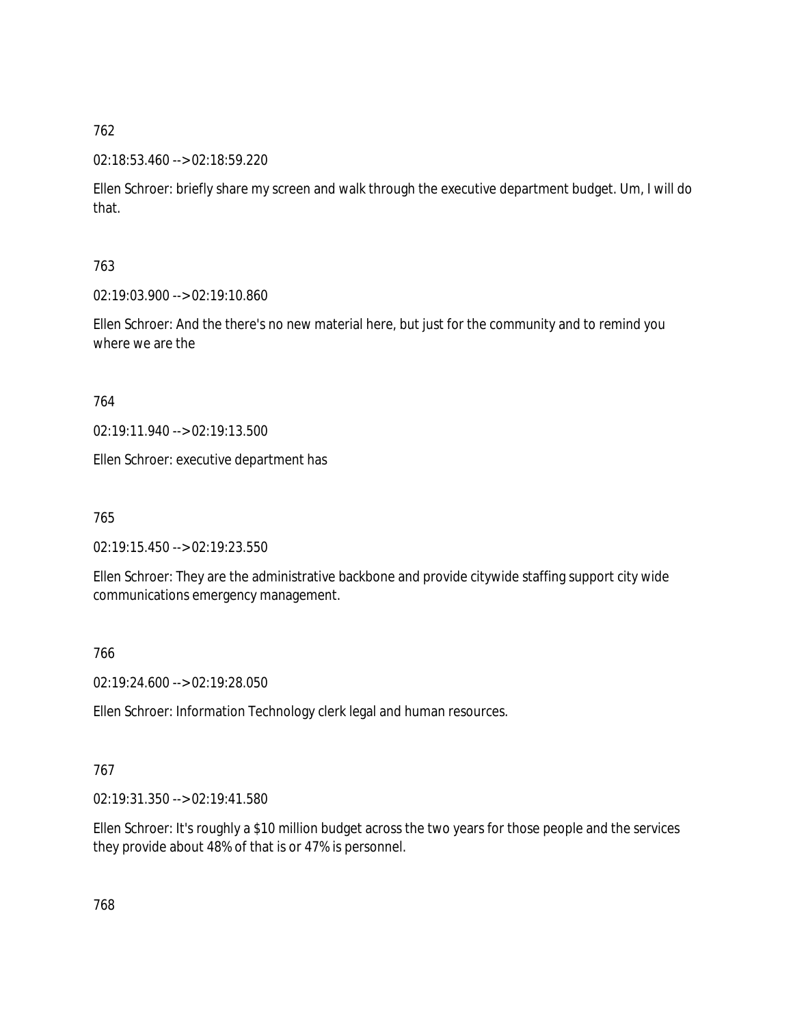# 02:18:53.460 --> 02:18:59.220

Ellen Schroer: briefly share my screen and walk through the executive department budget. Um, I will do that.

# 763

02:19:03.900 --> 02:19:10.860

Ellen Schroer: And the there's no new material here, but just for the community and to remind you where we are the

## 764

02:19:11.940 --> 02:19:13.500

Ellen Schroer: executive department has

765

02:19:15.450 --> 02:19:23.550

Ellen Schroer: They are the administrative backbone and provide citywide staffing support city wide communications emergency management.

# 766

02:19:24.600 --> 02:19:28.050

Ellen Schroer: Information Technology clerk legal and human resources.

# 767

02:19:31.350 --> 02:19:41.580

Ellen Schroer: It's roughly a \$10 million budget across the two years for those people and the services they provide about 48% of that is or 47% is personnel.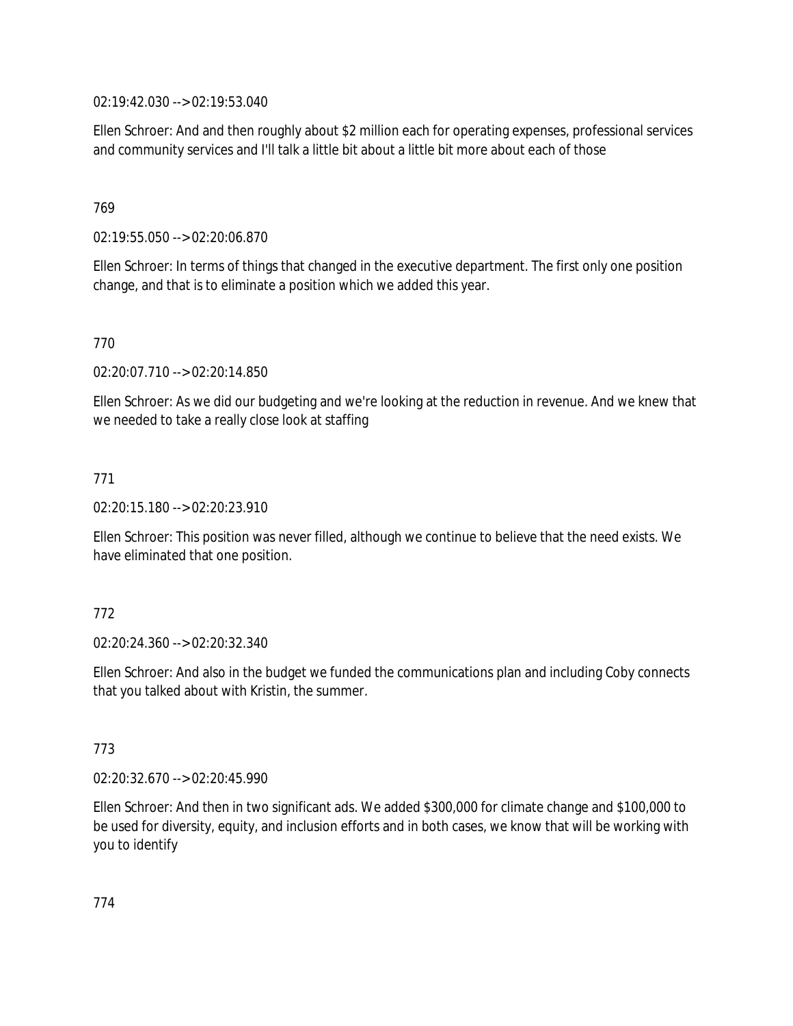02:19:42.030 --> 02:19:53.040

Ellen Schroer: And and then roughly about \$2 million each for operating expenses, professional services and community services and I'll talk a little bit about a little bit more about each of those

## 769

02:19:55.050 --> 02:20:06.870

Ellen Schroer: In terms of things that changed in the executive department. The first only one position change, and that is to eliminate a position which we added this year.

### 770

02:20:07.710 --> 02:20:14.850

Ellen Schroer: As we did our budgeting and we're looking at the reduction in revenue. And we knew that we needed to take a really close look at staffing

## 771

02:20:15.180 --> 02:20:23.910

Ellen Schroer: This position was never filled, although we continue to believe that the need exists. We have eliminated that one position.

### 772

02:20:24.360 --> 02:20:32.340

Ellen Schroer: And also in the budget we funded the communications plan and including Coby connects that you talked about with Kristin, the summer.

### 773

02:20:32.670 --> 02:20:45.990

Ellen Schroer: And then in two significant ads. We added \$300,000 for climate change and \$100,000 to be used for diversity, equity, and inclusion efforts and in both cases, we know that will be working with you to identify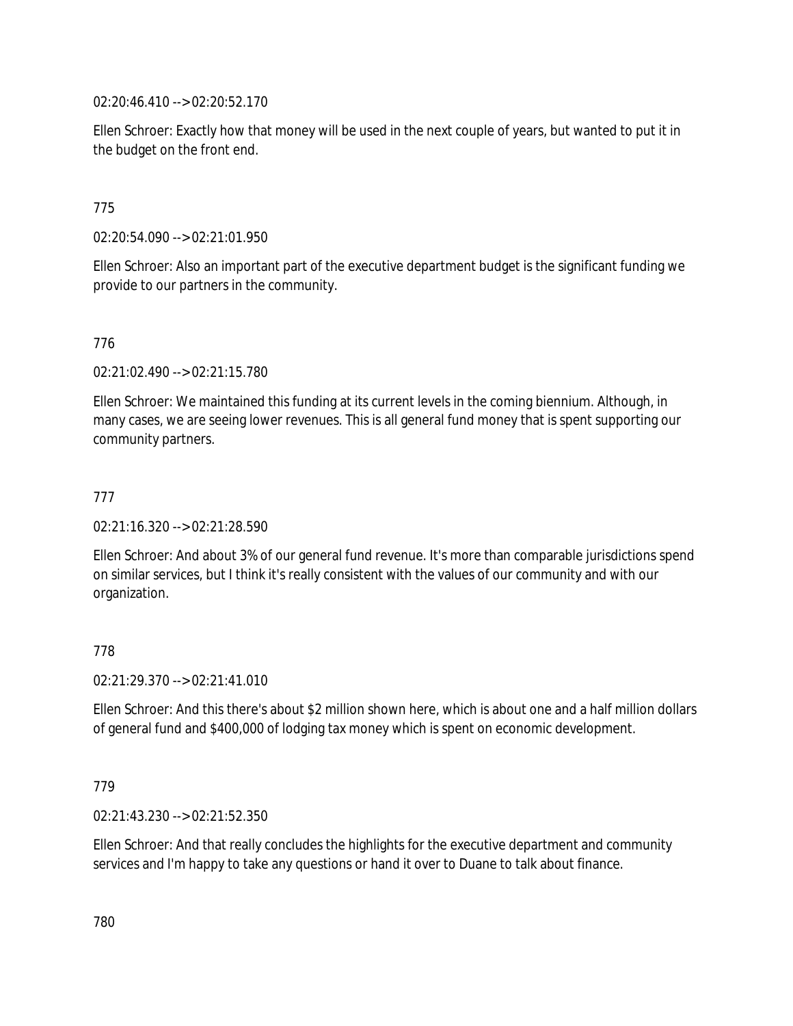02:20:46.410 --> 02:20:52.170

Ellen Schroer: Exactly how that money will be used in the next couple of years, but wanted to put it in the budget on the front end.

## 775

02:20:54.090 --> 02:21:01.950

Ellen Schroer: Also an important part of the executive department budget is the significant funding we provide to our partners in the community.

### 776

02:21:02.490 --> 02:21:15.780

Ellen Schroer: We maintained this funding at its current levels in the coming biennium. Although, in many cases, we are seeing lower revenues. This is all general fund money that is spent supporting our community partners.

### 777

02:21:16.320 --> 02:21:28.590

Ellen Schroer: And about 3% of our general fund revenue. It's more than comparable jurisdictions spend on similar services, but I think it's really consistent with the values of our community and with our organization.

### 778

02:21:29.370 --> 02:21:41.010

Ellen Schroer: And this there's about \$2 million shown here, which is about one and a half million dollars of general fund and \$400,000 of lodging tax money which is spent on economic development.

#### 779

02:21:43.230 --> 02:21:52.350

Ellen Schroer: And that really concludes the highlights for the executive department and community services and I'm happy to take any questions or hand it over to Duane to talk about finance.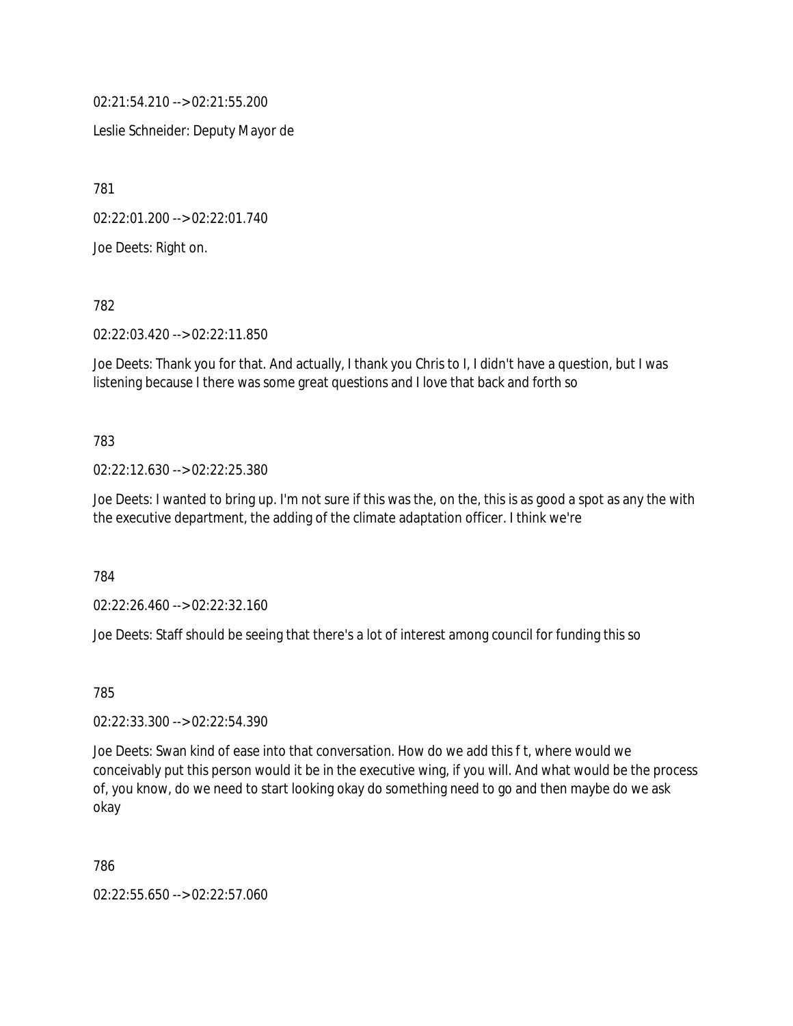02:21:54.210 --> 02:21:55.200

Leslie Schneider: Deputy Mayor de

781

02:22:01.200 --> 02:22:01.740

Joe Deets: Right on.

782

02:22:03.420 --> 02:22:11.850

Joe Deets: Thank you for that. And actually, I thank you Chris to I, I didn't have a question, but I was listening because I there was some great questions and I love that back and forth so

### 783

02:22:12.630 --> 02:22:25.380

Joe Deets: I wanted to bring up. I'm not sure if this was the, on the, this is as good a spot as any the with the executive department, the adding of the climate adaptation officer. I think we're

784

02:22:26.460 --> 02:22:32.160

Joe Deets: Staff should be seeing that there's a lot of interest among council for funding this so

785

02:22:33.300 --> 02:22:54.390

Joe Deets: Swan kind of ease into that conversation. How do we add this f t, where would we conceivably put this person would it be in the executive wing, if you will. And what would be the process of, you know, do we need to start looking okay do something need to go and then maybe do we ask okay

786

02:22:55.650 --> 02:22:57.060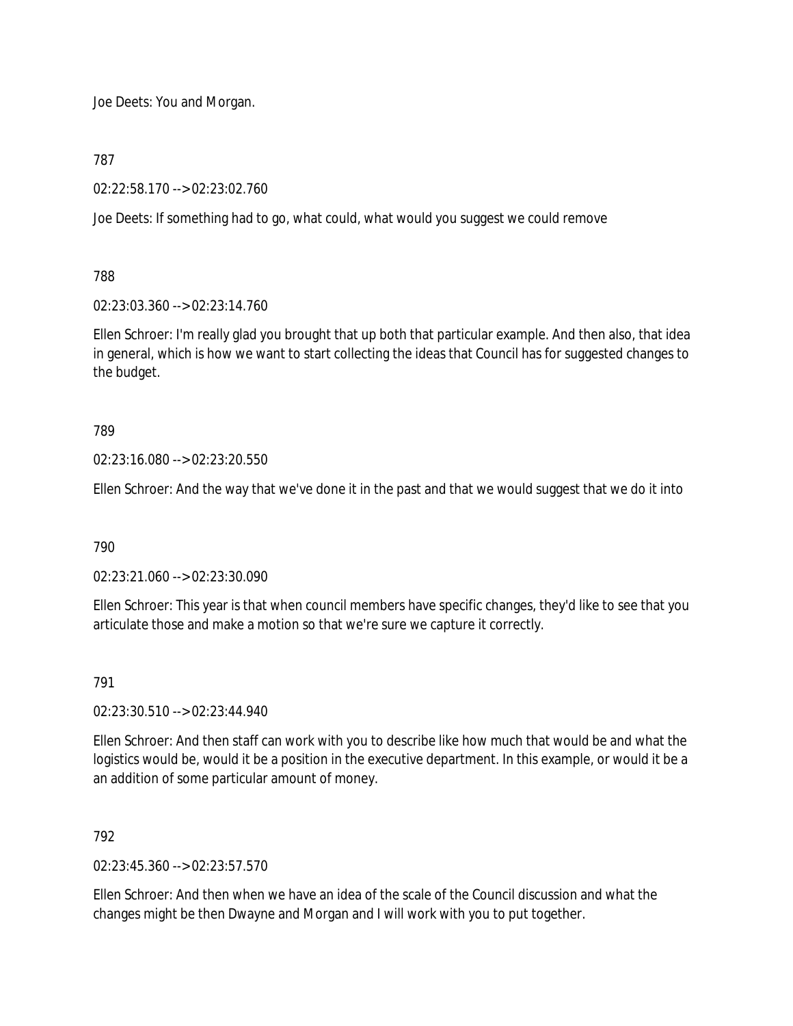Joe Deets: You and Morgan.

787

02:22:58.170 --> 02:23:02.760

Joe Deets: If something had to go, what could, what would you suggest we could remove

788

02:23:03.360 --> 02:23:14.760

Ellen Schroer: I'm really glad you brought that up both that particular example. And then also, that idea in general, which is how we want to start collecting the ideas that Council has for suggested changes to the budget.

789

02:23:16.080 --> 02:23:20.550

Ellen Schroer: And the way that we've done it in the past and that we would suggest that we do it into

790

02:23:21.060 --> 02:23:30.090

Ellen Schroer: This year is that when council members have specific changes, they'd like to see that you articulate those and make a motion so that we're sure we capture it correctly.

791

02:23:30.510 --> 02:23:44.940

Ellen Schroer: And then staff can work with you to describe like how much that would be and what the logistics would be, would it be a position in the executive department. In this example, or would it be a an addition of some particular amount of money.

792

 $02:23:45.360 \rightarrow 02:23:57.570$ 

Ellen Schroer: And then when we have an idea of the scale of the Council discussion and what the changes might be then Dwayne and Morgan and I will work with you to put together.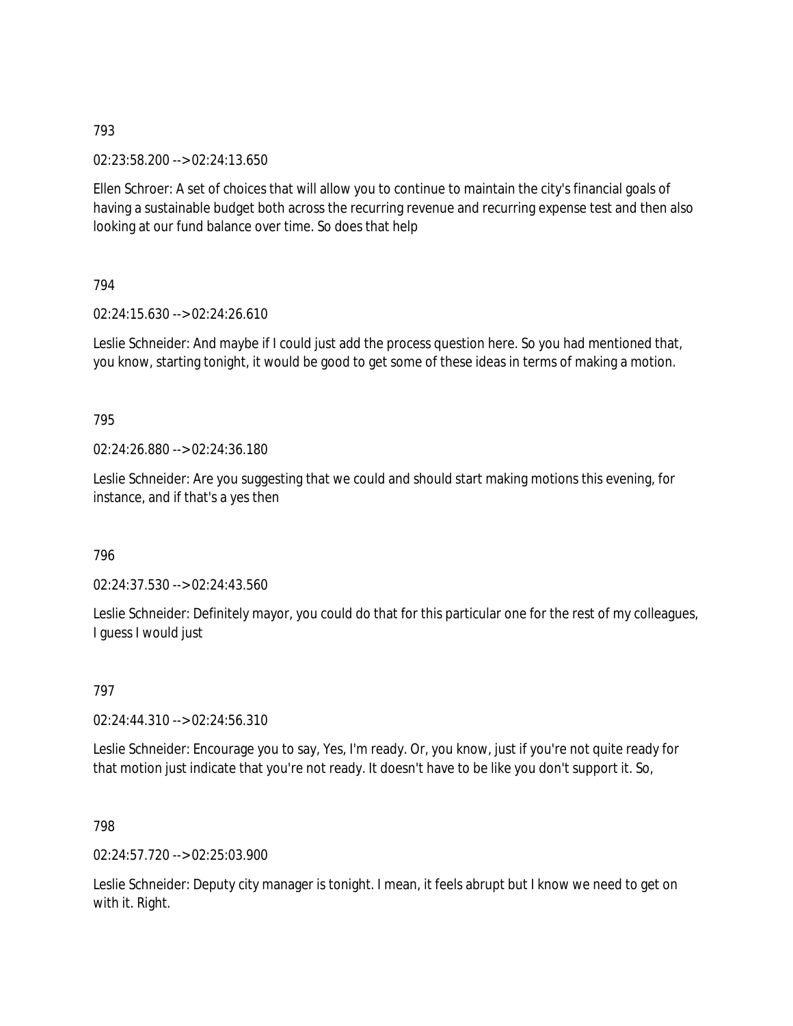02:23:58.200 --> 02:24:13.650

Ellen Schroer: A set of choices that will allow you to continue to maintain the city's financial goals of having a sustainable budget both across the recurring revenue and recurring expense test and then also looking at our fund balance over time. So does that help

794

02:24:15.630 --> 02:24:26.610

Leslie Schneider: And maybe if I could just add the process question here. So you had mentioned that, you know, starting tonight, it would be good to get some of these ideas in terms of making a motion.

795

02:24:26.880 --> 02:24:36.180

Leslie Schneider: Are you suggesting that we could and should start making motions this evening, for instance, and if that's a yes then

796

02:24:37.530 --> 02:24:43.560

Leslie Schneider: Definitely mayor, you could do that for this particular one for the rest of my colleagues, I guess I would just

797

02:24:44.310 --> 02:24:56.310

Leslie Schneider: Encourage you to say, Yes, I'm ready. Or, you know, just if you're not quite ready for that motion just indicate that you're not ready. It doesn't have to be like you don't support it. So,

798

02:24:57.720 --> 02:25:03.900

Leslie Schneider: Deputy city manager is tonight. I mean, it feels abrupt but I know we need to get on with it. Right.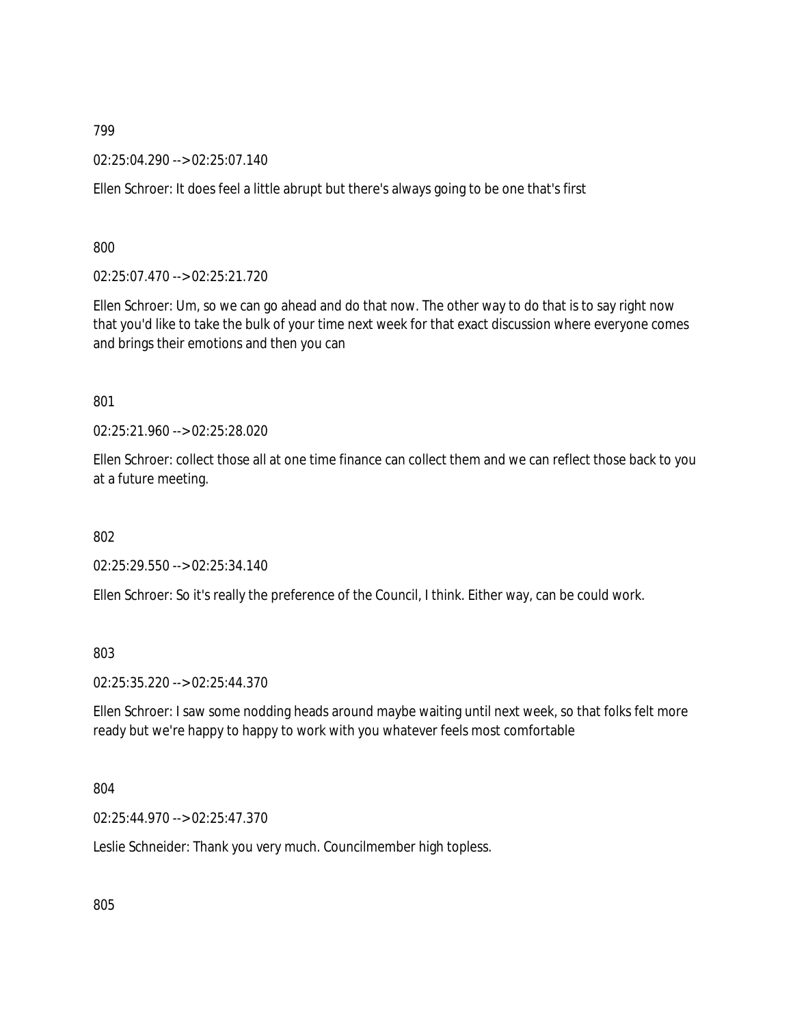02:25:04.290 --> 02:25:07.140

Ellen Schroer: It does feel a little abrupt but there's always going to be one that's first

800

02:25:07.470 --> 02:25:21.720

Ellen Schroer: Um, so we can go ahead and do that now. The other way to do that is to say right now that you'd like to take the bulk of your time next week for that exact discussion where everyone comes and brings their emotions and then you can

801

02:25:21.960 --> 02:25:28.020

Ellen Schroer: collect those all at one time finance can collect them and we can reflect those back to you at a future meeting.

802

02:25:29.550 --> 02:25:34.140

Ellen Schroer: So it's really the preference of the Council, I think. Either way, can be could work.

803

02:25:35.220 --> 02:25:44.370

Ellen Schroer: I saw some nodding heads around maybe waiting until next week, so that folks felt more ready but we're happy to happy to work with you whatever feels most comfortable

804

02:25:44.970 --> 02:25:47.370

Leslie Schneider: Thank you very much. Councilmember high topless.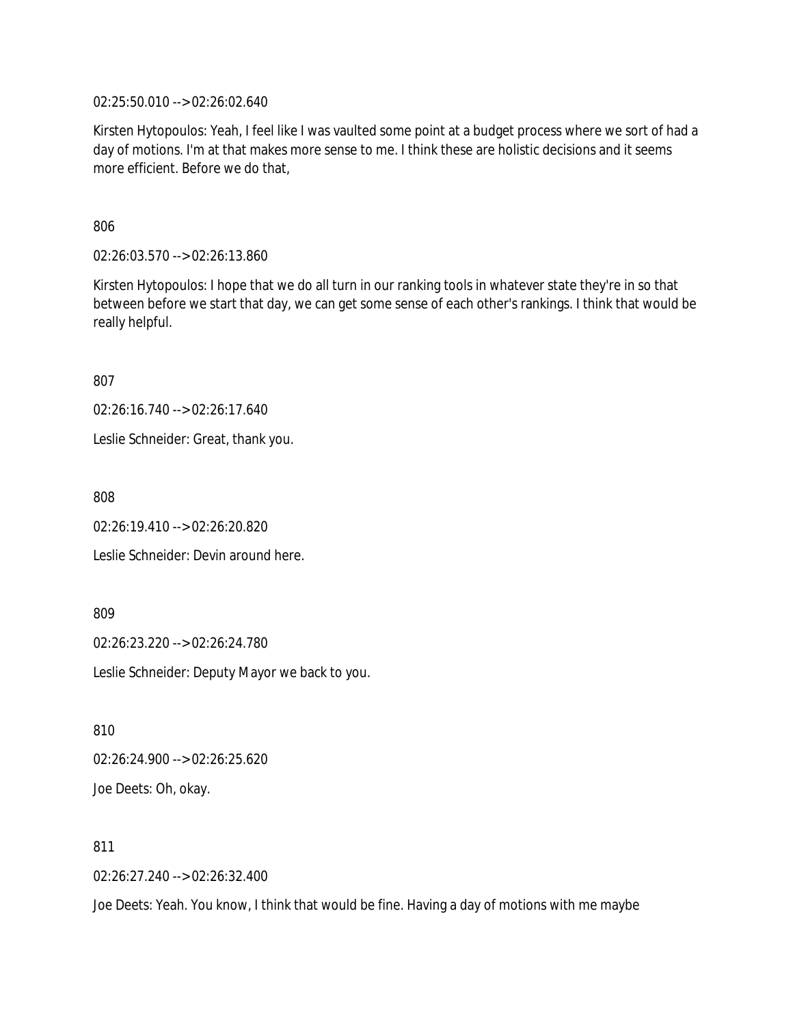02:25:50.010 --> 02:26:02.640

Kirsten Hytopoulos: Yeah, I feel like I was vaulted some point at a budget process where we sort of had a day of motions. I'm at that makes more sense to me. I think these are holistic decisions and it seems more efficient. Before we do that,

806

02:26:03.570 --> 02:26:13.860

Kirsten Hytopoulos: I hope that we do all turn in our ranking tools in whatever state they're in so that between before we start that day, we can get some sense of each other's rankings. I think that would be really helpful.

807

02:26:16.740 --> 02:26:17.640

Leslie Schneider: Great, thank you.

808

02:26:19.410 --> 02:26:20.820

Leslie Schneider: Devin around here.

809

02:26:23.220 --> 02:26:24.780

Leslie Schneider: Deputy Mayor we back to you.

810

02:26:24.900 --> 02:26:25.620

Joe Deets: Oh, okay.

811

02:26:27.240 --> 02:26:32.400

Joe Deets: Yeah. You know, I think that would be fine. Having a day of motions with me maybe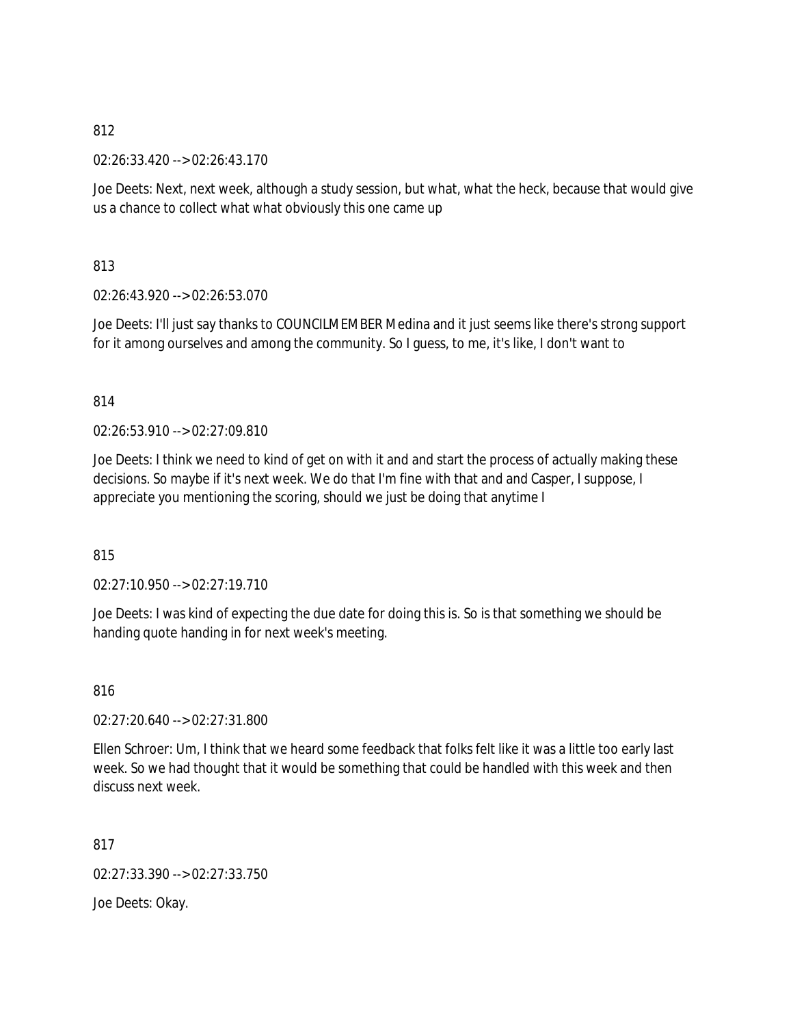02:26:33.420 --> 02:26:43.170

Joe Deets: Next, next week, although a study session, but what, what the heck, because that would give us a chance to collect what what obviously this one came up

813

02:26:43.920 --> 02:26:53.070

Joe Deets: I'll just say thanks to COUNCILMEMBER Medina and it just seems like there's strong support for it among ourselves and among the community. So I guess, to me, it's like, I don't want to

814

02:26:53.910 --> 02:27:09.810

Joe Deets: I think we need to kind of get on with it and and start the process of actually making these decisions. So maybe if it's next week. We do that I'm fine with that and and Casper, I suppose, I appreciate you mentioning the scoring, should we just be doing that anytime I

815

02:27:10.950 --> 02:27:19.710

Joe Deets: I was kind of expecting the due date for doing this is. So is that something we should be handing quote handing in for next week's meeting.

816

02:27:20.640 --> 02:27:31.800

Ellen Schroer: Um, I think that we heard some feedback that folks felt like it was a little too early last week. So we had thought that it would be something that could be handled with this week and then discuss next week.

817

02:27:33.390 --> 02:27:33.750

Joe Deets: Okay.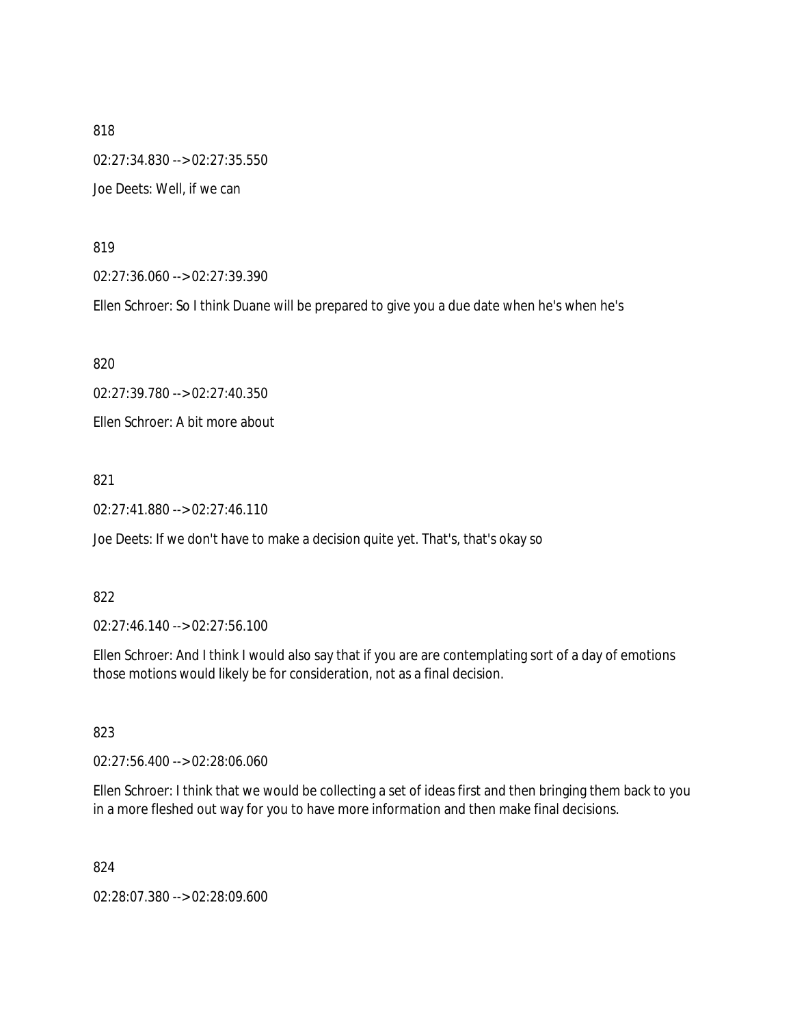818 02:27:34.830 --> 02:27:35.550 Joe Deets: Well, if we can

819

02:27:36.060 --> 02:27:39.390

Ellen Schroer: So I think Duane will be prepared to give you a due date when he's when he's

820

02:27:39.780 --> 02:27:40.350

Ellen Schroer: A bit more about

821

02:27:41.880 --> 02:27:46.110

Joe Deets: If we don't have to make a decision quite yet. That's, that's okay so

### 822

02:27:46.140 --> 02:27:56.100

Ellen Schroer: And I think I would also say that if you are are contemplating sort of a day of emotions those motions would likely be for consideration, not as a final decision.

823

02:27:56.400 --> 02:28:06.060

Ellen Schroer: I think that we would be collecting a set of ideas first and then bringing them back to you in a more fleshed out way for you to have more information and then make final decisions.

824

02:28:07.380 --> 02:28:09.600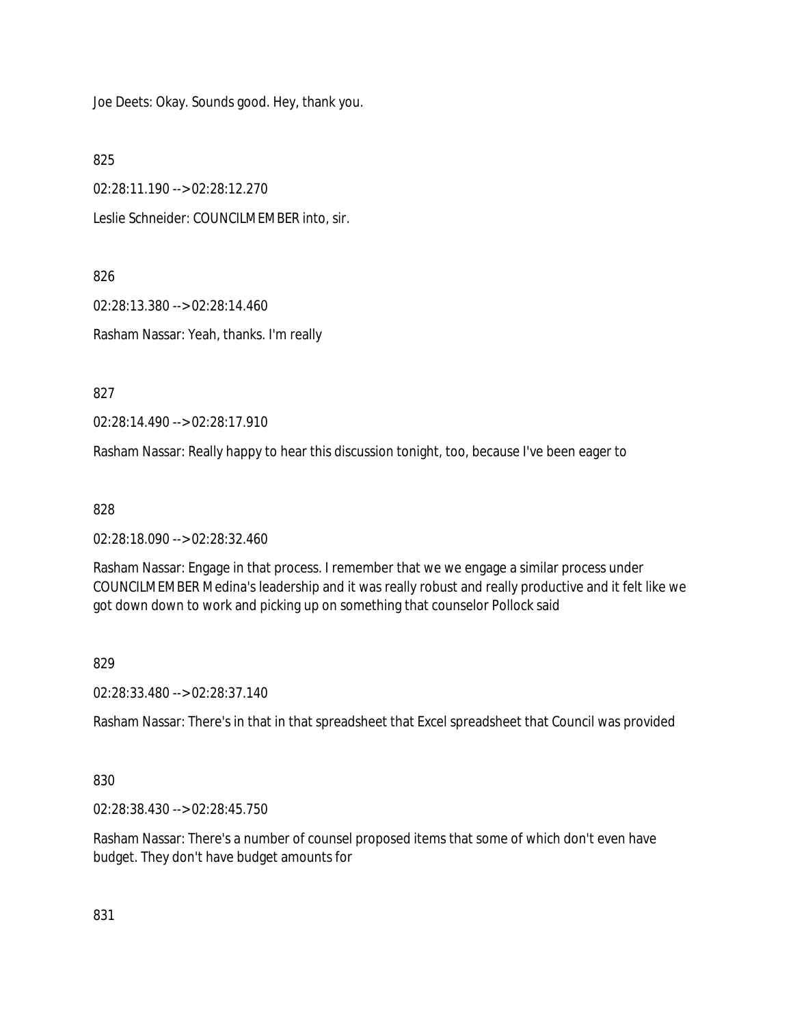Joe Deets: Okay. Sounds good. Hey, thank you.

825

02:28:11.190 --> 02:28:12.270

Leslie Schneider: COUNCILMEMBER into, sir.

826

02:28:13.380 --> 02:28:14.460

Rasham Nassar: Yeah, thanks. I'm really

827

02:28:14.490 --> 02:28:17.910

Rasham Nassar: Really happy to hear this discussion tonight, too, because I've been eager to

828

02:28:18.090 --> 02:28:32.460

Rasham Nassar: Engage in that process. I remember that we we engage a similar process under COUNCILMEMBER Medina's leadership and it was really robust and really productive and it felt like we got down down to work and picking up on something that counselor Pollock said

829

02:28:33.480 --> 02:28:37.140

Rasham Nassar: There's in that in that spreadsheet that Excel spreadsheet that Council was provided

830

02:28:38.430 --> 02:28:45.750

Rasham Nassar: There's a number of counsel proposed items that some of which don't even have budget. They don't have budget amounts for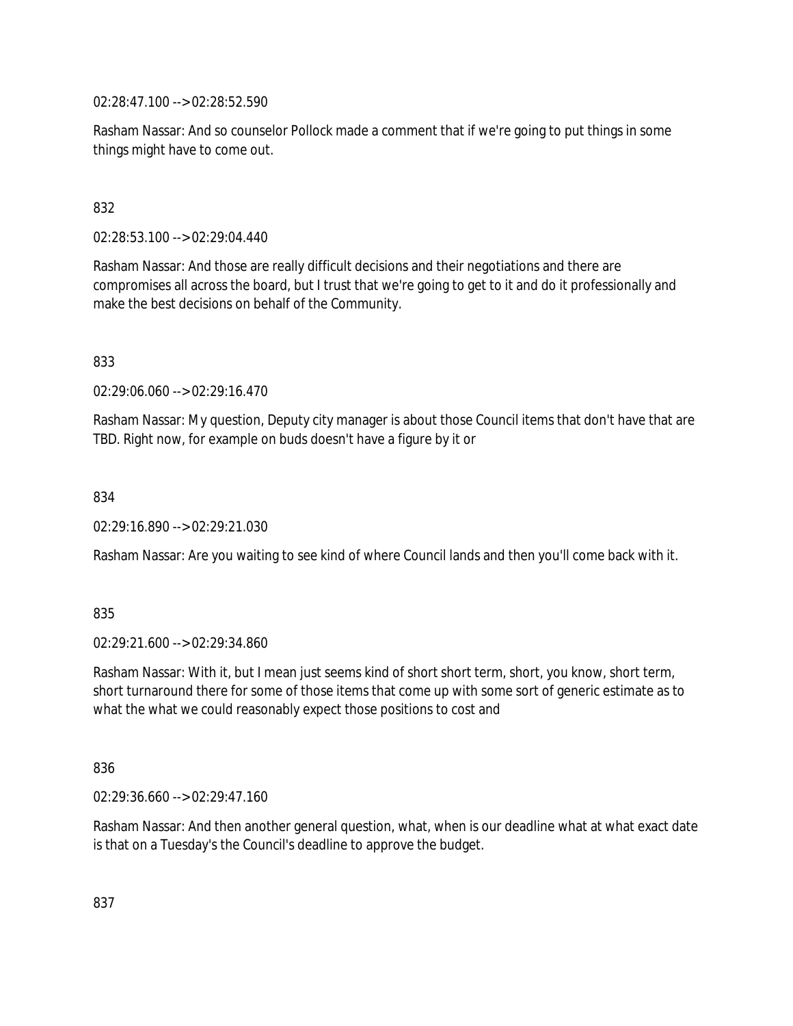02:28:47.100 --> 02:28:52.590

Rasham Nassar: And so counselor Pollock made a comment that if we're going to put things in some things might have to come out.

# 832

02:28:53.100 --> 02:29:04.440

Rasham Nassar: And those are really difficult decisions and their negotiations and there are compromises all across the board, but I trust that we're going to get to it and do it professionally and make the best decisions on behalf of the Community.

833

02:29:06.060 --> 02:29:16.470

Rasham Nassar: My question, Deputy city manager is about those Council items that don't have that are TBD. Right now, for example on buds doesn't have a figure by it or

834

02:29:16.890 --> 02:29:21.030

Rasham Nassar: Are you waiting to see kind of where Council lands and then you'll come back with it.

835

02:29:21.600 --> 02:29:34.860

Rasham Nassar: With it, but I mean just seems kind of short short term, short, you know, short term, short turnaround there for some of those items that come up with some sort of generic estimate as to what the what we could reasonably expect those positions to cost and

836

02:29:36.660 --> 02:29:47.160

Rasham Nassar: And then another general question, what, when is our deadline what at what exact date is that on a Tuesday's the Council's deadline to approve the budget.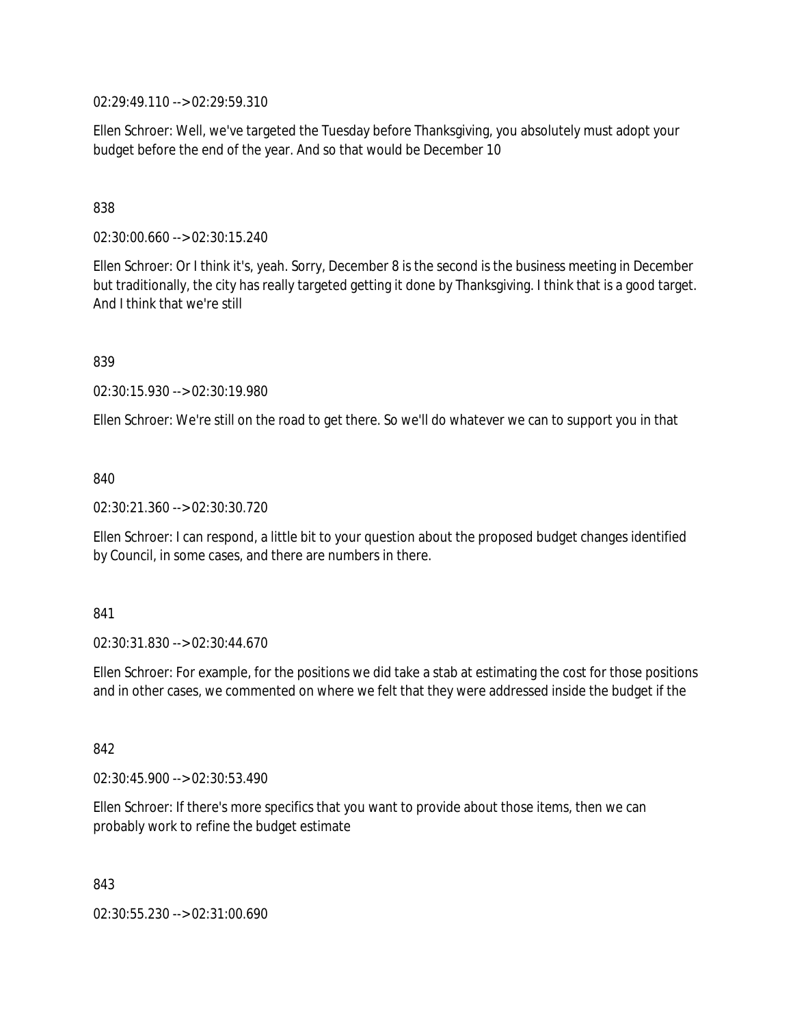02:29:49.110 --> 02:29:59.310

Ellen Schroer: Well, we've targeted the Tuesday before Thanksgiving, you absolutely must adopt your budget before the end of the year. And so that would be December 10

### 838

02:30:00.660 --> 02:30:15.240

Ellen Schroer: Or I think it's, yeah. Sorry, December 8 is the second is the business meeting in December but traditionally, the city has really targeted getting it done by Thanksgiving. I think that is a good target. And I think that we're still

839

02:30:15.930 --> 02:30:19.980

Ellen Schroer: We're still on the road to get there. So we'll do whatever we can to support you in that

840

02:30:21.360 --> 02:30:30.720

Ellen Schroer: I can respond, a little bit to your question about the proposed budget changes identified by Council, in some cases, and there are numbers in there.

### 841

02:30:31.830 --> 02:30:44.670

Ellen Schroer: For example, for the positions we did take a stab at estimating the cost for those positions and in other cases, we commented on where we felt that they were addressed inside the budget if the

842

02:30:45.900 --> 02:30:53.490

Ellen Schroer: If there's more specifics that you want to provide about those items, then we can probably work to refine the budget estimate

843

02:30:55.230 --> 02:31:00.690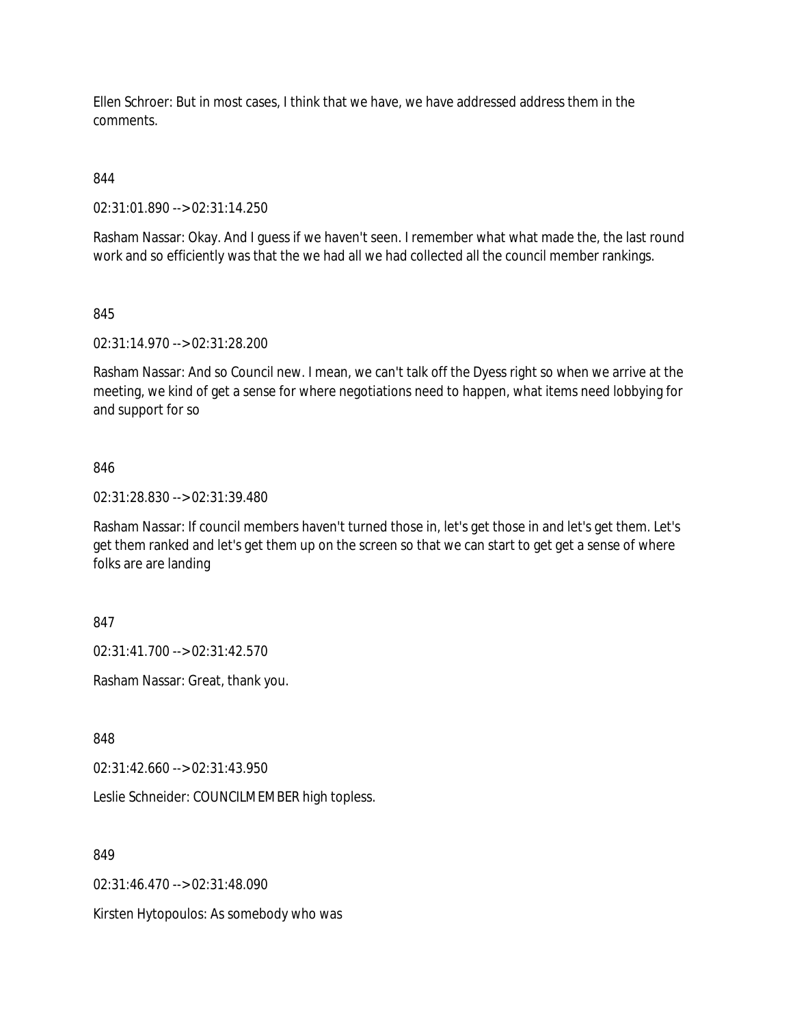Ellen Schroer: But in most cases, I think that we have, we have addressed address them in the comments.

844

02:31:01.890 --> 02:31:14.250

Rasham Nassar: Okay. And I guess if we haven't seen. I remember what what made the, the last round work and so efficiently was that the we had all we had collected all the council member rankings.

845

02:31:14.970 --> 02:31:28.200

Rasham Nassar: And so Council new. I mean, we can't talk off the Dyess right so when we arrive at the meeting, we kind of get a sense for where negotiations need to happen, what items need lobbying for and support for so

### 846

02:31:28.830 --> 02:31:39.480

Rasham Nassar: If council members haven't turned those in, let's get those in and let's get them. Let's get them ranked and let's get them up on the screen so that we can start to get get a sense of where folks are are landing

847

02:31:41.700 --> 02:31:42.570

Rasham Nassar: Great, thank you.

848

02:31:42.660 --> 02:31:43.950

Leslie Schneider: COUNCILMEMBER high topless.

849

02:31:46.470 --> 02:31:48.090

Kirsten Hytopoulos: As somebody who was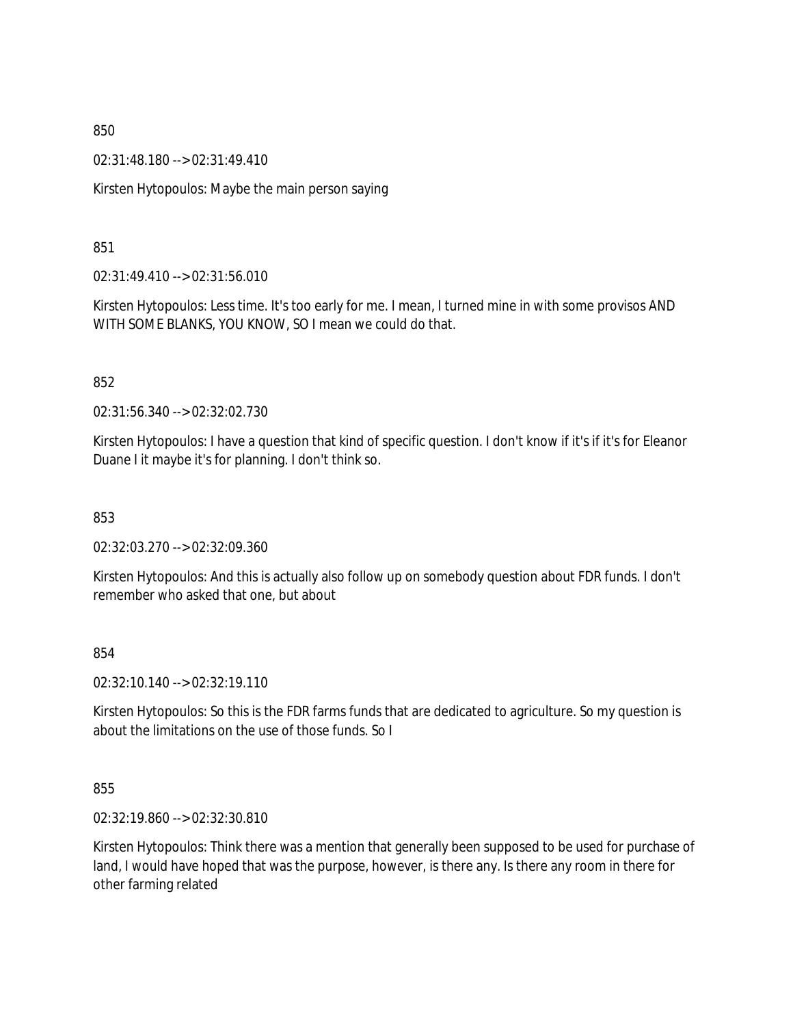02:31:48.180 --> 02:31:49.410

Kirsten Hytopoulos: Maybe the main person saying

851

02:31:49.410 --> 02:31:56.010

Kirsten Hytopoulos: Less time. It's too early for me. I mean, I turned mine in with some provisos AND WITH SOME BLANKS, YOU KNOW, SO I mean we could do that.

852

02:31:56.340 --> 02:32:02.730

Kirsten Hytopoulos: I have a question that kind of specific question. I don't know if it's if it's for Eleanor Duane I it maybe it's for planning. I don't think so.

853

02:32:03.270 --> 02:32:09.360

Kirsten Hytopoulos: And this is actually also follow up on somebody question about FDR funds. I don't remember who asked that one, but about

854

02:32:10.140 --> 02:32:19.110

Kirsten Hytopoulos: So this is the FDR farms funds that are dedicated to agriculture. So my question is about the limitations on the use of those funds. So I

855

02:32:19.860 --> 02:32:30.810

Kirsten Hytopoulos: Think there was a mention that generally been supposed to be used for purchase of land, I would have hoped that was the purpose, however, is there any. Is there any room in there for other farming related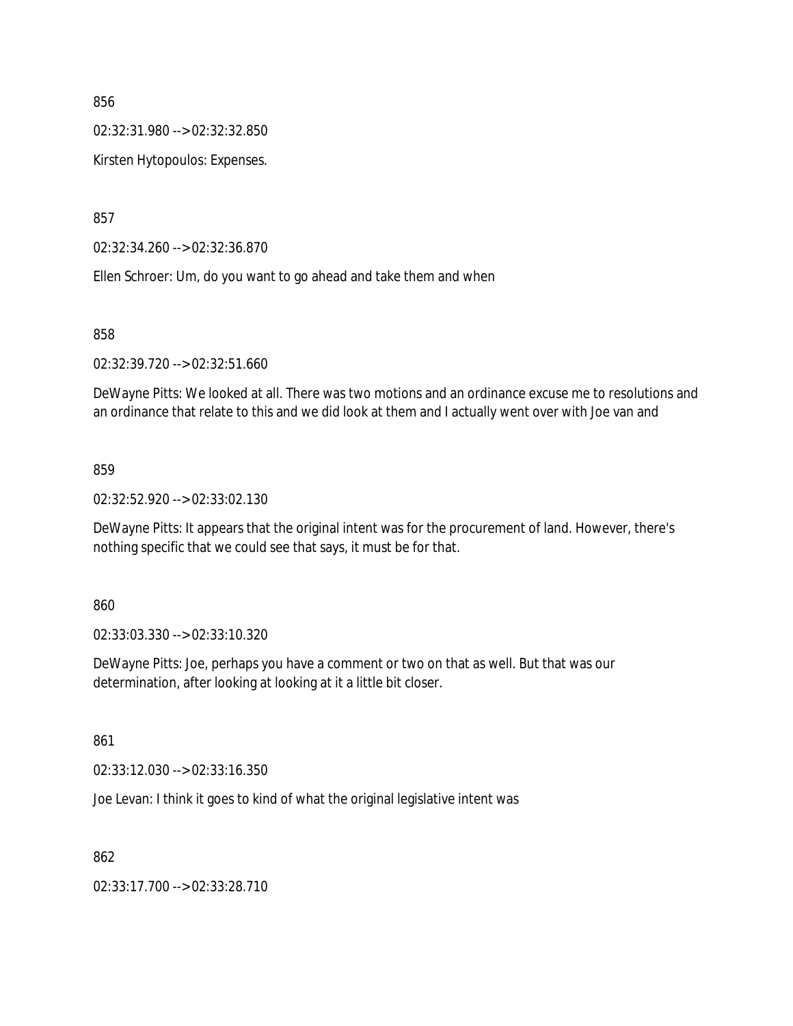02:32:31.980 --> 02:32:32.850

Kirsten Hytopoulos: Expenses.

857

02:32:34.260 --> 02:32:36.870

Ellen Schroer: Um, do you want to go ahead and take them and when

858

02:32:39.720 --> 02:32:51.660

DeWayne Pitts: We looked at all. There was two motions and an ordinance excuse me to resolutions and an ordinance that relate to this and we did look at them and I actually went over with Joe van and

#### 859

02:32:52.920 --> 02:33:02.130

DeWayne Pitts: It appears that the original intent was for the procurement of land. However, there's nothing specific that we could see that says, it must be for that.

860

02:33:03.330 --> 02:33:10.320

DeWayne Pitts: Joe, perhaps you have a comment or two on that as well. But that was our determination, after looking at looking at it a little bit closer.

861

02:33:12.030 --> 02:33:16.350

Joe Levan: I think it goes to kind of what the original legislative intent was

862

02:33:17.700 --> 02:33:28.710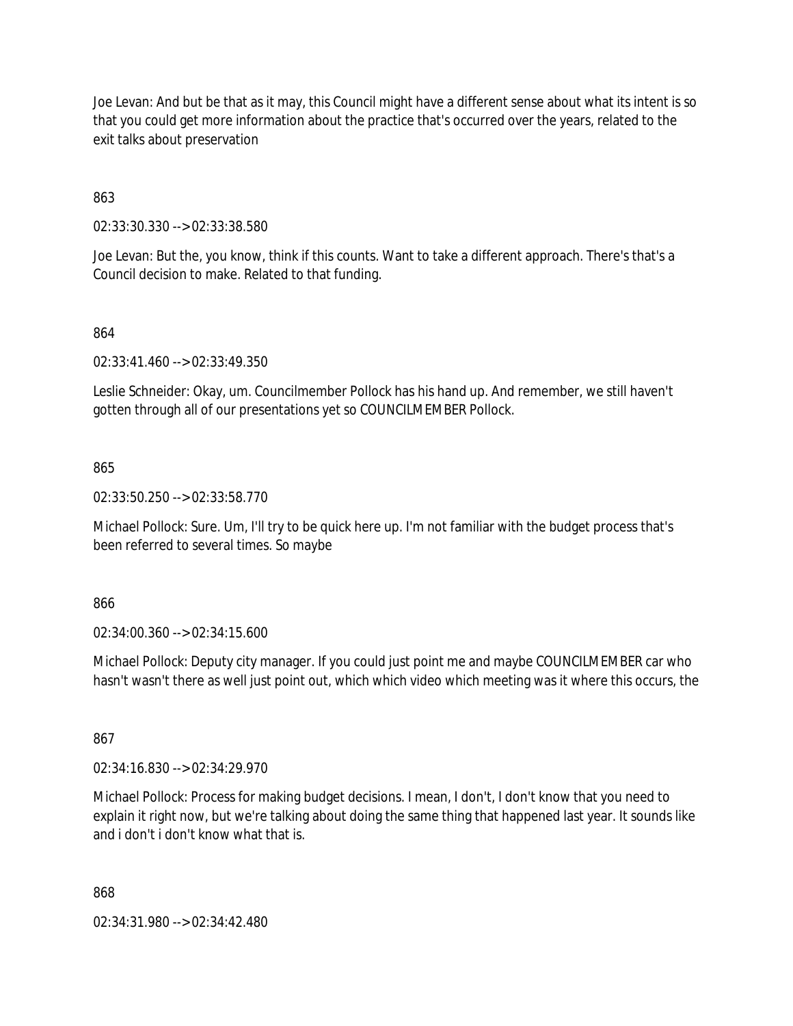Joe Levan: And but be that as it may, this Council might have a different sense about what its intent is so that you could get more information about the practice that's occurred over the years, related to the exit talks about preservation

863

02:33:30.330 --> 02:33:38.580

Joe Levan: But the, you know, think if this counts. Want to take a different approach. There's that's a Council decision to make. Related to that funding.

### 864

02:33:41.460 --> 02:33:49.350

Leslie Schneider: Okay, um. Councilmember Pollock has his hand up. And remember, we still haven't gotten through all of our presentations yet so COUNCILMEMBER Pollock.

865

02:33:50.250 --> 02:33:58.770

Michael Pollock: Sure. Um, I'll try to be quick here up. I'm not familiar with the budget process that's been referred to several times. So maybe

866

02:34:00.360 --> 02:34:15.600

Michael Pollock: Deputy city manager. If you could just point me and maybe COUNCILMEMBER car who hasn't wasn't there as well just point out, which which video which meeting was it where this occurs, the

867

02:34:16.830 --> 02:34:29.970

Michael Pollock: Process for making budget decisions. I mean, I don't, I don't know that you need to explain it right now, but we're talking about doing the same thing that happened last year. It sounds like and i don't i don't know what that is.

868

02:34:31.980 --> 02:34:42.480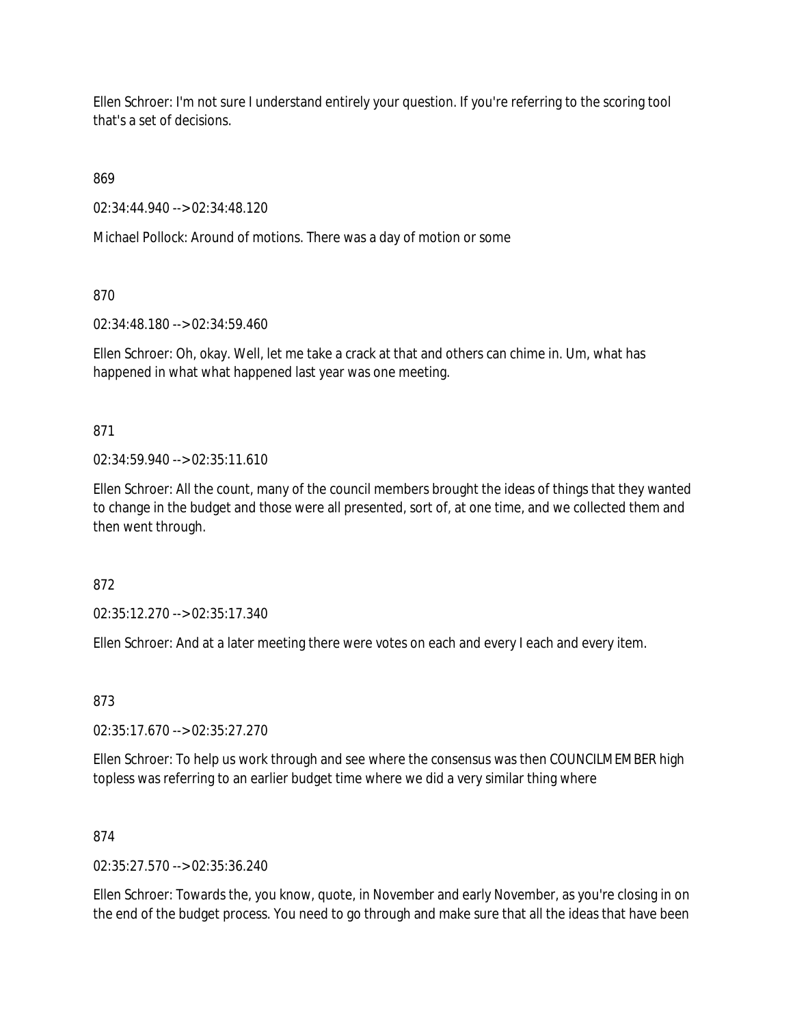Ellen Schroer: I'm not sure I understand entirely your question. If you're referring to the scoring tool that's a set of decisions.

869

02:34:44.940 --> 02:34:48.120

Michael Pollock: Around of motions. There was a day of motion or some

870

02:34:48.180 --> 02:34:59.460

Ellen Schroer: Oh, okay. Well, let me take a crack at that and others can chime in. Um, what has happened in what what happened last year was one meeting.

871

 $02:34:59.940 \rightarrow 02:35:11.610$ 

Ellen Schroer: All the count, many of the council members brought the ideas of things that they wanted to change in the budget and those were all presented, sort of, at one time, and we collected them and then went through.

872

02:35:12.270 --> 02:35:17.340

Ellen Schroer: And at a later meeting there were votes on each and every I each and every item.

873

02:35:17.670 --> 02:35:27.270

Ellen Schroer: To help us work through and see where the consensus was then COUNCILMEMBER high topless was referring to an earlier budget time where we did a very similar thing where

874

02:35:27.570 --> 02:35:36.240

Ellen Schroer: Towards the, you know, quote, in November and early November, as you're closing in on the end of the budget process. You need to go through and make sure that all the ideas that have been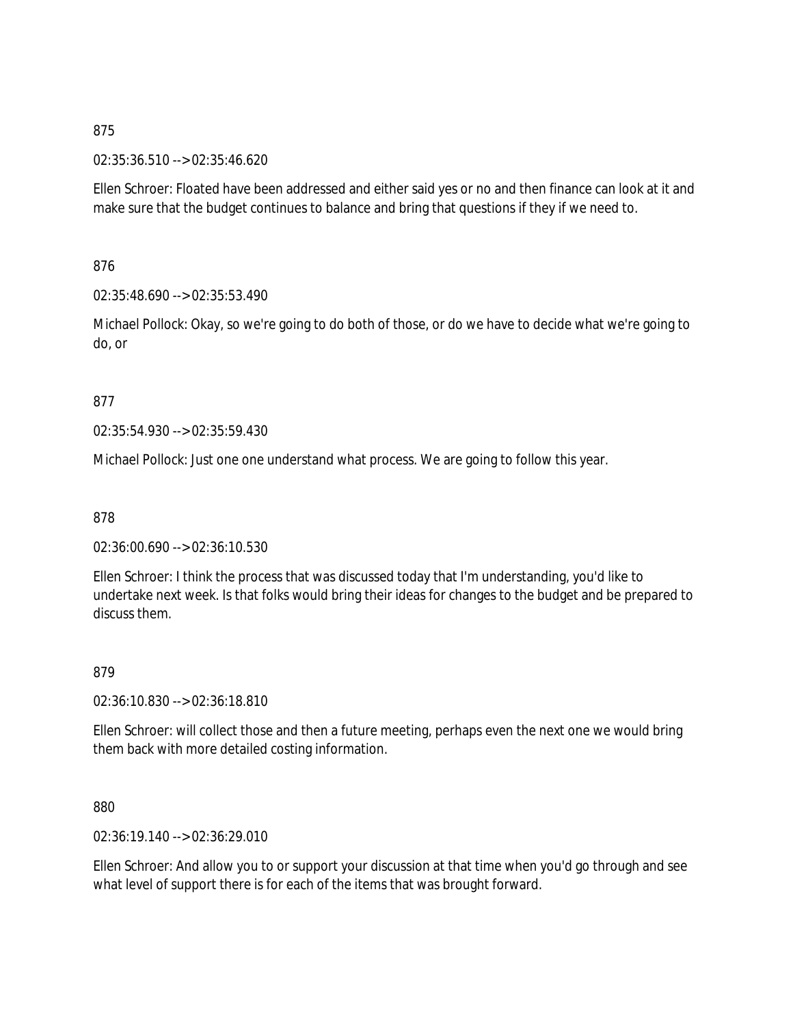02:35:36.510 --> 02:35:46.620

Ellen Schroer: Floated have been addressed and either said yes or no and then finance can look at it and make sure that the budget continues to balance and bring that questions if they if we need to.

876

02:35:48.690 --> 02:35:53.490

Michael Pollock: Okay, so we're going to do both of those, or do we have to decide what we're going to do, or

### 877

02:35:54.930 --> 02:35:59.430

Michael Pollock: Just one one understand what process. We are going to follow this year.

878

02:36:00.690 --> 02:36:10.530

Ellen Schroer: I think the process that was discussed today that I'm understanding, you'd like to undertake next week. Is that folks would bring their ideas for changes to the budget and be prepared to discuss them.

879

02:36:10.830 --> 02:36:18.810

Ellen Schroer: will collect those and then a future meeting, perhaps even the next one we would bring them back with more detailed costing information.

880

02:36:19.140 --> 02:36:29.010

Ellen Schroer: And allow you to or support your discussion at that time when you'd go through and see what level of support there is for each of the items that was brought forward.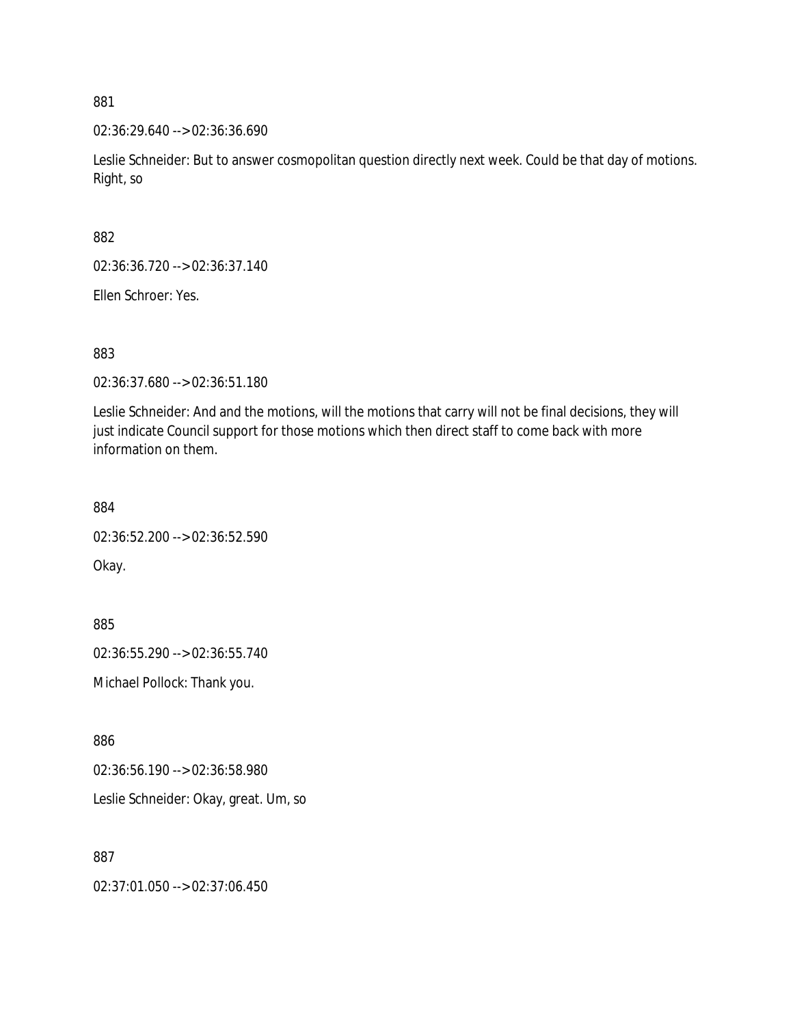02:36:29.640 --> 02:36:36.690

Leslie Schneider: But to answer cosmopolitan question directly next week. Could be that day of motions. Right, so

882

02:36:36.720 --> 02:36:37.140

Ellen Schroer: Yes.

883

02:36:37.680 --> 02:36:51.180

Leslie Schneider: And and the motions, will the motions that carry will not be final decisions, they will just indicate Council support for those motions which then direct staff to come back with more information on them.

884

02:36:52.200 --> 02:36:52.590 Okay.

885

02:36:55.290 --> 02:36:55.740

Michael Pollock: Thank you.

886

02:36:56.190 --> 02:36:58.980

Leslie Schneider: Okay, great. Um, so

887

02:37:01.050 --> 02:37:06.450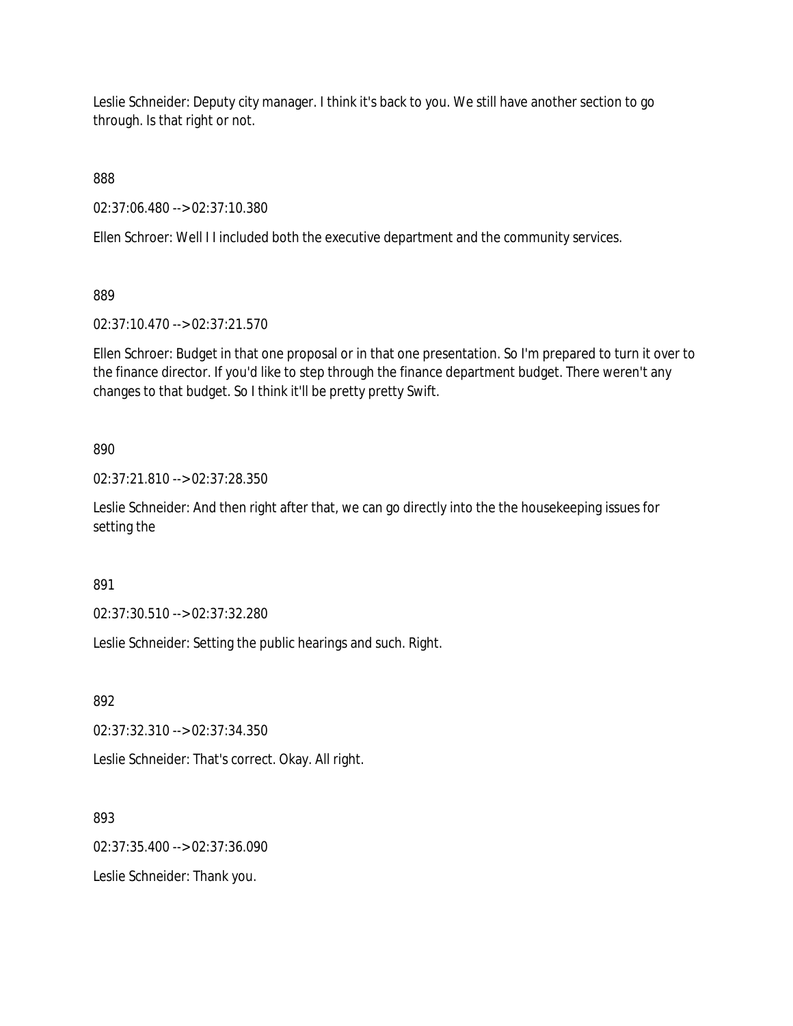Leslie Schneider: Deputy city manager. I think it's back to you. We still have another section to go through. Is that right or not.

888

02:37:06.480 --> 02:37:10.380

Ellen Schroer: Well I I included both the executive department and the community services.

889

02:37:10.470 --> 02:37:21.570

Ellen Schroer: Budget in that one proposal or in that one presentation. So I'm prepared to turn it over to the finance director. If you'd like to step through the finance department budget. There weren't any changes to that budget. So I think it'll be pretty pretty Swift.

890

02:37:21.810 --> 02:37:28.350

Leslie Schneider: And then right after that, we can go directly into the the housekeeping issues for setting the

891

02:37:30.510 --> 02:37:32.280

Leslie Schneider: Setting the public hearings and such. Right.

892

02:37:32.310 --> 02:37:34.350

Leslie Schneider: That's correct. Okay. All right.

893

02:37:35.400 --> 02:37:36.090

Leslie Schneider: Thank you.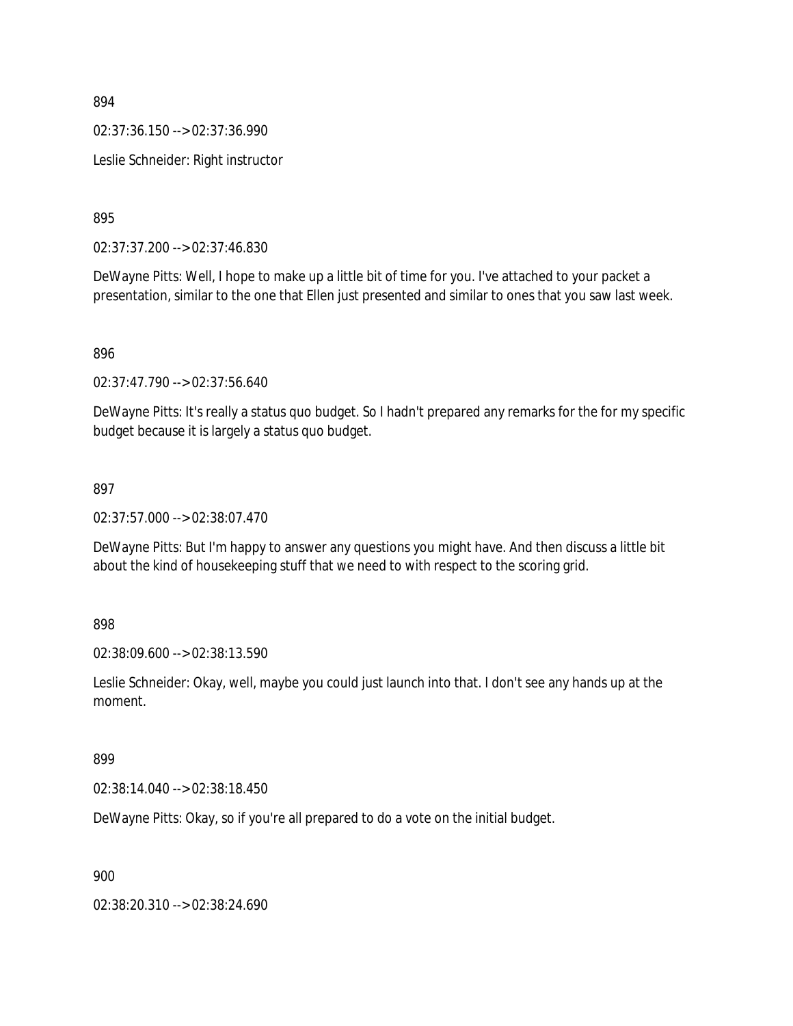02:37:36.150 --> 02:37:36.990

Leslie Schneider: Right instructor

895

02:37:37.200 --> 02:37:46.830

DeWayne Pitts: Well, I hope to make up a little bit of time for you. I've attached to your packet a presentation, similar to the one that Ellen just presented and similar to ones that you saw last week.

896

02:37:47.790 --> 02:37:56.640

DeWayne Pitts: It's really a status quo budget. So I hadn't prepared any remarks for the for my specific budget because it is largely a status quo budget.

#### 897

02:37:57.000 --> 02:38:07.470

DeWayne Pitts: But I'm happy to answer any questions you might have. And then discuss a little bit about the kind of housekeeping stuff that we need to with respect to the scoring grid.

898

02:38:09.600 --> 02:38:13.590

Leslie Schneider: Okay, well, maybe you could just launch into that. I don't see any hands up at the moment.

### 899

02:38:14.040 --> 02:38:18.450

DeWayne Pitts: Okay, so if you're all prepared to do a vote on the initial budget.

900

02:38:20.310 --> 02:38:24.690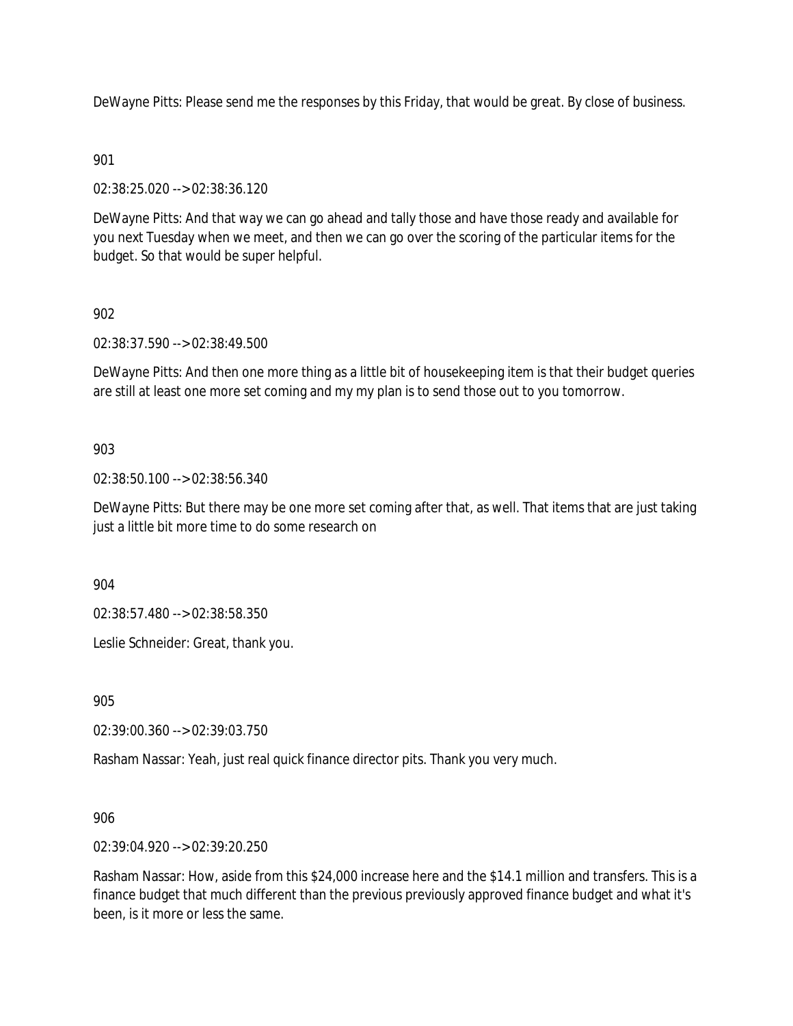DeWayne Pitts: Please send me the responses by this Friday, that would be great. By close of business.

# 901

02:38:25.020 --> 02:38:36.120

DeWayne Pitts: And that way we can go ahead and tally those and have those ready and available for you next Tuesday when we meet, and then we can go over the scoring of the particular items for the budget. So that would be super helpful.

# 902

02:38:37.590 --> 02:38:49.500

DeWayne Pitts: And then one more thing as a little bit of housekeeping item is that their budget queries are still at least one more set coming and my my plan is to send those out to you tomorrow.

# 903

02:38:50.100 --> 02:38:56.340

DeWayne Pitts: But there may be one more set coming after that, as well. That items that are just taking just a little bit more time to do some research on

904

02:38:57.480 --> 02:38:58.350

Leslie Schneider: Great, thank you.

905

02:39:00.360 --> 02:39:03.750

Rasham Nassar: Yeah, just real quick finance director pits. Thank you very much.

906

02:39:04.920 --> 02:39:20.250

Rasham Nassar: How, aside from this \$24,000 increase here and the \$14.1 million and transfers. This is a finance budget that much different than the previous previously approved finance budget and what it's been, is it more or less the same.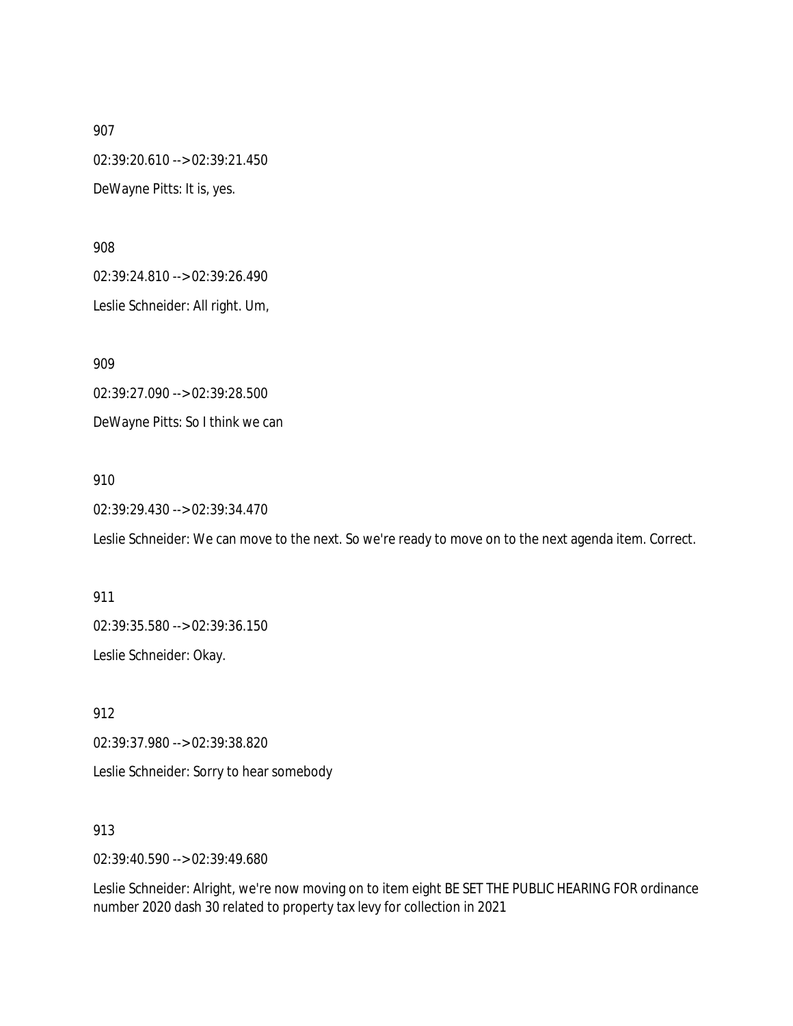02:39:20.610 --> 02:39:21.450

DeWayne Pitts: It is, yes.

908

02:39:24.810 --> 02:39:26.490

Leslie Schneider: All right. Um,

909

02:39:27.090 --> 02:39:28.500 DeWayne Pitts: So I think we can

910

02:39:29.430 --> 02:39:34.470

Leslie Schneider: We can move to the next. So we're ready to move on to the next agenda item. Correct.

911 02:39:35.580 --> 02:39:36.150

Leslie Schneider: Okay.

912

02:39:37.980 --> 02:39:38.820

Leslie Schneider: Sorry to hear somebody

913

02:39:40.590 --> 02:39:49.680

Leslie Schneider: Alright, we're now moving on to item eight BE SET THE PUBLIC HEARING FOR ordinance number 2020 dash 30 related to property tax levy for collection in 2021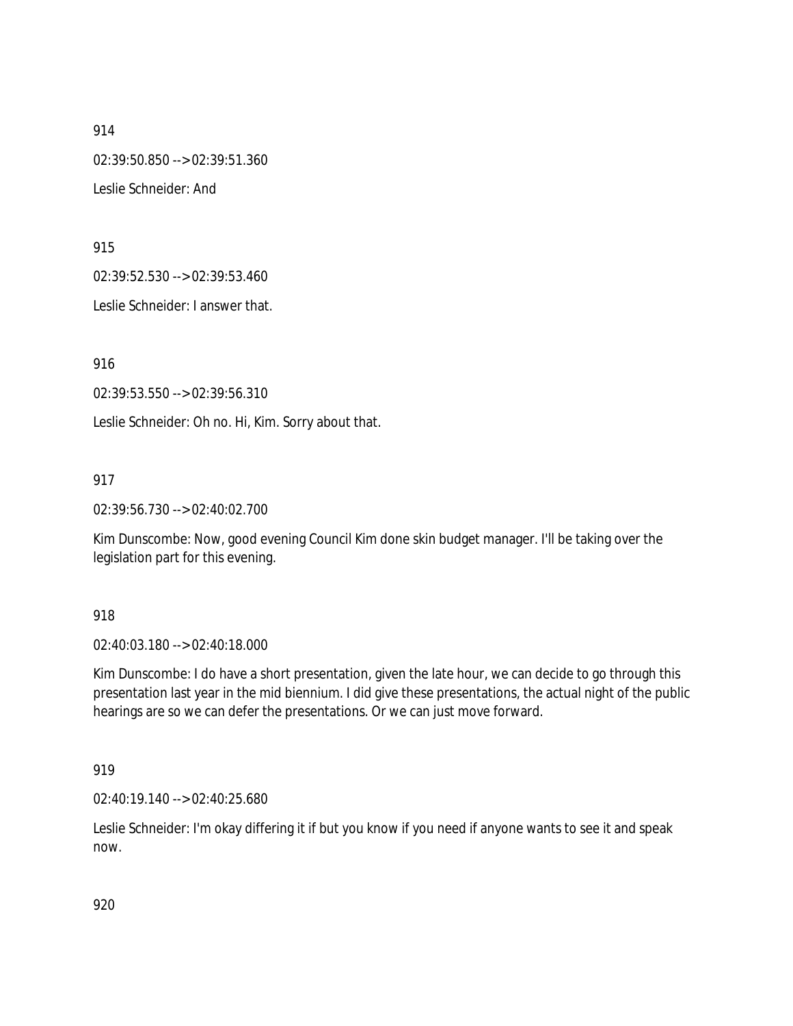914 02:39:50.850 --> 02:39:51.360 Leslie Schneider: And

915

02:39:52.530 --> 02:39:53.460

Leslie Schneider: I answer that.

916

02:39:53.550 --> 02:39:56.310

Leslie Schneider: Oh no. Hi, Kim. Sorry about that.

917

02:39:56.730 --> 02:40:02.700

Kim Dunscombe: Now, good evening Council Kim done skin budget manager. I'll be taking over the legislation part for this evening.

918

02:40:03.180 --> 02:40:18.000

Kim Dunscombe: I do have a short presentation, given the late hour, we can decide to go through this presentation last year in the mid biennium. I did give these presentations, the actual night of the public hearings are so we can defer the presentations. Or we can just move forward.

919

02:40:19.140 --> 02:40:25.680

Leslie Schneider: I'm okay differing it if but you know if you need if anyone wants to see it and speak now.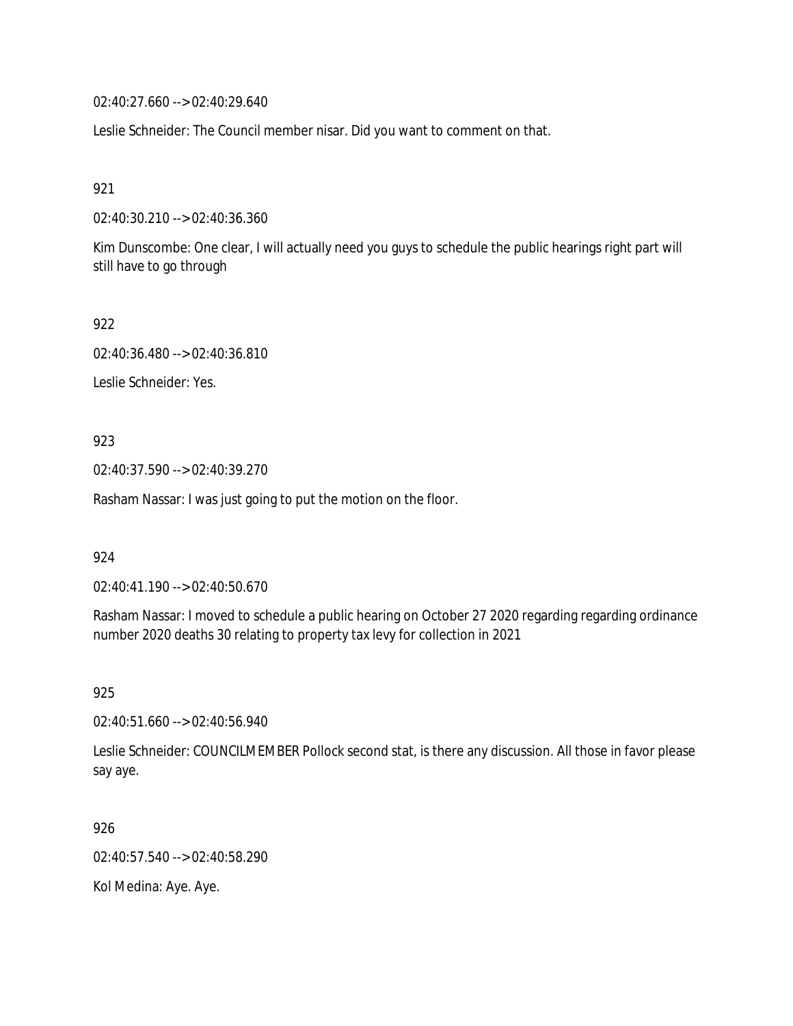02:40:27.660 --> 02:40:29.640

Leslie Schneider: The Council member nisar. Did you want to comment on that.

921

02:40:30.210 --> 02:40:36.360

Kim Dunscombe: One clear, I will actually need you guys to schedule the public hearings right part will still have to go through

922

02:40:36.480 --> 02:40:36.810

Leslie Schneider: Yes.

923

02:40:37.590 --> 02:40:39.270

Rasham Nassar: I was just going to put the motion on the floor.

924

02:40:41.190 --> 02:40:50.670

Rasham Nassar: I moved to schedule a public hearing on October 27 2020 regarding regarding ordinance number 2020 deaths 30 relating to property tax levy for collection in 2021

925

02:40:51.660 --> 02:40:56.940

Leslie Schneider: COUNCILMEMBER Pollock second stat, is there any discussion. All those in favor please say aye.

926

02:40:57.540 --> 02:40:58.290

Kol Medina: Aye. Aye.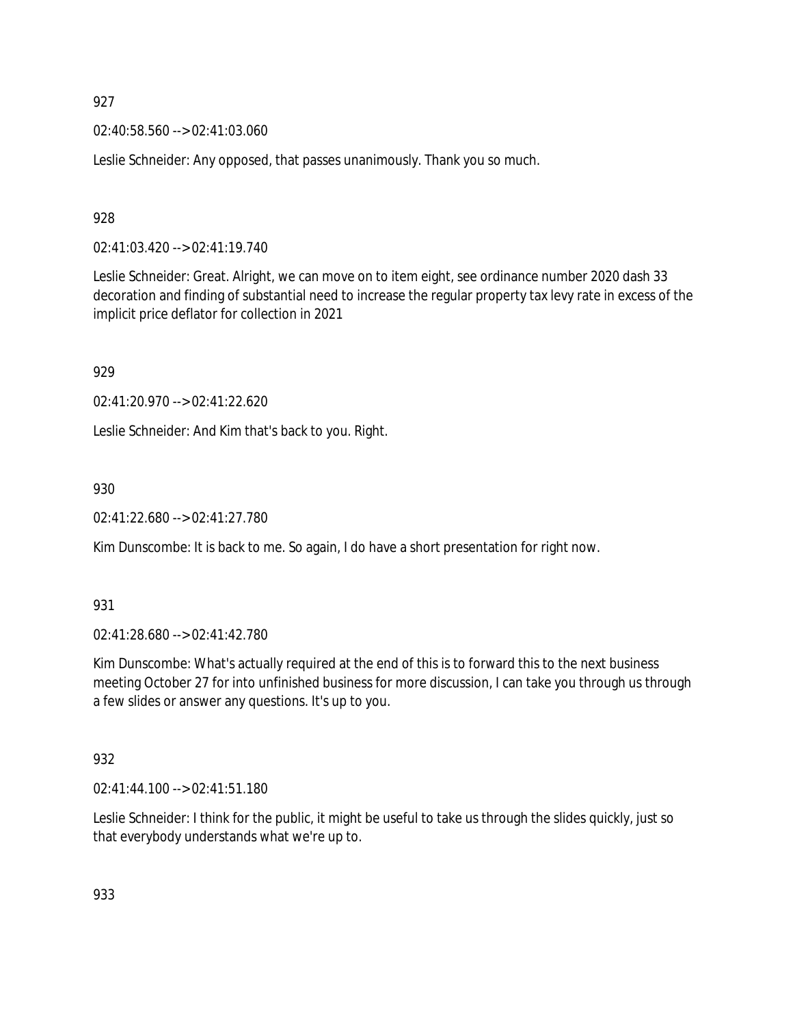02:40:58.560 --> 02:41:03.060

Leslie Schneider: Any opposed, that passes unanimously. Thank you so much.

928

02:41:03.420 --> 02:41:19.740

Leslie Schneider: Great. Alright, we can move on to item eight, see ordinance number 2020 dash 33 decoration and finding of substantial need to increase the regular property tax levy rate in excess of the implicit price deflator for collection in 2021

929

02:41:20.970 --> 02:41:22.620

Leslie Schneider: And Kim that's back to you. Right.

930

02:41:22.680 --> 02:41:27.780

Kim Dunscombe: It is back to me. So again, I do have a short presentation for right now.

931

02:41:28.680 --> 02:41:42.780

Kim Dunscombe: What's actually required at the end of this is to forward this to the next business meeting October 27 for into unfinished business for more discussion, I can take you through us through a few slides or answer any questions. It's up to you.

932

02:41:44.100 --> 02:41:51.180

Leslie Schneider: I think for the public, it might be useful to take us through the slides quickly, just so that everybody understands what we're up to.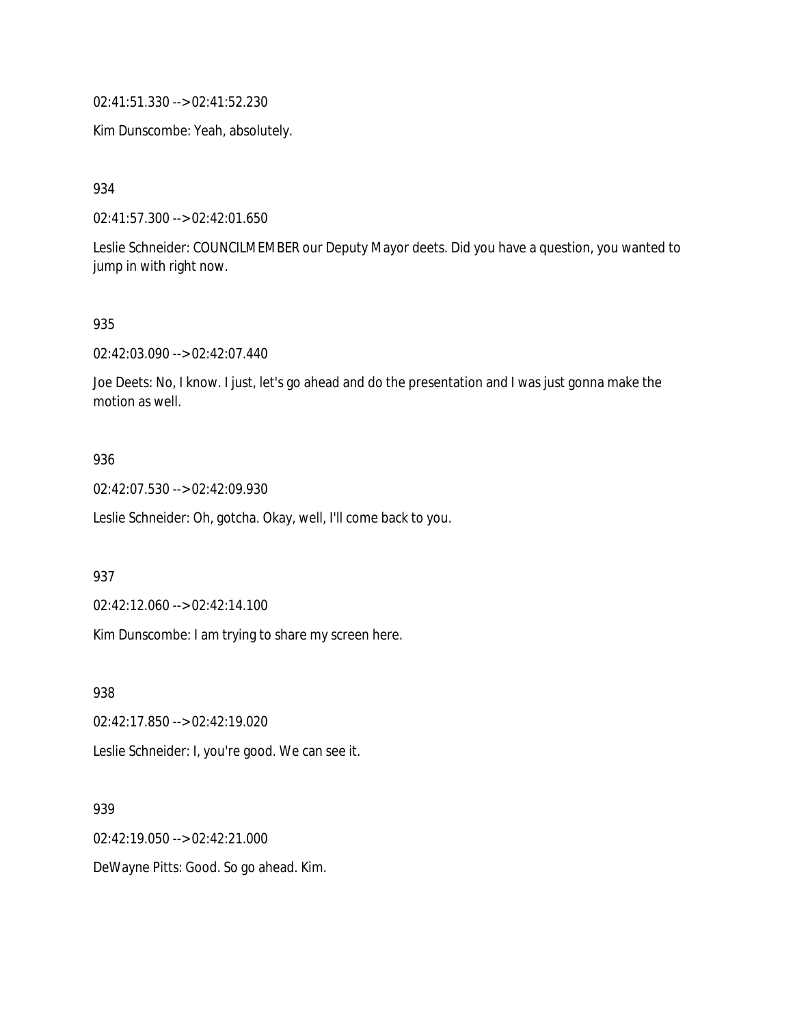02:41:51.330 --> 02:41:52.230

Kim Dunscombe: Yeah, absolutely.

934

02:41:57.300 --> 02:42:01.650

Leslie Schneider: COUNCILMEMBER our Deputy Mayor deets. Did you have a question, you wanted to jump in with right now.

#### 935

02:42:03.090 --> 02:42:07.440

Joe Deets: No, I know. I just, let's go ahead and do the presentation and I was just gonna make the motion as well.

## 936

02:42:07.530 --> 02:42:09.930

Leslie Schneider: Oh, gotcha. Okay, well, I'll come back to you.

#### 937

02:42:12.060 --> 02:42:14.100

Kim Dunscombe: I am trying to share my screen here.

938

02:42:17.850 --> 02:42:19.020

Leslie Schneider: I, you're good. We can see it.

### 939

02:42:19.050 --> 02:42:21.000

DeWayne Pitts: Good. So go ahead. Kim.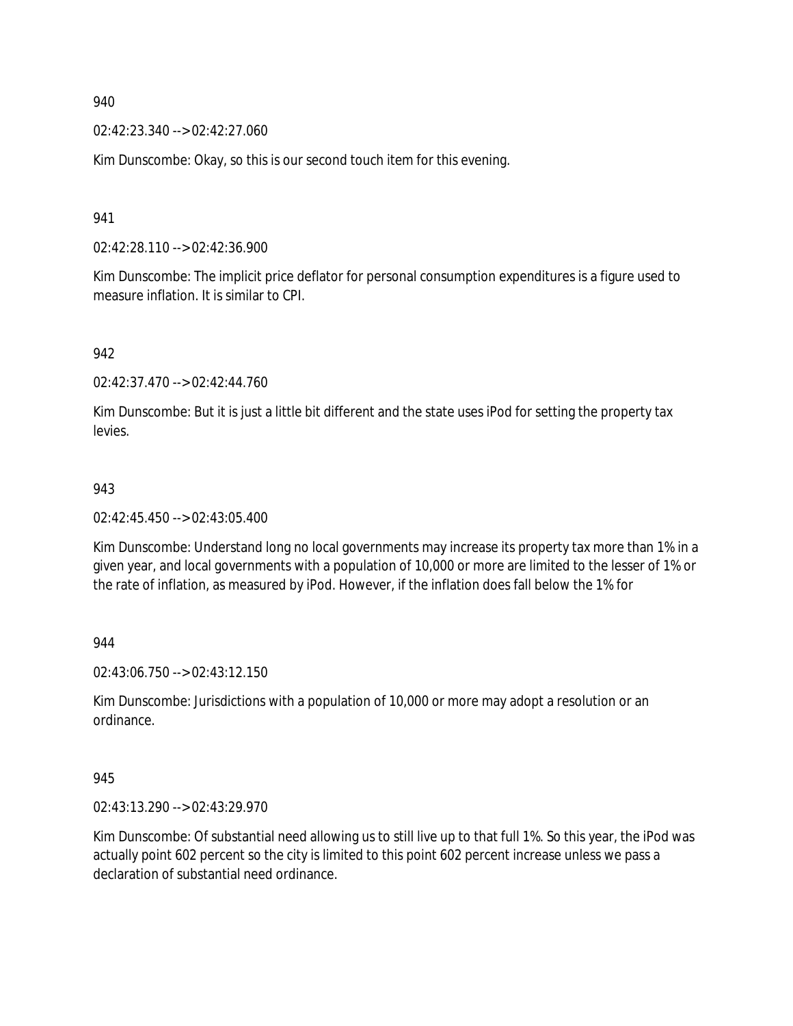02:42:23.340 --> 02:42:27.060

Kim Dunscombe: Okay, so this is our second touch item for this evening.

941

02:42:28.110 --> 02:42:36.900

Kim Dunscombe: The implicit price deflator for personal consumption expenditures is a figure used to measure inflation. It is similar to CPI.

942

02:42:37.470 --> 02:42:44.760

Kim Dunscombe: But it is just a little bit different and the state uses iPod for setting the property tax levies.

### 943

02:42:45.450 --> 02:43:05.400

Kim Dunscombe: Understand long no local governments may increase its property tax more than 1% in a given year, and local governments with a population of 10,000 or more are limited to the lesser of 1% or the rate of inflation, as measured by iPod. However, if the inflation does fall below the 1% for

944

02:43:06.750 --> 02:43:12.150

Kim Dunscombe: Jurisdictions with a population of 10,000 or more may adopt a resolution or an ordinance.

945

02:43:13.290 --> 02:43:29.970

Kim Dunscombe: Of substantial need allowing us to still live up to that full 1%. So this year, the iPod was actually point 602 percent so the city is limited to this point 602 percent increase unless we pass a declaration of substantial need ordinance.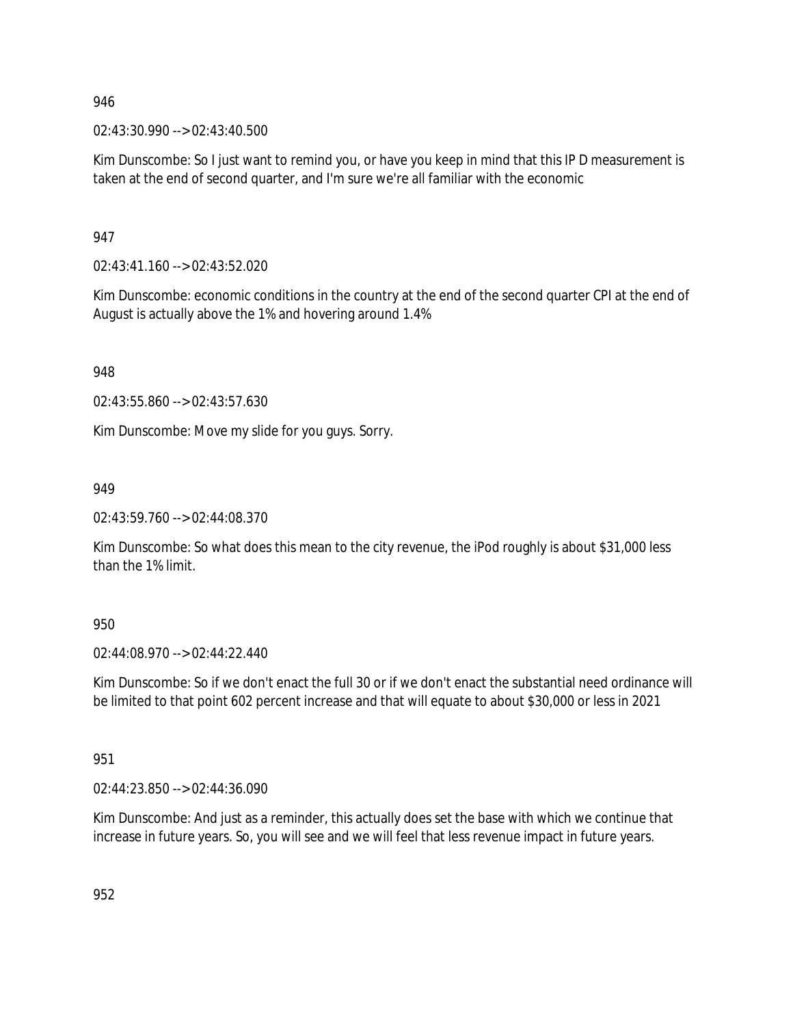02:43:30.990 --> 02:43:40.500

Kim Dunscombe: So I just want to remind you, or have you keep in mind that this IP D measurement is taken at the end of second quarter, and I'm sure we're all familiar with the economic

947

02:43:41.160 --> 02:43:52.020

Kim Dunscombe: economic conditions in the country at the end of the second quarter CPI at the end of August is actually above the 1% and hovering around 1.4%

948

02:43:55.860 --> 02:43:57.630

Kim Dunscombe: Move my slide for you guys. Sorry.

949

02:43:59.760 --> 02:44:08.370

Kim Dunscombe: So what does this mean to the city revenue, the iPod roughly is about \$31,000 less than the 1% limit.

950

02:44:08.970 --> 02:44:22.440

Kim Dunscombe: So if we don't enact the full 30 or if we don't enact the substantial need ordinance will be limited to that point 602 percent increase and that will equate to about \$30,000 or less in 2021

951

02:44:23.850 --> 02:44:36.090

Kim Dunscombe: And just as a reminder, this actually does set the base with which we continue that increase in future years. So, you will see and we will feel that less revenue impact in future years.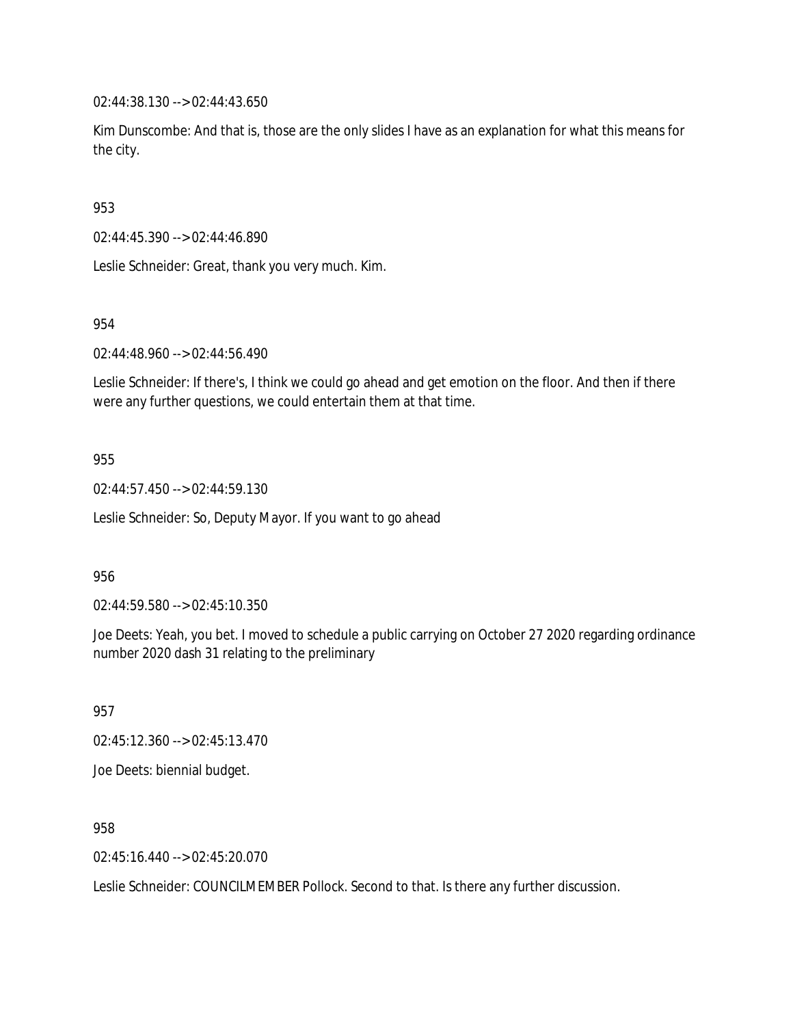02:44:38.130 --> 02:44:43.650

Kim Dunscombe: And that is, those are the only slides I have as an explanation for what this means for the city.

953

02:44:45.390 --> 02:44:46.890

Leslie Schneider: Great, thank you very much. Kim.

954

02:44:48.960 --> 02:44:56.490

Leslie Schneider: If there's, I think we could go ahead and get emotion on the floor. And then if there were any further questions, we could entertain them at that time.

955

02:44:57.450 --> 02:44:59.130

Leslie Schneider: So, Deputy Mayor. If you want to go ahead

956

02:44:59.580 --> 02:45:10.350

Joe Deets: Yeah, you bet. I moved to schedule a public carrying on October 27 2020 regarding ordinance number 2020 dash 31 relating to the preliminary

957

02:45:12.360 --> 02:45:13.470

Joe Deets: biennial budget.

958

02:45:16.440 --> 02:45:20.070

Leslie Schneider: COUNCILMEMBER Pollock. Second to that. Is there any further discussion.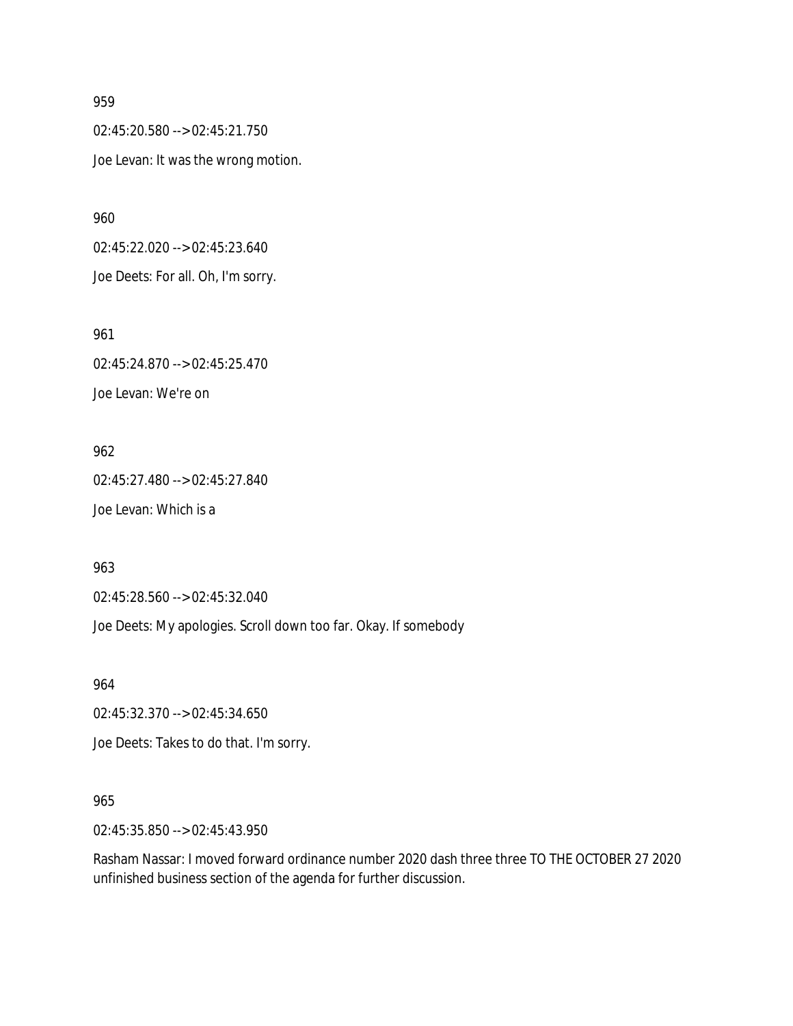02:45:20.580 --> 02:45:21.750 Joe Levan: It was the wrong motion.

960

02:45:22.020 --> 02:45:23.640 Joe Deets: For all. Oh, I'm sorry.

961 02:45:24.870 --> 02:45:25.470 Joe Levan: We're on

962 02:45:27.480 --> 02:45:27.840 Joe Levan: Which is a

963

02:45:28.560 --> 02:45:32.040

Joe Deets: My apologies. Scroll down too far. Okay. If somebody

964

02:45:32.370 --> 02:45:34.650

Joe Deets: Takes to do that. I'm sorry.

## 965

02:45:35.850 --> 02:45:43.950

Rasham Nassar: I moved forward ordinance number 2020 dash three three TO THE OCTOBER 27 2020 unfinished business section of the agenda for further discussion.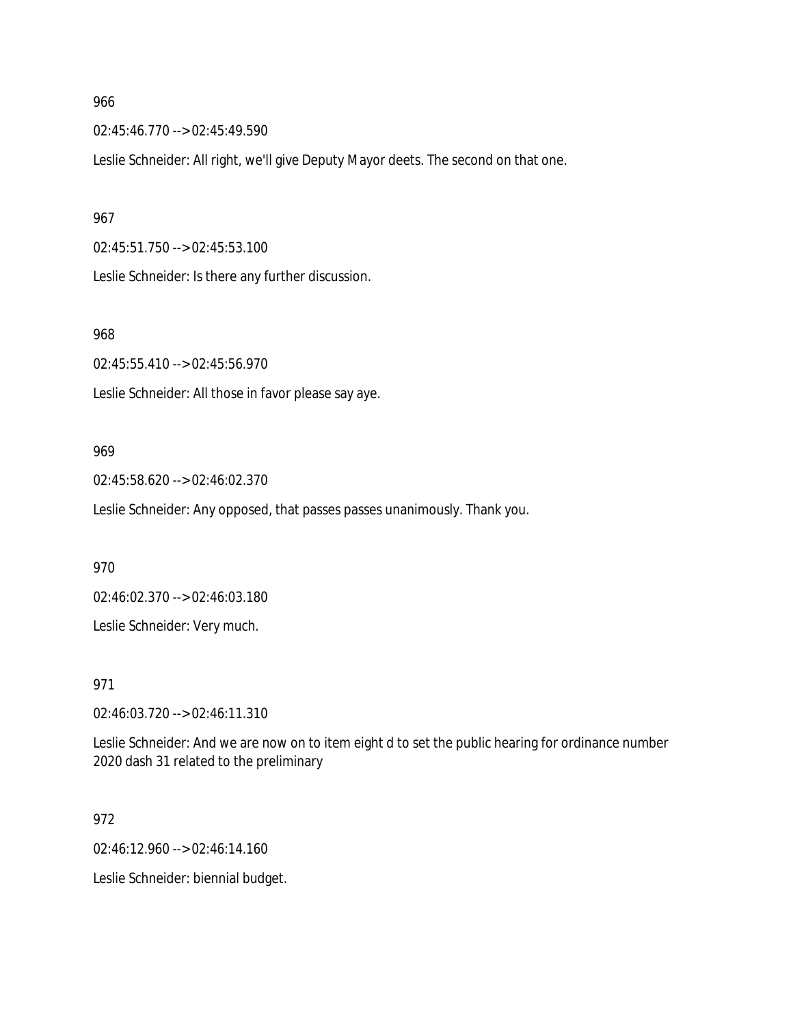02:45:46.770 --> 02:45:49.590

Leslie Schneider: All right, we'll give Deputy Mayor deets. The second on that one.

#### 967

02:45:51.750 --> 02:45:53.100

Leslie Schneider: Is there any further discussion.

## 968

02:45:55.410 --> 02:45:56.970

Leslie Schneider: All those in favor please say aye.

### 969

02:45:58.620 --> 02:46:02.370

Leslie Schneider: Any opposed, that passes passes unanimously. Thank you.

#### 970

02:46:02.370 --> 02:46:03.180

Leslie Schneider: Very much.

## 971

02:46:03.720 --> 02:46:11.310

Leslie Schneider: And we are now on to item eight d to set the public hearing for ordinance number 2020 dash 31 related to the preliminary

## 972

02:46:12.960 --> 02:46:14.160

Leslie Schneider: biennial budget.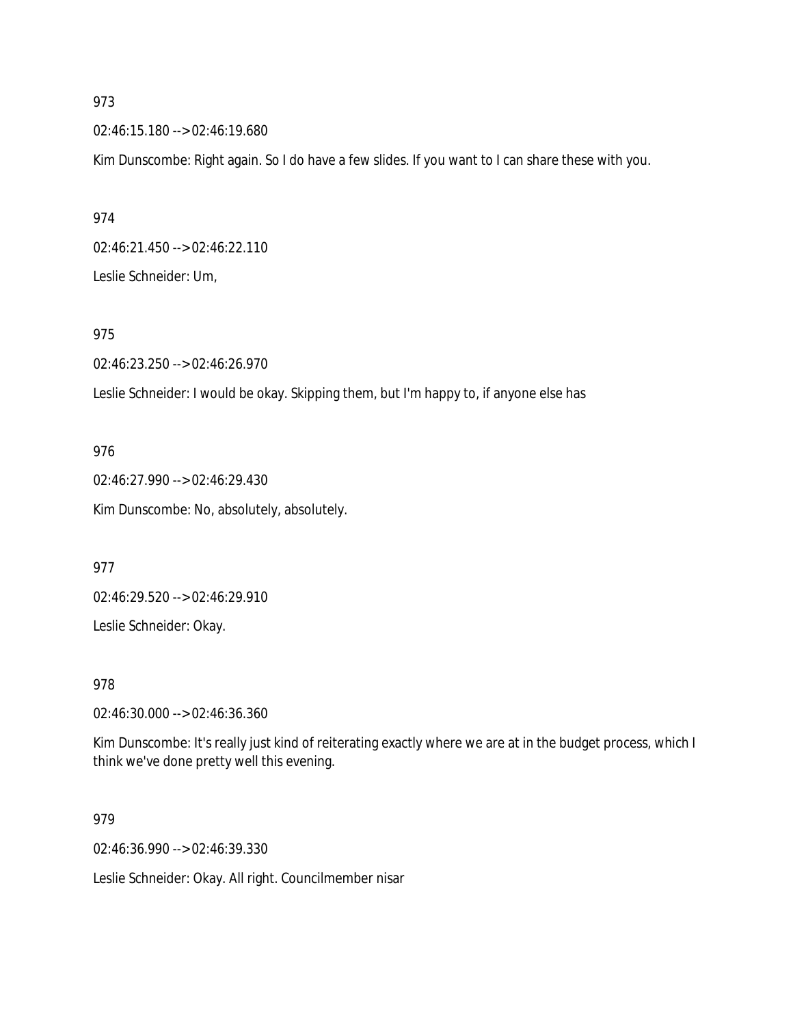02:46:15.180 --> 02:46:19.680

Kim Dunscombe: Right again. So I do have a few slides. If you want to I can share these with you.

974 02:46:21.450 --> 02:46:22.110 Leslie Schneider: Um,

## 975

02:46:23.250 --> 02:46:26.970

Leslie Schneider: I would be okay. Skipping them, but I'm happy to, if anyone else has

## 976

02:46:27.990 --> 02:46:29.430 Kim Dunscombe: No, absolutely, absolutely.

977

02:46:29.520 --> 02:46:29.910

Leslie Schneider: Okay.

978

02:46:30.000 --> 02:46:36.360

Kim Dunscombe: It's really just kind of reiterating exactly where we are at in the budget process, which I think we've done pretty well this evening.

979

02:46:36.990 --> 02:46:39.330

Leslie Schneider: Okay. All right. Councilmember nisar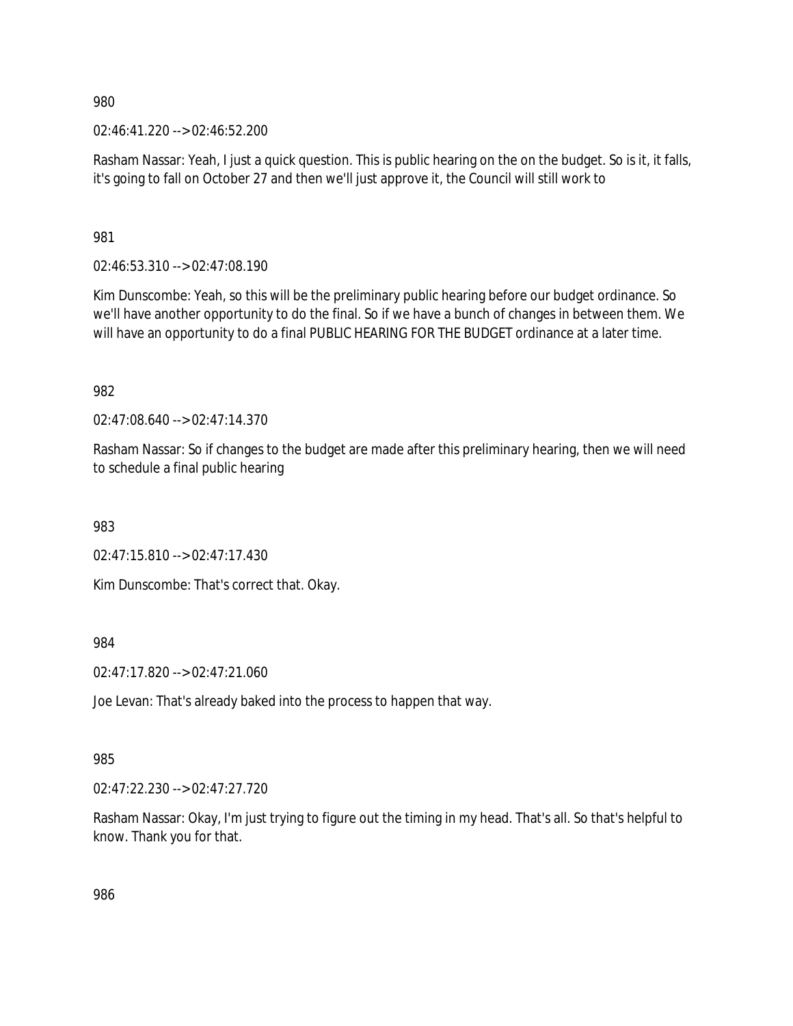02:46:41.220 --> 02:46:52.200

Rasham Nassar: Yeah, I just a quick question. This is public hearing on the on the budget. So is it, it falls, it's going to fall on October 27 and then we'll just approve it, the Council will still work to

981

02:46:53.310 --> 02:47:08.190

Kim Dunscombe: Yeah, so this will be the preliminary public hearing before our budget ordinance. So we'll have another opportunity to do the final. So if we have a bunch of changes in between them. We will have an opportunity to do a final PUBLIC HEARING FOR THE BUDGET ordinance at a later time.

982

02:47:08.640 --> 02:47:14.370

Rasham Nassar: So if changes to the budget are made after this preliminary hearing, then we will need to schedule a final public hearing

983

02:47:15.810 --> 02:47:17.430

Kim Dunscombe: That's correct that. Okay.

984

02:47:17.820 --> 02:47:21.060

Joe Levan: That's already baked into the process to happen that way.

## 985

02:47:22.230 --> 02:47:27.720

Rasham Nassar: Okay, I'm just trying to figure out the timing in my head. That's all. So that's helpful to know. Thank you for that.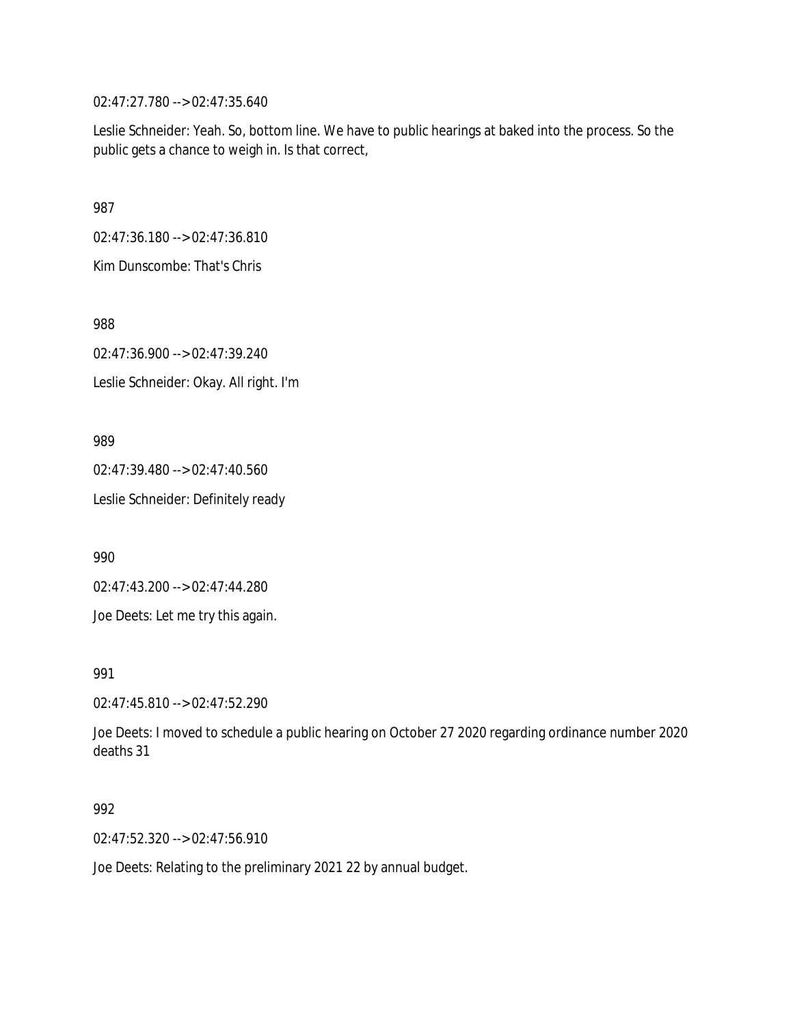02:47:27.780 --> 02:47:35.640

Leslie Schneider: Yeah. So, bottom line. We have to public hearings at baked into the process. So the public gets a chance to weigh in. Is that correct,

987

02:47:36.180 --> 02:47:36.810

Kim Dunscombe: That's Chris

988

02:47:36.900 --> 02:47:39.240 Leslie Schneider: Okay. All right. I'm

989

02:47:39.480 --> 02:47:40.560

Leslie Schneider: Definitely ready

990

02:47:43.200 --> 02:47:44.280

Joe Deets: Let me try this again.

991

02:47:45.810 --> 02:47:52.290

Joe Deets: I moved to schedule a public hearing on October 27 2020 regarding ordinance number 2020 deaths 31

992

02:47:52.320 --> 02:47:56.910

Joe Deets: Relating to the preliminary 2021 22 by annual budget.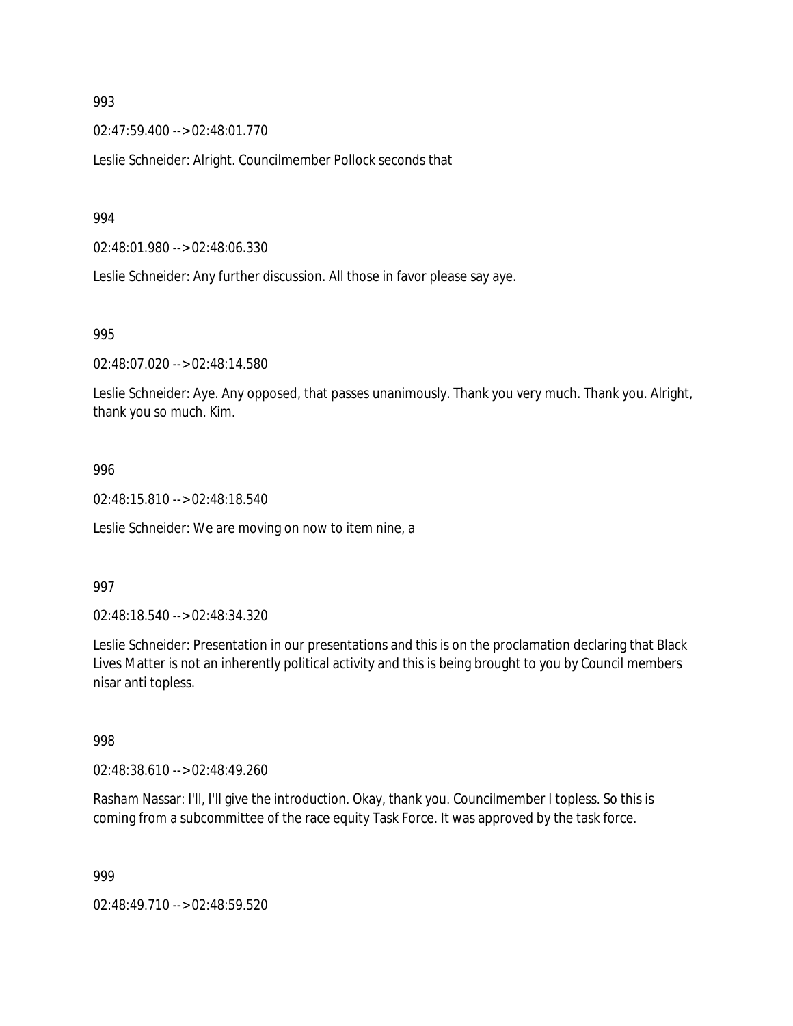02:47:59.400 --> 02:48:01.770

Leslie Schneider: Alright. Councilmember Pollock seconds that

994

02:48:01.980 --> 02:48:06.330

Leslie Schneider: Any further discussion. All those in favor please say aye.

995

02:48:07.020 --> 02:48:14.580

Leslie Schneider: Aye. Any opposed, that passes unanimously. Thank you very much. Thank you. Alright, thank you so much. Kim.

### 996

02:48:15.810 --> 02:48:18.540

Leslie Schneider: We are moving on now to item nine, a

### 997

02:48:18.540 --> 02:48:34.320

Leslie Schneider: Presentation in our presentations and this is on the proclamation declaring that Black Lives Matter is not an inherently political activity and this is being brought to you by Council members nisar anti topless.

998

02:48:38.610 --> 02:48:49.260

Rasham Nassar: I'll, I'll give the introduction. Okay, thank you. Councilmember I topless. So this is coming from a subcommittee of the race equity Task Force. It was approved by the task force.

999

02:48:49.710 --> 02:48:59.520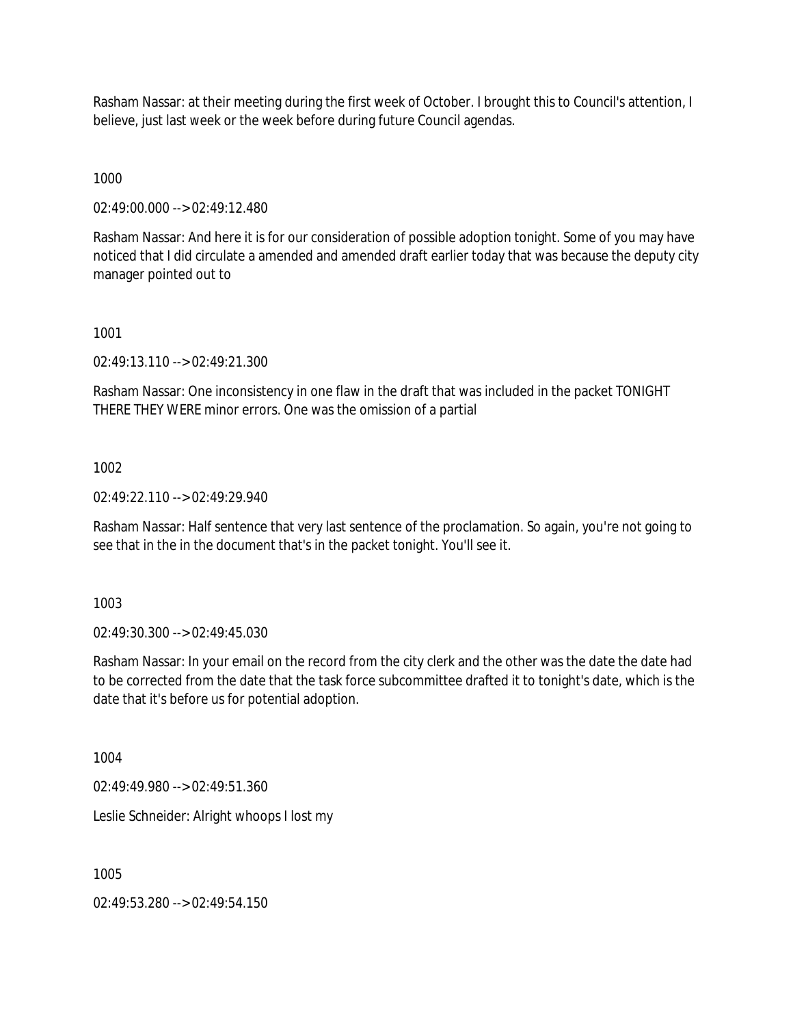Rasham Nassar: at their meeting during the first week of October. I brought this to Council's attention, I believe, just last week or the week before during future Council agendas.

1000

02:49:00.000 --> 02:49:12.480

Rasham Nassar: And here it is for our consideration of possible adoption tonight. Some of you may have noticed that I did circulate a amended and amended draft earlier today that was because the deputy city manager pointed out to

1001

02:49:13.110 --> 02:49:21.300

Rasham Nassar: One inconsistency in one flaw in the draft that was included in the packet TONIGHT THERE THEY WERE minor errors. One was the omission of a partial

1002

02:49:22.110 --> 02:49:29.940

Rasham Nassar: Half sentence that very last sentence of the proclamation. So again, you're not going to see that in the in the document that's in the packet tonight. You'll see it.

1003

02:49:30.300 --> 02:49:45.030

Rasham Nassar: In your email on the record from the city clerk and the other was the date the date had to be corrected from the date that the task force subcommittee drafted it to tonight's date, which is the date that it's before us for potential adoption.

1004

02:49:49.980 --> 02:49:51.360

Leslie Schneider: Alright whoops I lost my

1005

02:49:53.280 --> 02:49:54.150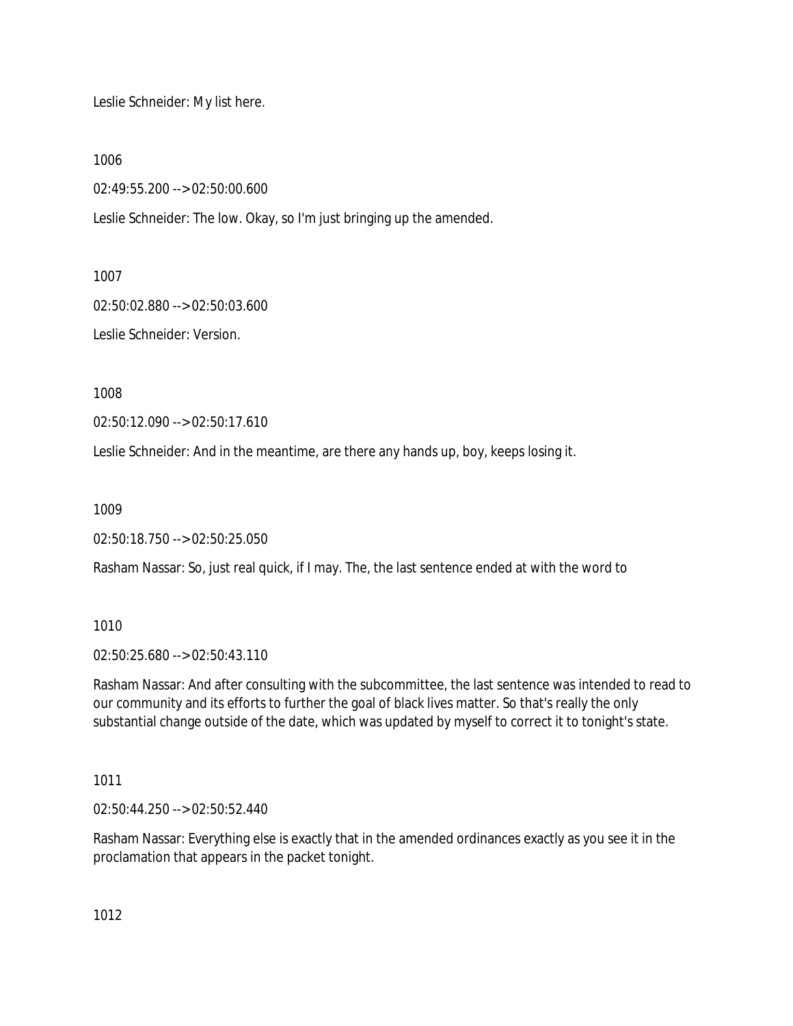Leslie Schneider: My list here.

1006

02:49:55.200 --> 02:50:00.600

Leslie Schneider: The low. Okay, so I'm just bringing up the amended.

1007

02:50:02.880 --> 02:50:03.600

Leslie Schneider: Version.

1008

02:50:12.090 --> 02:50:17.610

Leslie Schneider: And in the meantime, are there any hands up, boy, keeps losing it.

1009

02:50:18.750 --> 02:50:25.050

Rasham Nassar: So, just real quick, if I may. The, the last sentence ended at with the word to

1010

02:50:25.680 --> 02:50:43.110

Rasham Nassar: And after consulting with the subcommittee, the last sentence was intended to read to our community and its efforts to further the goal of black lives matter. So that's really the only substantial change outside of the date, which was updated by myself to correct it to tonight's state.

1011

02:50:44.250 --> 02:50:52.440

Rasham Nassar: Everything else is exactly that in the amended ordinances exactly as you see it in the proclamation that appears in the packet tonight.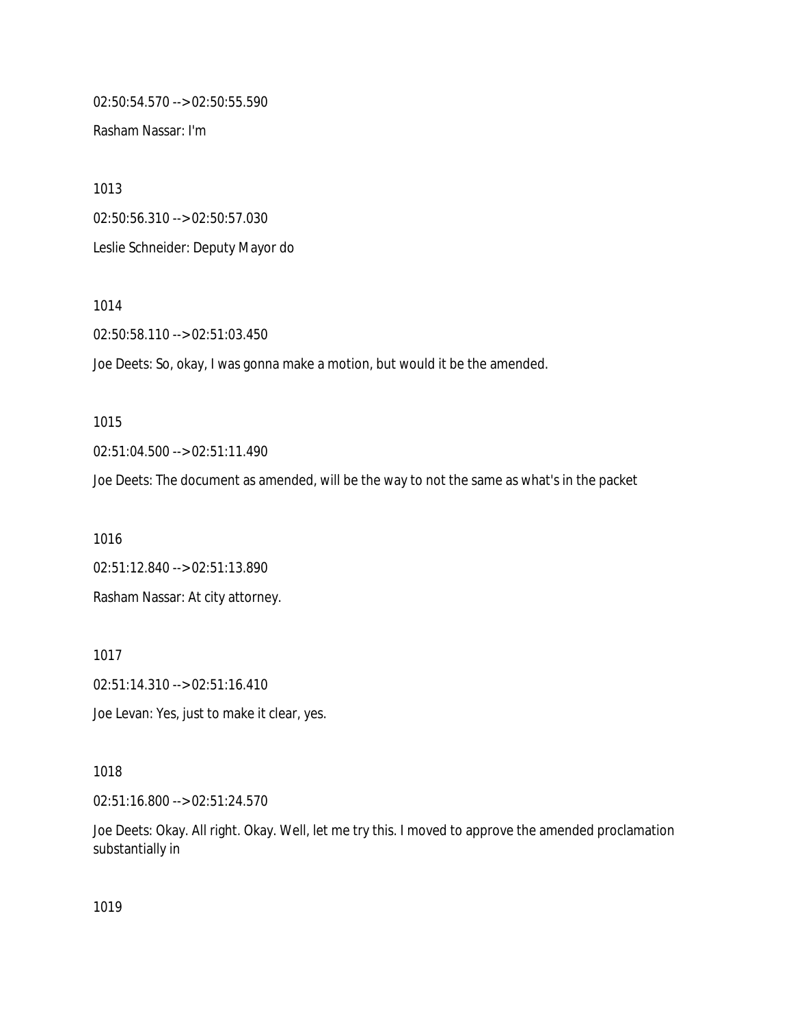02:50:54.570 --> 02:50:55.590

Rasham Nassar: I'm

1013 02:50:56.310 --> 02:50:57.030 Leslie Schneider: Deputy Mayor do

1014

02:50:58.110 --> 02:51:03.450

Joe Deets: So, okay, I was gonna make a motion, but would it be the amended.

1015

02:51:04.500 --> 02:51:11.490

Joe Deets: The document as amended, will be the way to not the same as what's in the packet

1016 02:51:12.840 --> 02:51:13.890 Rasham Nassar: At city attorney.

1017 02:51:14.310 --> 02:51:16.410

Joe Levan: Yes, just to make it clear, yes.

1018

02:51:16.800 --> 02:51:24.570

Joe Deets: Okay. All right. Okay. Well, let me try this. I moved to approve the amended proclamation substantially in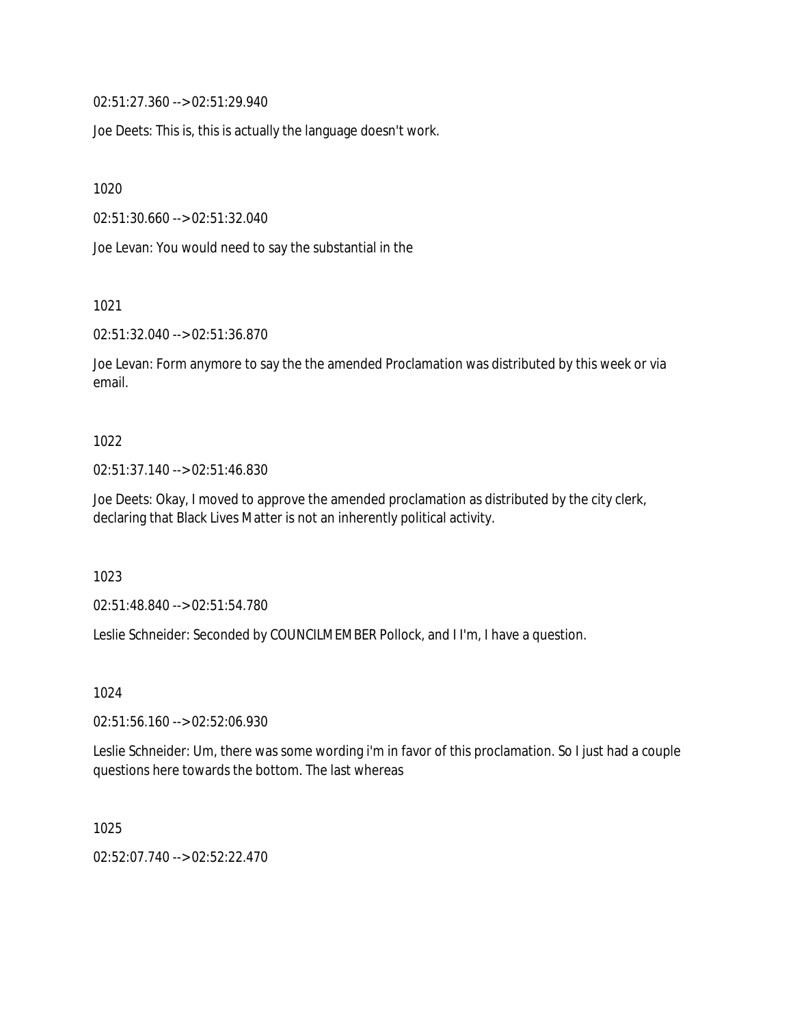02:51:27.360 --> 02:51:29.940

Joe Deets: This is, this is actually the language doesn't work.

1020

02:51:30.660 --> 02:51:32.040

Joe Levan: You would need to say the substantial in the

1021

02:51:32.040 --> 02:51:36.870

Joe Levan: Form anymore to say the the amended Proclamation was distributed by this week or via email.

#### 1022

02:51:37.140 --> 02:51:46.830

Joe Deets: Okay, I moved to approve the amended proclamation as distributed by the city clerk, declaring that Black Lives Matter is not an inherently political activity.

1023

02:51:48.840 --> 02:51:54.780

Leslie Schneider: Seconded by COUNCILMEMBER Pollock, and I I'm, I have a question.

1024

02:51:56.160 --> 02:52:06.930

Leslie Schneider: Um, there was some wording i'm in favor of this proclamation. So I just had a couple questions here towards the bottom. The last whereas

1025

02:52:07.740 --> 02:52:22.470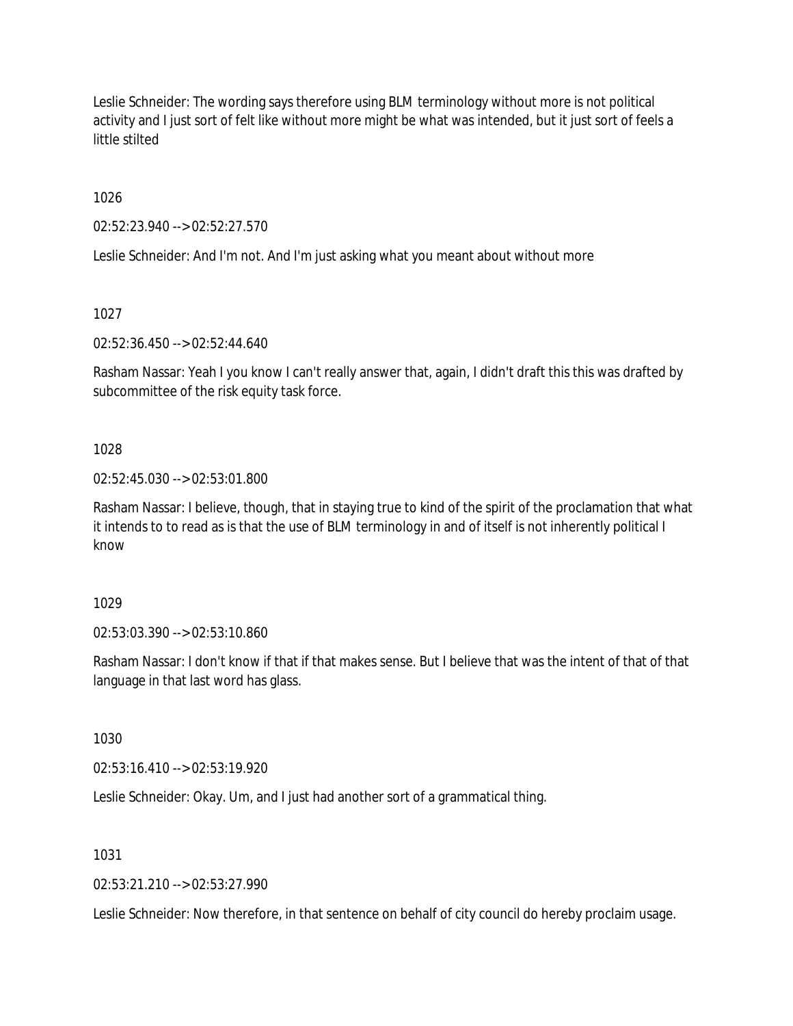Leslie Schneider: The wording says therefore using BLM terminology without more is not political activity and I just sort of felt like without more might be what was intended, but it just sort of feels a little stilted

1026

02:52:23.940 --> 02:52:27.570

Leslie Schneider: And I'm not. And I'm just asking what you meant about without more

1027

02:52:36.450 --> 02:52:44.640

Rasham Nassar: Yeah I you know I can't really answer that, again, I didn't draft this this was drafted by subcommittee of the risk equity task force.

1028

02:52:45.030 --> 02:53:01.800

Rasham Nassar: I believe, though, that in staying true to kind of the spirit of the proclamation that what it intends to to read as is that the use of BLM terminology in and of itself is not inherently political I know

1029

02:53:03.390 --> 02:53:10.860

Rasham Nassar: I don't know if that if that makes sense. But I believe that was the intent of that of that language in that last word has glass.

1030

02:53:16.410 --> 02:53:19.920

Leslie Schneider: Okay. Um, and I just had another sort of a grammatical thing.

1031

02:53:21.210 --> 02:53:27.990

Leslie Schneider: Now therefore, in that sentence on behalf of city council do hereby proclaim usage.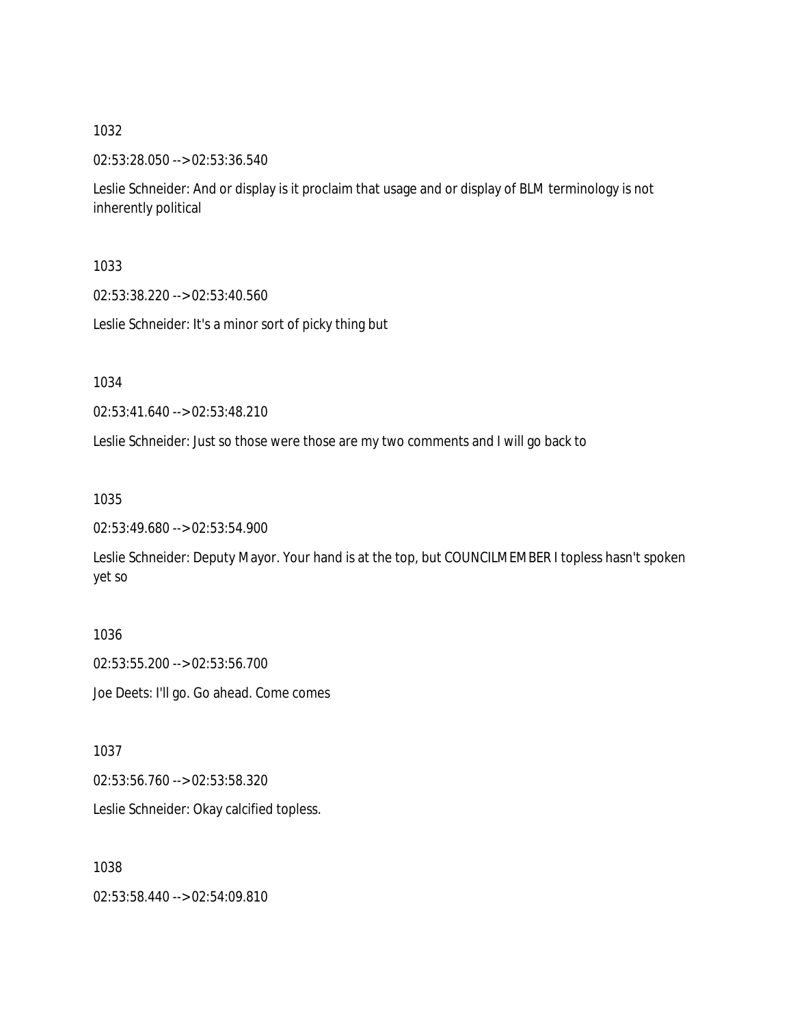02:53:28.050 --> 02:53:36.540

Leslie Schneider: And or display is it proclaim that usage and or display of BLM terminology is not inherently political

1033

02:53:38.220 --> 02:53:40.560

Leslie Schneider: It's a minor sort of picky thing but

1034

02:53:41.640 --> 02:53:48.210

Leslie Schneider: Just so those were those are my two comments and I will go back to

1035

02:53:49.680 --> 02:53:54.900

Leslie Schneider: Deputy Mayor. Your hand is at the top, but COUNCILMEMBER I topless hasn't spoken yet so

1036 02:53:55.200 --> 02:53:56.700 Joe Deets: I'll go. Go ahead. Come comes

1037

02:53:56.760 --> 02:53:58.320

Leslie Schneider: Okay calcified topless.

1038

02:53:58.440 --> 02:54:09.810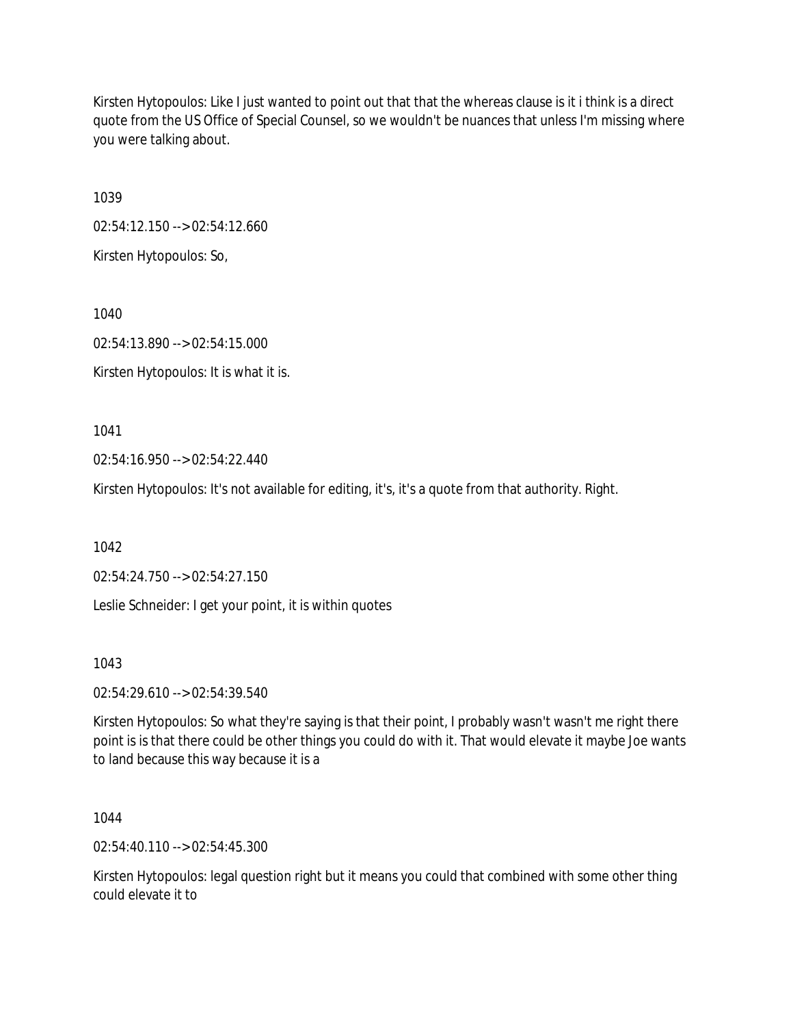Kirsten Hytopoulos: Like I just wanted to point out that that the whereas clause is it i think is a direct quote from the US Office of Special Counsel, so we wouldn't be nuances that unless I'm missing where you were talking about.

1039

02:54:12.150 --> 02:54:12.660

Kirsten Hytopoulos: So,

1040 02:54:13.890 --> 02:54:15.000

Kirsten Hytopoulos: It is what it is.

1041

02:54:16.950 --> 02:54:22.440

Kirsten Hytopoulos: It's not available for editing, it's, it's a quote from that authority. Right.

1042

02:54:24.750 --> 02:54:27.150

Leslie Schneider: I get your point, it is within quotes

1043

02:54:29.610 --> 02:54:39.540

Kirsten Hytopoulos: So what they're saying is that their point, I probably wasn't wasn't me right there point is is that there could be other things you could do with it. That would elevate it maybe Joe wants to land because this way because it is a

1044

02:54:40.110 --> 02:54:45.300

Kirsten Hytopoulos: legal question right but it means you could that combined with some other thing could elevate it to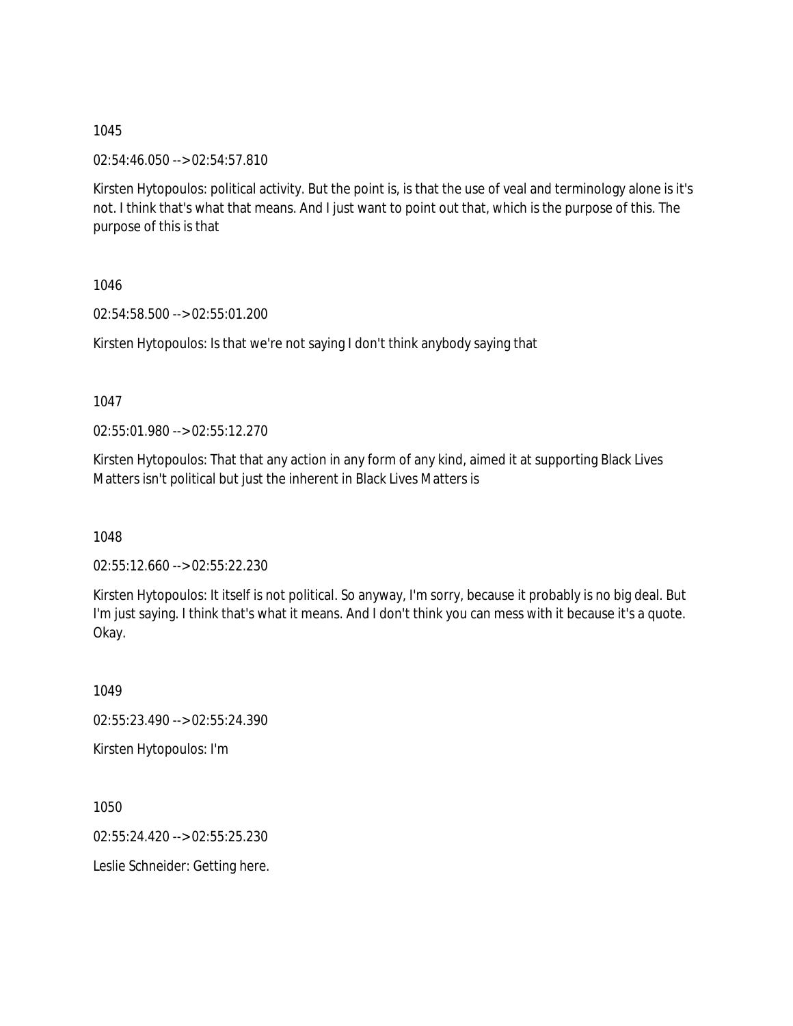02:54:46.050 --> 02:54:57.810

Kirsten Hytopoulos: political activity. But the point is, is that the use of veal and terminology alone is it's not. I think that's what that means. And I just want to point out that, which is the purpose of this. The purpose of this is that

1046

02:54:58.500 --> 02:55:01.200

Kirsten Hytopoulos: Is that we're not saying I don't think anybody saying that

1047

02:55:01.980 --> 02:55:12.270

Kirsten Hytopoulos: That that any action in any form of any kind, aimed it at supporting Black Lives Matters isn't political but just the inherent in Black Lives Matters is

1048

02:55:12.660 --> 02:55:22.230

Kirsten Hytopoulos: It itself is not political. So anyway, I'm sorry, because it probably is no big deal. But I'm just saying. I think that's what it means. And I don't think you can mess with it because it's a quote. Okay.

1049 02:55:23.490 --> 02:55:24.390

Kirsten Hytopoulos: I'm

1050

02:55:24.420 --> 02:55:25.230

Leslie Schneider: Getting here.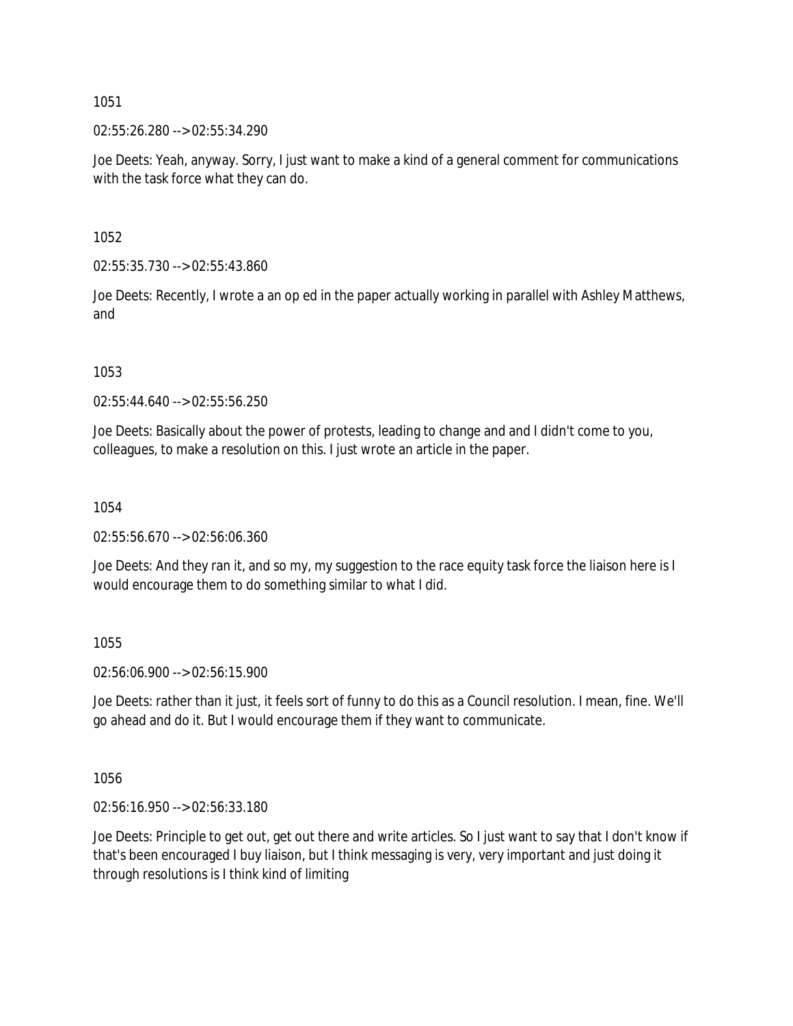02:55:26.280 --> 02:55:34.290

Joe Deets: Yeah, anyway. Sorry, I just want to make a kind of a general comment for communications with the task force what they can do.

1052

02:55:35.730 --> 02:55:43.860

Joe Deets: Recently, I wrote a an op ed in the paper actually working in parallel with Ashley Matthews, and

1053

02:55:44.640 --> 02:55:56.250

Joe Deets: Basically about the power of protests, leading to change and and I didn't come to you, colleagues, to make a resolution on this. I just wrote an article in the paper.

1054

02:55:56.670 --> 02:56:06.360

Joe Deets: And they ran it, and so my, my suggestion to the race equity task force the liaison here is I would encourage them to do something similar to what I did.

1055

02:56:06.900 --> 02:56:15.900

Joe Deets: rather than it just, it feels sort of funny to do this as a Council resolution. I mean, fine. We'll go ahead and do it. But I would encourage them if they want to communicate.

1056

02:56:16.950 --> 02:56:33.180

Joe Deets: Principle to get out, get out there and write articles. So I just want to say that I don't know if that's been encouraged I buy liaison, but I think messaging is very, very important and just doing it through resolutions is I think kind of limiting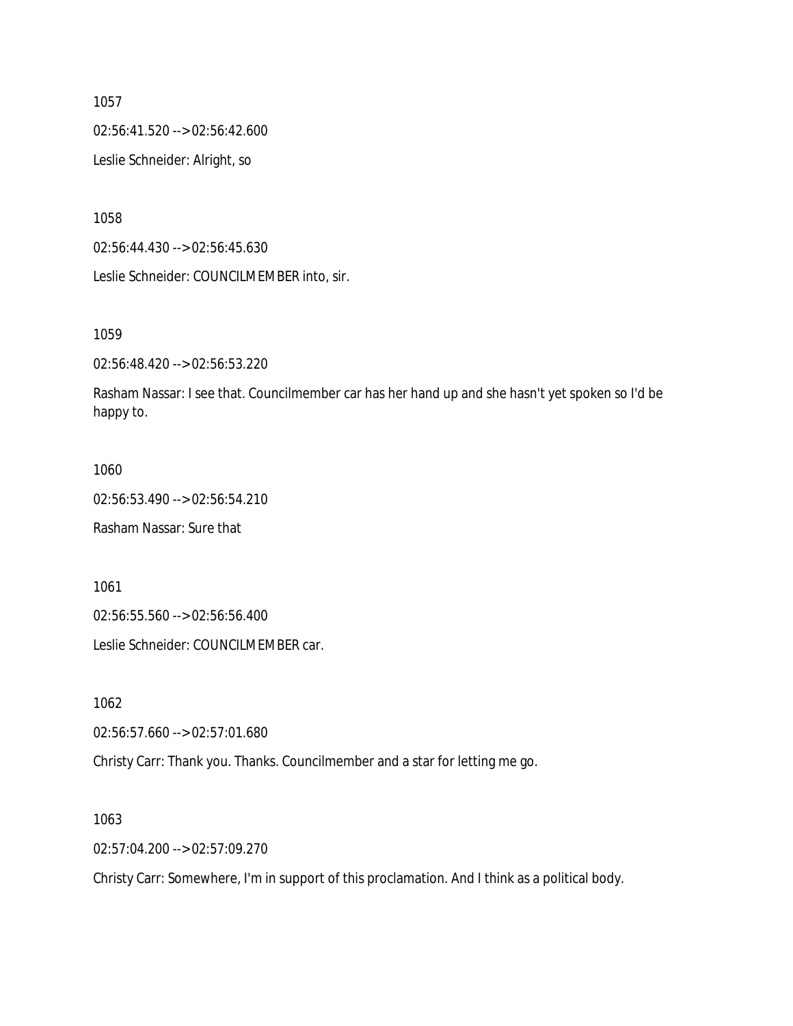02:56:41.520 --> 02:56:42.600

Leslie Schneider: Alright, so

1058

02:56:44.430 --> 02:56:45.630

Leslie Schneider: COUNCILMEMBER into, sir.

1059

02:56:48.420 --> 02:56:53.220

Rasham Nassar: I see that. Councilmember car has her hand up and she hasn't yet spoken so I'd be happy to.

#### 1060

02:56:53.490 --> 02:56:54.210

Rasham Nassar: Sure that

1061

02:56:55.560 --> 02:56:56.400

Leslie Schneider: COUNCILMEMBER car.

1062

02:56:57.660 --> 02:57:01.680

Christy Carr: Thank you. Thanks. Councilmember and a star for letting me go.

1063

02:57:04.200 --> 02:57:09.270

Christy Carr: Somewhere, I'm in support of this proclamation. And I think as a political body.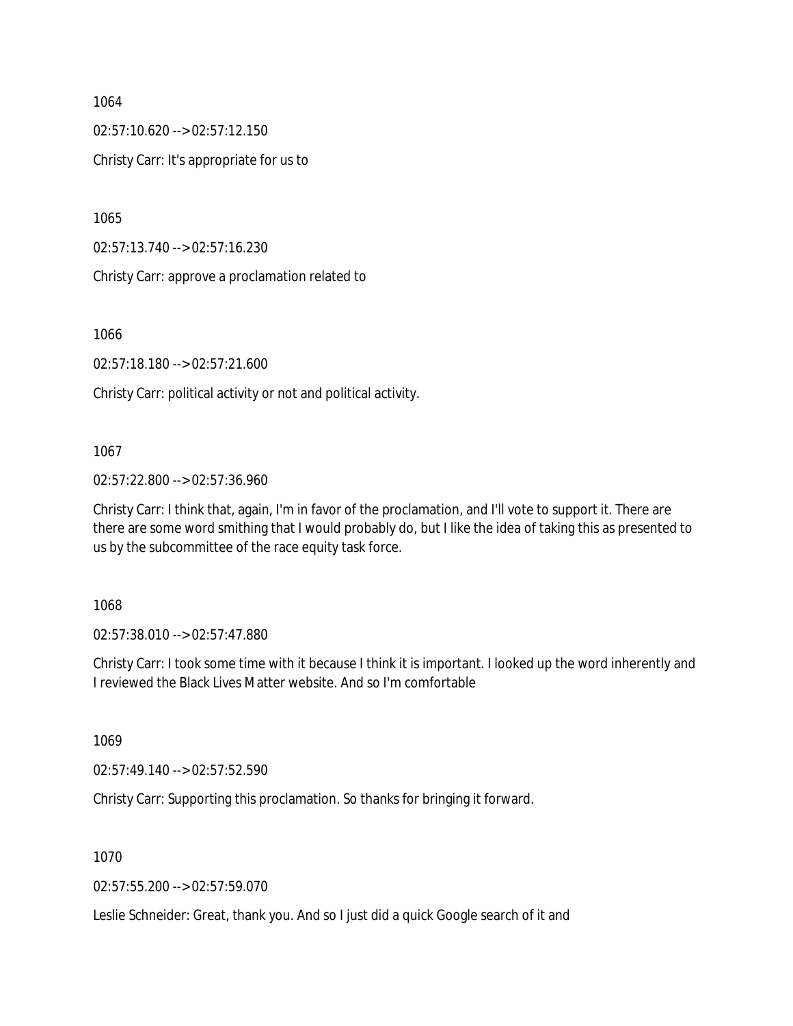$02:57:10.620 \rightarrow 02:57:12.150$ 

Christy Carr: It's appropriate for us to

1065

02:57:13.740 --> 02:57:16.230

Christy Carr: approve a proclamation related to

1066

02:57:18.180 --> 02:57:21.600

Christy Carr: political activity or not and political activity.

1067

02:57:22.800 --> 02:57:36.960

Christy Carr: I think that, again, I'm in favor of the proclamation, and I'll vote to support it. There are there are some word smithing that I would probably do, but I like the idea of taking this as presented to us by the subcommittee of the race equity task force.

1068

02:57:38.010 --> 02:57:47.880

Christy Carr: I took some time with it because I think it is important. I looked up the word inherently and I reviewed the Black Lives Matter website. And so I'm comfortable

1069

02:57:49.140 --> 02:57:52.590

Christy Carr: Supporting this proclamation. So thanks for bringing it forward.

1070

02:57:55.200 --> 02:57:59.070

Leslie Schneider: Great, thank you. And so I just did a quick Google search of it and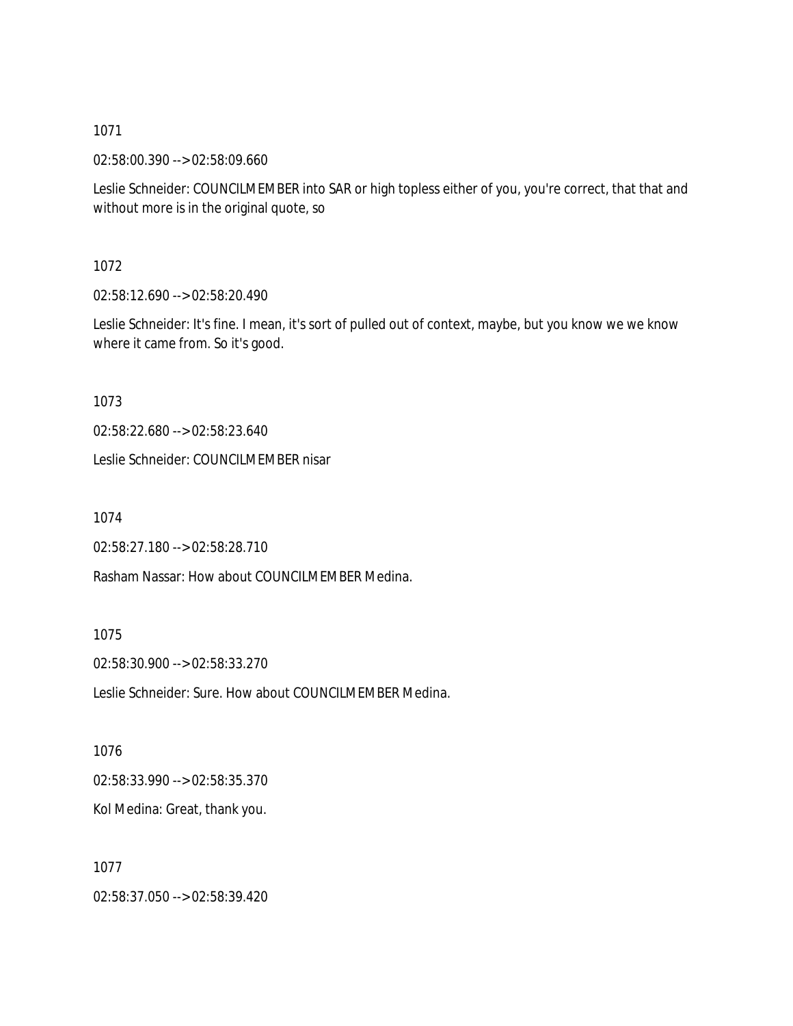02:58:00.390 --> 02:58:09.660

Leslie Schneider: COUNCILMEMBER into SAR or high topless either of you, you're correct, that that and without more is in the original quote, so

1072

02:58:12.690 --> 02:58:20.490

Leslie Schneider: It's fine. I mean, it's sort of pulled out of context, maybe, but you know we we know where it came from. So it's good.

1073

02:58:22.680 --> 02:58:23.640

Leslie Schneider: COUNCILMEMBER nisar

1074

02:58:27.180 --> 02:58:28.710

Rasham Nassar: How about COUNCILMEMBER Medina.

1075

02:58:30.900 --> 02:58:33.270

Leslie Schneider: Sure. How about COUNCILMEMBER Medina.

1076

02:58:33.990 --> 02:58:35.370

Kol Medina: Great, thank you.

1077

02:58:37.050 --> 02:58:39.420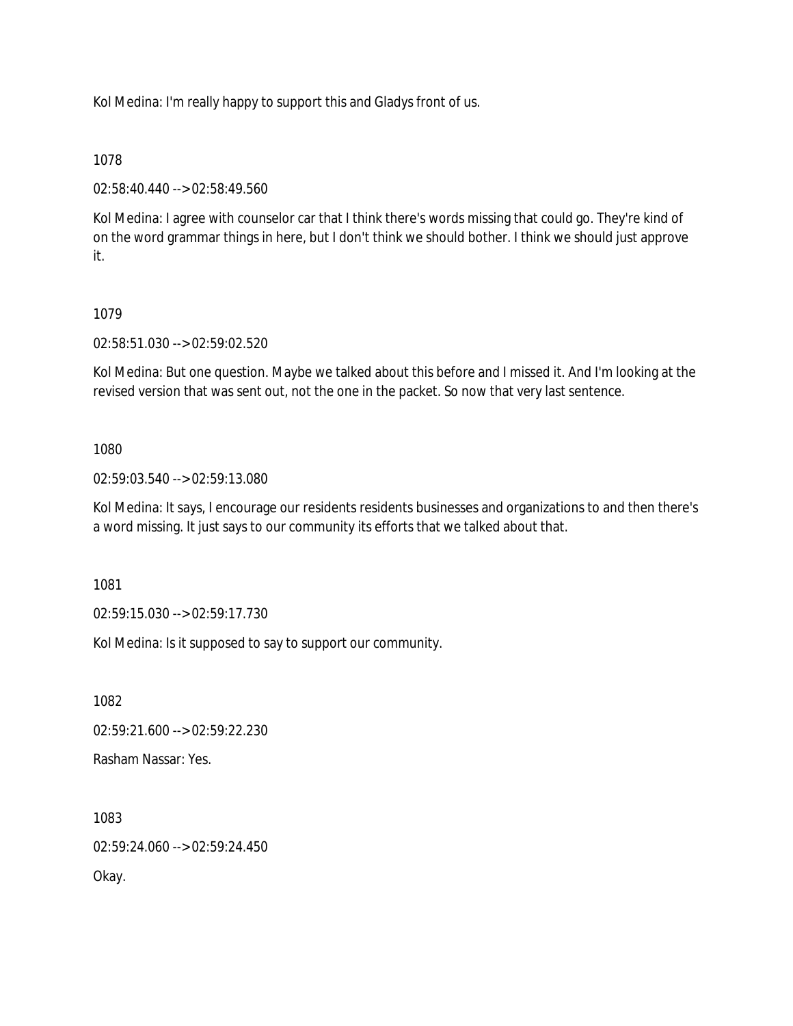Kol Medina: I'm really happy to support this and Gladys front of us.

# 1078

02:58:40.440 --> 02:58:49.560

Kol Medina: I agree with counselor car that I think there's words missing that could go. They're kind of on the word grammar things in here, but I don't think we should bother. I think we should just approve it.

# 1079

02:58:51.030 --> 02:59:02.520

Kol Medina: But one question. Maybe we talked about this before and I missed it. And I'm looking at the revised version that was sent out, not the one in the packet. So now that very last sentence.

# 1080

02:59:03.540 --> 02:59:13.080

Kol Medina: It says, I encourage our residents residents businesses and organizations to and then there's a word missing. It just says to our community its efforts that we talked about that.

1081

02:59:15.030 --> 02:59:17.730

Kol Medina: Is it supposed to say to support our community.

1082

02:59:21.600 --> 02:59:22.230

Rasham Nassar: Yes.

1083

02:59:24.060 --> 02:59:24.450

Okay.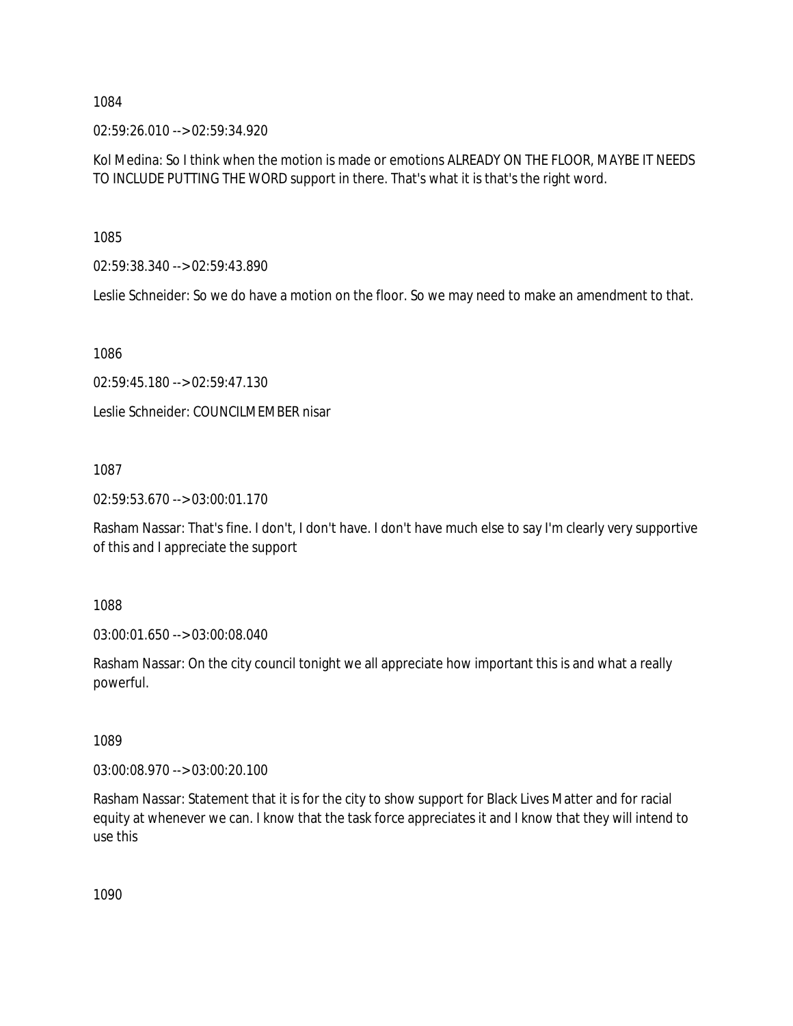02:59:26.010 --> 02:59:34.920

Kol Medina: So I think when the motion is made or emotions ALREADY ON THE FLOOR, MAYBE IT NEEDS TO INCLUDE PUTTING THE WORD support in there. That's what it is that's the right word.

1085

02:59:38.340 --> 02:59:43.890

Leslie Schneider: So we do have a motion on the floor. So we may need to make an amendment to that.

1086

02:59:45.180 --> 02:59:47.130

Leslie Schneider: COUNCILMEMBER nisar

1087

02:59:53.670 --> 03:00:01.170

Rasham Nassar: That's fine. I don't, I don't have. I don't have much else to say I'm clearly very supportive of this and I appreciate the support

1088

03:00:01.650 --> 03:00:08.040

Rasham Nassar: On the city council tonight we all appreciate how important this is and what a really powerful.

1089

03:00:08.970 --> 03:00:20.100

Rasham Nassar: Statement that it is for the city to show support for Black Lives Matter and for racial equity at whenever we can. I know that the task force appreciates it and I know that they will intend to use this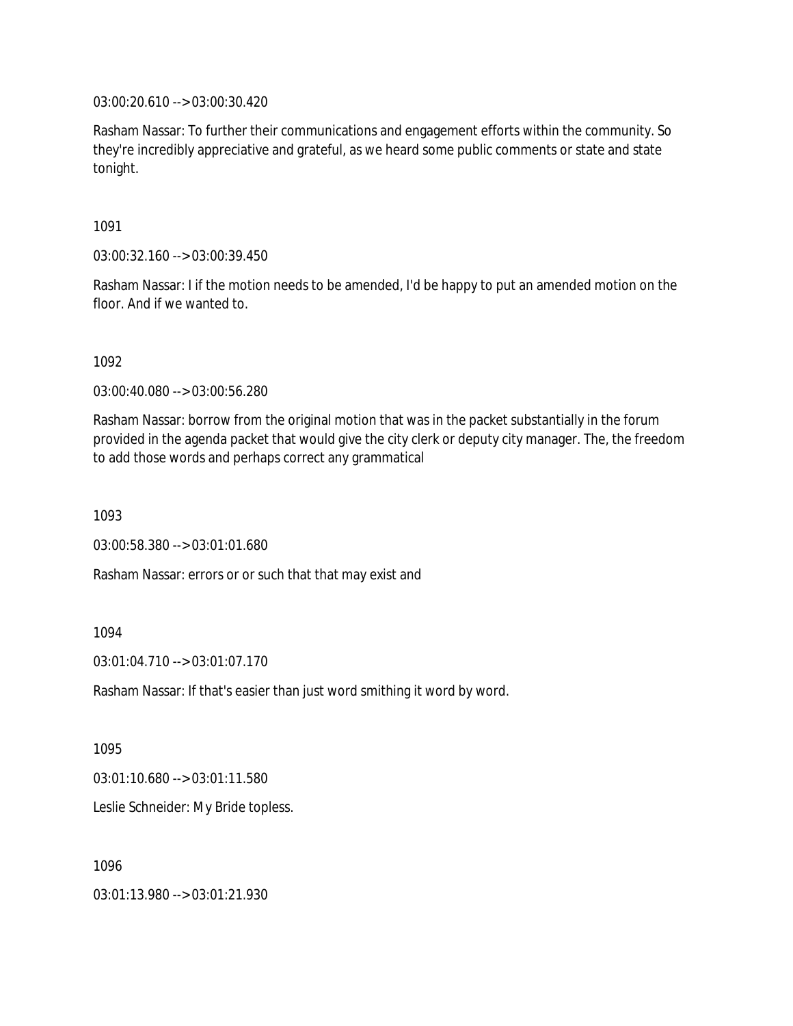03:00:20.610 --> 03:00:30.420

Rasham Nassar: To further their communications and engagement efforts within the community. So they're incredibly appreciative and grateful, as we heard some public comments or state and state tonight.

1091

03:00:32.160 --> 03:00:39.450

Rasham Nassar: I if the motion needs to be amended, I'd be happy to put an amended motion on the floor. And if we wanted to.

1092

03:00:40.080 --> 03:00:56.280

Rasham Nassar: borrow from the original motion that was in the packet substantially in the forum provided in the agenda packet that would give the city clerk or deputy city manager. The, the freedom to add those words and perhaps correct any grammatical

1093

03:00:58.380 --> 03:01:01.680

Rasham Nassar: errors or or such that that may exist and

1094

03:01:04.710 --> 03:01:07.170

Rasham Nassar: If that's easier than just word smithing it word by word.

1095

03:01:10.680 --> 03:01:11.580

Leslie Schneider: My Bride topless.

1096

03:01:13.980 --> 03:01:21.930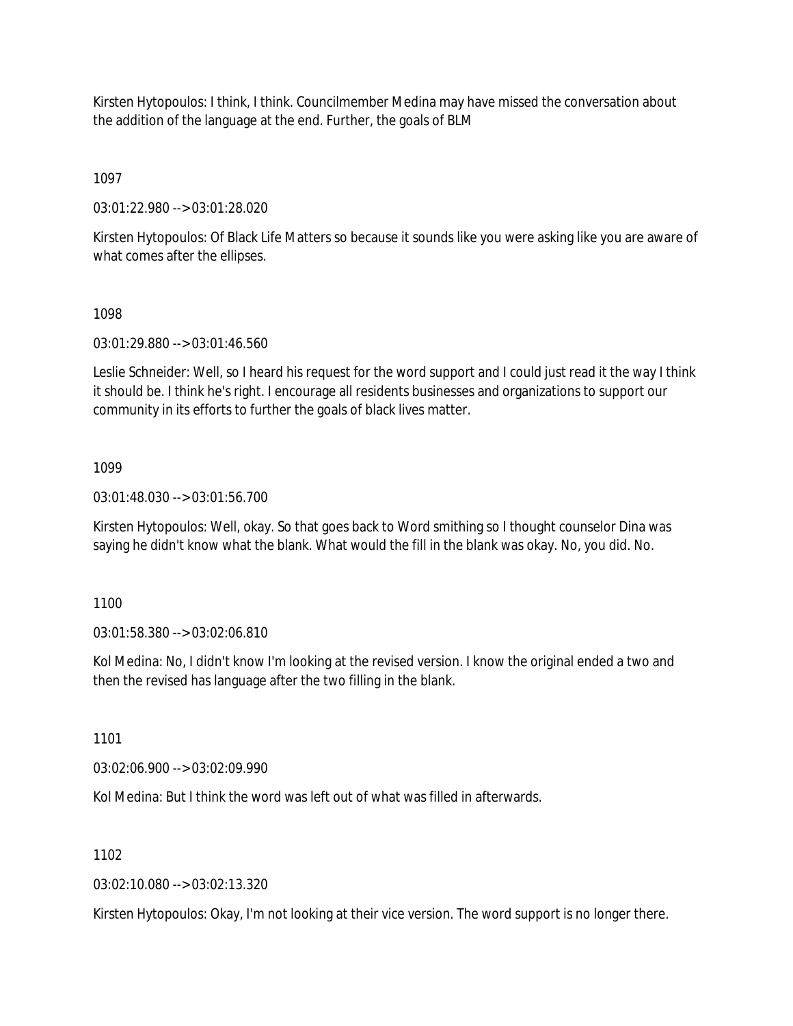Kirsten Hytopoulos: I think, I think. Councilmember Medina may have missed the conversation about the addition of the language at the end. Further, the goals of BLM

1097

03:01:22.980 --> 03:01:28.020

Kirsten Hytopoulos: Of Black Life Matters so because it sounds like you were asking like you are aware of what comes after the ellipses.

1098

03:01:29.880 --> 03:01:46.560

Leslie Schneider: Well, so I heard his request for the word support and I could just read it the way I think it should be. I think he's right. I encourage all residents businesses and organizations to support our community in its efforts to further the goals of black lives matter.

# 1099

03:01:48.030 --> 03:01:56.700

Kirsten Hytopoulos: Well, okay. So that goes back to Word smithing so I thought counselor Dina was saying he didn't know what the blank. What would the fill in the blank was okay. No, you did. No.

1100

03:01:58.380 --> 03:02:06.810

Kol Medina: No, I didn't know I'm looking at the revised version. I know the original ended a two and then the revised has language after the two filling in the blank.

1101

03:02:06.900 --> 03:02:09.990

Kol Medina: But I think the word was left out of what was filled in afterwards.

1102

03:02:10.080 --> 03:02:13.320

Kirsten Hytopoulos: Okay, I'm not looking at their vice version. The word support is no longer there.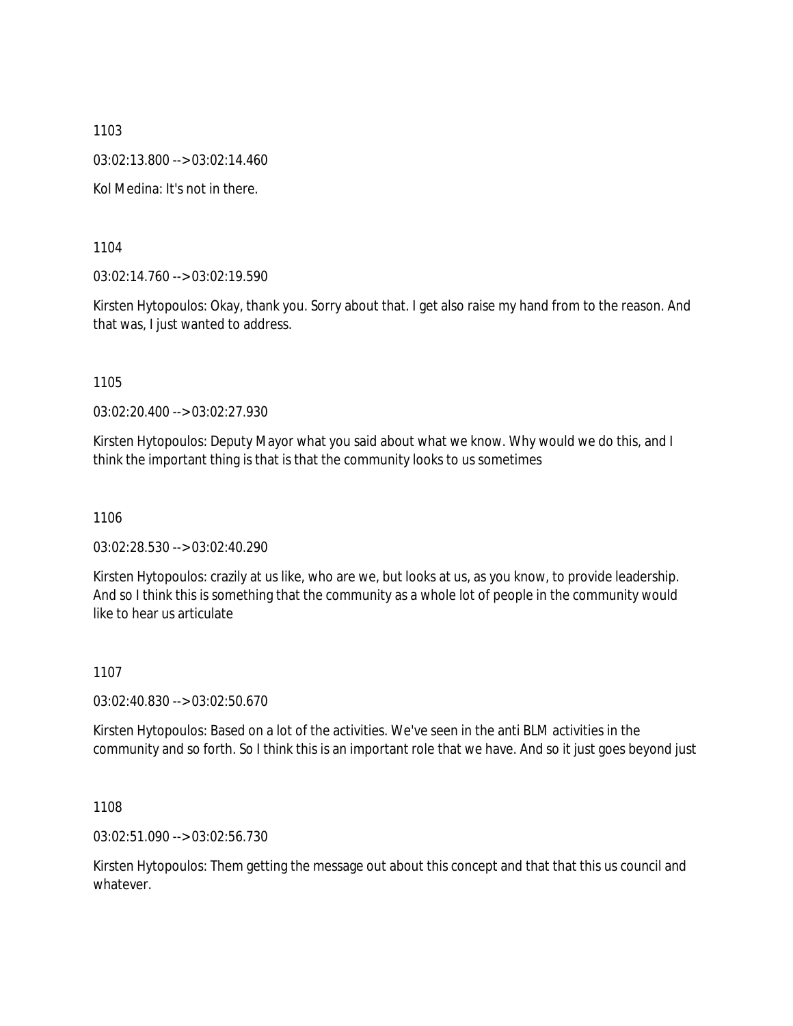1103 03:02:13.800 --> 03:02:14.460 Kol Medina: It's not in there.

1104

03:02:14.760 --> 03:02:19.590

Kirsten Hytopoulos: Okay, thank you. Sorry about that. I get also raise my hand from to the reason. And that was, I just wanted to address.

1105

03:02:20.400 --> 03:02:27.930

Kirsten Hytopoulos: Deputy Mayor what you said about what we know. Why would we do this, and I think the important thing is that is that the community looks to us sometimes

1106

03:02:28.530 --> 03:02:40.290

Kirsten Hytopoulos: crazily at us like, who are we, but looks at us, as you know, to provide leadership. And so I think this is something that the community as a whole lot of people in the community would like to hear us articulate

1107

03:02:40.830 --> 03:02:50.670

Kirsten Hytopoulos: Based on a lot of the activities. We've seen in the anti BLM activities in the community and so forth. So I think this is an important role that we have. And so it just goes beyond just

1108

03:02:51.090 --> 03:02:56.730

Kirsten Hytopoulos: Them getting the message out about this concept and that that this us council and whatever.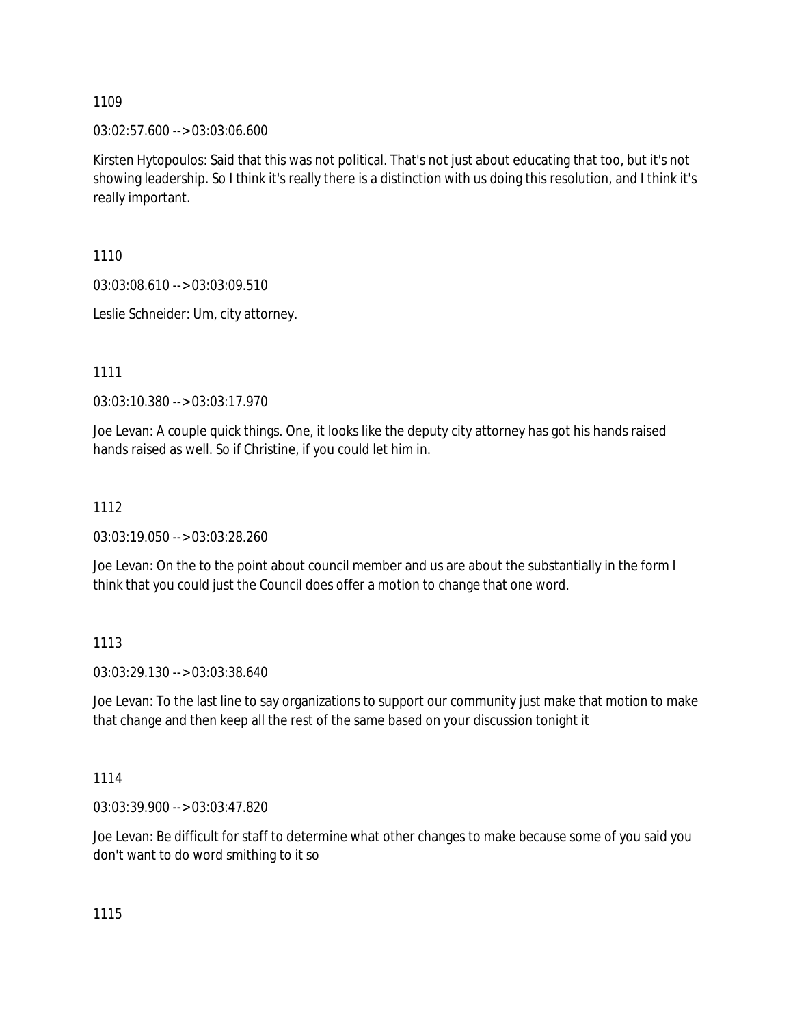03:02:57.600 --> 03:03:06.600

Kirsten Hytopoulos: Said that this was not political. That's not just about educating that too, but it's not showing leadership. So I think it's really there is a distinction with us doing this resolution, and I think it's really important.

1110

03:03:08.610 --> 03:03:09.510

Leslie Schneider: Um, city attorney.

1111

03:03:10.380 --> 03:03:17.970

Joe Levan: A couple quick things. One, it looks like the deputy city attorney has got his hands raised hands raised as well. So if Christine, if you could let him in.

# 1112

03:03:19.050 --> 03:03:28.260

Joe Levan: On the to the point about council member and us are about the substantially in the form I think that you could just the Council does offer a motion to change that one word.

## 1113

03:03:29.130 --> 03:03:38.640

Joe Levan: To the last line to say organizations to support our community just make that motion to make that change and then keep all the rest of the same based on your discussion tonight it

1114

03:03:39.900 --> 03:03:47.820

Joe Levan: Be difficult for staff to determine what other changes to make because some of you said you don't want to do word smithing to it so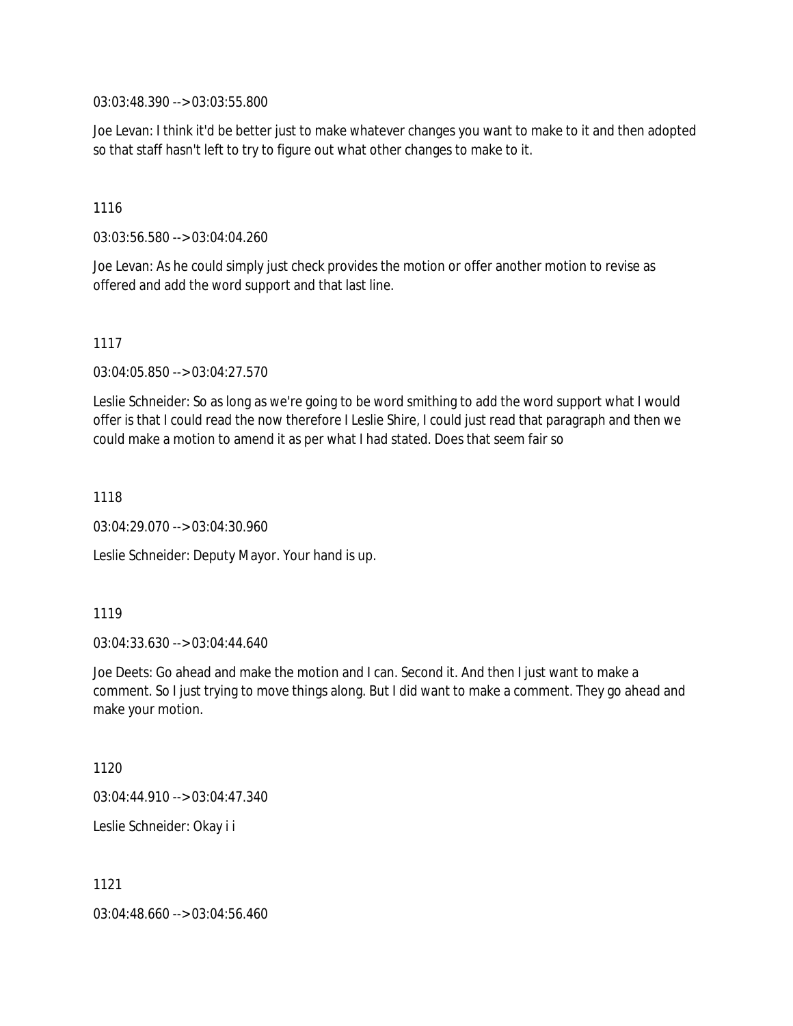03:03:48.390 --> 03:03:55.800

Joe Levan: I think it'd be better just to make whatever changes you want to make to it and then adopted so that staff hasn't left to try to figure out what other changes to make to it.

#### 1116

03:03:56.580 --> 03:04:04.260

Joe Levan: As he could simply just check provides the motion or offer another motion to revise as offered and add the word support and that last line.

### 1117

03:04:05.850 --> 03:04:27.570

Leslie Schneider: So as long as we're going to be word smithing to add the word support what I would offer is that I could read the now therefore I Leslie Shire, I could just read that paragraph and then we could make a motion to amend it as per what I had stated. Does that seem fair so

1118

03:04:29.070 --> 03:04:30.960

Leslie Schneider: Deputy Mayor. Your hand is up.

### 1119

03:04:33.630 --> 03:04:44.640

Joe Deets: Go ahead and make the motion and I can. Second it. And then I just want to make a comment. So I just trying to move things along. But I did want to make a comment. They go ahead and make your motion.

1120

03:04:44.910 --> 03:04:47.340

Leslie Schneider: Okay i i

1121

03:04:48.660 --> 03:04:56.460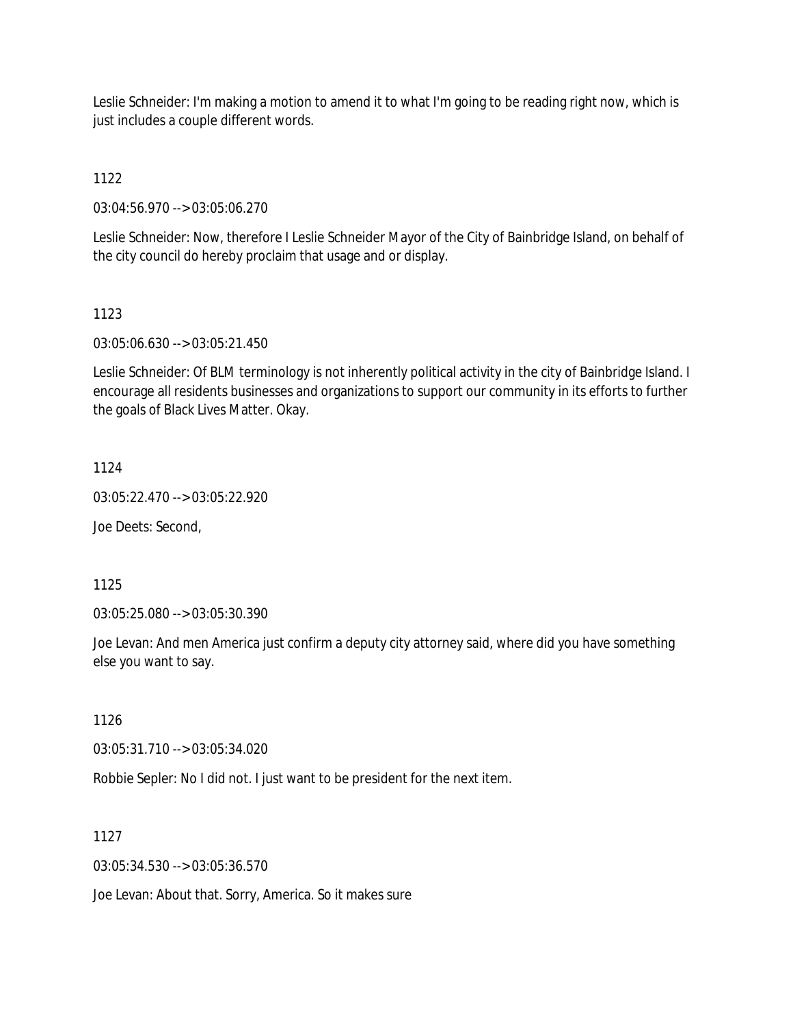Leslie Schneider: I'm making a motion to amend it to what I'm going to be reading right now, which is just includes a couple different words.

1122

03:04:56.970 --> 03:05:06.270

Leslie Schneider: Now, therefore I Leslie Schneider Mayor of the City of Bainbridge Island, on behalf of the city council do hereby proclaim that usage and or display.

# 1123

03:05:06.630 --> 03:05:21.450

Leslie Schneider: Of BLM terminology is not inherently political activity in the city of Bainbridge Island. I encourage all residents businesses and organizations to support our community in its efforts to further the goals of Black Lives Matter. Okay.

# 1124

03:05:22.470 --> 03:05:22.920

Joe Deets: Second,

1125

03:05:25.080 --> 03:05:30.390

Joe Levan: And men America just confirm a deputy city attorney said, where did you have something else you want to say.

1126

03:05:31.710 --> 03:05:34.020

Robbie Sepler: No I did not. I just want to be president for the next item.

1127

03:05:34.530 --> 03:05:36.570

Joe Levan: About that. Sorry, America. So it makes sure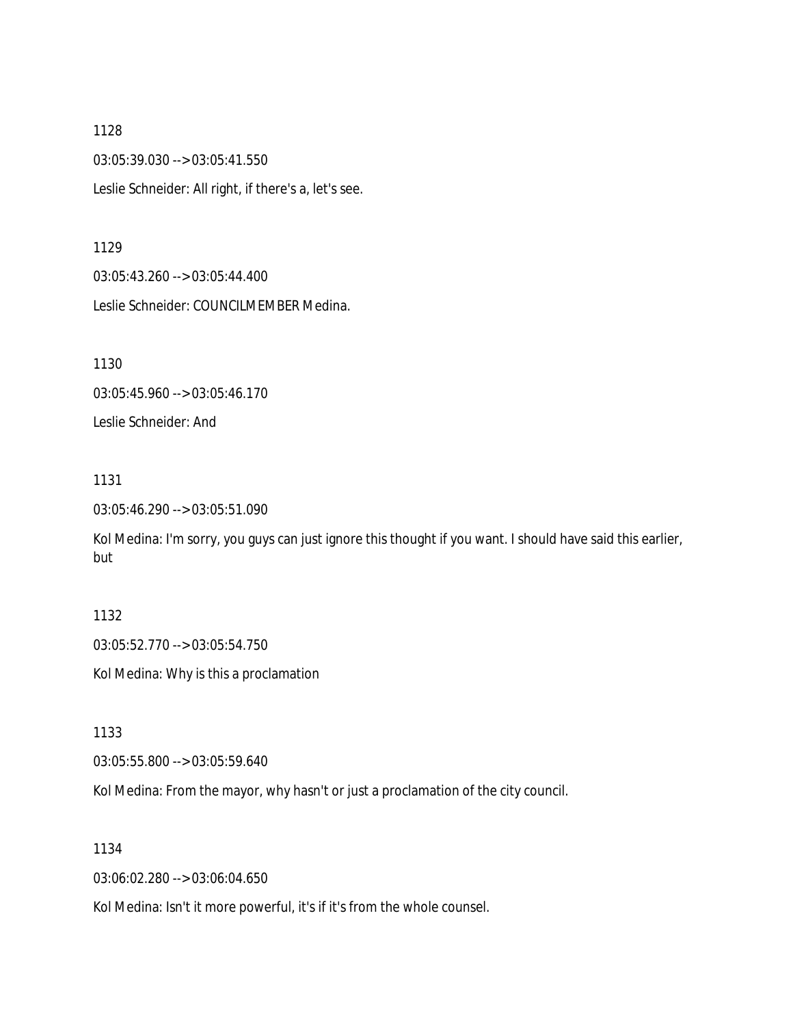1128 03:05:39.030 --> 03:05:41.550 Leslie Schneider: All right, if there's a, let's see.

1129

03:05:43.260 --> 03:05:44.400 Leslie Schneider: COUNCILMEMBER Medina.

1130

03:05:45.960 --> 03:05:46.170

Leslie Schneider: And

1131

03:05:46.290 --> 03:05:51.090

Kol Medina: I'm sorry, you guys can just ignore this thought if you want. I should have said this earlier, but

## 1132

03:05:52.770 --> 03:05:54.750

Kol Medina: Why is this a proclamation

1133

03:05:55.800 --> 03:05:59.640

Kol Medina: From the mayor, why hasn't or just a proclamation of the city council.

1134

03:06:02.280 --> 03:06:04.650

Kol Medina: Isn't it more powerful, it's if it's from the whole counsel.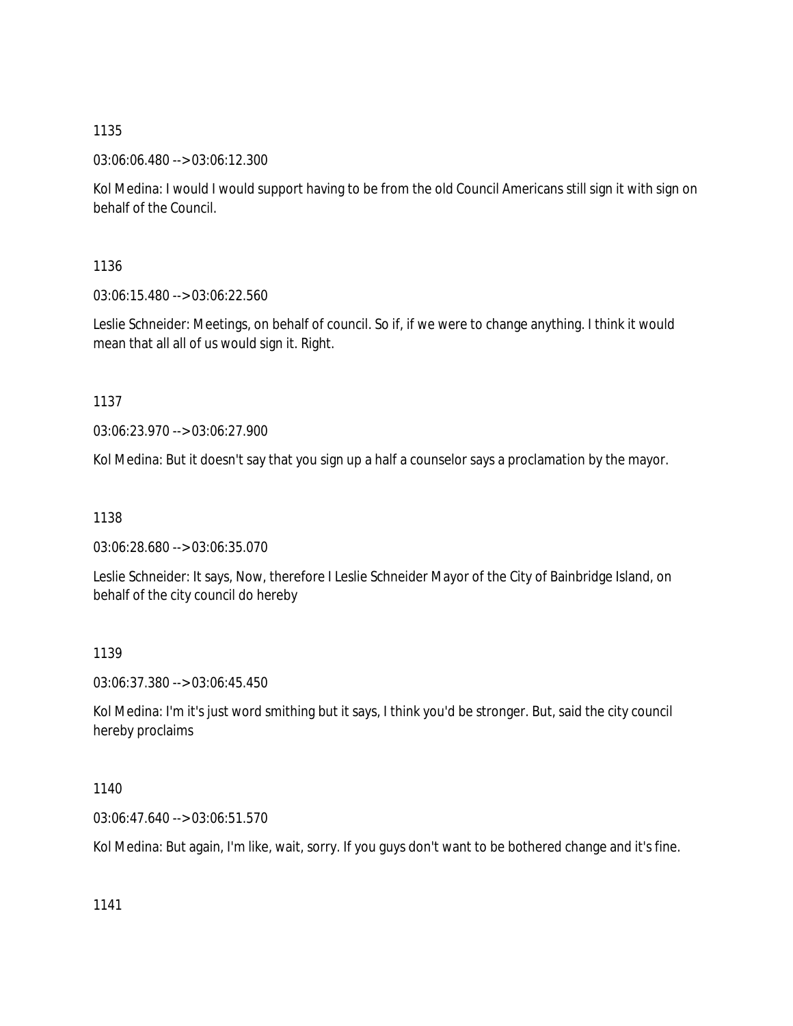03:06:06.480 --> 03:06:12.300

Kol Medina: I would I would support having to be from the old Council Americans still sign it with sign on behalf of the Council.

1136

03:06:15.480 --> 03:06:22.560

Leslie Schneider: Meetings, on behalf of council. So if, if we were to change anything. I think it would mean that all all of us would sign it. Right.

1137

03:06:23.970 --> 03:06:27.900

Kol Medina: But it doesn't say that you sign up a half a counselor says a proclamation by the mayor.

1138

03:06:28.680 --> 03:06:35.070

Leslie Schneider: It says, Now, therefore I Leslie Schneider Mayor of the City of Bainbridge Island, on behalf of the city council do hereby

1139

03:06:37.380 --> 03:06:45.450

Kol Medina: I'm it's just word smithing but it says, I think you'd be stronger. But, said the city council hereby proclaims

1140

03:06:47.640 --> 03:06:51.570

Kol Medina: But again, I'm like, wait, sorry. If you guys don't want to be bothered change and it's fine.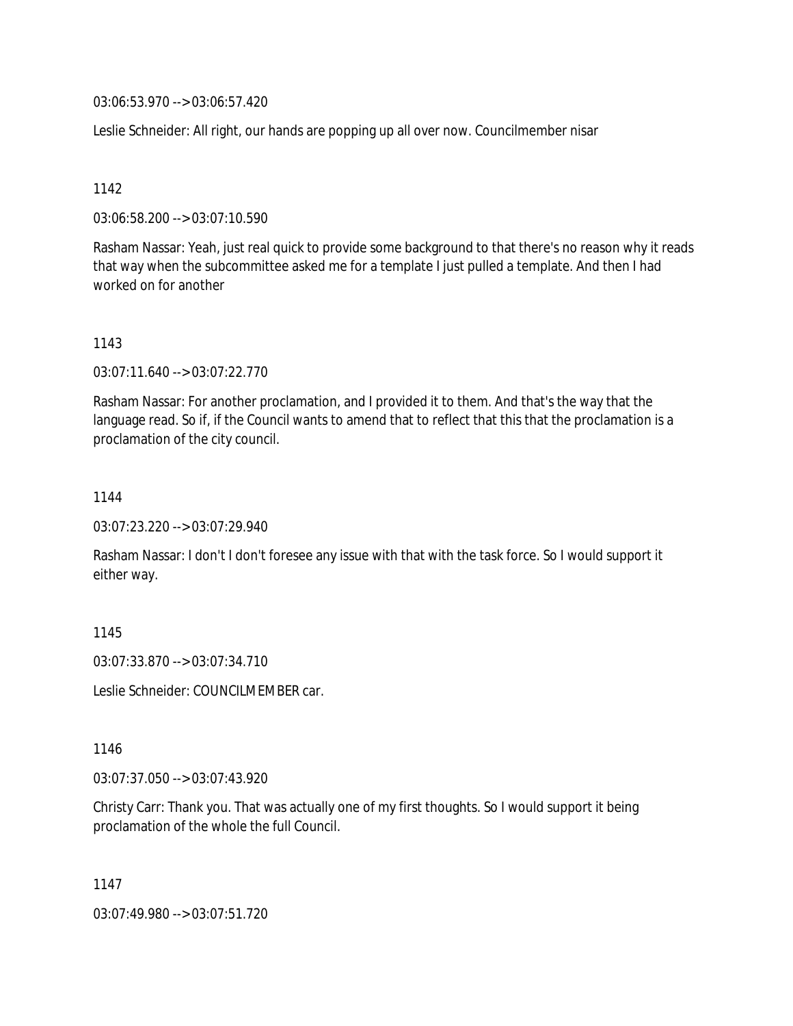03:06:53.970 --> 03:06:57.420

Leslie Schneider: All right, our hands are popping up all over now. Councilmember nisar

1142

03:06:58.200 --> 03:07:10.590

Rasham Nassar: Yeah, just real quick to provide some background to that there's no reason why it reads that way when the subcommittee asked me for a template I just pulled a template. And then I had worked on for another

1143

03:07:11.640 --> 03:07:22.770

Rasham Nassar: For another proclamation, and I provided it to them. And that's the way that the language read. So if, if the Council wants to amend that to reflect that this that the proclamation is a proclamation of the city council.

1144

03:07:23.220 --> 03:07:29.940

Rasham Nassar: I don't I don't foresee any issue with that with the task force. So I would support it either way.

1145

03:07:33.870 --> 03:07:34.710

Leslie Schneider: COUNCILMEMBER car.

1146

03:07:37.050 --> 03:07:43.920

Christy Carr: Thank you. That was actually one of my first thoughts. So I would support it being proclamation of the whole the full Council.

1147

03:07:49.980 --> 03:07:51.720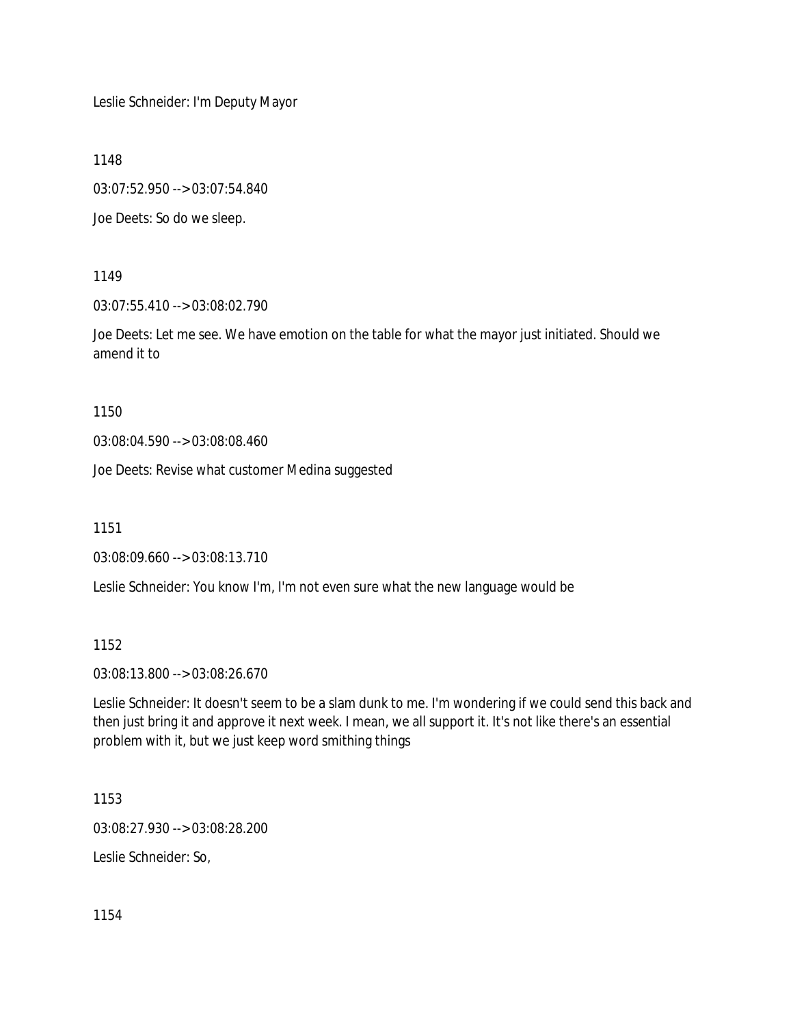Leslie Schneider: I'm Deputy Mayor

1148

03:07:52.950 --> 03:07:54.840

Joe Deets: So do we sleep.

1149

03:07:55.410 --> 03:08:02.790

Joe Deets: Let me see. We have emotion on the table for what the mayor just initiated. Should we amend it to

1150

03:08:04.590 --> 03:08:08.460

Joe Deets: Revise what customer Medina suggested

1151

03:08:09.660 --> 03:08:13.710

Leslie Schneider: You know I'm, I'm not even sure what the new language would be

1152

03:08:13.800 --> 03:08:26.670

Leslie Schneider: It doesn't seem to be a slam dunk to me. I'm wondering if we could send this back and then just bring it and approve it next week. I mean, we all support it. It's not like there's an essential problem with it, but we just keep word smithing things

1153

03:08:27.930 --> 03:08:28.200

Leslie Schneider: So,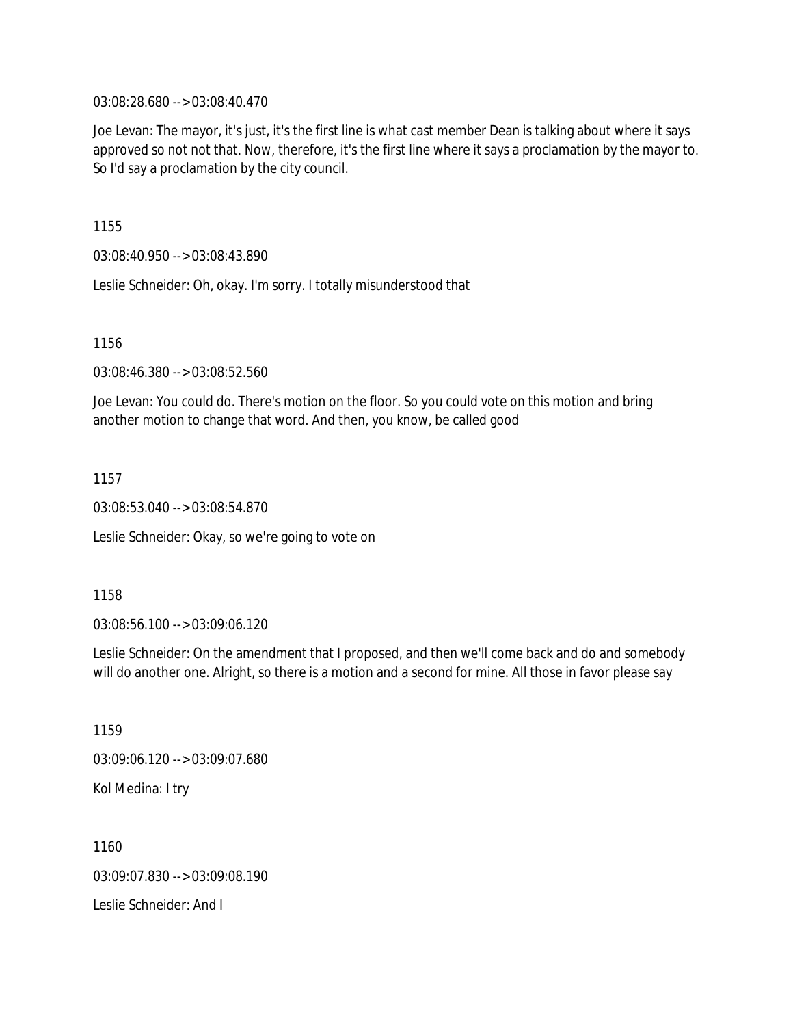03:08:28.680 --> 03:08:40.470

Joe Levan: The mayor, it's just, it's the first line is what cast member Dean is talking about where it says approved so not not that. Now, therefore, it's the first line where it says a proclamation by the mayor to. So I'd say a proclamation by the city council.

1155

03:08:40.950 --> 03:08:43.890

Leslie Schneider: Oh, okay. I'm sorry. I totally misunderstood that

1156

03:08:46.380 --> 03:08:52.560

Joe Levan: You could do. There's motion on the floor. So you could vote on this motion and bring another motion to change that word. And then, you know, be called good

1157

03:08:53.040 --> 03:08:54.870

Leslie Schneider: Okay, so we're going to vote on

1158

03:08:56.100 --> 03:09:06.120

Leslie Schneider: On the amendment that I proposed, and then we'll come back and do and somebody will do another one. Alright, so there is a motion and a second for mine. All those in favor please say

1159 03:09:06.120 --> 03:09:07.680 Kol Medina: I try

1160 03:09:07.830 --> 03:09:08.190 Leslie Schneider: And I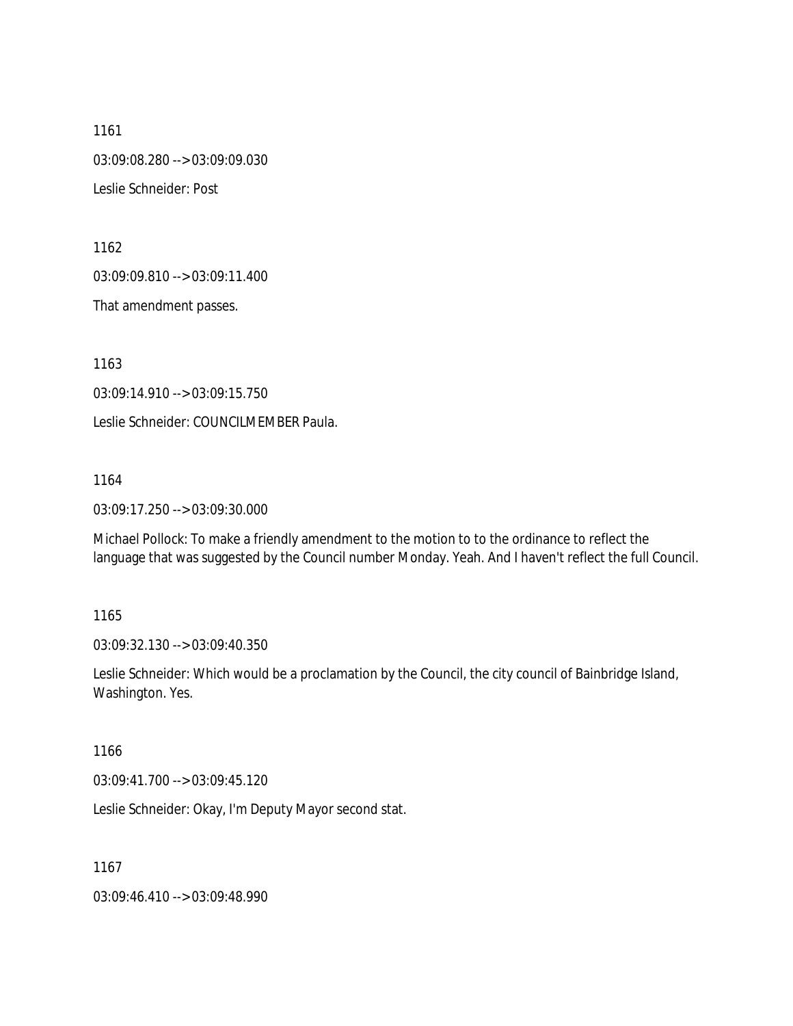1161 03:09:08.280 --> 03:09:09.030 Leslie Schneider: Post

1162

03:09:09.810 --> 03:09:11.400

That amendment passes.

1163

03:09:14.910 --> 03:09:15.750

Leslie Schneider: COUNCILMEMBER Paula.

1164

03:09:17.250 --> 03:09:30.000

Michael Pollock: To make a friendly amendment to the motion to to the ordinance to reflect the language that was suggested by the Council number Monday. Yeah. And I haven't reflect the full Council.

#### 1165

03:09:32.130 --> 03:09:40.350

Leslie Schneider: Which would be a proclamation by the Council, the city council of Bainbridge Island, Washington. Yes.

1166

03:09:41.700 --> 03:09:45.120

Leslie Schneider: Okay, I'm Deputy Mayor second stat.

1167

03:09:46.410 --> 03:09:48.990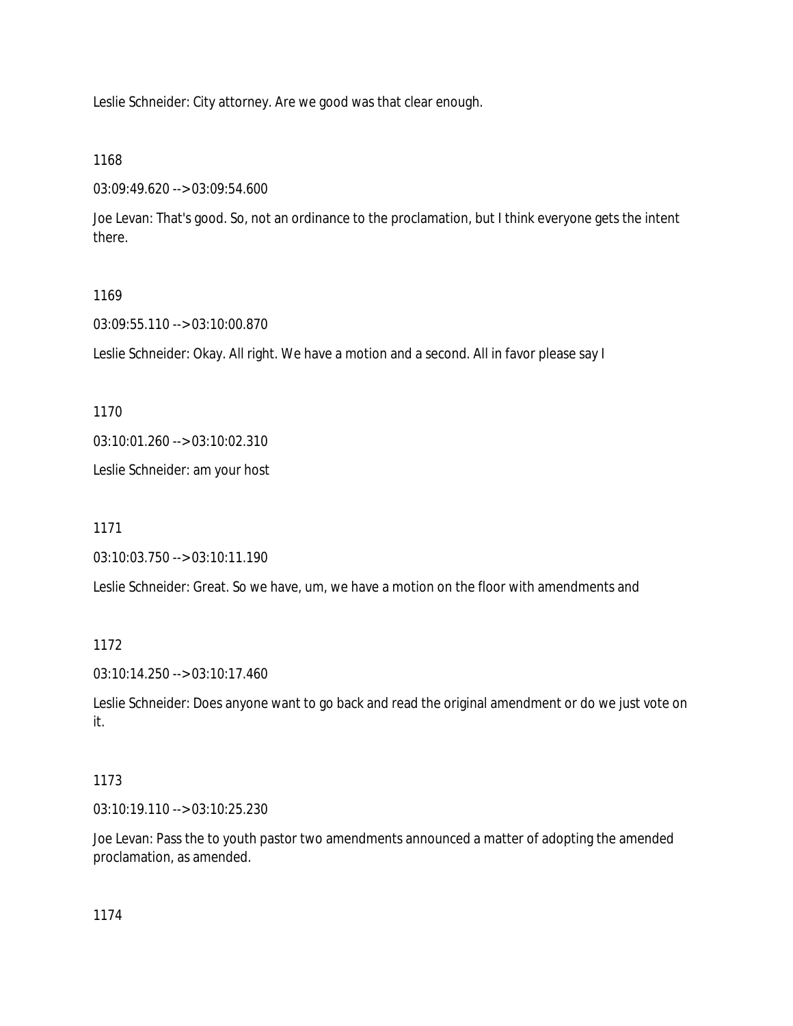Leslie Schneider: City attorney. Are we good was that clear enough.

1168

03:09:49.620 --> 03:09:54.600

Joe Levan: That's good. So, not an ordinance to the proclamation, but I think everyone gets the intent there.

# 1169

03:09:55.110 --> 03:10:00.870

Leslie Schneider: Okay. All right. We have a motion and a second. All in favor please say I

1170

03:10:01.260 --> 03:10:02.310

Leslie Schneider: am your host

1171

03:10:03.750 --> 03:10:11.190

Leslie Schneider: Great. So we have, um, we have a motion on the floor with amendments and

1172

03:10:14.250 --> 03:10:17.460

Leslie Schneider: Does anyone want to go back and read the original amendment or do we just vote on it.

# 1173

03:10:19.110 --> 03:10:25.230

Joe Levan: Pass the to youth pastor two amendments announced a matter of adopting the amended proclamation, as amended.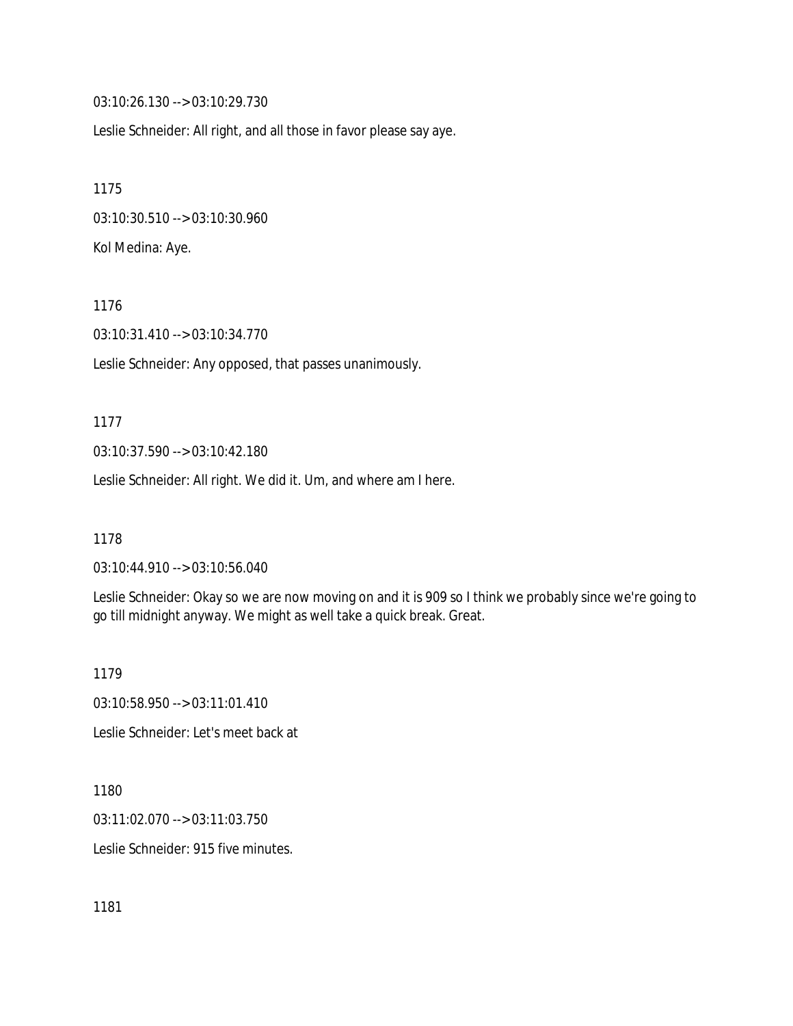03:10:26.130 --> 03:10:29.730

Leslie Schneider: All right, and all those in favor please say aye.

1175 03:10:30.510 --> 03:10:30.960 Kol Medina: Aye.

1176

03:10:31.410 --> 03:10:34.770

Leslie Schneider: Any opposed, that passes unanimously.

1177

03:10:37.590 --> 03:10:42.180

Leslie Schneider: All right. We did it. Um, and where am I here.

1178

03:10:44.910 --> 03:10:56.040

Leslie Schneider: Okay so we are now moving on and it is 909 so I think we probably since we're going to go till midnight anyway. We might as well take a quick break. Great.

1179

03:10:58.950 --> 03:11:01.410

Leslie Schneider: Let's meet back at

1180

03:11:02.070 --> 03:11:03.750

Leslie Schneider: 915 five minutes.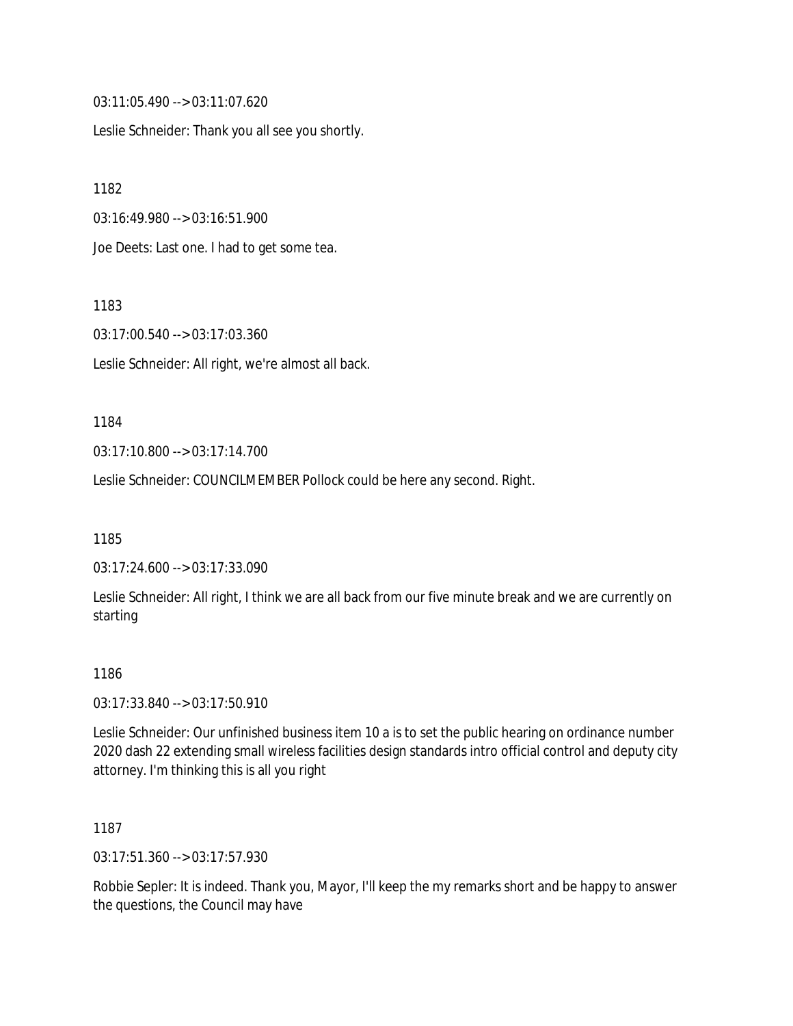03:11:05.490 --> 03:11:07.620

Leslie Schneider: Thank you all see you shortly.

1182

03:16:49.980 --> 03:16:51.900

Joe Deets: Last one. I had to get some tea.

1183

03:17:00.540 --> 03:17:03.360

Leslie Schneider: All right, we're almost all back.

#### 1184

03:17:10.800 --> 03:17:14.700

Leslie Schneider: COUNCILMEMBER Pollock could be here any second. Right.

1185

03:17:24.600 --> 03:17:33.090

Leslie Schneider: All right, I think we are all back from our five minute break and we are currently on starting

#### 1186

03:17:33.840 --> 03:17:50.910

Leslie Schneider: Our unfinished business item 10 a is to set the public hearing on ordinance number 2020 dash 22 extending small wireless facilities design standards intro official control and deputy city attorney. I'm thinking this is all you right

1187

03:17:51.360 --> 03:17:57.930

Robbie Sepler: It is indeed. Thank you, Mayor, I'll keep the my remarks short and be happy to answer the questions, the Council may have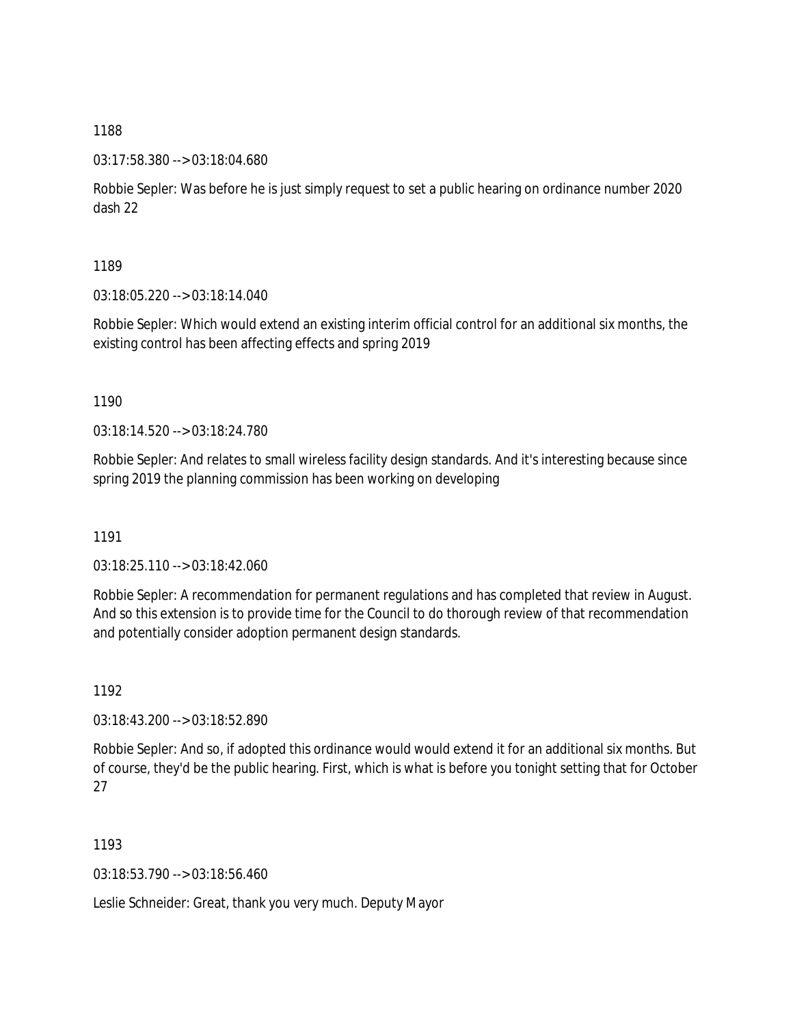03:17:58.380 --> 03:18:04.680

Robbie Sepler: Was before he is just simply request to set a public hearing on ordinance number 2020 dash 22

1189

03:18:05.220 --> 03:18:14.040

Robbie Sepler: Which would extend an existing interim official control for an additional six months, the existing control has been affecting effects and spring 2019

1190

03:18:14.520 --> 03:18:24.780

Robbie Sepler: And relates to small wireless facility design standards. And it's interesting because since spring 2019 the planning commission has been working on developing

1191

03:18:25.110 --> 03:18:42.060

Robbie Sepler: A recommendation for permanent regulations and has completed that review in August. And so this extension is to provide time for the Council to do thorough review of that recommendation and potentially consider adoption permanent design standards.

1192

03:18:43.200 --> 03:18:52.890

Robbie Sepler: And so, if adopted this ordinance would would extend it for an additional six months. But of course, they'd be the public hearing. First, which is what is before you tonight setting that for October 27

1193

03:18:53.790 --> 03:18:56.460

Leslie Schneider: Great, thank you very much. Deputy Mayor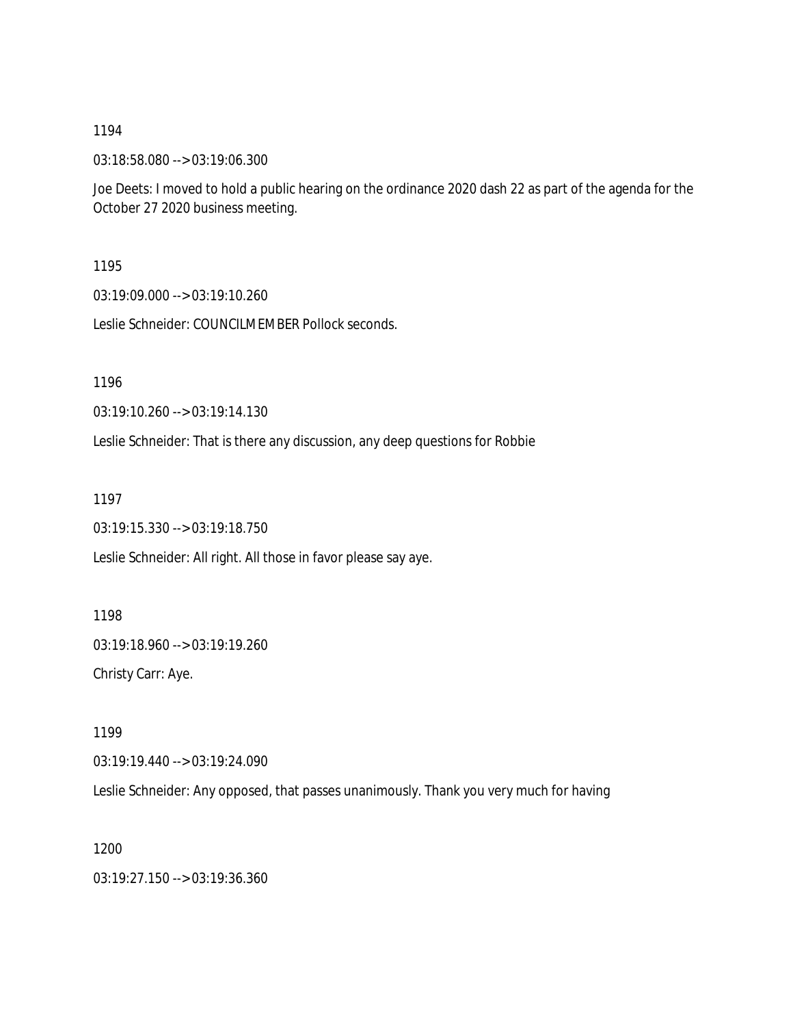03:18:58.080 --> 03:19:06.300

Joe Deets: I moved to hold a public hearing on the ordinance 2020 dash 22 as part of the agenda for the October 27 2020 business meeting.

1195

03:19:09.000 --> 03:19:10.260

Leslie Schneider: COUNCILMEMBER Pollock seconds.

1196

03:19:10.260 --> 03:19:14.130

Leslie Schneider: That is there any discussion, any deep questions for Robbie

1197

03:19:15.330 --> 03:19:18.750

Leslie Schneider: All right. All those in favor please say aye.

1198 03:19:18.960 --> 03:19:19.260 Christy Carr: Aye.

1199

03:19:19.440 --> 03:19:24.090

Leslie Schneider: Any opposed, that passes unanimously. Thank you very much for having

1200

03:19:27.150 --> 03:19:36.360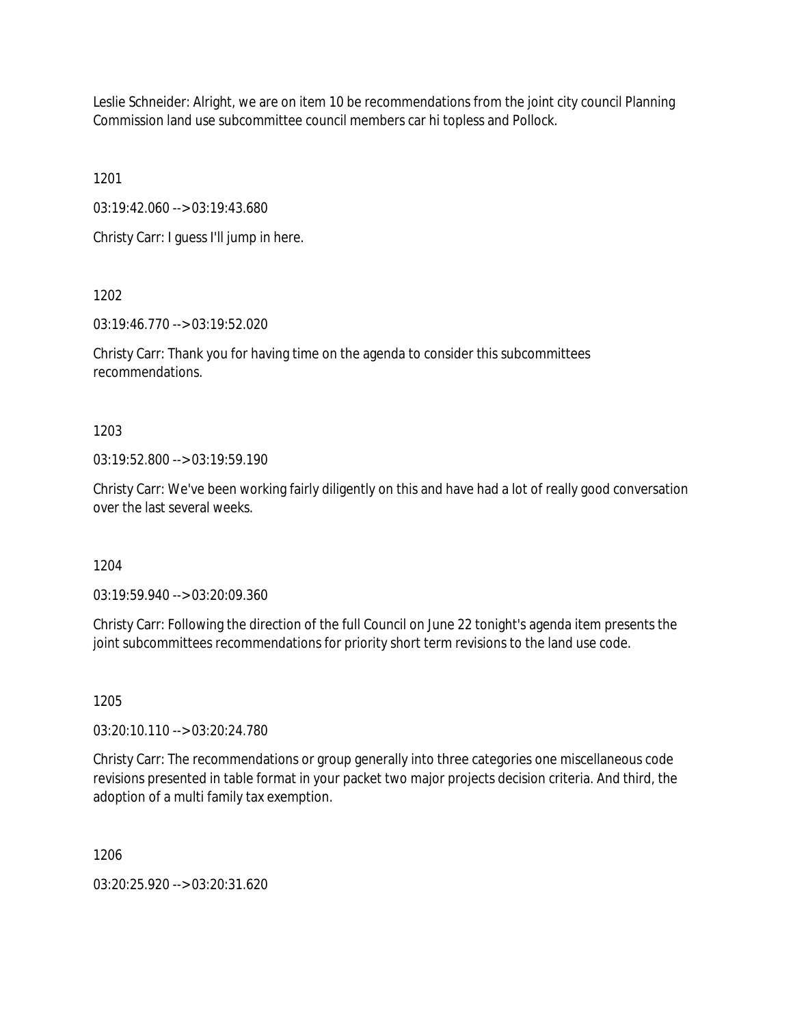Leslie Schneider: Alright, we are on item 10 be recommendations from the joint city council Planning Commission land use subcommittee council members car hi topless and Pollock.

1201

03:19:42.060 --> 03:19:43.680

Christy Carr: I guess I'll jump in here.

1202

03:19:46.770 --> 03:19:52.020

Christy Carr: Thank you for having time on the agenda to consider this subcommittees recommendations.

1203

03:19:52.800 --> 03:19:59.190

Christy Carr: We've been working fairly diligently on this and have had a lot of really good conversation over the last several weeks.

1204

03:19:59.940 --> 03:20:09.360

Christy Carr: Following the direction of the full Council on June 22 tonight's agenda item presents the joint subcommittees recommendations for priority short term revisions to the land use code.

1205

03:20:10.110 --> 03:20:24.780

Christy Carr: The recommendations or group generally into three categories one miscellaneous code revisions presented in table format in your packet two major projects decision criteria. And third, the adoption of a multi family tax exemption.

1206

03:20:25.920 --> 03:20:31.620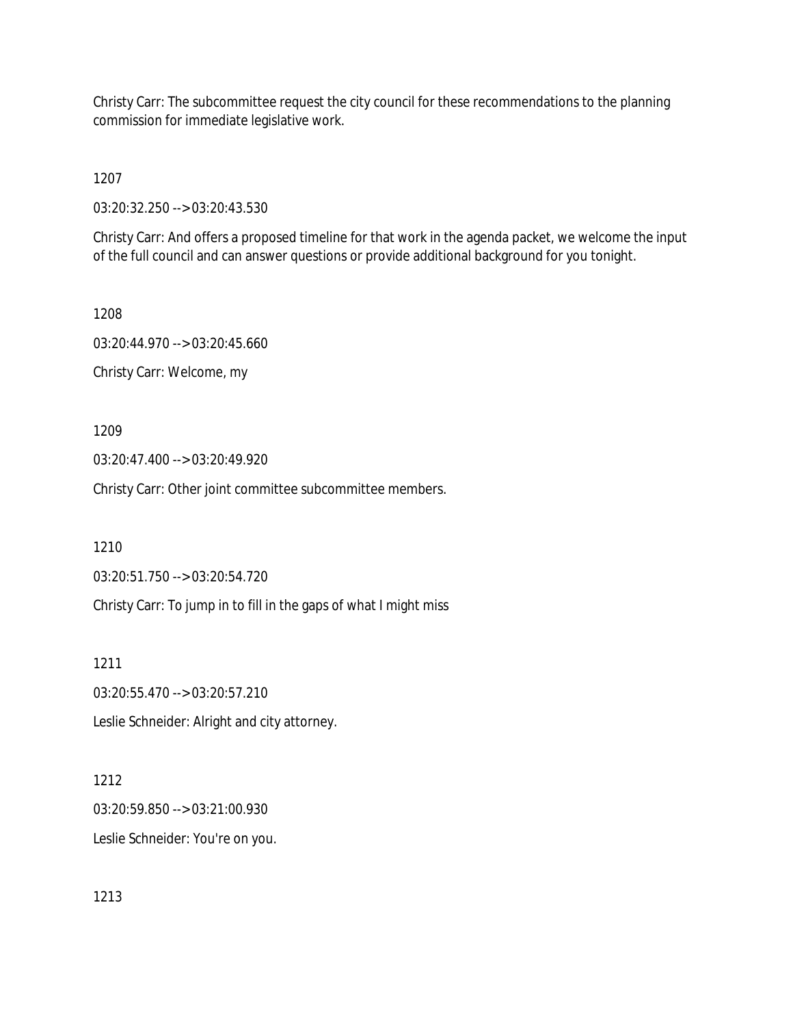Christy Carr: The subcommittee request the city council for these recommendations to the planning commission for immediate legislative work.

1207

03:20:32.250 --> 03:20:43.530

Christy Carr: And offers a proposed timeline for that work in the agenda packet, we welcome the input of the full council and can answer questions or provide additional background for you tonight.

1208 03:20:44.970 --> 03:20:45.660 Christy Carr: Welcome, my

1209

03:20:47.400 --> 03:20:49.920

Christy Carr: Other joint committee subcommittee members.

1210

03:20:51.750 --> 03:20:54.720

Christy Carr: To jump in to fill in the gaps of what I might miss

1211

03:20:55.470 --> 03:20:57.210

Leslie Schneider: Alright and city attorney.

1212

03:20:59.850 --> 03:21:00.930 Leslie Schneider: You're on you.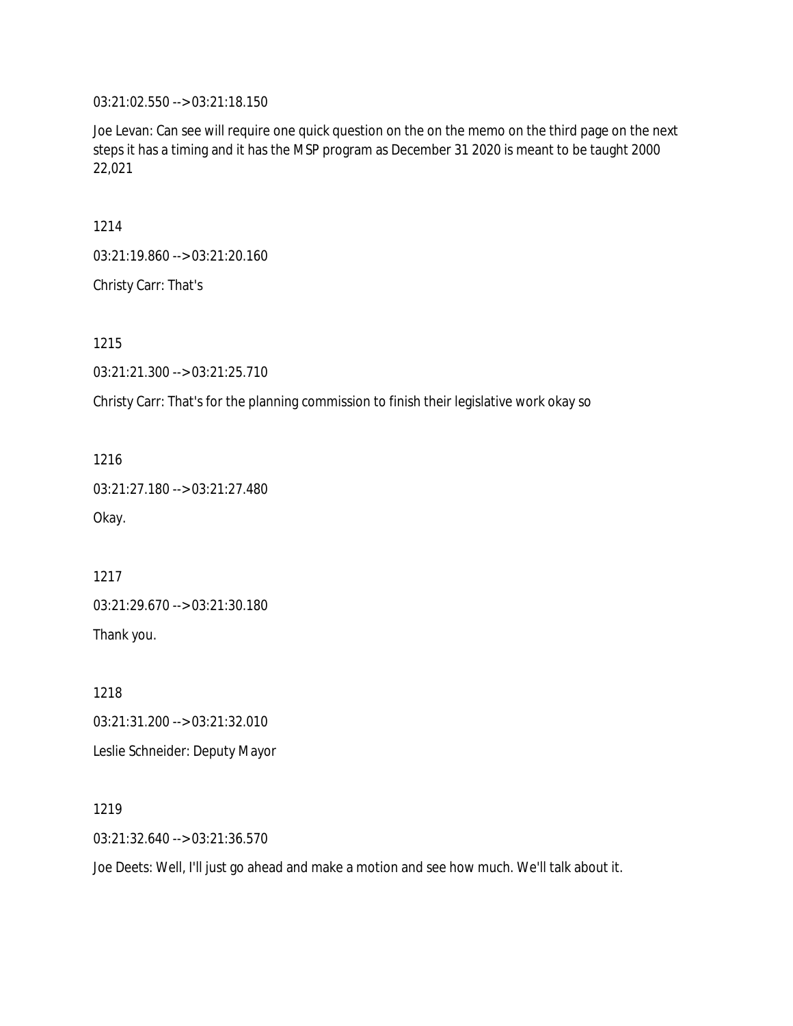03:21:02.550 --> 03:21:18.150

Joe Levan: Can see will require one quick question on the on the memo on the third page on the next steps it has a timing and it has the MSP program as December 31 2020 is meant to be taught 2000 22,021

1214

03:21:19.860 --> 03:21:20.160

Christy Carr: That's

1215

03:21:21.300 --> 03:21:25.710

Christy Carr: That's for the planning commission to finish their legislative work okay so

1216

03:21:27.180 --> 03:21:27.480

Okay.

1217

03:21:29.670 --> 03:21:30.180

Thank you.

1218

03:21:31.200 --> 03:21:32.010

Leslie Schneider: Deputy Mayor

1219

03:21:32.640 --> 03:21:36.570

Joe Deets: Well, I'll just go ahead and make a motion and see how much. We'll talk about it.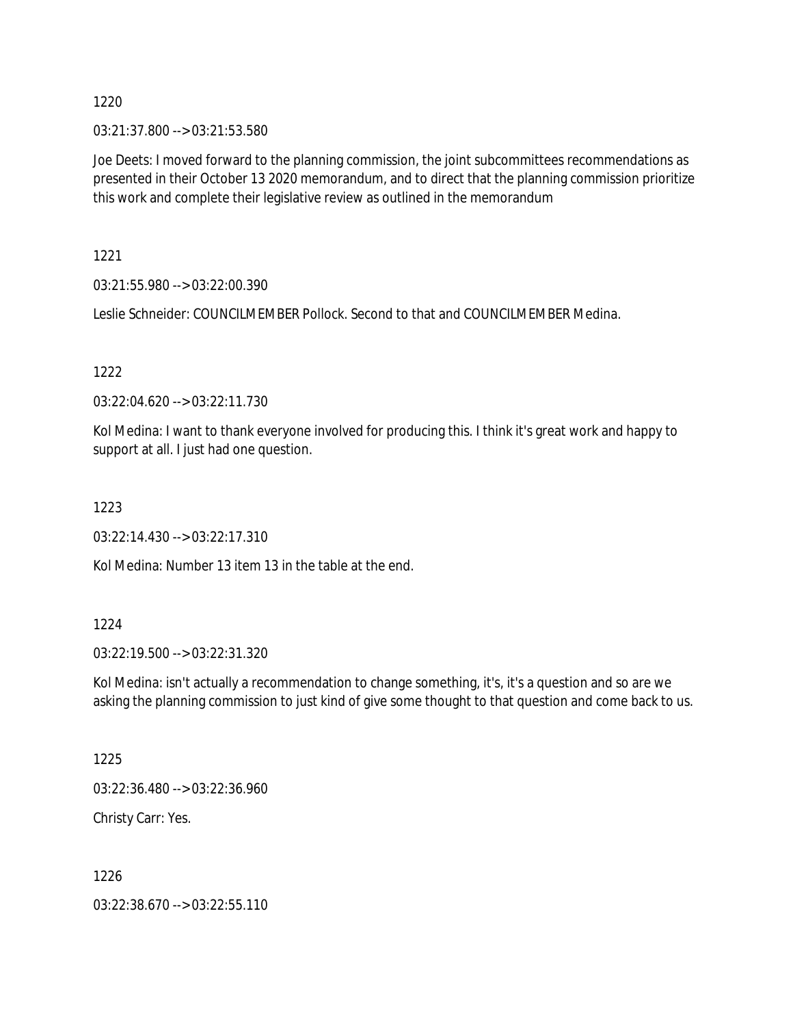03:21:37.800 --> 03:21:53.580

Joe Deets: I moved forward to the planning commission, the joint subcommittees recommendations as presented in their October 13 2020 memorandum, and to direct that the planning commission prioritize this work and complete their legislative review as outlined in the memorandum

1221

03:21:55.980 --> 03:22:00.390

Leslie Schneider: COUNCILMEMBER Pollock. Second to that and COUNCILMEMBER Medina.

1222

03:22:04.620 --> 03:22:11.730

Kol Medina: I want to thank everyone involved for producing this. I think it's great work and happy to support at all. I just had one question.

1223

03:22:14.430 --> 03:22:17.310

Kol Medina: Number 13 item 13 in the table at the end.

### 1224

03:22:19.500 --> 03:22:31.320

Kol Medina: isn't actually a recommendation to change something, it's, it's a question and so are we asking the planning commission to just kind of give some thought to that question and come back to us.

1225

03:22:36.480 --> 03:22:36.960

Christy Carr: Yes.

1226

03:22:38.670 --> 03:22:55.110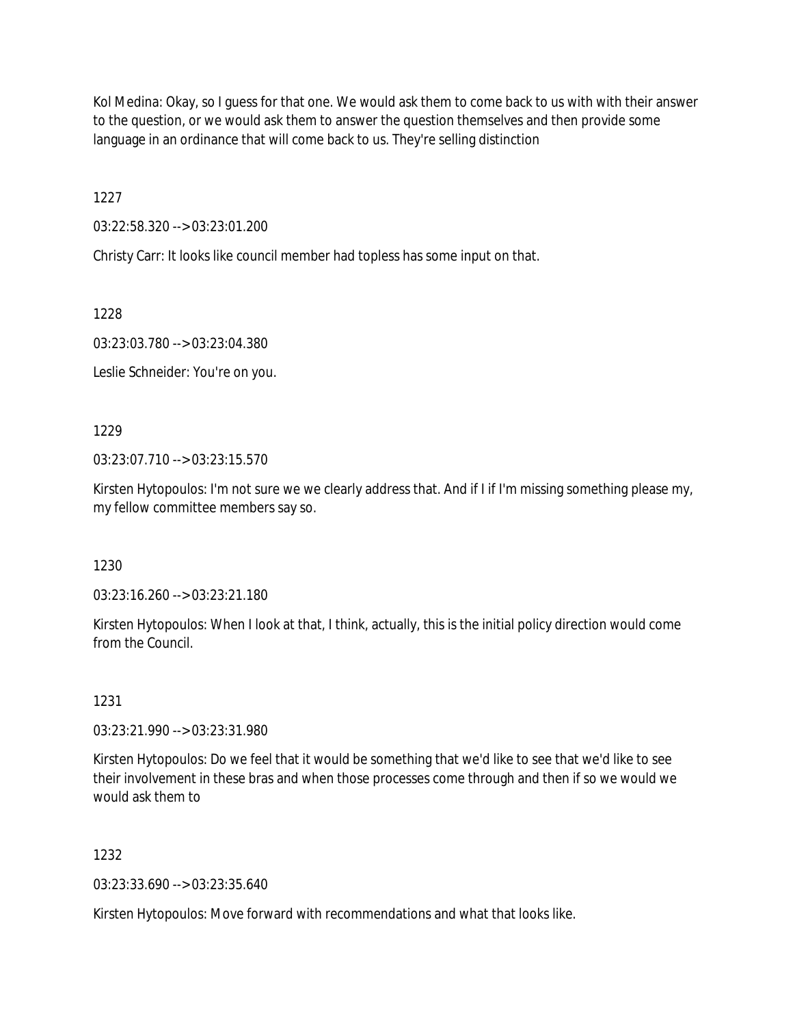Kol Medina: Okay, so I guess for that one. We would ask them to come back to us with with their answer to the question, or we would ask them to answer the question themselves and then provide some language in an ordinance that will come back to us. They're selling distinction

1227

03:22:58.320 --> 03:23:01.200

Christy Carr: It looks like council member had topless has some input on that.

1228

03:23:03.780 --> 03:23:04.380

Leslie Schneider: You're on you.

1229

03:23:07.710 --> 03:23:15.570

Kirsten Hytopoulos: I'm not sure we we clearly address that. And if I if I'm missing something please my, my fellow committee members say so.

1230

03:23:16.260 --> 03:23:21.180

Kirsten Hytopoulos: When I look at that, I think, actually, this is the initial policy direction would come from the Council.

1231

03:23:21.990 --> 03:23:31.980

Kirsten Hytopoulos: Do we feel that it would be something that we'd like to see that we'd like to see their involvement in these bras and when those processes come through and then if so we would we would ask them to

1232

03:23:33.690 --> 03:23:35.640

Kirsten Hytopoulos: Move forward with recommendations and what that looks like.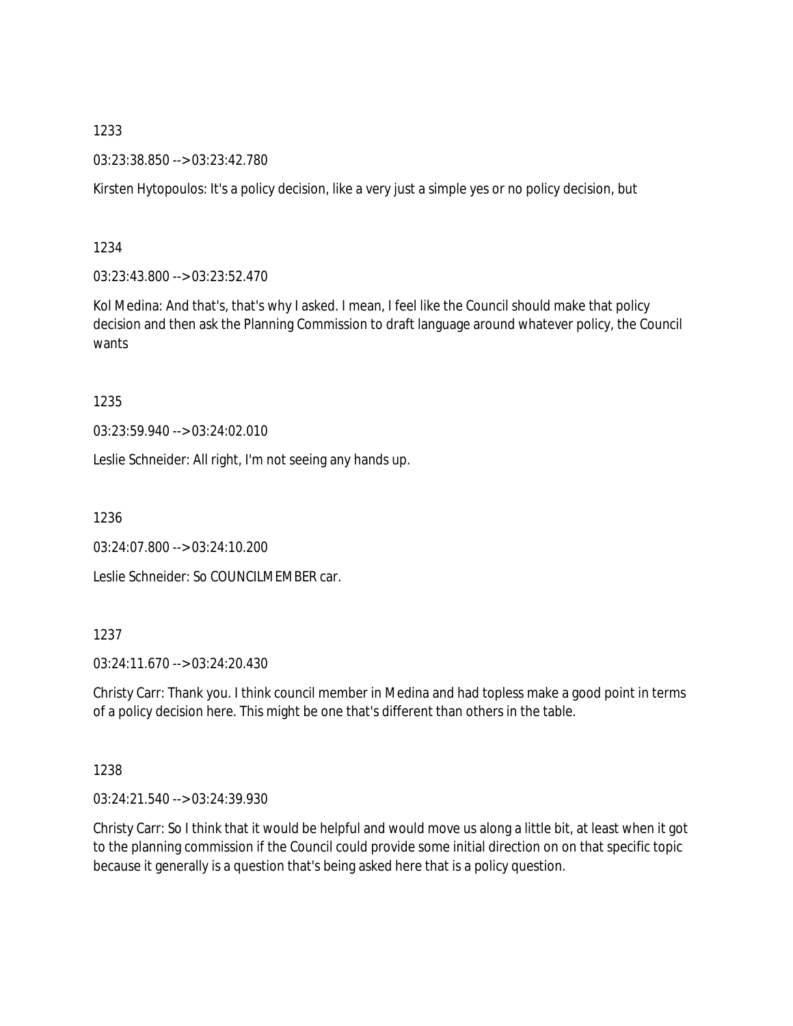03:23:38.850 --> 03:23:42.780

Kirsten Hytopoulos: It's a policy decision, like a very just a simple yes or no policy decision, but

1234

03:23:43.800 --> 03:23:52.470

Kol Medina: And that's, that's why I asked. I mean, I feel like the Council should make that policy decision and then ask the Planning Commission to draft language around whatever policy, the Council wants

1235

03:23:59.940 --> 03:24:02.010

Leslie Schneider: All right, I'm not seeing any hands up.

1236

03:24:07.800 --> 03:24:10.200

Leslie Schneider: So COUNCILMEMBER car.

1237

03:24:11.670 --> 03:24:20.430

Christy Carr: Thank you. I think council member in Medina and had topless make a good point in terms of a policy decision here. This might be one that's different than others in the table.

1238

03:24:21.540 --> 03:24:39.930

Christy Carr: So I think that it would be helpful and would move us along a little bit, at least when it got to the planning commission if the Council could provide some initial direction on on that specific topic because it generally is a question that's being asked here that is a policy question.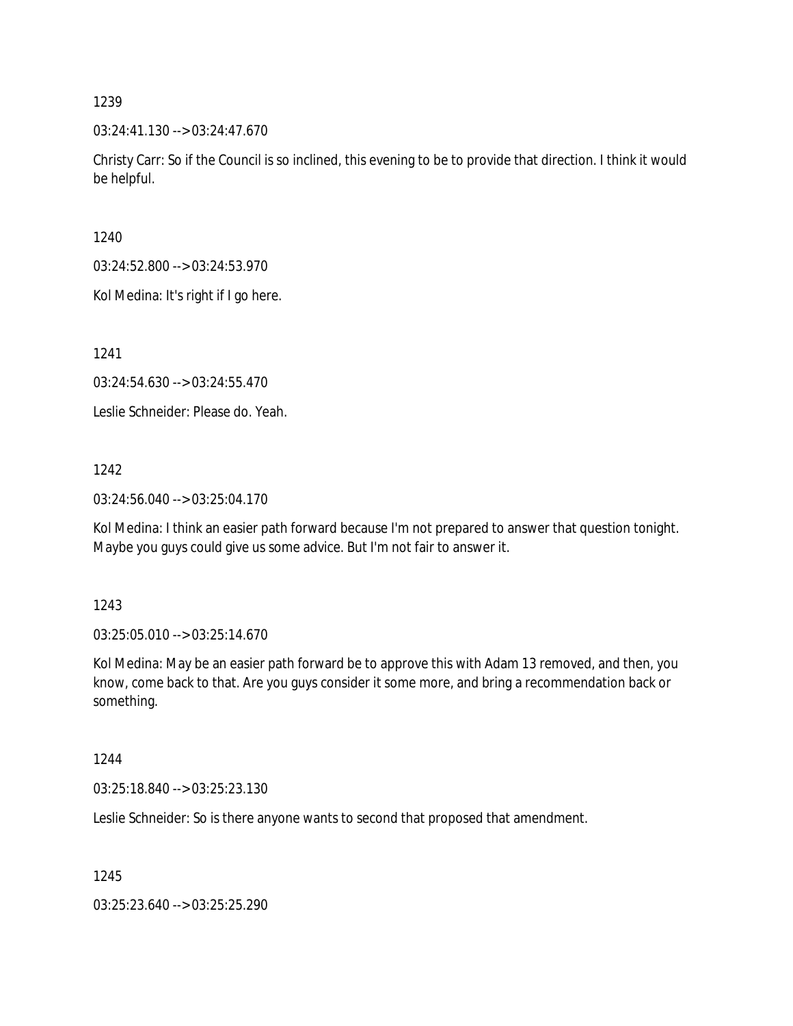03:24:41.130 --> 03:24:47.670

Christy Carr: So if the Council is so inclined, this evening to be to provide that direction. I think it would be helpful.

1240

03:24:52.800 --> 03:24:53.970

Kol Medina: It's right if I go here.

1241

03:24:54.630 --> 03:24:55.470

Leslie Schneider: Please do. Yeah.

1242

03:24:56.040 --> 03:25:04.170

Kol Medina: I think an easier path forward because I'm not prepared to answer that question tonight. Maybe you guys could give us some advice. But I'm not fair to answer it.

1243

03:25:05.010 --> 03:25:14.670

Kol Medina: May be an easier path forward be to approve this with Adam 13 removed, and then, you know, come back to that. Are you guys consider it some more, and bring a recommendation back or something.

1244

03:25:18.840 --> 03:25:23.130

Leslie Schneider: So is there anyone wants to second that proposed that amendment.

1245

03:25:23.640 --> 03:25:25.290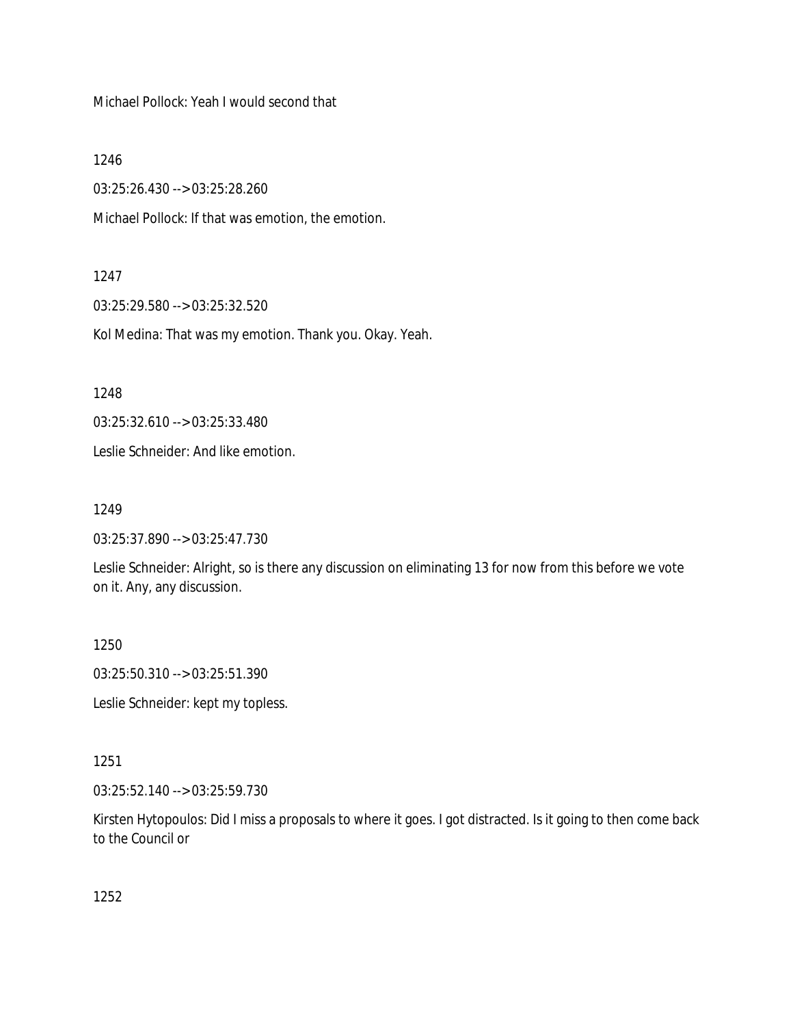Michael Pollock: Yeah I would second that

1246

03:25:26.430 --> 03:25:28.260

Michael Pollock: If that was emotion, the emotion.

### 1247

03:25:29.580 --> 03:25:32.520

Kol Medina: That was my emotion. Thank you. Okay. Yeah.

1248

03:25:32.610 --> 03:25:33.480

Leslie Schneider: And like emotion.

1249

03:25:37.890 --> 03:25:47.730

Leslie Schneider: Alright, so is there any discussion on eliminating 13 for now from this before we vote on it. Any, any discussion.

1250

03:25:50.310 --> 03:25:51.390

Leslie Schneider: kept my topless.

1251

03:25:52.140 --> 03:25:59.730

Kirsten Hytopoulos: Did I miss a proposals to where it goes. I got distracted. Is it going to then come back to the Council or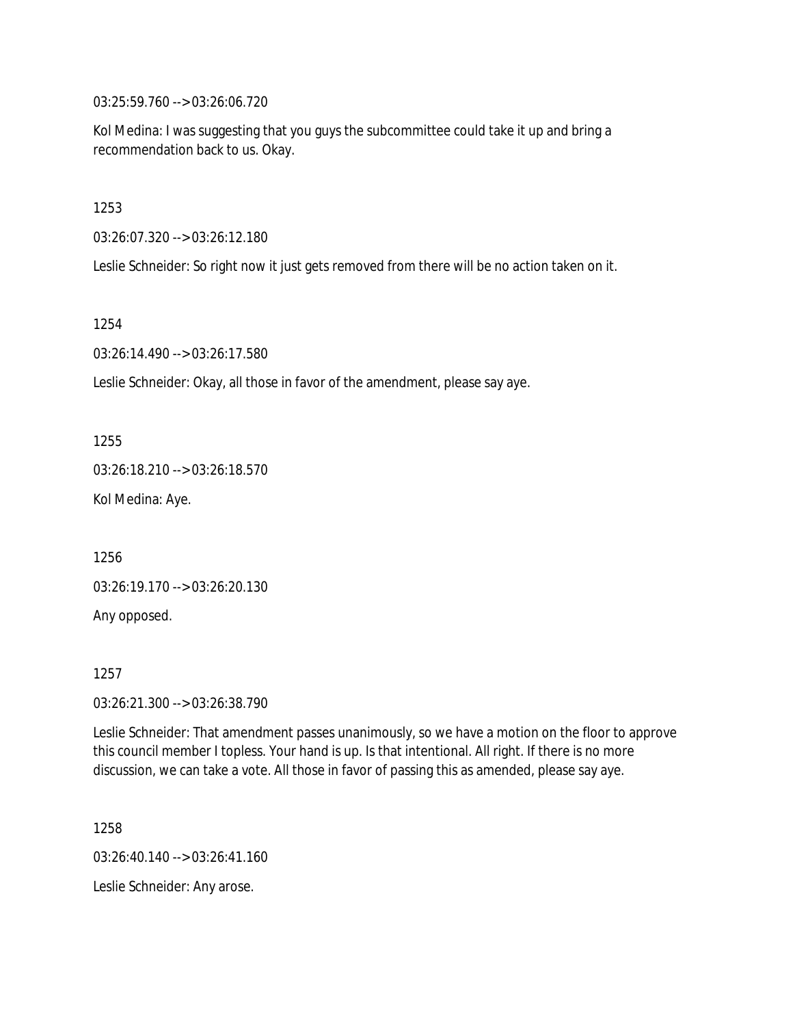03:25:59.760 --> 03:26:06.720

Kol Medina: I was suggesting that you guys the subcommittee could take it up and bring a recommendation back to us. Okay.

1253

03:26:07.320 --> 03:26:12.180

Leslie Schneider: So right now it just gets removed from there will be no action taken on it.

1254

03:26:14.490 --> 03:26:17.580

Leslie Schneider: Okay, all those in favor of the amendment, please say aye.

1255

03:26:18.210 --> 03:26:18.570

Kol Medina: Aye.

1256

03:26:19.170 --> 03:26:20.130

Any opposed.

1257

03:26:21.300 --> 03:26:38.790

Leslie Schneider: That amendment passes unanimously, so we have a motion on the floor to approve this council member I topless. Your hand is up. Is that intentional. All right. If there is no more discussion, we can take a vote. All those in favor of passing this as amended, please say aye.

1258 03:26:40.140 --> 03:26:41.160 Leslie Schneider: Any arose.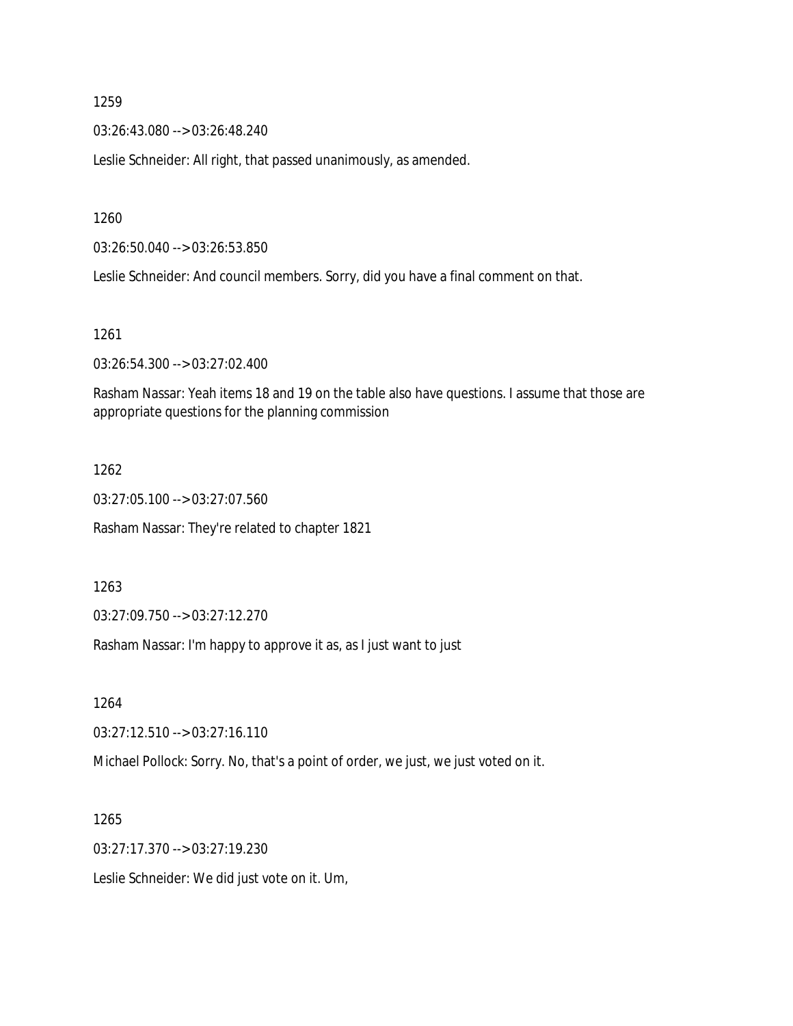03:26:43.080 --> 03:26:48.240

Leslie Schneider: All right, that passed unanimously, as amended.

1260

03:26:50.040 --> 03:26:53.850

Leslie Schneider: And council members. Sorry, did you have a final comment on that.

1261

03:26:54.300 --> 03:27:02.400

Rasham Nassar: Yeah items 18 and 19 on the table also have questions. I assume that those are appropriate questions for the planning commission

#### 1262

03:27:05.100 --> 03:27:07.560 Rasham Nassar: They're related to chapter 1821

1263

03:27:09.750 --> 03:27:12.270

Rasham Nassar: I'm happy to approve it as, as I just want to just

1264

03:27:12.510 --> 03:27:16.110

Michael Pollock: Sorry. No, that's a point of order, we just, we just voted on it.

1265

03:27:17.370 --> 03:27:19.230

Leslie Schneider: We did just vote on it. Um,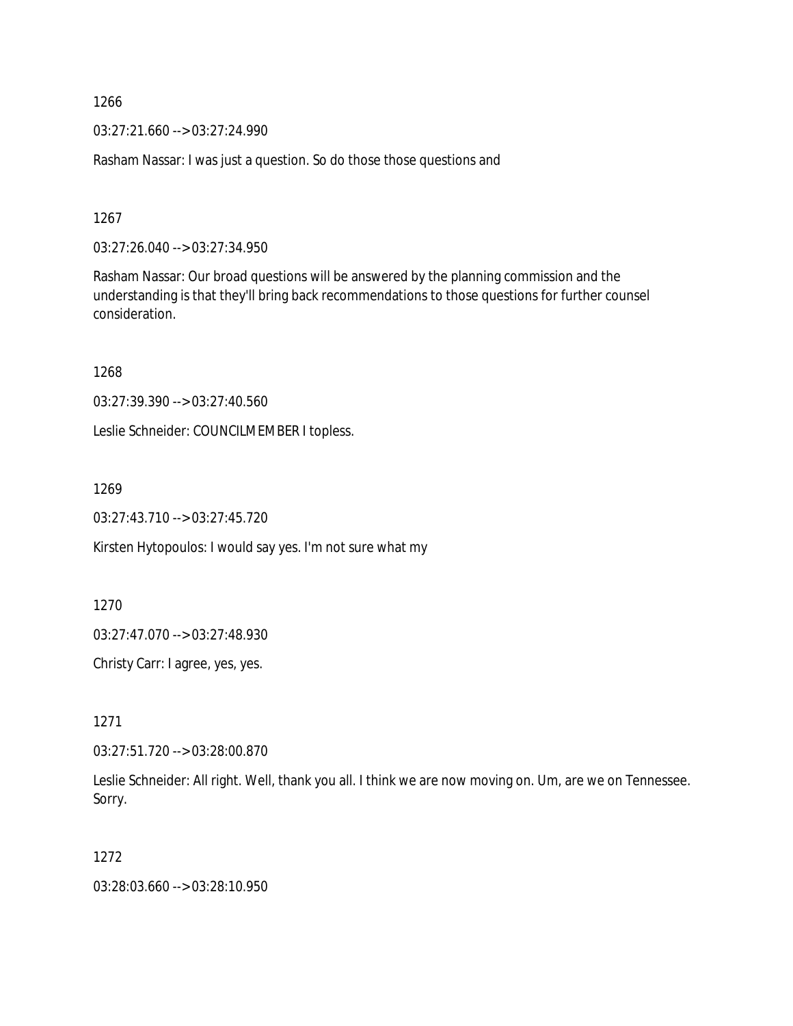03:27:21.660 --> 03:27:24.990

Rasham Nassar: I was just a question. So do those those questions and

1267

03:27:26.040 --> 03:27:34.950

Rasham Nassar: Our broad questions will be answered by the planning commission and the understanding is that they'll bring back recommendations to those questions for further counsel consideration.

1268

03:27:39.390 --> 03:27:40.560

Leslie Schneider: COUNCILMEMBER I topless.

1269

03:27:43.710 --> 03:27:45.720

Kirsten Hytopoulos: I would say yes. I'm not sure what my

1270

03:27:47.070 --> 03:27:48.930

Christy Carr: I agree, yes, yes.

1271

03:27:51.720 --> 03:28:00.870

Leslie Schneider: All right. Well, thank you all. I think we are now moving on. Um, are we on Tennessee. Sorry.

1272

03:28:03.660 --> 03:28:10.950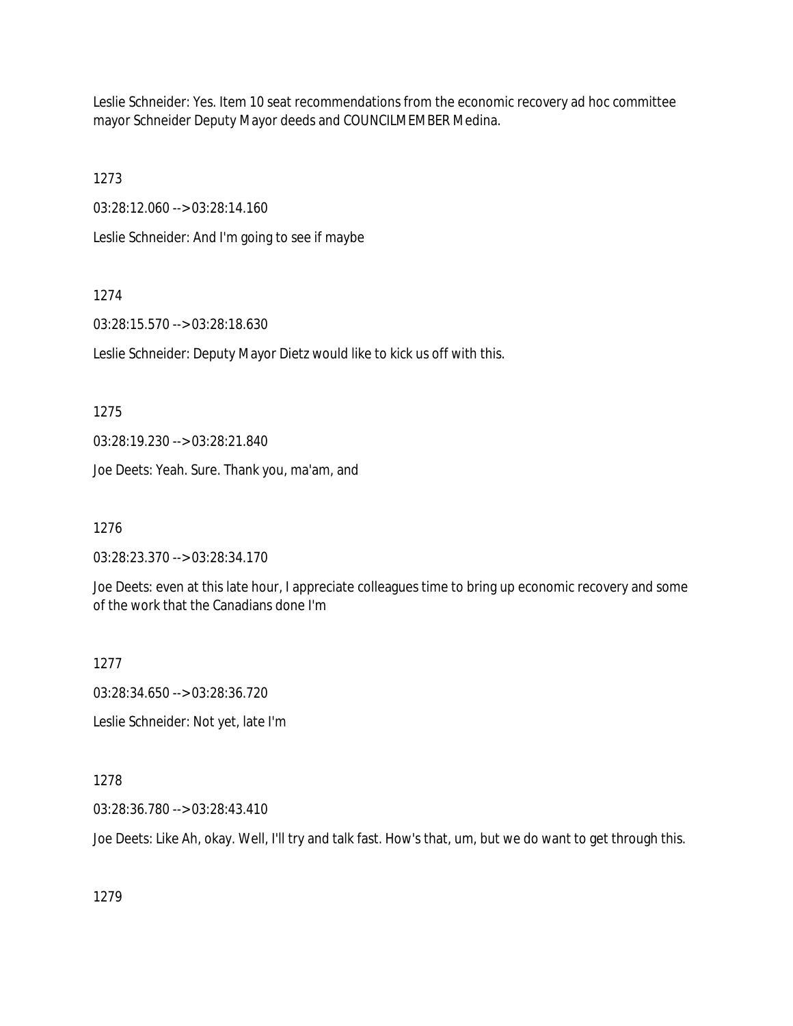Leslie Schneider: Yes. Item 10 seat recommendations from the economic recovery ad hoc committee mayor Schneider Deputy Mayor deeds and COUNCILMEMBER Medina.

1273

03:28:12.060 --> 03:28:14.160

Leslie Schneider: And I'm going to see if maybe

#### 1274

03:28:15.570 --> 03:28:18.630

Leslie Schneider: Deputy Mayor Dietz would like to kick us off with this.

1275

03:28:19.230 --> 03:28:21.840

Joe Deets: Yeah. Sure. Thank you, ma'am, and

1276

03:28:23.370 --> 03:28:34.170

Joe Deets: even at this late hour, I appreciate colleagues time to bring up economic recovery and some of the work that the Canadians done I'm

1277

03:28:34.650 --> 03:28:36.720

Leslie Schneider: Not yet, late I'm

### 1278

03:28:36.780 --> 03:28:43.410

Joe Deets: Like Ah, okay. Well, I'll try and talk fast. How's that, um, but we do want to get through this.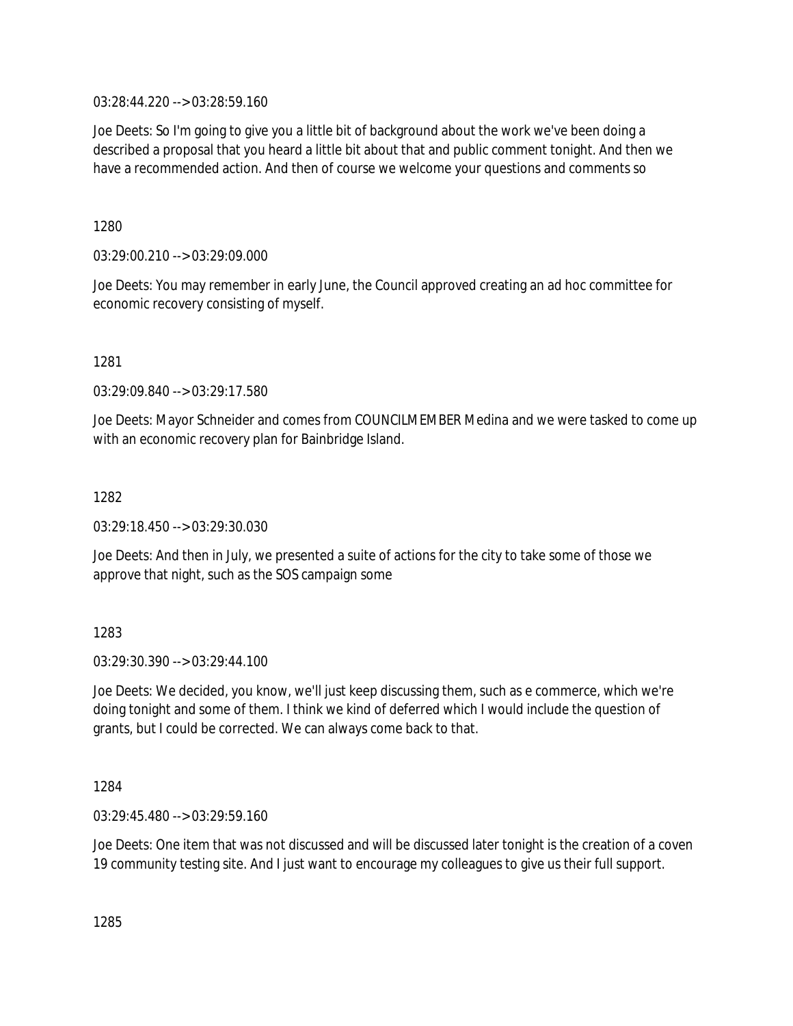03:28:44.220 --> 03:28:59.160

Joe Deets: So I'm going to give you a little bit of background about the work we've been doing a described a proposal that you heard a little bit about that and public comment tonight. And then we have a recommended action. And then of course we welcome your questions and comments so

1280

03:29:00.210 --> 03:29:09.000

Joe Deets: You may remember in early June, the Council approved creating an ad hoc committee for economic recovery consisting of myself.

1281

03:29:09.840 --> 03:29:17.580

Joe Deets: Mayor Schneider and comes from COUNCILMEMBER Medina and we were tasked to come up with an economic recovery plan for Bainbridge Island.

1282

03:29:18.450 --> 03:29:30.030

Joe Deets: And then in July, we presented a suite of actions for the city to take some of those we approve that night, such as the SOS campaign some

1283

03:29:30.390 --> 03:29:44.100

Joe Deets: We decided, you know, we'll just keep discussing them, such as e commerce, which we're doing tonight and some of them. I think we kind of deferred which I would include the question of grants, but I could be corrected. We can always come back to that.

1284

03:29:45.480 --> 03:29:59.160

Joe Deets: One item that was not discussed and will be discussed later tonight is the creation of a coven 19 community testing site. And I just want to encourage my colleagues to give us their full support.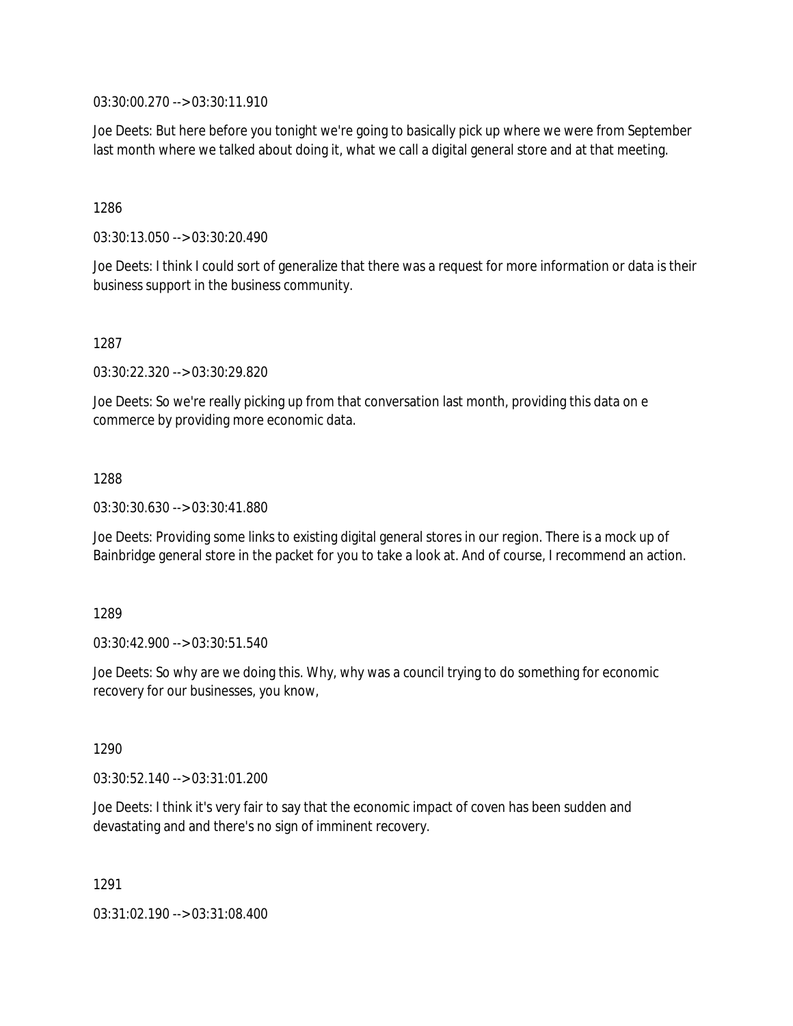03:30:00.270 --> 03:30:11.910

Joe Deets: But here before you tonight we're going to basically pick up where we were from September last month where we talked about doing it, what we call a digital general store and at that meeting.

1286

03:30:13.050 --> 03:30:20.490

Joe Deets: I think I could sort of generalize that there was a request for more information or data is their business support in the business community.

1287

03:30:22.320 --> 03:30:29.820

Joe Deets: So we're really picking up from that conversation last month, providing this data on e commerce by providing more economic data.

1288

03:30:30.630 --> 03:30:41.880

Joe Deets: Providing some links to existing digital general stores in our region. There is a mock up of Bainbridge general store in the packet for you to take a look at. And of course, I recommend an action.

1289

03:30:42.900 --> 03:30:51.540

Joe Deets: So why are we doing this. Why, why was a council trying to do something for economic recovery for our businesses, you know,

1290

03:30:52.140 --> 03:31:01.200

Joe Deets: I think it's very fair to say that the economic impact of coven has been sudden and devastating and and there's no sign of imminent recovery.

1291

03:31:02.190 --> 03:31:08.400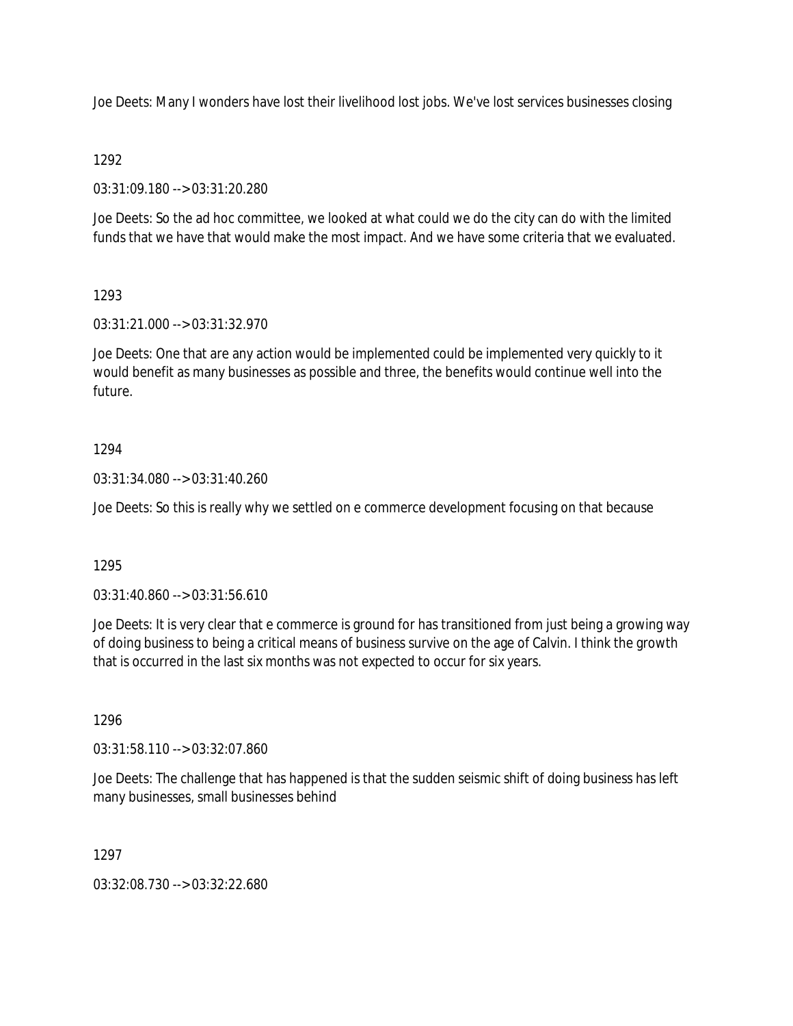Joe Deets: Many I wonders have lost their livelihood lost jobs. We've lost services businesses closing

### 1292

03:31:09.180 --> 03:31:20.280

Joe Deets: So the ad hoc committee, we looked at what could we do the city can do with the limited funds that we have that would make the most impact. And we have some criteria that we evaluated.

# 1293

03:31:21.000 --> 03:31:32.970

Joe Deets: One that are any action would be implemented could be implemented very quickly to it would benefit as many businesses as possible and three, the benefits would continue well into the future.

### 1294

03:31:34.080 --> 03:31:40.260

Joe Deets: So this is really why we settled on e commerce development focusing on that because

### 1295

03:31:40.860 --> 03:31:56.610

Joe Deets: It is very clear that e commerce is ground for has transitioned from just being a growing way of doing business to being a critical means of business survive on the age of Calvin. I think the growth that is occurred in the last six months was not expected to occur for six years.

### 1296

03:31:58.110 --> 03:32:07.860

Joe Deets: The challenge that has happened is that the sudden seismic shift of doing business has left many businesses, small businesses behind

1297

03:32:08.730 --> 03:32:22.680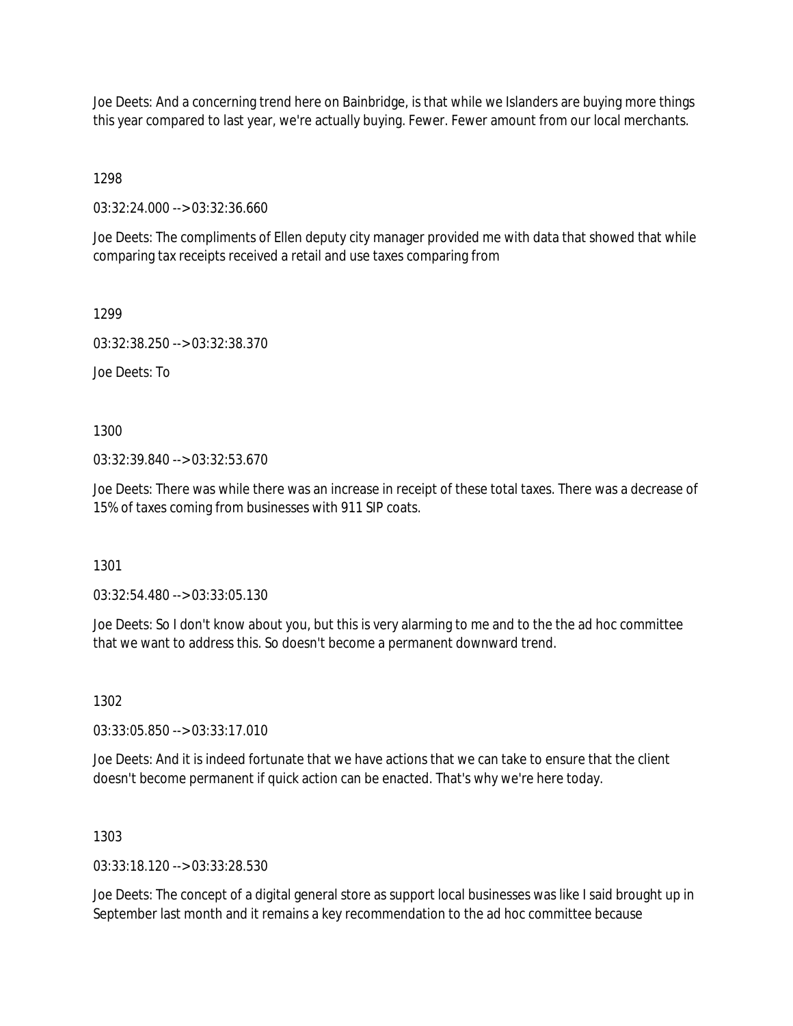Joe Deets: And a concerning trend here on Bainbridge, is that while we Islanders are buying more things this year compared to last year, we're actually buying. Fewer. Fewer amount from our local merchants.

1298

03:32:24.000 --> 03:32:36.660

Joe Deets: The compliments of Ellen deputy city manager provided me with data that showed that while comparing tax receipts received a retail and use taxes comparing from

1299

03:32:38.250 --> 03:32:38.370

Joe Deets: To

1300

03:32:39.840 --> 03:32:53.670

Joe Deets: There was while there was an increase in receipt of these total taxes. There was a decrease of 15% of taxes coming from businesses with 911 SIP coats.

1301

03:32:54.480 --> 03:33:05.130

Joe Deets: So I don't know about you, but this is very alarming to me and to the the ad hoc committee that we want to address this. So doesn't become a permanent downward trend.

1302

03:33:05.850 --> 03:33:17.010

Joe Deets: And it is indeed fortunate that we have actions that we can take to ensure that the client doesn't become permanent if quick action can be enacted. That's why we're here today.

1303

03:33:18.120 --> 03:33:28.530

Joe Deets: The concept of a digital general store as support local businesses was like I said brought up in September last month and it remains a key recommendation to the ad hoc committee because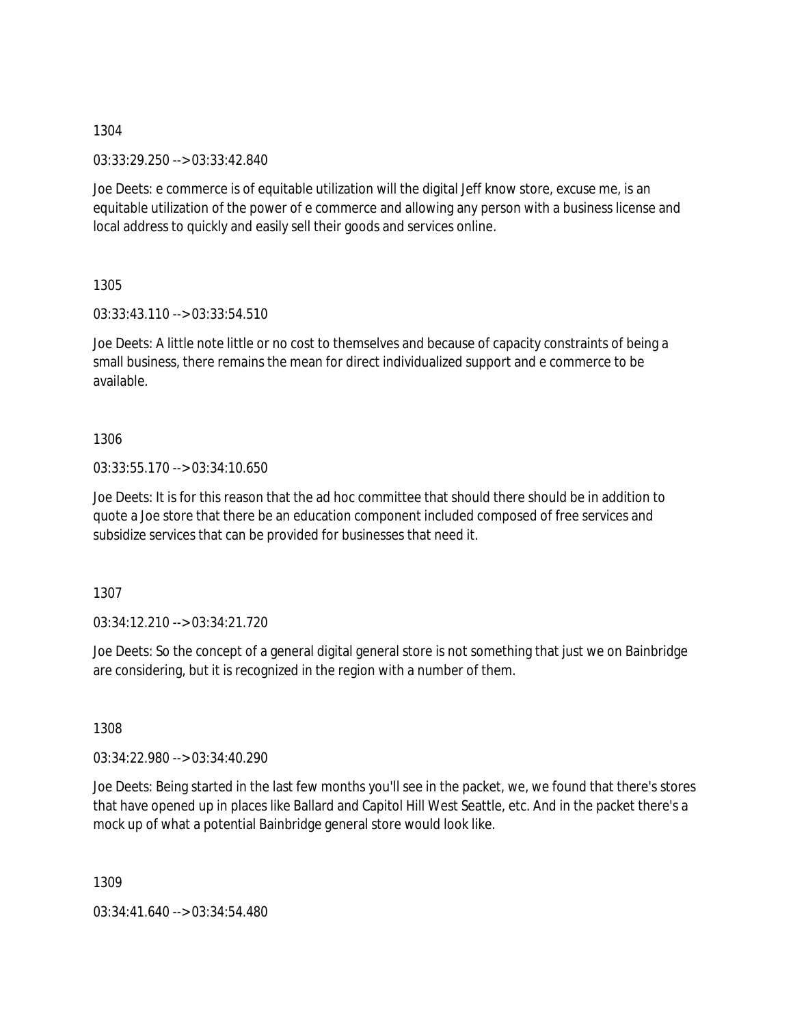03:33:29.250 --> 03:33:42.840

Joe Deets: e commerce is of equitable utilization will the digital Jeff know store, excuse me, is an equitable utilization of the power of e commerce and allowing any person with a business license and local address to quickly and easily sell their goods and services online.

1305

03:33:43.110 --> 03:33:54.510

Joe Deets: A little note little or no cost to themselves and because of capacity constraints of being a small business, there remains the mean for direct individualized support and e commerce to be available.

1306

03:33:55.170 --> 03:34:10.650

Joe Deets: It is for this reason that the ad hoc committee that should there should be in addition to quote a Joe store that there be an education component included composed of free services and subsidize services that can be provided for businesses that need it.

1307

03:34:12.210 --> 03:34:21.720

Joe Deets: So the concept of a general digital general store is not something that just we on Bainbridge are considering, but it is recognized in the region with a number of them.

1308

03:34:22.980 --> 03:34:40.290

Joe Deets: Being started in the last few months you'll see in the packet, we, we found that there's stores that have opened up in places like Ballard and Capitol Hill West Seattle, etc. And in the packet there's a mock up of what a potential Bainbridge general store would look like.

1309

03:34:41.640 --> 03:34:54.480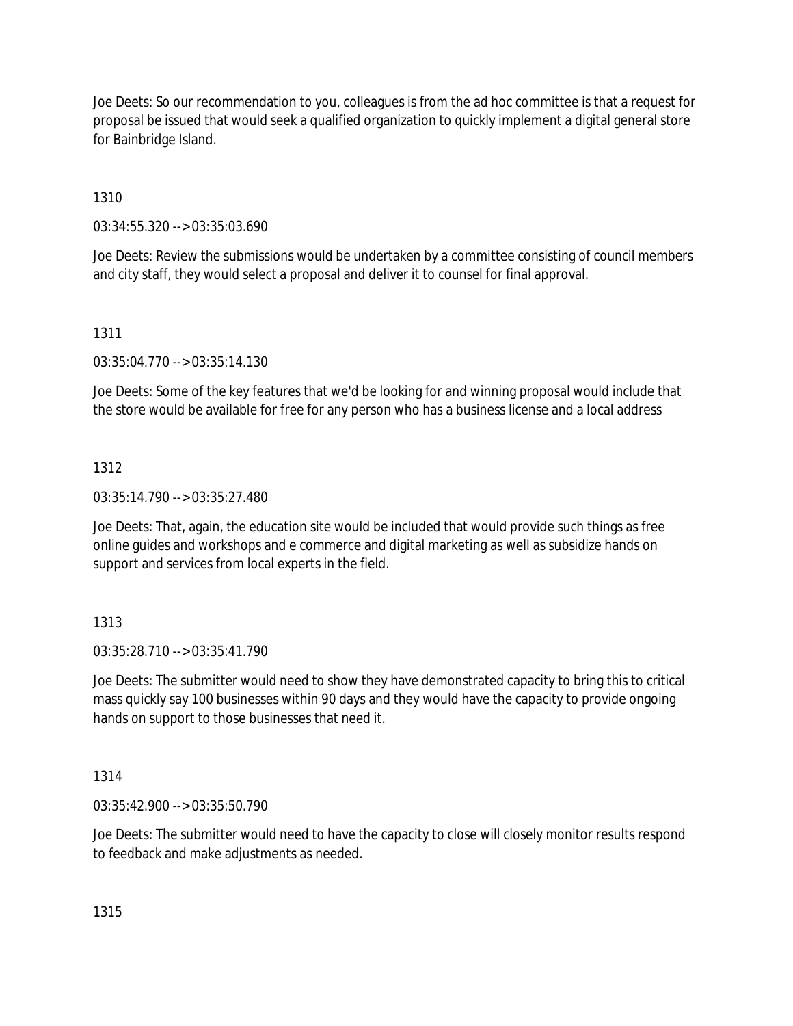Joe Deets: So our recommendation to you, colleagues is from the ad hoc committee is that a request for proposal be issued that would seek a qualified organization to quickly implement a digital general store for Bainbridge Island.

1310

03:34:55.320 --> 03:35:03.690

Joe Deets: Review the submissions would be undertaken by a committee consisting of council members and city staff, they would select a proposal and deliver it to counsel for final approval.

### 1311

03:35:04.770 --> 03:35:14.130

Joe Deets: Some of the key features that we'd be looking for and winning proposal would include that the store would be available for free for any person who has a business license and a local address

### 1312

03:35:14.790 --> 03:35:27.480

Joe Deets: That, again, the education site would be included that would provide such things as free online guides and workshops and e commerce and digital marketing as well as subsidize hands on support and services from local experts in the field.

### 1313

03:35:28.710 --> 03:35:41.790

Joe Deets: The submitter would need to show they have demonstrated capacity to bring this to critical mass quickly say 100 businesses within 90 days and they would have the capacity to provide ongoing hands on support to those businesses that need it.

1314

03:35:42.900 --> 03:35:50.790

Joe Deets: The submitter would need to have the capacity to close will closely monitor results respond to feedback and make adjustments as needed.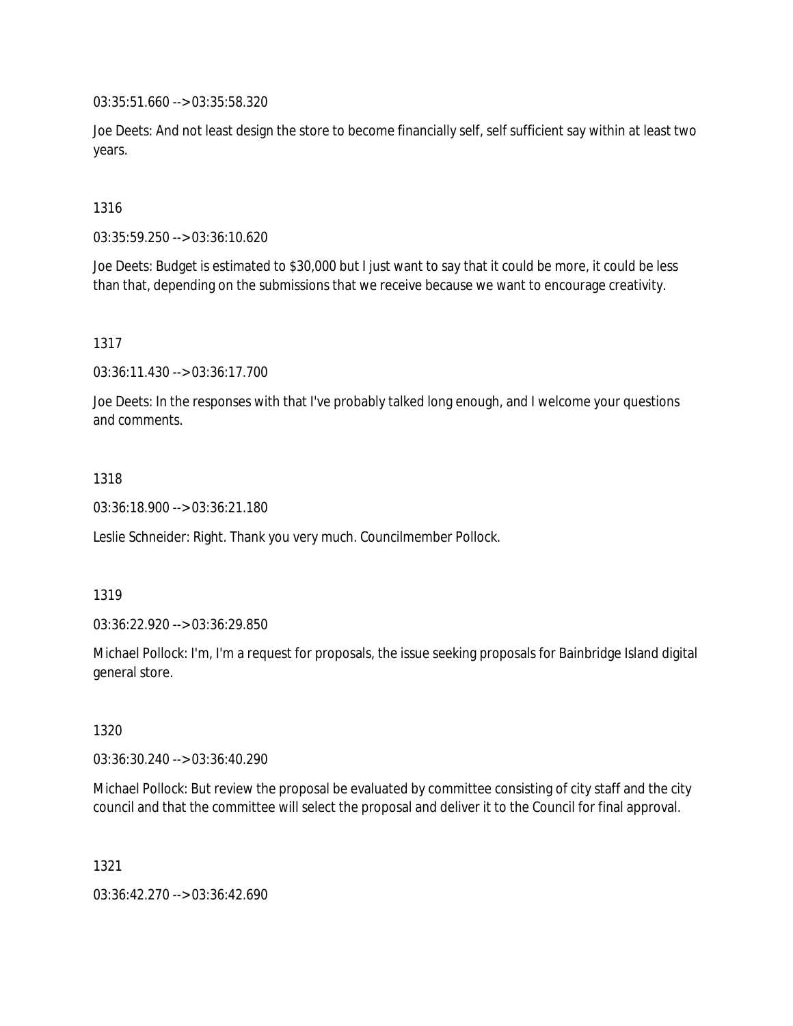03:35:51.660 --> 03:35:58.320

Joe Deets: And not least design the store to become financially self, self sufficient say within at least two years.

1316

03:35:59.250 --> 03:36:10.620

Joe Deets: Budget is estimated to \$30,000 but I just want to say that it could be more, it could be less than that, depending on the submissions that we receive because we want to encourage creativity.

1317

03:36:11.430 --> 03:36:17.700

Joe Deets: In the responses with that I've probably talked long enough, and I welcome your questions and comments.

1318

03:36:18.900 --> 03:36:21.180

Leslie Schneider: Right. Thank you very much. Councilmember Pollock.

1319

03:36:22.920 --> 03:36:29.850

Michael Pollock: I'm, I'm a request for proposals, the issue seeking proposals for Bainbridge Island digital general store.

1320

03:36:30.240 --> 03:36:40.290

Michael Pollock: But review the proposal be evaluated by committee consisting of city staff and the city council and that the committee will select the proposal and deliver it to the Council for final approval.

1321

03:36:42.270 --> 03:36:42.690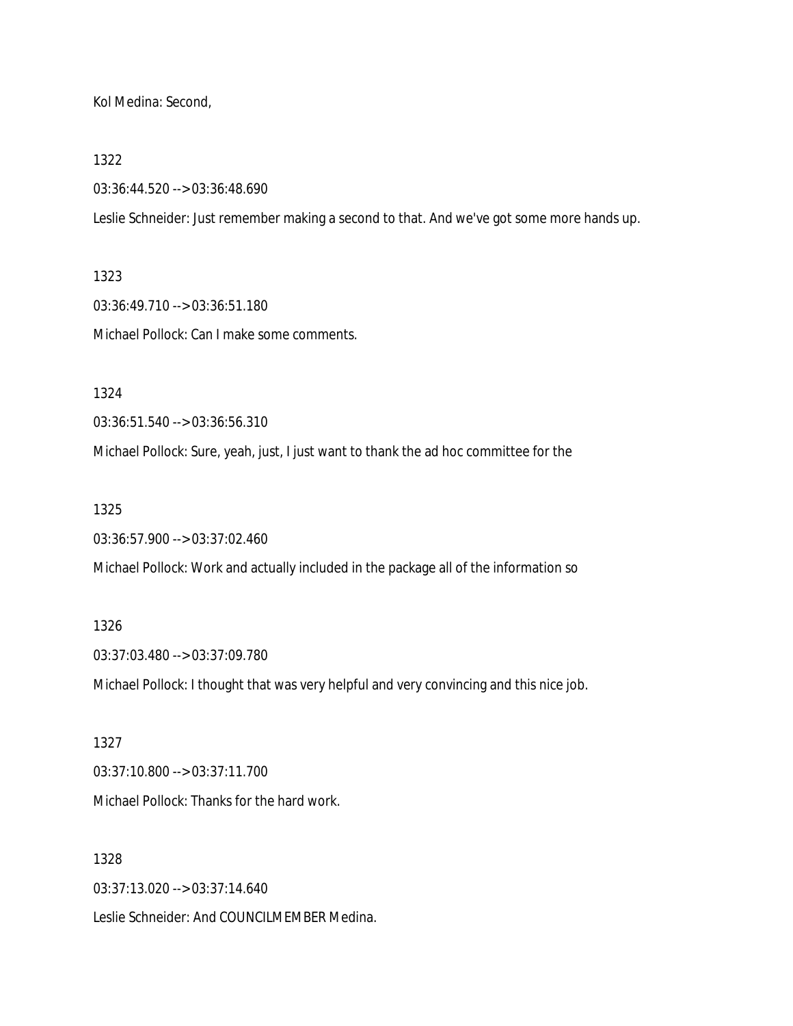Kol Medina: Second,

#### 1322

03:36:44.520 --> 03:36:48.690

Leslie Schneider: Just remember making a second to that. And we've got some more hands up.

#### 1323

03:36:49.710 --> 03:36:51.180 Michael Pollock: Can I make some comments.

1324

03:36:51.540 --> 03:36:56.310

Michael Pollock: Sure, yeah, just, I just want to thank the ad hoc committee for the

1325

03:36:57.900 --> 03:37:02.460

Michael Pollock: Work and actually included in the package all of the information so

### 1326

03:37:03.480 --> 03:37:09.780

Michael Pollock: I thought that was very helpful and very convincing and this nice job.

1327 03:37:10.800 --> 03:37:11.700 Michael Pollock: Thanks for the hard work.

#### 1328

03:37:13.020 --> 03:37:14.640

Leslie Schneider: And COUNCILMEMBER Medina.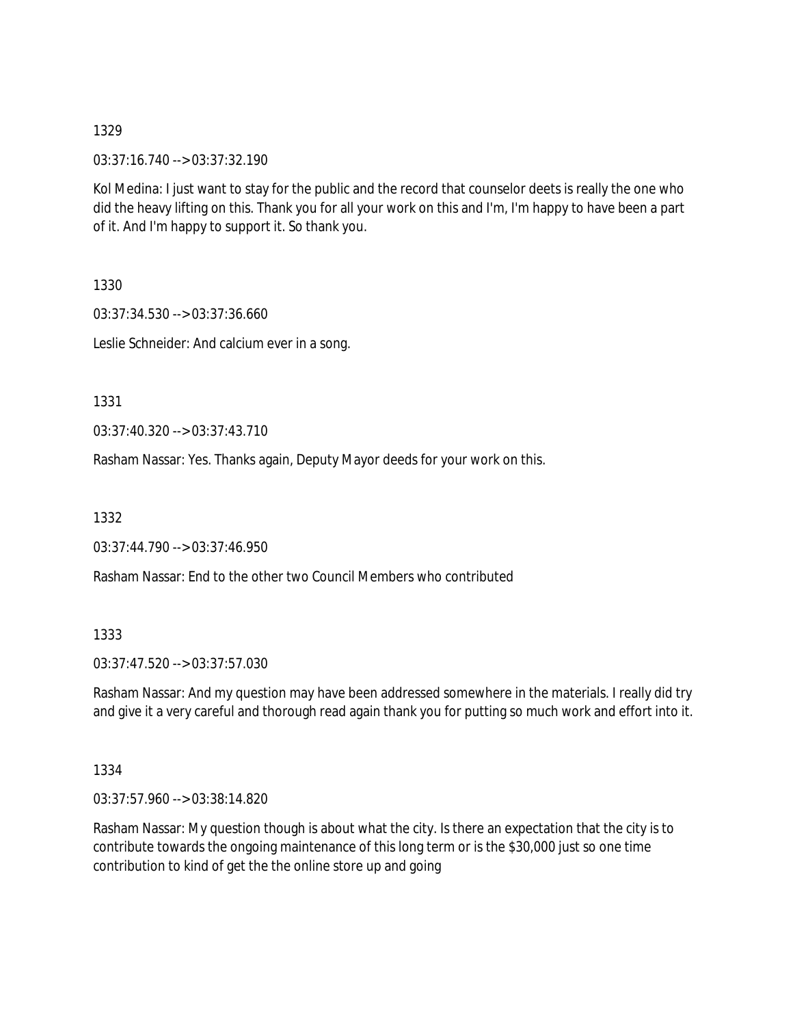03:37:16.740 --> 03:37:32.190

Kol Medina: I just want to stay for the public and the record that counselor deets is really the one who did the heavy lifting on this. Thank you for all your work on this and I'm, I'm happy to have been a part of it. And I'm happy to support it. So thank you.

1330

03:37:34.530 --> 03:37:36.660 Leslie Schneider: And calcium ever in a song.

1331

03:37:40.320 --> 03:37:43.710

Rasham Nassar: Yes. Thanks again, Deputy Mayor deeds for your work on this.

1332

03:37:44.790 --> 03:37:46.950

Rasham Nassar: End to the other two Council Members who contributed

1333

03:37:47.520 --> 03:37:57.030

Rasham Nassar: And my question may have been addressed somewhere in the materials. I really did try and give it a very careful and thorough read again thank you for putting so much work and effort into it.

1334

03:37:57.960 --> 03:38:14.820

Rasham Nassar: My question though is about what the city. Is there an expectation that the city is to contribute towards the ongoing maintenance of this long term or is the \$30,000 just so one time contribution to kind of get the the online store up and going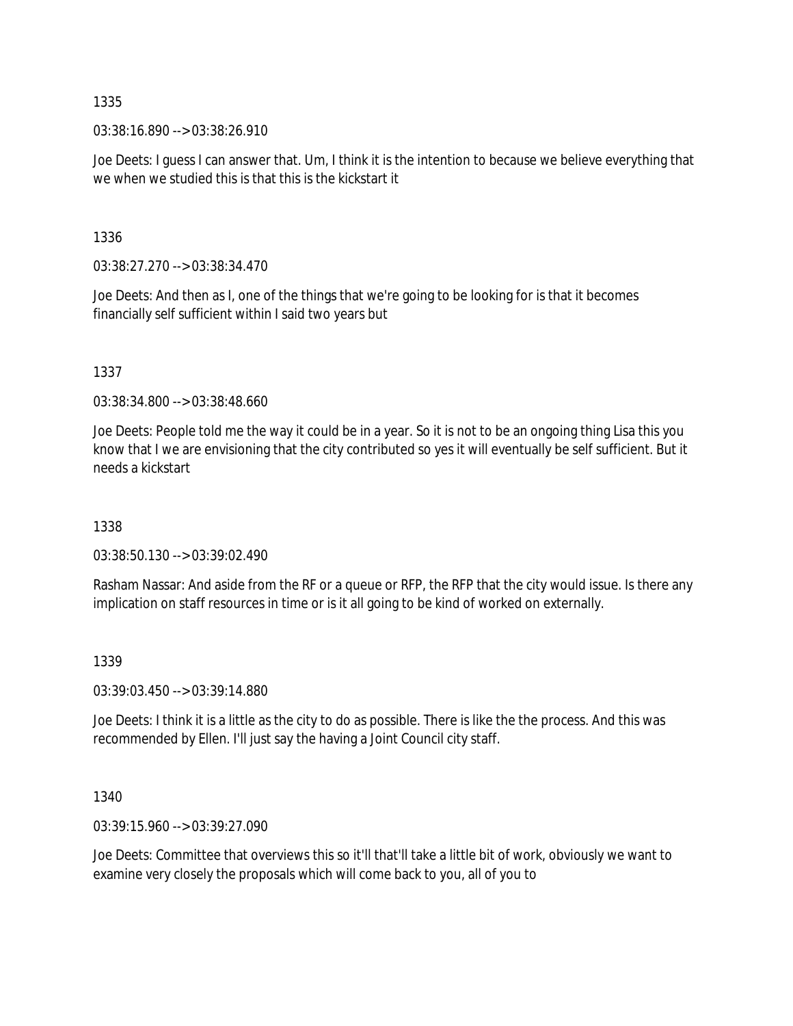03:38:16.890 --> 03:38:26.910

Joe Deets: I guess I can answer that. Um, I think it is the intention to because we believe everything that we when we studied this is that this is the kickstart it

1336

03:38:27.270 --> 03:38:34.470

Joe Deets: And then as I, one of the things that we're going to be looking for is that it becomes financially self sufficient within I said two years but

1337

03:38:34.800 --> 03:38:48.660

Joe Deets: People told me the way it could be in a year. So it is not to be an ongoing thing Lisa this you know that I we are envisioning that the city contributed so yes it will eventually be self sufficient. But it needs a kickstart

1338

03:38:50.130 --> 03:39:02.490

Rasham Nassar: And aside from the RF or a queue or RFP, the RFP that the city would issue. Is there any implication on staff resources in time or is it all going to be kind of worked on externally.

1339

03:39:03.450 --> 03:39:14.880

Joe Deets: I think it is a little as the city to do as possible. There is like the the process. And this was recommended by Ellen. I'll just say the having a Joint Council city staff.

1340

03:39:15.960 --> 03:39:27.090

Joe Deets: Committee that overviews this so it'll that'll take a little bit of work, obviously we want to examine very closely the proposals which will come back to you, all of you to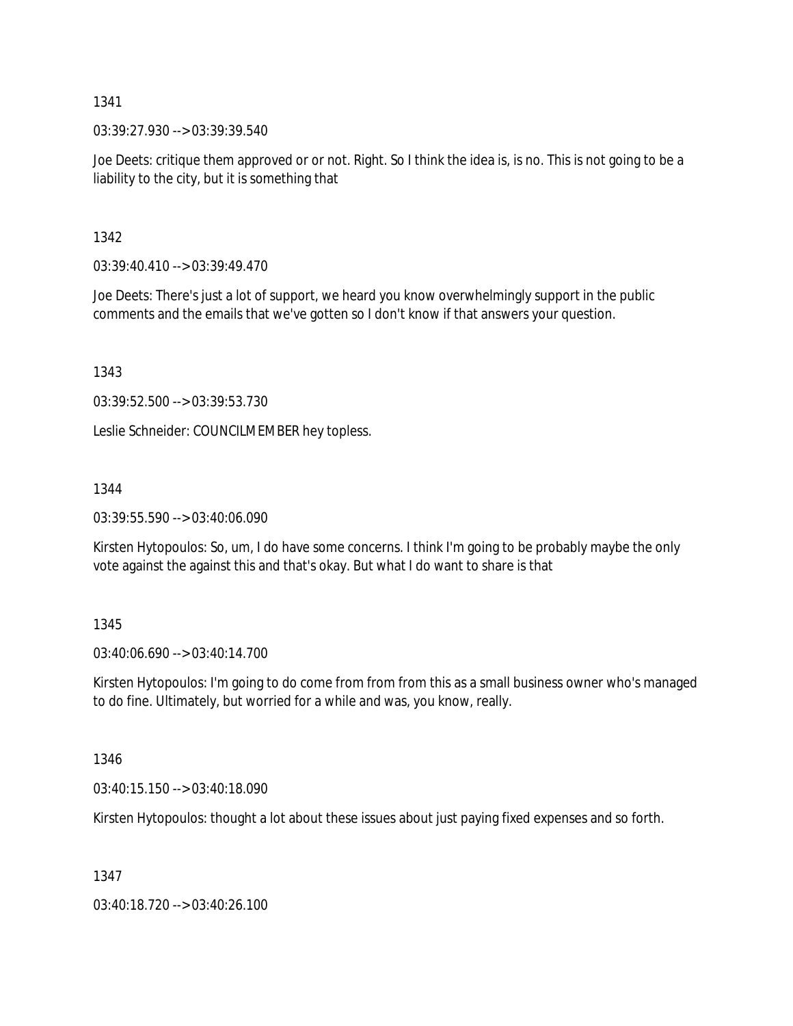03:39:27.930 --> 03:39:39.540

Joe Deets: critique them approved or or not. Right. So I think the idea is, is no. This is not going to be a liability to the city, but it is something that

1342

 $03:39:40.410 \rightarrow 03:39:49.470$ 

Joe Deets: There's just a lot of support, we heard you know overwhelmingly support in the public comments and the emails that we've gotten so I don't know if that answers your question.

1343

03:39:52.500 --> 03:39:53.730

Leslie Schneider: COUNCILMEMBER hey topless.

1344

03:39:55.590 --> 03:40:06.090

Kirsten Hytopoulos: So, um, I do have some concerns. I think I'm going to be probably maybe the only vote against the against this and that's okay. But what I do want to share is that

1345

03:40:06.690 --> 03:40:14.700

Kirsten Hytopoulos: I'm going to do come from from from this as a small business owner who's managed to do fine. Ultimately, but worried for a while and was, you know, really.

1346

03:40:15.150 --> 03:40:18.090

Kirsten Hytopoulos: thought a lot about these issues about just paying fixed expenses and so forth.

1347

03:40:18.720 --> 03:40:26.100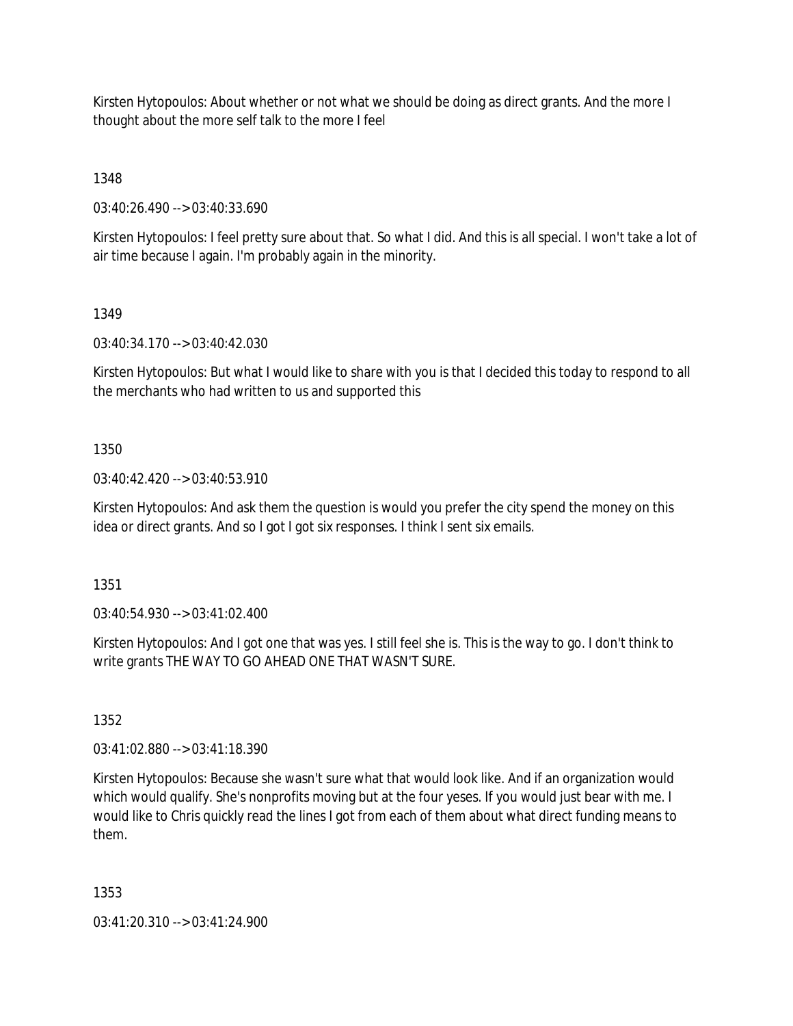Kirsten Hytopoulos: About whether or not what we should be doing as direct grants. And the more I thought about the more self talk to the more I feel

1348

03:40:26.490 --> 03:40:33.690

Kirsten Hytopoulos: I feel pretty sure about that. So what I did. And this is all special. I won't take a lot of air time because I again. I'm probably again in the minority.

### 1349

03:40:34.170 --> 03:40:42.030

Kirsten Hytopoulos: But what I would like to share with you is that I decided this today to respond to all the merchants who had written to us and supported this

### 1350

03:40:42.420 --> 03:40:53.910

Kirsten Hytopoulos: And ask them the question is would you prefer the city spend the money on this idea or direct grants. And so I got I got six responses. I think I sent six emails.

1351

03:40:54.930 --> 03:41:02.400

Kirsten Hytopoulos: And I got one that was yes. I still feel she is. This is the way to go. I don't think to write grants THE WAY TO GO AHEAD ONE THAT WASN'T SURE.

1352

03:41:02.880 --> 03:41:18.390

Kirsten Hytopoulos: Because she wasn't sure what that would look like. And if an organization would which would qualify. She's nonprofits moving but at the four yeses. If you would just bear with me. I would like to Chris quickly read the lines I got from each of them about what direct funding means to them.

1353

03:41:20.310 --> 03:41:24.900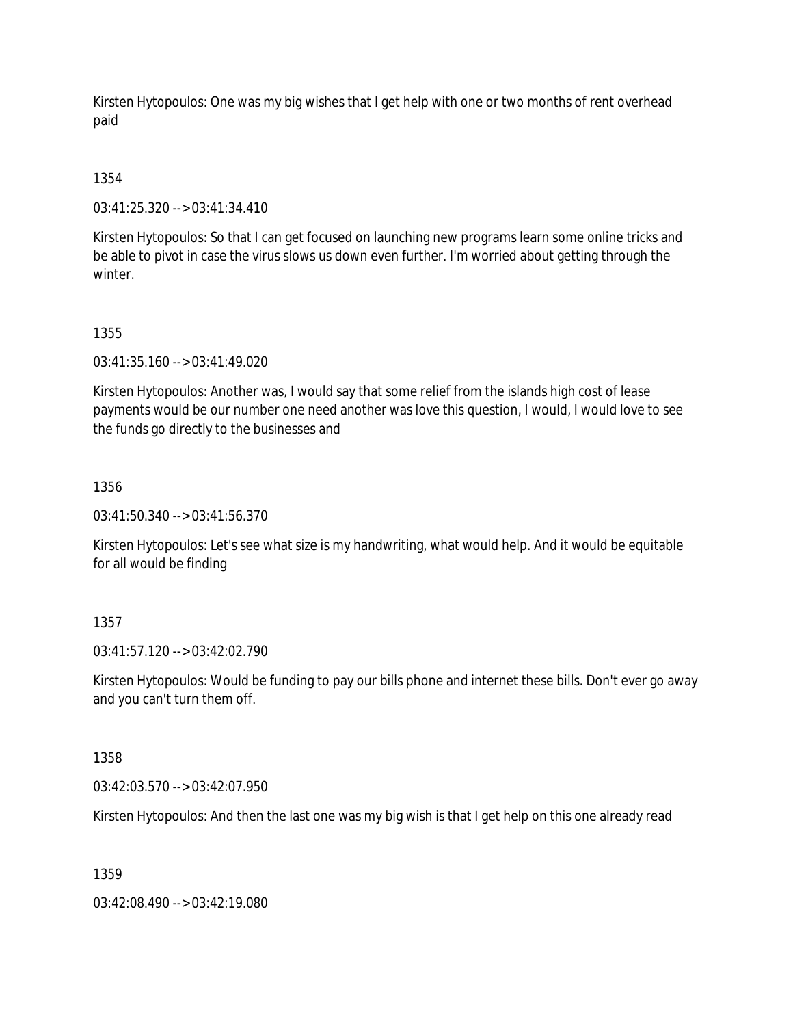Kirsten Hytopoulos: One was my big wishes that I get help with one or two months of rent overhead paid

# 1354

03:41:25.320 --> 03:41:34.410

Kirsten Hytopoulos: So that I can get focused on launching new programs learn some online tricks and be able to pivot in case the virus slows us down even further. I'm worried about getting through the winter.

### 1355

03:41:35.160 --> 03:41:49.020

Kirsten Hytopoulos: Another was, I would say that some relief from the islands high cost of lease payments would be our number one need another was love this question, I would, I would love to see the funds go directly to the businesses and

# 1356

03:41:50.340 --> 03:41:56.370

Kirsten Hytopoulos: Let's see what size is my handwriting, what would help. And it would be equitable for all would be finding

# 1357

03:41:57.120 --> 03:42:02.790

Kirsten Hytopoulos: Would be funding to pay our bills phone and internet these bills. Don't ever go away and you can't turn them off.

# 1358

03:42:03.570 --> 03:42:07.950

Kirsten Hytopoulos: And then the last one was my big wish is that I get help on this one already read

# 1359

03:42:08.490 --> 03:42:19.080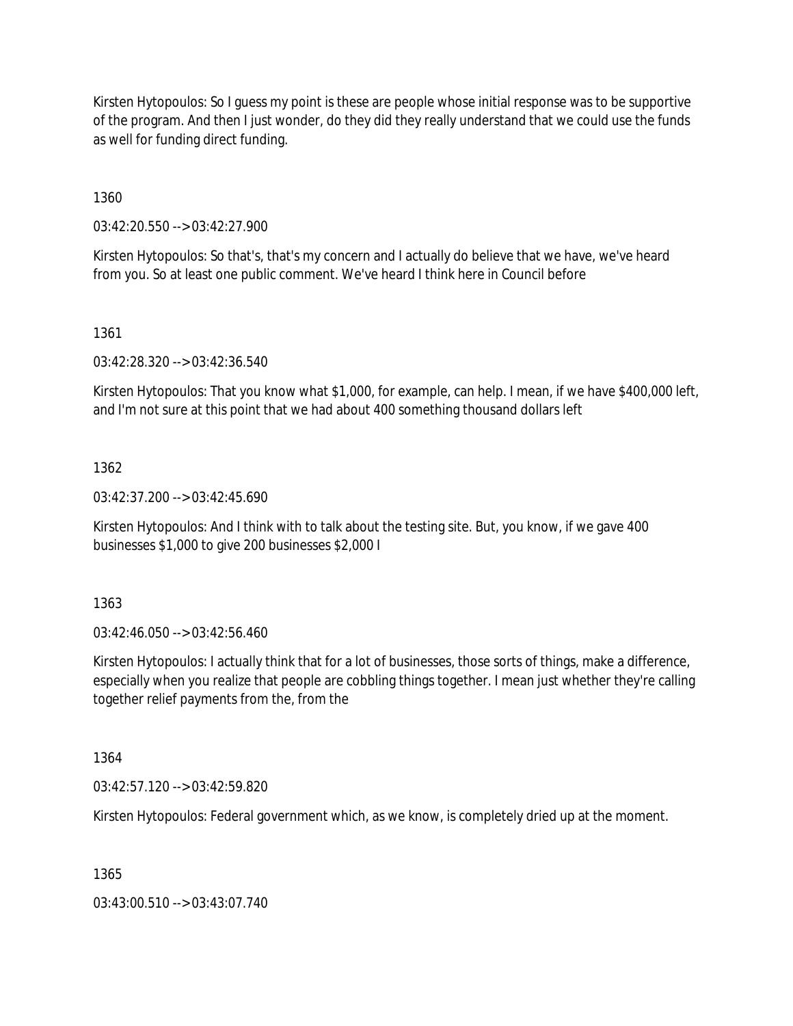Kirsten Hytopoulos: So I guess my point is these are people whose initial response was to be supportive of the program. And then I just wonder, do they did they really understand that we could use the funds as well for funding direct funding.

1360

03:42:20.550 --> 03:42:27.900

Kirsten Hytopoulos: So that's, that's my concern and I actually do believe that we have, we've heard from you. So at least one public comment. We've heard I think here in Council before

1361

03:42:28.320 --> 03:42:36.540

Kirsten Hytopoulos: That you know what \$1,000, for example, can help. I mean, if we have \$400,000 left, and I'm not sure at this point that we had about 400 something thousand dollars left

1362

03:42:37.200 --> 03:42:45.690

Kirsten Hytopoulos: And I think with to talk about the testing site. But, you know, if we gave 400 businesses \$1,000 to give 200 businesses \$2,000 I

1363

03:42:46.050 --> 03:42:56.460

Kirsten Hytopoulos: I actually think that for a lot of businesses, those sorts of things, make a difference, especially when you realize that people are cobbling things together. I mean just whether they're calling together relief payments from the, from the

1364

03:42:57.120 --> 03:42:59.820

Kirsten Hytopoulos: Federal government which, as we know, is completely dried up at the moment.

1365

03:43:00.510 --> 03:43:07.740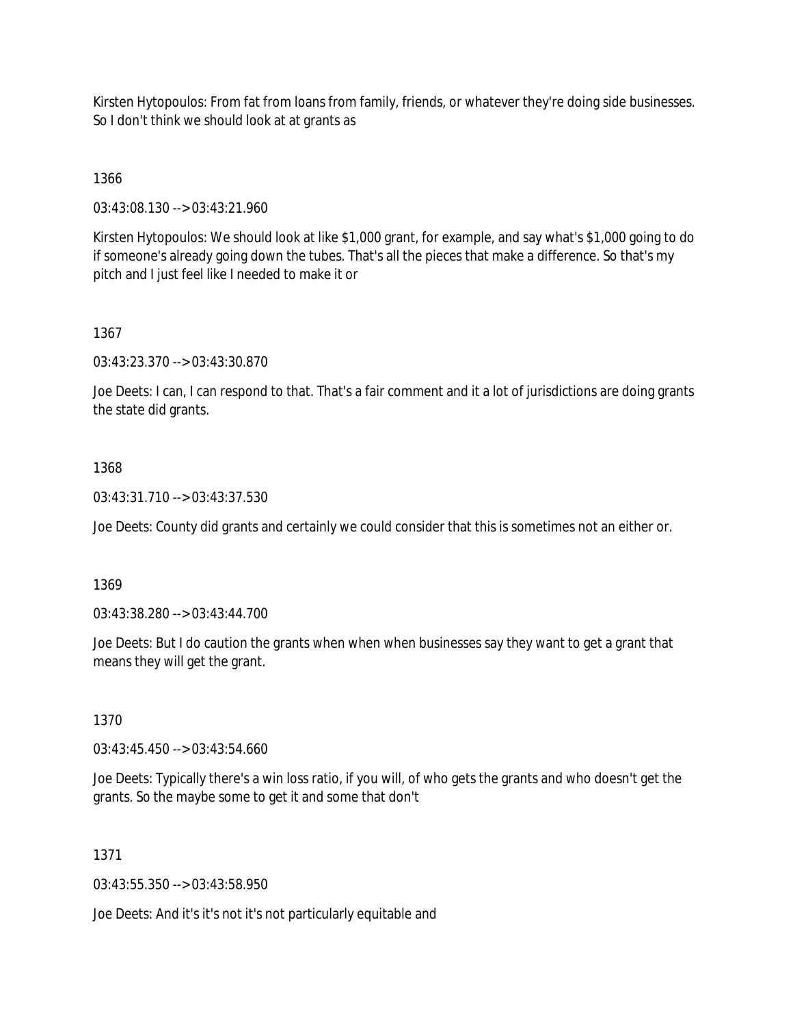Kirsten Hytopoulos: From fat from loans from family, friends, or whatever they're doing side businesses. So I don't think we should look at at grants as

1366

03:43:08.130 --> 03:43:21.960

Kirsten Hytopoulos: We should look at like \$1,000 grant, for example, and say what's \$1,000 going to do if someone's already going down the tubes. That's all the pieces that make a difference. So that's my pitch and I just feel like I needed to make it or

### 1367

03:43:23.370 --> 03:43:30.870

Joe Deets: I can, I can respond to that. That's a fair comment and it a lot of jurisdictions are doing grants the state did grants.

### 1368

03:43:31.710 --> 03:43:37.530

Joe Deets: County did grants and certainly we could consider that this is sometimes not an either or.

#### 1369

03:43:38.280 --> 03:43:44.700

Joe Deets: But I do caution the grants when when when businesses say they want to get a grant that means they will get the grant.

#### 1370

03:43:45.450 --> 03:43:54.660

Joe Deets: Typically there's a win loss ratio, if you will, of who gets the grants and who doesn't get the grants. So the maybe some to get it and some that don't

#### 1371

03:43:55.350 --> 03:43:58.950

Joe Deets: And it's it's not it's not particularly equitable and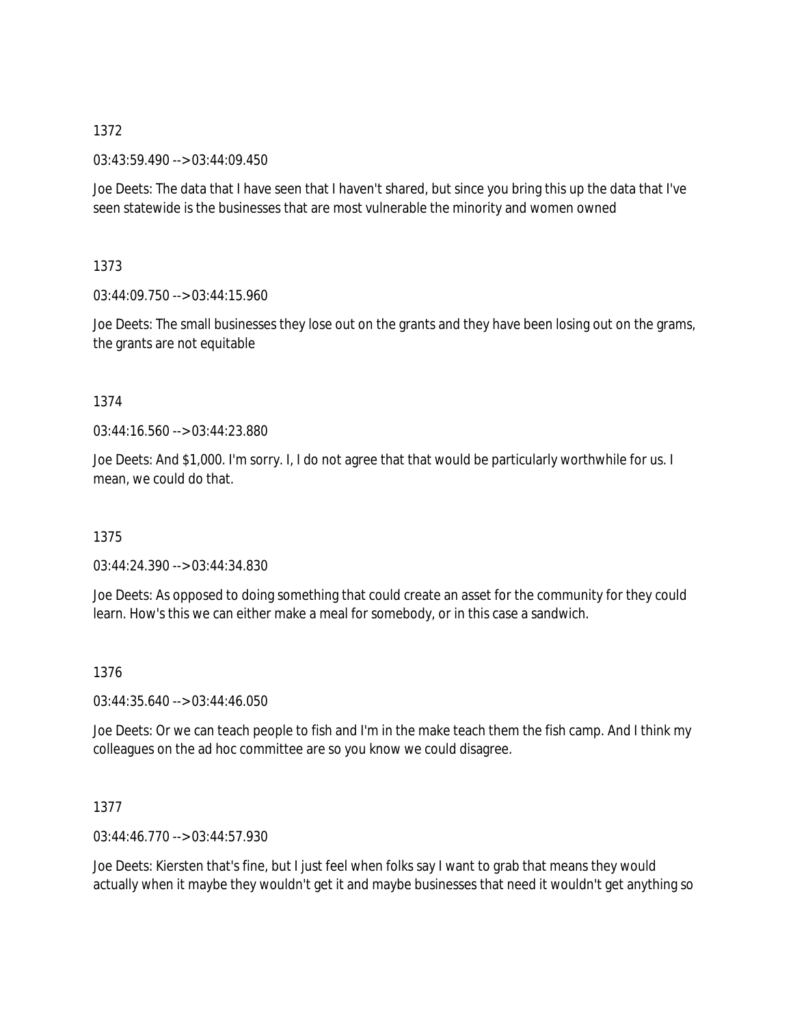03:43:59.490 --> 03:44:09.450

Joe Deets: The data that I have seen that I haven't shared, but since you bring this up the data that I've seen statewide is the businesses that are most vulnerable the minority and women owned

1373

03:44:09.750 --> 03:44:15.960

Joe Deets: The small businesses they lose out on the grants and they have been losing out on the grams, the grants are not equitable

### 1374

03:44:16.560 --> 03:44:23.880

Joe Deets: And \$1,000. I'm sorry. I, I do not agree that that would be particularly worthwhile for us. I mean, we could do that.

1375

03:44:24.390 --> 03:44:34.830

Joe Deets: As opposed to doing something that could create an asset for the community for they could learn. How's this we can either make a meal for somebody, or in this case a sandwich.

1376

 $03:44:35.640 \rightarrow 03:44:46.050$ 

Joe Deets: Or we can teach people to fish and I'm in the make teach them the fish camp. And I think my colleagues on the ad hoc committee are so you know we could disagree.

# 1377

03:44:46.770 --> 03:44:57.930

Joe Deets: Kiersten that's fine, but I just feel when folks say I want to grab that means they would actually when it maybe they wouldn't get it and maybe businesses that need it wouldn't get anything so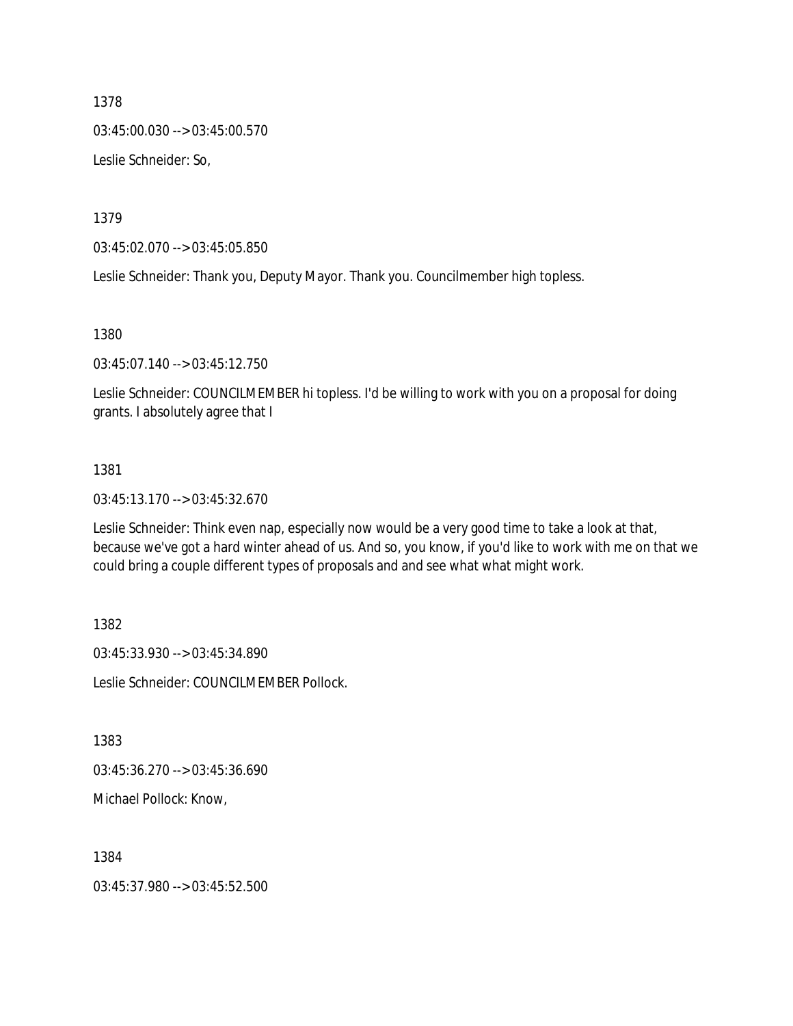03:45:00.030 --> 03:45:00.570

Leslie Schneider: So,

1379

03:45:02.070 --> 03:45:05.850

Leslie Schneider: Thank you, Deputy Mayor. Thank you. Councilmember high topless.

1380

03:45:07.140 --> 03:45:12.750

Leslie Schneider: COUNCILMEMBER hi topless. I'd be willing to work with you on a proposal for doing grants. I absolutely agree that I

#### 1381

03:45:13.170 --> 03:45:32.670

Leslie Schneider: Think even nap, especially now would be a very good time to take a look at that, because we've got a hard winter ahead of us. And so, you know, if you'd like to work with me on that we could bring a couple different types of proposals and and see what what might work.

1382

03:45:33.930 --> 03:45:34.890 Leslie Schneider: COUNCILMEMBER Pollock.

1383

03:45:36.270 --> 03:45:36.690

Michael Pollock: Know,

1384

03:45:37.980 --> 03:45:52.500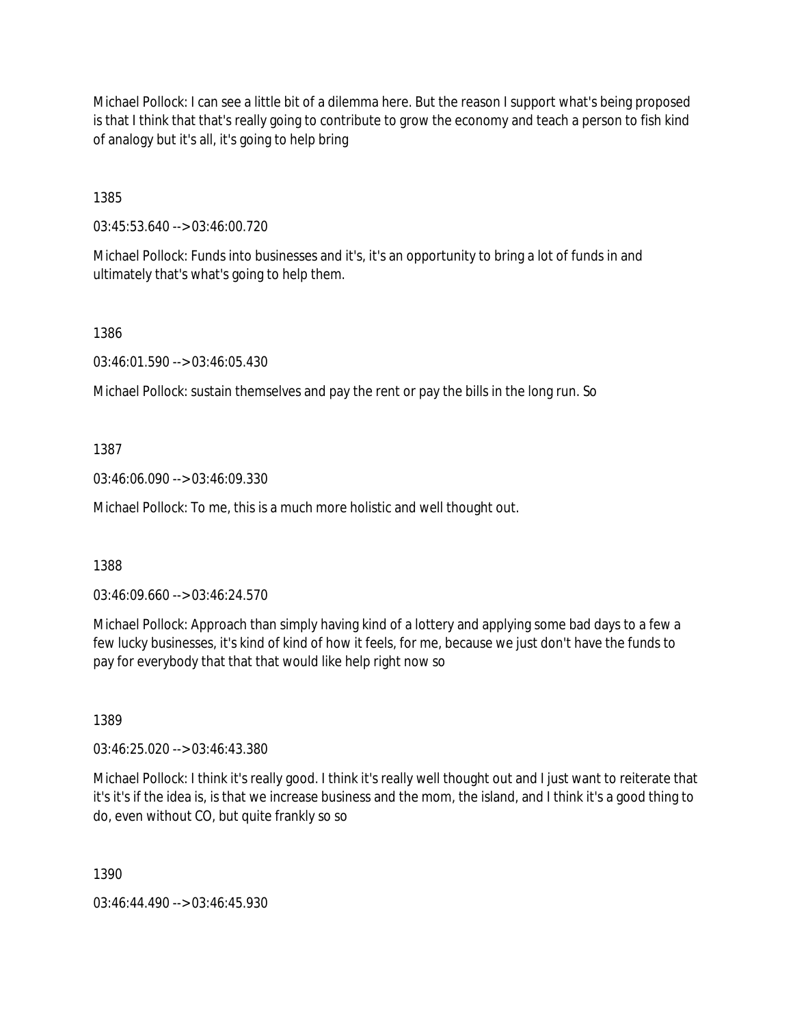Michael Pollock: I can see a little bit of a dilemma here. But the reason I support what's being proposed is that I think that that's really going to contribute to grow the economy and teach a person to fish kind of analogy but it's all, it's going to help bring

1385

03:45:53.640 --> 03:46:00.720

Michael Pollock: Funds into businesses and it's, it's an opportunity to bring a lot of funds in and ultimately that's what's going to help them.

1386

03:46:01.590 --> 03:46:05.430

Michael Pollock: sustain themselves and pay the rent or pay the bills in the long run. So

1387

03:46:06.090 --> 03:46:09.330

Michael Pollock: To me, this is a much more holistic and well thought out.

1388

03:46:09.660 --> 03:46:24.570

Michael Pollock: Approach than simply having kind of a lottery and applying some bad days to a few a few lucky businesses, it's kind of kind of how it feels, for me, because we just don't have the funds to pay for everybody that that that would like help right now so

1389

03:46:25.020 --> 03:46:43.380

Michael Pollock: I think it's really good. I think it's really well thought out and I just want to reiterate that it's it's if the idea is, is that we increase business and the mom, the island, and I think it's a good thing to do, even without CO, but quite frankly so so

1390

03:46:44.490 --> 03:46:45.930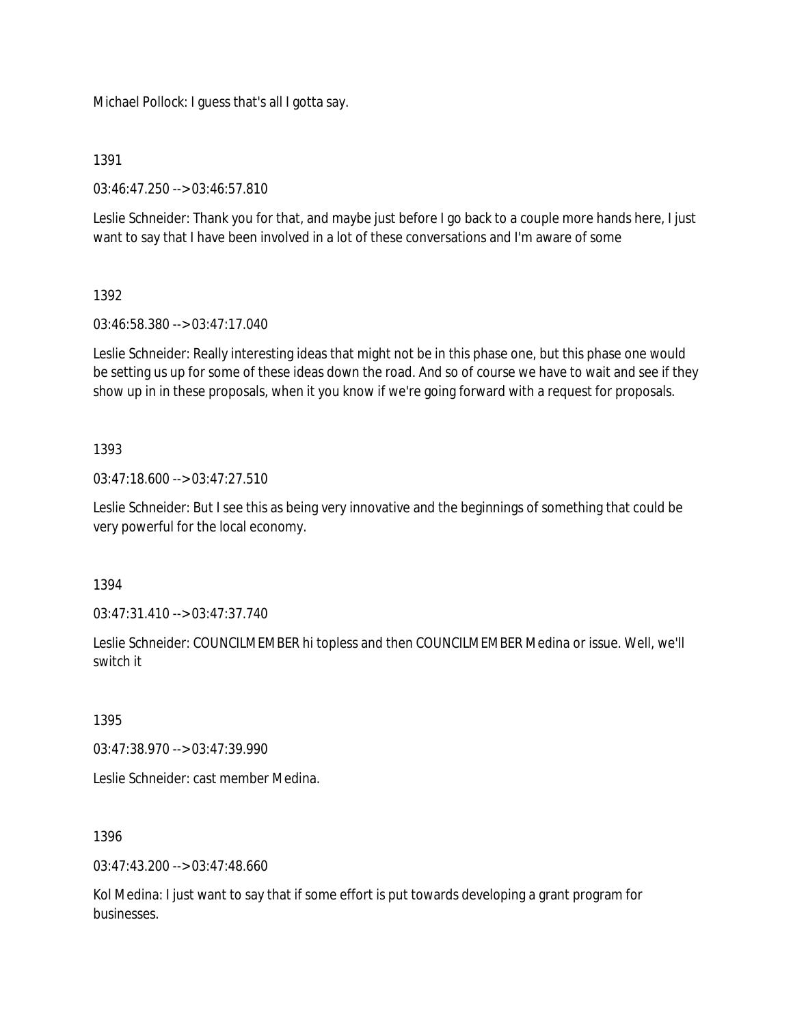Michael Pollock: I guess that's all I gotta say.

1391

03:46:47.250 --> 03:46:57.810

Leslie Schneider: Thank you for that, and maybe just before I go back to a couple more hands here, I just want to say that I have been involved in a lot of these conversations and I'm aware of some

### 1392

03:46:58.380 --> 03:47:17.040

Leslie Schneider: Really interesting ideas that might not be in this phase one, but this phase one would be setting us up for some of these ideas down the road. And so of course we have to wait and see if they show up in in these proposals, when it you know if we're going forward with a request for proposals.

### 1393

03:47:18.600 --> 03:47:27.510

Leslie Schneider: But I see this as being very innovative and the beginnings of something that could be very powerful for the local economy.

1394

03:47:31.410 --> 03:47:37.740

Leslie Schneider: COUNCILMEMBER hi topless and then COUNCILMEMBER Medina or issue. Well, we'll switch it

1395

03:47:38.970 --> 03:47:39.990

Leslie Schneider: cast member Medina.

# 1396

 $03:47:43.200 \rightarrow 03:47:48.660$ 

Kol Medina: I just want to say that if some effort is put towards developing a grant program for businesses.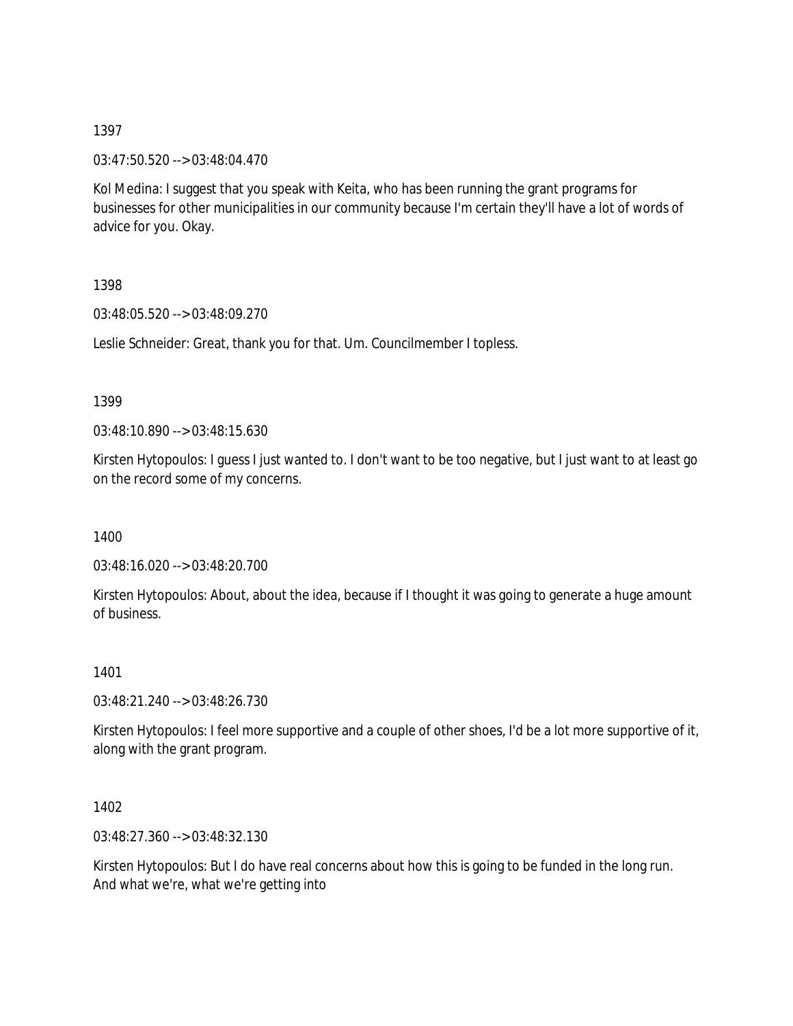03:47:50.520 --> 03:48:04.470

Kol Medina: I suggest that you speak with Keita, who has been running the grant programs for businesses for other municipalities in our community because I'm certain they'll have a lot of words of advice for you. Okay.

1398

03:48:05.520 --> 03:48:09.270

Leslie Schneider: Great, thank you for that. Um. Councilmember I topless.

1399

03:48:10.890 --> 03:48:15.630

Kirsten Hytopoulos: I guess I just wanted to. I don't want to be too negative, but I just want to at least go on the record some of my concerns.

1400

03:48:16.020 --> 03:48:20.700

Kirsten Hytopoulos: About, about the idea, because if I thought it was going to generate a huge amount of business.

1401

03:48:21.240 --> 03:48:26.730

Kirsten Hytopoulos: I feel more supportive and a couple of other shoes, I'd be a lot more supportive of it, along with the grant program.

1402

03:48:27.360 --> 03:48:32.130

Kirsten Hytopoulos: But I do have real concerns about how this is going to be funded in the long run. And what we're, what we're getting into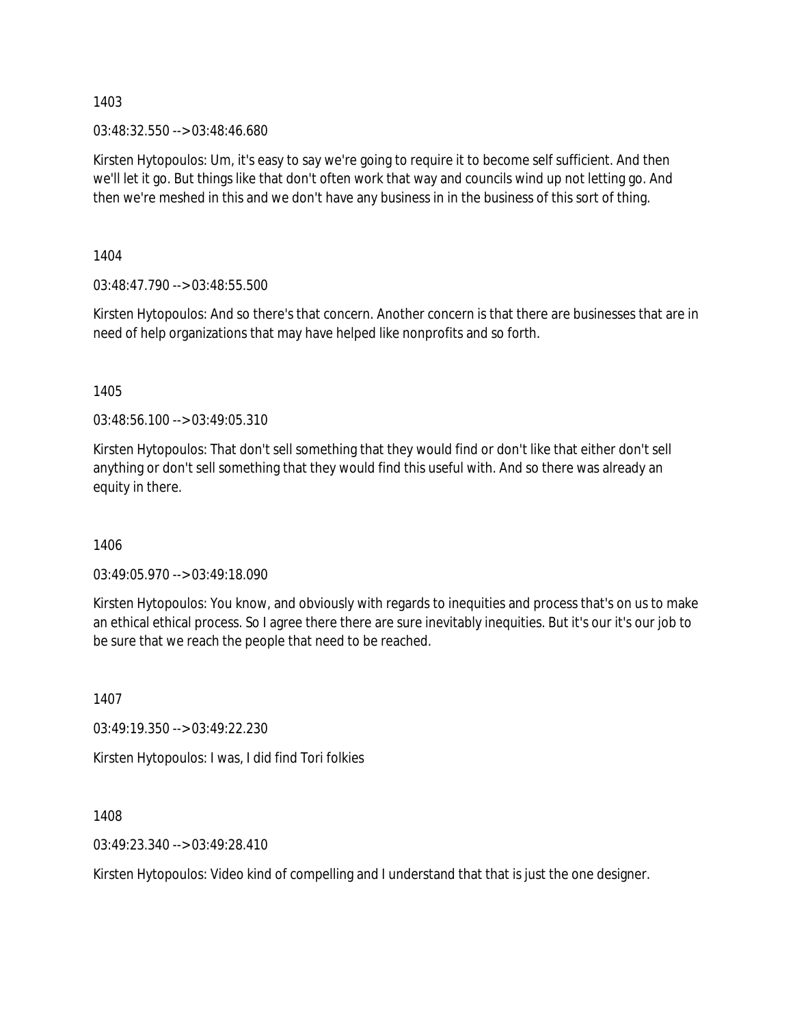03:48:32.550 --> 03:48:46.680

Kirsten Hytopoulos: Um, it's easy to say we're going to require it to become self sufficient. And then we'll let it go. But things like that don't often work that way and councils wind up not letting go. And then we're meshed in this and we don't have any business in in the business of this sort of thing.

1404

03:48:47.790 --> 03:48:55.500

Kirsten Hytopoulos: And so there's that concern. Another concern is that there are businesses that are in need of help organizations that may have helped like nonprofits and so forth.

1405

03:48:56.100 --> 03:49:05.310

Kirsten Hytopoulos: That don't sell something that they would find or don't like that either don't sell anything or don't sell something that they would find this useful with. And so there was already an equity in there.

1406

03:49:05.970 --> 03:49:18.090

Kirsten Hytopoulos: You know, and obviously with regards to inequities and process that's on us to make an ethical ethical process. So I agree there there are sure inevitably inequities. But it's our it's our job to be sure that we reach the people that need to be reached.

1407

03:49:19.350 --> 03:49:22.230

Kirsten Hytopoulos: I was, I did find Tori folkies

1408

03:49:23.340 --> 03:49:28.410

Kirsten Hytopoulos: Video kind of compelling and I understand that that is just the one designer.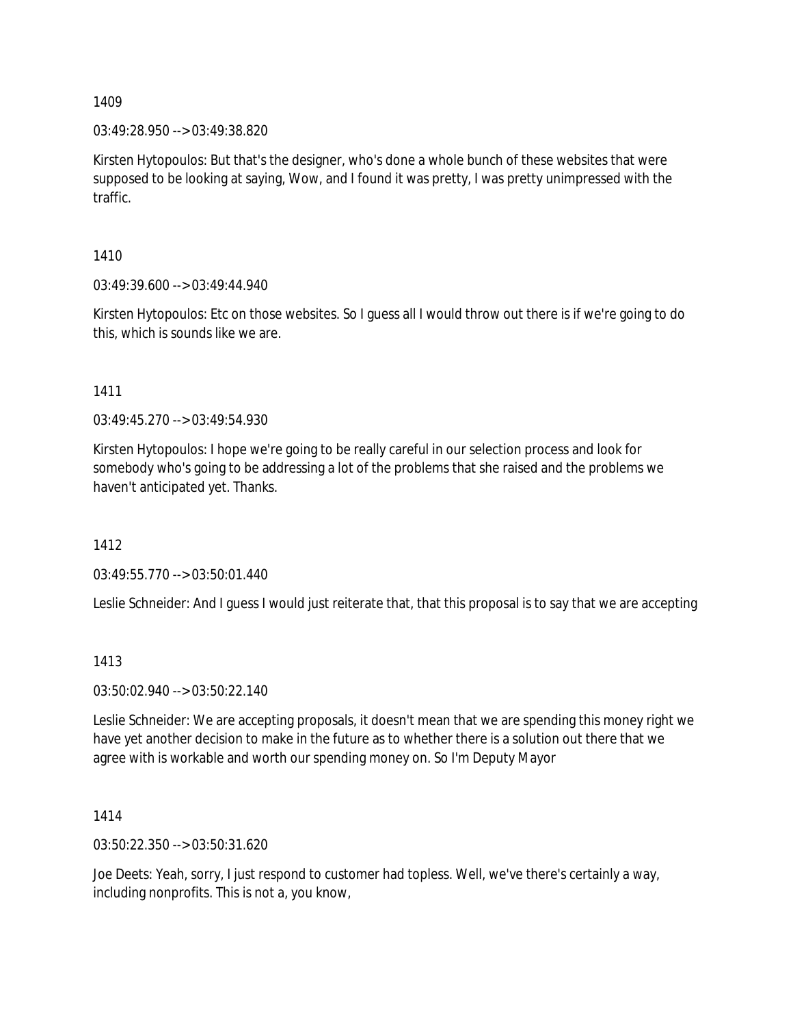03:49:28.950 --> 03:49:38.820

Kirsten Hytopoulos: But that's the designer, who's done a whole bunch of these websites that were supposed to be looking at saying, Wow, and I found it was pretty, I was pretty unimpressed with the traffic.

1410

03:49:39.600 --> 03:49:44.940

Kirsten Hytopoulos: Etc on those websites. So I guess all I would throw out there is if we're going to do this, which is sounds like we are.

1411

03:49:45.270 --> 03:49:54.930

Kirsten Hytopoulos: I hope we're going to be really careful in our selection process and look for somebody who's going to be addressing a lot of the problems that she raised and the problems we haven't anticipated yet. Thanks.

1412

03:49:55.770 --> 03:50:01.440

Leslie Schneider: And I guess I would just reiterate that, that this proposal is to say that we are accepting

1413

03:50:02.940 --> 03:50:22.140

Leslie Schneider: We are accepting proposals, it doesn't mean that we are spending this money right we have yet another decision to make in the future as to whether there is a solution out there that we agree with is workable and worth our spending money on. So I'm Deputy Mayor

1414

03:50:22.350 --> 03:50:31.620

Joe Deets: Yeah, sorry, I just respond to customer had topless. Well, we've there's certainly a way, including nonprofits. This is not a, you know,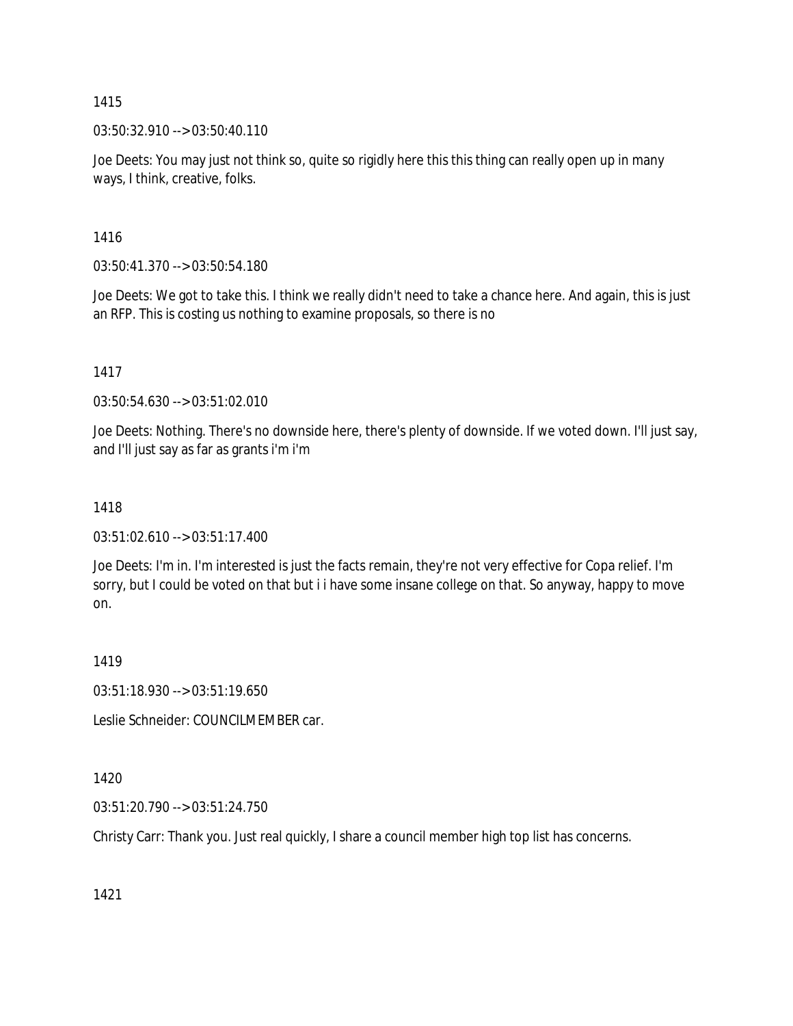03:50:32.910 --> 03:50:40.110

Joe Deets: You may just not think so, quite so rigidly here this this thing can really open up in many ways, I think, creative, folks.

1416

03:50:41.370 --> 03:50:54.180

Joe Deets: We got to take this. I think we really didn't need to take a chance here. And again, this is just an RFP. This is costing us nothing to examine proposals, so there is no

1417

03:50:54.630 --> 03:51:02.010

Joe Deets: Nothing. There's no downside here, there's plenty of downside. If we voted down. I'll just say, and I'll just say as far as grants i'm i'm

### 1418

 $03:51:02.610 \rightarrow 03:51:17.400$ 

Joe Deets: I'm in. I'm interested is just the facts remain, they're not very effective for Copa relief. I'm sorry, but I could be voted on that but i i have some insane college on that. So anyway, happy to move on.

1419

03:51:18.930 --> 03:51:19.650

Leslie Schneider: COUNCILMEMBER car.

1420

03:51:20.790 --> 03:51:24.750

Christy Carr: Thank you. Just real quickly, I share a council member high top list has concerns.

1421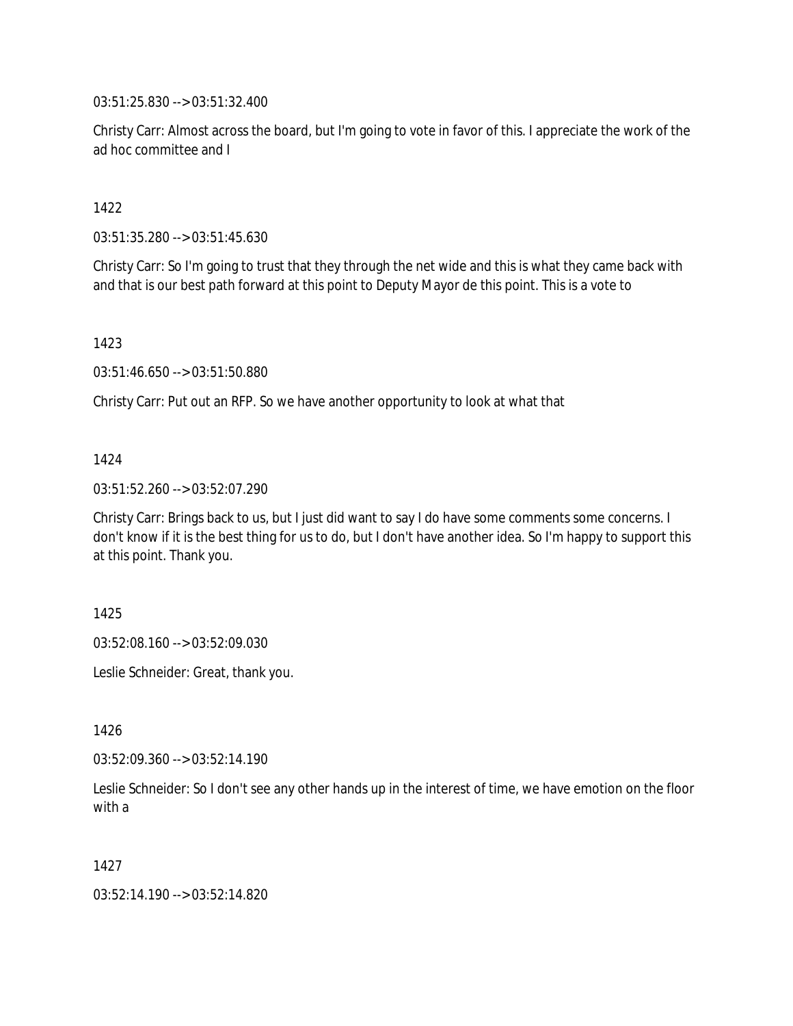03:51:25.830 --> 03:51:32.400

Christy Carr: Almost across the board, but I'm going to vote in favor of this. I appreciate the work of the ad hoc committee and I

1422

03:51:35.280 --> 03:51:45.630

Christy Carr: So I'm going to trust that they through the net wide and this is what they came back with and that is our best path forward at this point to Deputy Mayor de this point. This is a vote to

1423

03:51:46.650 --> 03:51:50.880

Christy Carr: Put out an RFP. So we have another opportunity to look at what that

#### 1424

03:51:52.260 --> 03:52:07.290

Christy Carr: Brings back to us, but I just did want to say I do have some comments some concerns. I don't know if it is the best thing for us to do, but I don't have another idea. So I'm happy to support this at this point. Thank you.

1425

03:52:08.160 --> 03:52:09.030

Leslie Schneider: Great, thank you.

1426

 $03:52:09.360 \rightarrow 03:52:14.190$ 

Leslie Schneider: So I don't see any other hands up in the interest of time, we have emotion on the floor with a

1427

03:52:14.190 --> 03:52:14.820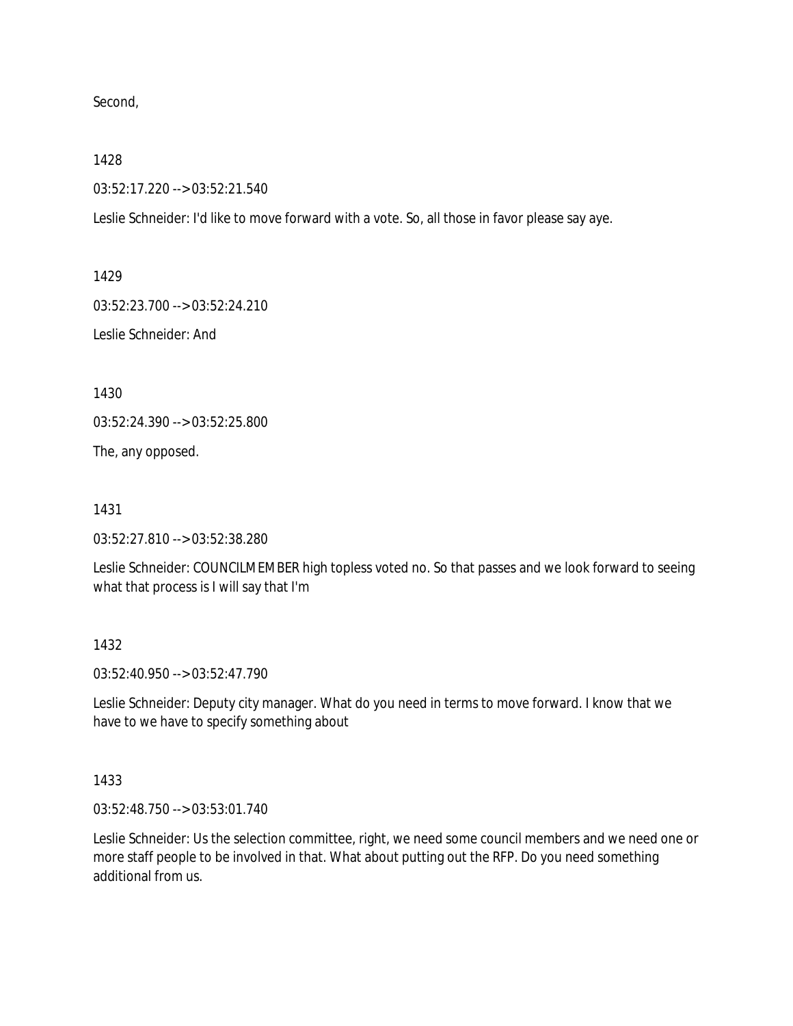Second,

1428

03:52:17.220 --> 03:52:21.540

Leslie Schneider: I'd like to move forward with a vote. So, all those in favor please say aye.

1429

03:52:23.700 --> 03:52:24.210

Leslie Schneider: And

1430

03:52:24.390 --> 03:52:25.800

The, any opposed.

1431

03:52:27.810 --> 03:52:38.280

Leslie Schneider: COUNCILMEMBER high topless voted no. So that passes and we look forward to seeing what that process is I will say that I'm

1432

03:52:40.950 --> 03:52:47.790

Leslie Schneider: Deputy city manager. What do you need in terms to move forward. I know that we have to we have to specify something about

1433

03:52:48.750 --> 03:53:01.740

Leslie Schneider: Us the selection committee, right, we need some council members and we need one or more staff people to be involved in that. What about putting out the RFP. Do you need something additional from us.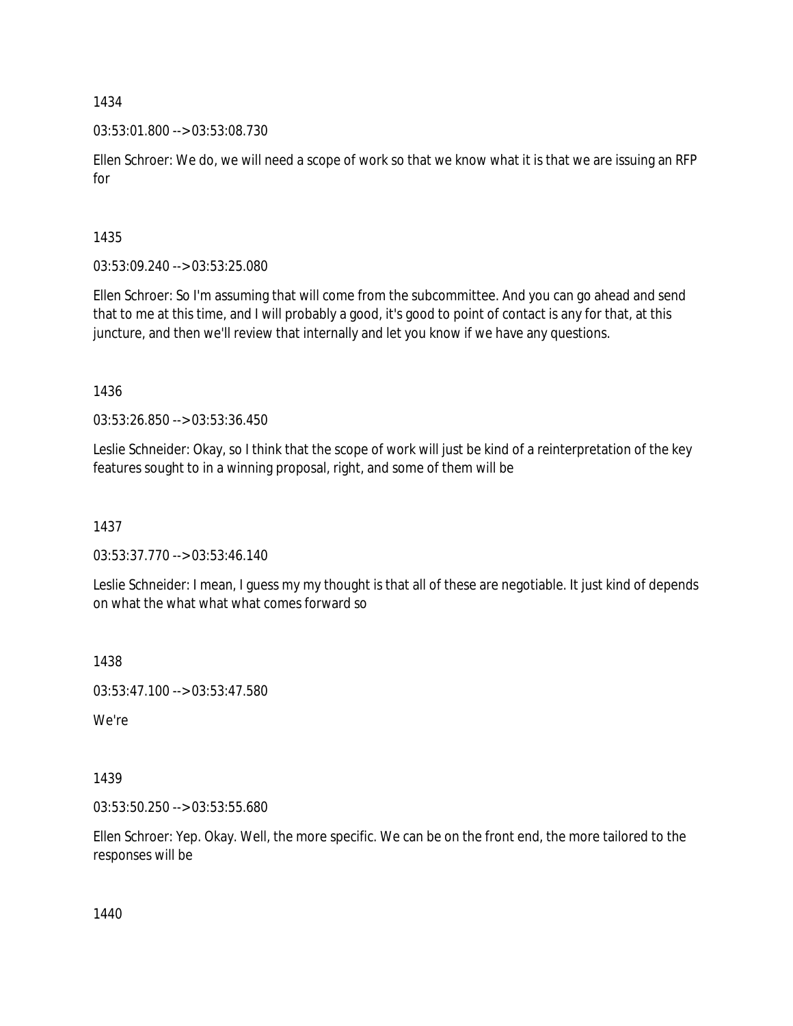03:53:01.800 --> 03:53:08.730

Ellen Schroer: We do, we will need a scope of work so that we know what it is that we are issuing an RFP for

#### 1435

03:53:09.240 --> 03:53:25.080

Ellen Schroer: So I'm assuming that will come from the subcommittee. And you can go ahead and send that to me at this time, and I will probably a good, it's good to point of contact is any for that, at this juncture, and then we'll review that internally and let you know if we have any questions.

1436

03:53:26.850 --> 03:53:36.450

Leslie Schneider: Okay, so I think that the scope of work will just be kind of a reinterpretation of the key features sought to in a winning proposal, right, and some of them will be

1437

03:53:37.770 --> 03:53:46.140

Leslie Schneider: I mean, I guess my my thought is that all of these are negotiable. It just kind of depends on what the what what what comes forward so

1438

03:53:47.100 --> 03:53:47.580

We're

1439

03:53:50.250 --> 03:53:55.680

Ellen Schroer: Yep. Okay. Well, the more specific. We can be on the front end, the more tailored to the responses will be

1440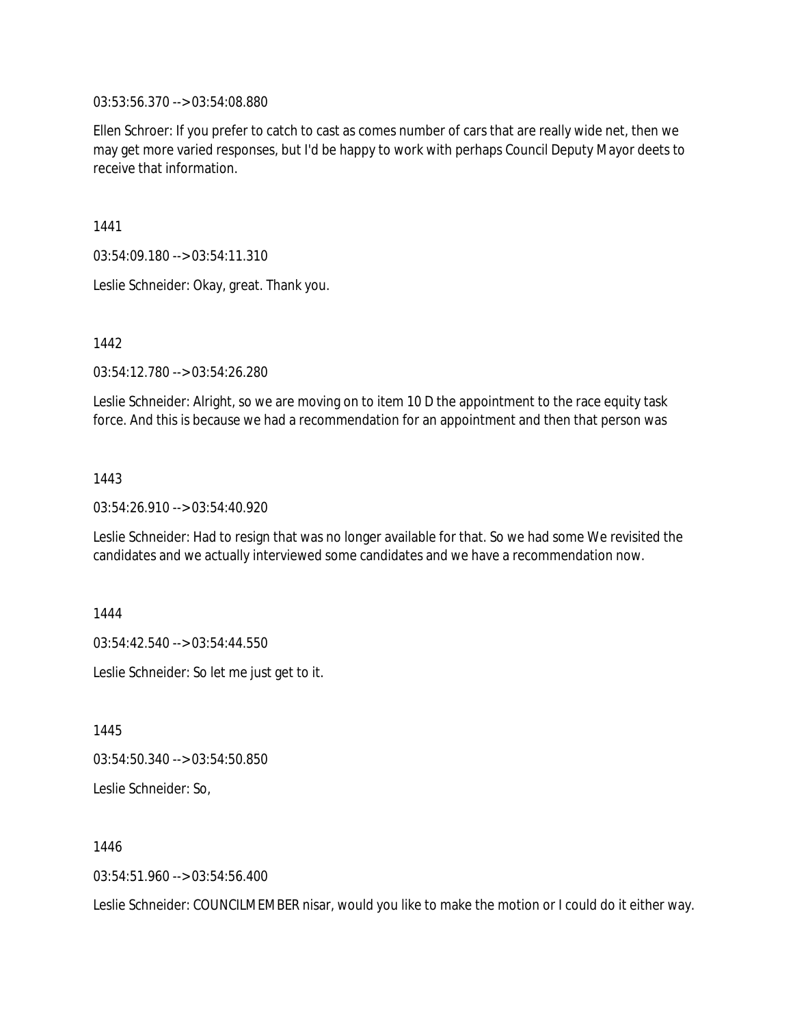03:53:56.370 --> 03:54:08.880

Ellen Schroer: If you prefer to catch to cast as comes number of cars that are really wide net, then we may get more varied responses, but I'd be happy to work with perhaps Council Deputy Mayor deets to receive that information.

1441

03:54:09.180 --> 03:54:11.310

Leslie Schneider: Okay, great. Thank you.

1442

03:54:12.780 --> 03:54:26.280

Leslie Schneider: Alright, so we are moving on to item 10 D the appointment to the race equity task force. And this is because we had a recommendation for an appointment and then that person was

1443

03:54:26.910 --> 03:54:40.920

Leslie Schneider: Had to resign that was no longer available for that. So we had some We revisited the candidates and we actually interviewed some candidates and we have a recommendation now.

1444

03:54:42.540 --> 03:54:44.550

Leslie Schneider: So let me just get to it.

1445

03:54:50.340 --> 03:54:50.850

Leslie Schneider: So,

1446

03:54:51.960 --> 03:54:56.400

Leslie Schneider: COUNCILMEMBER nisar, would you like to make the motion or I could do it either way.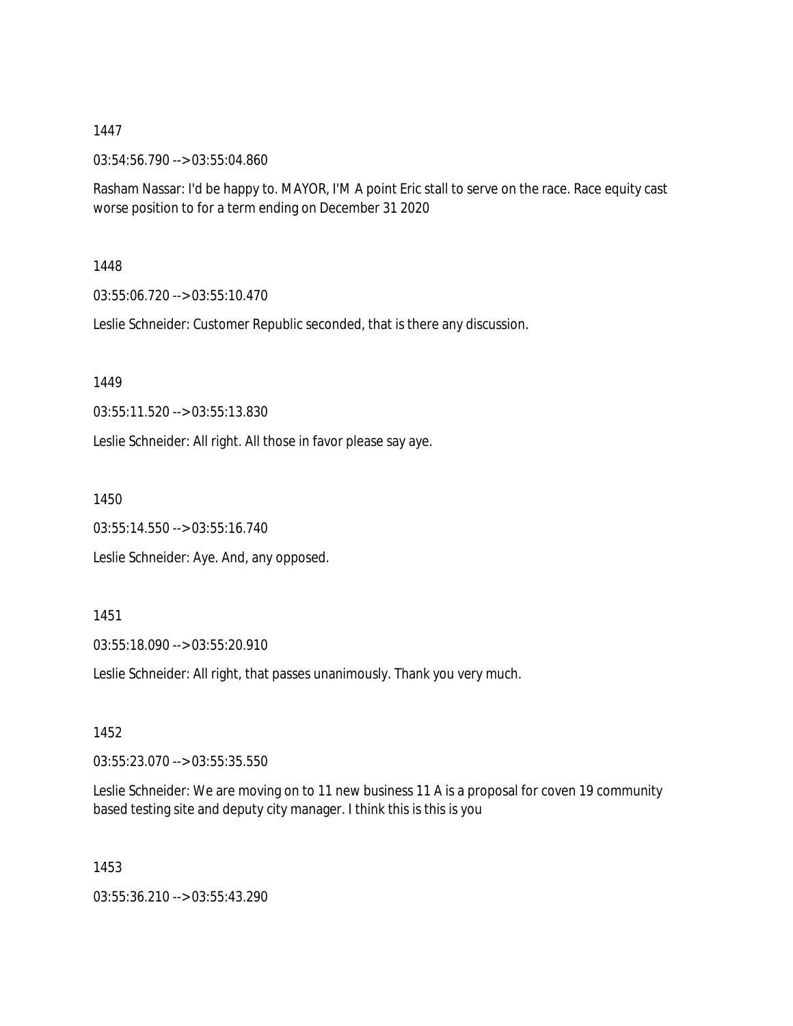03:54:56.790 --> 03:55:04.860

Rasham Nassar: I'd be happy to. MAYOR, I'M A point Eric stall to serve on the race. Race equity cast worse position to for a term ending on December 31 2020

1448

03:55:06.720 --> 03:55:10.470

Leslie Schneider: Customer Republic seconded, that is there any discussion.

1449

03:55:11.520 --> 03:55:13.830

Leslie Schneider: All right. All those in favor please say aye.

1450

03:55:14.550 --> 03:55:16.740

Leslie Schneider: Aye. And, any opposed.

1451

03:55:18.090 --> 03:55:20.910

Leslie Schneider: All right, that passes unanimously. Thank you very much.

1452

03:55:23.070 --> 03:55:35.550

Leslie Schneider: We are moving on to 11 new business 11 A is a proposal for coven 19 community based testing site and deputy city manager. I think this is this is you

1453

03:55:36.210 --> 03:55:43.290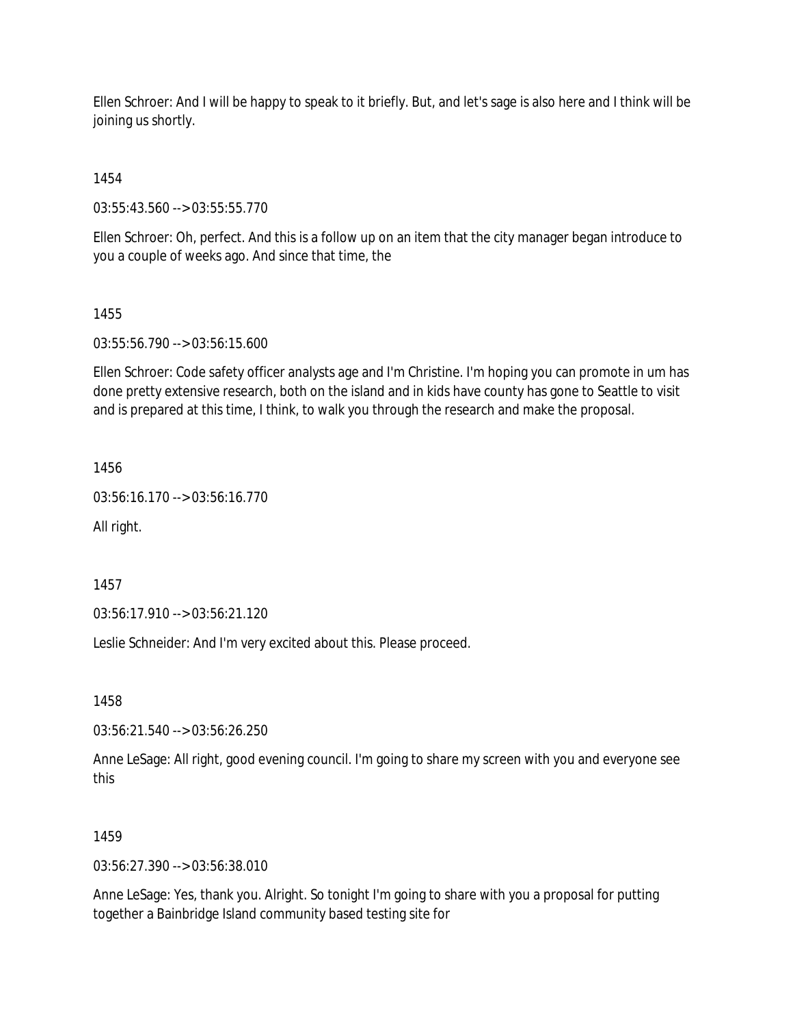Ellen Schroer: And I will be happy to speak to it briefly. But, and let's sage is also here and I think will be joining us shortly.

1454

03:55:43.560 --> 03:55:55.770

Ellen Schroer: Oh, perfect. And this is a follow up on an item that the city manager began introduce to you a couple of weeks ago. And since that time, the

#### 1455

03:55:56.790 --> 03:56:15.600

Ellen Schroer: Code safety officer analysts age and I'm Christine. I'm hoping you can promote in um has done pretty extensive research, both on the island and in kids have county has gone to Seattle to visit and is prepared at this time, I think, to walk you through the research and make the proposal.

1456

03:56:16.170 --> 03:56:16.770

All right.

1457

03:56:17.910 --> 03:56:21.120

Leslie Schneider: And I'm very excited about this. Please proceed.

1458

03:56:21.540 --> 03:56:26.250

Anne LeSage: All right, good evening council. I'm going to share my screen with you and everyone see this

#### 1459

03:56:27.390 --> 03:56:38.010

Anne LeSage: Yes, thank you. Alright. So tonight I'm going to share with you a proposal for putting together a Bainbridge Island community based testing site for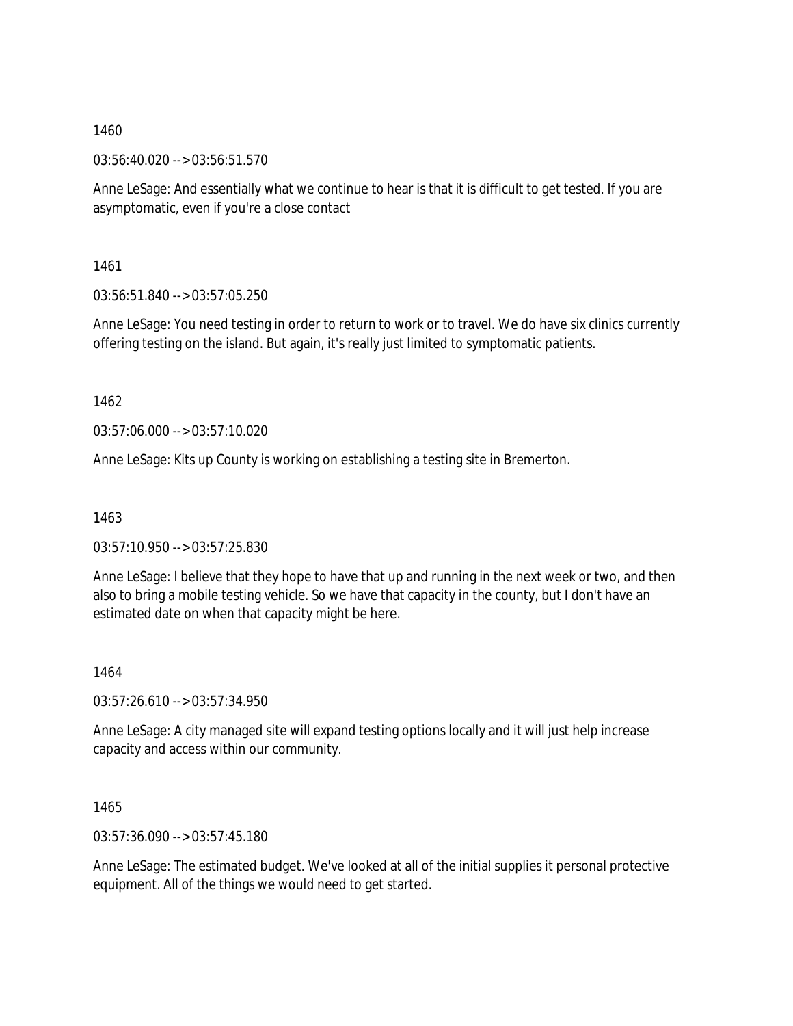03:56:40.020 --> 03:56:51.570

Anne LeSage: And essentially what we continue to hear is that it is difficult to get tested. If you are asymptomatic, even if you're a close contact

1461

03:56:51.840 --> 03:57:05.250

Anne LeSage: You need testing in order to return to work or to travel. We do have six clinics currently offering testing on the island. But again, it's really just limited to symptomatic patients.

1462

03:57:06.000 --> 03:57:10.020

Anne LeSage: Kits up County is working on establishing a testing site in Bremerton.

1463

03:57:10.950 --> 03:57:25.830

Anne LeSage: I believe that they hope to have that up and running in the next week or two, and then also to bring a mobile testing vehicle. So we have that capacity in the county, but I don't have an estimated date on when that capacity might be here.

1464

03:57:26.610 --> 03:57:34.950

Anne LeSage: A city managed site will expand testing options locally and it will just help increase capacity and access within our community.

1465

03:57:36.090 --> 03:57:45.180

Anne LeSage: The estimated budget. We've looked at all of the initial supplies it personal protective equipment. All of the things we would need to get started.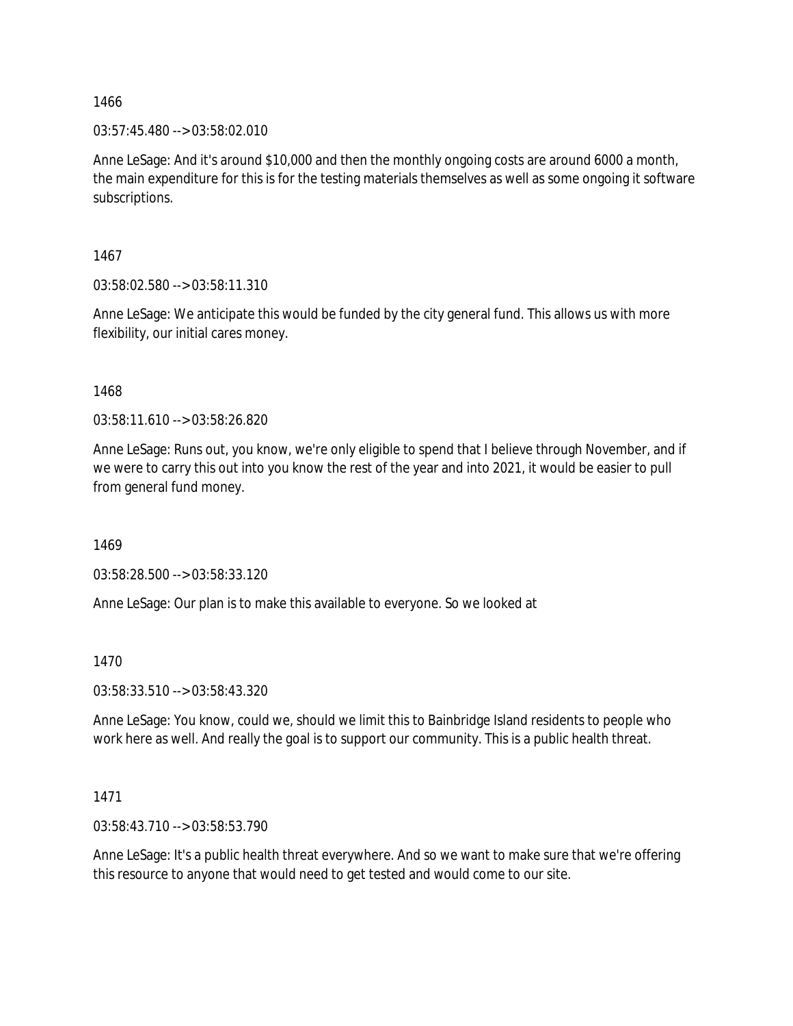03:57:45.480 --> 03:58:02.010

Anne LeSage: And it's around \$10,000 and then the monthly ongoing costs are around 6000 a month, the main expenditure for this is for the testing materials themselves as well as some ongoing it software subscriptions.

1467

03:58:02.580 --> 03:58:11.310

Anne LeSage: We anticipate this would be funded by the city general fund. This allows us with more flexibility, our initial cares money.

1468

03:58:11.610 --> 03:58:26.820

Anne LeSage: Runs out, you know, we're only eligible to spend that I believe through November, and if we were to carry this out into you know the rest of the year and into 2021, it would be easier to pull from general fund money.

1469

03:58:28.500 --> 03:58:33.120

Anne LeSage: Our plan is to make this available to everyone. So we looked at

1470

03:58:33.510 --> 03:58:43.320

Anne LeSage: You know, could we, should we limit this to Bainbridge Island residents to people who work here as well. And really the goal is to support our community. This is a public health threat.

1471

03:58:43.710 --> 03:58:53.790

Anne LeSage: It's a public health threat everywhere. And so we want to make sure that we're offering this resource to anyone that would need to get tested and would come to our site.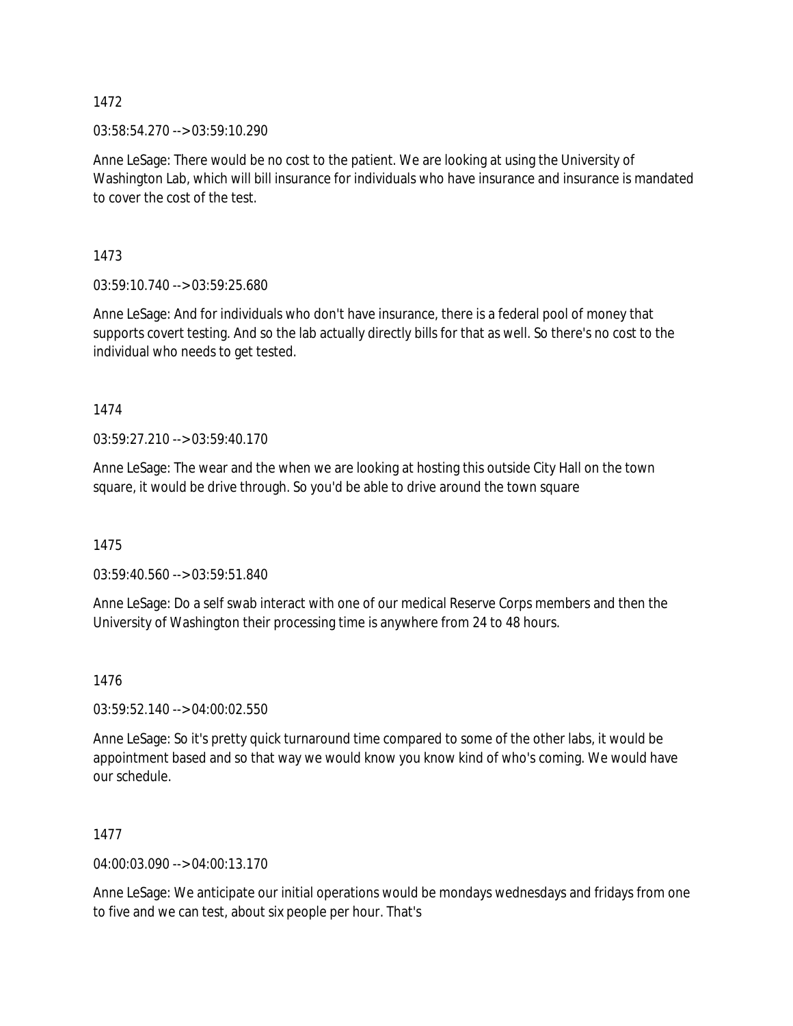03:58:54.270 --> 03:59:10.290

Anne LeSage: There would be no cost to the patient. We are looking at using the University of Washington Lab, which will bill insurance for individuals who have insurance and insurance is mandated to cover the cost of the test.

1473

03:59:10.740 --> 03:59:25.680

Anne LeSage: And for individuals who don't have insurance, there is a federal pool of money that supports covert testing. And so the lab actually directly bills for that as well. So there's no cost to the individual who needs to get tested.

1474

03:59:27.210 --> 03:59:40.170

Anne LeSage: The wear and the when we are looking at hosting this outside City Hall on the town square, it would be drive through. So you'd be able to drive around the town square

1475

03:59:40.560 --> 03:59:51.840

Anne LeSage: Do a self swab interact with one of our medical Reserve Corps members and then the University of Washington their processing time is anywhere from 24 to 48 hours.

1476

03:59:52.140 --> 04:00:02.550

Anne LeSage: So it's pretty quick turnaround time compared to some of the other labs, it would be appointment based and so that way we would know you know kind of who's coming. We would have our schedule.

1477

04:00:03.090 --> 04:00:13.170

Anne LeSage: We anticipate our initial operations would be mondays wednesdays and fridays from one to five and we can test, about six people per hour. That's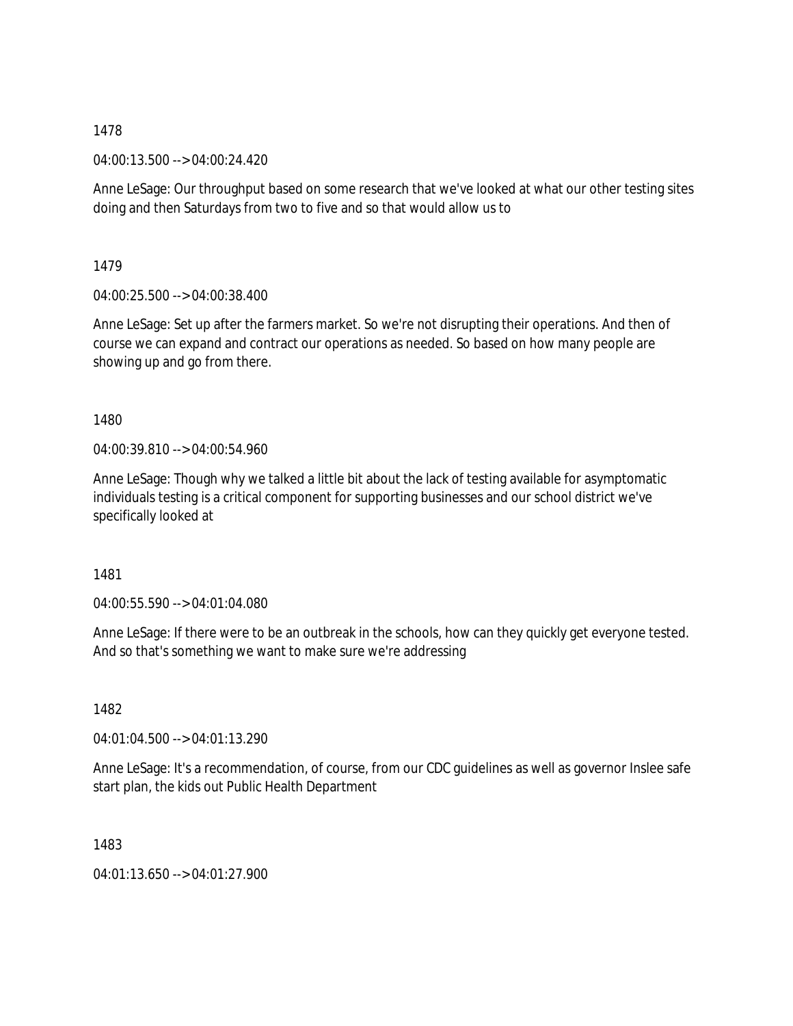04:00:13.500 --> 04:00:24.420

Anne LeSage: Our throughput based on some research that we've looked at what our other testing sites doing and then Saturdays from two to five and so that would allow us to

1479

04:00:25.500 --> 04:00:38.400

Anne LeSage: Set up after the farmers market. So we're not disrupting their operations. And then of course we can expand and contract our operations as needed. So based on how many people are showing up and go from there.

1480

04:00:39.810 --> 04:00:54.960

Anne LeSage: Though why we talked a little bit about the lack of testing available for asymptomatic individuals testing is a critical component for supporting businesses and our school district we've specifically looked at

1481

04:00:55.590 --> 04:01:04.080

Anne LeSage: If there were to be an outbreak in the schools, how can they quickly get everyone tested. And so that's something we want to make sure we're addressing

1482

04:01:04.500 --> 04:01:13.290

Anne LeSage: It's a recommendation, of course, from our CDC guidelines as well as governor Inslee safe start plan, the kids out Public Health Department

1483

04:01:13.650 --> 04:01:27.900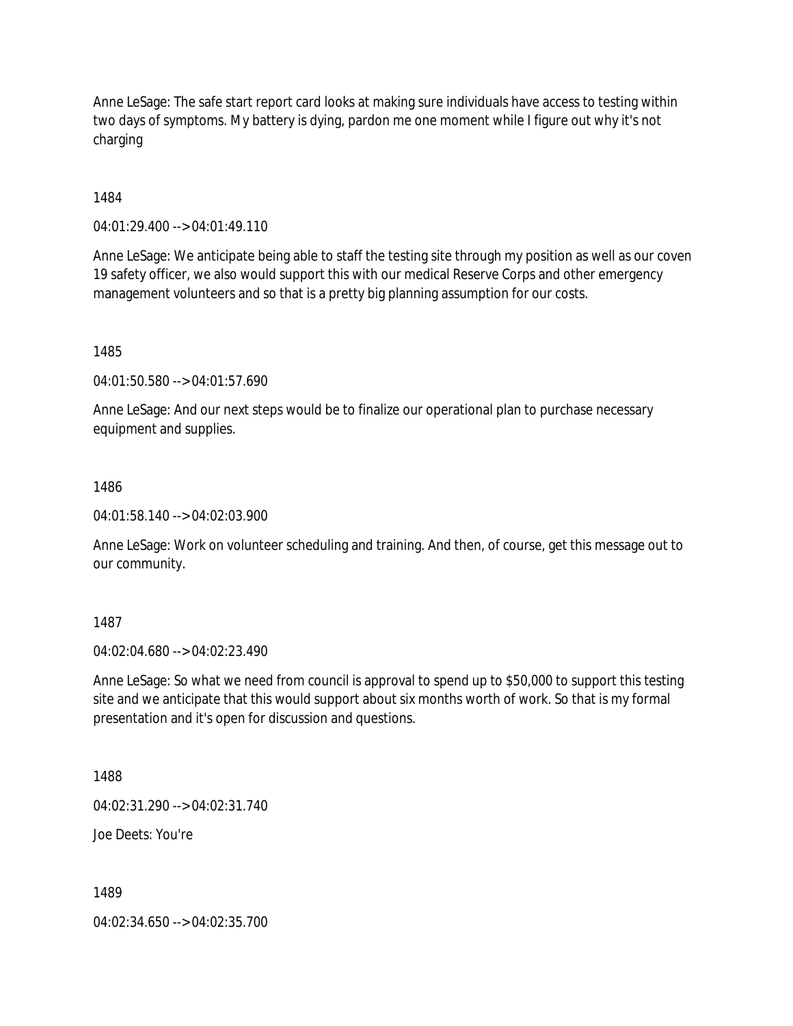Anne LeSage: The safe start report card looks at making sure individuals have access to testing within two days of symptoms. My battery is dying, pardon me one moment while I figure out why it's not charging

1484

04:01:29.400 --> 04:01:49.110

Anne LeSage: We anticipate being able to staff the testing site through my position as well as our coven 19 safety officer, we also would support this with our medical Reserve Corps and other emergency management volunteers and so that is a pretty big planning assumption for our costs.

1485

04:01:50.580 --> 04:01:57.690

Anne LeSage: And our next steps would be to finalize our operational plan to purchase necessary equipment and supplies.

1486

04:01:58.140 --> 04:02:03.900

Anne LeSage: Work on volunteer scheduling and training. And then, of course, get this message out to our community.

1487

04:02:04.680 --> 04:02:23.490

Anne LeSage: So what we need from council is approval to spend up to \$50,000 to support this testing site and we anticipate that this would support about six months worth of work. So that is my formal presentation and it's open for discussion and questions.

1488

04:02:31.290 --> 04:02:31.740

Joe Deets: You're

1489

04:02:34.650 --> 04:02:35.700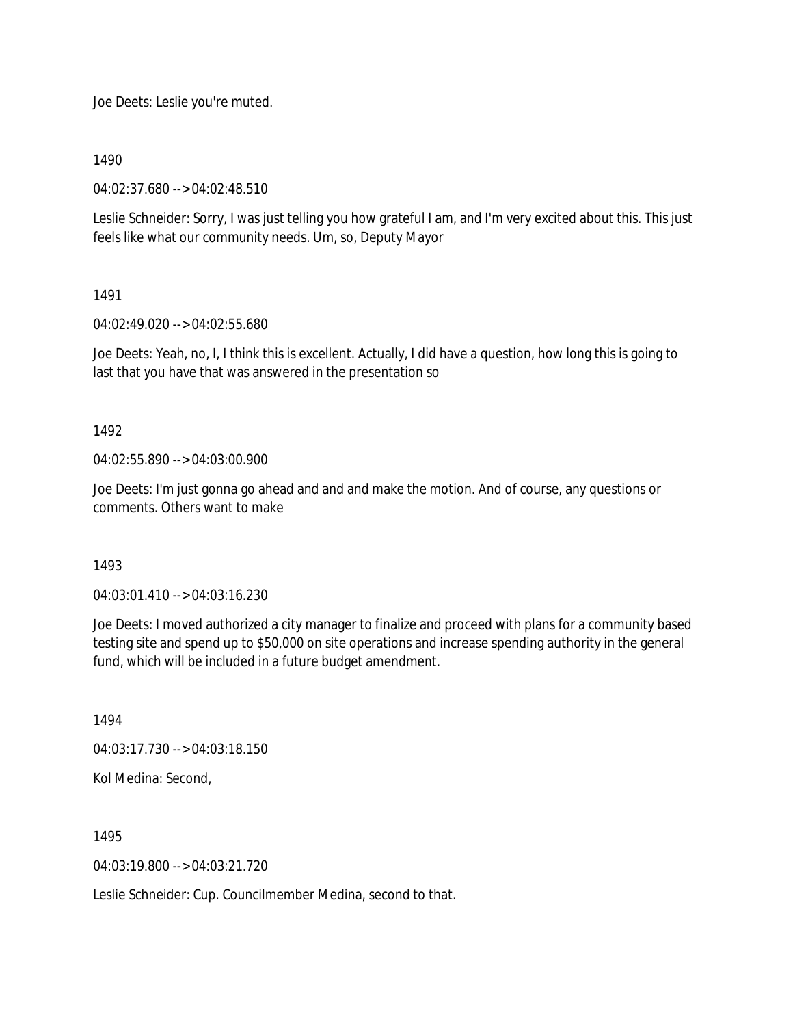Joe Deets: Leslie you're muted.

1490

04:02:37.680 --> 04:02:48.510

Leslie Schneider: Sorry, I was just telling you how grateful I am, and I'm very excited about this. This just feels like what our community needs. Um, so, Deputy Mayor

1491

04:02:49.020 --> 04:02:55.680

Joe Deets: Yeah, no, I, I think this is excellent. Actually, I did have a question, how long this is going to last that you have that was answered in the presentation so

1492

04:02:55.890 --> 04:03:00.900

Joe Deets: I'm just gonna go ahead and and and make the motion. And of course, any questions or comments. Others want to make

1493

04:03:01.410 --> 04:03:16.230

Joe Deets: I moved authorized a city manager to finalize and proceed with plans for a community based testing site and spend up to \$50,000 on site operations and increase spending authority in the general fund, which will be included in a future budget amendment.

1494

04:03:17.730 --> 04:03:18.150

Kol Medina: Second,

1495

04:03:19.800 --> 04:03:21.720

Leslie Schneider: Cup. Councilmember Medina, second to that.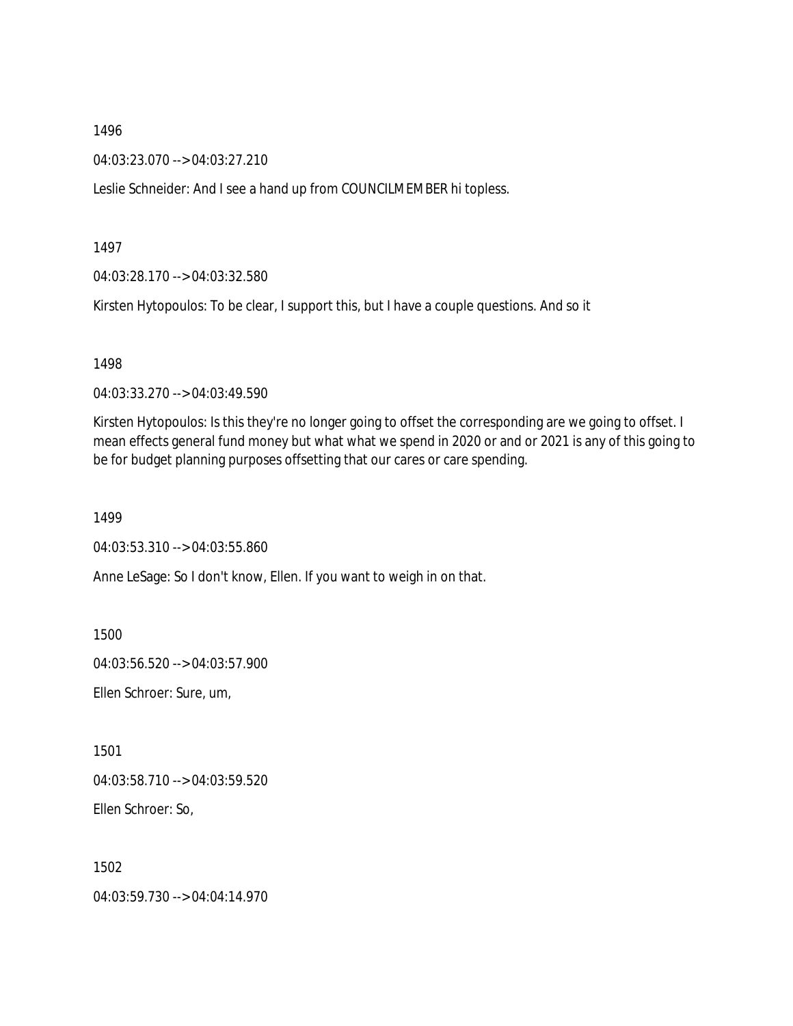04:03:23.070 --> 04:03:27.210

Leslie Schneider: And I see a hand up from COUNCILMEMBER hi topless.

1497

04:03:28.170 --> 04:03:32.580

Kirsten Hytopoulos: To be clear, I support this, but I have a couple questions. And so it

1498

04:03:33.270 --> 04:03:49.590

Kirsten Hytopoulos: Is this they're no longer going to offset the corresponding are we going to offset. I mean effects general fund money but what what we spend in 2020 or and or 2021 is any of this going to be for budget planning purposes offsetting that our cares or care spending.

1499

04:03:53.310 --> 04:03:55.860

Anne LeSage: So I don't know, Ellen. If you want to weigh in on that.

1500

04:03:56.520 --> 04:03:57.900

Ellen Schroer: Sure, um,

1501

04:03:58.710 --> 04:03:59.520

Ellen Schroer: So,

1502

04:03:59.730 --> 04:04:14.970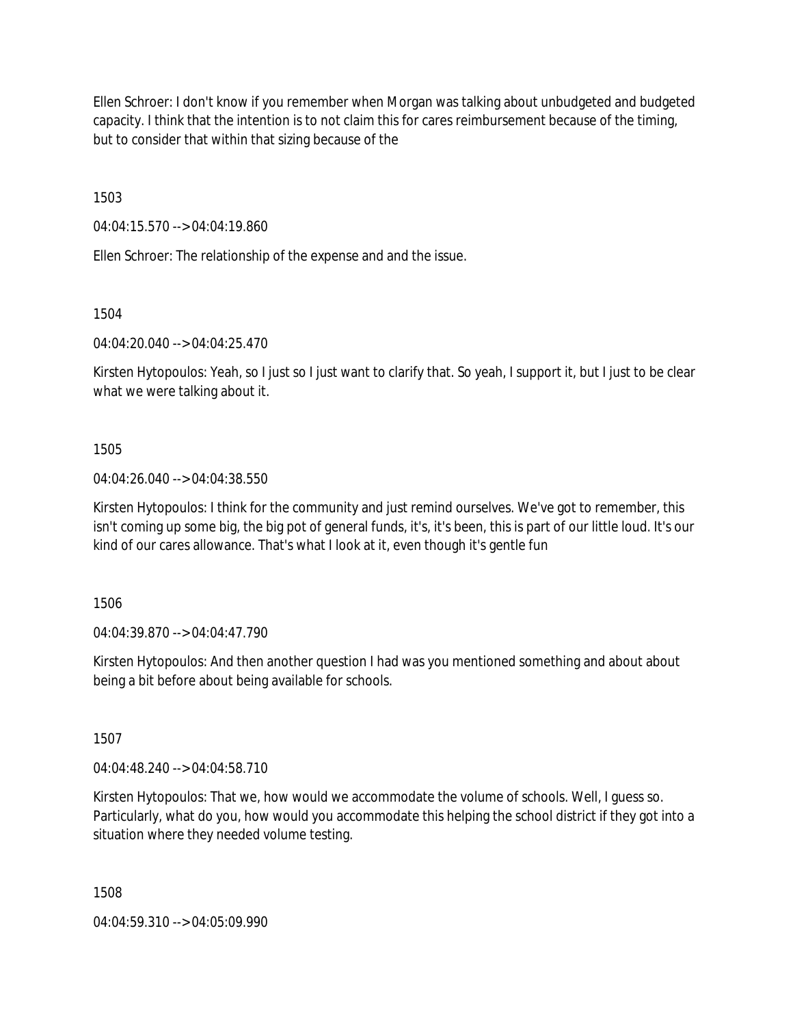Ellen Schroer: I don't know if you remember when Morgan was talking about unbudgeted and budgeted capacity. I think that the intention is to not claim this for cares reimbursement because of the timing, but to consider that within that sizing because of the

1503

04:04:15.570 --> 04:04:19.860

Ellen Schroer: The relationship of the expense and and the issue.

1504

04:04:20.040 --> 04:04:25.470

Kirsten Hytopoulos: Yeah, so I just so I just want to clarify that. So yeah, I support it, but I just to be clear what we were talking about it.

### 1505

04:04:26.040 --> 04:04:38.550

Kirsten Hytopoulos: I think for the community and just remind ourselves. We've got to remember, this isn't coming up some big, the big pot of general funds, it's, it's been, this is part of our little loud. It's our kind of our cares allowance. That's what I look at it, even though it's gentle fun

1506

04:04:39.870 --> 04:04:47.790

Kirsten Hytopoulos: And then another question I had was you mentioned something and about about being a bit before about being available for schools.

1507

04:04:48.240 --> 04:04:58.710

Kirsten Hytopoulos: That we, how would we accommodate the volume of schools. Well, I guess so. Particularly, what do you, how would you accommodate this helping the school district if they got into a situation where they needed volume testing.

1508

04:04:59.310 --> 04:05:09.990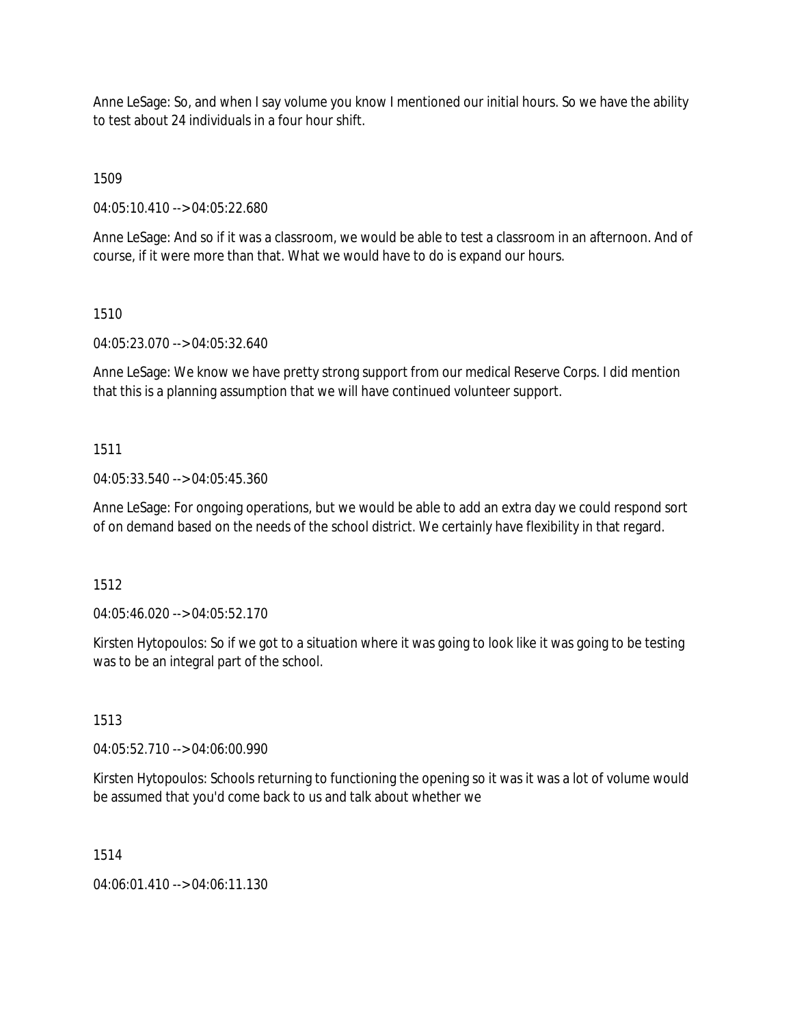Anne LeSage: So, and when I say volume you know I mentioned our initial hours. So we have the ability to test about 24 individuals in a four hour shift.

1509

04:05:10.410 --> 04:05:22.680

Anne LeSage: And so if it was a classroom, we would be able to test a classroom in an afternoon. And of course, if it were more than that. What we would have to do is expand our hours.

### 1510

04:05:23.070 --> 04:05:32.640

Anne LeSage: We know we have pretty strong support from our medical Reserve Corps. I did mention that this is a planning assumption that we will have continued volunteer support.

### 1511

04:05:33.540 --> 04:05:45.360

Anne LeSage: For ongoing operations, but we would be able to add an extra day we could respond sort of on demand based on the needs of the school district. We certainly have flexibility in that regard.

1512

04:05:46.020 --> 04:05:52.170

Kirsten Hytopoulos: So if we got to a situation where it was going to look like it was going to be testing was to be an integral part of the school.

#### 1513

04:05:52.710 --> 04:06:00.990

Kirsten Hytopoulos: Schools returning to functioning the opening so it was it was a lot of volume would be assumed that you'd come back to us and talk about whether we

#### 1514

04:06:01.410 --> 04:06:11.130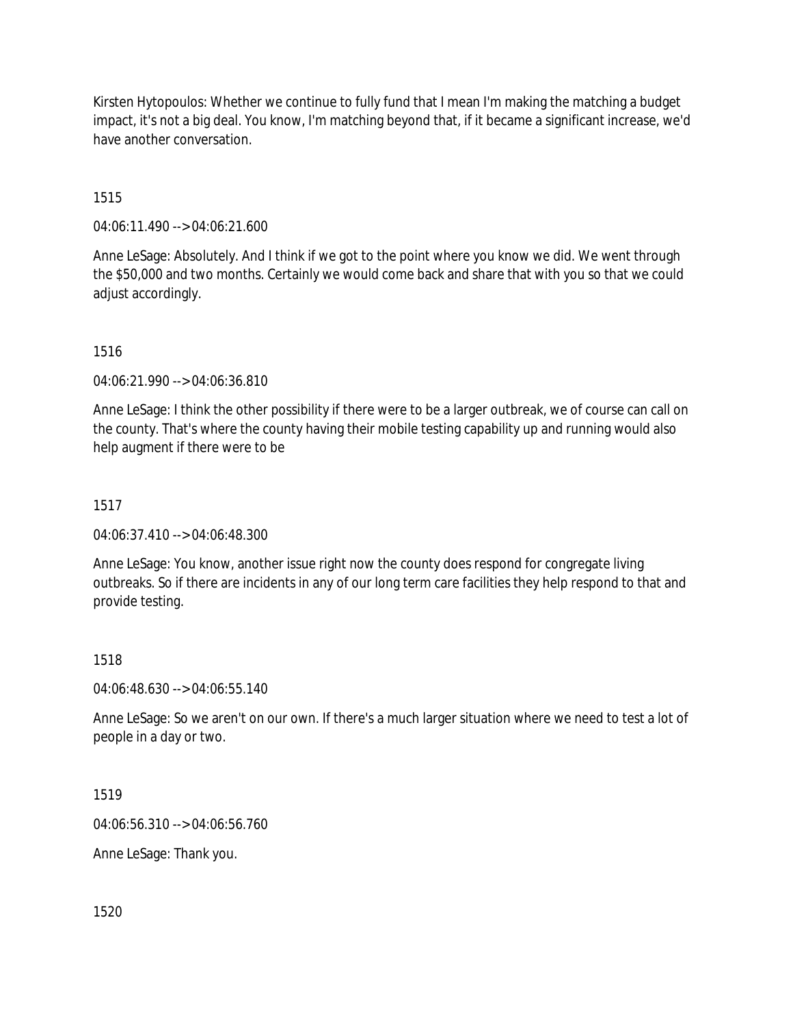Kirsten Hytopoulos: Whether we continue to fully fund that I mean I'm making the matching a budget impact, it's not a big deal. You know, I'm matching beyond that, if it became a significant increase, we'd have another conversation.

### 1515

04:06:11.490 --> 04:06:21.600

Anne LeSage: Absolutely. And I think if we got to the point where you know we did. We went through the \$50,000 and two months. Certainly we would come back and share that with you so that we could adjust accordingly.

### 1516

04:06:21.990 --> 04:06:36.810

Anne LeSage: I think the other possibility if there were to be a larger outbreak, we of course can call on the county. That's where the county having their mobile testing capability up and running would also help augment if there were to be

### 1517

04:06:37.410 --> 04:06:48.300

Anne LeSage: You know, another issue right now the county does respond for congregate living outbreaks. So if there are incidents in any of our long term care facilities they help respond to that and provide testing.

#### 1518

04:06:48.630 --> 04:06:55.140

Anne LeSage: So we aren't on our own. If there's a much larger situation where we need to test a lot of people in a day or two.

#### 1519

04:06:56.310 --> 04:06:56.760

Anne LeSage: Thank you.

1520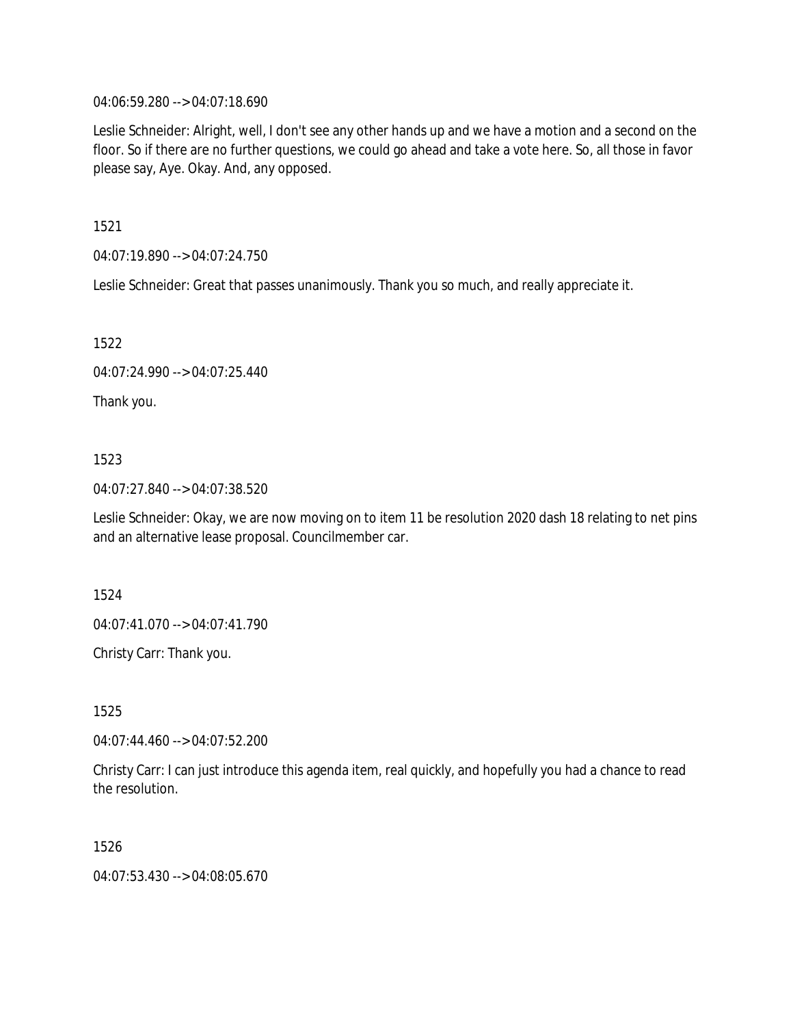04:06:59.280 --> 04:07:18.690

Leslie Schneider: Alright, well, I don't see any other hands up and we have a motion and a second on the floor. So if there are no further questions, we could go ahead and take a vote here. So, all those in favor please say, Aye. Okay. And, any opposed.

1521

04:07:19.890 --> 04:07:24.750

Leslie Schneider: Great that passes unanimously. Thank you so much, and really appreciate it.

1522

04:07:24.990 --> 04:07:25.440

Thank you.

### 1523

04:07:27.840 --> 04:07:38.520

Leslie Schneider: Okay, we are now moving on to item 11 be resolution 2020 dash 18 relating to net pins and an alternative lease proposal. Councilmember car.

1524

04:07:41.070 --> 04:07:41.790

Christy Carr: Thank you.

1525

04:07:44.460 --> 04:07:52.200

Christy Carr: I can just introduce this agenda item, real quickly, and hopefully you had a chance to read the resolution.

1526

04:07:53.430 --> 04:08:05.670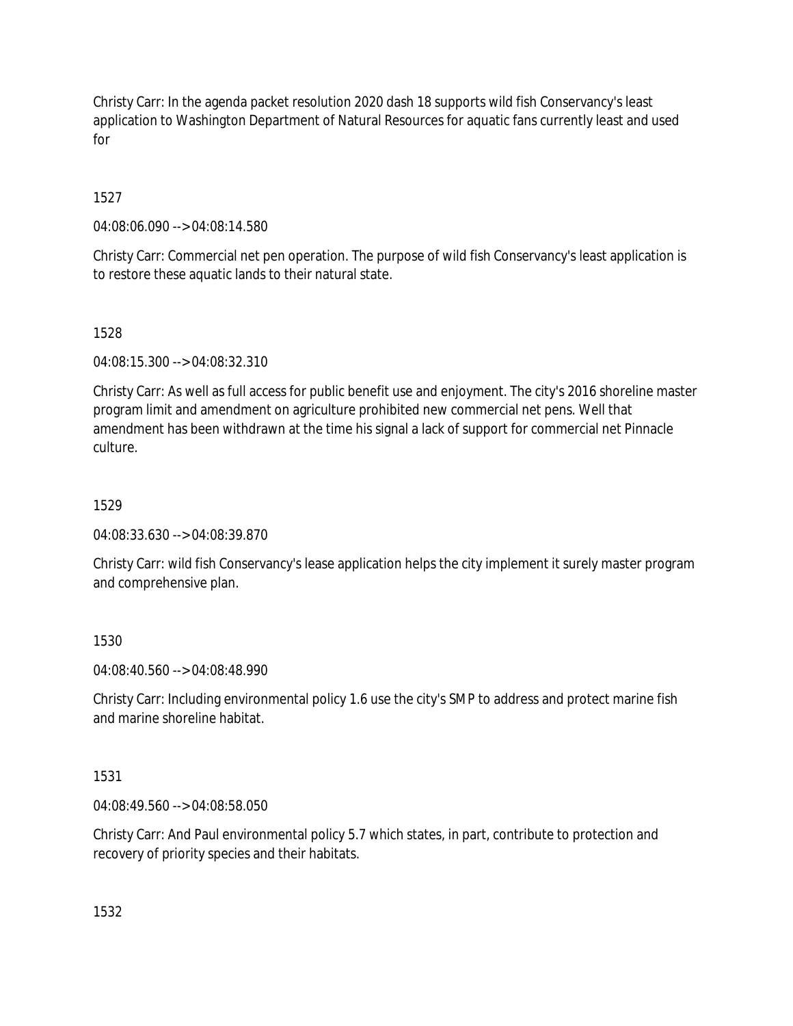Christy Carr: In the agenda packet resolution 2020 dash 18 supports wild fish Conservancy's least application to Washington Department of Natural Resources for aquatic fans currently least and used for

# 1527

04:08:06.090 --> 04:08:14.580

Christy Carr: Commercial net pen operation. The purpose of wild fish Conservancy's least application is to restore these aquatic lands to their natural state.

# 1528

04:08:15.300 --> 04:08:32.310

Christy Carr: As well as full access for public benefit use and enjoyment. The city's 2016 shoreline master program limit and amendment on agriculture prohibited new commercial net pens. Well that amendment has been withdrawn at the time his signal a lack of support for commercial net Pinnacle culture.

# 1529

04:08:33.630 --> 04:08:39.870

Christy Carr: wild fish Conservancy's lease application helps the city implement it surely master program and comprehensive plan.

# 1530

04:08:40.560 --> 04:08:48.990

Christy Carr: Including environmental policy 1.6 use the city's SMP to address and protect marine fish and marine shoreline habitat.

# 1531

04:08:49.560 --> 04:08:58.050

Christy Carr: And Paul environmental policy 5.7 which states, in part, contribute to protection and recovery of priority species and their habitats.

1532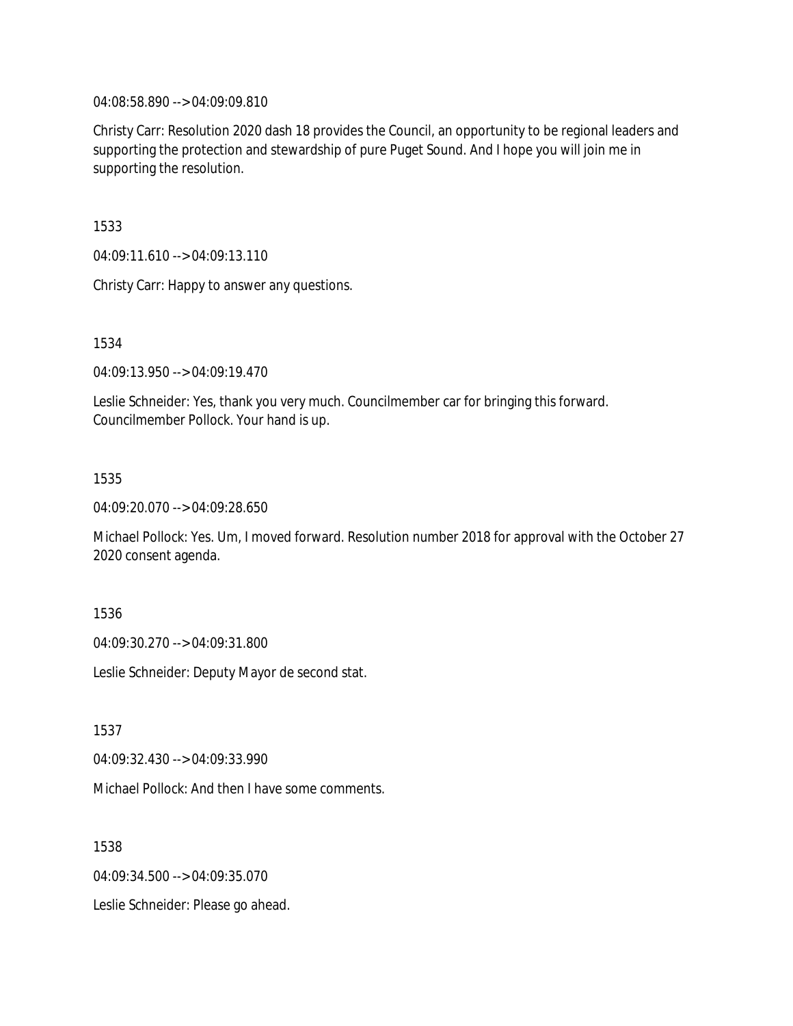04:08:58.890 --> 04:09:09.810

Christy Carr: Resolution 2020 dash 18 provides the Council, an opportunity to be regional leaders and supporting the protection and stewardship of pure Puget Sound. And I hope you will join me in supporting the resolution.

1533

04:09:11.610 --> 04:09:13.110

Christy Carr: Happy to answer any questions.

1534

04:09:13.950 --> 04:09:19.470

Leslie Schneider: Yes, thank you very much. Councilmember car for bringing this forward. Councilmember Pollock. Your hand is up.

1535

04:09:20.070 --> 04:09:28.650

Michael Pollock: Yes. Um, I moved forward. Resolution number 2018 for approval with the October 27 2020 consent agenda.

1536

04:09:30.270 --> 04:09:31.800

Leslie Schneider: Deputy Mayor de second stat.

1537

04:09:32.430 --> 04:09:33.990

Michael Pollock: And then I have some comments.

1538

04:09:34.500 --> 04:09:35.070

Leslie Schneider: Please go ahead.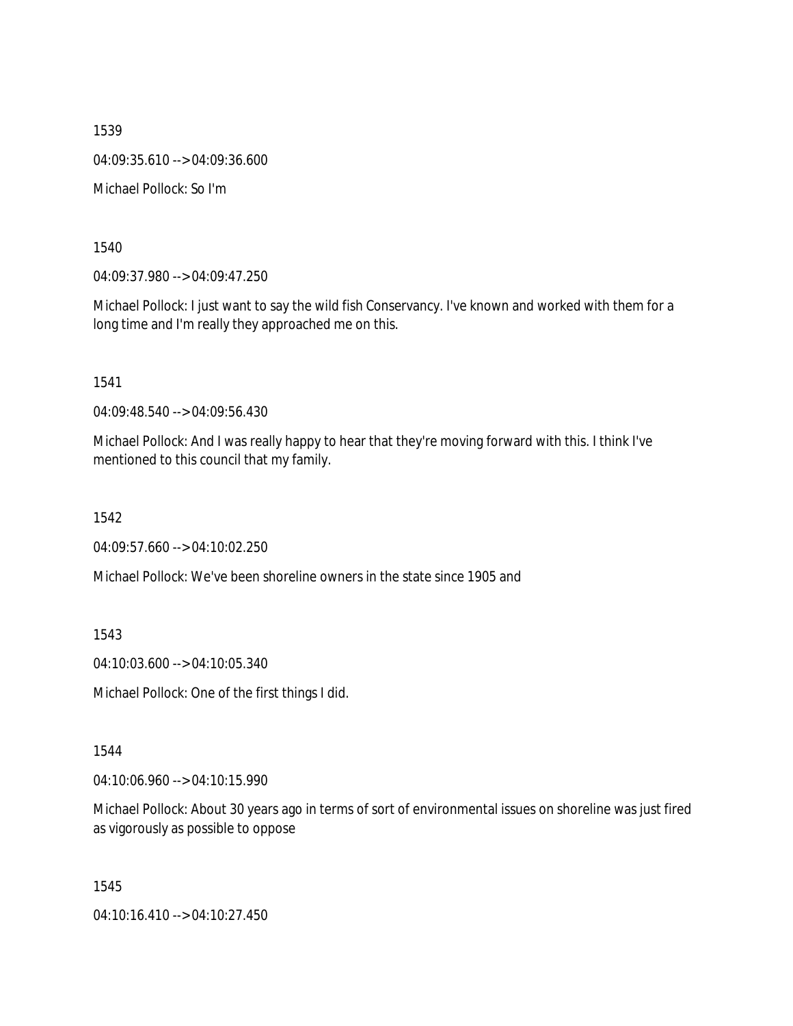1539 04:09:35.610 --> 04:09:36.600 Michael Pollock: So I'm

1540

04:09:37.980 --> 04:09:47.250

Michael Pollock: I just want to say the wild fish Conservancy. I've known and worked with them for a long time and I'm really they approached me on this.

1541

04:09:48.540 --> 04:09:56.430

Michael Pollock: And I was really happy to hear that they're moving forward with this. I think I've mentioned to this council that my family.

1542

04:09:57.660 --> 04:10:02.250

Michael Pollock: We've been shoreline owners in the state since 1905 and

1543

04:10:03.600 --> 04:10:05.340

Michael Pollock: One of the first things I did.

1544

04:10:06.960 --> 04:10:15.990

Michael Pollock: About 30 years ago in terms of sort of environmental issues on shoreline was just fired as vigorously as possible to oppose

1545

04:10:16.410 --> 04:10:27.450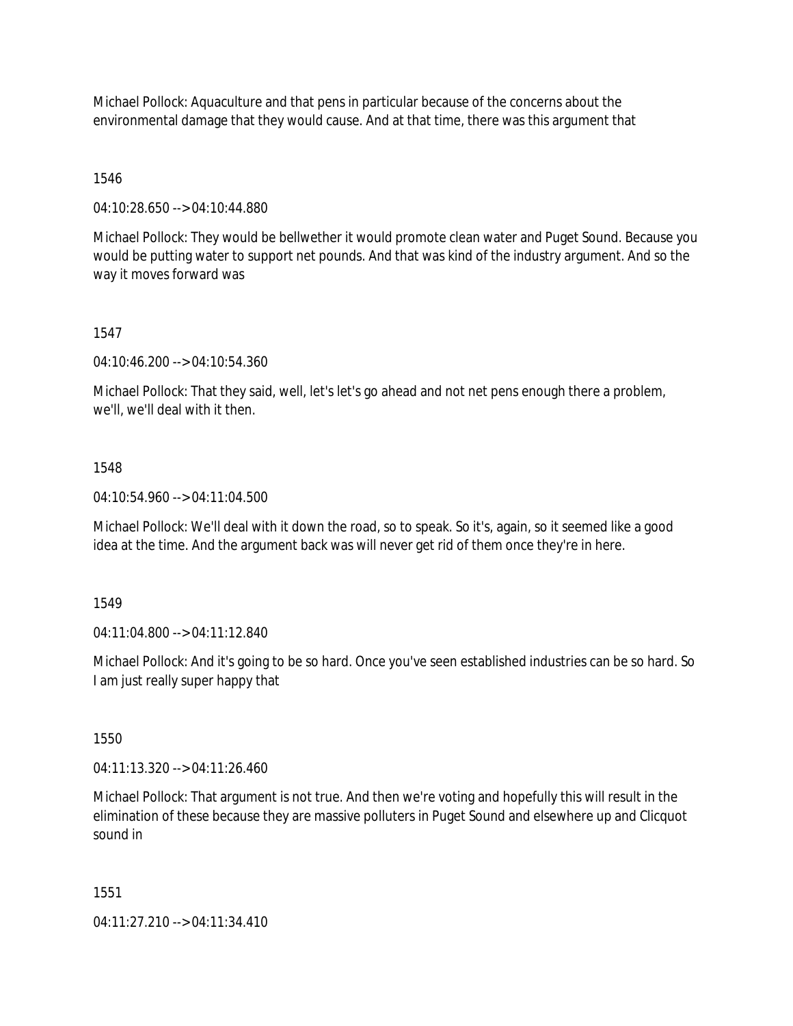Michael Pollock: Aquaculture and that pens in particular because of the concerns about the environmental damage that they would cause. And at that time, there was this argument that

1546

04:10:28.650 --> 04:10:44.880

Michael Pollock: They would be bellwether it would promote clean water and Puget Sound. Because you would be putting water to support net pounds. And that was kind of the industry argument. And so the way it moves forward was

1547

04:10:46.200 --> 04:10:54.360

Michael Pollock: That they said, well, let's let's go ahead and not net pens enough there a problem, we'll, we'll deal with it then.

#### 1548

04:10:54.960 --> 04:11:04.500

Michael Pollock: We'll deal with it down the road, so to speak. So it's, again, so it seemed like a good idea at the time. And the argument back was will never get rid of them once they're in here.

1549

04:11:04.800 --> 04:11:12.840

Michael Pollock: And it's going to be so hard. Once you've seen established industries can be so hard. So I am just really super happy that

1550

04:11:13.320 --> 04:11:26.460

Michael Pollock: That argument is not true. And then we're voting and hopefully this will result in the elimination of these because they are massive polluters in Puget Sound and elsewhere up and Clicquot sound in

1551

04:11:27.210 --> 04:11:34.410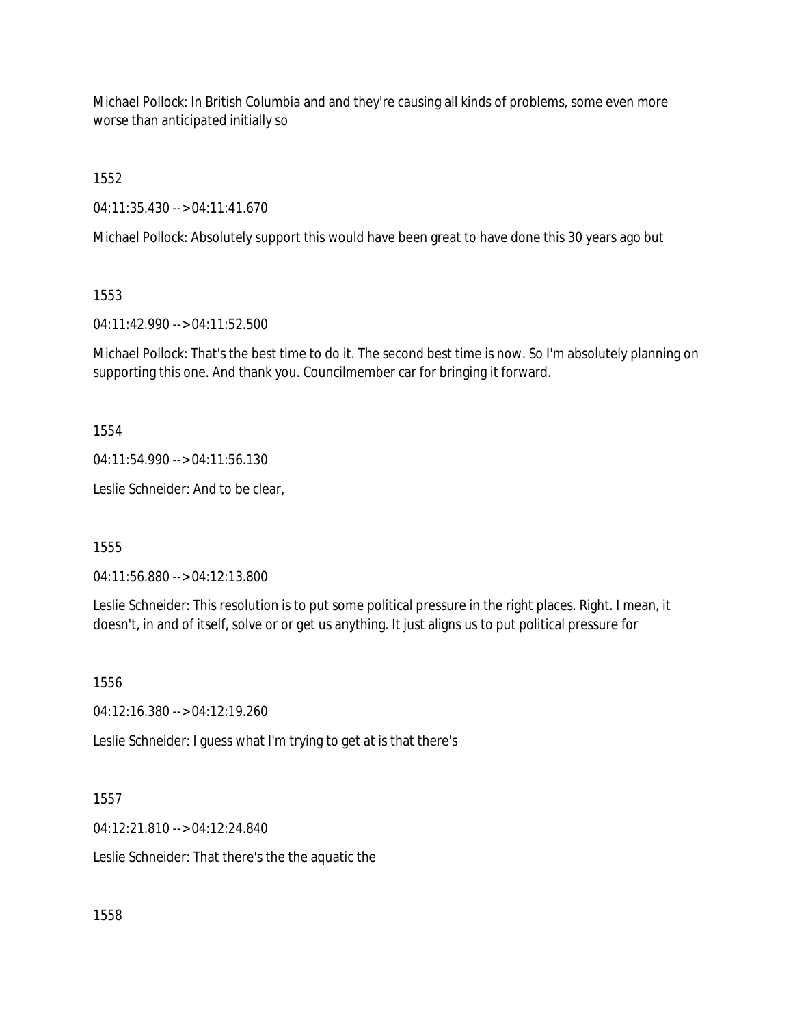Michael Pollock: In British Columbia and and they're causing all kinds of problems, some even more worse than anticipated initially so

1552

04:11:35.430 --> 04:11:41.670

Michael Pollock: Absolutely support this would have been great to have done this 30 years ago but

1553

04:11:42.990 --> 04:11:52.500

Michael Pollock: That's the best time to do it. The second best time is now. So I'm absolutely planning on supporting this one. And thank you. Councilmember car for bringing it forward.

1554

04:11:54.990 --> 04:11:56.130

Leslie Schneider: And to be clear,

1555

04:11:56.880 --> 04:12:13.800

Leslie Schneider: This resolution is to put some political pressure in the right places. Right. I mean, it doesn't, in and of itself, solve or or get us anything. It just aligns us to put political pressure for

1556

04:12:16.380 --> 04:12:19.260

Leslie Schneider: I guess what I'm trying to get at is that there's

1557

04:12:21.810 --> 04:12:24.840

Leslie Schneider: That there's the the aquatic the

1558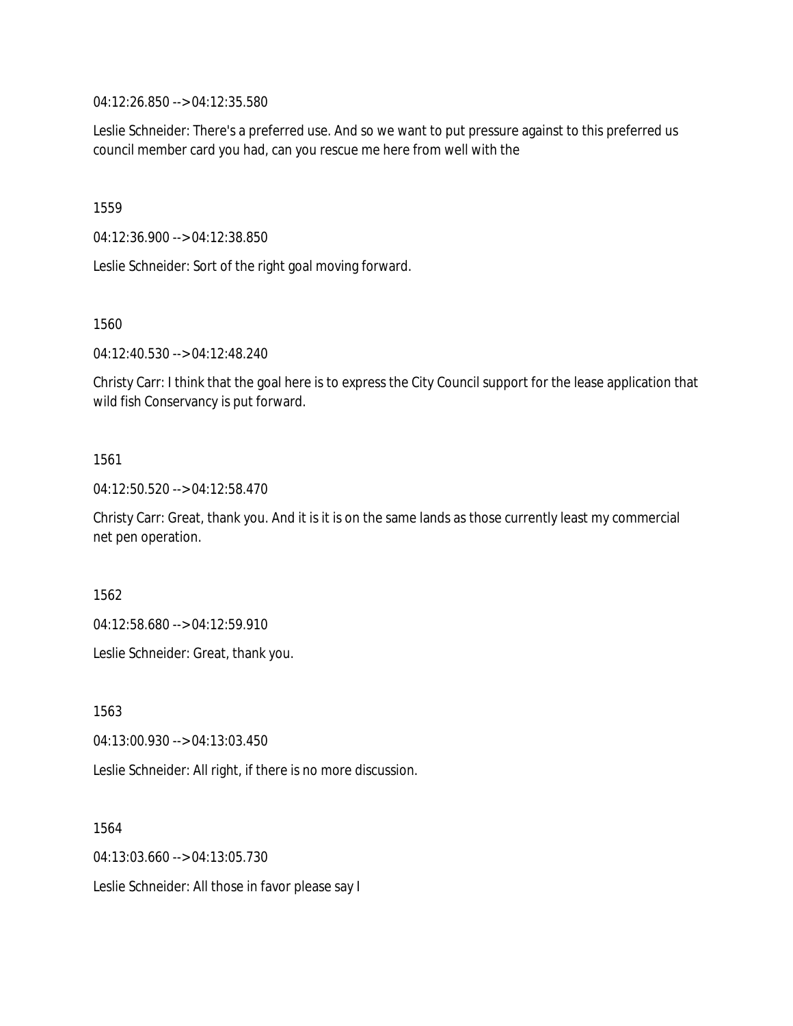04:12:26.850 --> 04:12:35.580

Leslie Schneider: There's a preferred use. And so we want to put pressure against to this preferred us council member card you had, can you rescue me here from well with the

1559

04:12:36.900 --> 04:12:38.850

Leslie Schneider: Sort of the right goal moving forward.

1560

04:12:40.530 --> 04:12:48.240

Christy Carr: I think that the goal here is to express the City Council support for the lease application that wild fish Conservancy is put forward.

#### 1561

04:12:50.520 --> 04:12:58.470

Christy Carr: Great, thank you. And it is it is on the same lands as those currently least my commercial net pen operation.

1562

04:12:58.680 --> 04:12:59.910

Leslie Schneider: Great, thank you.

1563

04:13:00.930 --> 04:13:03.450

Leslie Schneider: All right, if there is no more discussion.

1564

04:13:03.660 --> 04:13:05.730

Leslie Schneider: All those in favor please say I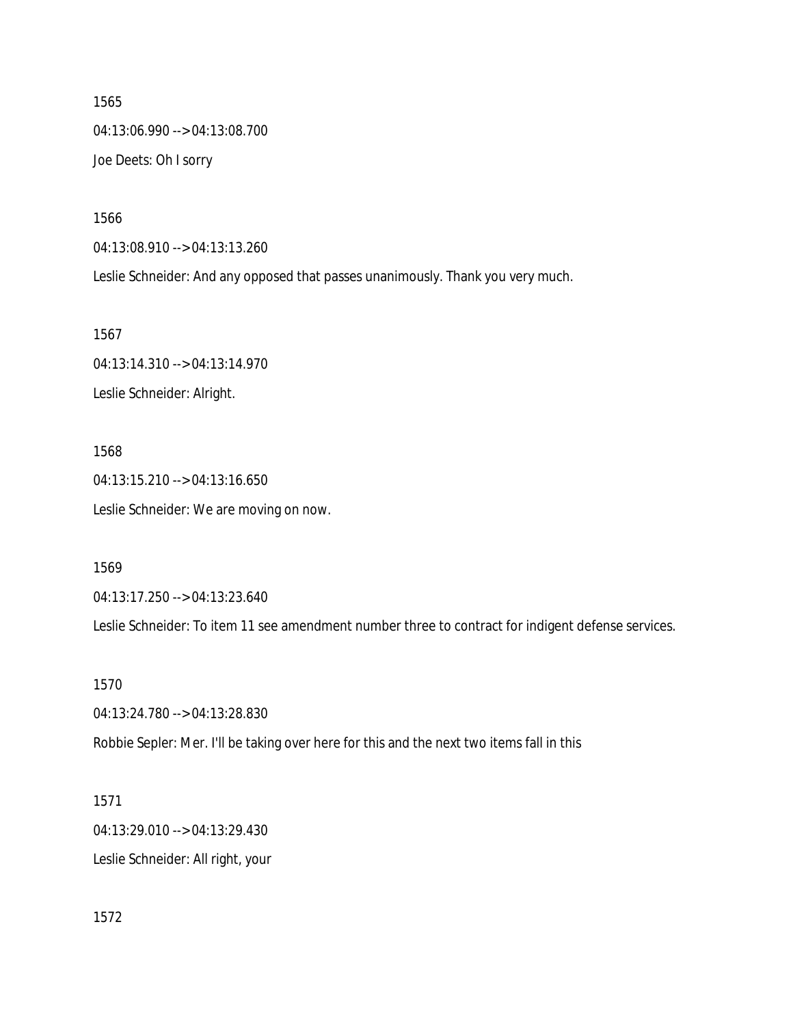1565 04:13:06.990 --> 04:13:08.700 Joe Deets: Oh I sorry

1566

04:13:08.910 --> 04:13:13.260

Leslie Schneider: And any opposed that passes unanimously. Thank you very much.

1567 04:13:14.310 --> 04:13:14.970 Leslie Schneider: Alright.

1568 04:13:15.210 --> 04:13:16.650 Leslie Schneider: We are moving on now.

1569

04:13:17.250 --> 04:13:23.640

Leslie Schneider: To item 11 see amendment number three to contract for indigent defense services.

1570

04:13:24.780 --> 04:13:28.830

Robbie Sepler: Mer. I'll be taking over here for this and the next two items fall in this

1571 04:13:29.010 --> 04:13:29.430 Leslie Schneider: All right, your

1572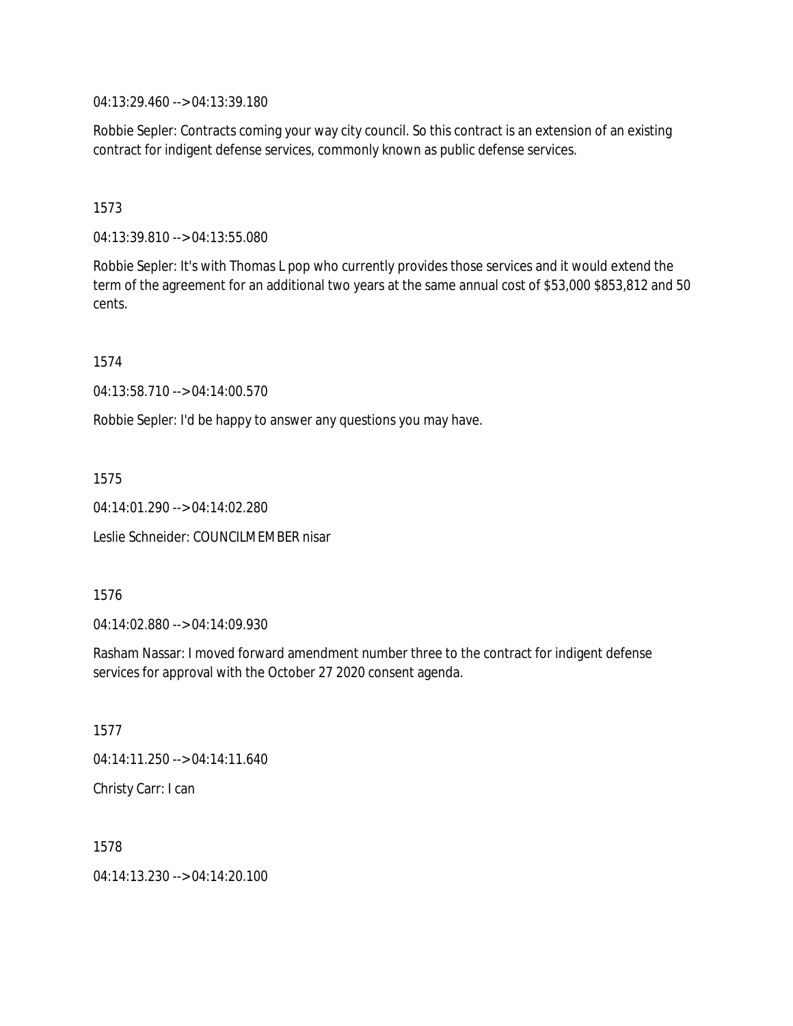04:13:29.460 --> 04:13:39.180

Robbie Sepler: Contracts coming your way city council. So this contract is an extension of an existing contract for indigent defense services, commonly known as public defense services.

1573

04:13:39.810 --> 04:13:55.080

Robbie Sepler: It's with Thomas L pop who currently provides those services and it would extend the term of the agreement for an additional two years at the same annual cost of \$53,000 \$853,812 and 50 cents.

1574

04:13:58.710 --> 04:14:00.570

Robbie Sepler: I'd be happy to answer any questions you may have.

1575

04:14:01.290 --> 04:14:02.280

Leslie Schneider: COUNCILMEMBER nisar

1576

04:14:02.880 --> 04:14:09.930

Rasham Nassar: I moved forward amendment number three to the contract for indigent defense services for approval with the October 27 2020 consent agenda.

1577

04:14:11.250 --> 04:14:11.640

Christy Carr: I can

1578

04:14:13.230 --> 04:14:20.100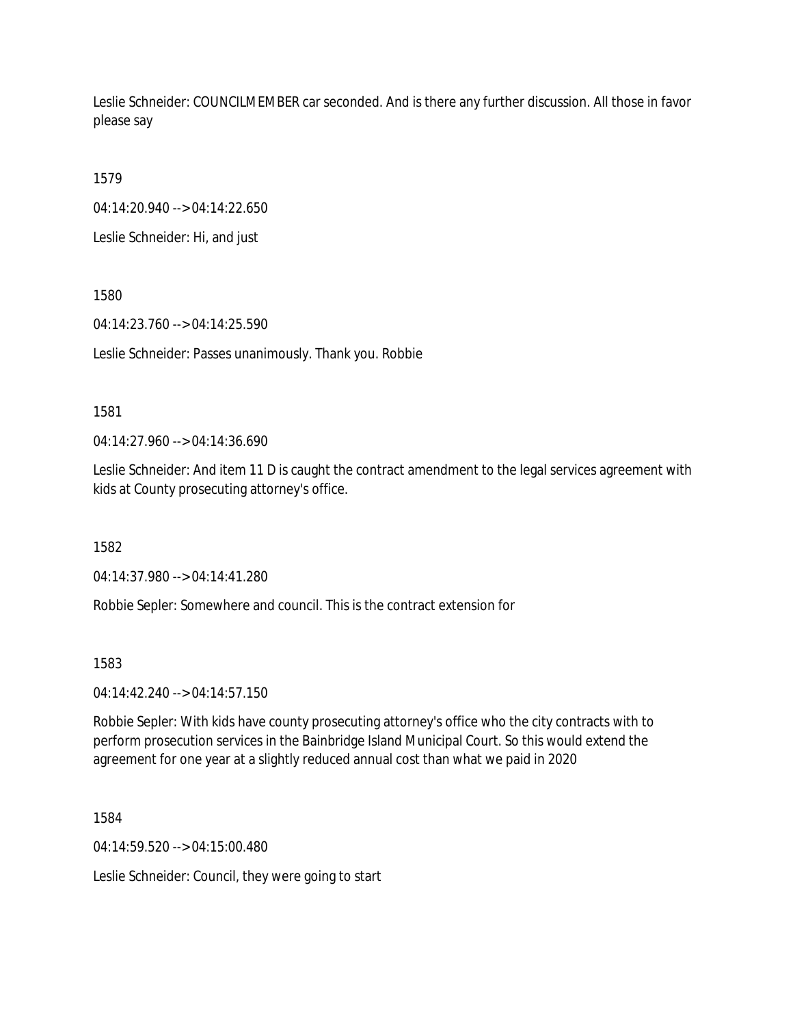Leslie Schneider: COUNCILMEMBER car seconded. And is there any further discussion. All those in favor please say

1579

04:14:20.940 --> 04:14:22.650

Leslie Schneider: Hi, and just

1580

04:14:23.760 --> 04:14:25.590

Leslie Schneider: Passes unanimously. Thank you. Robbie

#### 1581

04:14:27.960 --> 04:14:36.690

Leslie Schneider: And item 11 D is caught the contract amendment to the legal services agreement with kids at County prosecuting attorney's office.

1582

04:14:37.980 --> 04:14:41.280

Robbie Sepler: Somewhere and council. This is the contract extension for

1583

04:14:42.240 --> 04:14:57.150

Robbie Sepler: With kids have county prosecuting attorney's office who the city contracts with to perform prosecution services in the Bainbridge Island Municipal Court. So this would extend the agreement for one year at a slightly reduced annual cost than what we paid in 2020

1584

04:14:59.520 --> 04:15:00.480

Leslie Schneider: Council, they were going to start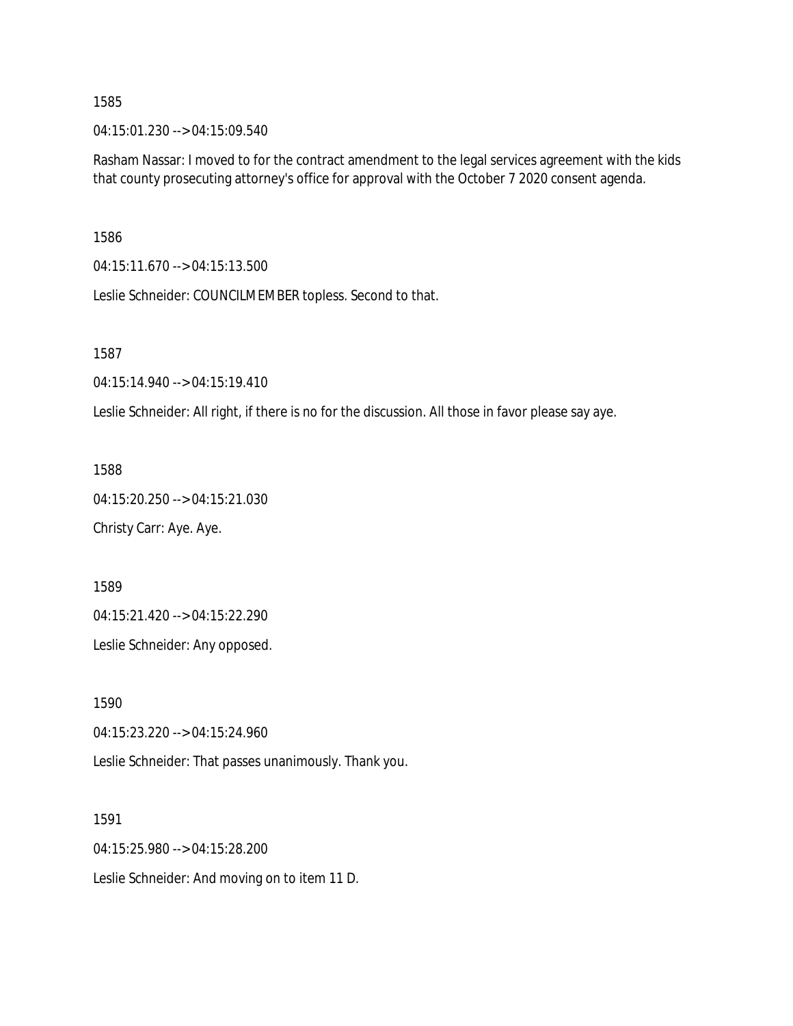04:15:01.230 --> 04:15:09.540

Rasham Nassar: I moved to for the contract amendment to the legal services agreement with the kids that county prosecuting attorney's office for approval with the October 7 2020 consent agenda.

1586

04:15:11.670 --> 04:15:13.500

Leslie Schneider: COUNCILMEMBER topless. Second to that.

1587

04:15:14.940 --> 04:15:19.410

Leslie Schneider: All right, if there is no for the discussion. All those in favor please say aye.

1588

04:15:20.250 --> 04:15:21.030 Christy Carr: Aye. Aye.

1589

04:15:21.420 --> 04:15:22.290

Leslie Schneider: Any opposed.

1590

04:15:23.220 --> 04:15:24.960

Leslie Schneider: That passes unanimously. Thank you.

1591

04:15:25.980 --> 04:15:28.200

Leslie Schneider: And moving on to item 11 D.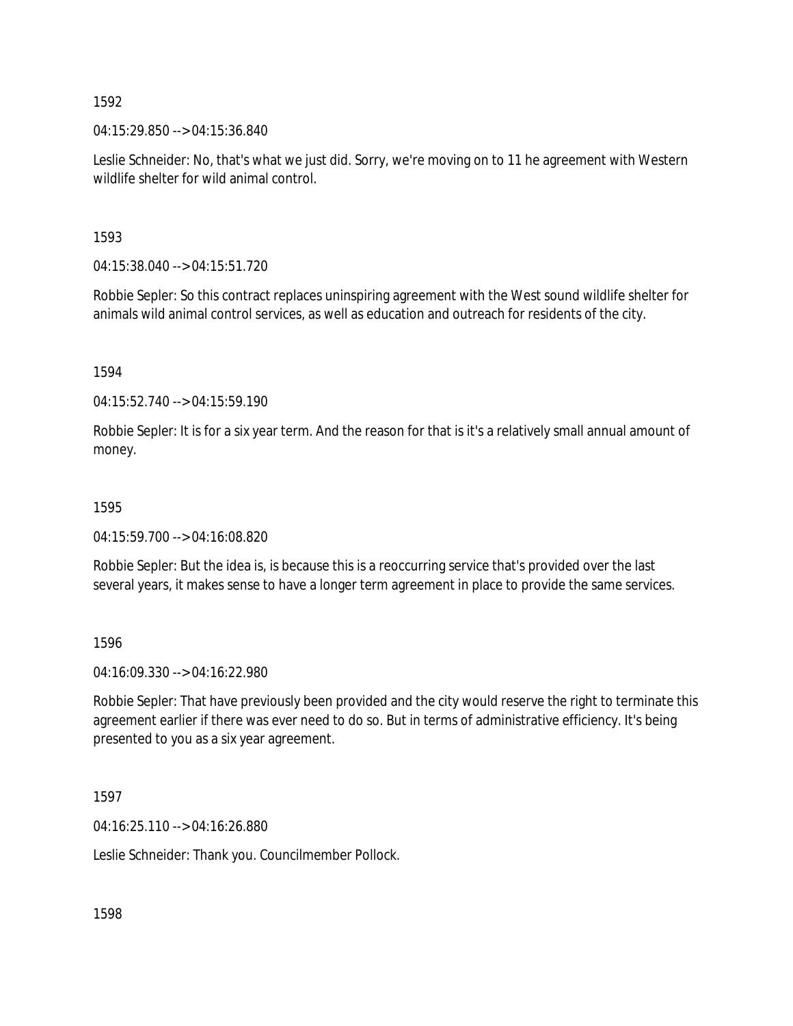04:15:29.850 --> 04:15:36.840

Leslie Schneider: No, that's what we just did. Sorry, we're moving on to 11 he agreement with Western wildlife shelter for wild animal control.

1593

04:15:38.040 --> 04:15:51.720

Robbie Sepler: So this contract replaces uninspiring agreement with the West sound wildlife shelter for animals wild animal control services, as well as education and outreach for residents of the city.

1594

04:15:52.740 --> 04:15:59.190

Robbie Sepler: It is for a six year term. And the reason for that is it's a relatively small annual amount of money.

#### 1595

04:15:59.700 --> 04:16:08.820

Robbie Sepler: But the idea is, is because this is a reoccurring service that's provided over the last several years, it makes sense to have a longer term agreement in place to provide the same services.

1596

04:16:09.330 --> 04:16:22.980

Robbie Sepler: That have previously been provided and the city would reserve the right to terminate this agreement earlier if there was ever need to do so. But in terms of administrative efficiency. It's being presented to you as a six year agreement.

1597

04:16:25.110 --> 04:16:26.880

Leslie Schneider: Thank you. Councilmember Pollock.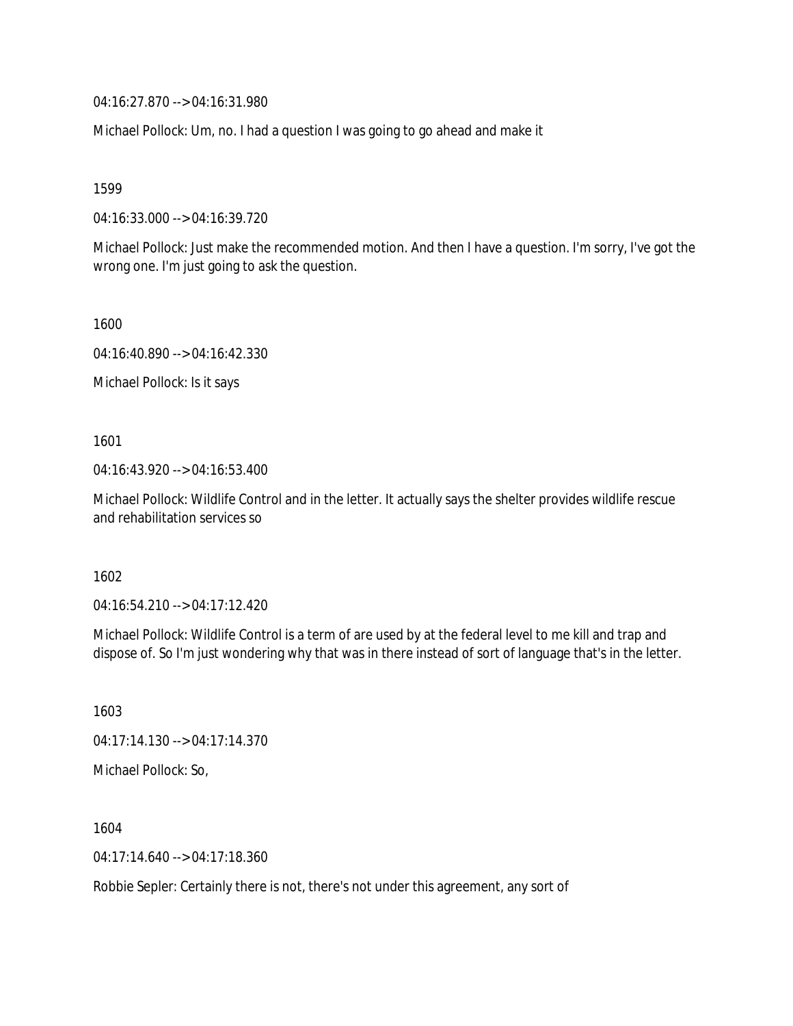04:16:27.870 --> 04:16:31.980

Michael Pollock: Um, no. I had a question I was going to go ahead and make it

1599

04:16:33.000 --> 04:16:39.720

Michael Pollock: Just make the recommended motion. And then I have a question. I'm sorry, I've got the wrong one. I'm just going to ask the question.

1600

04:16:40.890 --> 04:16:42.330

Michael Pollock: Is it says

1601

04:16:43.920 --> 04:16:53.400

Michael Pollock: Wildlife Control and in the letter. It actually says the shelter provides wildlife rescue and rehabilitation services so

1602

04:16:54.210 --> 04:17:12.420

Michael Pollock: Wildlife Control is a term of are used by at the federal level to me kill and trap and dispose of. So I'm just wondering why that was in there instead of sort of language that's in the letter.

1603 04:17:14.130 --> 04:17:14.370 Michael Pollock: So,

1604 04:17:14.640 --> 04:17:18.360

Robbie Sepler: Certainly there is not, there's not under this agreement, any sort of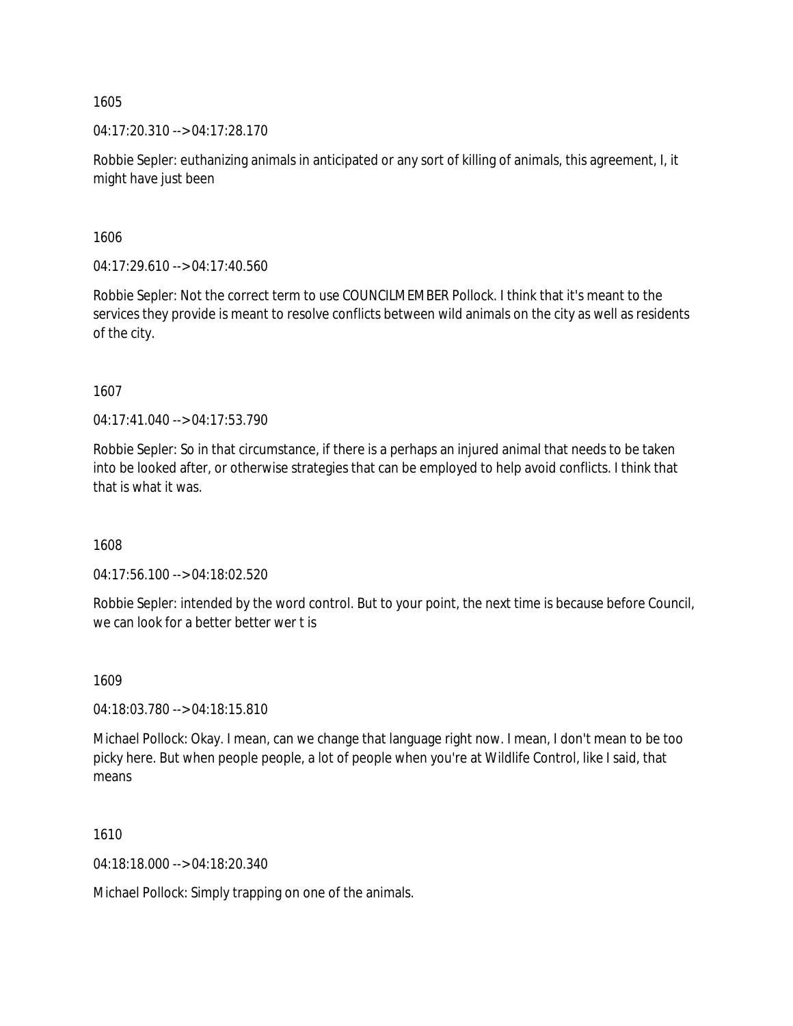04:17:20.310 --> 04:17:28.170

Robbie Sepler: euthanizing animals in anticipated or any sort of killing of animals, this agreement, I, it might have just been

1606

04:17:29.610 --> 04:17:40.560

Robbie Sepler: Not the correct term to use COUNCILMEMBER Pollock. I think that it's meant to the services they provide is meant to resolve conflicts between wild animals on the city as well as residents of the city.

1607

04:17:41.040 --> 04:17:53.790

Robbie Sepler: So in that circumstance, if there is a perhaps an injured animal that needs to be taken into be looked after, or otherwise strategies that can be employed to help avoid conflicts. I think that that is what it was.

1608

04:17:56.100 --> 04:18:02.520

Robbie Sepler: intended by the word control. But to your point, the next time is because before Council, we can look for a better better wer t is

1609

04:18:03.780 --> 04:18:15.810

Michael Pollock: Okay. I mean, can we change that language right now. I mean, I don't mean to be too picky here. But when people people, a lot of people when you're at Wildlife Control, like I said, that means

1610

04:18:18.000 --> 04:18:20.340

Michael Pollock: Simply trapping on one of the animals.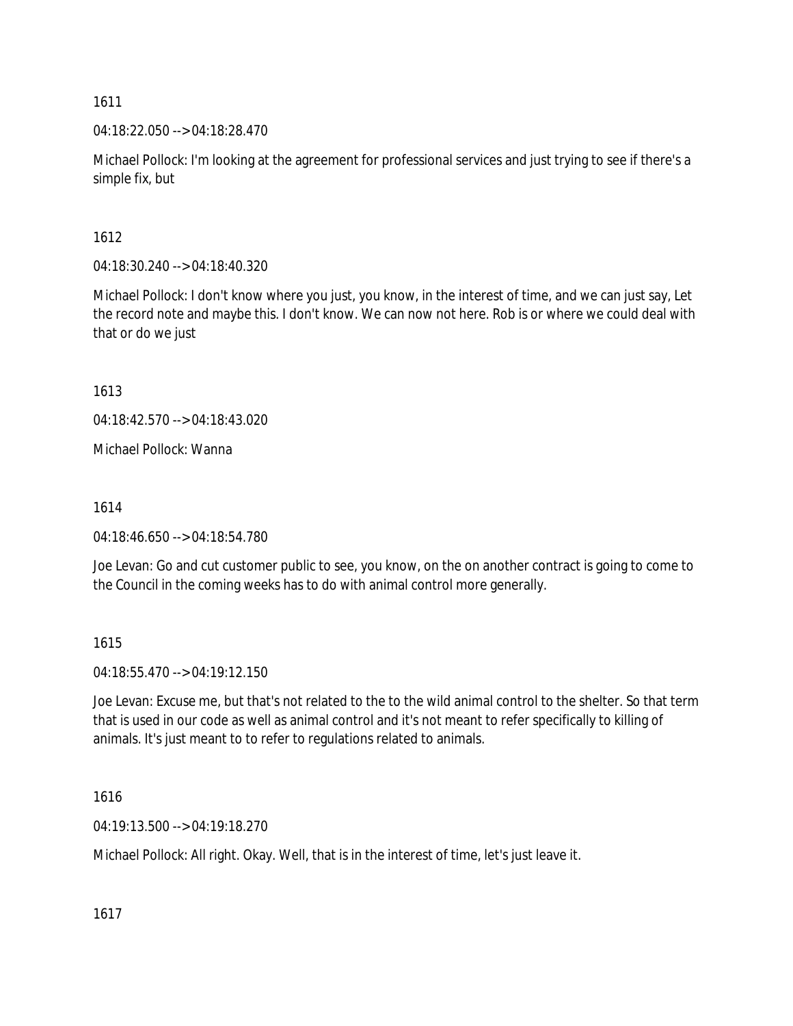04:18:22.050 --> 04:18:28.470

Michael Pollock: I'm looking at the agreement for professional services and just trying to see if there's a simple fix, but

1612

04:18:30.240 --> 04:18:40.320

Michael Pollock: I don't know where you just, you know, in the interest of time, and we can just say, Let the record note and maybe this. I don't know. We can now not here. Rob is or where we could deal with that or do we just

1613

04:18:42.570 --> 04:18:43.020

Michael Pollock: Wanna

1614

04:18:46.650 --> 04:18:54.780

Joe Levan: Go and cut customer public to see, you know, on the on another contract is going to come to the Council in the coming weeks has to do with animal control more generally.

1615

04:18:55.470 --> 04:19:12.150

Joe Levan: Excuse me, but that's not related to the to the wild animal control to the shelter. So that term that is used in our code as well as animal control and it's not meant to refer specifically to killing of animals. It's just meant to to refer to regulations related to animals.

1616

04:19:13.500 --> 04:19:18.270

Michael Pollock: All right. Okay. Well, that is in the interest of time, let's just leave it.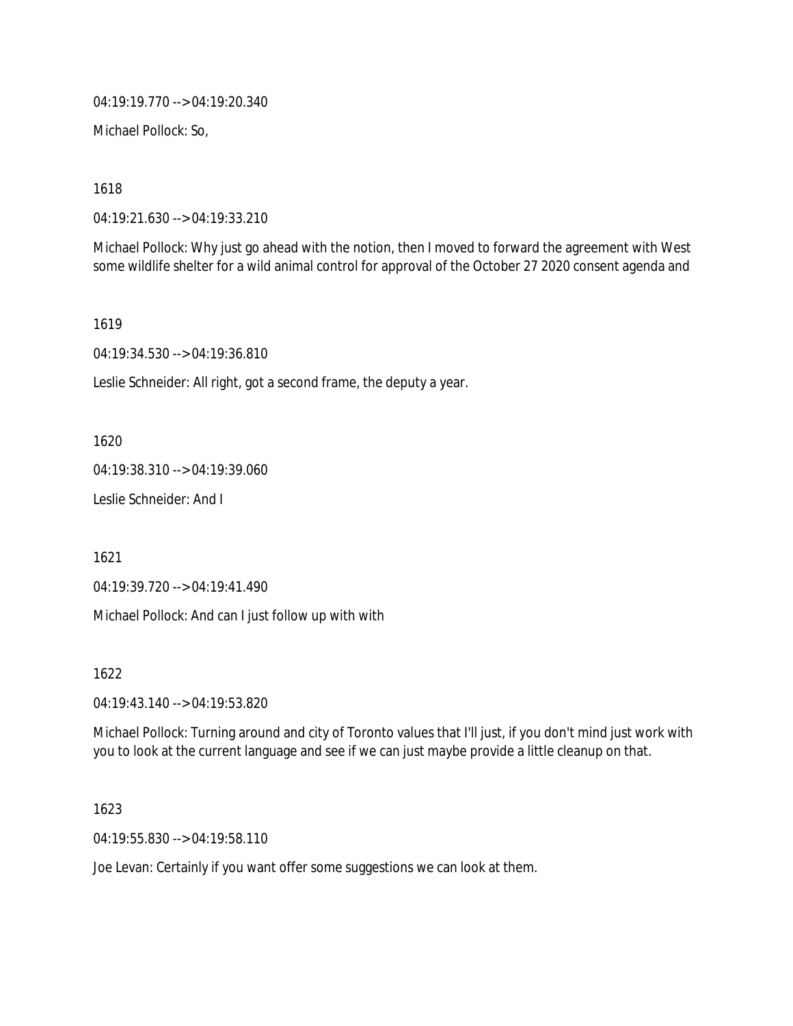04:19:19.770 --> 04:19:20.340

Michael Pollock: So,

1618

04:19:21.630 --> 04:19:33.210

Michael Pollock: Why just go ahead with the notion, then I moved to forward the agreement with West some wildlife shelter for a wild animal control for approval of the October 27 2020 consent agenda and

1619

04:19:34.530 --> 04:19:36.810

Leslie Schneider: All right, got a second frame, the deputy a year.

1620

04:19:38.310 --> 04:19:39.060

Leslie Schneider: And I

1621

04:19:39.720 --> 04:19:41.490

Michael Pollock: And can I just follow up with with

1622

04:19:43.140 --> 04:19:53.820

Michael Pollock: Turning around and city of Toronto values that I'll just, if you don't mind just work with you to look at the current language and see if we can just maybe provide a little cleanup on that.

1623

04:19:55.830 --> 04:19:58.110

Joe Levan: Certainly if you want offer some suggestions we can look at them.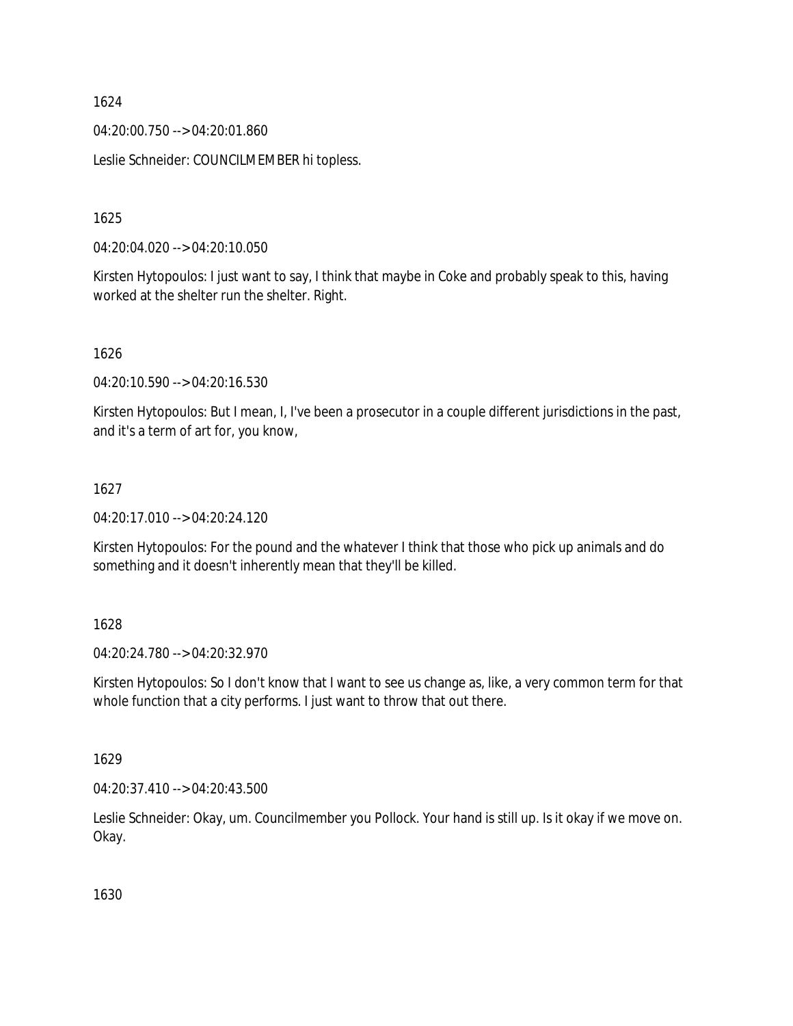04:20:00.750 --> 04:20:01.860

Leslie Schneider: COUNCILMEMBER hi topless.

1625

04:20:04.020 --> 04:20:10.050

Kirsten Hytopoulos: I just want to say, I think that maybe in Coke and probably speak to this, having worked at the shelter run the shelter. Right.

1626

04:20:10.590 --> 04:20:16.530

Kirsten Hytopoulos: But I mean, I, I've been a prosecutor in a couple different jurisdictions in the past, and it's a term of art for, you know,

# 1627

04:20:17.010 --> 04:20:24.120

Kirsten Hytopoulos: For the pound and the whatever I think that those who pick up animals and do something and it doesn't inherently mean that they'll be killed.

1628

04:20:24.780 --> 04:20:32.970

Kirsten Hytopoulos: So I don't know that I want to see us change as, like, a very common term for that whole function that a city performs. I just want to throw that out there.

1629

04:20:37.410 --> 04:20:43.500

Leslie Schneider: Okay, um. Councilmember you Pollock. Your hand is still up. Is it okay if we move on. Okay.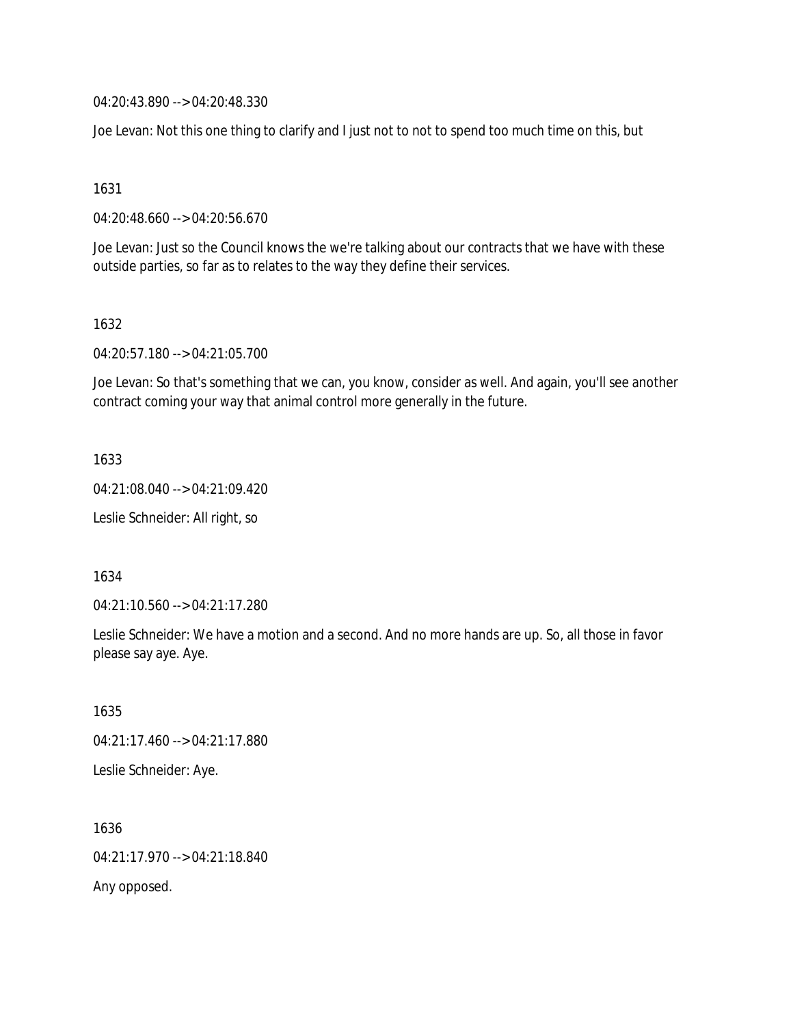04:20:43.890 --> 04:20:48.330

Joe Levan: Not this one thing to clarify and I just not to not to spend too much time on this, but

1631

04:20:48.660 --> 04:20:56.670

Joe Levan: Just so the Council knows the we're talking about our contracts that we have with these outside parties, so far as to relates to the way they define their services.

1632

04:20:57.180 --> 04:21:05.700

Joe Levan: So that's something that we can, you know, consider as well. And again, you'll see another contract coming your way that animal control more generally in the future.

1633

04:21:08.040 --> 04:21:09.420

Leslie Schneider: All right, so

1634

04:21:10.560 --> 04:21:17.280

Leslie Schneider: We have a motion and a second. And no more hands are up. So, all those in favor please say aye. Aye.

1635 04:21:17.460 --> 04:21:17.880 Leslie Schneider: Aye.

1636 04:21:17.970 --> 04:21:18.840 Any opposed.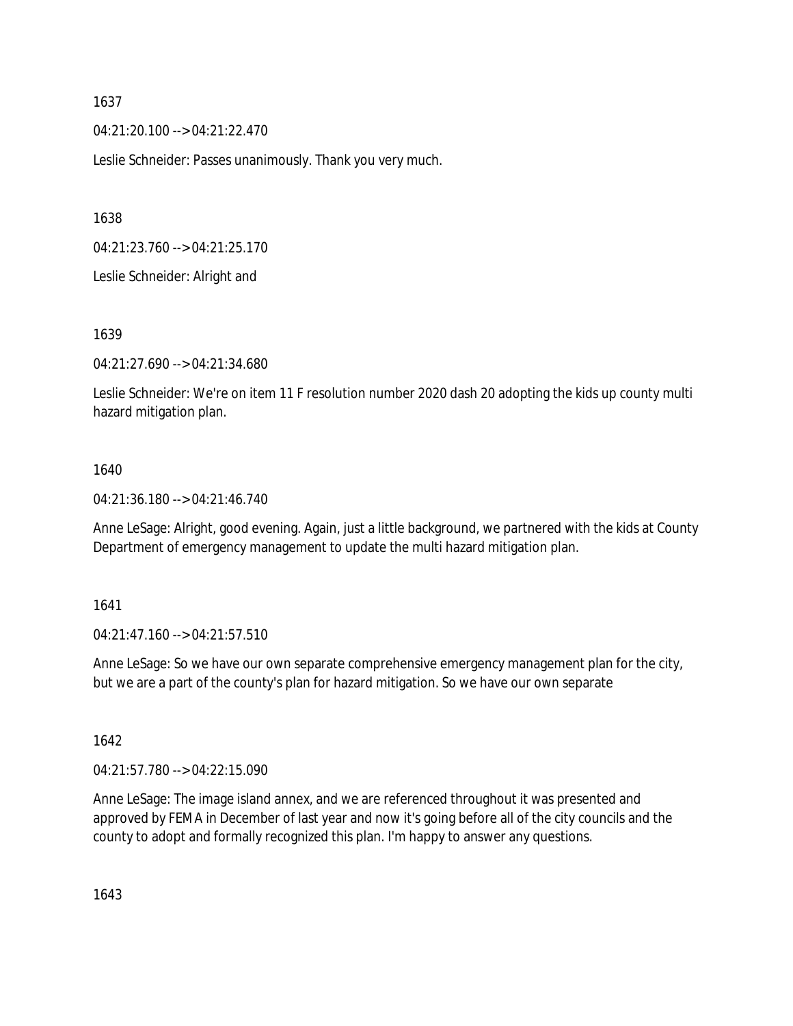04:21:20.100 --> 04:21:22.470

Leslie Schneider: Passes unanimously. Thank you very much.

1638

04:21:23.760 --> 04:21:25.170

Leslie Schneider: Alright and

1639

04:21:27.690 --> 04:21:34.680

Leslie Schneider: We're on item 11 F resolution number 2020 dash 20 adopting the kids up county multi hazard mitigation plan.

#### 1640

04:21:36.180 --> 04:21:46.740

Anne LeSage: Alright, good evening. Again, just a little background, we partnered with the kids at County Department of emergency management to update the multi hazard mitigation plan.

1641

04:21:47.160 --> 04:21:57.510

Anne LeSage: So we have our own separate comprehensive emergency management plan for the city, but we are a part of the county's plan for hazard mitigation. So we have our own separate

1642

04:21:57.780 --> 04:22:15.090

Anne LeSage: The image island annex, and we are referenced throughout it was presented and approved by FEMA in December of last year and now it's going before all of the city councils and the county to adopt and formally recognized this plan. I'm happy to answer any questions.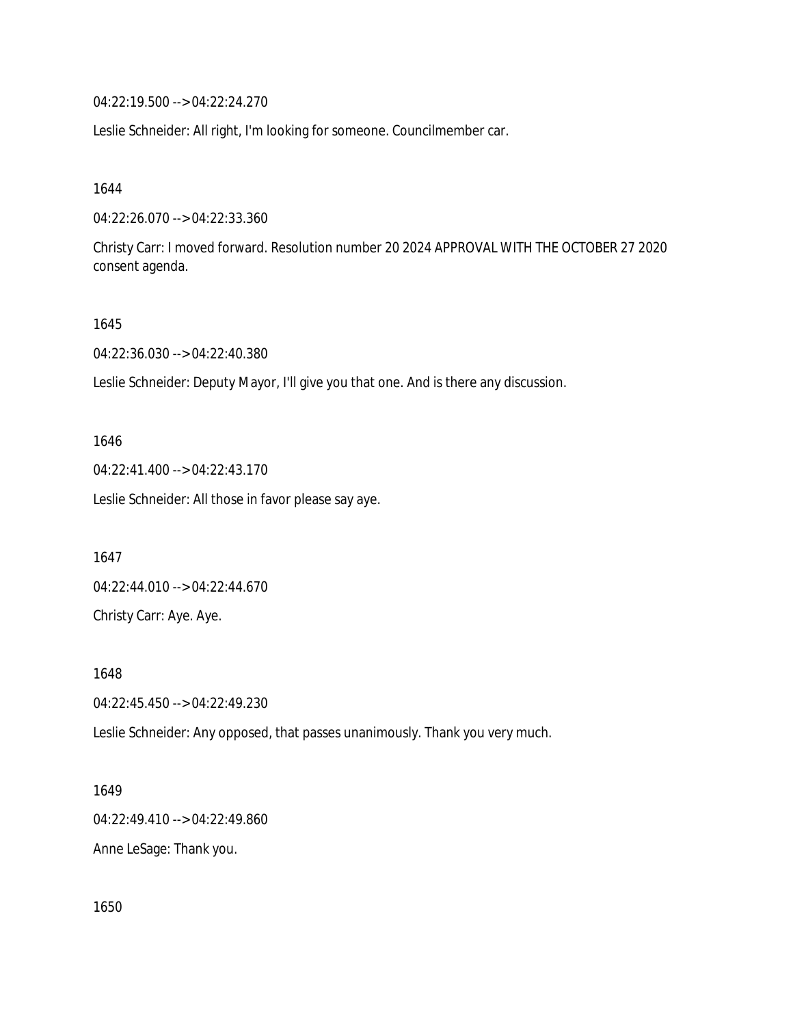04:22:19.500 --> 04:22:24.270

Leslie Schneider: All right, I'm looking for someone. Councilmember car.

1644

04:22:26.070 --> 04:22:33.360

Christy Carr: I moved forward. Resolution number 20 2024 APPROVAL WITH THE OCTOBER 27 2020 consent agenda.

1645

04:22:36.030 --> 04:22:40.380

Leslie Schneider: Deputy Mayor, I'll give you that one. And is there any discussion.

1646

04:22:41.400 --> 04:22:43.170

Leslie Schneider: All those in favor please say aye.

1647

04:22:44.010 --> 04:22:44.670 Christy Carr: Aye. Aye.

1648

04:22:45.450 --> 04:22:49.230

Leslie Schneider: Any opposed, that passes unanimously. Thank you very much.

1649

04:22:49.410 --> 04:22:49.860

Anne LeSage: Thank you.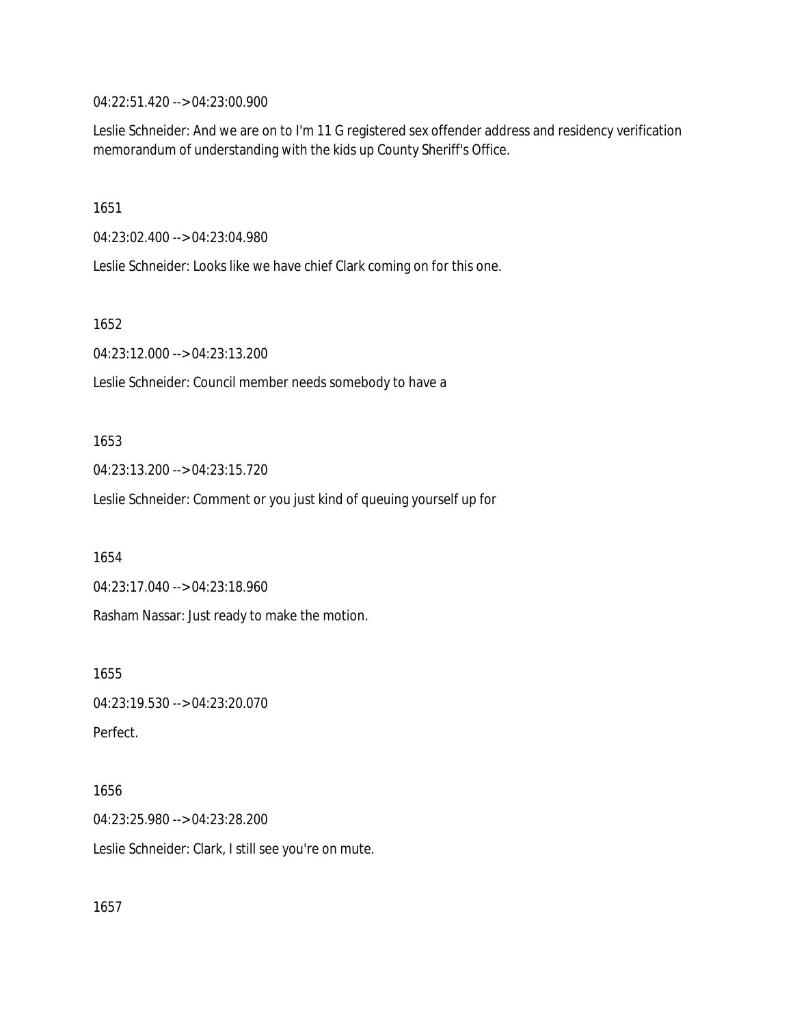04:22:51.420 --> 04:23:00.900

Leslie Schneider: And we are on to I'm 11 G registered sex offender address and residency verification memorandum of understanding with the kids up County Sheriff's Office.

1651

04:23:02.400 --> 04:23:04.980

Leslie Schneider: Looks like we have chief Clark coming on for this one.

1652

04:23:12.000 --> 04:23:13.200

Leslie Schneider: Council member needs somebody to have a

# 1653

04:23:13.200 --> 04:23:15.720

Leslie Schneider: Comment or you just kind of queuing yourself up for

1654

04:23:17.040 --> 04:23:18.960

Rasham Nassar: Just ready to make the motion.

1655

04:23:19.530 --> 04:23:20.070 Perfect.

# 1656

04:23:25.980 --> 04:23:28.200

Leslie Schneider: Clark, I still see you're on mute.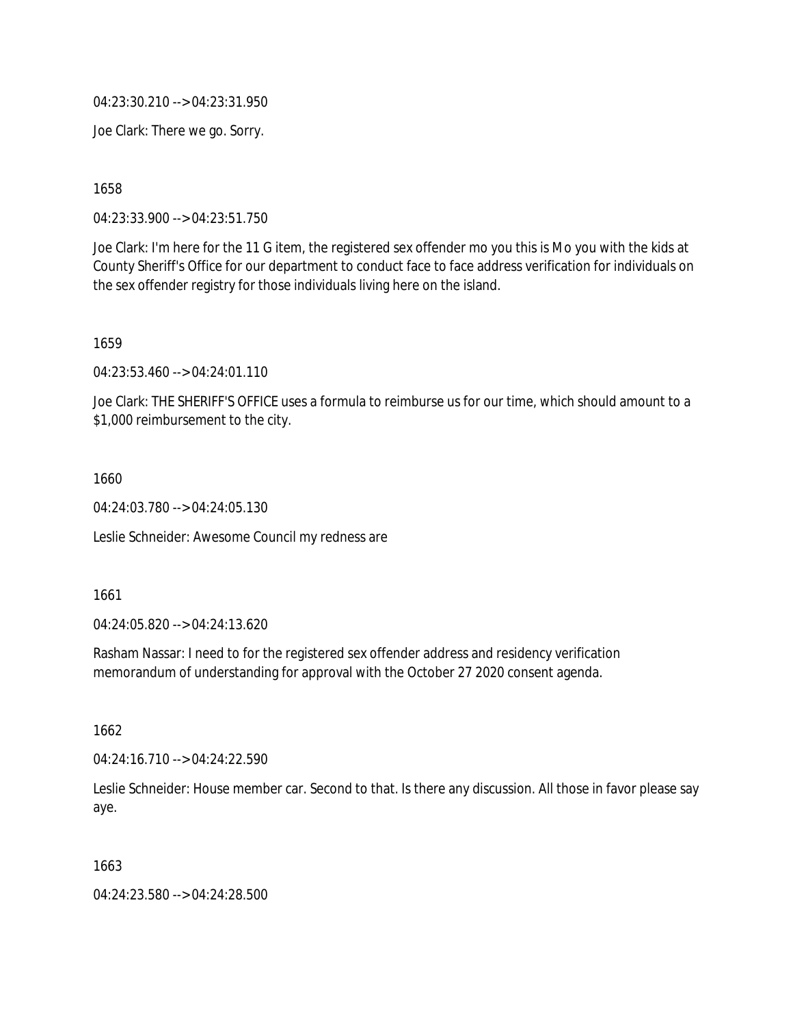04:23:30.210 --> 04:23:31.950

Joe Clark: There we go. Sorry.

1658

04:23:33.900 --> 04:23:51.750

Joe Clark: I'm here for the 11 G item, the registered sex offender mo you this is Mo you with the kids at County Sheriff's Office for our department to conduct face to face address verification for individuals on the sex offender registry for those individuals living here on the island.

1659

04:23:53.460 --> 04:24:01.110

Joe Clark: THE SHERIFF'S OFFICE uses a formula to reimburse us for our time, which should amount to a \$1,000 reimbursement to the city.

1660

04:24:03.780 --> 04:24:05.130

Leslie Schneider: Awesome Council my redness are

1661

04:24:05.820 --> 04:24:13.620

Rasham Nassar: I need to for the registered sex offender address and residency verification memorandum of understanding for approval with the October 27 2020 consent agenda.

1662

04:24:16.710 --> 04:24:22.590

Leslie Schneider: House member car. Second to that. Is there any discussion. All those in favor please say aye.

1663

04:24:23.580 --> 04:24:28.500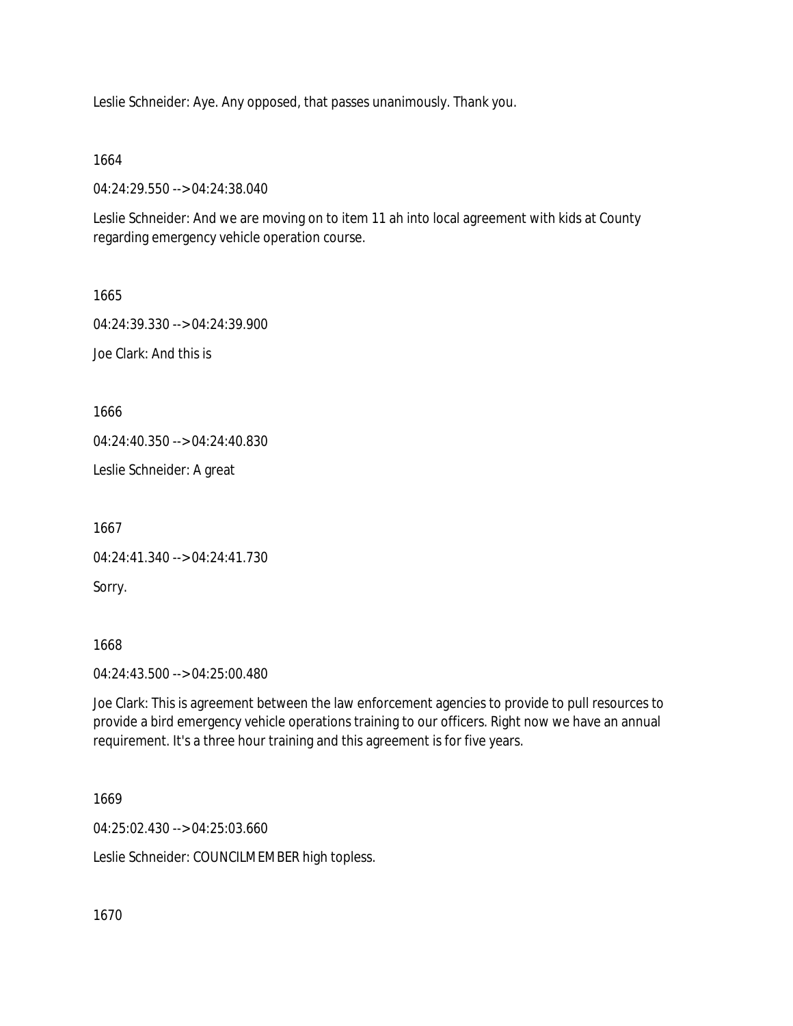Leslie Schneider: Aye. Any opposed, that passes unanimously. Thank you.

1664

04:24:29.550 --> 04:24:38.040

Leslie Schneider: And we are moving on to item 11 ah into local agreement with kids at County regarding emergency vehicle operation course.

1665

04:24:39.330 --> 04:24:39.900 Joe Clark: And this is

1666

04:24:40.350 --> 04:24:40.830

Leslie Schneider: A great

1667 04:24:41.340 --> 04:24:41.730 Sorry.

1668

04:24:43.500 --> 04:25:00.480

Joe Clark: This is agreement between the law enforcement agencies to provide to pull resources to provide a bird emergency vehicle operations training to our officers. Right now we have an annual requirement. It's a three hour training and this agreement is for five years.

1669

04:25:02.430 --> 04:25:03.660

Leslie Schneider: COUNCILMEMBER high topless.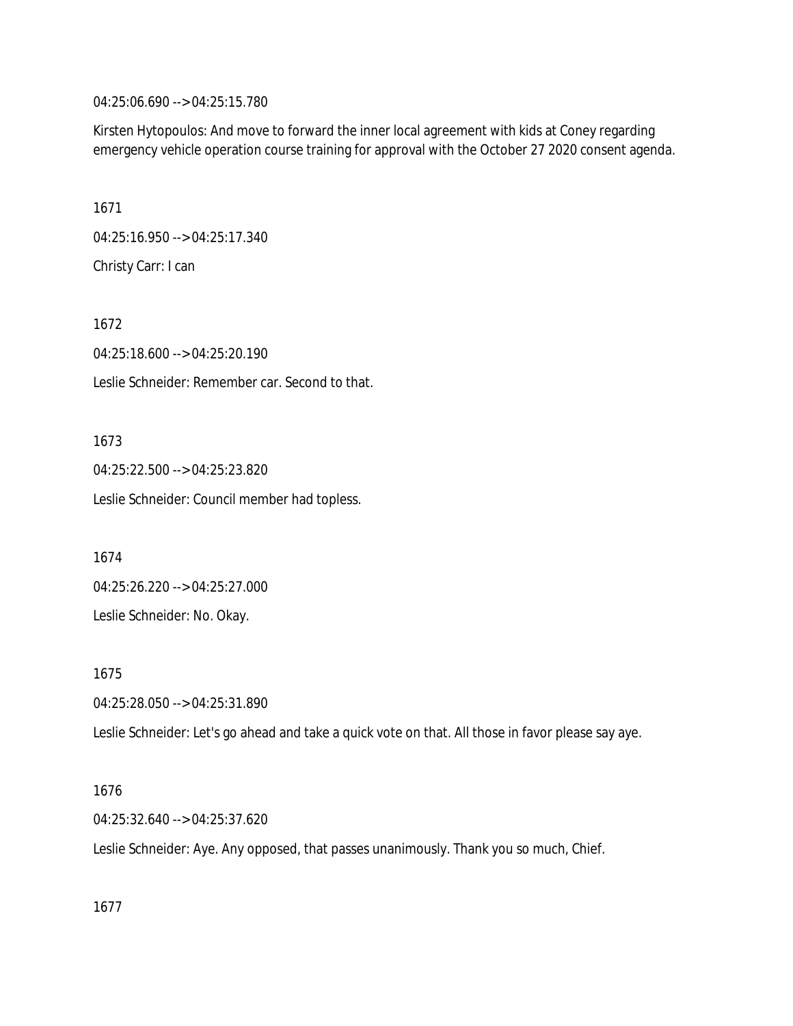04:25:06.690 --> 04:25:15.780

Kirsten Hytopoulos: And move to forward the inner local agreement with kids at Coney regarding emergency vehicle operation course training for approval with the October 27 2020 consent agenda.

1671 04:25:16.950 --> 04:25:17.340 Christy Carr: I can

1672 04:25:18.600 --> 04:25:20.190 Leslie Schneider: Remember car. Second to that.

1673 04:25:22.500 --> 04:25:23.820 Leslie Schneider: Council member had topless.

1674 04:25:26.220 --> 04:25:27.000 Leslie Schneider: No. Okay.

1675 04:25:28.050 --> 04:25:31.890

Leslie Schneider: Let's go ahead and take a quick vote on that. All those in favor please say aye.

#### 1676

04:25:32.640 --> 04:25:37.620

Leslie Schneider: Aye. Any opposed, that passes unanimously. Thank you so much, Chief.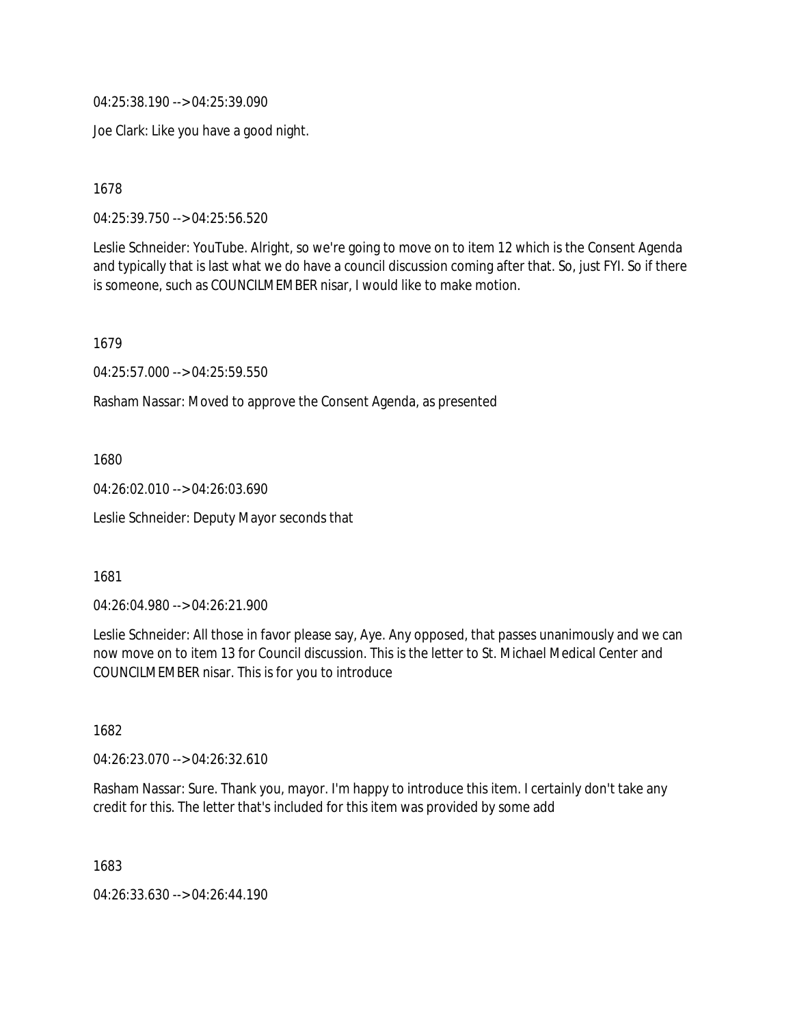04:25:38.190 --> 04:25:39.090

Joe Clark: Like you have a good night.

1678

04:25:39.750 --> 04:25:56.520

Leslie Schneider: YouTube. Alright, so we're going to move on to item 12 which is the Consent Agenda and typically that is last what we do have a council discussion coming after that. So, just FYI. So if there is someone, such as COUNCILMEMBER nisar, I would like to make motion.

1679

04:25:57.000 --> 04:25:59.550

Rasham Nassar: Moved to approve the Consent Agenda, as presented

1680

04:26:02.010 --> 04:26:03.690

Leslie Schneider: Deputy Mayor seconds that

1681

04:26:04.980 --> 04:26:21.900

Leslie Schneider: All those in favor please say, Aye. Any opposed, that passes unanimously and we can now move on to item 13 for Council discussion. This is the letter to St. Michael Medical Center and COUNCILMEMBER nisar. This is for you to introduce

1682

04:26:23.070 --> 04:26:32.610

Rasham Nassar: Sure. Thank you, mayor. I'm happy to introduce this item. I certainly don't take any credit for this. The letter that's included for this item was provided by some add

1683

04:26:33.630 --> 04:26:44.190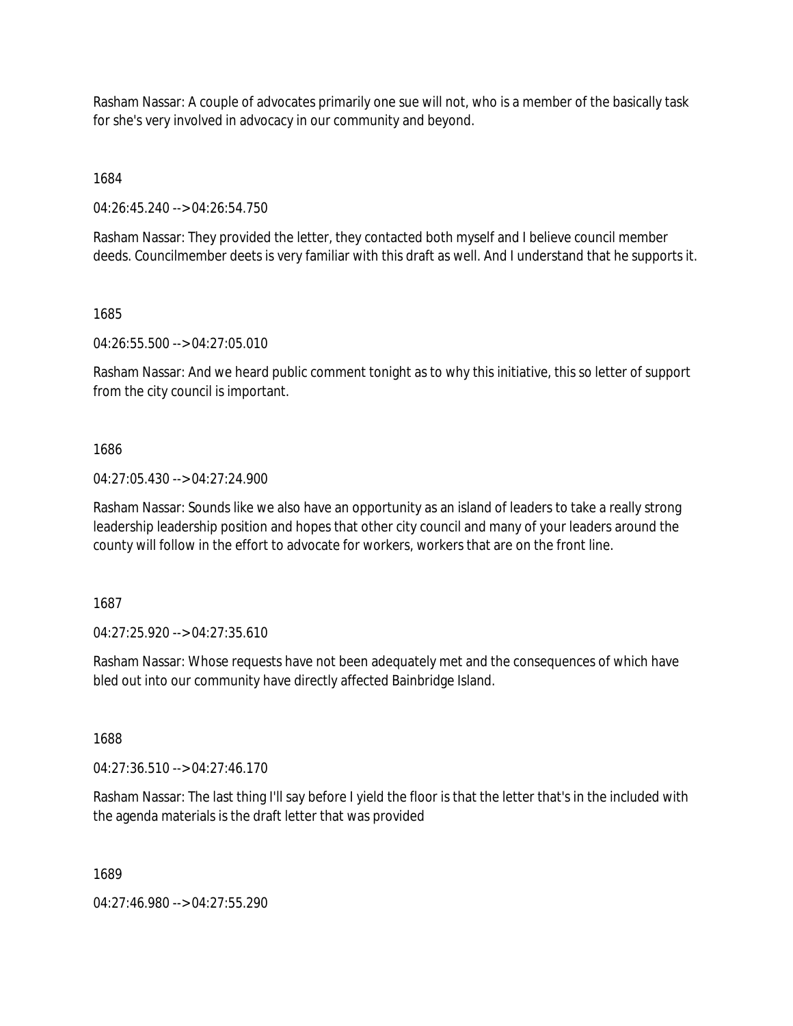Rasham Nassar: A couple of advocates primarily one sue will not, who is a member of the basically task for she's very involved in advocacy in our community and beyond.

1684

04:26:45.240 --> 04:26:54.750

Rasham Nassar: They provided the letter, they contacted both myself and I believe council member deeds. Councilmember deets is very familiar with this draft as well. And I understand that he supports it.

1685

04:26:55.500 --> 04:27:05.010

Rasham Nassar: And we heard public comment tonight as to why this initiative, this so letter of support from the city council is important.

1686

04:27:05.430 --> 04:27:24.900

Rasham Nassar: Sounds like we also have an opportunity as an island of leaders to take a really strong leadership leadership position and hopes that other city council and many of your leaders around the county will follow in the effort to advocate for workers, workers that are on the front line.

1687

04:27:25.920 --> 04:27:35.610

Rasham Nassar: Whose requests have not been adequately met and the consequences of which have bled out into our community have directly affected Bainbridge Island.

1688

04:27:36.510 --> 04:27:46.170

Rasham Nassar: The last thing I'll say before I yield the floor is that the letter that's in the included with the agenda materials is the draft letter that was provided

1689

04:27:46.980 --> 04:27:55.290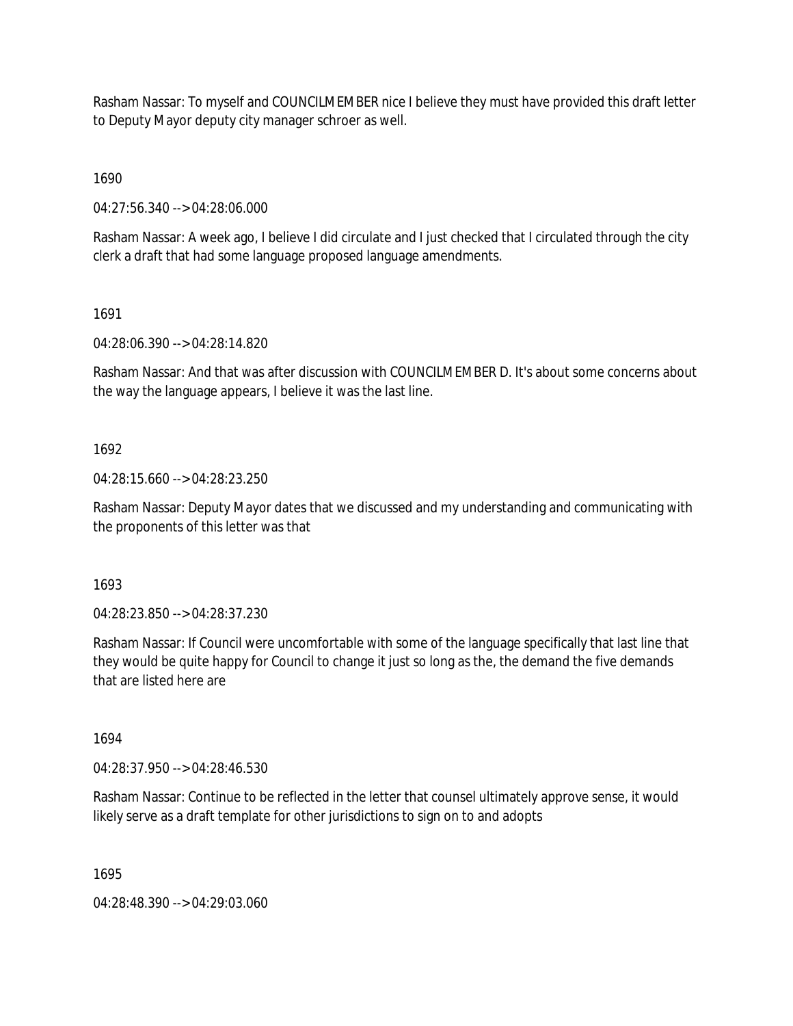Rasham Nassar: To myself and COUNCILMEMBER nice I believe they must have provided this draft letter to Deputy Mayor deputy city manager schroer as well.

1690

04:27:56.340 --> 04:28:06.000

Rasham Nassar: A week ago, I believe I did circulate and I just checked that I circulated through the city clerk a draft that had some language proposed language amendments.

1691

04:28:06.390 --> 04:28:14.820

Rasham Nassar: And that was after discussion with COUNCILMEMBER D. It's about some concerns about the way the language appears, I believe it was the last line.

1692

04:28:15.660 --> 04:28:23.250

Rasham Nassar: Deputy Mayor dates that we discussed and my understanding and communicating with the proponents of this letter was that

1693

04:28:23.850 --> 04:28:37.230

Rasham Nassar: If Council were uncomfortable with some of the language specifically that last line that they would be quite happy for Council to change it just so long as the, the demand the five demands that are listed here are

1694

04:28:37.950 --> 04:28:46.530

Rasham Nassar: Continue to be reflected in the letter that counsel ultimately approve sense, it would likely serve as a draft template for other jurisdictions to sign on to and adopts

1695

04:28:48.390 --> 04:29:03.060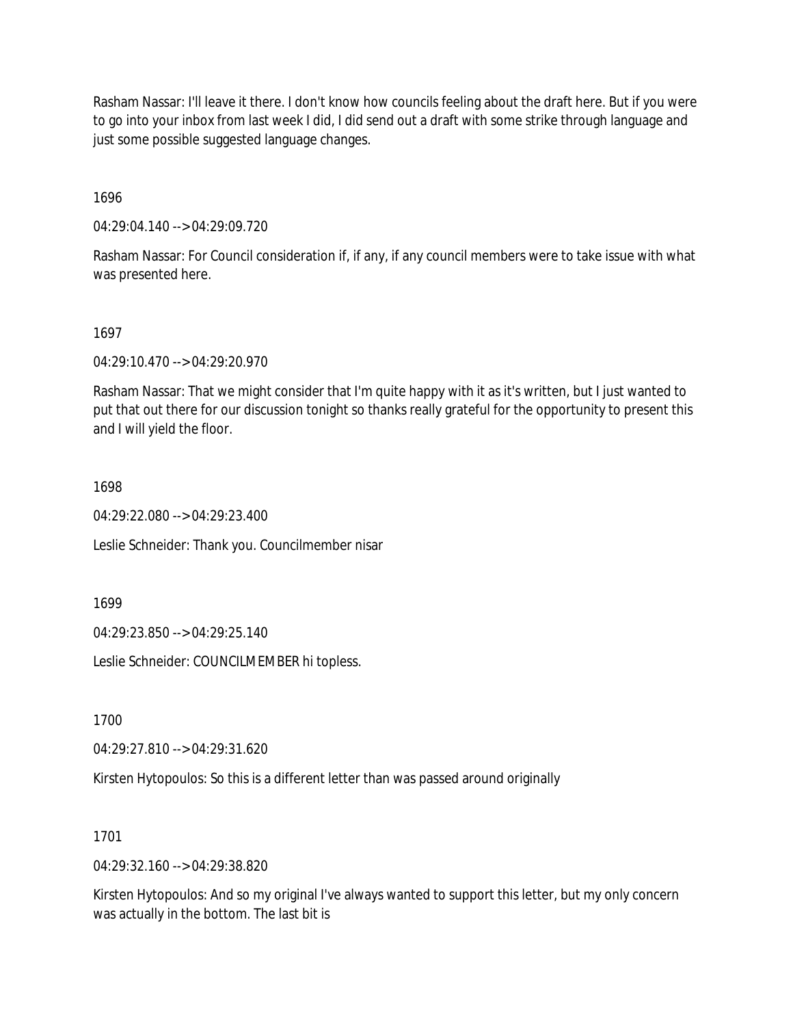Rasham Nassar: I'll leave it there. I don't know how councils feeling about the draft here. But if you were to go into your inbox from last week I did, I did send out a draft with some strike through language and just some possible suggested language changes.

1696

04:29:04.140 --> 04:29:09.720

Rasham Nassar: For Council consideration if, if any, if any council members were to take issue with what was presented here.

1697

04:29:10.470 --> 04:29:20.970

Rasham Nassar: That we might consider that I'm quite happy with it as it's written, but I just wanted to put that out there for our discussion tonight so thanks really grateful for the opportunity to present this and I will yield the floor.

1698

04:29:22.080 --> 04:29:23.400

Leslie Schneider: Thank you. Councilmember nisar

1699

04:29:23.850 --> 04:29:25.140

Leslie Schneider: COUNCILMEMBER hi topless.

1700

04:29:27.810 --> 04:29:31.620

Kirsten Hytopoulos: So this is a different letter than was passed around originally

1701

04:29:32.160 --> 04:29:38.820

Kirsten Hytopoulos: And so my original I've always wanted to support this letter, but my only concern was actually in the bottom. The last bit is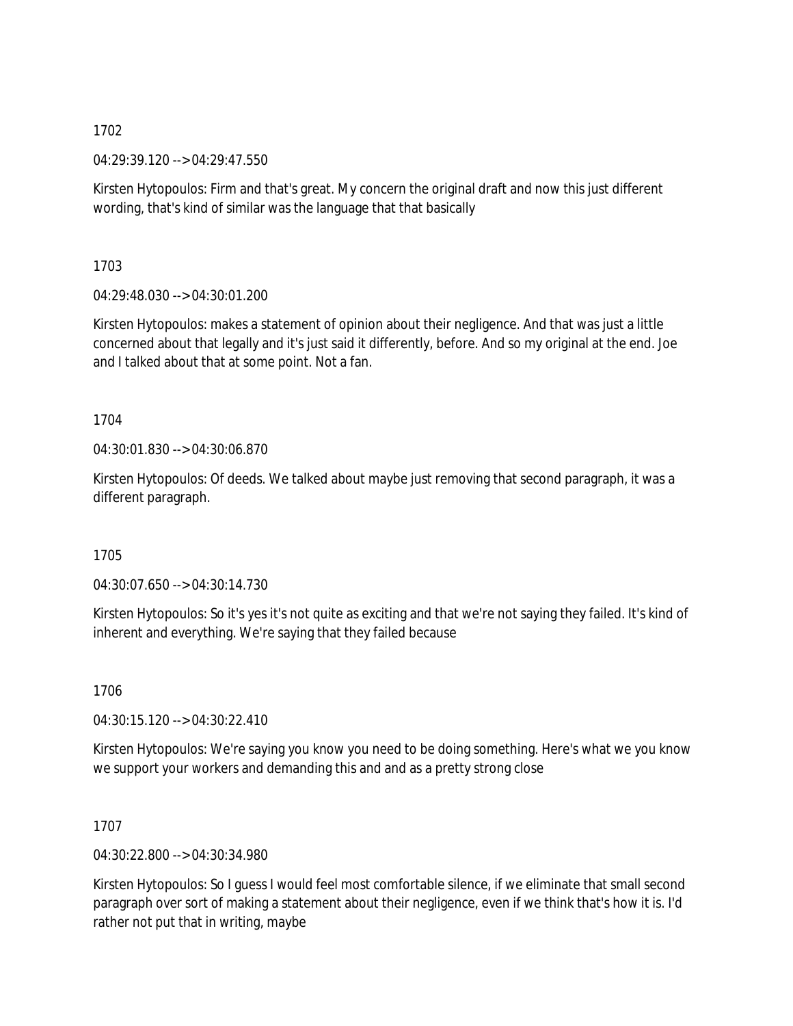04:29:39.120 --> 04:29:47.550

Kirsten Hytopoulos: Firm and that's great. My concern the original draft and now this just different wording, that's kind of similar was the language that that basically

1703

04:29:48.030 --> 04:30:01.200

Kirsten Hytopoulos: makes a statement of opinion about their negligence. And that was just a little concerned about that legally and it's just said it differently, before. And so my original at the end. Joe and I talked about that at some point. Not a fan.

1704

04:30:01.830 --> 04:30:06.870

Kirsten Hytopoulos: Of deeds. We talked about maybe just removing that second paragraph, it was a different paragraph.

1705

04:30:07.650 --> 04:30:14.730

Kirsten Hytopoulos: So it's yes it's not quite as exciting and that we're not saying they failed. It's kind of inherent and everything. We're saying that they failed because

1706

04:30:15.120 --> 04:30:22.410

Kirsten Hytopoulos: We're saying you know you need to be doing something. Here's what we you know we support your workers and demanding this and and as a pretty strong close

1707

04:30:22.800 --> 04:30:34.980

Kirsten Hytopoulos: So I guess I would feel most comfortable silence, if we eliminate that small second paragraph over sort of making a statement about their negligence, even if we think that's how it is. I'd rather not put that in writing, maybe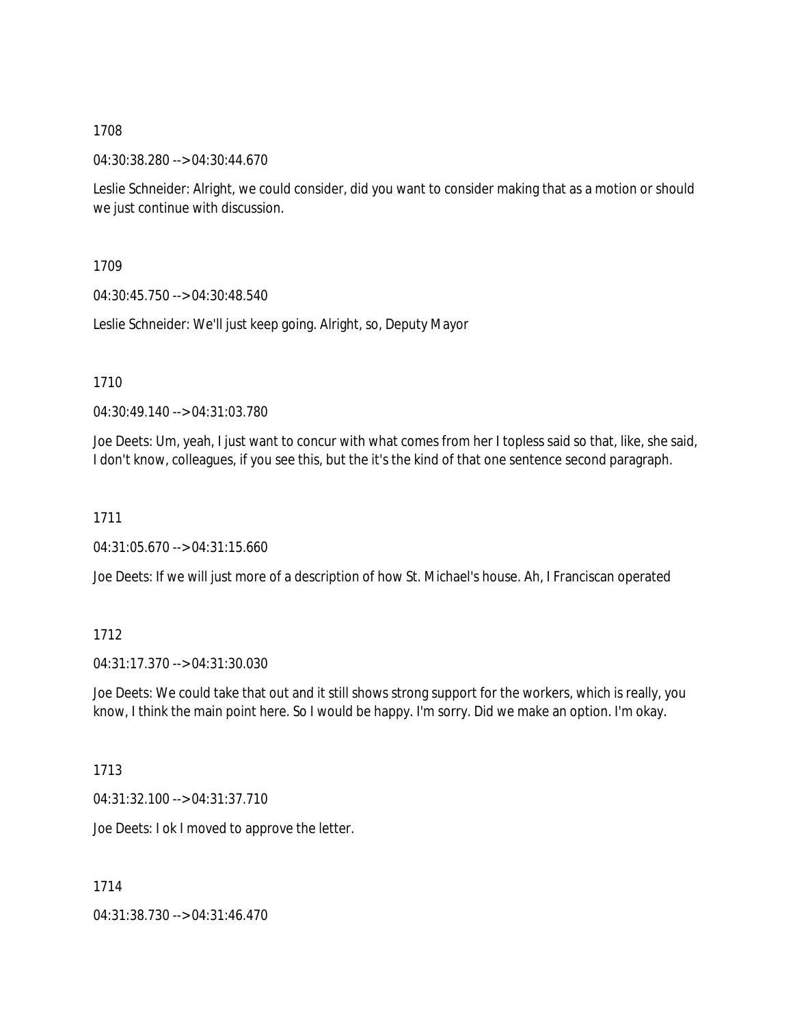04:30:38.280 --> 04:30:44.670

Leslie Schneider: Alright, we could consider, did you want to consider making that as a motion or should we just continue with discussion.

1709

04:30:45.750 --> 04:30:48.540

Leslie Schneider: We'll just keep going. Alright, so, Deputy Mayor

1710

04:30:49.140 --> 04:31:03.780

Joe Deets: Um, yeah, I just want to concur with what comes from her I topless said so that, like, she said, I don't know, colleagues, if you see this, but the it's the kind of that one sentence second paragraph.

1711

04:31:05.670 --> 04:31:15.660

Joe Deets: If we will just more of a description of how St. Michael's house. Ah, I Franciscan operated

# 1712

04:31:17.370 --> 04:31:30.030

Joe Deets: We could take that out and it still shows strong support for the workers, which is really, you know, I think the main point here. So I would be happy. I'm sorry. Did we make an option. I'm okay.

1713

04:31:32.100 --> 04:31:37.710

Joe Deets: I ok I moved to approve the letter.

1714

04:31:38.730 --> 04:31:46.470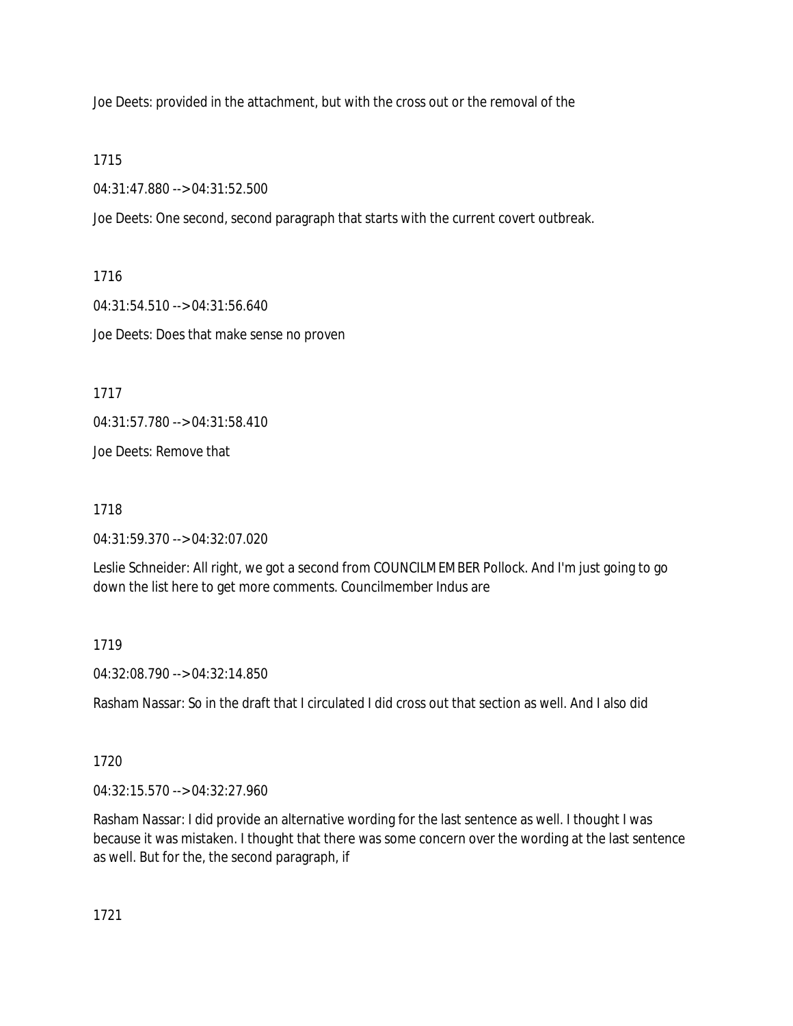Joe Deets: provided in the attachment, but with the cross out or the removal of the

1715

04:31:47.880 --> 04:31:52.500

Joe Deets: One second, second paragraph that starts with the current covert outbreak.

1716

04:31:54.510 --> 04:31:56.640 Joe Deets: Does that make sense no proven

1717

04:31:57.780 --> 04:31:58.410

Joe Deets: Remove that

1718

04:31:59.370 --> 04:32:07.020

Leslie Schneider: All right, we got a second from COUNCILMEMBER Pollock. And I'm just going to go down the list here to get more comments. Councilmember Indus are

1719

04:32:08.790 --> 04:32:14.850

Rasham Nassar: So in the draft that I circulated I did cross out that section as well. And I also did

1720

04:32:15.570 --> 04:32:27.960

Rasham Nassar: I did provide an alternative wording for the last sentence as well. I thought I was because it was mistaken. I thought that there was some concern over the wording at the last sentence as well. But for the, the second paragraph, if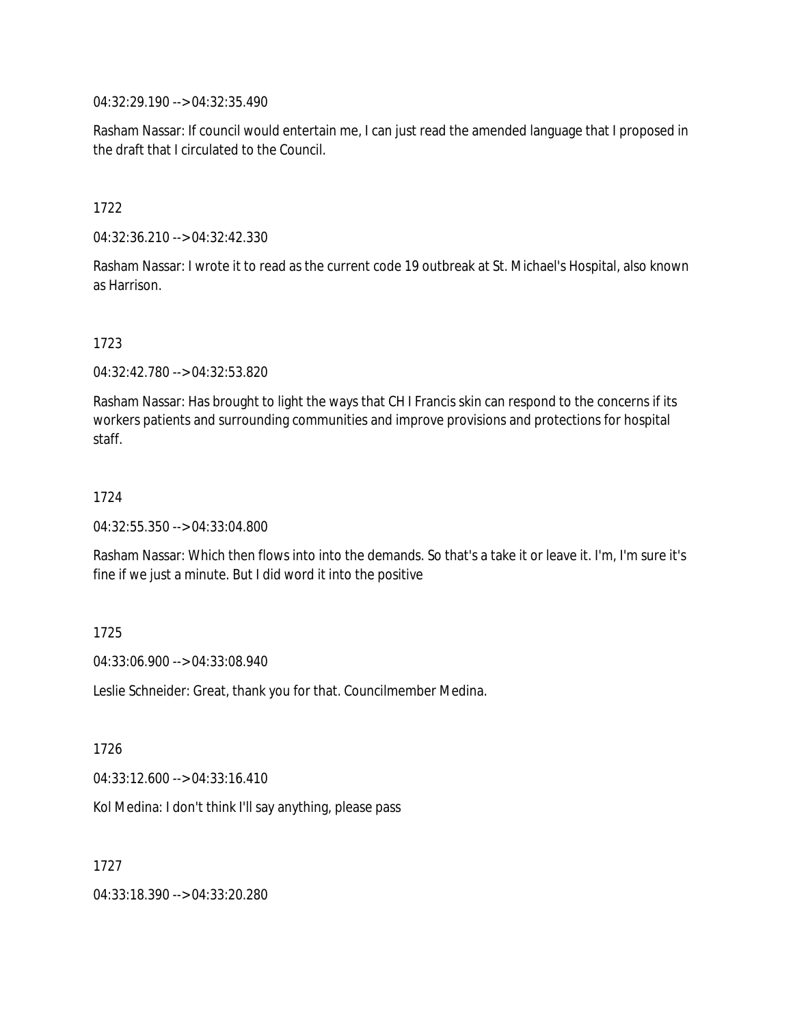04:32:29.190 --> 04:32:35.490

Rasham Nassar: If council would entertain me, I can just read the amended language that I proposed in the draft that I circulated to the Council.

1722

04:32:36.210 --> 04:32:42.330

Rasham Nassar: I wrote it to read as the current code 19 outbreak at St. Michael's Hospital, also known as Harrison.

1723

04:32:42.780 --> 04:32:53.820

Rasham Nassar: Has brought to light the ways that CH I Francis skin can respond to the concerns if its workers patients and surrounding communities and improve provisions and protections for hospital staff.

1724

04:32:55.350 --> 04:33:04.800

Rasham Nassar: Which then flows into into the demands. So that's a take it or leave it. I'm, I'm sure it's fine if we just a minute. But I did word it into the positive

1725

04:33:06.900 --> 04:33:08.940

Leslie Schneider: Great, thank you for that. Councilmember Medina.

1726

04:33:12.600 --> 04:33:16.410

Kol Medina: I don't think I'll say anything, please pass

1727

04:33:18.390 --> 04:33:20.280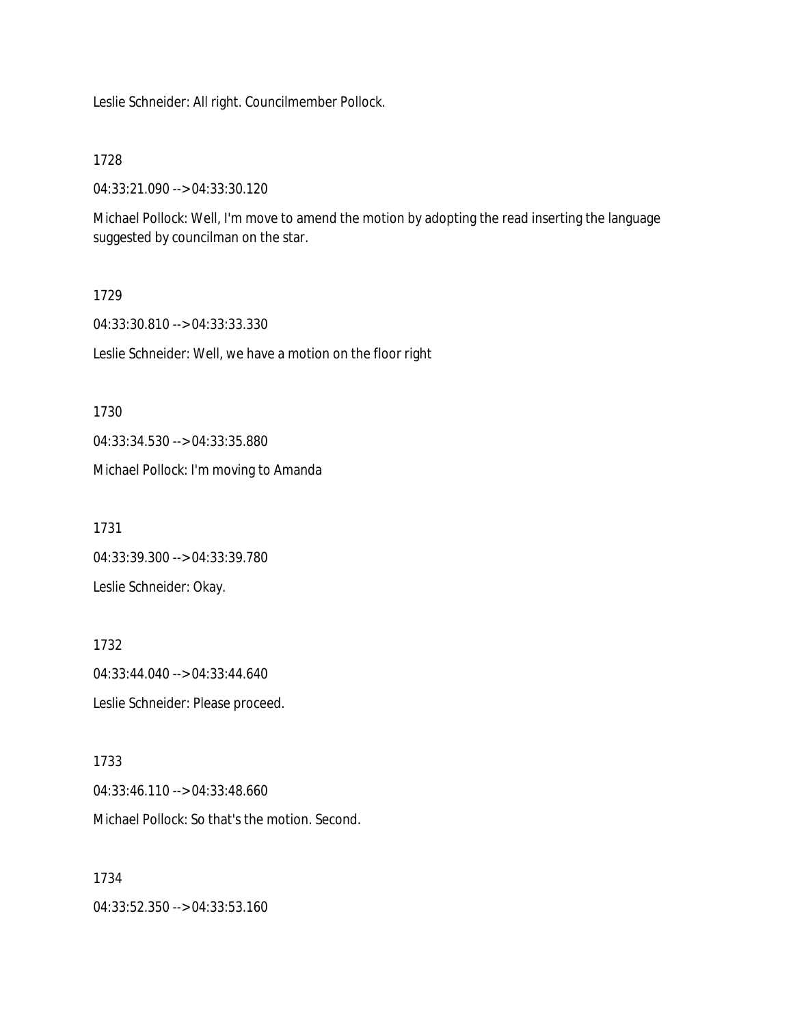Leslie Schneider: All right. Councilmember Pollock.

1728

04:33:21.090 --> 04:33:30.120

Michael Pollock: Well, I'm move to amend the motion by adopting the read inserting the language suggested by councilman on the star.

1729

04:33:30.810 --> 04:33:33.330

Leslie Schneider: Well, we have a motion on the floor right

1730 04:33:34.530 --> 04:33:35.880 Michael Pollock: I'm moving to Amanda

1731 04:33:39.300 --> 04:33:39.780 Leslie Schneider: Okay.

1732 04:33:44.040 --> 04:33:44.640 Leslie Schneider: Please proceed.

1733 04:33:46.110 --> 04:33:48.660 Michael Pollock: So that's the motion. Second.

1734 04:33:52.350 --> 04:33:53.160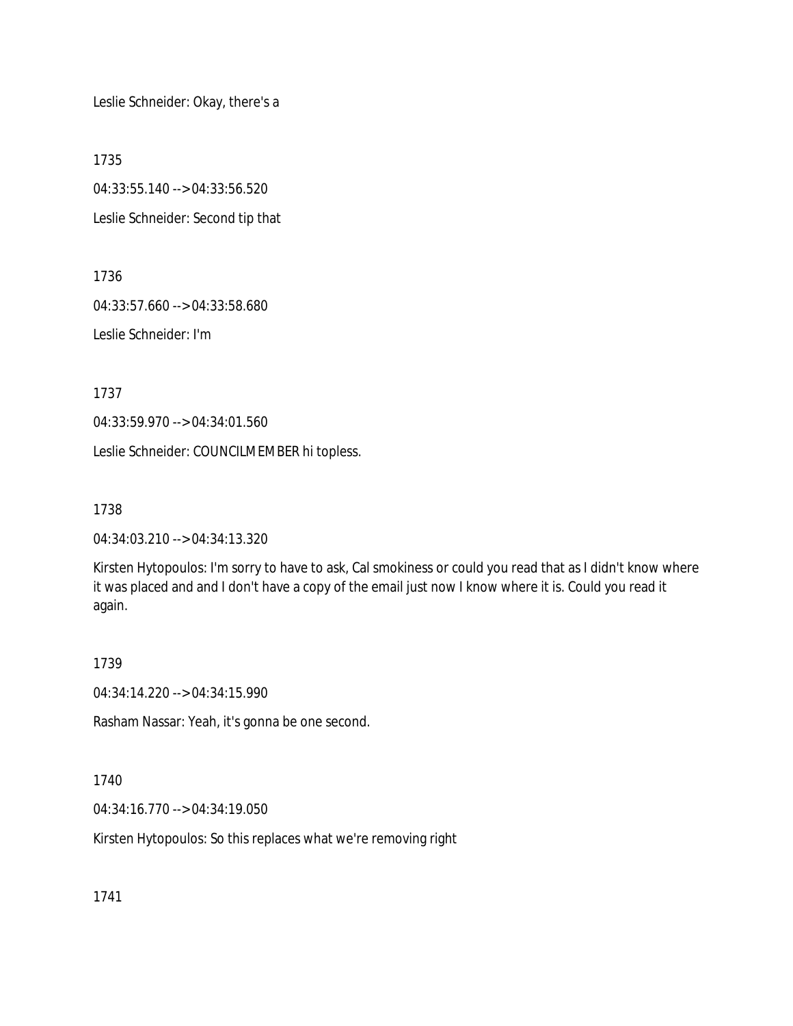Leslie Schneider: Okay, there's a

1735

04:33:55.140 --> 04:33:56.520 Leslie Schneider: Second tip that

1736

04:33:57.660 --> 04:33:58.680

Leslie Schneider: I'm

1737

04:33:59.970 --> 04:34:01.560

Leslie Schneider: COUNCILMEMBER hi topless.

1738

04:34:03.210 --> 04:34:13.320

Kirsten Hytopoulos: I'm sorry to have to ask, Cal smokiness or could you read that as I didn't know where it was placed and and I don't have a copy of the email just now I know where it is. Could you read it again.

1739

04:34:14.220 --> 04:34:15.990

Rasham Nassar: Yeah, it's gonna be one second.

1740

04:34:16.770 --> 04:34:19.050

Kirsten Hytopoulos: So this replaces what we're removing right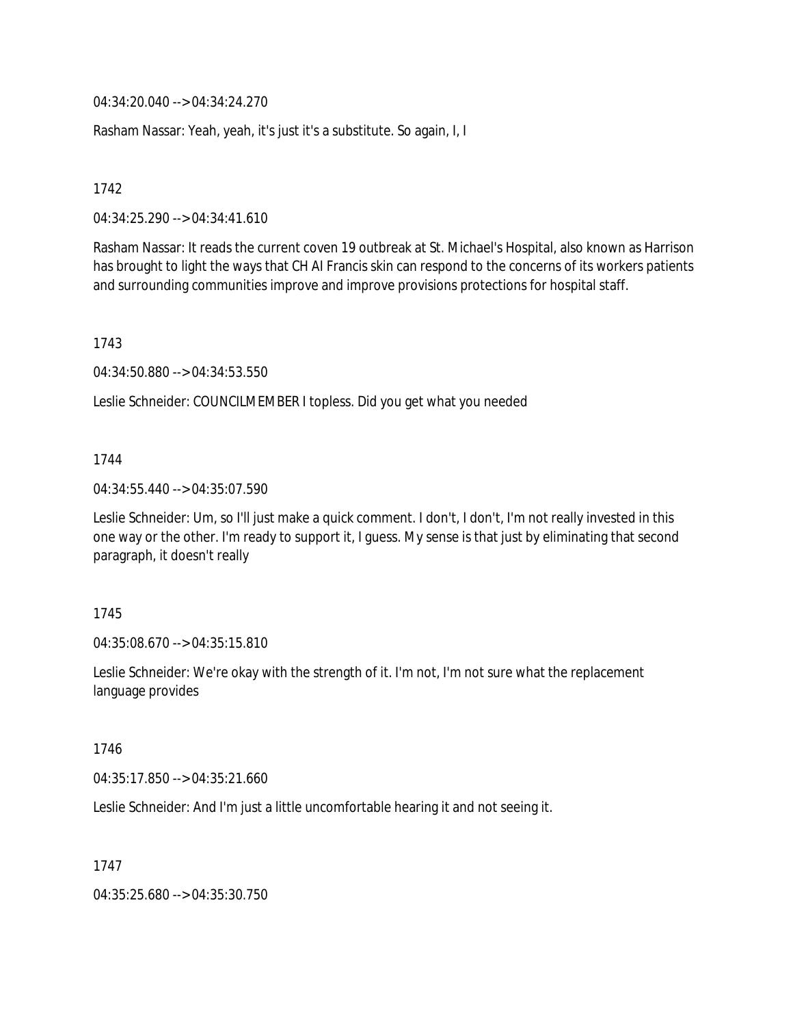04:34:20.040 --> 04:34:24.270

Rasham Nassar: Yeah, yeah, it's just it's a substitute. So again, I, I

1742

04:34:25.290 --> 04:34:41.610

Rasham Nassar: It reads the current coven 19 outbreak at St. Michael's Hospital, also known as Harrison has brought to light the ways that CH AI Francis skin can respond to the concerns of its workers patients and surrounding communities improve and improve provisions protections for hospital staff.

1743

04:34:50.880 --> 04:34:53.550

Leslie Schneider: COUNCILMEMBER I topless. Did you get what you needed

#### 1744

04:34:55.440 --> 04:35:07.590

Leslie Schneider: Um, so I'll just make a quick comment. I don't, I don't, I'm not really invested in this one way or the other. I'm ready to support it, I guess. My sense is that just by eliminating that second paragraph, it doesn't really

#### 1745

04:35:08.670 --> 04:35:15.810

Leslie Schneider: We're okay with the strength of it. I'm not, I'm not sure what the replacement language provides

1746

04:35:17.850 --> 04:35:21.660

Leslie Schneider: And I'm just a little uncomfortable hearing it and not seeing it.

1747

04:35:25.680 --> 04:35:30.750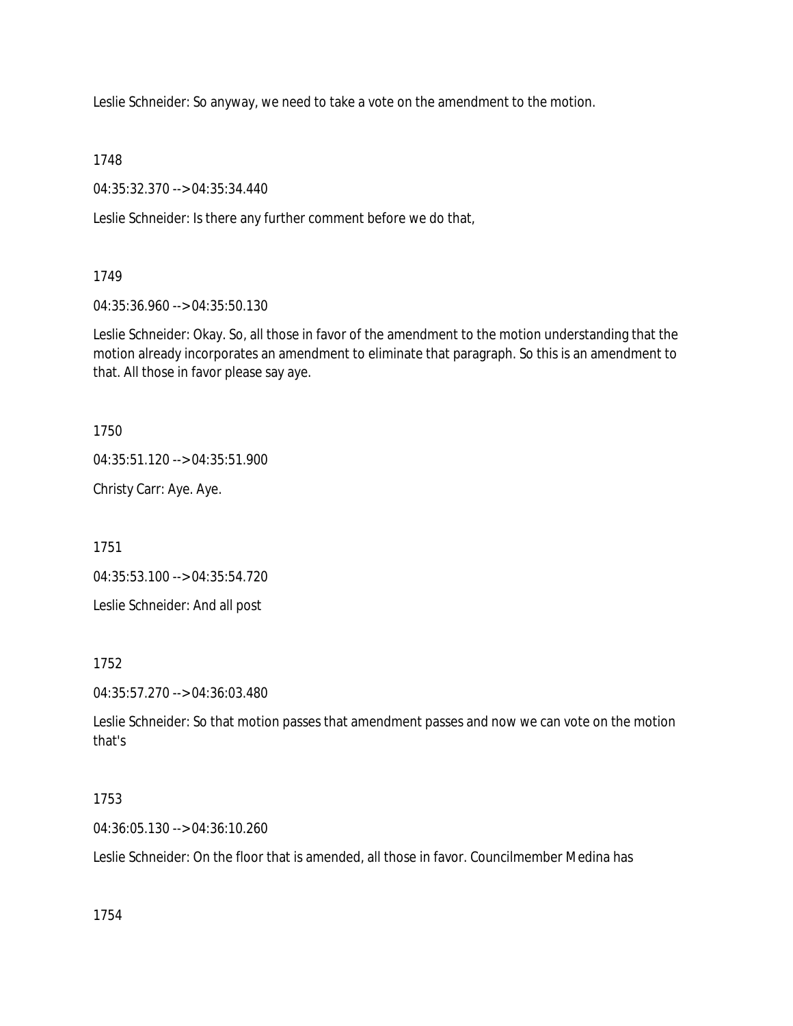Leslie Schneider: So anyway, we need to take a vote on the amendment to the motion.

1748

04:35:32.370 --> 04:35:34.440

Leslie Schneider: Is there any further comment before we do that,

1749

04:35:36.960 --> 04:35:50.130

Leslie Schneider: Okay. So, all those in favor of the amendment to the motion understanding that the motion already incorporates an amendment to eliminate that paragraph. So this is an amendment to that. All those in favor please say aye.

1750

04:35:51.120 --> 04:35:51.900

Christy Carr: Aye. Aye.

1751

04:35:53.100 --> 04:35:54.720

Leslie Schneider: And all post

1752

04:35:57.270 --> 04:36:03.480

Leslie Schneider: So that motion passes that amendment passes and now we can vote on the motion that's

# 1753

04:36:05.130 --> 04:36:10.260

Leslie Schneider: On the floor that is amended, all those in favor. Councilmember Medina has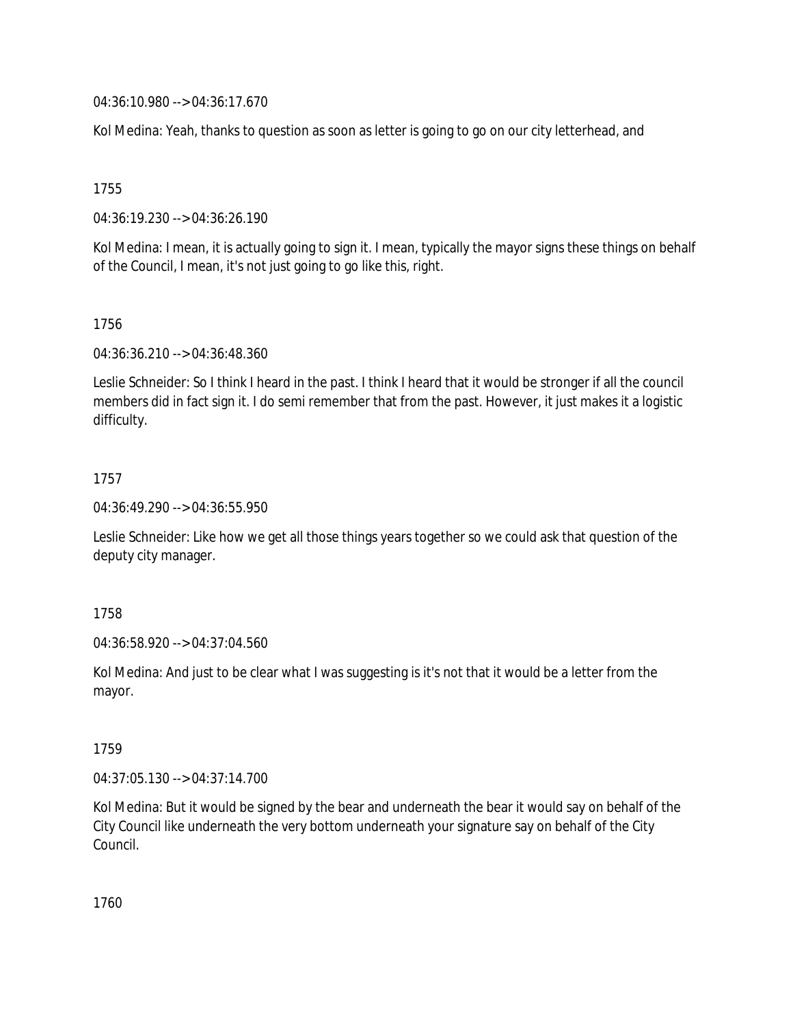04:36:10.980 --> 04:36:17.670

Kol Medina: Yeah, thanks to question as soon as letter is going to go on our city letterhead, and

1755

04:36:19.230 --> 04:36:26.190

Kol Medina: I mean, it is actually going to sign it. I mean, typically the mayor signs these things on behalf of the Council, I mean, it's not just going to go like this, right.

1756

04:36:36.210 --> 04:36:48.360

Leslie Schneider: So I think I heard in the past. I think I heard that it would be stronger if all the council members did in fact sign it. I do semi remember that from the past. However, it just makes it a logistic difficulty.

1757

04:36:49.290 --> 04:36:55.950

Leslie Schneider: Like how we get all those things years together so we could ask that question of the deputy city manager.

1758

04:36:58.920 --> 04:37:04.560

Kol Medina: And just to be clear what I was suggesting is it's not that it would be a letter from the mayor.

1759

04:37:05.130 --> 04:37:14.700

Kol Medina: But it would be signed by the bear and underneath the bear it would say on behalf of the City Council like underneath the very bottom underneath your signature say on behalf of the City Council.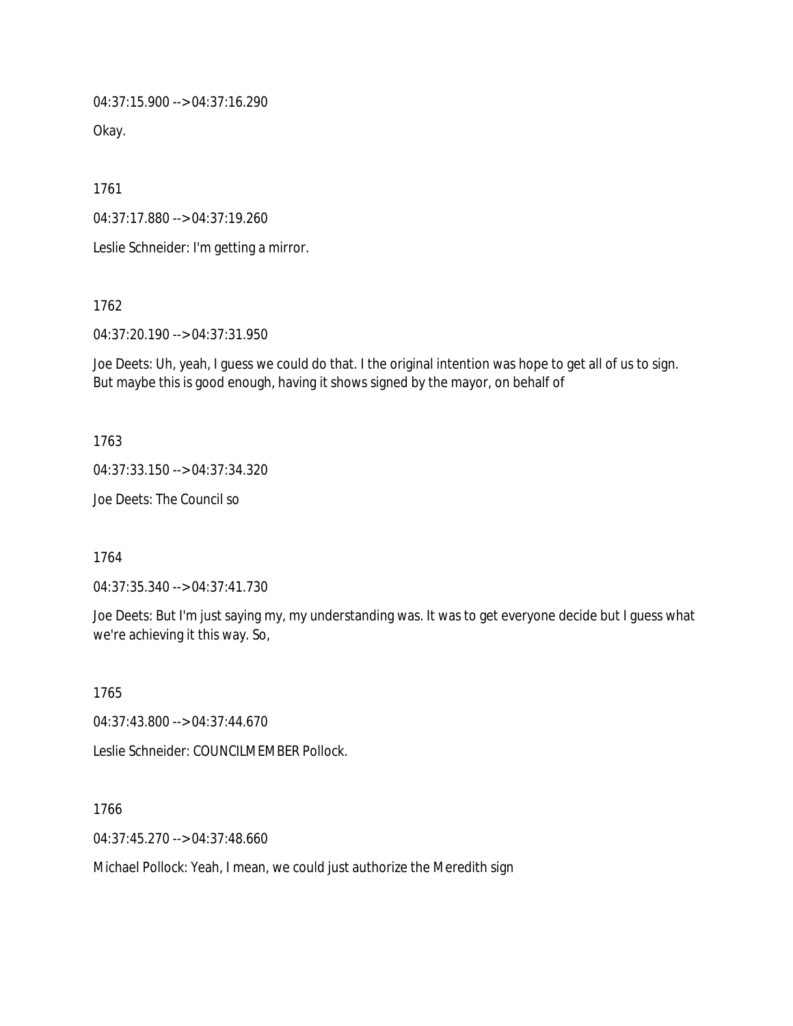04:37:15.900 --> 04:37:16.290

Okay.

1761

04:37:17.880 --> 04:37:19.260

Leslie Schneider: I'm getting a mirror.

1762

04:37:20.190 --> 04:37:31.950

Joe Deets: Uh, yeah, I guess we could do that. I the original intention was hope to get all of us to sign. But maybe this is good enough, having it shows signed by the mayor, on behalf of

1763

04:37:33.150 --> 04:37:34.320

Joe Deets: The Council so

1764

04:37:35.340 --> 04:37:41.730

Joe Deets: But I'm just saying my, my understanding was. It was to get everyone decide but I guess what we're achieving it this way. So,

1765

04:37:43.800 --> 04:37:44.670

Leslie Schneider: COUNCILMEMBER Pollock.

1766

04:37:45.270 --> 04:37:48.660

Michael Pollock: Yeah, I mean, we could just authorize the Meredith sign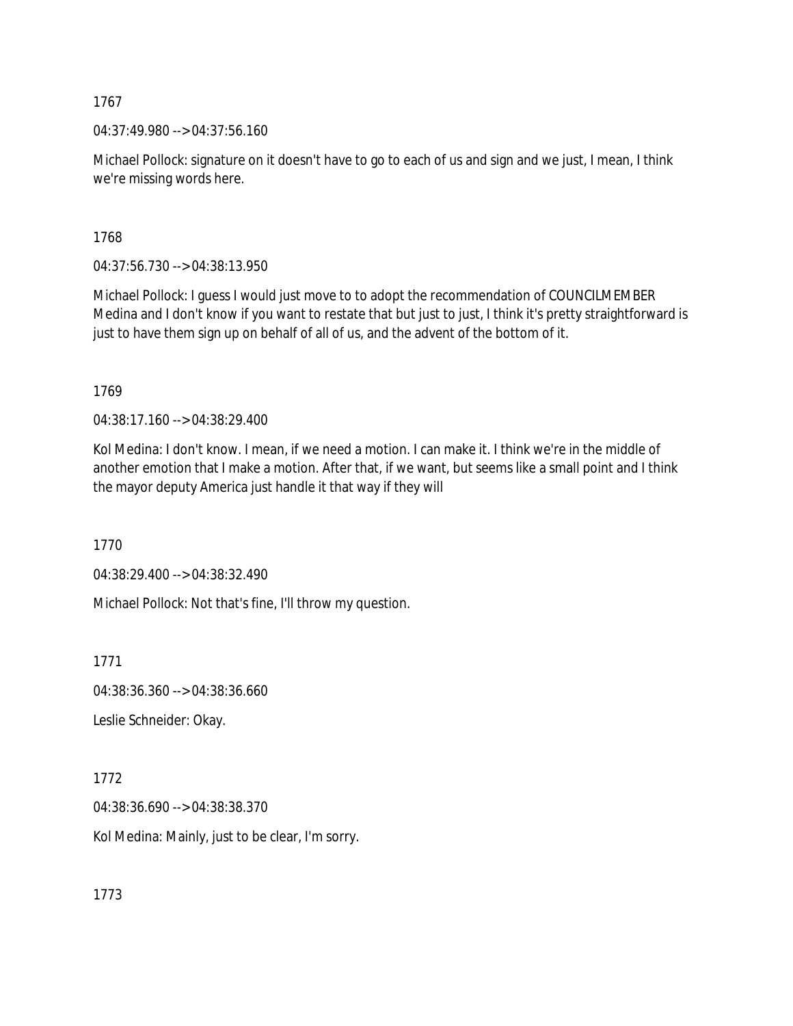04:37:49.980 --> 04:37:56.160

Michael Pollock: signature on it doesn't have to go to each of us and sign and we just, I mean, I think we're missing words here.

1768

04:37:56.730 --> 04:38:13.950

Michael Pollock: I guess I would just move to to adopt the recommendation of COUNCILMEMBER Medina and I don't know if you want to restate that but just to just, I think it's pretty straightforward is just to have them sign up on behalf of all of us, and the advent of the bottom of it.

1769

04:38:17.160 --> 04:38:29.400

Kol Medina: I don't know. I mean, if we need a motion. I can make it. I think we're in the middle of another emotion that I make a motion. After that, if we want, but seems like a small point and I think the mayor deputy America just handle it that way if they will

1770

04:38:29.400 --> 04:38:32.490

Michael Pollock: Not that's fine, I'll throw my question.

1771

04:38:36.360 --> 04:38:36.660

Leslie Schneider: Okay.

1772

04:38:36.690 --> 04:38:38.370

Kol Medina: Mainly, just to be clear, I'm sorry.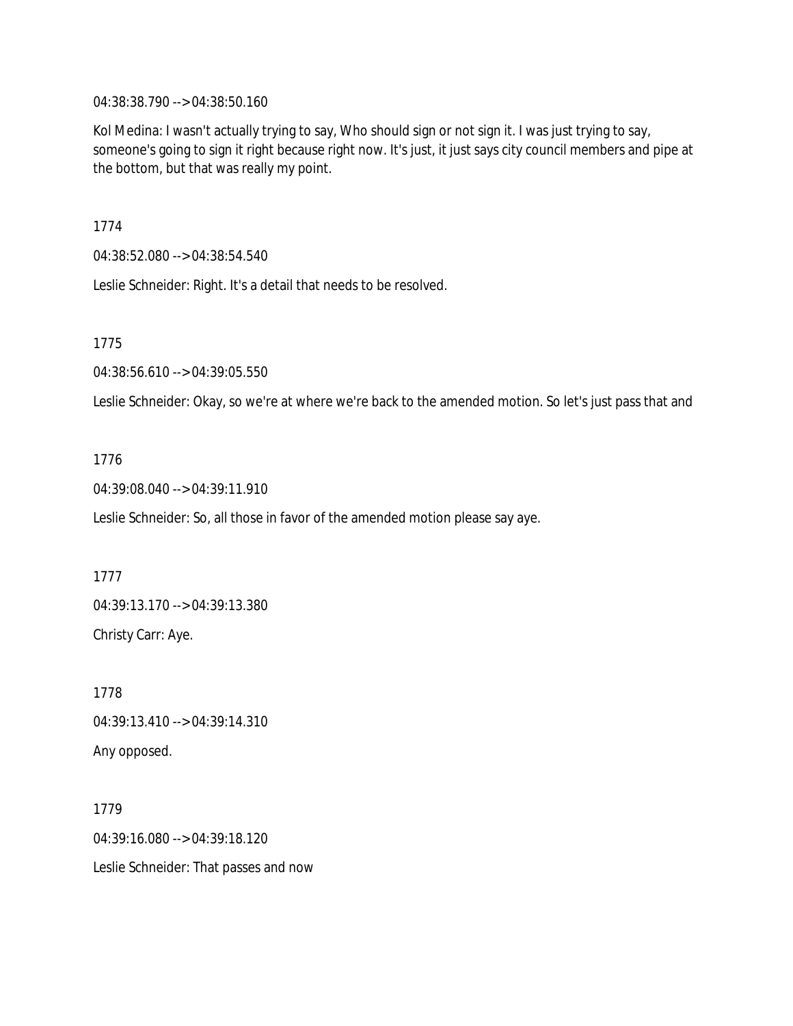04:38:38.790 --> 04:38:50.160

Kol Medina: I wasn't actually trying to say, Who should sign or not sign it. I was just trying to say, someone's going to sign it right because right now. It's just, it just says city council members and pipe at the bottom, but that was really my point.

1774

04:38:52.080 --> 04:38:54.540

Leslie Schneider: Right. It's a detail that needs to be resolved.

1775

04:38:56.610 --> 04:39:05.550

Leslie Schneider: Okay, so we're at where we're back to the amended motion. So let's just pass that and

# 1776

04:39:08.040 --> 04:39:11.910

Leslie Schneider: So, all those in favor of the amended motion please say aye.

1777

04:39:13.170 --> 04:39:13.380 Christy Carr: Aye.

1778 04:39:13.410 --> 04:39:14.310 Any opposed.

1779 04:39:16.080 --> 04:39:18.120 Leslie Schneider: That passes and now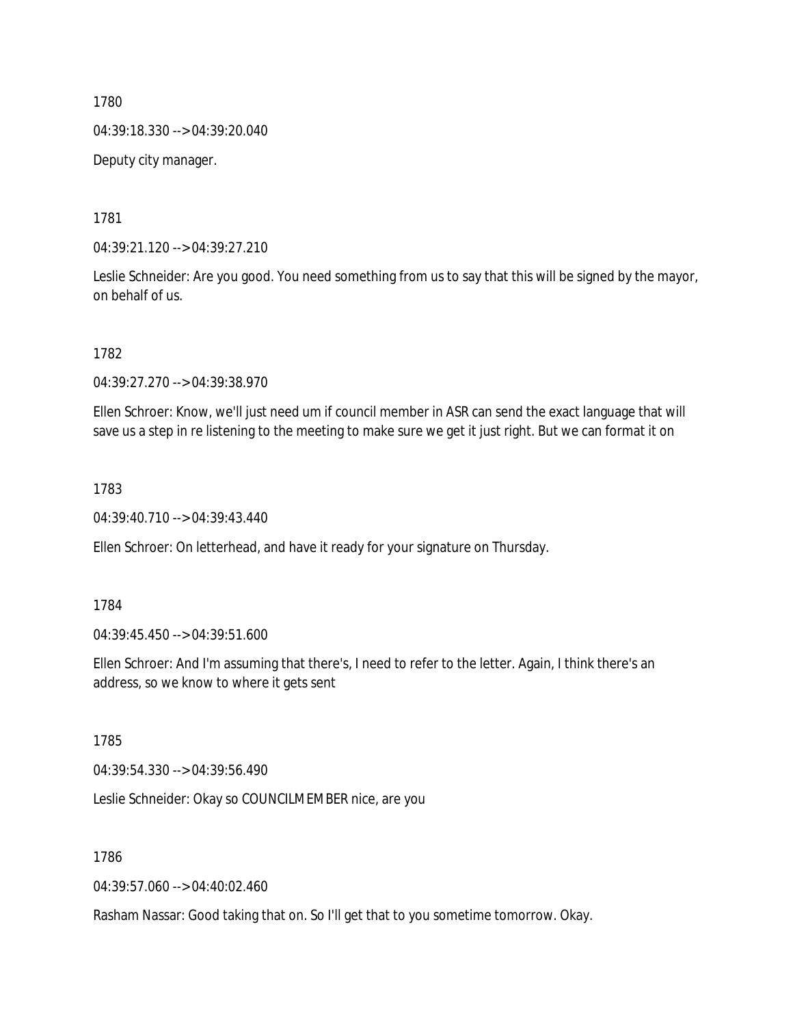04:39:18.330 --> 04:39:20.040

Deputy city manager.

1781

04:39:21.120 --> 04:39:27.210

Leslie Schneider: Are you good. You need something from us to say that this will be signed by the mayor, on behalf of us.

1782

04:39:27.270 --> 04:39:38.970

Ellen Schroer: Know, we'll just need um if council member in ASR can send the exact language that will save us a step in re listening to the meeting to make sure we get it just right. But we can format it on

1783

04:39:40.710 --> 04:39:43.440

Ellen Schroer: On letterhead, and have it ready for your signature on Thursday.

1784

04:39:45.450 --> 04:39:51.600

Ellen Schroer: And I'm assuming that there's, I need to refer to the letter. Again, I think there's an address, so we know to where it gets sent

1785

04:39:54.330 --> 04:39:56.490

Leslie Schneider: Okay so COUNCILMEMBER nice, are you

1786

04:39:57.060 --> 04:40:02.460

Rasham Nassar: Good taking that on. So I'll get that to you sometime tomorrow. Okay.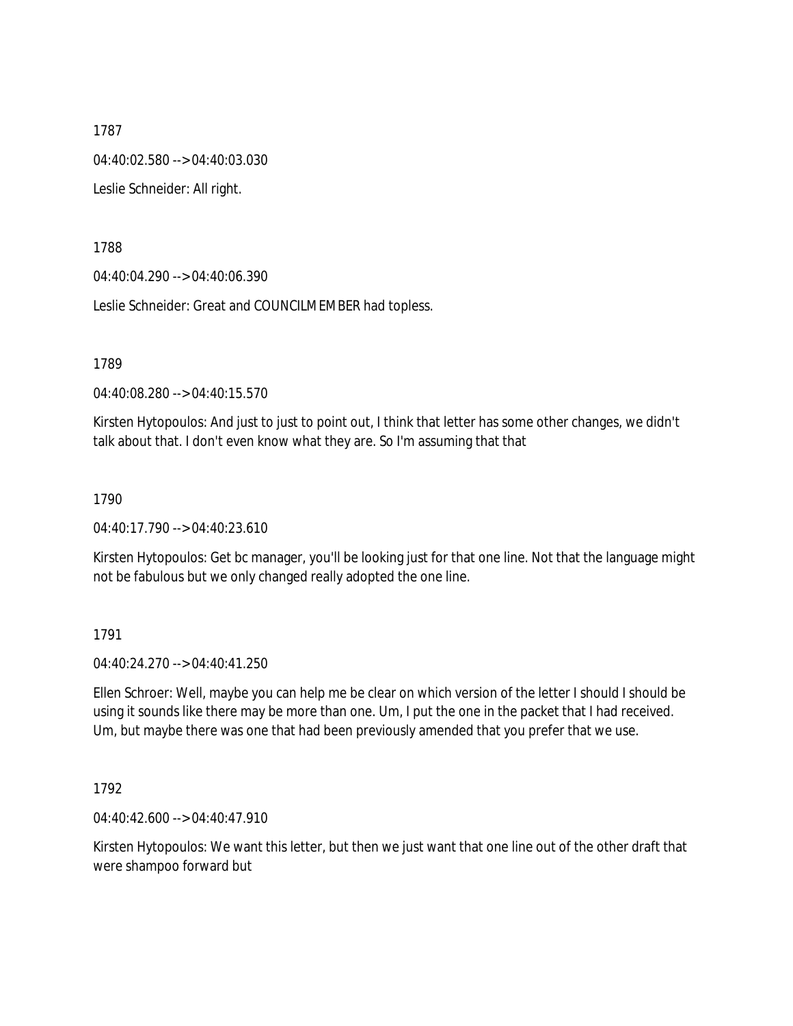1787 04:40:02.580 --> 04:40:03.030 Leslie Schneider: All right.

1788

04:40:04.290 --> 04:40:06.390

Leslie Schneider: Great and COUNCILMEMBER had topless.

1789

04:40:08.280 --> 04:40:15.570

Kirsten Hytopoulos: And just to just to point out, I think that letter has some other changes, we didn't talk about that. I don't even know what they are. So I'm assuming that that

1790

04:40:17.790 --> 04:40:23.610

Kirsten Hytopoulos: Get bc manager, you'll be looking just for that one line. Not that the language might not be fabulous but we only changed really adopted the one line.

1791

04:40:24.270 --> 04:40:41.250

Ellen Schroer: Well, maybe you can help me be clear on which version of the letter I should I should be using it sounds like there may be more than one. Um, I put the one in the packet that I had received. Um, but maybe there was one that had been previously amended that you prefer that we use.

1792

04:40:42.600 --> 04:40:47.910

Kirsten Hytopoulos: We want this letter, but then we just want that one line out of the other draft that were shampoo forward but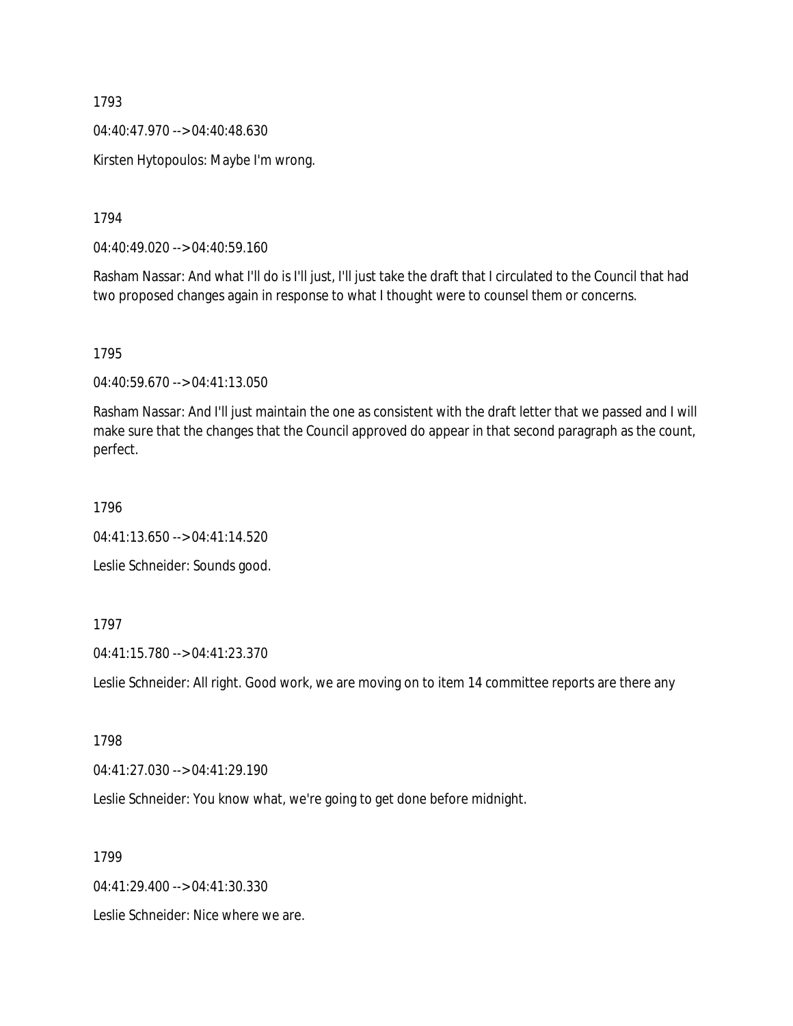04:40:47.970 --> 04:40:48.630

Kirsten Hytopoulos: Maybe I'm wrong.

1794

04:40:49.020 --> 04:40:59.160

Rasham Nassar: And what I'll do is I'll just, I'll just take the draft that I circulated to the Council that had two proposed changes again in response to what I thought were to counsel them or concerns.

1795

04:40:59.670 --> 04:41:13.050

Rasham Nassar: And I'll just maintain the one as consistent with the draft letter that we passed and I will make sure that the changes that the Council approved do appear in that second paragraph as the count, perfect.

1796

04:41:13.650 --> 04:41:14.520

Leslie Schneider: Sounds good.

1797

04:41:15.780 --> 04:41:23.370

Leslie Schneider: All right. Good work, we are moving on to item 14 committee reports are there any

1798

04:41:27.030 --> 04:41:29.190

Leslie Schneider: You know what, we're going to get done before midnight.

1799

04:41:29.400 --> 04:41:30.330

Leslie Schneider: Nice where we are.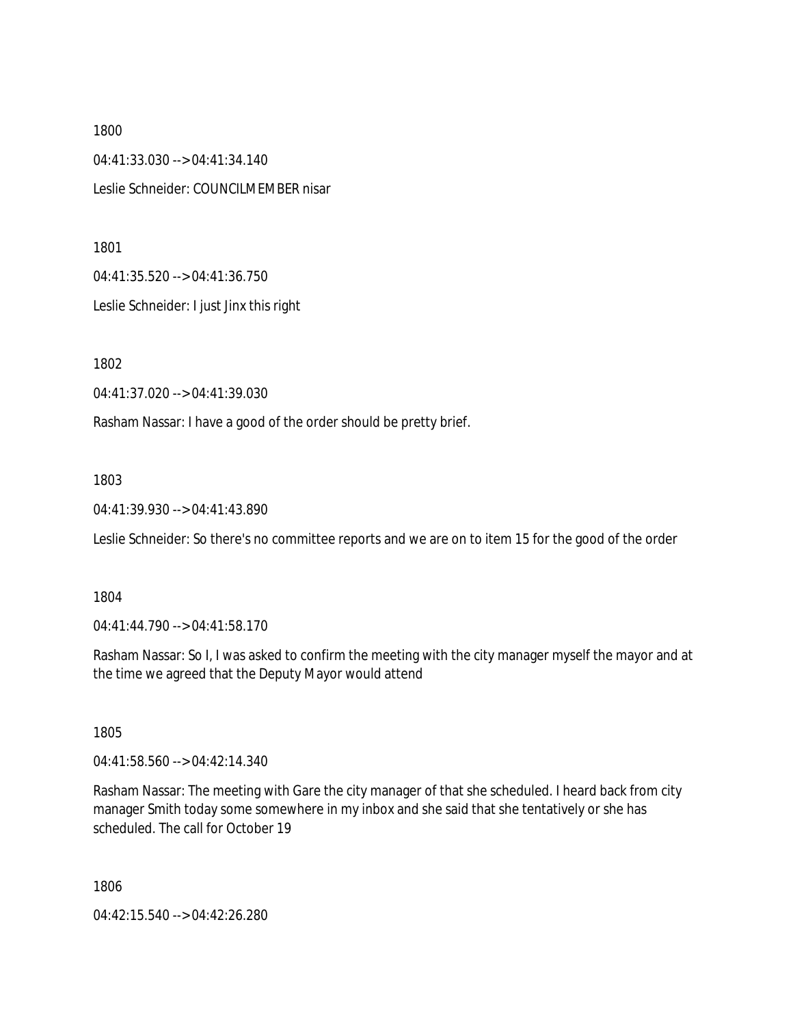1800 04:41:33.030 --> 04:41:34.140 Leslie Schneider: COUNCILMEMBER nisar

1801

04:41:35.520 --> 04:41:36.750

Leslie Schneider: I just Jinx this right

1802

04:41:37.020 --> 04:41:39.030

Rasham Nassar: I have a good of the order should be pretty brief.

1803

04:41:39.930 --> 04:41:43.890

Leslie Schneider: So there's no committee reports and we are on to item 15 for the good of the order

1804

04:41:44.790 --> 04:41:58.170

Rasham Nassar: So I, I was asked to confirm the meeting with the city manager myself the mayor and at the time we agreed that the Deputy Mayor would attend

1805

04:41:58.560 --> 04:42:14.340

Rasham Nassar: The meeting with Gare the city manager of that she scheduled. I heard back from city manager Smith today some somewhere in my inbox and she said that she tentatively or she has scheduled. The call for October 19

1806

04:42:15.540 --> 04:42:26.280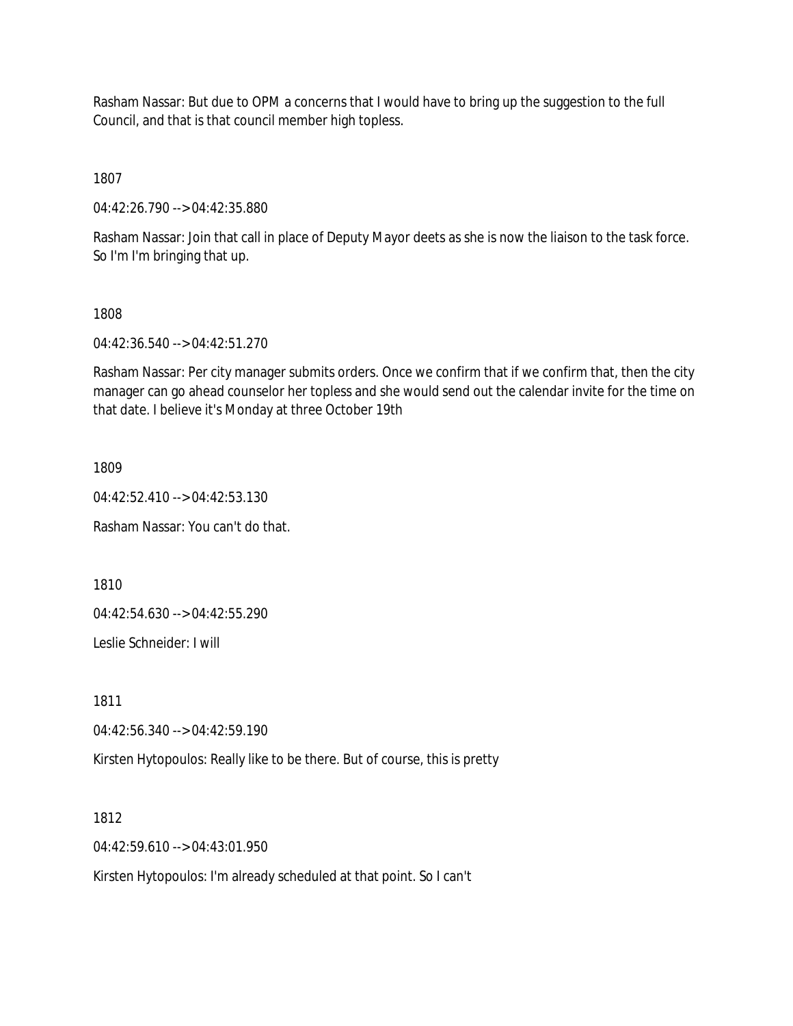Rasham Nassar: But due to OPM a concerns that I would have to bring up the suggestion to the full Council, and that is that council member high topless.

1807

04:42:26.790 --> 04:42:35.880

Rasham Nassar: Join that call in place of Deputy Mayor deets as she is now the liaison to the task force. So I'm I'm bringing that up.

# 1808

04:42:36.540 --> 04:42:51.270

Rasham Nassar: Per city manager submits orders. Once we confirm that if we confirm that, then the city manager can go ahead counselor her topless and she would send out the calendar invite for the time on that date. I believe it's Monday at three October 19th

1809

04:42:52.410 --> 04:42:53.130

Rasham Nassar: You can't do that.

1810

04:42:54.630 --> 04:42:55.290

Leslie Schneider: I will

1811

04:42:56.340 --> 04:42:59.190

Kirsten Hytopoulos: Really like to be there. But of course, this is pretty

1812

04:42:59.610 --> 04:43:01.950

Kirsten Hytopoulos: I'm already scheduled at that point. So I can't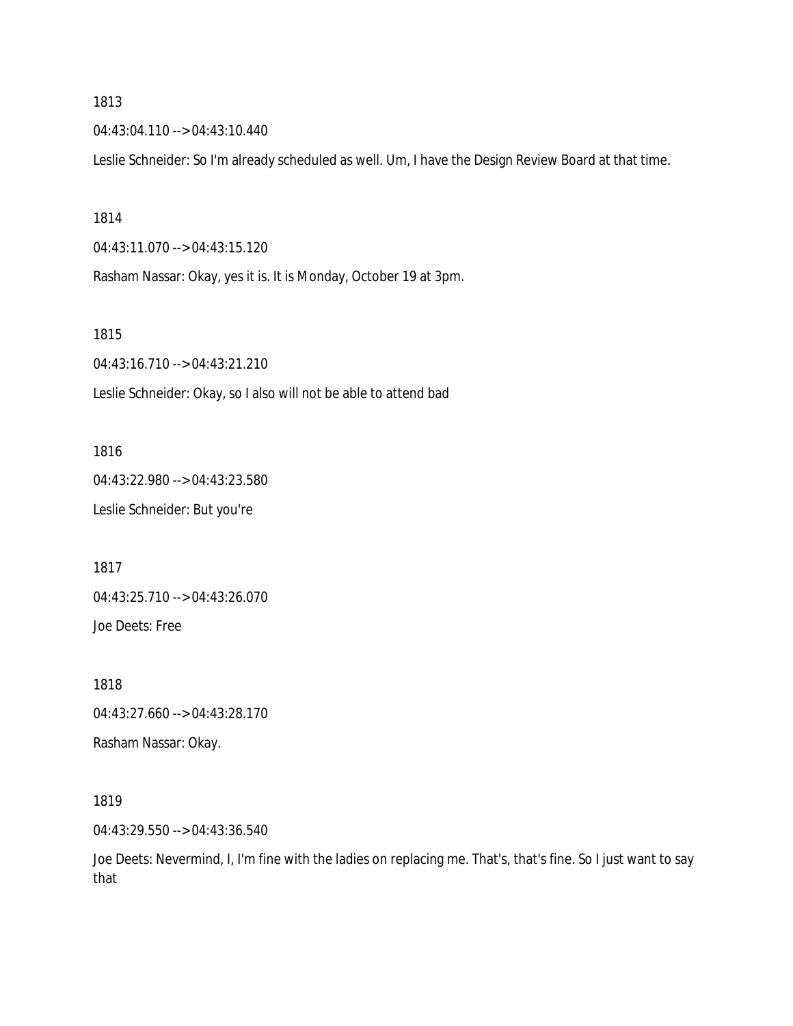04:43:04.110 --> 04:43:10.440

Leslie Schneider: So I'm already scheduled as well. Um, I have the Design Review Board at that time.

1814

04:43:11.070 --> 04:43:15.120

Rasham Nassar: Okay, yes it is. It is Monday, October 19 at 3pm.

1815

04:43:16.710 --> 04:43:21.210

Leslie Schneider: Okay, so I also will not be able to attend bad

1816 04:43:22.980 --> 04:43:23.580 Leslie Schneider: But you're

1817

04:43:25.710 --> 04:43:26.070

Joe Deets: Free

1818 04:43:27.660 --> 04:43:28.170

Rasham Nassar: Okay.

1819

04:43:29.550 --> 04:43:36.540

Joe Deets: Nevermind, I, I'm fine with the ladies on replacing me. That's, that's fine. So I just want to say that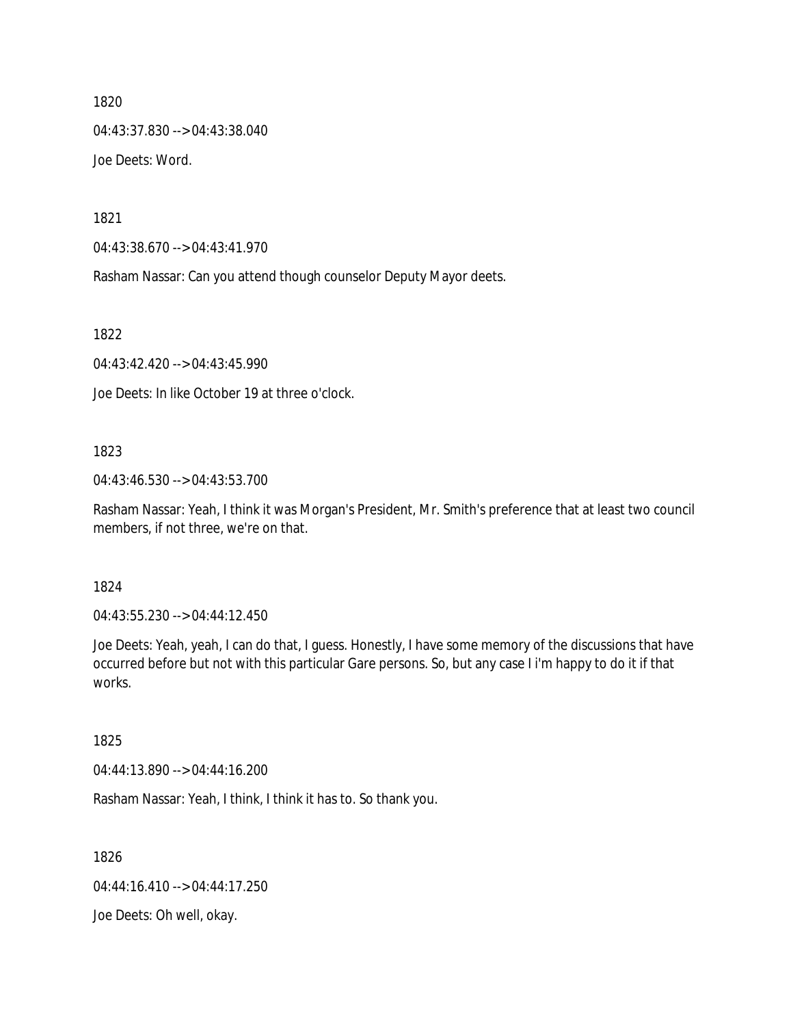04:43:37.830 --> 04:43:38.040 Joe Deets: Word.

1821

04:43:38.670 --> 04:43:41.970

Rasham Nassar: Can you attend though counselor Deputy Mayor deets.

1822

04:43:42.420 --> 04:43:45.990

Joe Deets: In like October 19 at three o'clock.

#### 1823

04:43:46.530 --> 04:43:53.700

Rasham Nassar: Yeah, I think it was Morgan's President, Mr. Smith's preference that at least two council members, if not three, we're on that.

#### 1824

04:43:55.230 --> 04:44:12.450

Joe Deets: Yeah, yeah, I can do that, I guess. Honestly, I have some memory of the discussions that have occurred before but not with this particular Gare persons. So, but any case I i'm happy to do it if that works.

# 1825

04:44:13.890 --> 04:44:16.200

Rasham Nassar: Yeah, I think, I think it has to. So thank you.

1826

04:44:16.410 --> 04:44:17.250

Joe Deets: Oh well, okay.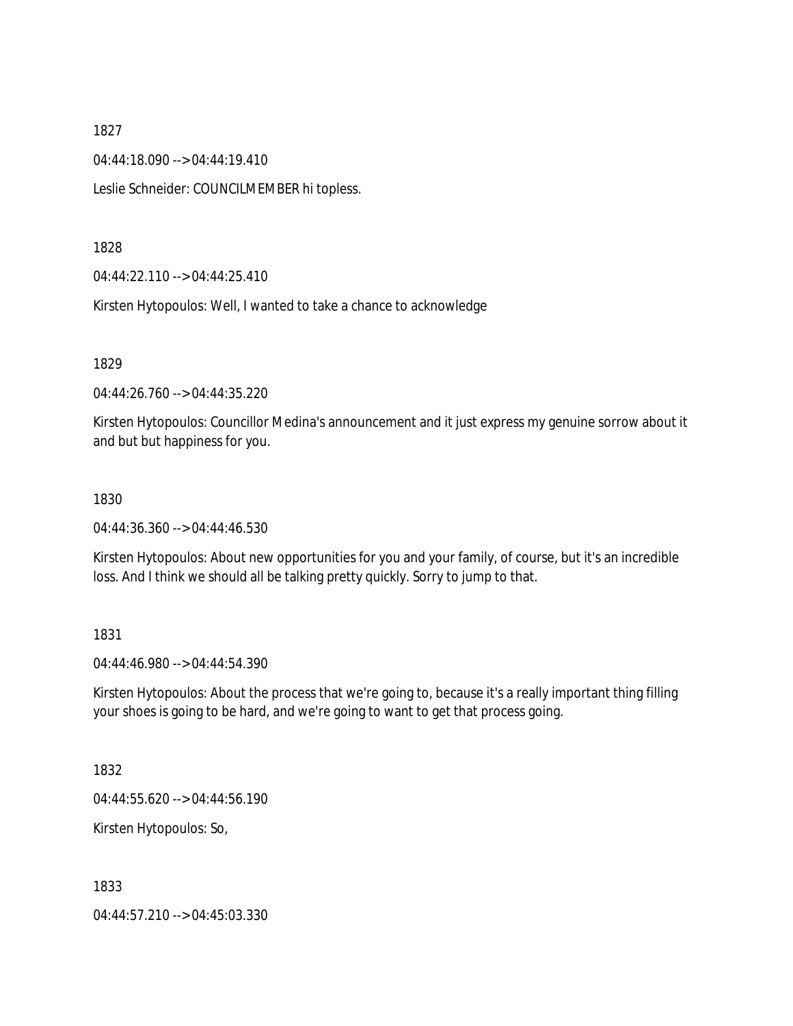04:44:18.090 --> 04:44:19.410

Leslie Schneider: COUNCILMEMBER hi topless.

1828

04:44:22.110 --> 04:44:25.410

Kirsten Hytopoulos: Well, I wanted to take a chance to acknowledge

1829

04:44:26.760 --> 04:44:35.220

Kirsten Hytopoulos: Councillor Medina's announcement and it just express my genuine sorrow about it and but but happiness for you.

## 1830

04:44:36.360 --> 04:44:46.530

Kirsten Hytopoulos: About new opportunities for you and your family, of course, but it's an incredible loss. And I think we should all be talking pretty quickly. Sorry to jump to that.

1831

04:44:46.980 --> 04:44:54.390

Kirsten Hytopoulos: About the process that we're going to, because it's a really important thing filling your shoes is going to be hard, and we're going to want to get that process going.

1832

04:44:55.620 --> 04:44:56.190

Kirsten Hytopoulos: So,

1833

04:44:57.210 --> 04:45:03.330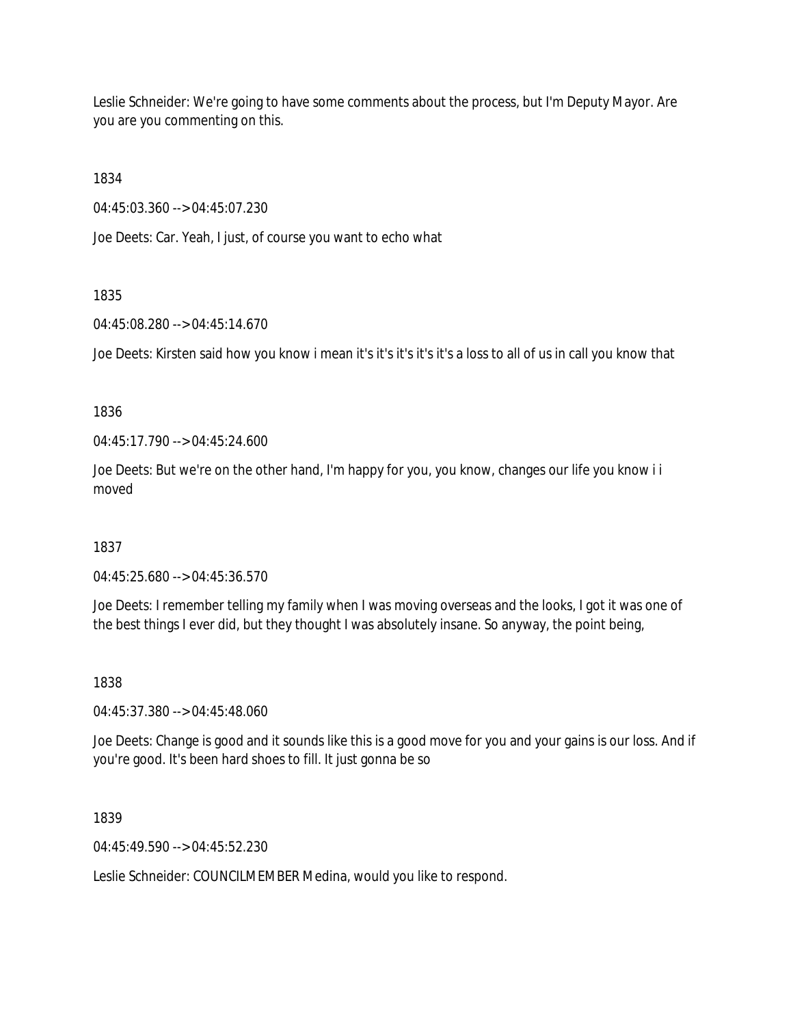Leslie Schneider: We're going to have some comments about the process, but I'm Deputy Mayor. Are you are you commenting on this.

1834

04:45:03.360 --> 04:45:07.230

Joe Deets: Car. Yeah, I just, of course you want to echo what

# 1835

04:45:08.280 --> 04:45:14.670

Joe Deets: Kirsten said how you know i mean it's it's it's it's it's a loss to all of us in call you know that

# 1836

04:45:17.790 --> 04:45:24.600

Joe Deets: But we're on the other hand, I'm happy for you, you know, changes our life you know i i moved

# 1837

04:45:25.680 --> 04:45:36.570

Joe Deets: I remember telling my family when I was moving overseas and the looks, I got it was one of the best things I ever did, but they thought I was absolutely insane. So anyway, the point being,

# 1838

04:45:37.380 --> 04:45:48.060

Joe Deets: Change is good and it sounds like this is a good move for you and your gains is our loss. And if you're good. It's been hard shoes to fill. It just gonna be so

1839

04:45:49.590 --> 04:45:52.230

Leslie Schneider: COUNCILMEMBER Medina, would you like to respond.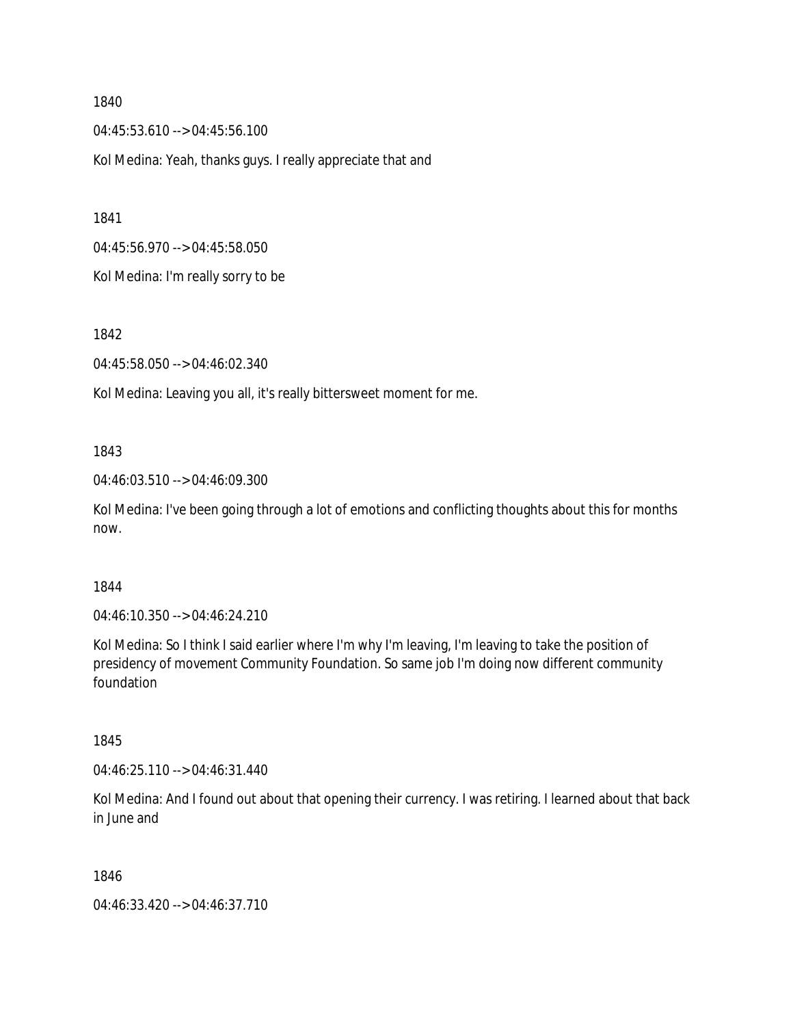04:45:53.610 --> 04:45:56.100

Kol Medina: Yeah, thanks guys. I really appreciate that and

1841

04:45:56.970 --> 04:45:58.050

Kol Medina: I'm really sorry to be

1842

04:45:58.050 --> 04:46:02.340

Kol Medina: Leaving you all, it's really bittersweet moment for me.

#### 1843

04:46:03.510 --> 04:46:09.300

Kol Medina: I've been going through a lot of emotions and conflicting thoughts about this for months now.

## 1844

04:46:10.350 --> 04:46:24.210

Kol Medina: So I think I said earlier where I'm why I'm leaving, I'm leaving to take the position of presidency of movement Community Foundation. So same job I'm doing now different community foundation

# 1845

04:46:25.110 --> 04:46:31.440

Kol Medina: And I found out about that opening their currency. I was retiring. I learned about that back in June and

## 1846

04:46:33.420 --> 04:46:37.710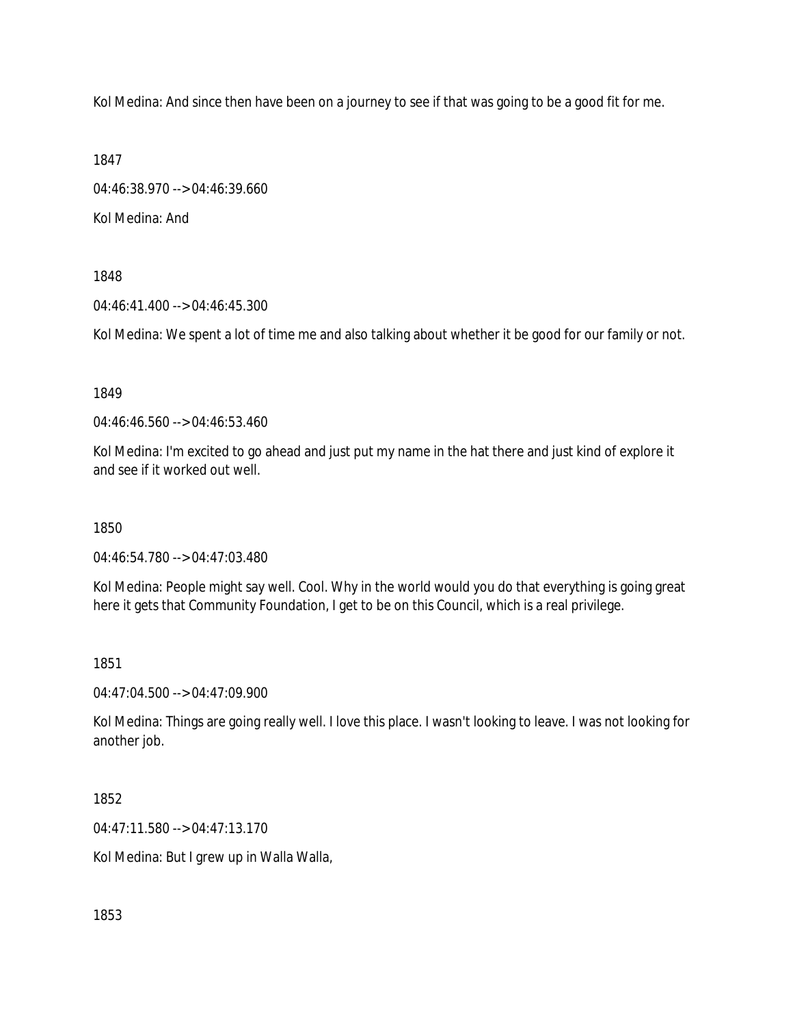Kol Medina: And since then have been on a journey to see if that was going to be a good fit for me.

1847

04:46:38.970 --> 04:46:39.660 Kol Medina: And

1848

04:46:41.400 --> 04:46:45.300

Kol Medina: We spent a lot of time me and also talking about whether it be good for our family or not.

1849

04:46:46.560 --> 04:46:53.460

Kol Medina: I'm excited to go ahead and just put my name in the hat there and just kind of explore it and see if it worked out well.

1850

04:46:54.780 --> 04:47:03.480

Kol Medina: People might say well. Cool. Why in the world would you do that everything is going great here it gets that Community Foundation, I get to be on this Council, which is a real privilege.

1851

04:47:04.500 --> 04:47:09.900

Kol Medina: Things are going really well. I love this place. I wasn't looking to leave. I was not looking for another job.

1852

04:47:11.580 --> 04:47:13.170

Kol Medina: But I grew up in Walla Walla,

1853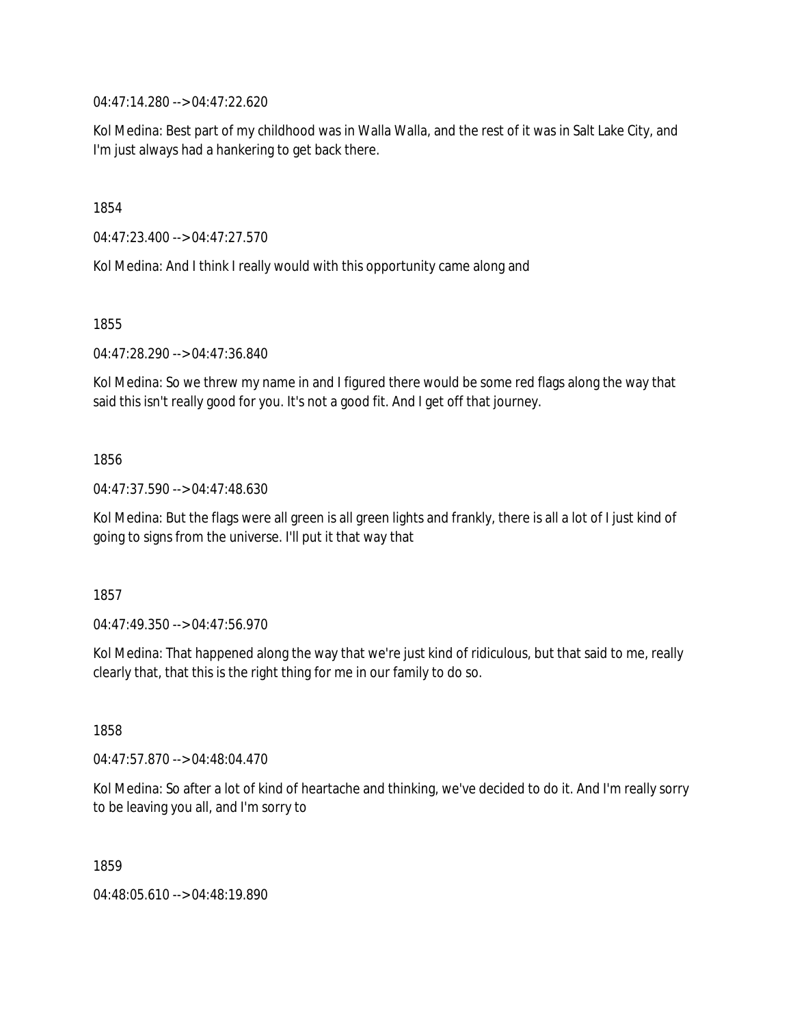04:47:14.280 --> 04:47:22.620

Kol Medina: Best part of my childhood was in Walla Walla, and the rest of it was in Salt Lake City, and I'm just always had a hankering to get back there.

1854

04:47:23.400 --> 04:47:27.570

Kol Medina: And I think I really would with this opportunity came along and

1855

04:47:28.290 --> 04:47:36.840

Kol Medina: So we threw my name in and I figured there would be some red flags along the way that said this isn't really good for you. It's not a good fit. And I get off that journey.

1856

04:47:37.590 --> 04:47:48.630

Kol Medina: But the flags were all green is all green lights and frankly, there is all a lot of I just kind of going to signs from the universe. I'll put it that way that

1857

04:47:49.350 --> 04:47:56.970

Kol Medina: That happened along the way that we're just kind of ridiculous, but that said to me, really clearly that, that this is the right thing for me in our family to do so.

1858

04:47:57.870 --> 04:48:04.470

Kol Medina: So after a lot of kind of heartache and thinking, we've decided to do it. And I'm really sorry to be leaving you all, and I'm sorry to

1859

04:48:05.610 --> 04:48:19.890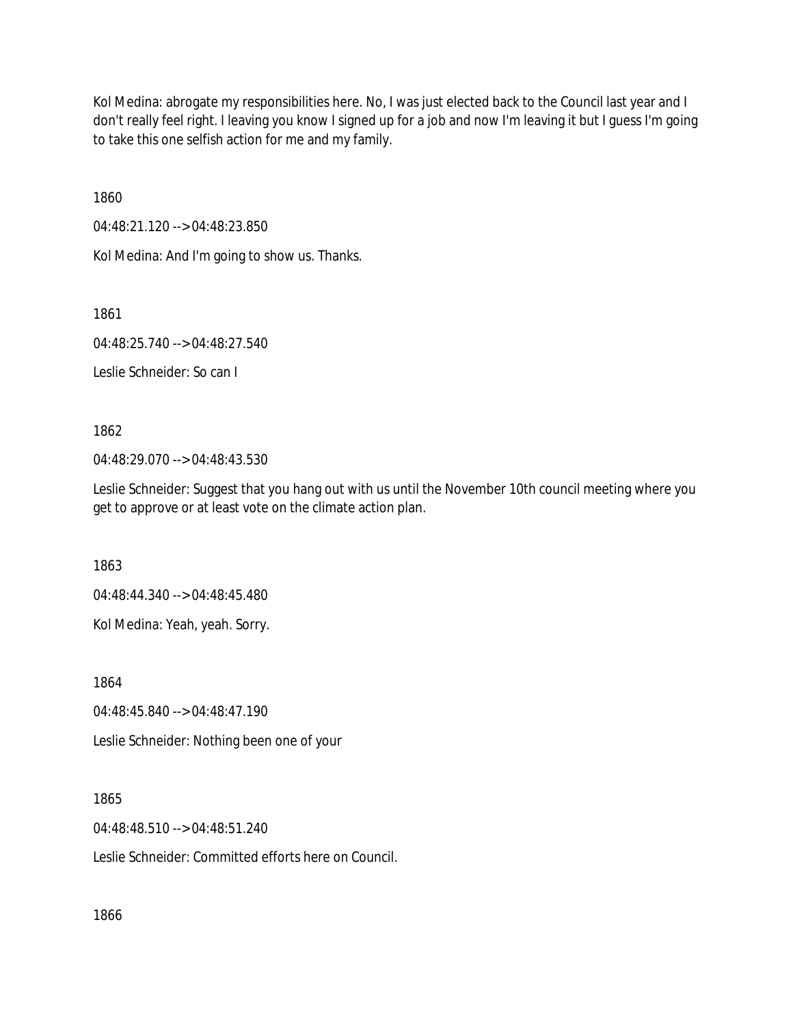Kol Medina: abrogate my responsibilities here. No, I was just elected back to the Council last year and I don't really feel right. I leaving you know I signed up for a job and now I'm leaving it but I guess I'm going to take this one selfish action for me and my family.

1860

04:48:21.120 --> 04:48:23.850

Kol Medina: And I'm going to show us. Thanks.

1861

04:48:25.740 --> 04:48:27.540

Leslie Schneider: So can I

1862

04:48:29.070 --> 04:48:43.530

Leslie Schneider: Suggest that you hang out with us until the November 10th council meeting where you get to approve or at least vote on the climate action plan.

1863

04:48:44.340 --> 04:48:45.480

Kol Medina: Yeah, yeah. Sorry.

1864

04:48:45.840 --> 04:48:47.190

Leslie Schneider: Nothing been one of your

1865

04:48:48.510 --> 04:48:51.240

Leslie Schneider: Committed efforts here on Council.

1866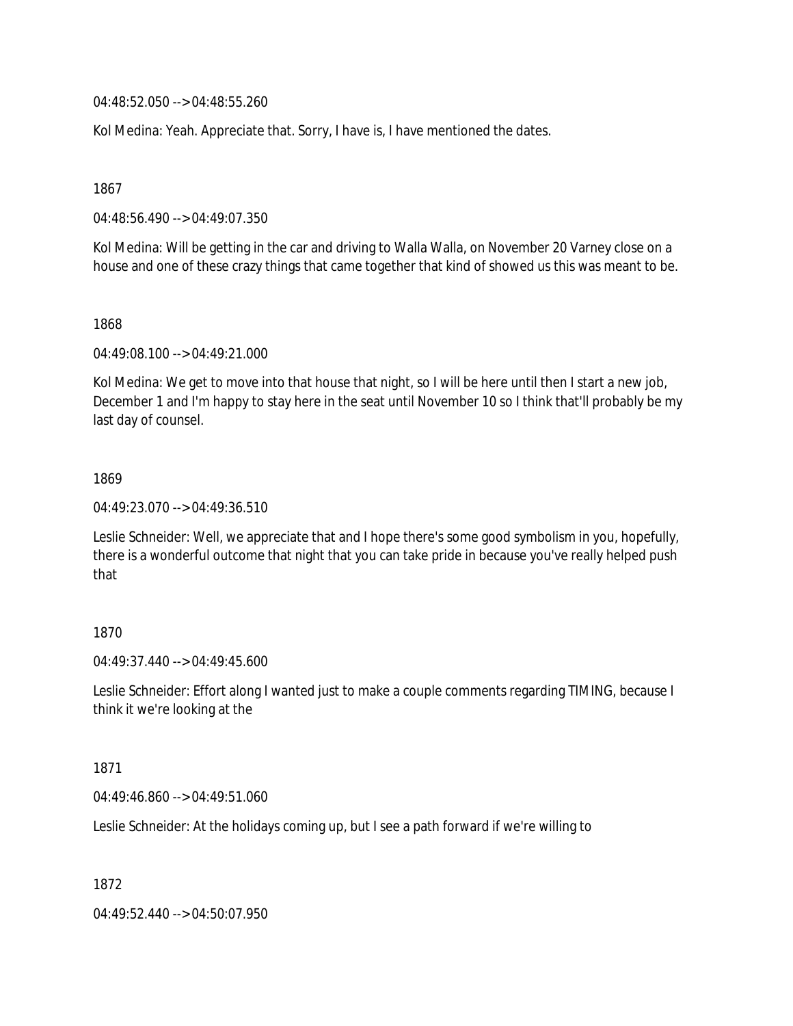04:48:52.050 --> 04:48:55.260

Kol Medina: Yeah. Appreciate that. Sorry, I have is, I have mentioned the dates.

1867

04:48:56.490 --> 04:49:07.350

Kol Medina: Will be getting in the car and driving to Walla Walla, on November 20 Varney close on a house and one of these crazy things that came together that kind of showed us this was meant to be.

1868

04:49:08.100 --> 04:49:21.000

Kol Medina: We get to move into that house that night, so I will be here until then I start a new job, December 1 and I'm happy to stay here in the seat until November 10 so I think that'll probably be my last day of counsel.

## 1869

04:49:23.070 --> 04:49:36.510

Leslie Schneider: Well, we appreciate that and I hope there's some good symbolism in you, hopefully, there is a wonderful outcome that night that you can take pride in because you've really helped push that

# 1870

04:49:37.440 --> 04:49:45.600

Leslie Schneider: Effort along I wanted just to make a couple comments regarding TIMING, because I think it we're looking at the

#### 1871

04:49:46.860 --> 04:49:51.060

Leslie Schneider: At the holidays coming up, but I see a path forward if we're willing to

1872

04:49:52.440 --> 04:50:07.950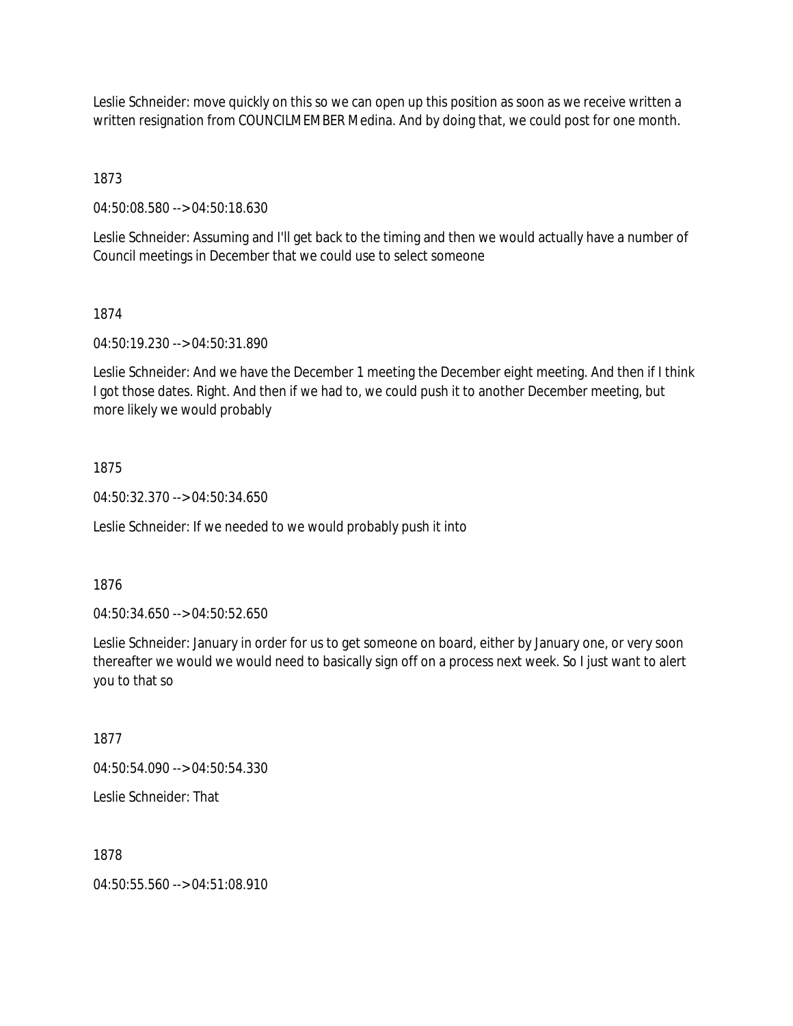Leslie Schneider: move quickly on this so we can open up this position as soon as we receive written a written resignation from COUNCILMEMBER Medina. And by doing that, we could post for one month.

1873

04:50:08.580 --> 04:50:18.630

Leslie Schneider: Assuming and I'll get back to the timing and then we would actually have a number of Council meetings in December that we could use to select someone

## 1874

04:50:19.230 --> 04:50:31.890

Leslie Schneider: And we have the December 1 meeting the December eight meeting. And then if I think I got those dates. Right. And then if we had to, we could push it to another December meeting, but more likely we would probably

# 1875

04:50:32.370 --> 04:50:34.650

Leslie Schneider: If we needed to we would probably push it into

## 1876

04:50:34.650 --> 04:50:52.650

Leslie Schneider: January in order for us to get someone on board, either by January one, or very soon thereafter we would we would need to basically sign off on a process next week. So I just want to alert you to that so

#### 1877

04:50:54.090 --> 04:50:54.330

Leslie Schneider: That

# 1878

04:50:55.560 --> 04:51:08.910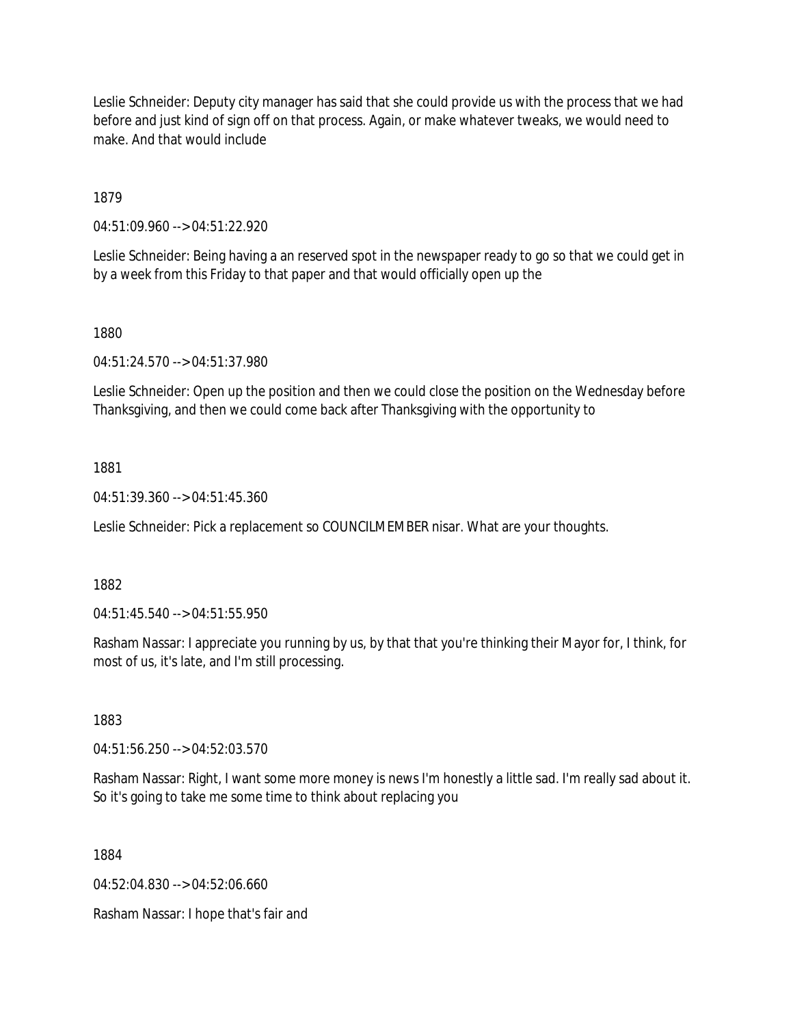Leslie Schneider: Deputy city manager has said that she could provide us with the process that we had before and just kind of sign off on that process. Again, or make whatever tweaks, we would need to make. And that would include

1879

04:51:09.960 --> 04:51:22.920

Leslie Schneider: Being having a an reserved spot in the newspaper ready to go so that we could get in by a week from this Friday to that paper and that would officially open up the

1880

04:51:24.570 --> 04:51:37.980

Leslie Schneider: Open up the position and then we could close the position on the Wednesday before Thanksgiving, and then we could come back after Thanksgiving with the opportunity to

1881

04:51:39.360 --> 04:51:45.360

Leslie Schneider: Pick a replacement so COUNCILMEMBER nisar. What are your thoughts.

1882

04:51:45.540 --> 04:51:55.950

Rasham Nassar: I appreciate you running by us, by that that you're thinking their Mayor for, I think, for most of us, it's late, and I'm still processing.

1883

04:51:56.250 --> 04:52:03.570

Rasham Nassar: Right, I want some more money is news I'm honestly a little sad. I'm really sad about it. So it's going to take me some time to think about replacing you

1884

04:52:04.830 --> 04:52:06.660

Rasham Nassar: I hope that's fair and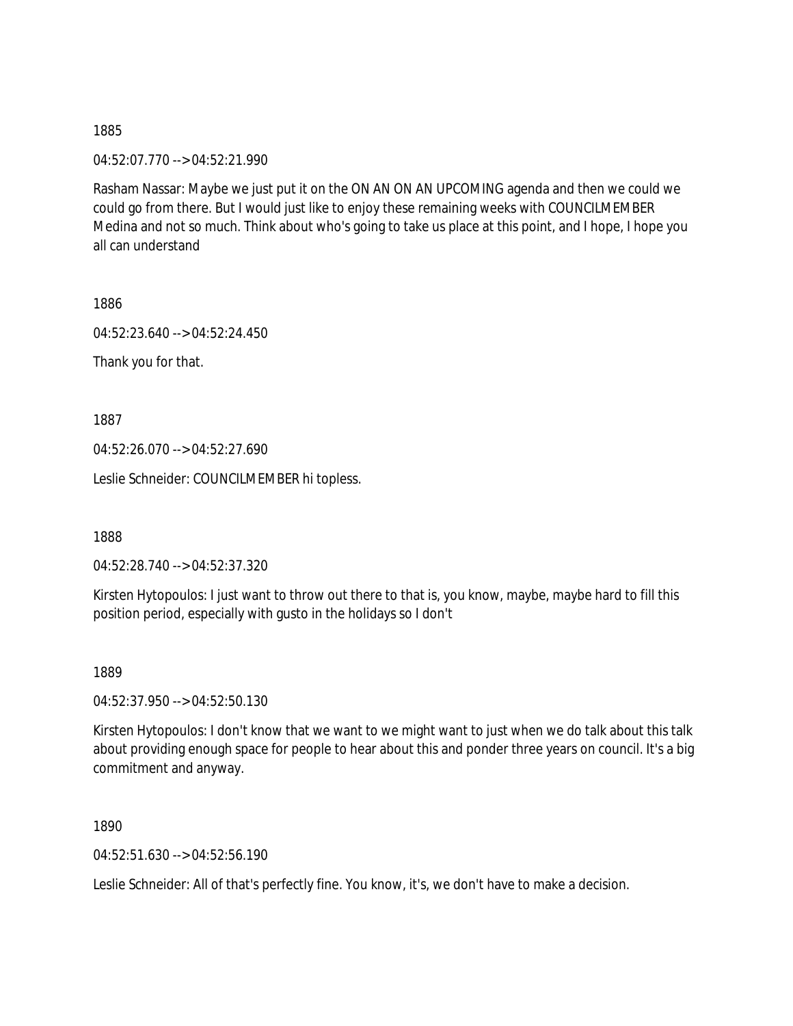04:52:07.770 --> 04:52:21.990

Rasham Nassar: Maybe we just put it on the ON AN ON AN UPCOMING agenda and then we could we could go from there. But I would just like to enjoy these remaining weeks with COUNCILMEMBER Medina and not so much. Think about who's going to take us place at this point, and I hope, I hope you all can understand

1886

04:52:23.640 --> 04:52:24.450

Thank you for that.

1887

04:52:26.070 --> 04:52:27.690

Leslie Schneider: COUNCILMEMBER hi topless.

1888

04:52:28.740 --> 04:52:37.320

Kirsten Hytopoulos: I just want to throw out there to that is, you know, maybe, maybe hard to fill this position period, especially with gusto in the holidays so I don't

1889

04:52:37.950 --> 04:52:50.130

Kirsten Hytopoulos: I don't know that we want to we might want to just when we do talk about this talk about providing enough space for people to hear about this and ponder three years on council. It's a big commitment and anyway.

1890

04:52:51.630 --> 04:52:56.190

Leslie Schneider: All of that's perfectly fine. You know, it's, we don't have to make a decision.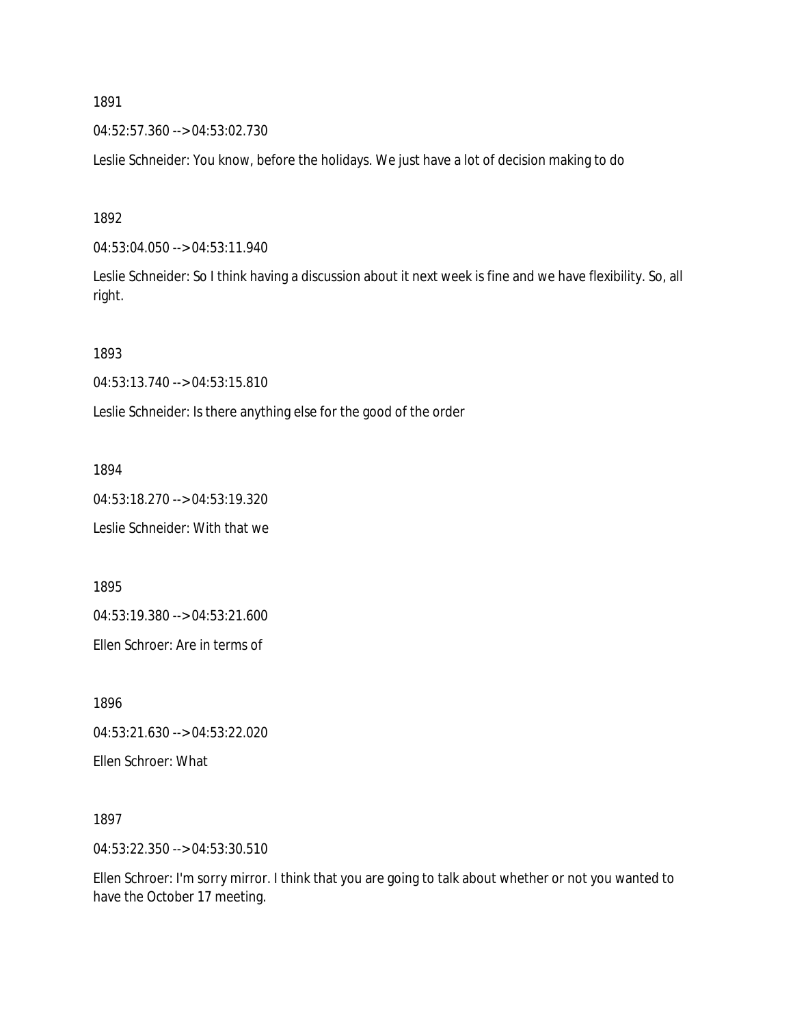04:52:57.360 --> 04:53:02.730

Leslie Schneider: You know, before the holidays. We just have a lot of decision making to do

1892

04:53:04.050 --> 04:53:11.940

Leslie Schneider: So I think having a discussion about it next week is fine and we have flexibility. So, all right.

1893

04:53:13.740 --> 04:53:15.810

Leslie Schneider: Is there anything else for the good of the order

1894

04:53:18.270 --> 04:53:19.320 Leslie Schneider: With that we

1895

04:53:19.380 --> 04:53:21.600

Ellen Schroer: Are in terms of

1896

04:53:21.630 --> 04:53:22.020

Ellen Schroer: What

1897

04:53:22.350 --> 04:53:30.510

Ellen Schroer: I'm sorry mirror. I think that you are going to talk about whether or not you wanted to have the October 17 meeting.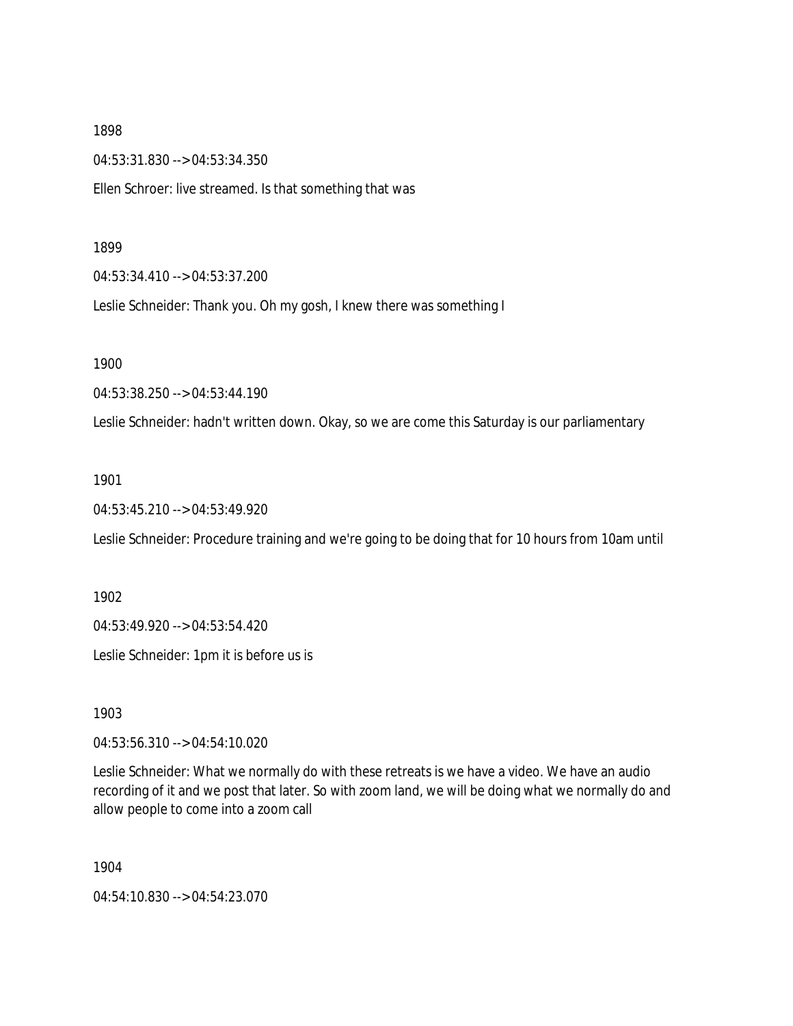04:53:31.830 --> 04:53:34.350

Ellen Schroer: live streamed. Is that something that was

#### 1899

04:53:34.410 --> 04:53:37.200

Leslie Schneider: Thank you. Oh my gosh, I knew there was something I

1900

04:53:38.250 --> 04:53:44.190

Leslie Schneider: hadn't written down. Okay, so we are come this Saturday is our parliamentary

#### 1901

04:53:45.210 --> 04:53:49.920

Leslie Schneider: Procedure training and we're going to be doing that for 10 hours from 10am until

1902

04:53:49.920 --> 04:53:54.420

Leslie Schneider: 1pm it is before us is

1903

04:53:56.310 --> 04:54:10.020

Leslie Schneider: What we normally do with these retreats is we have a video. We have an audio recording of it and we post that later. So with zoom land, we will be doing what we normally do and allow people to come into a zoom call

1904

04:54:10.830 --> 04:54:23.070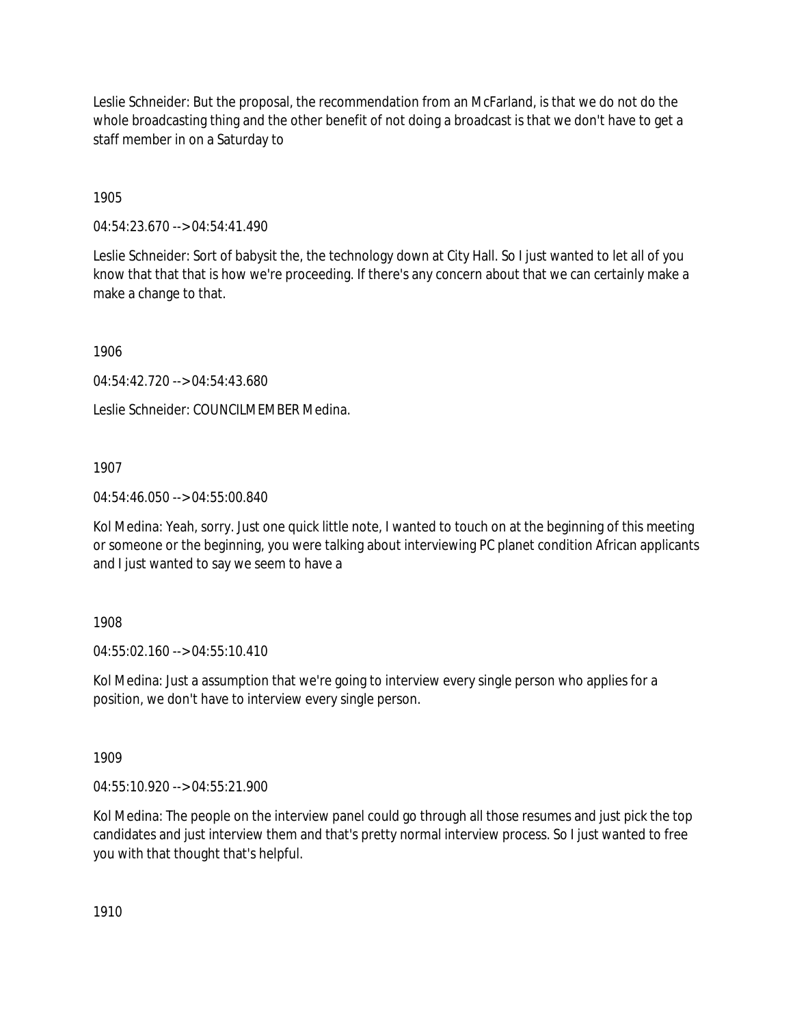Leslie Schneider: But the proposal, the recommendation from an McFarland, is that we do not do the whole broadcasting thing and the other benefit of not doing a broadcast is that we don't have to get a staff member in on a Saturday to

1905

04:54:23.670 --> 04:54:41.490

Leslie Schneider: Sort of babysit the, the technology down at City Hall. So I just wanted to let all of you know that that that is how we're proceeding. If there's any concern about that we can certainly make a make a change to that.

1906

04:54:42.720 --> 04:54:43.680

Leslie Schneider: COUNCILMEMBER Medina.

1907

04:54:46.050 --> 04:55:00.840

Kol Medina: Yeah, sorry. Just one quick little note, I wanted to touch on at the beginning of this meeting or someone or the beginning, you were talking about interviewing PC planet condition African applicants and I just wanted to say we seem to have a

1908

04:55:02.160 --> 04:55:10.410

Kol Medina: Just a assumption that we're going to interview every single person who applies for a position, we don't have to interview every single person.

1909

04:55:10.920 --> 04:55:21.900

Kol Medina: The people on the interview panel could go through all those resumes and just pick the top candidates and just interview them and that's pretty normal interview process. So I just wanted to free you with that thought that's helpful.

1910